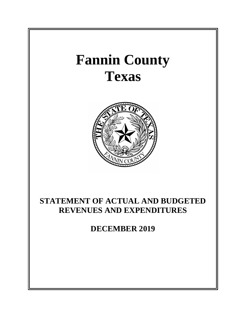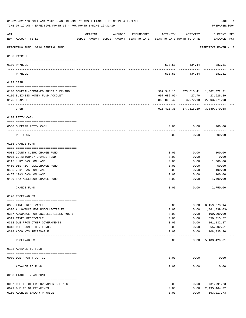|          | 01-02-2020**BUDGET ANALYSIS USAGE REPORT ** ASSET LIABILITY INCOME & EXPENSE<br>TIME: 07:12 AM - EFFECTIVE MONTH: 12 - FOR MONTH ENDING 12-31-19 |          |         |            |                                                                                 |                   | PAGE<br>PREPARER: 0004                                                        | 1 |
|----------|--------------------------------------------------------------------------------------------------------------------------------------------------|----------|---------|------------|---------------------------------------------------------------------------------|-------------------|-------------------------------------------------------------------------------|---|
| ACT      | NUM ACCOUNT-TITLE                                                                                                                                | ORIGINAL | AMENDED | ENCUMBERED | ACTIVITY<br>BUDGET-AMOUNT BUDGET-AMOUNT YEAR-TO-DATE YEAR-TO-DATE MONTH-TO-DATE | ACTIVITY          | <b>CURRENT USED</b><br>BALANCE PCT                                            |   |
|          | REPORTING FUND: 0010 GENERAL FUND                                                                                                                |          |         |            |                                                                                 |                   | EFFECTIVE MONTH - 12                                                          |   |
|          | 0100 PAYROLL                                                                                                                                     |          |         |            |                                                                                 |                   |                                                                               |   |
| ---- --- | 0100 PAYROLL                                                                                                                                     |          |         |            |                                                                                 |                   | 530.51- 434.44 282.51                                                         |   |
|          | PAYROLL                                                                                                                                          |          |         |            | $530.51 -$                                                                      | 434.44            | 282.51                                                                        |   |
|          | 0103 CASH                                                                                                                                        |          |         |            |                                                                                 |                   |                                                                               |   |
|          | 0100 GENERAL-COMBINED FUNDS CHECKING                                                                                                             |          |         |            |                                                                                 |                   | 969, 340.15 373, 816.41 1, 362, 072.31                                        |   |
|          | 0110 BUSINESS MONEY FUND ACCOUNT                                                                                                                 |          |         |            | 997,682.09-                                                                     |                   | 27.70 23,926.39                                                               |   |
|          | 0175 TEXPOOL                                                                                                                                     |          |         |            |                                                                                 |                   | 888,068.42- 3,972.18 2,503,971.98                                             |   |
|          | CASH                                                                                                                                             |          |         |            |                                                                                 |                   | ---------- ------------ ----------<br>916, 410.36- 377, 816.29 3, 889, 970.68 |   |
|          | 0104 PETTY CASH                                                                                                                                  |          |         |            |                                                                                 |                   |                                                                               |   |
|          | 0560 SHERIFF PETTY CASH                                                                                                                          |          |         |            | 0.00                                                                            | 0.00              | 200.00                                                                        |   |
|          | PETTY CASH                                                                                                                                       |          |         |            | 0.00                                                                            | 0.00              | ---------<br>200.00                                                           |   |
|          | 0105 CHANGE FUND                                                                                                                                 |          |         |            |                                                                                 |                   |                                                                               |   |
|          | 0003 COUNTY CLERK CHANGE FUND                                                                                                                    |          |         |            | 0.00                                                                            | 0.00              | 100.00                                                                        |   |
|          | 0075 CO. ATTORNEY CHANGE FUND                                                                                                                    |          |         |            | 0.00                                                                            | 0.00              | 0.00                                                                          |   |
|          | 0115 JURY CASH ON HAND                                                                                                                           |          |         |            | 0.00                                                                            | 0.00              | 1,000.00                                                                      |   |
|          | 0450 DISTRICT CLK. CHANGE FUND                                                                                                                   |          |         |            | 0.00                                                                            | 0.00              | 50.00                                                                         |   |
|          | 0455 JP#1 CASH ON HAND                                                                                                                           |          |         |            | 0.00                                                                            | 0.00              | 100.00                                                                        |   |
|          | 0457 JP#3 CASH ON HAND                                                                                                                           |          |         |            | 0.00                                                                            | 0.00              | 100.00                                                                        |   |
|          | 0499 TAX ASSESSOR CHANGE FUND                                                                                                                    |          |         |            | 0.00                                                                            | 0.00              | 1,400.00                                                                      |   |
|          | CHANGE FUND                                                                                                                                      |          |         |            | 0.00                                                                            | 0.00              | 2,750.00                                                                      |   |
|          | 0120 RECEIVABLES                                                                                                                                 |          |         |            |                                                                                 |                   |                                                                               |   |
|          | 0305 FINES RECEIVABLE                                                                                                                            |          |         |            | 0.00                                                                            | 0.00              | 6, 459, 373. 14                                                               |   |
|          | 0306 ALLOWANCE FOR UNCOLLECTIBLES                                                                                                                |          |         |            | 0.00                                                                            | 0.00              | 1,861,839.03-                                                                 |   |
|          | 0307 ALOWANCE FOR UNCOLLECTIBLES HOSPIT                                                                                                          |          |         |            | 0.00                                                                            | 0.00              | 100,000.00-                                                                   |   |
|          | 0311 TAXES RECEIVABLE                                                                                                                            |          |         |            | 0.00                                                                            | 0.00              | 650, 315.52                                                                   |   |
|          | 0312 DUE FROM OTHER GOVERNMENTS                                                                                                                  |          |         |            | 0.00                                                                            | 0.00              | 161,132.87                                                                    |   |
|          | 0313 DUE FROM OTHER FUNDS                                                                                                                        |          |         |            | 0.00                                                                            | 0.00              | 65,602.51                                                                     |   |
|          | 0314 ACCOUNTS RECEIVABLE<br>------------------------ -----------                                                                                 |          |         |            | 0.00                                                                            | 0.00<br>--------- | 108,835.30<br>-------------                                                   |   |
|          | RECEIVABLES                                                                                                                                      |          |         |            | 0.00                                                                            | 0.00              | 5,483,420.31                                                                  |   |
|          | 0133 ADVANCE TO FUND                                                                                                                             |          |         |            |                                                                                 |                   |                                                                               |   |
|          | 0089 DUE FROM T.J.P.C.                                                                                                                           |          |         |            | 0.00                                                                            | 0.00              | 0.00                                                                          |   |
|          | ADVANCE TO FUND                                                                                                                                  |          |         |            | 0.00                                                                            | 0.00              | 0.00                                                                          |   |
|          | 0200 LIABILITY ACCOUNT                                                                                                                           |          |         |            |                                                                                 |                   |                                                                               |   |
|          |                                                                                                                                                  |          |         |            | 0.00                                                                            |                   |                                                                               |   |
|          | 0097 DUE TO OTHER GOVERNMENTS-FINES<br>0099 DUE TO OTHERS-FINES                                                                                  |          |         |            | 0.00                                                                            | 0.00<br>0.00      | 731,991.23<br>2,495,464.32                                                    |   |
|          | 0150 ACCRUED SALARY PAYABLE                                                                                                                      |          |         |            | 0.00                                                                            | 0.00              | 163,017.73                                                                    |   |
|          |                                                                                                                                                  |          |         |            |                                                                                 |                   |                                                                               |   |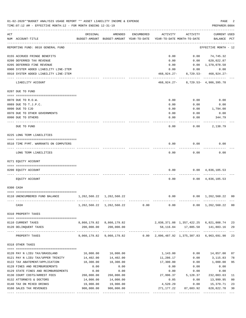|     | 01-02-2020**BUDGET ANALYSIS USAGE REPORT ** ASSET LIABILITY INCOME & EXPENSE<br>TIME: 07:12 AM - EFFECTIVE MONTH: 12 - FOR MONTH ENDING 12-31-19 |                                 |                                                     |            |                                                                 |                                           | PAGE<br>PREPARER: 0004             |                |
|-----|--------------------------------------------------------------------------------------------------------------------------------------------------|---------------------------------|-----------------------------------------------------|------------|-----------------------------------------------------------------|-------------------------------------------|------------------------------------|----------------|
| ACT | NUM ACCOUNT-TITLE                                                                                                                                | ORIGINAL                        | AMENDED<br>BUDGET-AMOUNT BUDGET-AMOUNT YEAR-TO-DATE | ENCUMBERED | ACTIVITY<br>YEAR-TO-DATE MONTH-TO-DATE                          | ACTIVITY                                  | <b>CURRENT USED</b><br>BALANCE PCT |                |
|     | REPORTING FUND: 0010 GENERAL FUND                                                                                                                |                                 |                                                     |            |                                                                 |                                           | EFFECTIVE MONTH - 12               |                |
|     | 0155 ACCRUED FRINGE BENEFITS                                                                                                                     |                                 |                                                     |            | 0.00                                                            | 0.00                                      | 74,745.32                          |                |
|     | 0200 DEFERRED TAX REVENUE                                                                                                                        |                                 |                                                     |            | 0.00                                                            |                                           | $0.00$ 620,022.87                  |                |
|     | 0205 DEFERRED FINE REVENUE                                                                                                                       |                                 |                                                     |            | 0.00                                                            |                                           | 0.00 1,370,078.58                  |                |
|     | 0900 SYSTEM ADDED LIABILITY LINE-ITEM                                                                                                            |                                 |                                                     |            | 0.00                                                            | 0.00                                      | 0.00                               |                |
|     | 0910 SYSTEM ADDED LIABILITY LINE-ITEM                                                                                                            |                                 |                                                     |            | 468,924.27-                                                     |                                           | $8,729.53 - 468,924.27 -$          |                |
|     | LIABILITY ACCOUNT                                                                                                                                |                                 |                                                     |            |                                                                 | 468, 924. 27- 8, 729. 53- 4, 986, 395. 78 |                                    |                |
|     | 0207 DUE TO FUND                                                                                                                                 |                                 |                                                     |            |                                                                 |                                           |                                    |                |
|     | 0070 DUE TO R.O.W.                                                                                                                               |                                 |                                                     |            | 0.00                                                            | 0.00                                      | 0.00                               |                |
|     | 0089 DUE TO T.J.P.C.                                                                                                                             |                                 |                                                     |            | 0.00                                                            | 0.00                                      | 0.00                               |                |
|     | 0090 DUE TO CJD                                                                                                                                  |                                 |                                                     |            | 0.00                                                            | 0.00                                      | 1,794.00                           |                |
|     | 0970 DUE TO OTHER GOVERNMENTS                                                                                                                    |                                 |                                                     |            | 0.00                                                            | 0.00                                      | 0.00                               |                |
|     | 0990 DUE TO OTHERS                                                                                                                               |                                 |                                                     |            | 0.00                                                            | 0.00                                      | 344.79                             |                |
|     | DUE TO FUND                                                                                                                                      |                                 |                                                     |            | 0.00                                                            | 0.00                                      | 2,138.79                           |                |
|     | 0225 LONG TERM LIABILITIES                                                                                                                       |                                 |                                                     |            |                                                                 |                                           |                                    |                |
|     | 0510 TIME PYMT. WARRANTS ON COMPUTERS                                                                                                            |                                 |                                                     |            | 0.00                                                            | 0.00                                      | 0.00                               |                |
|     | LONG TERM LIABILITIES                                                                                                                            |                                 |                                                     |            | 0.00                                                            | 0.00                                      | 0.00                               |                |
|     | 0271 EQUITY ACCOUNT                                                                                                                              |                                 |                                                     |            |                                                                 |                                           |                                    |                |
|     | 0200 EQUITY ACCOUNT                                                                                                                              |                                 |                                                     |            | 0.00                                                            |                                           | $0.00 \quad 4,836,105.53$          |                |
|     |                                                                                                                                                  |                                 |                                                     |            |                                                                 |                                           |                                    |                |
|     | EQUITY ACCOUNT                                                                                                                                   |                                 |                                                     |            | 0.00                                                            |                                           | $0.00 \quad 4,836,105.53$          |                |
|     | 0300 CASH                                                                                                                                        |                                 |                                                     |            |                                                                 |                                           |                                    |                |
|     |                                                                                                                                                  |                                 |                                                     |            |                                                                 |                                           |                                    |                |
|     | 0110 UNENCUMBERED FUND BALANCE                                                                                                                   | 1, 262, 560. 22 1, 262, 560. 22 |                                                     |            | 0.00                                                            |                                           | $0.00 \quad 1,262,560.22 \quad 00$ |                |
|     | CASH                                                                                                                                             |                                 | 1, 262, 560. 22 1, 262, 560. 22                     | 0.00       |                                                                 | $0.00$ $0.00$ $1,262,560.22$ 00           |                                    |                |
|     | 0310 PROPERTY TAXES                                                                                                                              |                                 |                                                     |            |                                                                 |                                           |                                    |                |
|     |                                                                                                                                                  |                                 |                                                     |            |                                                                 |                                           |                                    |                |
|     | 0110 CURRENT TAXES                                                                                                                               |                                 | 8,860,179.82 8,860,179.82                           |            |                                                                 | 2,038,371.08 1,357,422.25 6,821,808.74    |                                    | 23             |
|     | 0120 DELINQUENT TAXES                                                                                                                            | ------------                    | 200,000.00 200,000.00<br>-------------              |            |                                                                 | 58, 116.84   17, 885.58   141, 883.16     |                                    | 29             |
|     | PROPERTY TAXES                                                                                                                                   |                                 | 9,060,179.82 9,060,179.82                           |            | $0.00 \quad 2.096.487.92 \quad 1.375.307.83 \quad 6.963.691.90$ |                                           |                                    | 23             |
|     | 0318 OTHER TAXES                                                                                                                                 |                                 |                                                     |            |                                                                 |                                           |                                    |                |
|     | 0120 PAY N LIEU TAX/GRASSLAND                                                                                                                    | 16,000.00                       | 16,000.00                                           |            | 1,143.00                                                        | 0.00                                      | 14,857.00                          | 07             |
|     | 0121 PAY N LIEU TAX/UPPER TRINITY                                                                                                                | 14,402.00                       | 14,402.00                                           |            | 11,286.17                                                       | 0.00                                      | 3,115.83                           | 78             |
|     | 0122 TAX ABATEMENT/APPLICATION                                                                                                                   | 18,300.00                       | 18,300.00                                           |            | 17,300.00                                                       | 0.00                                      | 1,000.00                           | 95             |
|     | 0128 FINES AND REIMBURSEMENTS                                                                                                                    | 0.00                            | 0.00                                                |            | 0.00                                                            | 0.00                                      | 0.00                               |                |
|     | 0129 STATE FINES AND REIMBURSEMENTS                                                                                                              | 0.00                            | 0.00                                                |            | 0.00                                                            | 0.00                                      | 0.00                               |                |
|     | 0130 COURT COSTS/ARREST FEES                                                                                                                     | 260,000.00                      | 260,000.00                                          |            | 27,996.37                                                       | 5,128.37                                  | 232,003.63                         | 11             |
|     | 0132 ATTORNEYS & DOCTORS                                                                                                                         | 14,000.00                       | 14,000.00                                           |            | 0.05                                                            | 0.00                                      | 13,999.95                          | 0 <sub>0</sub> |
|     | 0140 TAX ON MIXED DRINKS                                                                                                                         | 19,900.00                       | 19,900.00                                           |            | 4,520.29                                                        | 0.00                                      | 15,379.71                          | 23             |
|     | 0160 SALES TAX REVENUES                                                                                                                          | 900,000.00                      | 900,000.00                                          |            | 271,177.22                                                      | 87,603.92                                 | 628,822.78                         | 30             |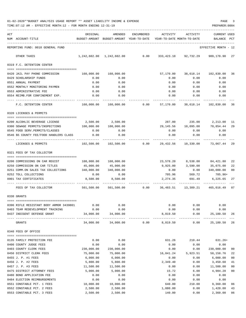| 01-02-2020**BUDGET ANALYSIS USAGE REPORT ** ASSET LIABILITY INCOME & EXPENSE |  |  |  | PAGE |  |
|------------------------------------------------------------------------------|--|--|--|------|--|
|                                                                              |  |  |  |      |  |

|     | TIME: 07:12 AM - EFFECTIVE MONTH: 12 - FOR MONTH ENDING 12-31-19<br>PREPARER: 0004 |                          |                   |            |              |                                                                                 |                             |        |  |  |  |
|-----|------------------------------------------------------------------------------------|--------------------------|-------------------|------------|--------------|---------------------------------------------------------------------------------|-----------------------------|--------|--|--|--|
| ACT | NUM ACCOUNT-TITLE                                                                  | ORIGINAL                 | AMENDED           | ENCUMBERED | ACTIVITY     | ACTIVITY<br>BUDGET-AMOUNT BUDGET-AMOUNT YEAR-TO-DATE YEAR-TO-DATE MONTH-TO-DATE | CURRENT USED<br>BALANCE PCT |        |  |  |  |
|     | REPORTING FUND: 0010 GENERAL FUND                                                  |                          |                   |            |              |                                                                                 | EFFECTIVE MONTH - 12        |        |  |  |  |
|     | OTHER TAXES                                                                        |                          |                   |            |              | $1,242,602.00$ $1,242,602.00$ 0.00 333,423.10 92,732.29 909,178.90 27           |                             |        |  |  |  |
|     | 0319 F.C. DETENTION CENTER                                                         |                          |                   |            |              |                                                                                 |                             |        |  |  |  |
|     |                                                                                    |                          |                   |            |              |                                                                                 |                             |        |  |  |  |
|     | 0420 JAIL PAY PHONE COMMISSION                                                     |                          |                   |            |              | 57,170.00 38,618.14 102,830.00                                                  |                             | 36     |  |  |  |
|     | 0429 SCHOLARSHIP FUNDS                                                             | 0.00                     | 0.00              |            | 0.00         | 0.00                                                                            | 0.00                        |        |  |  |  |
|     | 0551 ANNUAL PAYMENT                                                                | 0.00                     | 0.00              |            | 0.00         | 0.00                                                                            | 0.00                        |        |  |  |  |
|     | 0552 MONTHLY MONITORING PAYMEN                                                     | 0.00                     | 0.00              |            | 0.00         | 0.00                                                                            | 0.00                        |        |  |  |  |
|     | 0553 ADMINISTRATIVE FEE                                                            | 0.00                     | 0.00              |            |              | $0.00$ 0.00 0.00                                                                |                             |        |  |  |  |
|     | 0554 REIMB.FOR CONFINEMENT EXP.<br>-------------------                             | 0.00                     | 0.00              |            | 0.00         | 0.00                                                                            | 0.00                        |        |  |  |  |
|     | F.C. DETENTION CENTER                                                              |                          |                   |            |              | 160,000.00  160,000.00   0.00   57,170.00   38,618.14   102,830.00   36         |                             |        |  |  |  |
|     | 0320 LICENSES & PERMITS                                                            |                          |                   |            |              |                                                                                 |                             |        |  |  |  |
|     | 0200 ALCOHLIC BEVERAGE LICENSE                                                     |                          | 2,500.00 2,500.00 |            |              | 287.00 235.00 2,213.00 11                                                       |                             |        |  |  |  |
|     | 0300 SEWAGE PERMITS/INSPECTIONS                                                    | 100,000.00 100,000.00    |                   |            |              |                                                                                 |                             |        |  |  |  |
|     | 0545 FOOD SERV.PERMITS/CLASSES                                                     | 0.00                     | 0.00              |            | 0.00         | 29,145.56 10,095.00 70,854.44 29<br>0.00                                        | 0.00                        |        |  |  |  |
|     | 0546 \$5 COUNTY FEE/FOOD HANDLERS CLASS                                            | 0.00                     | 0.00              |            | 0.00         | 0.00                                                                            | 0.00                        |        |  |  |  |
|     | LICENSES & PERMITS                                                                 |                          |                   |            |              | $102,500.00$ $102,500.00$ 0.00 $29,432.56$ 10,330.00 73,067.44 29               |                             |        |  |  |  |
|     | 0321 FEES OF TAX COLLECTOR                                                         |                          |                   |            |              |                                                                                 |                             |        |  |  |  |
|     |                                                                                    |                          |                   |            |              |                                                                                 |                             |        |  |  |  |
|     | 0200 COMMISSIONS ON CAR REGIST                                                     | 108,000.00    108,000.00 |                   |            |              | 23,578.20 8,538.00 84,421.80                                                    |                             | 22     |  |  |  |
|     | 0250 COMMISSION ON CAR TITLES                                                      | 45,000.00                | 45,000.00         |            |              | 9,925.00 3,590.00 35,075.00                                                     |                             | 22     |  |  |  |
|     | 0251 COMM.ON SALES TAX COLLECTIONS 340,000.00                                      |                          | 340,000.00        |            | 0.00         |                                                                                 | $0.00$ 340,000.00           | 00     |  |  |  |
|     | 0252 TOLL COLLECTIONS                                                              | 0.00                     | 0.00              |            | 705.96       | 569.72                                                                          | $705.96+$                   |        |  |  |  |
|     | 0901 TAX CERTIFICATES                                                              | 8,500.00                 | 8,500.00          |            | 2,274.35     | 691.49                                                                          | 6,225.65                    | 27     |  |  |  |
|     | FEES OF TAX COLLECTOR                                                              |                          |                   |            |              | 501,500.00   501,500.00      0.00    36,483.51   13,389.21   465,016.49  07     |                             |        |  |  |  |
|     | 0330 GRANTS                                                                        |                          |                   |            |              |                                                                                 |                             |        |  |  |  |
|     | 0396 RIFLE RESISTANT BODY ARMOR 3439801                                            | 0.00                     | 0.00              |            | 0.00         | 0.00                                                                            | 0.00                        |        |  |  |  |
|     | 0403 TEAM REDEVELOPMENT TRAINING                                                   | 0.00                     | 0.00              |            | 0.00         | 0.00                                                                            | 0.00                        |        |  |  |  |
|     | 0437 INDIGENT DEFENSE GRANT                                                        | 34,000.00                | 34,000.00         |            | 8,819.50     | 0.00                                                                            | 25,180.50                   | 26     |  |  |  |
|     | GRANTS                                                                             | 34,000.00                | 34,000.00         | 0.00       | 8,819.50     | 0.00                                                                            | 25, 180.50 26               |        |  |  |  |
|     | 0340 FEES OF OFFICE                                                                |                          |                   |            |              |                                                                                 |                             |        |  |  |  |
|     |                                                                                    |                          |                   |            |              |                                                                                 |                             |        |  |  |  |
|     | 0135 FAMILY PROTECTION FEE                                                         | 0.00                     | 0.00              |            | 631.26       | 210.44                                                                          | $631.26+$                   |        |  |  |  |
|     | 0400 COUNTY JUDGE FEES                                                             | 0.00                     | 0.00              |            | 0.00         | 0.00                                                                            | 0.00                        |        |  |  |  |
|     | 0403 COUNTY CLERK FEES                                                             | 230,000.00               | 230,000.00        |            | 0.00         | 0.00                                                                            | 230,000.00                  | 00     |  |  |  |
|     | 0450 DISTRICT CLERK FEES                                                           | 75,000.00                | 75,000.00         |            | 16,841.24    | 5,923.51                                                                        | 58,158.76                   | 22     |  |  |  |
|     | 0455 J. P. #1 FEES                                                                 | 6,000.00                 | 6,000.00          |            | 0.00         | 0.00                                                                            | 6,000.00                    | 00     |  |  |  |
|     | 0456 J. P. #2 FEES                                                                 | 5,800.00                 | 5,800.00          |            | 2,349.40     | 0.00                                                                            | 3,450.60                    | 41     |  |  |  |
|     | 0457 J. P. #3 FEES                                                                 | 11,500.00                | 11,500.00         |            | 0.00         | 0.00                                                                            | 11,500.00                   | $00\,$ |  |  |  |
|     | 0475 DISTRICT ATTORNEY FEES                                                        | 5,000.00<br>0.00         | 5,000.00<br>0.00  |            | 15.72        | 6.00                                                                            | 4,984.28<br>0.00            | $00\,$ |  |  |  |
|     | 0480 BOND APPLICATION FEE<br>0484 ELECTION REIMBURSEMENTS                          | 0.00                     | 0.00              |            | 0.00<br>0.00 | 0.00<br>0.00                                                                    | 0.00                        |        |  |  |  |
|     | 0551 CONSTABLE PCT. 1 FEES                                                         |                          |                   |            | 640.00       | 210.00                                                                          |                             | 06     |  |  |  |
|     |                                                                                    | 10,000.00                | 10,000.00         |            |              |                                                                                 | 9,360.00                    |        |  |  |  |
|     | 0552 CONSTABLE PCT. 2 FEES                                                         | 2,500.00                 | 2,500.00          |            | 1,080.00     | 0.00                                                                            | 1,420.00                    | 43     |  |  |  |

0553 CONSTABLE PCT. 3 FEES  $\begin{array}{ccccccccc}\n 0.553 & 0.00 & 0.00 & 0.00 & 0.00 & 0.00 & 0.00 & 0.00 & 0.00 & 0.00 & 0.00 & 0.00 & 0.00 & 0.00 & 0.00 & 0.00 & 0.00 & 0.00 & 0.00 & 0.00 & 0.00 & 0.00 & 0.00 & 0.00 & 0.00 & 0.00 & 0.00 & 0.00 & 0.00 & 0.00 & 0.$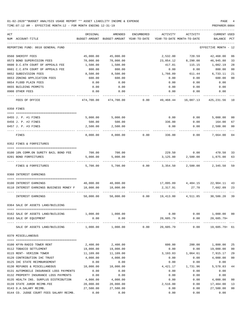TIME:07:12 AM - EFFECTIVE MONTH:12 - FOR MONTH ENDING 12-31-19 PREPARER:0004

| ACT        |                                                             | ORIGINAL               | AMENDED                    | ENCUMBERED     | ACTIVITY                           | ACTIVITY           | <b>CURRENT USED</b>         |                |
|------------|-------------------------------------------------------------|------------------------|----------------------------|----------------|------------------------------------|--------------------|-----------------------------|----------------|
|            | NUM ACCOUNT-TITLE                                           | BUDGET-AMOUNT          | BUDGET-AMOUNT YEAR-TO-DATE |                | YEAR-TO-DATE MONTH-TO-DATE         |                    | BALANCE PCT                 |                |
|            | REPORTING FUND: 0010 GENERAL FUND                           |                        |                            |                |                                    |                    | EFFECTIVE MONTH - 12        |                |
|            | 0560 SHERIFF FEES                                           | 45,000.00              | 45,000.00                  |                | 2,532.00                           | 720.59             | 42,468.00                   | 06             |
|            | 0573 BOND SUPERVISION FEES                                  | 70,000.00              | 70,000.00                  |                | 23,054.12                          | 8,290.00           | 46,945.88                   | 33             |
|            | 0600 D.C.6TH COURT OF APPEALS FEE                           | 1,500.00               | 1,500.00                   |                | 417.81                             | 115.15             | 1,082.19                    | 28             |
|            | 0601 C.C.6TH COURT OF APPEALS FEE                           | 800.00                 | 800.00                     |                | 0.00                               | 0.00               | 800.00                      | 0 <sub>0</sub> |
|            | 0652 SUBDIVISION FEES                                       | 8,500.00               | 8,500.00                   |                | 1,766.89                           | 611.44             | 6,733.11                    | 21             |
|            | 0653 ZONING APPLICATION FEES                                | 600.00                 | 600.00                     |                | 0.00                               | 0.00               | 600.00                      | 0 <sub>0</sub> |
|            | 0654 FLOOD PLAIN FEES                                       | 0.00                   | 0.00                       |                | 0.00                               | 0.00               | 0.00                        |                |
|            | 0655 BUILDING PERMITS                                       | 0.00                   | 0.00                       |                | 0.00                               | 0.00               | 0.00                        |                |
|            | 0900 OTHER FEES                                             | 0.00                   | 0.00                       |                | 0.00                               | 0.00               | 0.00                        |                |
|            | FEES OF OFFICE                                              | 474,700.00             | 474,700.00                 | 0.00           | 49,468.44                          | 16,087.13          | 425,231.56                  | 10             |
| 0350 FINES |                                                             |                        |                            |                |                                    |                    |                             |                |
|            | 0455 J. P. #1 FINES                                         | 5,000.00               | 5,000.00                   |                | 0.00                               | 0.00               | 5,000.00                    | 00             |
|            | 0456 J. P. #2 FINES                                         | 500.00                 | 500.00                     |                | 336.00                             | 0.00               | 164.00                      | 67             |
|            | 0457 J. P. #3 FINES                                         | 2,500.00               | 2,500.00                   |                | 0.00                               | 0.00               | 2,500.00                    | 0 <sub>0</sub> |
|            | FINES                                                       | 8,000.00               | 8,000.00                   | 0.00           | 336.00                             | 0.00               | 7,664.00                    | 0 <sub>4</sub> |
|            | 0352 FINES & FORFEITURES                                    |                        |                            |                |                                    |                    |                             |                |
|            |                                                             |                        |                            |                |                                    |                    |                             |                |
|            | 0100 10% COMM.ON SURETY BAIL BOND FEE                       | 700.00                 | 700.00                     |                |                                    | 229.50 0.00 470.50 |                             | 33             |
|            | 0201 BOND FORFEITURES                                       | 5,000.00               | 5,000.00                   |                | 3,125.00                           | 2,500.00           | 1,875.00                    | 63             |
|            | FINES & FORFEITURES                                         | 5,700.00               | 5,700.00                   | 0.00           | 3,354.50                           | 2,500.00           | 2,345.50                    | 59             |
|            | 0360 INTEREST EARNINGS                                      |                        |                            |                |                                    |                    |                             |                |
|            | 0100 INTEREST EARNINGS                                      | 40,000.00              | 40,000.00                  |                | $17,095.89$ $4,484.15$ $22,904.11$ |                    |                             | 43             |
|            | 0110 INTEREST EARNINGS BUSINESS MONEY F                     | 10,000.00              | 10,000.00                  |                | 2,317.91                           | 27.70              | 7,682.09                    | 23             |
|            | INTEREST EARNINGS                                           | 50,000.00              |                            | 50,000.00 0.00 | 19,413.80  4,511.85  30,586.20     |                    |                             | 39             |
|            | 0364 SALE OF ASSETS LAND/BUILDING                           |                        |                            |                |                                    |                    |                             |                |
|            |                                                             |                        |                            |                |                                    |                    |                             |                |
|            | 0162 SALE OF ASSETS LAND/BUILDING<br>0163 SALE OF EQUIPMENT | 0.00                   | 1,000.00 1,000.00<br>0.00  |                | 0.00<br>20,605.79                  | 0.00<br>0.00       | 1,000.00 00<br>$20,605.79+$ |                |
|            | SALE OF ASSETS LAND/BUILDING                                | ----------<br>1,000.00 | --------------<br>1,000.00 | 0.00           | 20,605.79                          | 0.00               | $19,605.79+61$              |                |
|            | 0370 MISCELLANEOUS                                          |                        |                            |                |                                    |                    |                             |                |
|            |                                                             |                        |                            |                |                                    |                    |                             |                |
|            | 0100 KFYN-RADIO TOWER RENT                                  | 2,400.00               | 2,400.00                   |                | 600.00                             | 200.00             | 1,800.00                    | 25             |
|            | 0112 TOBACCO SETTLEMENT                                     | 19,000.00              | 19,000.00                  |                | 0.00                               | 0.00               | 19,000.00                   | 0 <sub>0</sub> |
|            | 0115 RENT- VERIZON TOWER                                    | 11,109.00              | 11,109.00                  |                | 3,193.83                           | 1,064.61           | 7,915.17                    | 29             |
|            | 0120 CONTRIBUTION IHC TRUST                                 | 4,000.00               | 4,000.00                   |                | 0.00                               | 0.00               | 4,000.00                    | 0 <sub>0</sub> |
|            | 0125 IHC STATE REIMBURSEMENT                                | 0.00                   | 0.00                       |                | 0.00                               | 0.00               | 0.00                        |                |
|            | 0130 REFUNDS & MISCELLANEOUS                                | 10,000.00              | 10,000.00                  |                | 4,421.17                           | 1,731.96           | 5,578.83                    | 44             |
|            | 0131 AUTOMOBILE INSURANCE LOSS PAYMENTS                     | 0.00                   | 0.00                       |                | 0.00                               | 0.00               | 0.00                        |                |
|            | 0132 PROPERTY INSURANCE LOSS PAYMENTS                       | 0.00                   | 0.00                       |                | 0.00                               | 0.00               | 0.00                        |                |
|            | 0135 HEALTH INS. SURPLUS DISTRIBUTION                       | 4,000.00               | 4,000.00                   |                | 0.00                               | 0.00               | 4,000.00                    | 0 <sub>0</sub> |
|            | 0139 STATE JUROR REIMB.FEE                                  | 20,000.00              | 20,000.00                  |                | 2,516.00                           | 0.00               | 17,484.00                   | 13             |
|            | 0143 D.A.SALARY REIMB.                                      | 27,500.00              | 27,500.00                  |                | 0.00                               | 0.00               | 27,500.00                   | 0 <sub>0</sub> |
|            |                                                             |                        |                            |                |                                    |                    |                             |                |

0144 CO. JUDGE COURT FEES SALARY REIMB.  $0.00$  0.00 0.00 0.00 0.00 0.00 0.00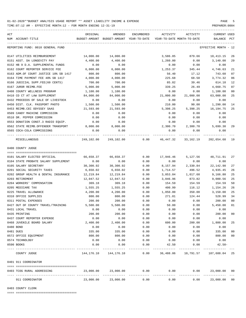TIME:07:12 AM - EFFECTIVE MONTH:12 - FOR MONTH ENDING 12-31-19 PREPARER:0004

| ACT |                                       | ORIGINAL                                                            | AMENDED                                                      | ENCUMBERED | ACTIVITY  | ACTIVITY  | <b>CURRENT USED</b>  |     |
|-----|---------------------------------------|---------------------------------------------------------------------|--------------------------------------------------------------|------------|-----------|-----------|----------------------|-----|
|     | NUM ACCOUNT-TITLE                     | BUDGET-AMOUNT BUDGET-AMOUNT YEAR-TO-DATE YEAR-TO-DATE MONTH-TO-DATE |                                                              |            |           |           | BALANCE              | PCT |
|     | REPORTING FUND: 0010 GENERAL FUND     |                                                                     |                                                              |            |           |           | EFFECTIVE MONTH - 12 |     |
|     | 0147 UTILITIES REIMBURSEMENT          | 14,000.00                                                           | 14,000.00                                                    |            | 3,586.85  | 879.66    | 10,413.15            | 26  |
|     | 0151 ASST. DA LONGEVITY PAY           | 4,400.00                                                            | 4,400.00                                                     |            | 1,260.00  | 0.00      | 3,140.00             | 29  |
|     | 0152 HB 9 D.A. SUPPLEMENTAL FUNDS     | 0.00                                                                | 0.00                                                         |            | 0.00      | 0.00      | 0.00                 |     |
|     | 0162 COURT REPORTER SERVICE FEE       | 6,000.00                                                            | 6,000.00                                                     |            | 1,253.37  | 345.44    | 4,746.63             | 21  |
|     | 0163 ADM.OF COURT JUSTICE 10% SB 1417 | 800.00                                                              | 800.00                                                       |            | 56.40     | 17.12     | 743.60               | 07  |
|     | 0164 TIME PAYMENT FEE 40% SB 1417     | 4,000.00                                                            | 4,000.00                                                     |            | 225.68    | 68.50     | 3,774.32             | 06  |
|     | 0166 JUDICIAL SUPP.FEE(60 CENTS)      | 700.00                                                              | 700.00                                                       |            | 85.82     | 39.46     | 614.18               | 12  |
|     | 0167 JUROR REIMB.FEE                  | 5,000.00                                                            | 5,000.00                                                     |            | 339.25    | 26.49     | 4,660.75             | 07  |
|     | 0408 COUNTY WELLNESS PROGRAM          | 1,100.00                                                            | 1,100.00                                                     |            | 0.00      | 0.00      | 1,100.00             | 00  |
|     | 0410 CO CT AT LAW SUPPLEMENT          | 84,000.00                                                           | 84,000.00                                                    |            | 21,000.00 | 21,000.00 | 63,000.00            | 25  |
|     | 0432 PROCEEDS OF SALE OF LIVESTOCK    | 0.00                                                                | 0.00                                                         |            | 0.00      | 0.00      | 0.00                 |     |
|     | 0450 DIST. CLK. PASSPORT PHOTO        | 1,500.00                                                            | 1,500.00                                                     |            | 210.00    | 90.00     | 1,290.00             | 14  |
|     | 0453 REIMB.CEC ODYSSEY SAAS           | 21,593.00                                                           | 21,593.00                                                    |            | 5,398.25  | 5,398.25  | 16,194.75            | 25  |
|     | 0509 CANDY MACHINE COMMISSION         | 0.00                                                                | 0.00                                                         |            | 0.00      | 0.00      | 0.00                 |     |
|     | 0510 DR. PEPPER COMMISSION            | 0.00                                                                | 0.00                                                         |            | 0.00      | 0.00      | 0.00                 |     |
|     | 0553 DONATION CONST.3 RADIO EQUIP.    | 0.00                                                                | 0.00                                                         |            | 0.00      | 0.00      | 0.00                 |     |
|     | 0562 STATE REIMB.OFFENDER TRANSPORT   | 8,000.00                                                            | 8,000.00                                                     |            | 2,300.70  | 2,300.70  | 5,699.30             | -29 |
|     | 0565 COCA-COLA COMMISSIONS            | 0.00                                                                | 0.00                                                         |            | 0.00      | 0.00      | 0.00                 |     |
|     |                                       |                                                                     |                                                              |            |           |           |                      |     |
|     | MISCELLANEOUS                         |                                                                     | 249,102.00 249,102.00 0.00 46,447.32 33,162.19 202,654.68 19 |            |           |           |                      |     |
|     | 0400 COUNTY JUDGE                     |                                                                     |                                                              |            |           |           |                      |     |
|     | 0101 SALARY ELECTED OFFICIAL          | 66,658.37                                                           | 66,658.37                                                    | 0.00       | 17,946.46 | 5,127.56  | 48,711.91            | 27  |
|     | 0104 STATE PROBATE SALARY SUPPLEMENT  | 0.00                                                                | 0.00                                                         | 0.00       | 0.00      | 0.00      | 0.00                 |     |
|     | 0105 SALARY SECRETARY                 | 30,300.92                                                           | 30,300.92                                                    | 0.00       | 8,157.94  | 2,330.84  | 22,142.98            | 27  |
|     | 0201 SOCIAL SECURITY TAXES            | 6,650.02                                                            | 6,650.02                                                     | 0.00       | 1,714.57  | 496.52    | 4,935.45             | 26  |
|     | 0202 GROUP HEALTH & DENTAL INSURANCE  | 12,219.84                                                           | 12,219.84                                                    | 0.00       | 3,053.04  | 1,017.68  | 9,166.80             | 25  |
|     | 0203 RETIREMENT                       | 12,047.52                                                           | 12,047.52                                                    | 0.00       | 3,046.96  | 873.82    | 9,000.56             | 25  |
|     | 0204 WORKERS' COMPENSATION            | 309.18                                                              | 309.18                                                       | 0.00       | 154.59    | 154.59    | 154.59               | 50  |
|     | 0205 MEDICARE TAX                     | 1,555.25                                                            | 1,555.25                                                     | 0.00       | 400.99    | 116.12    | 1,154.26             | 26  |
|     | 0225 TRAVEL ALLOWANCE                 | 4,200.00                                                            | 4,200.00                                                     | 0.00       | 1,050.00  | 350.00    | 3,150.00             | 25  |
|     | 0310 OFFICE SUPPLIES                  | 800.00                                                              | 800.00                                                       | 0.00       | 271.01    | 124.44    | 528.99               | 34  |
|     | 0311 POSTAL EXPENSES                  | 200.00                                                              | 200.00                                                       | 0.00       | 0.00      | 0.00      | 200.00               | 00  |
|     | 0427 OUT OF COUNTY TRAVEL/TRAINING    | 5,500.00                                                            | 5,500.00                                                     | 0.00       | 50.00     | 0.00      | 5,450.00             | 01  |
|     | 0431 LOCAL TRAVEL                     | 0.00                                                                | 0.00                                                         | 0.00       | 0.00      | 0.00      | 0.00                 |     |
|     | 0435 PRINTING                         | 200.00                                                              | 200.00                                                       | 0.00       | 0.00      | 0.00      | 200.00               | 00  |
|     | 0437 COURT REPORTER EXPENSE           | 0.00                                                                | 0.00                                                         | 0.00       | 0.00      | 0.00      | 0.00                 |     |
|     | 0468 JUVENILE BOARD SALARY            | 2,400.00                                                            | 2,400.00                                                     | 0.00       | 600.00    | 200.00    | 1,800.00             | 25  |
|     | 0480 BOND                             | 0.00                                                                | 0.00                                                         | 0.00       | 0.00      | 0.00      | 0.00                 |     |
|     | 0481 DUES                             | 335.00                                                              | 335.00                                                       | 0.00       | 0.00      | 0.00      | 335.00               | 00  |
|     | 0572 OFFICE EQUIPMENT                 | 800.00                                                              | 800.00                                                       | 0.00       | 0.00      | 0.00      | 800.00               | 00  |
|     | 0574 TECHNOLOGY                       | 0.00                                                                | 0.00                                                         | 0.00       | 0.00      | 0.00      | 0.00                 |     |
|     | 0590 BOOKS                            | 0.00                                                                | 0.00                                                         | 0.00       | 42.50     | 0.00      | $42.50 -$            |     |
|     | COUNTY JUDGE                          | 144,176.10                                                          | 144,176.10                                                   | 0.00       | 36,488.06 | 10,791.57 | 107,688.04 25        |     |
|     | 0401 911 COORDINATOR                  |                                                                     |                                                              |            |           |           |                      |     |
|     |                                       |                                                                     |                                                              |            |           |           |                      |     |
|     | 0403 TCOG RURAL ADDRESSING            | 23,000.00                                                           | 23,000.00                                                    | 0.00       | 0.00      | 0.00      | 23,000.00 00         |     |
|     | 911 COORDINATOR                       | 23,000.00                                                           | 23,000.00                                                    | 0.00       | 0.00      | 0.00      | 23,000.00            | 00  |

0403 COUNTY CLERK

==== ===================================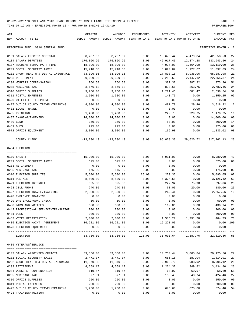TIME:07:12 AM - EFFECTIVE MONTH:12 - FOR MONTH ENDING 12-31-19 PREPARER:0004

| ACT<br>NUM ACCOUNT-TITLE                            | ORIGINAL         | AMENDED<br>BUDGET-AMOUNT BUDGET-AMOUNT YEAR-TO-DATE | ENCUMBERED   | ACTIVITY<br>YEAR-TO-DATE MONTH-TO-DATE | ACTIVITY            | CURRENT USED<br>BALANCE                | PCT            |
|-----------------------------------------------------|------------------|-----------------------------------------------------|--------------|----------------------------------------|---------------------|----------------------------------------|----------------|
|                                                     |                  |                                                     |              |                                        |                     |                                        |                |
| REPORTING FUND: 0010 GENERAL FUND                   |                  |                                                     |              |                                        |                     | EFFECTIVE MONTH - 12                   |                |
| 0101 SALARY ELECTED OFFICIAL                        | 58,237.97        | 58,237.97                                           | 0.00         | 15,679.44                              | 4,479.84            | 42,558.53                              | 27             |
| 0104 SALARY DEPUTIES                                | 176,860.96       | 176,860.96                                          | 0.00         | 42,917.40                              | 12,874.28           | 133,943.56                             | 24             |
| 0107 REGULAR-TEMP. PART-TIME                        | 18,096.00        | 18,096.00                                           | 0.00         | 4,977.00                               | 1,464.00            | 13,119.00                              | 28             |
| 0201 SOCIAL SECURITY TAXES                          | 15,718.58        | 15,718.58                                           | 0.00         | 3,820.89                               | 1,127.67            | 11,897.69                              | 24             |
| 0202 GROUP HEALTH & DENTAL INSURANCE                | 83,096.16        | 83,096.16                                           | 0.00         | 17,808.18                              | 5,936.06            | 65,287.98                              | 21             |
| 0203 RETIREMENT                                     | 29,609.06        | 29,609.06                                           | 0.00         | 7,253.69                               | 2,147.12            | 22,355.37                              | 24             |
| 0204 WORKERS COMPENSATION                           | 760.58           | 760.58                                              | 0.00         | 387.32                                 | 387.32              | 373.26                                 | 51             |
| 0205 MEDICARE TAX                                   | 3,676.12         | 3,676.12                                            | 0.00         | 893.66                                 | 263.75              | 2,782.46                               | 24             |
| 0310 OFFICE SUPPLIES                                | 3,760.00         | 3,760.00                                            | 0.00         | 1,221.46                               | 681.47              | 2,538.54                               | 32             |
| 0311 POSTAL EXPENSES                                | 1,500.00         | 1,500.00                                            | 0.00         | 140.75                                 | 0.00                | 1,359.25                               | 09             |
| 0420 UTILITIES TELEPHONE                            | 0.00             | 0.00                                                | 0.00         | 0.00                                   | 0.00                | 0.00                                   |                |
| 0427 OUT OF COUNTY TRAVEL/TRAINING                  | 4,000.00         | 4,000.00                                            | 0.00         | 481.78                                 | 29.46               | 3,518.22                               | 12             |
| 0431 LOCAL TRAVEL                                   | 0.00             | 0.00                                                | 0.00         | 0.00                                   | 0.00                | 0.00                                   |                |
| 0435 PRINTING                                       | 1,400.00         | 1,400.00                                            | 0.00         | 229.75                                 | 229.75              | 1,170.25                               | 16             |
| 0437 IMAGING/INDEXING                               | 14,000.00        | 14,000.00                                           | 0.00         | 0.00                                   | 0.00                | 14,000.00                              | 0 <sub>0</sub> |
| 0480 BOND                                           | 350.00           | 350.00                                              | 0.00         | 50.00                                  | 0.00                | 300.00                                 | 14             |
| 0481 DUES                                           | 225.00           | 225.00                                              | 0.00         | 0.00                                   | 0.00                | 225.00                                 | 0 <sub>0</sub> |
| 0572 OFFICE EOUIPMENT                               | 2,000.00         | 2,000.00                                            | 0.00         | 166.98                                 | 0.00                | 1,833.02                               | 08             |
| COUNTY CLERK                                        |                  | 413,290.43 413,290.43                               | 0.00         |                                        | 96,028.30 29,620.72 | 317,262.13                             | 23             |
| 0404 ELECTION                                       |                  |                                                     |              |                                        |                     |                                        |                |
| 0109 SALARY                                         | 15,900.00        | 15,900.00                                           | 0.00         | 6,911.00                               | 0.00                | 8,989.00                               | 43             |
| 0201 SOCIAL SECURITY TAXES                          | 625.00           | 625.00                                              | 0.00         | 0.00                                   | 0.00                | 625.00                                 | 0 <sub>0</sub> |
| 0203 RETIREMENT                                     | 0.00             | 0.00                                                | 0.00         | 0.00                                   | 0.00                | 0.00                                   |                |
| 0205 MEDICARE TAX                                   | 175.00           | 175.00                                              | 0.00         | 0.00                                   | 0.00                | 175.00                                 | 0 <sub>0</sub> |
| 0310 ELECTION SUPPLIES                              | 5,500.00         | 5,500.00                                            | 125.00       | 279.35                                 | 0.00                | 5,095.65                               | 07             |
| 0311 POSTAGE                                        | 8,500.00         | 8,500.00                                            | 0.00         | 5,374.58                               | 0.00                | 3,125.42                               | 63             |
| 0421 ELECTION INTERNET                              | 925.00           | 925.00                                              | 0.00         | 227.94                                 | 75.98               | 697.06                                 | 25             |
| 0423 CELL PHONE                                     | 240.00           | 240.00                                              | 0.00         | 60.00                                  | 20.00               | 180.00                                 | 25             |
|                                                     | 2,500.00         |                                                     |              |                                        |                     |                                        | 10             |
| 0427 ELECTION TRAVEL/TRAINING                       |                  | 2,500.00                                            | 0.00         | 242.44                                 | 0.00                | 2,257.56                               |                |
| 0428 EMPLOYEE TRAINING<br>0429 DPS BACKGROUND CHECK | 0.00             | 0.00<br>50.00                                       | 0.00         | 0.00                                   | 0.00                | 0.00                                   | 0 <sub>0</sub> |
| 0430 BIDS AND NOTICES                               | 50.00            | 600.00                                              | 0.00<br>0.00 | 0.00<br>169.06                         | 0.00                | 50.00                                  | 28             |
|                                                     | 600.00<br>200.00 | 200.00                                              | 0.00         | 0.00                                   | 0.00<br>0.00        | 430.94<br>200.00                       | 0 <sub>0</sub> |
| 0442 PROFESSIONAL SERVICE/TRANSLATOR                | 300.00           |                                                     | 0.00         |                                        | 0.00                | 300.00                                 | 0 <sub>0</sub> |
| 0481 DUES                                           |                  | 300.00<br>2,000.00                                  |              | 0.00<br>$0.00$ 1,515.27 1,291.78       |                     | 484.73                                 |                |
| 0483 VOTER REGISTRATION                             | 2,000.00         | 16,221.00                                           |              | $0.00$ 16,221.00                       |                     |                                        | 76             |
| 0485 ELECTION MAINT. AGREEMENT 16,221.00            |                  |                                                     |              |                                        | 0.00                | $0.00$ 100                             |                |
| 0573 ELECTION EQUIPMENT                             | 0.00             | 0.00<br>-------------                               | 0.00         | 0.00                                   | 0.00                | 0.00                                   |                |
| ELECTION                                            |                  | 53,736.00 53,736.00                                 |              |                                        |                     | 125.00 31,000.64 1,387.76 22,610.36 58 |                |
| 0405 VETERANS'SERVICE                               |                  |                                                     |              |                                        |                     |                                        |                |
|                                                     |                  |                                                     |              |                                        |                     |                                        |                |
| 0102 SALARY APPOINTED OFFICIAL                      | 39,856.00        | 39,856.00                                           | 0.00         |                                        | 10,730.44 3,065.84  | 29,125.56                              | 27             |
| 0201 SOCIAL SECURITY TAXES                          | 2,471.07         | 2,471.07                                            | 0.00         | 656.16                                 | 187.04              | 1,814.91                               | 27             |
| 0202 GROUP HEALTH & DENTAL INSURANCE                | 11,870.88        | 11,870.88                                           | 0.00         | 2,966.76                               | 988.92              | 8,904.12                               | 25             |
| 0203 RETIREMENT                                     | 4,659.17         | 4,659.17                                            | 0.00         | 1,224.37                               | 349.82              | 3,434.80                               | 26             |
| 0204 WORKERS' COMPENSATION                          | 119.57           | 119.57                                              | 0.00         | 60.97                                  | 60.97               | 58.60                                  | 51             |
| 0205 MEDICARE TAX                                   | 577.91           | 577.91                                              | 0.00         | 153.45                                 | 43.74               | 424.46                                 | 27             |
| 0310 OFFICE SUPPLIES                                | 250.00           | 250.00                                              | 0.00         | 0.00                                   | 0.00                | 250.00                                 | 0 <sub>0</sub> |
| 0311 POSTAL EXPENSES                                | 200.00           | 200.00                                              | 0.00         | 0.00                                   | 0.00                | 200.00                                 | 0 <sub>0</sub> |
| 0427 OUT OF COUNTY TRAVEL/TRAINING                  | 1,250.00         | 1,250.00                                            | 0.00         | 675.60                                 | 675.60              | 574.40                                 | 54             |

0428 TRAINING/TUITION 0.00 0.00 0.00 0.00 0.00 0.00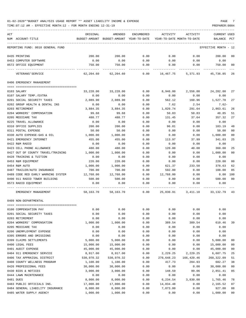TIME:07:12 AM - EFFECTIVE MONTH:12 - FOR MONTH ENDING 12-31-19 PREPARER:0004

| ACT |                                            | ORIGINAL   | AMENDED                                  | ENCUMBERED | ACTIVITY   | ACTIVITY                   | <b>CURRENT USED</b>  |                |
|-----|--------------------------------------------|------------|------------------------------------------|------------|------------|----------------------------|----------------------|----------------|
|     | NUM ACCOUNT-TITLE                          |            | BUDGET-AMOUNT BUDGET-AMOUNT YEAR-TO-DATE |            |            | YEAR-TO-DATE MONTH-TO-DATE | BALANCE PCT          |                |
|     | REPORTING FUND: 0010 GENERAL FUND          |            |                                          |            |            |                            | EFFECTIVE MONTH - 12 |                |
|     | 0435 PRINTING                              | 200.00     | 200.00                                   | 0.00       | 0.00       | 0.00                       | 200.00               | 0 <sub>0</sub> |
|     | 0453 COMPUTER SOFTWARE                     | 0.00       | 0.00                                     | 0.00       | 0.00       | 0.00                       | 0.00                 |                |
|     | 0572 OFFICE EQUIPMENT<br>---- ------------ | 750.00     | 750.00                                   | 0.00       | 0.00       | 0.00                       | 750.00               | 00             |
|     | VETERANS ' SERVICE                         | 62,204.60  | 62,204.60                                | 0.00       | 16,467.75  | 5,371.93                   | 45,736.85            | 26             |
|     | 0406 EMERGENCY MANAGEMENT                  |            |                                          |            |            |                            |                      |                |
|     | 0103 SALARY                                | 33,228.00  | 33,228.00                                | 0.00       | 8,946.00   | 2,556.00                   | 24,282.00            | 27             |
|     | 0107 SALARY TEMP./EXTRA                    | 0.00       | 0.00                                     | 0.00       | 0.00       | 0.00                       | 0.00                 |                |
|     | 0201 SOCIAL SECURITY TAXES                 | 2,089.90   | 2,089.90                                 | 0.00       | 562.12     | 160.96                     | 1,527.78             | 27             |
|     | 0202 GROUP HEALTH & DENTAL INS             | 0.00       | 0.00                                     | 0.00       | 7.62       | 2.54                       | $7.62-$              |                |
|     | 0203 RETIREMENT                            | 3,884.35   | 3,884.35                                 | 0.00       | 1,020.74   | 291.64                     | 2,863.61             | 26             |
|     | 0204 WORKERS' COMPENSATION                 | 99.68      | 99.68                                    | 0.00       | 50.83      | 50.83                      | 48.85                | 51             |
|     | 0205 MEDICARE TAX                          | 488.77     | 488.77                                   | 0.00       | 131.45     | 37.64                      | 357.32               | 27             |
|     | 0225 TRAVEL ALLOWANCE                      | 0.00       | 0.00                                     | 0.00       | 0.00       | 0.00                       | 0.00                 |                |
|     | 0310 OFFICE SUPPLIES                       | 200.00     | 200.00                                   | 0.00       | 96.81      | 0.00                       | 103.19               | 48             |
|     | 0311 POSTAL EXPENSE                        | 50.00      | 50.00                                    | 0.00       | 0.00       | 0.00                       | 50.00                | 0 <sub>0</sub> |
|     | 0330 AUTO EXPENSE-GAS & OIL                | 1,000.00   | 1,000.00                                 | 0.00       | 0.00       | 0.00                       | 1,000.00             | 0 <sub>0</sub> |
|     | 0421 EMERGENCY INTERNET                    | 455.00     | 455.00                                   | 0.00       | 113.97     | 37.99                      | 341.03               | 25             |
|     | 0422 R&M RADIO                             | 0.00       | 0.00                                     | 0.00       | 0.00       | 0.00                       | 0.00                 |                |
|     | 0423 CELL PHONE ALLOWANCE                  | 480.00     | 480.00                                   | 0.00       | 120.00     | 40.00                      | 360.00               | 25             |
|     | 0427 OUT OF COUNTY TRAVEL/TRAINING         | 1,000.00   | 1,000.00                                 | 0.00       | 0.00       | 0.00                       | 1,000.00             | 0 <sub>0</sub> |
|     | 0428 TRAINING & TUITION                    | 0.00       | 0.00                                     | 0.00       | 0.00       | 0.00                       | 0.00                 |                |
|     | 0453 R&M EQUIPMENT                         | 220.00     | 220.00                                   | 0.00       | 0.00       | 0.00                       | 220.00               | 0 <sub>0</sub> |
|     | 0454 R&M AUTO                              | 1,000.00   | 1,000.00                                 | 0.00       | 621.37     | 233.50                     | 378.63               | 62             |
|     | 0487 TRAILER/AUTO INSURANCE                | 700.00     | 700.00                                   | 0.00       | 592.00     | 0.00                       | 108.00               | 85             |
|     | 0489 CODE RED EARLY WARNING SYSTEM         | 12,768.00  | 12,768.00                                | 0.00       | 12,768.00  | 0.00                       | 0.00                 | 100            |
|     | 0490 911 RADIO TOWER BUILDING              | 500.00     | 500.00                                   | 0.00       | 0.00       | 0.00                       | 500.00               | 0 <sup>0</sup> |
|     | 0573 RADIO EQUIPMENT                       | 0.00       | 0.00                                     | 0.00       | 0.00       | 0.00                       | 0.00                 |                |
|     |                                            |            |                                          |            |            |                            |                      |                |
|     | EMERGENCY MANAGEMENT                       | 58,163.70  | 58,163.70                                | 0.00       | 25,030.91  | 3,411.10                   | 33,132.79            | 43             |
|     | 0409 NON-DEPARTMENTAL                      |            |                                          |            |            |                            |                      |                |
|     | 0100 COMPENSATION PAY                      | 0.00       | 0.00                                     | 0.00       | 0.00       | 0.00                       | 0.00                 |                |
|     | 0201 SOCIAL SECURITY TAXES                 | 0.00       | 0.00                                     | 0.00       | 0.00       | 0.00                       | 0.00                 |                |
|     | 0203 RETIREMENT                            | 0.00       | 0.00                                     | 0.00       | 0.00       | 0.00                       | 0.00                 |                |
|     | 0204 WORKERS' COMPENSATION                 | 1,000.00   | 1,000.00                                 | 0.00       | 389.54     | 389.54                     | 610.46               | 39             |
|     | 0205 MEDICARE TAX                          | 0.00       | 0.00                                     | 0.00       | 0.00       | 0.00                       | 0.00                 |                |
|     | 0206 UNEMPLOYMENT EXPENSE                  | 0.00       | 0.00                                     | 0.00       | 0.00       | 0.00                       | 0.00                 |                |
|     | 0395 ERRORS AND OMISSIONS                  | 0.00       | 0.00                                     | 0.00       | 0.00       | 0.00                       | 0.00                 |                |
|     | 0399 CLAIMS SETTLEMENTS                    | 5,000.00   | 5,000.00                                 | 0.00       | 0.00       | 0.00                       | 5,000.00             | 00             |
|     | 0400 LEGAL FEES                            | 15,000.00  | 15,000.00                                | 0.00       | 0.00       | 0.00                       | 15,000.00            | 00             |
|     | 0401 AUDIT EXPENSE                         | 45,000.00  | 45,000.00                                | 0.00       | 0.00       | 0.00                       | 45,000.00            | 0 <sub>0</sub> |
|     | 0404 911 EMERGENCY SERVICE                 | 8,917.00   | 8,917.00                                 | 0.00       | 2,229.25   | 2,229.25                   | 6,687.75             | 25             |
|     | 0406 TAX APPRAISAL DISTRICT                | 530,970.32 | 530,970.32                               | 0.00       | 270,648.23 | 166,420.46                 | 260, 322.09          | 51             |
|     | 0408 COUNTY WELLNESS PROGRAM               | 1,100.00   | 1,100.00                                 | 0.00       | 417.73     | 204.93                     | 682.27               | 38             |
|     | 0426 PROFESSIONAL FEES                     | 30,000.00  | 30,000.00                                | 0.00       | 0.00       | 0.00                       | 30,000.00            | 00             |
|     | 0430 BIDS & NOTICES                        | 3,000.00   | 3,000.00                                 | 0.00       | 148.59     | 99.06                      | 2,851.41             | 05             |
|     | 0444 LAWN MAINTENANCE                      | 0.00       | 0.00                                     | 0.00       | 0.00       | 0.00                       | 0.00                 |                |
|     | 0481 DUES                                  | 8,000.00   | 8,000.00                                 | 0.00       | 6,234.54   | 3,830.00                   | 1,765.46             | 78             |

0483 PUBLIC OFFICIALS INS.  $17,000.00$   $17,000.00$   $0.00$   $14,834.48$  0.00  $2,165.52$  87 0484 GENERAL LIABILITY INSURANCE 8,000.00 8,000.00 0.00 7,073.00 0.00 927.00 88 0485 WATER SUPPLY AGENCY  $1,000.00$   $1,000.00$  0.00 0.00 0.00 0.00 1,000.00 00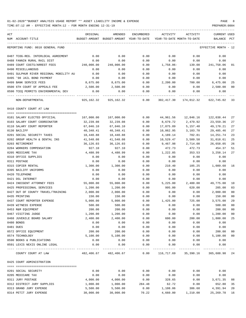| ACT |                                         | ORIGINAL   | AMENDED                                  | ENCUMBERED | ACTIVITY                   | ACTIVITY                           | <b>CURRENT USED</b>  |        |
|-----|-----------------------------------------|------------|------------------------------------------|------------|----------------------------|------------------------------------|----------------------|--------|
|     | NUM ACCOUNT-TITLE                       |            | BUDGET-AMOUNT BUDGET-AMOUNT YEAR-TO-DATE |            | YEAR-TO-DATE MONTH-TO-DATE |                                    | BALANCE              | PCT    |
|     |                                         |            |                                          |            |                            |                                    |                      |        |
|     | REPORTING FUND: 0010 GENERAL FUND       |            |                                          |            |                            |                                    | EFFECTIVE MONTH - 12 |        |
|     | 0487 TCOG-REG. INTERLOCAL AGREEMENT     | 0.00       | 0.00                                     | 0.00       | 0.00                       | 0.00                               | 0.00                 |        |
|     | 0488 FANNIN RURAL RAIL DIST             | 0.00       | 0.00                                     | 0.00       | 0.00                       | 0.00                               | 0.00                 |        |
|     | 0489 COURT COSTS/ARREST FEES            | 240,000.00 | 240,000.00                               | 0.00       | 1,758.06-                  | 139.08                             | 241,758.06           | 01     |
|     | 0490 MISCELLANEOUS                      | 0.00       | 0.00                                     | 0.00       | 0.00                       | 0.00                               | 0.00                 |        |
|     | 0491 SULPHUR RIVER REGIONAL MOBILITY AU | 0.00       | 0.00                                     | 0.00       | 0.00                       | 0.00                               | 0.00                 |        |
|     | 0495 '98 JAIL BOND PAYMENT              | 0.00       | 0.00                                     | 0.00       | 0.00                       | 0.00                               | 0.00                 |        |
|     | 0499 BANK SERVICE FEES                  | 8,675.00   | 8,675.00                                 | 0.00       | 2,200.00                   | 700.00                             | 6,475.00             | 25     |
|     | 0500 6TH COURT OF APPEALS FEE           | 2,500.00   | 2,500.00                                 | 0.00       | 0.00                       | 0.00                               | 2,500.00             | 00     |
|     | 0590 TCEQ PERMITS ENVIRONMENTAL DEV     | 0.00       | 0.00                                     | 0.00       | 0.00                       | 0.00                               | 0.00                 |        |
|     | NON-DEPARTMENTAL                        | 925,162.32 | 925,162.32                               | 0.00       | 302,417.30 174,012.32      |                                    | 622,745.02           | 33     |
|     | 0410 COUNTY COURT AT LAW                |            |                                          |            |                            |                                    |                      |        |
|     |                                         |            |                                          |            |                            |                                    |                      |        |
|     | 0101 SALARY ELECTED OFFICIAL            | 167,000.00 | 167,000.00                               | 0.00       | 44,961.56                  | 12,846.16                          | 122,038.44           | 27     |
|     | 0103 SALARY COURT COORDINATOR           | 32,239.08  | 32,239.08                                | 0.00       | 8,679.72                   | 2,479.92                           | 23,559.36            | 27     |
|     | 0110 SALARY COURT REPORTER              | 67,046.10  | 67,046.10                                | 0.00       | 17,875.89                  | 5,157.40                           | 49,170.21            | 27     |
|     | 0130 BAILIFF                            | 40,348.41  | 40,348.41                                | 0.00       | 10,862.95                  | 3,103.70                           | 29,485.46            | 27     |
|     | 0201 SOCIAL SECURITY TAXES              | 18,440.88  | 18,440.88                                | 0.00       | 4,189.14                   | 702.81                             | 14,251.74            | 23     |
|     | 0202 GROUP HEALTH & DENTAL INS          | 41,548.08  | 41,548.08                                | 0.00       | 10,529.47                  | 3,509.58                           | 31,018.61            | 25     |
|     | 0203 RETIREMENT                         | 36,126.03  | 36,126.03                                | 0.00       | 9,467.98                   | 2,714.08                           | 26,658.05            | 26     |
|     | 0204 WORKERS COMPENSATION               | 927.10     | 927.10                                   | 0.00       | 472.73                     | 472.73                             | 454.37               | 51     |
|     | 0205 MEDICARE TAX                       | 4,480.99   | 4,480.99                                 | 0.00       | 1,222.85                   | 353.53                             | 3,258.14             | 27     |
|     | 0310 OFFICE SUPPLIES                    | 0.00       | 0.00                                     | 0.00       | 0.00                       | 0.00                               | 0.00                 |        |
|     | 0311 POSTAGE                            | 0.00       | 0.00                                     | 0.00       | 0.00                       | 0.00                               | 0.00                 |        |
|     | 0315 COPIER RENTAL                      | 1,300.00   | 1,300.00                                 | 0.00       | 210.40                     | 105.25                             | 1,089.60             | 16     |
|     | 0395 BAILIFF UNIFORMS                   | 0.00       | 0.00                                     | 0.00       | 0.00                       | 0.00                               | 0.00                 |        |
|     | 0420 TELEPHONE                          | 0.00       | 0.00                                     | 0.00       | 0.00                       | 0.00                               | 0.00                 |        |
|     | 0421 DSL INTERNET                       | 0.00       | 0.00                                     | 0.00       | 0.00                       | 0.00                               | 0.00                 |        |
|     | 0424 INDIGENT ATTORNEY FEES             | 55,000.00  | 55,000.00                                | 0.00       | 5,225.00                   | 2,400.00                           | 49,775.00            | 10     |
|     | 0425 PROFESSIONAL SERVICES              | 1,200.00   | 1,200.00                                 | 0.00       | 995.00                     | 620.00                             | 205.00               | 83     |
|     | 0427 OUT OF COUNTY TRAVEL/TRAINING      | 2,000.00   | 2,000.00                                 | 0.00       | 0.00                       | 0.00                               | 2,000.00             | 00     |
|     | 0435 PRINTING                           | 150.00     | 150.00                                   | 0.00       | 0.00                       | 0.00                               | 150.00               | 00     |
|     | 0437 COURT REPORTER EXPENSE             | 5,000.00   | 5,000.00                                 | 0.00       | 1,425.00                   | 725.00                             | 3,575.00             | 29     |
|     | 0439 WITNESS EXPENSE                    | 500.00     | 500.00                                   | 0.00       | 0.00                       | 0.00                               | 500.00               | 00     |
|     | 0453 R&M EQUIPMENT                      | 200.00     | 200.00                                   | 0.00       | 0.00                       | 0.00                               | 200.00               | 00     |
|     | 0467 VISITING JUDGE                     | 1,200.00   | 1,200.00                                 | 0.00       | 0.00                       | 0.00                               | 1,200.00             | 00     |
|     | 0468 JUVENILE BOARD SALARY              | 2,400.00   | 2,400.00                                 | 0.00       | 600.00                     | 200.00                             | 1,800.00             | 25     |
|     | 0480 BONDS                              | 0.00       | 0.00                                     | 0.00       | 0.00                       | 0.00                               | 0.00                 |        |
|     | 0481 DUES                               | 0.00       | 0.00                                     | 0.00       | 0.00                       | 0.00                               | 0.00                 |        |
|     | 0572 OFFICE EQUIPMENT                   | 200.00     | 200.00                                   | 0.00       | 0.00                       | 0.00                               | 200.00               | $00\,$ |
|     | 0574 TECHNOLOGY                         | 5,100.00   | 5,100.00                                 | 0.00       | 0.00                       | 0.00                               | 5,100.00             | $00\,$ |
|     | 0590 BOOKS & PUBLICATIONS               | 0.00       | 0.00                                     | 0.00       | 0.00                       | 0.00                               | 0.00                 |        |
|     | 0591 LEXIS NEXIS ONLINE LEGAL           | 0.00       | 0.00                                     | 0.00       | 0.00                       | 0.00                               | 0.00                 |        |
|     | COUNTY COURT AT LAW                     |            | 482,406.67 482,406.67                    | 0.00       |                            | 116,717.69 35,390.16 365,688.98 24 |                      |        |
|     | 0425 COURT ADMINISTRATION               |            |                                          |            |                            |                                    |                      |        |
|     | 0201 SOCIAL SECURITY                    | 0.00       | 0.00                                     | 0.00       | 0.00                       | 0.00                               | 0.00                 |        |
|     | 0205 MEDICARE TAX                       | 0.00       | 0.00                                     | 0.00       | 0.00                       | 0.00                               | 0.00                 |        |
|     | 0311 JURY POSTAGE                       | 4,000.00   | 4,000.00                                 | 0.00       | 328.65                     | 0.00                               | 3,671.35             | 08     |
|     | 0312 DISTRICT JURY SUPPLIES             | 1,000.00   | 1,000.00                                 | 284.48     | 62.72                      | 0.00                               | 652.80               | 35     |
|     | 0313 GRAND JURY EXPENSE                 | 5,500.00   | 5,500.00                                 | 0.00       | 1,108.06                   | 386.68                             | 4,391.94             | 20     |
|     | 0314 PETIT JURY EXPENSE                 | 30,000.00  | 30,000.00                                | 70.22      | 4,660.00                   | 1,210.00                           | 25, 269. 78 16       |        |
|     |                                         |            |                                          |            |                            |                                    |                      |        |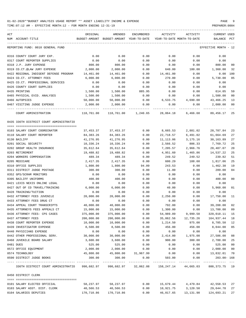TIME:07:12 AM - EFFECTIVE MONTH:12 - FOR MONTH ENDING 12-31-19 PREPARER:0004

| ACT                                                                                     | ORIGINAL      | AMENDED                                                     | ENCUMBERED          | ACTIVITY       | ACTIVITY                   | CURRENT USED         |                |
|-----------------------------------------------------------------------------------------|---------------|-------------------------------------------------------------|---------------------|----------------|----------------------------|----------------------|----------------|
| NUM ACCOUNT-TITLE                                                                       |               | BUDGET-AMOUNT BUDGET-AMOUNT YEAR-TO-DATE                    |                     |                | YEAR-TO-DATE MONTH-TO-DATE | BALANCE PCT          |                |
| REPORTING FUND: 0010 GENERAL FUND                                                       |               |                                                             |                     |                |                            | EFFECTIVE MONTH - 12 |                |
| 0316 COUNTY COURT JURY EXP.                                                             | 0.00          | 0.00                                                        | 0.00                | 0.00           | 0.00                       | 0.00                 |                |
| 0317 COURT REPORTER SUPPLIES                                                            | 0.00          | 0.00                                                        | 0.00                | 0.00           | 0.00                       | 0.00                 |                |
| 0318 J.P. JURY EXPENSE                                                                  | 800.00        | 800.00                                                      | 0.00                | 0.00           | 0.00                       | 800.00               | 00             |
| 0319 CO.CT.@LAW JURY EXPENSE                                                            | 2,000.00      | 2,000.00                                                    | 0.00                | 640.00         | 180.00                     | 1,360.00             | 32             |
| 0422 REGIONAL INDIGENT DEFENSE PROGRAM                                                  | 14,461.00     | 14,461.00                                                   | 0.00                | 14,461.00      | 0.00                       | 0.00 100             |                |
| 0424 CO.CT. ATTORNEY FEES                                                               | 6,000.00      | 6,000.00                                                    | 0.00                | 270.00         | 0.00                       | 5,730.00             | 05             |
| 0425 CO.CT. PROFESSIONAL SERVICES                                                       | 0.00          | 0.00                                                        | 0.00                | 0.00           | 0.00                       | 0.00                 |                |
| 0426 COUNTY COURT SUPPLIES                                                              | 0.00          | 0.00                                                        | 0.00                | 0.00           | 0.00                       | 0.00                 |                |
| 0435 PRINTING                                                                           | 1,500.00      | 1,500.00                                                    | 885.95              | 0.00           | 0.00                       | 614.05               | 59             |
| 0465 PHYSICAL EVID. ANALYSES                                                            | 1,500.00      | 1,500.00                                                    | 0.00                | 0.00           | 0.00                       | 1,500.00             | 0 <sub>0</sub> |
| 0466 AUTOPSIES                                                                          | 50,000.00     | 50,000.00                                                   | 0.00                | 6,533.75       | 4,690.00                   | 43,466.25            | 13             |
| 0467 VISITING JUDGE EXPENSE                                                             | 2,000.00      | 2,000.00                                                    | 0.00                | 0.00           | 0.00                       | 2,000.00             | 0 <sub>0</sub> |
| ---- ------------------<br>COURT ADMINISTRATION                                         | _____________ | $118,761.00$ $118,761.00$ $1,240.65$ $28,064.18$ $6,466.68$ |                     | -------------- |                            | 89,456.17            | 25             |
| 0435 336TH DISTRICT COURT ADMINISTRATIO                                                 |               |                                                             |                     |                |                            |                      |                |
| 0103 SALARY COURT COORDINATOR                                                           | 37,453.37     | 37,453.37                                                   | 0.00                | 8,665.53       | 2,881.02                   | 28,787.84            | 23             |
| 0110 SALARY COURT REPORTER                                                              | 84,383.26     | 84,383.26                                                   | 0.00                | 22,718.57      | 6,491.02                   | 61,664.69            | 27             |
| 0130 BAILIFF                                                                            | 41,276.95     | 41,276.95                                                   | 0.00                | 11,113.06      | 3,175.16                   | 30,163.89            | 27             |
| 0201 SOCIAL SECURITY                                                                    | 10,336.24     | 10,336.24                                                   | 0.00                | 2,566.52       | 806.33                     | 7,769.72             | 25             |
| 0202 GROUP HEALTH INSURANCE                                                             | 35,612.64     | 35,612.64                                                   | 0.00                | 7,205.57       | 2,966.76                   | 28,407.07            | 20             |
| 0203 RETIREMENT                                                                         | 19,488.82     | 19,488.82                                                   | 0.00                | 4,951.60       | 1,465.86                   | 14,537.22            | 25             |
| 0204 WORKERS COMPENSATION                                                               | 489.34        | 489.34                                                      | 0.00                | 249.52         | 249.52                     | 239.82               | 51             |
| 0205 MEDICARE                                                                           | 2,417.35      | 2,417.35                                                    | 0.00                | 600.29         | 188.60                     | 1,817.06             | 25             |
| 0310 OFFICE SUPPLIES                                                                    | 1,800.00      | 1,800.00                                                    | 94.09               | 243.53         | 0.00                       | 1,462.38             | 19             |
| 0311 DISTRICT JUDGE POSTAGE                                                             | 300.00        | 300.00                                                      | 0.00                | 11.00          | 0.00                       | 289.00               | 0 <sub>4</sub> |
| 0352 GPS/SCRAM MONITORS                                                                 | 0.00          | 0.00                                                        | 0.00                | 0.00           | 0.00                       | 0.00                 |                |
| 0395 BAILIFF UNIFORMS                                                                   | 400.00        | 400.00                                                      | 0.00                | 0.00           | 0.00                       | 400.00               | 0 <sub>0</sub> |
| 0421 LEXIS NEXIS ONLINE LEGAL                                                           | 0.00          | 0.00                                                        | 0.00                | 0.00           | 0.00                       | 0.00                 |                |
| 0427 OUT OF CO TRAVEL/TRAINING                                                          | 6,000.00      | 6,000.00                                                    | 0.00                | 40.00          | 0.00                       | 5,960.00             | 01             |
| 0428 TRAINING/TUITION                                                                   | 0.00          | 0.00                                                        | 0.00                | 0.00           | 0.00                       | 0.00                 |                |
| 0432 ATTORNEY FEES JUVENILE                                                             | 20,000.00     | 20,000.00                                                   | 0.00                | 2,250.00       | 0.00                       | 17,750.00            | 11             |
| 0433 ATTORNEY FEES DRUG CT                                                              | 0.00          | 0.00                                                        | 0.00                | 0.00           | 0.00                       | 0.00                 |                |
| 0434 APPEAL COURT TRANSCRIPTS                                                           | 40,000.00     | 40,000.00                                                   | 0.00                | 792.00         | 0.00                       | 39,208.00            | 02             |
| 0435 ATTORNEYS FEES APPEALS CT                                                          | 15,000.00     | 15,000.00                                                   | 0.00                | 1,300.00       | 0.00                       | 13,700.00            | 09             |
| 0436 ATTORNEY FEES- CPS CASES                                                           | 375,000.00    | 375,000.00                                                  | 0.00                | 54,989.89      | 9,999.50                   | 320,010.11           | 15             |
| 0437 ATTORNEY FEES                                                                      | 200,000.00    | 200,000.00                                                  | 0.00                | 35,062.56      | 12,735.26                  | 164,937.44           | 18             |
| 0438 COURT REPORTER EXPENSE                                                             | 10,000.00     | 10,000.00                                                   | 0.00                | 1,214.50       | 975.00                     | 8,785.50             | 12             |
| 0439 INVESTIGATOR EXPENSE                                                               | 8,500.00      | 8,500.00                                                    | 0.00                | 456.00         | 456.00                     | $8$ ,044.00          | 05             |
| 0440 PHYSICIANS EXPENSE                                                                 | 0.00          | 0.00                                                        | 0.00                | 0.00           | 0.00                       | 0.00                 |                |
| 0442 OTHER PROFESSIONAL SERV.                                                           | 30,000.00     | 30,000.00                                                   | 0.00                | 2,414.00       | 1,975.00                   | 27,586.00            | 08             |
| 0468 JUVENILE BOARD SALARY                                                              | 3,600.00      | 3,600.00                                                    | 0.00                | 900.00         | 300.00                     | 2,700.00             | 25             |
| 0481 DUES                                                                               | 525.00        | 525.00                                                      | 0.00                | 0.00           | 0.00                       | 525.00               | 0 <sub>0</sub> |
| 0572 OFFICE EQUIPMENT                                                                   | 2,000.00      | 2,000.00                                                    | 0.00                | 0.00           | 0.00                       | 2,000.00             | 0 <sub>0</sub> |
| 0574 TECHNOLOGY                                                                         | 45,800.00     |                                                             | 45,800.00 31,967.99 | 0.00           | 0.00                       | 13,832.01            | 70             |
| 0590 DISTRICT JUDGE BOOKS                                                               | 300.00        | 300.00                                                      | 0.00                | 503.00         | 0.00                       | $203.00 - 168$       |                |
| 336TH DISTRICT COURT ADMINISTRATIO 990,682.97 990,682.97 32,062.08 158,247.14 44,665.03 |               |                                                             |                     |                |                            | 800,373.75 19        |                |
| 0450 DISTRICT CLERK                                                                     |               |                                                             |                     |                |                            |                      |                |
| 0101 SALARY ELECTED OFFICIAL                                                            | 58,237.97     | 58,237.97                                                   | 0.00                | 15,679.44      | 4,479.84                   | 42,558.53            | 27             |
| 0103 SALARY ASST. DIST. CLERK                                                           | 40,566.53     | 40,566.53                                                   | 0.00                | 10,921.75      | 3,120.50                   | 29,644.78            | 27             |
| 0104 SALARIES DEPUTIES                                                                  | 170,710.86    | 170,710.86                                                  | 0.00                | 46,017.65      | 13,131.98                  | 124,693.21           | 27             |
|                                                                                         |               |                                                             |                     |                |                            |                      |                |

-----------------------------------------------------------------------------------------------------------------------------------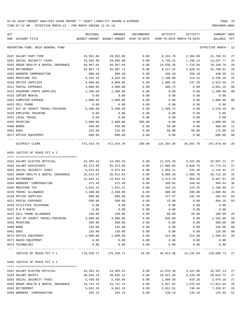TIME:07:12 AM - EFFECTIVE MONTH:12 - FOR MONTH ENDING 12-31-19 PREPARER:0004

| ACT | NUM ACCOUNT-TITLE                                                                                   | ORIGINAL  | AMENDED<br>BUDGET-AMOUNT BUDGET-AMOUNT YEAR-TO-DATE                    | ENCUMBERED |           | ACTIVITY ACTIVITY<br>YEAR-TO-DATE MONTH-TO-DATE | CURRENT USED<br>BALANCE PCT |                |
|-----|-----------------------------------------------------------------------------------------------------|-----------|------------------------------------------------------------------------|------------|-----------|-------------------------------------------------|-----------------------------|----------------|
|     | REPORTING FUND: 0010 GENERAL FUND                                                                   |           |                                                                        |            |           |                                                 | EFFECTIVE MONTH - 12        |                |
|     | 0107 SALARY PART-TIME                                                                               | 29,952.00 | 29,952.00                                                              | 0.00       | 8,163.78  | 2,304.00                                        | 21,788.22                   | 27             |
|     | 0201 SOCIAL SECURITY TAXES                                                                          | 18,566.98 | 18,566.98                                                              | 0.00       | 4,729.21  | 1,340.14                                        | 13,837.77                   | 25             |
|     | 0202 GROUP HEALTH & DENTAL INSURANCE                                                                | 94,967.04 | 94,967.04                                                              | 0.00       | 24,636.26 | 7,733.94                                        | 70,330.78                   | 26             |
|     | 0203 RETIREMENT                                                                                     | 35,007.73 | 35,007.73                                                              | 0.00       | 9,217.22  | 2,628.42                                        | 25,790.51                   | 26             |
|     | 0204 WORKERS COMPENSATION                                                                           | 898.40    | 898.40                                                                 | 0.00       | 458.10    | 458.10                                          | 440.30                      | 51             |
|     | 0205 MEDICARE TAX                                                                                   | 4,342.28  | 4,342.28                                                               | 0.00       | 1,106.00  | 313.42                                          | 3,236.28                    | 25             |
|     | 0310 OFFICE SUPPLIES                                                                                | 4,000.00  | 4,000.00                                                               | 0.00       | 1,086.42  | 137.36                                          | 2,913.58                    | 27             |
|     | 0311 POSTAL EXPENSES                                                                                | 4,000.00  | 4,000.00                                                               | 0.00       | 308.75    | 0.00                                            | 3,691.25                    | 08             |
|     | 0313 PASSPORT PHOTO SUPPLIES                                                                        | 1,200.00  | 1,200.00                                                               | 0.00       | 0.00      | 0.00                                            | 1,200.00                    | 0 <sub>0</sub> |
|     | 0315 COPIER RENTAL                                                                                  | 0.00      | 0.00                                                                   | 0.00       | 0.00      | 0.00                                            | 0.00                        |                |
|     | 0353 COMPUTER EXPENSE                                                                               | 1,000.00  | 1,000.00                                                               | 0.00       | 0.00      | 0.00                                            | 1,000.00                    | 0 <sub>0</sub> |
|     | 0423 CELL PHONE                                                                                     | 0.00      | 0.00                                                                   | 0.00       | 0.00      | 0.00                                            | 0.00                        |                |
|     | 0427 OUT OF COUNTY TRAVEL/TRAINING                                                                  | 5,500.00  | 5,500.00                                                               | 0.00       | 1,929.72  | 0.00                                            | 3,570.28                    | 35             |
|     | 0428 EMPLOYEE TRAINING                                                                              | 0.00      | 0.00                                                                   | 0.00       | 0.00      | 0.00                                            | 0.00                        |                |
|     | 0431 LOCAL TRAVEL                                                                                   | 0.00      | 0.00                                                                   | 0.00       | 0.00      | 0.00                                            | 0.00                        |                |
|     | 0435 PRINTING                                                                                       | 2,000.00  | 2,000.00                                                               | 200.00     | 0.00      | 0.00                                            | 1,800.00                    | 10             |
|     | 0480 BONDS                                                                                          | 450.00    | 450.00                                                                 | 0.00       | 50.00     | 0.00                                            | 400.00                      | 11             |
|     | 0481 DUES                                                                                           | 225.00    | 225.00                                                                 | 0.00       | 50.00     | 50.00                                           | 175.00                      | 22             |
|     | 0572 OFFICE EQUIPMENT                                                                               | 800.00    | 800.00                                                                 | 0.00       | 0.00      | 0.00                                            | 800.00                      | 0 <sub>0</sub> |
|     | DISTRICT CLERK                                                                                      |           | 472, 424.79  472, 424.79  200.00  124, 354.30  35, 697.70  347, 870.49 |            |           |                                                 |                             | 26             |
|     | 0455 JUSTICE OF PEACE PCT # 1                                                                       |           |                                                                        |            |           |                                                 |                             |                |
|     |                                                                                                     |           |                                                                        |            |           |                                                 |                             |                |
|     | 0101 SALARY ELECTED OFFICIAL                                                                        | 44,483.43 | 44,483.43                                                              | 0.00       | 11,976.30 | 3,421.80                                        | 32,507.13                   | 27             |
|     | 0103 SALARY ASSISTANTS                                                                              | 65,373.80 | 65,373.80                                                              | 0.00       | 17,600.66 | 5,028.76                                        | 47,773.14                   | 27             |
|     | 0201 SOCIAL SECURITY TAXES                                                                          | 6,974.83  | 6,974.83                                                               | 0.00       | 1,856.41  | 531.48                                          | 5,118.42                    | 27             |
|     | 0202 GROUP HEALTH & DENTAL INSURANCE                                                                | 35,612.64 | 35,612.64                                                              | 0.00       | 8,900.28  | 2,966.76                                        | 26,712.36                   | 25             |
|     | 0203 RETIREMENT                                                                                     | 12,842.31 | 12,842.31                                                              | 0.00       | 3,374.70  | 964.20                                          | 9,467.61                    | 26             |
|     | 0204 WORKERS' COMPENSATION                                                                          | 472.49    | 472.49                                                                 | 0.00       | 168.05    | 168.05                                          | 304.44                      | 36             |
|     | 0205 MEDICARE TAX                                                                                   | 1,631.21  | 1,631.21                                                               | 0.00       | 434.23    | 124.32                                          | 1,196.98                    | 27             |
|     | 0225 TRAVEL ALLOWANCE                                                                               | 2,400.00  | 2,400.00                                                               | 0.00       | 600.00    | 200.00                                          | 1,800.00                    | 25             |
|     | 0310 OFFICE SUPPLIES                                                                                | 600.00    | 600.00                                                                 | 19.99      | 477.47    | 192.49                                          | 102.54                      | 83             |
|     | 0311 POSTAL EXPENSES                                                                                | 500.00    | 500.00                                                                 | 0.00       | 15.90     | 0.00                                            | 484.10                      | 03             |
|     | 0420 UTILITIES TELEPHONE                                                                            | 0.00      | 0.00                                                                   | 0.00       | 0.00      | 0.00                                            | 0.00                        |                |
|     | 0422 R & M RADIO                                                                                    | 0.00      | 0.00                                                                   | 0.00       | 0.00      | 0.00                                            | 0.00                        |                |
|     | 0423 CELL PHONE ALLOWANCE                                                                           | 240.00    | 240.00                                                                 | 0.00       | 60.00     | 20.00                                           | 180.00                      | 25             |
|     | 0427 OUT OF COUNTY TRAVEL/TRAINING                                                                  | 3,000.00  | 3,000.00                                                               | 0.00       | 835.00    | 0.00                                            | 2,165.00                    | 28             |
|     | 0435 PRINTING                                                                                       | 300.00    | 300.00                                                                 | 0.00       | 0.00      | 0.00                                            | 300.00                      | 0 <sub>0</sub> |
|     | 0480 BOND                                                                                           | 165.00    | 165.00                                                                 | 0.00       | 0.00      | 0.00                                            | 165.00                      | 0 <sub>0</sub> |
|     | 0481 DUES                                                                                           | 135.00    | 135.00                                                                 | 0.00       | 0.00      | 0.00                                            | 135.00                      | 0 <sub>0</sub> |
|     | 0572 OFFICE EQUIPMENT                                                                               | 1,800.00  | 1,800.00                                                               | 0.00       | 514.98    | 514.98                                          | 1,285.02                    | 29             |
|     | 0573 RADIO EQUIPMENT                                                                                | 0.00      | 0.00                                                                   | 0.00       | 0.00      | 0.00                                            | 0.00                        |                |
|     | 0574 TECHNOLOGY                                                                                     | 0.00      | 0.00                                                                   | 0.00       | 0.00      | 0.00                                            | 0.00<br>-------------       |                |
|     | JUSTICE OF PEACE PCT # 1 $176,530.71$ 176,530.71 126,530.71 19.99 46,813.98 14,132.84 129,696.74 27 |           |                                                                        |            |           |                                                 |                             |                |
|     | 0456 JUSTICE OF PEACE PCT # 2                                                                       |           |                                                                        |            |           |                                                 |                             |                |
|     |                                                                                                     |           |                                                                        |            |           |                                                 |                             |                |
|     | 0101 SALARY ELECTED OFFICIAL                                                                        | 44,483.43 | 44,483.43                                                              | 0.00       |           | 11,976.30 3,421.80 32,507.13                    |                             | 27             |
|     | 0104 SALARY DEPUTY                                                                                  | 40,565.13 | 40,565.13                                                              | 0.00       | 10,921.40 | 3,120.40                                        | 29,643.73                   | 27             |
|     | 0201 SOCIAL SECURITY TAXES                                                                          | 5,436.69  | 5,436.69                                                               | 0.00       | 1,460.59  | 419.26                                          | 3,976.10                    | 27             |
|     | 0202 GROUP HEALTH & DENTAL INSURANCE                                                                | 23,741.76 | 23,741.76                                                              | 0.00       | 5,927.82  | 1,975.94                                        | 17,813.94                   | 25             |
|     | 0203 RETIREMENT                                                                                     | 9,942.18  | 9,942.18                                                               | 0.00       | 2,612.61  | 746.46                                          | 7,329.57                    | 26             |

0204 WORKERS' COMPENSATION 255.15 255.15 0.00 130.10 130.10 125.05 51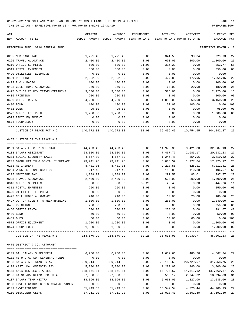| ACT |                                                                    | ORIGINAL                 | AMENDED                                  | ENCUMBERED    | ACTIVITY             | ACTIVITY                             | CURRENT USED            |          |
|-----|--------------------------------------------------------------------|--------------------------|------------------------------------------|---------------|----------------------|--------------------------------------|-------------------------|----------|
|     | NUM ACCOUNT-TITLE                                                  |                          | BUDGET-AMOUNT BUDGET-AMOUNT YEAR-TO-DATE |               |                      | YEAR-TO-DATE MONTH-TO-DATE           | BALANCE                 | PCT      |
|     | REPORTING FUND: 0010 GENERAL FUND                                  |                          |                                          |               |                      |                                      | EFFECTIVE MONTH - 12    |          |
|     | 0205 MEDICARE TAX                                                  | 1,271.48                 | 1,271.48                                 | 0.00          | 341.55               | 98.04                                | 929.93                  | 27       |
|     | 0225 TRAVEL ALLOWANCE                                              | 2,400.00                 | 2,400.00                                 | 0.00          | 600.00               | 200.00                               | 1,800.00                | 25       |
|     | 0310 OFFICE SUPPLIES                                               | 600.00                   | 600.00                                   | 31.00         | 316.23               | 0.00                                 | 252.77                  | 58       |
|     | 0311 POSTAL EXPENSES                                               | 350.00                   | 350.00                                   | 0.00          | 0.00                 | 0.00                                 | 350.00                  | 00       |
|     | 0420 UTILITIES TELEPHONE                                           | 0.00                     | 0.00                                     | 0.00          | 0.00                 | 0.00                                 | 0.00                    |          |
|     | 0421 DSL LINE                                                      | 2,092.00                 | 2,092.00                                 | 0.00          | 427.85               | 172.95                               | 1,664.15                | 20       |
|     | 0422 R & M RADIO                                                   | 100.00                   | 100.00                                   | 0.00          | 0.00                 | 0.00                                 | 100.00                  | 00       |
|     | 0423 CELL PHONE ALLOWANCE                                          | 240.00                   | 240.00                                   | 0.00          | 60.00                | 20.00                                | 180.00                  | 25       |
|     | 0427 OUT OF COUNTY TRAVEL/TRAINING                                 | 3,500.00                 | 3,500.00                                 | 0.00          | 575.00               | 0.00                                 | 2,925.00                | 16       |
|     | 0435 PRINTING                                                      | 200.00                   | 200.00                                   | 0.00          | 0.00                 | 0.00                                 | 200.00                  | 00       |
|     | 0460 OFFICE RENTAL                                                 | 4,200.00                 | 4,200.00                                 | 0.00          | 1,050.00             | 350.00                               | 3,150.00                | 25       |
|     | 0480 BOND                                                          | 100.00                   | 100.00                                   | 0.00          | 100.00               | 100.00                               | 0.00                    | 100      |
|     | 0481 DUES                                                          | 95.00                    | 95.00                                    | 0.00          | 0.00                 | 0.00                                 | 95.00                   | 00       |
|     | 0572 OFFICE EQUIPMENT                                              | 1,200.00                 | 1,200.00                                 | 0.00          | 0.00                 | 0.00                                 | 1,200.00                | 00       |
|     | 0573 RADIO EQUIPMENT                                               | 0.00                     | 0.00                                     | 0.00          | 0.00                 | 0.00                                 | 0.00                    |          |
|     | 0574 TECHNOLOGY                                                    | 0.00                     | 0.00                                     | 0.00          | 0.00                 | 0.00                                 | 0.00                    |          |
|     | JUSTICE OF PEACE PCT # 2                                           | 140,772.82 140,772.82    |                                          |               |                      | 31.00 36,499.45 10,754.95 104,242.37 |                         | 26       |
|     | 0457 JUSTICE OF THE PEACE # 3                                      |                          |                                          |               |                      |                                      |                         |          |
|     |                                                                    |                          |                                          | 0.00          |                      |                                      |                         | 27       |
|     | 0101 SALARY ELECTED OFFICIAL                                       | 44,483.43                | 44,483.43                                |               | 11,976.30            | 3,421.80                             | 32,507.13               |          |
|     | 0103 SALARY ASSISTANT                                              | 28,000.00                | 28,000.00                                | 0.00          | 7,467.77             | 2,083.17                             | 20,532.23               | 27       |
|     | 0201 SOCIAL SECURITY TAXES<br>0202 GROUP HEALTH & DENTAL INSURANCE | 4,657.00<br>23,741.76    | 4,657.00<br>23,741.76                    | 0.00<br>0.00  | 1,246.48<br>6,016.59 | 354.96<br>1,977.84                   | 3,410.52<br>17,725.17   | 27<br>25 |
|     | 0203 RETIREMENT                                                    | 8,431.36                 | 8,431.36                                 | 0.00          | 2,218.55             | 628.11                               | 6,212.81                | 26       |
|     | 0204 WORKERS' COMPENSATION                                         | 217.45                   | 217.45                                   | 0.00          | 110.88               | 110.88                               | 106.57                  | 51       |
|     | 0205 MEDICARE TAX                                                  | 1,089.29                 | 1,089.29                                 | 0.00          | 291.52               | 83.01                                | 797.77                  | 27       |
|     | 0225 TRAVEL ALLOWANCE                                              | 2,400.00                 | 2,400.00                                 | 0.00          | 600.00               | 200.00                               | 1,800.00                | 25       |
|     | 0310 OFFICE SUPPLIES                                               | 500.00                   | 500.00                                   | 32.26         | 20.48                | 0.00                                 | 447.26                  | 11       |
|     | 0311 POSTAL EXPENSES                                               | 250.00                   | 250.00                                   | 0.00          | 0.00                 | 0.00                                 | 250.00                  | 00       |
|     |                                                                    |                          |                                          |               |                      |                                      |                         |          |
|     | 0420 UTILITIES TELEPHONE                                           | 0.00                     | 0.00                                     | 0.00          | 0.00                 | 0.00                                 | 0.00                    |          |
|     | 0423 CELL PHONE ALLOWANCE                                          | 240.00                   | 240.00                                   | 0.00          | 60.00                | 20.00                                | 180.00                  | 25       |
|     | 0427 OUT OF COUNTY TRAVEL/TRAINING                                 | 1,500.00                 | 1,500.00                                 | 0.00          | 260.00               | 0.00                                 | 1,240.00                | 17       |
|     | 0435 PRINTING                                                      | 250.00                   | 250.00                                   | 0.00          | 0.00<br>208.33       | 0.00                                 | 250.00<br>291.67 42     | 00       |
|     | 0460 OFFICE RENTAL                                                 | 500.00                   | 500.00                                   | 0.00          |                      | 0.00                                 |                         |          |
|     | 0480 BOND<br>0481 DUES                                             | 50.00<br>60.00           | 50.00<br>60.00                           | 0.00<br>0.00  | 0.00<br>60.00        | 0.00<br>60.00                        | 50.00<br>0.00 100       | 00       |
|     |                                                                    |                          | 1,200.00                                 | 0.00          | 0.00                 | 0.00                                 |                         | 00       |
|     | 0572 OFFICE EQUIPMENT<br>0574 TECHNOLOGY                           | 1,200.00<br>1,000.00     | 1,000.00                                 | 0.00          | 0.00                 | 0.00                                 | 1,200.00<br>1,000.00 00 |          |
|     |                                                                    |                          |                                          | ------------- |                      |                                      | -----------             |          |
|     | JUSTICE OF THE PEACE # 3                                           | 118,570.29    118,570.29 |                                          | 32.26         |                      | 30,536.90 8,939.77 88,001.13 26      |                         |          |
|     | 0475 DISTRICT & CO. ATTORNEY                                       |                          |                                          |               |                      |                                      |                         |          |
|     | 0101 DA. SALARY SUPPLEMENT                                         | 6,250.00                 | 6,250.00                                 | 0.00          | 1,682.66             | 480.76                               | 4,567.34                | 27       |
|     | 0102 HB 9 D.A. SUPPLEMENTAL FUNDS                                  | 0.00                     | 0.00                                     | 0.00          | 0.00                 | 0.00                                 | 0.00                    |          |
|     | 0103 SALARY ASSISTANT D.A.                                         | 309,214.36               | 309,214.36                               | 0.00          | 78,155.60            | 20,729.07                            | 231,058.76              | 25       |
|     | 0104 ASST. DA LONGEVITY PAY                                        | 5,080.00                 | 5,080.00                                 | 0.00          | 1,280.00             | 440.00                               | 3,800.00                | 25       |
|     | 0105 SALARIES SECRETARIES                                          | 188,651.04               | 188,651.04                               | 0.00          | 50,790.67            | 14,511.62                            | 137,860.37              | 27       |
|     | 0106 DA SALARY REIMB. GC CH 46                                     | 27,500.00                | 27,500.00                                | 0.00          | 8,505.17             | 2,747.02                             | 18,994.83               | 31       |
|     | 0107 SALARY TEMP./EXTRA                                            | 18,096.00                | 18,096.00                                | 0.00          | 5,061.00             | 1,227.00                             | 13,035.00               | 28       |
|     | 0108 INVESTIGATOR CRIMES AGAINST WOMEN                             | 0.00                     | 0.00                                     | 0.00          | 0.00                 | 0.00                                 | 0.00                    |          |
|     | 0109 INVESTIGATOR                                                  | 61,443.53                | 61, 443.53                               | 0.00          | 16,542.54            | 4,726.44                             | 44,900.99               | 27       |
|     | 0110 DISCOVERY CLERK                                               | 37, 211.20               | 37, 211.20                               | 0.00          | 10,018.40            | 2,862.40                             | 27,192.80               | 27       |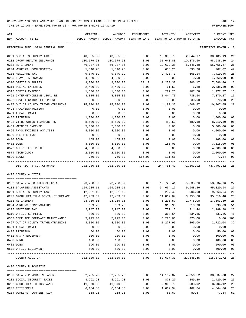| ACT | NUM ACCOUNT-TITLE                    | ORIGINAL   | AMENDED<br>BUDGET-AMOUNT BUDGET-AMOUNT YEAR-TO-DATE | ENCUMBERED | ACTIVITY   | ACTIVITY<br>YEAR-TO-DATE MONTH-TO-DATE | CURRENT USED<br>BALANCE | PCT         |
|-----|--------------------------------------|------------|-----------------------------------------------------|------------|------------|----------------------------------------|-------------------------|-------------|
|     |                                      |            |                                                     |            |            |                                        |                         |             |
|     | REPORTING FUND: 0010 GENERAL FUND    |            |                                                     |            |            |                                        | EFFECTIVE MONTH - 12    |             |
|     | 0201 SOCIAL SECURITY TAXES           | 40,535.98  | 40,535.98                                           | 0.00       | 10,350.79  | 2,844.17                               | 30,185.19               | 26          |
|     | 0202 GROUP HEALTH INSURANCE          | 130,579.68 | 130,579.68                                          | 0.00       | 31,640.88  | 10,876.60                              | 98,938.80               | 24          |
|     | 0203 RETIREMENT                      | 76,387.85  | 76,387.85                                           | 0.00       | 19,629.38  | 5,445.38                               | 56,758.47               | 26          |
|     | 0204 WORKERS' COMPENSATION           | 1,340.28   | 1,340.28                                            | 0.00       | 633.26     | 633.26                                 | 707.02                  | 47          |
|     | 0205 MEDICARE TAX                    | 9,840.19   | 9,840.19                                            | 0.00       | 2,420.73   | 665.14                                 | 7,419.46                | 25          |
|     | 0225 TRAVEL ALLOWANCE                | 4,860.00   | 4,860.00                                            | 0.00       | 0.00       | 0.00                                   | 4,860.00                | 00          |
|     | 0310 OFFICE SUPPLIES                 | 9,000.00   | 9,000.00                                            | 160.17     | 1,253.37   | 206.17                                 | 7,586.46                | 16          |
|     | 0311 POSTAL EXPENSES                 | 2,400.00   | 2,400.00                                            | 0.00       | 61.50      | $6.80-$                                | 2,338.50                | 03          |
|     | 0315 COPIER EXPENSE                  | 1,500.00   | 1,500.00                                            | 0.00       | 222.23     | 107.58                                 | 1,277.77                | 15          |
|     | 0421 INTERNET/ONLINE LEGAL RE        | 8,815.00   | 8,815.00                                            | 0.00       | 1,444.73   | 738.64                                 | 7,370.27                | 16          |
|     | 0422 INVESTIGATOR CELL PHONE         | 360.00     | 360.00                                              | 0.00       | 90.00      | 30.00                                  | 270.00                  | 25          |
|     | 0427 OUT OF COUNTY TRAVEL/TRAINING   | 15,000.00  | 15,000.00                                           | 0.00       | 4,192.35   | 1,609.97                               | 10,807.65               | 28          |
|     | 0428 TRAINING/TUITION                | 0.00       | 0.00                                                | 0.00       | 0.00       | 0.00                                   | 0.00                    |             |
|     |                                      |            |                                                     |            |            |                                        |                         |             |
|     | 0431 LOCAL TRAVEL                    | 0.00       | 0.00                                                | 0.00       | 0.00       | 0.00                                   | 0.00                    |             |
|     | 0435 PRINTING                        | 1,000.00   | 1,000.00                                            | 0.00       | 0.00       | 0.00                                   | 1,000.00                | 00          |
|     | 0438 CT.REPORTER-TRANSCRIPTS         | 8,500.00   | 8,500.00                                            | 0.00       | 489.50     | 489.50                                 | 8,010.50                | 06          |
|     | 0439 WITNESS EXPENSE                 | 5,000.00   | 5,000.00                                            | 0.00       | 0.00       | 0.00                                   | 5,000.00                | 00          |
|     | 0465 PHYS. EVIDENCE ANALYSIS         | 4,000.00   | 4,000.00                                            | 0.00       | 0.00       | 0.00                                   | 4,000.00                | 00          |
|     | 0469 DPS TESTING                     | 0.00       | 0.00                                                | 0.00       | 0.00       | 0.00                                   | 0.00                    |             |
|     | 0480 BOND                            | 165.00     | 165.00                                              | 0.00       | 0.00       | 0.00                                   | 165.00                  | 00          |
|     | 0481 DUES                            | 3,500.00   | 3,500.00                                            | 0.00       | 185.00     | 0.00                                   | 3,315.00                | 05          |
|     | 0572 OFFICE EQUIPMENT                | 4,000.00   | 4,000.00                                            | 0.00       | 0.00       | 0.00                                   | 4,000.00                | 00          |
|     | 0574 TECHNOLOGY                      | 2,000.00   | 2,000.00                                            | 0.00       | 0.00       | 0.00                                   | 2,000.00                | 00          |
|     | 0590 BOOKS                           | 750.00     | 750.00                                              | 565.00     | 111.66     | 0.00                                   | 73.34                   | 90          |
|     | DISTRICT & CO. ATTORNEY              |            | 982,980.11 982,980.11                               | 725.17     | 244,761.42 | 71,363.92                              | 737,493.52              | $---$<br>25 |
|     | 0495 COUNTY AUDITOR                  |            |                                                     |            |            |                                        |                         |             |
|     | 0102 SALARY APPOINTED OFFICIAL       | 73,258.37  | 73,258.37                                           | 0.00       | 19,723.41  | 5,635.26                               | 53,534.96               | 27          |
|     | 0103 SALARIES ASSISTANTS             | 129,985.11 | 129,985.11                                          | 0.00       | 34,664.17  | 9,948.36                               | 95,320.94               | 27          |
|     | 0201 SOCIAL SECURITY TAXES           | 12,601.10  | 12,601.10                                           | 0.00       | 3,237.46   | 904.08                                 | 9,363.64                | 26          |
|     |                                      | 47,483.52  |                                                     |            |            |                                        |                         | 25          |
|     | 0202 GROUP HEALTH & DENTAL INSURANCE |            | 47,483.52                                           | 0.00       | 11,867.04  | 3,955.68                               | 35,616.48               |             |
|     | 0203 RETIREMENT                      | 23,759.16  | 23,759.16                                           | 0.00       | 6,205.57   | 1,778.08                               | 17,553.59               | 26          |
|     | 0204 WORKERS COMPENSATION            | 609.73     | 609.73                                              | 0.00       | 310.90     | 310.90                                 | 298.83                  | 51          |
|     | 0205 MEDICARE TAX                    | 2,947.03   | 2,947.03                                            | 0.00       | 757.15     | 211.44                                 | 2,189.88 26             |             |
|     | 0310 OFFICE SUPPLIES                 | 800.00     | 800.00                                              | 0.00       | 368.64     | 334.65                                 | 431.36                  | 46          |
|     | 0353 COMPUTER SOFTWARE MAINTENANCE   | 5,225.00   | 5,225.00                                            | 0.00       | 5,225.00   | 375.00                                 | 0.00 100                |             |
|     | 0427 OUT OF COUNTY TRAVEL/TRAINING   | 4,000.00   | 4,000.00                                            | 0.00       | 1,277.96   | 395.00                                 | 2,722.04                | 32          |
|     | 0431 LOCAL TRAVEL                    | 0.00       | 0.00                                                | 0.00       | 0.00       | 0.00                                   | 0.00                    |             |
|     | 0435 PRINTING                        | 50.00      | 50.00                                               | 0.00       | 0.00       | 0.00                                   | 50.00                   | $00\,$      |
|     | 0452 R & M EQUIPMENT                 | 100.00     | 100.00                                              | 0.00       | 0.00       | 0.00                                   | 100.00                  | $00\,$      |
|     | 0480 BOND                            | 100.00     | 100.00                                              | 0.00       | 0.00       | 0.00                                   | 100.00                  | $00\,$      |
|     | 0481 DUES                            | 590.00     | 590.00                                              | 0.00       | 0.00       | 0.00                                   | 590.00                  | 00          |
|     | 0572 OFFICE EQUIPMENT                | 500.00     | 500.00                                              | 0.00       | 0.00       | 0.00                                   | 500.00                  | 00          |
|     | COUNTY AUDITOR                       |            | 302,009.02 302,009.02                               | 0.00       |            | 83,637.30 23,848.45                    | 218,371.72 28           |             |
|     | 0496 COUNTY PURCHASING               |            |                                                     |            |            |                                        |                         |             |
|     |                                      |            |                                                     |            |            |                                        |                         |             |
|     | 0103 SALARY PURCHASING AGENT         | 52,735.70  | 52,735.70                                           | 0.00       | 14,197.82  | 4,056.52                               | 38,537.88               | 27          |
|     | 0201 SOCIAL SECURITY TAXES           | 3,291.93   | 3,291.93                                            | 0.00       | 871.27     | 249.20                                 | 2,420.66                | 26          |
|     | 0202 GROUP HEALTH INSURANCE          | 11,870.88  | 11,870.88                                           | 0.00       | 2,966.76   | 988.92                                 | 8,904.12                | 25          |
|     | 0203 RETIREMENT                      | 6,164.80   | 6,164.80                                            | 0.00       | 1,619.94   | 462.84                                 | 4,544.86                | 26          |
|     | 0204 WORKERS' COMPENSATION           | 158.21     | 158.21                                              | 0.00       | 80.67      | 80.67                                  | 77.54                   | 51          |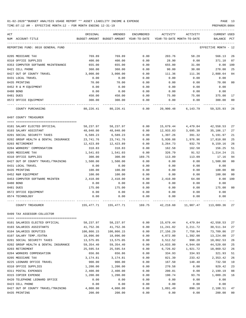TIME:07:12 AM - EFFECTIVE MONTH:12 - FOR MONTH ENDING 12-31-19 PREPARER:0004

| ACT                                  | ORIGINAL      | AMENDED                    | ENCUMBERED | ACTIVITY  | ACTIVITY                   | <b>CURRENT USED</b>  |                |
|--------------------------------------|---------------|----------------------------|------------|-----------|----------------------------|----------------------|----------------|
| NUM ACCOUNT-TITLE                    | BUDGET-AMOUNT | BUDGET-AMOUNT YEAR-TO-DATE |            |           | YEAR-TO-DATE MONTH-TO-DATE | BALANCE              | PCT            |
| REPORTING FUND: 0010 GENERAL FUND    |               |                            |            |           |                            | EFFECTIVE MONTH - 12 |                |
| 0205 MEDICARE TAX                    | 769.89        | 769.89                     | 0.00       | 203.76    | 58.28                      | 566.13               | 26             |
| 0310 OFFICE SUPPLIES                 | 400.00        | 400.00                     | 0.00       | 28.90     | 0.00                       | 371.10               | 07             |
| 0353 COMPUTER SOFTWARE MAINTENANCE   | 655.00        | 655.00                     | 0.00       | 655.00    | 31.00                      | $0.00$ 100           |                |
| 0421 CELL PHONE                      | 360.00        | 360.00                     | 0.00       | 90.00     | 30.00                      | 270.00               | 25             |
| 0427 OUT OF COUNTY TRAVEL            | 3,000.00      | 3,000.00                   | 0.00       | 111.36    | 111.36                     | 2,888.64             | 04             |
| 0431 LOCAL TRAVEL                    | 0.00          | 0.00                       | 0.00       | 0.00      | 0.00                       | 0.00                 |                |
| 0435 PRINTING                        | 70.00         | 70.00                      | 0.00       | 0.00      | 0.00                       | 70.00                | 0 <sub>0</sub> |
| 0452 R & M EQUIPMENT                 | 0.00          | 0.00                       | 0.00       | 0.00      | 0.00                       | 0.00                 |                |
| 0480 BOND                            | 0.00          | 0.00                       | 0.00       | 0.00      | 0.00                       | 0.00                 |                |
| 0481 DUES                            | 450.00        | 450.00                     | 0.00       | 75.00     | 75.00                      | 375.00               | 17             |
| 0572 OFFICE EQUIPMENT                | 300.00        | 300.00                     | 0.00       | 0.00      | 0.00                       | 300.00               | 00             |
| COUNTY PURCHASING                    | 80,226.41     | 80,226.41                  | 0.00       | 20,900.48 | 6,143.79                   | 59,325.93            | 26             |
| 0497 COUNTY TREASURER                |               |                            |            |           |                            |                      |                |
|                                      |               |                            |            |           |                            |                      |                |
| 0101 SALARY ELECTED OFFICIAL         | 58,237.97     | 58,237.97                  | 0.00       | 15,679.44 | 4,479.84                   | 42,558.53            | 27             |
| 0103 SALARY ASSISTANT                | 48,040.00     | 48,040.00                  | 0.00       | 12,933.83 | 3,695.38                   | 35,106.17            | 27             |
| 0201 SOCIAL SECURITY TAXES           | 6,589.23      | 6,589.23                   | 0.00       | 1,397.26  | 391.32                     | 5,191.97             | 21             |
| 0202 GROUP HEALTH & DENTAL INSURANCE | 23,741.76     | 23,741.76                  | 0.00       | 5,930.88  | 1,976.96                   | 17,810.88            | 25             |
| 0203 RETIREMENT                      | 12,423.89     | 12,423.89                  | 0.00       | 3,264.73  | 932.78                     | 9,159.16             | 26             |
| 0204 WORKERS' COMPENSATION           | 318.83        | 318.83                     | 0.00       | 162.58    | 162.58                     | 156.25               | 51             |
| 0205 MEDICARE TAX                    | 1,541.03      | 1,541.03                   | 0.00       | 326.79    | 91.52                      | 1,214.24             | 21             |
| 0310 OFFICE SUPPLIES                 | 300.00        | 300.00                     | 169.75     | 113.09    | 113.09                     | 17.16                | 94             |
| 0427 OUT OF COUNTY TRAVEL/TRAINING   |               |                            | 0.00       |           |                            |                      | 0 <sub>0</sub> |
|                                      | 1,500.00      | 1,500.00                   |            | 0.00      | 0.00                       | 1,500.00             |                |
| 0431 LOCAL TRAVEL                    | 0.00          | 0.00                       | 0.00       | 0.00      | 0.00                       | 0.00                 |                |
| 0435 PRINTING                        | 100.00        | 100.00                     | 0.00       | 0.00      | 0.00                       | 100.00               | 00             |
| 0452 R&M EQUIPMENT                   | 100.00        | 100.00                     | 0.00       | 0.00      | 0.00                       | 100.00               | 0 <sub>0</sub> |
| 0453 COMPUTER SOFTWARE MAINTEN       | 2,410.00      | 2,410.00                   | 0.00       | 2,410.00  | 64.00                      | 0.00                 | 100            |
| 0480 BOND                            | 0.00          | 0.00                       | 0.00       | 0.00      | 0.00                       | 0.00                 |                |
| 0481 DUES                            | 175.00        | 175.00                     | 0.00       | 0.00      | 0.00                       | 175.00               | 0 <sup>0</sup> |
| 0572 OFFICE EQUIPMENT                | 0.00          | 0.00                       | 0.00       | 0.00      | 0.00                       | 0.00                 |                |
| 0574 TECHNOLOGY                      | 0.00          | 0.00                       | 0.00       | 0.00      | 0.00                       | 0.00                 |                |
| COUNTY TREASURER                     | 155,477.71    | 155,477.71                 | 169.75     | 42,218.60 | 11,907.47                  | 113,089.36           | 27             |
| 0499 TAX ASSESSOR-COLLECTOR          |               |                            |            |           |                            |                      |                |
|                                      |               |                            |            |           |                            |                      |                |
| 0101 SALARIES ELECTED OFFICIAL       | 58,237.97     | 58,237.97                  | 0.00       | 15,679.44 | 4,479.84                   | 42,558.53            | 27             |
| 0103 SALARIES ASSISTANTS             | 41,752.36     | 41,752.36                  | 0.00       | 11,241.02 | 3, 211.72                  | 30,511.34            | 27             |
| 0104 SALARIES DEPUTIES               | 100,866.15    | 100,866.15                 | 0.00       | 27,156.29 | 7,758.94                   | 73,709.86            | 27             |
| 0107 SALARY TEMP./EXTRA              | 18,096.00     | 18,096.00                  | 0.00       | 4,872.00  | 1,392.00                   | 13,224.00            | 27             |
| 0201 SOCIAL SECURITY TAXES           | 13,575.05     | 13,575.05                  | 0.00       | 3,512.52  | 998.20                     | 10,062.53            | 26             |
| 0202 GROUP HEALTH & DENTAL INSURANCE | 59,354.40     | 59, 354.40                 | 0.00       | 14,833.80 | 4,944.60                   | 44,520.60            | 25             |
| 0203 RETIREMENT                      | 25,595.54     | 25,595.54                  | 0.00       | 6,726.02  | 1,921.72                   | 18,869.52            | 26             |
| 0204 WORKERS COMPENSATION            | 656.86        | 656.86                     | 0.00       | 334.93    | 334.93                     | 321.93               | 51             |
| 0205 MEDICARE TAX                    | 3,174.81      | 3,174.81                   | 0.00       | 821.39    | 233.42                     | 2,353.42             | 26             |
| 0225 LEONARD OFFICE TRAVEL           | 900.00        | 900.00                     | 0.00       | 167.50    | 148.48                     | 732.50               | 19             |
| 0310 OFFICE SUPPLIES                 | 1,200.00      | 1,200.00                   | 0.00       | 270.58    | 0.00                       | 929.42               | 23             |
| 0311 POSTAL EXPENSES                 | 2,400.00      | 2,400.00                   | 0.00       | 200.81    | 0.00                       | 2,199.19             | 08             |
| 0315 COPIER EXPENSE                  | 1,200.00      | 1,200.00                   | 0.00       | 190.74    | 93.76                      | 1,009.26             | 16             |
| 0420 TELEPHONE LEONARD OFFICE        | 0.00          | 0.00                       | 0.00       | 0.00      | 0.00                       | 0.00                 |                |
| 0423 CELL PHONE                      | 0.00          | 0.00                       | 0.00       | 0.00      | 0.00                       | 0.00                 |                |
| 0427 OUT OF COUNTY TRAVEL/TRAINING   | 4,000.00      | 4,000.00                   | 0.00       | 1,891.49  | 890.10                     | 2,108.51             | 47             |

0435 PRINTING 200.00 200.00 0.00 0.00 0.00 200.00 00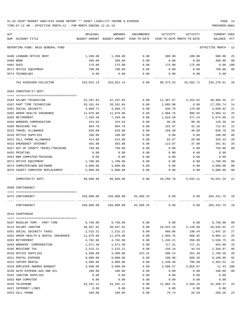TIME:07:12 AM - EFFECTIVE MONTH:12 - FOR MONTH ENDING 12-31-19 PREPARER:0004

| ACT                                  | ORIGINAL    | AMENDED                                  | ENCUMBERED | ACTIVITY                   | ACTIVITY  | <b>CURRENT USED</b>  |                |
|--------------------------------------|-------------|------------------------------------------|------------|----------------------------|-----------|----------------------|----------------|
| NUM ACCOUNT-TITLE                    |             | BUDGET-AMOUNT BUDGET-AMOUNT YEAR-TO-DATE |            | YEAR-TO-DATE MONTH-TO-DATE |           | BALANCE PCT          |                |
|                                      |             |                                          |            |                            |           |                      |                |
| REPORTING FUND: 0010 GENERAL FUND    |             |                                          |            |                            |           | EFFECTIVE MONTH - 12 |                |
| 0460 LEONARD OFFICE RENT             | 1,200.00    | 1,200.00                                 | 0.00       | 300.00                     | 100.00    | 900.00               | 25             |
| 0480 BOND                            | 368.00      | 368.00                                   | 0.00       | 0.00                       | 0.00      | 368.00               | 00             |
| 0481 DUES                            | 175.00      | 175.00                                   | 0.00       | 175.00                     | 175.00    | 0.00                 | 100            |
| 0572 OFFICE EQUIPMENT                | 700.00      | 700.00                                   | 0.00       | 0.00                       | 0.00      | 700.00               | 0 <sub>0</sub> |
| 0574 TECHNOLOGY                      | 0.00        | 0.00                                     | 0.00       | 0.00                       | 0.00      | 0.00                 |                |
| TAX ASSESSOR-COLLECTOR               | 333,652.14  | 333,652.14                               | 0.00       | 88,373.53                  | 26,682.71 | 245,278.61           | 26             |
| 0503 COMPUTER/IT DEPT.               |             |                                          |            |                            |           |                      |                |
|                                      |             |                                          |            |                            |           |                      |                |
| 0103 SALARY-TECHNICIAN               | 42,297.02   | 42,297.02                                | 0.00       | 11,387.67                  | 3,253.62  | 30,909.35            | 27             |
| 0107 PART TIME TECHNICIAN            | 20,101.64   | 20,101.64                                | 0.00       | 2,805.90                   | 0.00      | 17,295.74            | 14             |
| 0201 SOCIAL SECURITY                 | 3,868.72    | 3,868.72                                 | 0.00       | 820.70                     | 179.98    | 3,048.02             | 21             |
| 0202 GROUP HEALTH INSURANCE          | 11,870.88   | 11,870.88                                | 0.00       | 2,966.76                   | 988.92    | 8,904.12             | 25             |
| 0203 RETIREMENT                      | 7,294.40    | 7,294.40                                 | 0.00       | 1,619.50                   | 371.24    | 5,674.90             | 22             |
| 0204 WORKERS COMPENSATION            | 224.64      | 224.64                                   | 0.00       | 98.26                      | 98.26     | 126.38               | 44             |
| 0205 MEDICARE TAX                    | 904.78      | 904.78                                   | 0.00       | 191.97                     | 42.10     | 712.81               | 21             |
| 0225 TRAVEL ALLOWANCE                | 828.00      | 828.00                                   | 0.00       | 169.30                     | 40.00     | 658.70               | 20             |
| 0310 OFFICE SUPPLIES                 | 100.00      | 100.00                                   | 0.00       | 0.00                       | 0.00      | 100.00               | 00             |
| 0421 CELL PHONE ALLOWANCE            | 414.00      | 414.00                                   | 0.00       | 84.67                      | 20.00     | 329.33               | 20             |
| 0423 EMERGENCY INTERNET              | 455.88      | 455.88                                   | 0.00       | 113.97                     | 37.99     | 341.91               | 25             |
| 0427 OUT OF COUNTY TRAVEL/TRAINING   | 750.00      | 750.00                                   | 0.00       | 0.00                       | 0.00      | 750.00               | 0 <sub>0</sub> |
| 0435 PRINTING                        | 0.00        | 0.00                                     | 0.00       | 0.00                       | 0.00      | 0.00                 |                |
| 0453 R&M COMPUTER/TRAINING           | 0.00        | 0.00                                     | 0.00       | 0.00                       | 0.00      | 0.00                 |                |
| 0572 OFFICE EQUIPMENT                | 1,700.00    | 1,700.00                                 | 0.00       | 0.00                       | 0.00      | 1,700.00             | 00             |
| 0574 COMPUTER/WEB SOFTWARE           | 3,000.00    | 3,000.00                                 | 0.00       | 0.00                       | 0.00      | 3,000.00             | 00             |
| 0576 COUNTY COMPUTER REPLACEMENT     | 5,000.00    | 5,000.00                                 | 0.00       | 0.00                       | 0.00      | 5,000.00             | 0 <sub>0</sub> |
| COMPUTER/IT DEPT.                    | 98,809.96   | 98,809.96                                | 0.00       | 20,258.70                  | 5,032.11  | 78,551.26            | 21             |
| 0509 CONTINGENCY                     |             |                                          |            |                            |           |                      |                |
| 0475 CONTINGENCY                     | 250,000.00  | 250,000.00                               | 45,568.25  | 0.00                       | 0.00      | 204,431.75           | 18             |
| CONTINGENCY                          | 250,000.00  | 250,000.00                               | 45,568.25  | 0.00                       | 0.00      | 204, 431.75          | 18             |
| 0510 COURTHOUSE                      |             |                                          |            |                            |           |                      |                |
| 0107 REGULAR TEMP. - PART TIME       | 9,750.00    | 9,750.00                                 | 0.00       | 0.00                       | 0.00      | 9,750.00             | 0 <sub>0</sub> |
| 0115 SALARY JANITOR                  | 40,567.92   | 40,567.92                                | 0.00       | 10,922.10                  | 3,120.60  | 29,645.82            | 27             |
| 0201 SOCIAL SECURITY TAXES           | 2,515.21    | 2,515.21                                 | 0.00       | 668.06                     | 190.44    | 1,847.15             | 27             |
| 0202 GROUP HEALTH & DENTAL INSURANCE | 11,870.88   | 11,870.88                                | 0.00       | 2,966.76                   | 988.92    | 8,904.12             | 25             |
| 0203 RETIREMENT                      | 4,782.96    | 4,782.96                                 | 0.00       | 1,246.21                   | 356.06    | 3,536.75             | 26             |
| 0204 WORKERS' COMPENSATION           | 1,671.40    | 1,671.40                                 | 0.00       | 717.31                     | 717.31    | 954.09               | 43             |
| 0205 MEDICARE TAX                    | 2,515.21    | 2,515.21                                 | 0.00       | 156.24                     | 44.54     | 2,358.97             | 06             |
| 0310 OFFICE SUPPLIES                 | 3,500.00    | 3,500.00                                 | 223.31     | 490.13                     | 351.49    | 2,786.56             | 20             |
| 0311 POSTAL EXPENSE                  | 9,000.00    | 9,000.00                                 | 0.00       | 198.96-                    | 660.26    | 9,198.96             | 02             |
| 0315 COPIER RENTAL                   | 4,900.00    | 4,900.00                                 | 0.00       | 1,538.48                   | 706.98    | 3,361.52             | 31             |
| 0316 EMPLOYEE AWARDS BANQUET         | 3,600.00    | 3,600.00                                 | 0.00       | 3,588.57                   | 3,064.67  | 11.43                | 100            |
| 0330 AUTO EXPENSE-GAS AND OIL        | 100.00      | 100.00                                   | 0.00       | 0.00                       | 0.00      | 100.00               | 0 <sub>0</sub> |
| 0332 JANITOR SUPPLIES                | 0.00        | 0.00                                     | 0.00       | 0.00                       | 0.00      | 0.00                 |                |
| 0353 R&M COMPUTER                    | 0.00        | 0.00                                     | 0.00       | 0.00                       | 0.00      | 0.00                 |                |
| 0420 TELEPHONE                       | 43, 291. 12 | 43,291.12                                | 0.00       | 11,002.75                  | 3,584.25  | 32,288.37            | 25             |
| 0421 INTERNET LINES                  | 0.00        | 0.00                                     | 0.00       | 0.00                       | 0.00      | 0.00                 |                |
|                                      |             |                                          |            |                            |           |                      |                |

0423 CELL PHONE 340.00 340.00 0.00 79.74 26.58 260.26 23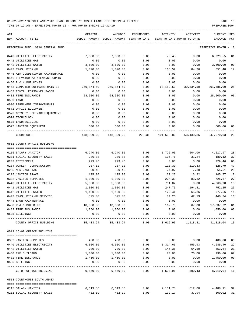| ACT       | NUM ACCOUNT-TITLE                 | ORIGINAL              | AMENDED<br>BUDGET-AMOUNT BUDGET-AMOUNT YEAR-TO-DATE | ENCUMBERED            | ACTIVITY<br>YEAR-TO-DATE MONTH-TO-DATE | ACTIVITY                                                        | CURRENT USED<br>BALANCE   | PCT |
|-----------|-----------------------------------|-----------------------|-----------------------------------------------------|-----------------------|----------------------------------------|-----------------------------------------------------------------|---------------------------|-----|
|           | REPORTING FUND: 0010 GENERAL FUND |                       |                                                     |                       |                                        |                                                                 | EFFECTIVE MONTH - 12      |     |
|           | 0440 UTILITIES ELECTRICITY        | 7,000.00              | 7,000.00                                            | 0.00                  | 70.45                                  | 0.00                                                            | 6,929.55                  | 01  |
|           | 0441 UTILITIES GAS                | 0.00                  | 0.00                                                | 0.00                  | 0.00                                   | 0.00                                                            | 0.00                      |     |
|           | 0442 UTILITIES WATER              | 3,600.00              | 3,600.00                                            | 0.00                  | 0.00                                   | 0.00                                                            | 3,600.00                  | 00  |
|           | 0443 TRASH PICK-UP                | 1,020.00              | 1,020.00                                            | 0.00                  | 168.52                                 | 84.26                                                           | 851.48                    | 17  |
|           | 0445 AIR CONDITIONER MAINTENANCE  | 0.00                  | 0.00                                                | 0.00                  | 0.00                                   | 0.00                                                            | 0.00                      |     |
|           | 0446 ELEVATOR MAINTENANCE CONTR   | 0.00                  | 0.00                                                | 0.00                  | 0.00                                   | 0.00                                                            | 0.00                      |     |
|           | 0450 R & M BUILDINGS              | 0.00                  | 0.00                                                | 0.00                  | 0.00                                   | 0.00                                                            | 0.00                      |     |
|           | 0453 COMPUTER SOFTWARE MAINTEN    | 269,874.50            | 269,874.50                                          | 0.00                  | 68,189.50                              | 39,534.50                                                       | 201,685.00                | 25  |
|           | 0463 RENTAL PERSONNEL PAGER       | 0.00                  | 0.00                                                | 0.00                  | 0.00                                   | 0.00                                                            | 0.00                      |     |
|           | 0482 FIRE INSURANCE               | 28,500.00             | 28,500.00                                           | 0.00                  | 0.00                                   | 0.00                                                            | 28,500.00                 | 00  |
| 0500 LAND |                                   | 0.00                  | 0.00                                                | 0.00                  | 0.00                                   | 0.00                                                            | 0.00                      |     |
|           | 0530 PERMANENT IMPROVEMENTS       | 0.00                  | 0.00                                                | 0.00                  | 0.00                                   | 0.00                                                            | 0.00                      |     |
|           | 0572 OFFICE EQUIPMENT             | 0.00                  | 0.00                                                | 0.00                  | 0.00                                   | 0.00                                                            | 0.00                      |     |
|           | 0573 ODYSSEY SOFTWARE/EQUIPMENT   | 0.00                  | 0.00                                                | 0.00                  | 0.00                                   | 0.00                                                            | 0.00                      |     |
|           | 0574 TECHNOLOGY                   | 0.00                  | 0.00                                                | 0.00                  | 0.00                                   | 0.00                                                            | 0.00                      |     |
|           | 0575 LAND/BUILDING                | 0.00                  | 0.00                                                | 0.00                  | 0.00                                   | 0.00                                                            | 0.00                      |     |
|           | 0577 JANITOR EQUIPMENT            | 500.00                | 500.00                                              | 0.00                  | 0.00                                   | 0.00                                                            | 500.00                    | 00  |
|           | COURTHOUSE                        |                       |                                                     |                       |                                        | 448,899.20 448,899.20 223.31 101,605.86 53,430.86 347,070.03 23 |                           |     |
|           | 0511 COUNTY OFFICE BUILDING       |                       |                                                     |                       |                                        |                                                                 |                           |     |
|           | 0115 SALARY JANITOR               | 6,240.00              | 6,240.00                                            | 0.00                  | 1,722.03                               | 504.00                                                          | 4,517.97                  | 28  |
|           | 0201 SOCIAL SECURITY TAXES        | 286.88                | 286.88                                              | 0.00                  | 106.76                                 | 31.24                                                           | 180.12                    | 37  |
|           | 0203 RETIREMENT                   | 729.46                | 729.46                                              | 0.00                  | 0.00                                   | 0.00                                                            | 729.46                    | 00  |
|           | 0204 WORKER' COMPENSATION         | 237.12                | 237.12                                              | 0.00                  | 110.33                                 | 110.33                                                          | 126.79                    | 47  |
|           | 0205 MEDICARE TAX                 | 90.48                 | 90.48                                               | 0.00                  | 24.97                                  | 7.30                                                            | 65.51                     | 28  |
|           | 0225 JANITOR TRAVEL               | 175.00                | 175.00                                              | 0.00                  | 29.23                                  | 13.22                                                           | 145.77                    | 17  |
|           | 0332 JANITOR SUPPLIES             | 1,000.00              | 1,000.00                                            | 0.00                  | 274.33                                 | 83.32                                                           | 725.67                    | 27  |
|           | 0440 UTILITIES ELECTRICITY        | 5,000.00              | 5,000.00                                            | 0.00                  | 731.02                                 | 0.00                                                            | 4,268.98                  | 15  |
|           | 0441 UTILITIES GAS                | 1,000.00              | 1,000.00                                            | 0.00                  | 247.75                                 | 194.41                                                          | 752.25                    | 25  |
|           | 0442 UTILITIES WATER              | 1,100.00              | 1,100.00                                            | 0.00                  | 122.44                                 | 65.36                                                           | 977.56                    | 11  |
|           | 0443 TRASH PICK-UP SERVICE        | 525.00                | 525.00                                              | 0.00                  | 84.26                                  | 42.13                                                           | 440.74                    | 16  |
|           | 0444 LAWN MAINTENANCE             | 0.00                  | 0.00                                                | 0.00                  | 0.00                                   | 0.00                                                            | 0.00                      |     |
|           | 0450 R & M BUILDING               | 18,000.00             | 18,000.00                                           | 0.00                  | 162.78                                 | 67.00                                                           | 17,837.22                 | 01  |
|           | 0482 FIRE INSURANCE               | 1,050.00              | 1,050.00                                            | 0.00                  | 0.00                                   | 0.00                                                            | 1,050.00 00               |     |
|           | 0535 BUILDINGS                    | 0.00                  | 0.00<br>--------------                              | 0.00<br>------------- | 0.00                                   | 0.00                                                            | 0.00<br>_____________     |     |
|           | COUNTY OFFICE BUILDING            | 35,433.94             | 35,433.94                                           | 0.00                  |                                        | 3,615.90 1,118.31 31,818.04 10                                  |                           |     |
|           | 0512 CO-OP OFFICE BUILDING        |                       |                                                     |                       |                                        |                                                                 |                           |     |
|           | 0332 JANITOR SUPPLIES             | 400.00                | 400.00                                              | 0.00                  | 0.00                                   | 0.00                                                            | 400.00                    | 00  |
|           | 0440 UTILITIES ELECTRICITY        | 6,000.00              | 6,000.00                                            | 0.00                  | 1,314.60                               | 455.93                                                          | 4,685.40                  | 22  |
|           | 0442 UTILITIES WATER              | 700.00                | 700.00                                              | 0.00                  | 146.36                                 | 64.50                                                           | 553.64                    | 21  |
|           | 0450 R&M BUILDING                 | 1,000.00              | 1,000.00                                            | 0.00                  | 70.00                                  | 70.00                                                           | 930.00                    | 07  |
|           | 0482 FIRE INSURANCE               | 1,450.00              | 1,450.00                                            | 0.00                  | 0.00                                   | 0.00                                                            | 1,450.00                  | 00  |
|           | 0535 BUILDINGS                    | 0.00                  | 0.00                                                | 0.00                  | 0.00                                   | 0.00                                                            | 0.00                      |     |
|           | CO-OP OFFICE BUILDING             | ---------<br>9,550.00 | ----------<br>9,550.00                              | 0.00                  | 1,530.96                               | 590.43                                                          | ----------<br>8,019.04 16 |     |
|           | 0513 COURTHOUSE SOUTH ANNEX       |                       |                                                     |                       |                                        |                                                                 |                           |     |
|           | 0115 SALARY JANITOR               | 6,619.86              | 6,619.86                                            | 0.00                  | 2,131.75                               | 612.00                                                          | 4,488.11 32               |     |
|           | 0201 SOCIAL SECURITY TAXES        | 432.19                | 432.19                                              | 0.00                  | 132.17                                 | 37.94                                                           | 300.02 31                 |     |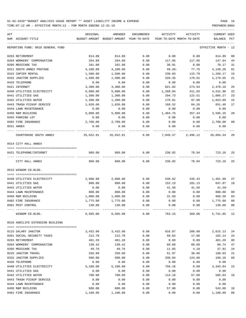TIME:07:12 AM - EFFECTIVE MONTH:12 - FOR MONTH ENDING 12-31-19 PREPARER:0004

| ACT |                                       | ORIGINAL | AMENDED                                                          | ENCUMBERED | ACTIVITY                   | ACTIVITY | CURRENT USED         |                |
|-----|---------------------------------------|----------|------------------------------------------------------------------|------------|----------------------------|----------|----------------------|----------------|
|     | NUM ACCOUNT-TITLE                     |          | BUDGET-AMOUNT BUDGET-AMOUNT YEAR-TO-DATE                         |            | YEAR-TO-DATE MONTH-TO-DATE |          | BALANCE              | PCT            |
|     | REPORTING FUND: 0010 GENERAL FUND     |          |                                                                  |            |                            |          | EFFECTIVE MONTH - 12 |                |
|     | 0203 RETIREMENT                       | 814.89   | 814.89                                                           | 0.00       | 0.00                       | 0.00     | 814.89               | 00             |
|     | 0204 WORKERS' COMPENSATION            | 264.89   | 264.89                                                           | 0.00       | 117.05                     | 117.05   | 147.84               | 44             |
|     | 0205 MEDICARE TAX                     | 101.08   | 101.08                                                           | 0.00       | 30.91                      | 8.88     | 70.17                | 31             |
|     | 0311 SOUTH ANNEX POSTAGE              | 4,100.00 | 4,100.00                                                         | 0.00       | 49.26-                     | 77.75    | 4,149.26             | 01             |
|     | 0315 COPIER RENTAL                    | 1,500.00 | 1,500.00                                                         | 0.00       | 230.83                     | 115.79   | 1,269.17             | 15             |
|     | 0332 JANITOR SUPPLIES                 | 1,500.00 | 1,500.00                                                         | 0.00       | 320.35                     | 179.91   | 1,179.65             | 21             |
|     | 0420 TELEPHONE                        | 0.00     | 0.00                                                             | 0.00       | 0.00                       | 0.00     | 0.00                 |                |
|     | 0421 INTERNET                         | 3,300.00 | 3,300.00                                                         | 0.00       | 821.82                     | 273.94   | 2,478.18             | 25             |
|     | 0440 UTILITIES ELECTRICITY            | 5,800.00 | 5,800.00                                                         | 0.00       | 1,268.04                   | 411.65   | 4,531.96             | 22             |
|     | 0441 UTILITIES GAS                    | 1,300.00 | 1,300.00                                                         | 0.00       | 294.73                     | 122.51   | 1,005.27             | 23             |
|     | 0442 UTILITIES WATER                  | 1,200.00 | 1,200.00                                                         | 0.00       | 176.91                     | 97.00    | 1,023.09             | 15             |
|     | 0443 TRASH PICKUP SERVICE             | 1,020.00 | 1,020.00                                                         | 0.00       | 168.52                     | 84.26    | 851.48               | 17             |
|     | 0444 LAWN MAINTENANCE                 | 0.00     | 0.00                                                             | 0.00       | 0.00                       | 0.00     | 0.00                 |                |
|     | 0450 R&M BUILDING                     | 5,000.00 | 5,000.00                                                         | 0.00       | 1,404.75                   | 357.44   | 3,595.25             | 28             |
|     | 0455 PARKING LOT                      | 0.00     | 0.00                                                             | 0.00       | 0.00                       | 0.00     | 0.00                 |                |
|     | 0482 FIRE INSURANCE                   | 2,700.00 | 2,700.00                                                         | 0.00       | 0.00                       | 0.00     | 2,700.00             | 0 <sub>0</sub> |
|     | 0531 ANNEX                            | 0.00     | 0.00                                                             | 0.00       | 0.00                       | 0.00     | 0.00                 |                |
|     | COURTHOUSE SOUTH ANNEX                |          | $35,652.91$ $35,652.91$ $0.00$ $7,048.57$ $2,496.12$ $28,604.34$ |            |                            |          |                      | -20            |
|     | 0514 CITY HALL ANNEX                  |          |                                                                  |            |                            |          |                      |                |
|     | 0421 TELEPHONE/INTERNET               | 960.00   | 960.00                                                           | 0.00       | 236.82                     | 78.94    | 723.18               | 25             |
|     | ---- -------------<br>CITY HALL ANNEX | 960.00   | 960.00                                                           | 0.00       | 236.82                     | 78.94    | 723.18               | 25             |
|     | 0515 WINDOM CO.BLDG.                  |          |                                                                  |            |                            |          |                      |                |
|     |                                       |          |                                                                  |            |                            |          |                      |                |
|     | 0440 UTILITIES ELECTRICITY            | 2,000.00 | 2,000.00                                                         | 0.00       | 538.02                     |          | 226.43 1,461.98      | 27             |
|     | 0441 UTILITIES GAS                    | 800.00   | 800.00                                                           | 0.00       | 152.13                     | 101.13   | 647.87               | 19             |
|     | 0442 UTILITIES WATER                  | 0.00     | 0.00                                                             | 0.00       | 41.50                      | 41.50    | 41.50-               |                |
|     | 0444 LAWN MAINTENANCE                 | 800.00   | 800.00                                                           | 0.00       | 0.00                       | 0.00     | 800.00               | 0 <sub>0</sub> |
|     | 0450 R&M BUILDING                     | 1,000.00 | 1,000.00                                                         | 0.00       | 31.50                      | 0.00     | 968.50               | 03             |
|     | 0482 FIRE INSURANCE                   | 1,775.00 | 1,775.00                                                         | 0.00       | 0.00                       | 0.00     | 1,775.00             | 0 <sub>0</sub> |
|     | 0501 PEST CONTROL                     | 130.00   | 130.00                                                           | 0.00       | 0.00                       | 0.00     | 130.00               | 0 <sub>0</sub> |
|     | WINDOM CO.BLDG.                       | 6,505.00 | 6,505.00                                                         | 0.00       | 763.15                     | 369.06   | 5,741.85             | 12             |
|     | 0516 AGRILIFE EXTENSION BUILDING      |          |                                                                  |            |                            |          |                      |                |
|     |                                       |          |                                                                  |            |                            |          |                      |                |
|     | 0115 SALARY JANITOR                   | 3,432.00 | 3,432.00                                                         | 0.00       | 816.87                     | 288.00   | 2,615.13             | 24             |
|     | 0201 SOCIAL SECURITY TAXES            | 212.78   | 212.78                                                           | 0.00       | 50.64                      | 17.86    | 162.14               | 24             |
|     | 0203 RETIREMENT                       | 401.20   | 401.20                                                           | 0.00       | 0.00                       | 0.00     | 401.20               | 0 <sub>0</sub> |
|     | 0204 WORKERS' COMPENSATION            | 130.42   | 130.42                                                           | 0.00       | 60.68                      | 60.68    | 69.74                | 47             |
|     | 0205 MEDICARE TAX                     | 49.76    | 49.76                                                            | 0.00       | 11.85                      | 4.18     | 37.91                | 24             |
|     | 0225 JANITOR TRAVEL                   | 250.00   | 250.00                                                           | 0.00       | 51.97                      | 30.86    | 198.03               | 21             |
|     | 0332 JANITOR SUPPLIES                 | 500.00   | 500.00                                                           | 0.00       | 330.84                     | 124.66   | 169.16               | 66             |
|     | 0420 TELEPHONE                        | 0.00     | 0.00                                                             | 0.00       | 0.00                       | 0.00     | 0.00                 |                |
|     | 0440 UTILITIES ELECTRICITY            | 5,100.00 | 5,100.00                                                         | 0.00       | 756.16                     | 0.00     | 4,343.84             | 15             |
|     | 0441 UTILITIES GAS                    | 0.00     | 0.00                                                             | 0.00       | 0.00                       | 0.00     | 0.00                 |                |
|     | 0442 UTILITIES WATER                  | 700.00   | 700.00                                                           | 0.00       | 114.16                     | 57.08    | 585.84               | 16             |
|     | 0443 TRASH PICKUP SERVICE             | 0.00     | 0.00                                                             | 0.00       | 0.00                       | 0.00     | 0.00                 |                |
|     | 0444 LAWN MAINTENANCE                 | 0.00     | 0.00                                                             | 0.00       | 0.00                       | 0.00     | 0.00                 |                |
|     | 0450 R&M BUILDING                     | 600.00   | 600.00                                                           | 0.00       | 57.00                      | 0.00     | 543.00               | 10             |

0482 FIRE INSURANCE 1,100.00 1,100.00 0.00 0.00 0.00 1,100.00 00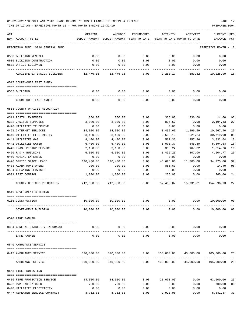| ACT | NUM ACCOUNT-TITLE                 | ORIGINAL   | AMENDED<br>BUDGET-AMOUNT BUDGET-AMOUNT YEAR-TO-DATE | ENCUMBERED          | ACTIVITY<br>YEAR-TO-DATE MONTH-TO-DATE | ACTIVITY                                  | <b>CURRENT USED</b><br>BALANCE | PCT |
|-----|-----------------------------------|------------|-----------------------------------------------------|---------------------|----------------------------------------|-------------------------------------------|--------------------------------|-----|
|     | REPORTING FUND: 0010 GENERAL FUND |            |                                                     |                     |                                        |                                           | EFFECTIVE MONTH - 12           |     |
|     | 0530 BUILDING REMODEL             | 0.00       | 0.00                                                | 0.00                | 0.00                                   | 0.00                                      | 0.00                           |     |
|     | 0535 BUILDING CONSTRUCTION        | 0.00       | 0.00                                                | 0.00                | 0.00                                   | 0.00                                      | 0.00                           |     |
|     | 0572 OFFICE EQUIPMENT             | 0.00       | 0.00                                                | 0.00                | 0.00                                   | 0.00                                      | 0.00                           |     |
|     | AGRILIFE EXTENSION BUILDING       |            |                                                     | 0.00                | 2,250.17                               | 583.32                                    | 10,225.99 18                   |     |
|     | 0517 COURTHOUSE EAST ANNEX        |            |                                                     |                     |                                        |                                           |                                |     |
|     | 0535 BUILDING                     | 0.00       | 0.00                                                | 0.00                | 0.00                                   | 0.00                                      | 0.00                           |     |
|     | COURTHOUSE EAST ANNEX             | 0.00       | 0.00                                                | 0.00                | 0.00                                   | 0.00                                      | 0.00                           |     |
|     | 0518 COUNTY OFFICES RELOCATION    |            |                                                     |                     |                                        |                                           |                                |     |
|     |                                   |            |                                                     |                     |                                        |                                           |                                |     |
|     | 0311 POSTAL EXPENSES              | 350.00     | 350.00                                              | 0.00                | 336.00                                 | 336.00                                    | 14.00                          | 96  |
|     | 0332 JANITOR SUPPLIES             | 3,000.00   | 3,000.00                                            | 0.00                | 805.57                                 | 0.00                                      | 2,194.43                       | 27  |
|     | 0420 UTILITIES TELEPHONE          | 0.00       | 0.00                                                | 0.00                | 0.00                                   | 0.00                                      | 0.00                           |     |
|     | 0421 INTERNET SERVICES            | 14,000.00  | 14,000.00                                           | 0.00                | 3,432.60                               | 1,296.59                                  | 10,567.40                      | 25  |
|     | 0440 UTILITIES ELECTRICITY        | 33,400.00  | 33,400.00                                           | 0.00                | 2,680.10                               | 621.24                                    | 30,719.90                      | 08  |
|     | 0441 UTILITIES GAS                | 4,400.00   | 4,400.00                                            | 0.00                | 567.36                                 | 257.86                                    | 3,832.64                       | 13  |
|     | 0442 UTILITIES WATER              | 6,400.00   | 6,400.00                                            | 0.00                | 1,005.37                               | 545.30                                    | 5,394.63                       | 16  |
|     | 0443 TRASH PICKUP SERVICE         | 2,150.00   | 2,150.00                                            | 0.00                | 335.24                                 | 167.62                                    | 1,814.76                       | 16  |
|     | 0450 R & M BUILDING               | 6,000.00   | 6,000.00                                            | 0.00                | 1,495.23                               | 807.00                                    | 4,504.77                       | 25  |
|     | 0460 MOVING EXPENSES              | 0.00       | 0.00                                                | 0.00                | 0.00                                   | 0.00                                      | 0.00                           |     |
|     | 0470 OFFICE SPACE LEASE           | 140,400.00 | 140,400.00                                          |                     |                                        |                                           | 94,775.00                      | 32  |
|     |                                   |            |                                                     | 0.00                | 45,625.00                              | 11,700.00                                 |                                |     |
|     | 0483 ALARM MONITORING             | 900.00     | 900.00                                              | 0.00                | 885.60                                 | 0.00                                      | 14.40                          | 98  |
|     | 0484 CLEANING SERVICES            | 0.00       | 0.00                                                | 0.00                | 0.00                                   | 0.00                                      | 0.00                           |     |
|     | 0501 PEST CONTROL                 | 1,000.00   | 1,000.00                                            | 0.00                | 235.00                                 | 0.00                                      | 765.00                         | 24  |
|     | COUNTY OFFICES RELOCATION         | 212,000.00 | 212,000.00                                          | 0.00                |                                        | 57,403.07    15,731.61    154,596.93      |                                | 27  |
|     | 0519 GOVERNMENT BUILDING          |            |                                                     |                     |                                        |                                           |                                |     |
|     |                                   |            |                                                     |                     |                                        |                                           |                                |     |
|     | 0165 CONSTRUCTION                 | 10,000.00  | 10,000.00                                           | 0.00                | 0.00                                   | 0.00                                      | 10,000.00 00                   |     |
|     | GOVERNMENT BUILDING               |            | 10,000.00 10,000.00                                 | 0.00                | 0.00                                   | 0.00                                      | 10,000.00 00                   |     |
|     | 0520 LAKE FANNIN                  |            |                                                     |                     |                                        |                                           |                                |     |
|     | 0484 GENERAL LIABILITY INSURANCE  |            |                                                     |                     |                                        | $0.00$ $0.00$ $0.00$ $0.00$ $0.00$ $0.00$ | 0.00                           |     |
|     | LAKE FANNIN                       | 0.00       | 0.00                                                | -----------<br>0.00 | 0.00                                   | 0.00                                      | 0.00                           |     |
|     | 0540 AMBULANCE SERVICE            |            |                                                     |                     |                                        |                                           |                                |     |
|     |                                   |            |                                                     |                     |                                        |                                           |                                |     |
|     | 0417 AMBULANCE SERVICE            |            | 540,000.00 540,000.00 0.00                          | --------------      |                                        | 135,000.00 45,000.00 405,000.00 25        |                                |     |
|     | AMBULANCE SERVICE                 |            | 540,000.00 540,000.00 0.00                          |                     |                                        | 135,000.00 45,000.00 405,000.00 25        |                                |     |
|     | 0543 FIRE PROTECTION              |            |                                                     |                     |                                        |                                           |                                |     |
|     |                                   |            | 84,000.00 84,000.00                                 | 0.00                |                                        |                                           | $0.00$ 63,000.00               | 25  |
|     | 0416 FIRE PROTECTION SERVICE      | 700.00     |                                                     |                     | 21,000.00                              |                                           |                                |     |
|     | 0422 R&M RADIO/TOWER              |            | 700.00                                              | 0.00                | 0.00                                   | 0.00                                      | 700.00                         | 00  |
|     | 0440 UTILITIES ELECTRICITY        | 0.00       | 0.00                                                | 0.00                | 0.00                                   | 0.00                                      | 0.00                           |     |
|     | 0447 REPEATER SERVICE CONTRACT    | 8,762.83   | 8,762.83                                            | 0.00                | 2,920.96                               | 0.00                                      | 5,841.87                       | 33  |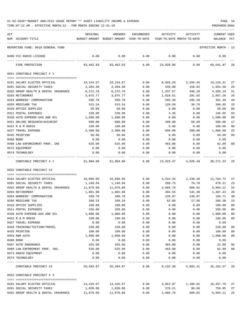| ACT |                                      | ORIGINAL  | AMENDED                                  | <b>ENCUMBERED</b> | ACTIVITY                   | ACTIVITY                       | <b>CURRENT USED</b>  |     |
|-----|--------------------------------------|-----------|------------------------------------------|-------------------|----------------------------|--------------------------------|----------------------|-----|
|     | NUM ACCOUNT-TITLE                    |           | BUDGET-AMOUNT BUDGET-AMOUNT YEAR-TO-DATE |                   | YEAR-TO-DATE MONTH-TO-DATE |                                | BALANCE              | PCT |
|     | REPORTING FUND: 0010 GENERAL FUND    |           |                                          |                   |                            |                                | EFFECTIVE MONTH - 12 |     |
|     | 0490 FCC RADIO LICENSE               | 0.00      | 0.00                                     | 0.00              | 0.00                       | 0.00                           | 0.00                 |     |
|     |                                      |           |                                          |                   |                            |                                |                      |     |
|     | FIRE PROTECTION                      | 93,462.83 | 93,462.83                                | 0.00              | 23,920.96                  | 0.00                           | 69,541.87            | -26 |
|     | 0551 CONSTABLE PRECINCT # 1          |           |                                          |                   |                            |                                |                      |     |
|     | 0101 SALARY ELECTED OFFICIAL         | 33,154.57 | 33,154.57                                | 0.00              | 8,926.26                   | 2,550.36                       | 24, 228.31           | 27  |
|     | 0201 SOCIAL SECURITY TAXES           | 2,204.38  | 2,204.38                                 | 0.00              | 549.80                     | 156.92                         | 1,654.58             | 25  |
|     | 0202 GROUP HEALTH & DENTAL INSURANCE | 6,272.76  | 6,272.76                                 | 0.00              | 1,337.57                   | 446.10                         | 4,935.19             | 21  |
|     | 0203 RETIREMENT                      | 3,875.77  | 3,875.77                                 | 0.00              | 1,018.51                   | 291.02                         | 2,857.26             | 26  |
|     | 0204 WORKERS' COMPENSATION           | 596.78    | 596.78                                   | 0.00              | 295.39                     | 295.39                         | 301.39               | 49  |
|     | 0205 MEDICARE TAX                    | 515.54    | 515.54                                   | 0.00              | 128.59                     | 36.70                          | 386.95               | 25  |
|     | 0310 OFFICE SUPPLIES                 | 50.00     | 50.00                                    | 0.00              | 0.00                       | 0.00                           | 50.00                | 00  |
|     | 0311 POSTAL EXPENSES                 | 150.00    | 150.00                                   | 0.00              | 4.35                       | 0.00                           | 145.65               | 03  |
|     | 0330 AUTO EXPENSE-GAS AND OIL        | 1,500.00  | 1,500.00                                 | 0.00              | 0.00                       | 0.00                           | 1,500.00             | 00  |
|     | 0421 ONLINE RESEARCH/ACCURINT        | 600.00    | 600.00                                   | 0.00              | 100.00                     | 50.00                          | 500.00               | 17  |
|     | 0422 R & M RADIO                     | 100.00    | 100.00                                   | 0.00              | 0.00                       | 0.00                           | 100.00               | 00  |
|     | 0427 TRAVEL EXPENSE                  | 2,400.00  | 2,400.00                                 | 0.00              | 600.00                     | 200.00                         | 1,800.00             | 25  |
|     | 0435 PRINTING                        | 50.00     | 50.00                                    | 0.00              | 0.00                       | 0.00                           | 50.00                | 00  |
|     | 0480 BOND                            | 0.00      | 0.00                                     | 0.00              | 0.00                       | 0.00                           | 0.00                 |     |
|     | 0488 LAW ENFORCEMENT PROF. INS       | 525.00    | 525.00                                   | 0.00              | 463.00                     | 0.00                           | 62.00                | 88  |
|     | 0572 EQUIPMENT                       | 0.00      | 0.00                                     | 0.00              | 0.00                       | 0.00                           | 0.00                 |     |
|     | 0574 TECHNOLOGY                      | 0.00      | 0.00                                     | 0.00              | 0.00                       | 0.00                           | 0.00                 |     |
|     | CONSTABLE PRECINCT # 1               | 51,994.80 | 51,994.80                                | 0.00              | 13,423.47                  | 4,026.49                       | 38,571.33            | -26 |
|     | 0552 CONSTABLE PRECINCT #2           |           |                                          |                   |                            |                                |                      |     |
|     |                                      |           |                                          |                   |                            |                                |                      |     |
|     | 0101 SALARY ELECTED OFFICIAL         | 16,099.05 | 16,099.05                                | 0.00              | 4,334.33                   | 1,238.38                       | 11,764.72            | 27  |
|     | 0201 SOCIAL SECURITY TAXES           | 1,146.94  | 1,146.94                                 | 0.00              | 268.73                     | 76.78                          | 878.21               | 23  |
|     | 0202 GROUP HEALTH & DENTAL INSURANCE | 11,870.88 | 11,870.88                                | 0.00              | 2,966.76                   | 988.92                         | 8,904.12             | 25  |
|     | 0203 RETIREMENT                      | 1,881.98  | 1,881.98                                 | 0.00              | 494.55                     | 141.30                         | 1,387.43             | 26  |
|     | 0204 WORKERS' COMPENSATION           | 289.78    | 289.78                                   | 0.00              | 139.07                     | 139.07                         | 150.71               | 48  |
|     | 0205 MEDICARE TAX                    | 268.24    | 268.24                                   | 0.00              | 62.86                      | 17.96                          | 205.38               | 23  |
|     | 0310 OFFICE SUPPLIES                 | 100.00    | 100.00                                   | 0.00              | 0.00                       | 0.00                           | 100.00               | 00  |
|     | 0311 POSTAL EXPENSES                 | 250.00    | 250.00                                   | 0.00              | 0.00                       | 0.00                           | 250.00               | 00  |
|     | 0330 AUTO EXPENSE-GAS AND OIL        | 1,000.00  | 1,000.00                                 | 0.00              | 0.00                       | 0.00                           | 1,000.00             | 00  |
|     | 0422 R & M RADIO                     | 100.00    | 100.00                                   | 0.00              | 0.00                       | 0.00                           | 100.00               | 00  |
|     | 0427 TRAVEL EXPENSE                  | 0.00      | 0.00                                     | 0.00              | 0.00                       | 0.00                           | 0.00                 |     |
|     | 0428 TRAINING/TUITION/TRAVEL         | 228.00    | 228.00                                   | 0.00              | 0.00                       | 0.00                           | 228.00               | 00  |
|     | 0435 PRINTING                        | 100.00    | 100.00                                   | 0.00              | 0.00                       | 0.00                           | 100.00               | 00  |
|     | 0454 R&M AUTO                        | 1,000.00  | 1,000.00                                 | 0.00              | 0.00                       | 0.00                           | 1,000.00             | 00  |
|     | 0480 BOND                            | 0.00      | 0.00                                     | 0.00              | 0.00                       | 0.00                           | 0.00                 |     |
|     | 0487 AUTO INSURANCE                  | 425.00    | 425.00                                   | 0.00              | 403.00                     | 0.00                           | 22.00                | 95  |
|     | 0488 LAW ENFOREMENT PROF. INS.       | 525.00    | 525.00                                   | 0.00              | 463.00                     | 0.00                           | 62.00                | 88  |
|     | 0573 RADIO EQUIPMENT                 | 0.00      | 0.00                                     | 0.00              | 0.00                       | 0.00                           | 0.00                 |     |
|     | 0574 TECHNOLOGY                      | 0.00      | 0.00                                     | 0.00              | 0.00<br>-----------        | 0.00                           | 0.00                 |     |
|     | CONSTABLE PRECINCT #2                | 35,284.87 | 35,284.87                                | 0.00              |                            | 9,132.30 2,602.41 26,152.57 26 |                      |     |
|     | 0553 CONSTABLE PRECINCT # 3          |           |                                          |                   |                            |                                |                      |     |
|     | 0101 SALARY ELECTED OFFICIAL         | 14,310.57 | 14,310.57                                | 0.00              |                            | 3,852.87 1,100.82              | 10,457.70            | 27  |
|     | 0201 SOCIAL SECURITY TAXES           | 1,036.06  | 1,036.06                                 | 0.00              | 276.11                     | 80.66                          | 759.95               | 27  |
|     | 0202 GROUP HEALTH & DENTAL INSURANCE | 11,870.88 | 11,870.88                                | 0.00              | 2,966.76                   | 988.92                         | 8,904.12             | 25  |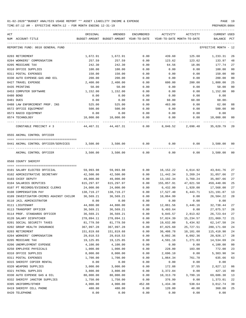| ACT<br>NUM ACCOUNT-TITLE                | ORIGINAL<br>BUDGET-AMOUNT | AMENDED<br>BUDGET-AMOUNT YEAR-TO-DATE | ENCUMBERED | ACTIVITY   | ACTIVITY<br>YEAR-TO-DATE MONTH-TO-DATE | <b>CURRENT USED</b><br>BALANCE | PCT            |
|-----------------------------------------|---------------------------|---------------------------------------|------------|------------|----------------------------------------|--------------------------------|----------------|
| REPORTING FUND: 0010 GENERAL FUND       |                           |                                       |            |            |                                        | EFFECTIVE MONTH - 12           |                |
| 0203 RETIREMENT                         | 1,672.91                  | 1,672.91                              | 0.00       | 439.60     | 125.60                                 | 1,233.31                       | 26             |
| 0204 WORKERS' COMPENSATION              | 257.59                    | 257.59                                | 0.00       | 123.62     | 123.62                                 | 133.97                         | 48             |
| 0205 MEDICARE TAX                       | 242.30                    | 242.30                                | 0.00       | 64.56      | 18.86                                  | 177.74                         | 27             |
| 0310 OFFICE SUPPLIES                    | 100.00                    | 100.00                                | 0.00       | 0.00       | 0.00                                   | 100.00                         | 0 <sub>0</sub> |
| 0311 POSTAL EXPENSES                    | 150.00                    | 150.00                                | 0.00       | 0.00       | 0.00                                   | 150.00                         | 0 <sub>0</sub> |
| 0330 AUTO EXPENSE-GAS AND OIL           | 200.00                    | 200.00                                | 0.00       | 0.00       | 0.00                                   | 200.00                         | 0 <sub>0</sub> |
| 0427 TRAVEL EXPENSE                     | 2,400.00                  | 2,400.00                              | 0.00       | 600.00     | 200.00                                 | 1,800.00                       | 25             |
| 0435 PRINTING                           | 50.00                     | 50.00                                 | 0.00       | 0.00       | 0.00                                   | 50.00                          | 0 <sub>0</sub> |
| 0453 COMPUTER SOFTWARE                  | 1,152.00                  | 1,152.00                              | 0.00       | 0.00       | 0.00                                   | 1,152.00                       | 0 <sub>0</sub> |
| 0480 BOND                               | 0.00                      | 0.00                                  | 0.00       | 0.00       | 0.00                                   | 0.00                           |                |
| 0481 DUES                               | 0.00                      | 0.00                                  | 0.00       | 60.00      | 60.00                                  | $60.00 -$                      |                |
| 0488 LAW ENFORCEMENT PROF. INS          | 525.00                    | 525.00                                | 0.00       | 463.00     | 0.00                                   | 62.00                          | 88             |
| 0572 OFFICE EQUIPMENT                   | 500.00                    | 500.00                                | 0.00       | 0.00       | 0.00                                   | 500.00                         | 0 <sub>0</sub> |
| 0573 RADIO EQUIPMENT                    | 0.00                      | 0.00                                  | 0.00       | 0.00       | 0.00                                   | 0.00                           |                |
| 0574 TECHNOLOGY                         | 10,000.00                 | 10,000.00                             | 0.00       | 0.00       | 0.00                                   | 10,000.00                      | 00             |
| CONSTABLE PRECINCT # 3                  | 44,467.31                 | 44,467.31                             | 0.00       | 8,846.52   | 2,698.48                               | 35,620.79                      | 20             |
| 0555 ANIMAL CONTROL OFFICER             |                           |                                       |            |            |                                        |                                |                |
| 0441 ANIMAL CONTROL OFFICER/SERVICES    | 3,500.00                  | 3,500.00                              | 0.00       | 0.00       | 0.00                                   | 3,500.00                       | 00             |
| ANIMAL CONTROL OFFICER                  | 3,500.00                  | 3,500.00                              | 0.00       | 0.00       | 0.00                                   | 3,500.00                       | 0 <sub>0</sub> |
| 0560 COUNTY SHERIFF                     |                           |                                       |            |            |                                        |                                |                |
| 0101 SALARY ELECTED OFFICIAL            | 59,993.98                 | 59,993.98                             | 0.00       | 16,152.22  | 4,614.92                               | 43,841.76                      | 27             |
| 0102 ADMINISTRATIVE SECRETARY           | 42,500.00                 | 42,500.00                             | 0.00       | 11,442.34  | 3,269.24                               | 31,057.66                      | 27             |
| 0103 CHIEF DEPUTY                       | 49,000.00                 | 49,000.00                             | 0.00       | 13,192.34  | 3,769.24                               | 35,807.66                      | 27             |
| 0104 SALARIES DEPUTIES                  | 615,297.97                | 615,297.97                            | 0.00       | 155,857.91 | 47,021.50                              | 459,440.06                     | 25             |
| 0107 PT RECORDS/EVIDENCE CLERKS         | 24,000.00                 | 24,000.00                             | 0.00       | 6,432.00   | 1,920.00                               | 17,568.00                      | 27             |
| 0108 COMPENSATION PAY                   | 138,719.27                | 138,719.27                            | 0.00       | 17,527.40  | 6,443.71                               | 121,191.87                     | 13             |
| 0109 INVESTIGATOR-CRIMES AGAINST CHILDR | 36,569.21                 | 36,569.21                             | 0.00       | 10,064.99  | 0.00                                   | 26,504.22                      | 28             |
| 0110 JAIL ADMINISTRATOR                 | 0.00                      | 0.00                                  | 0.00       | 0.00       | 0.00                                   | 0.00                           |                |
| 0111 LIEUTENANT                         | 44,800.00                 | 44,800.00                             | 0.00       | 12,061.56  | 3,446.16                               | 32,738.44                      | 27             |
| 0113 TRANSPORT OFFICER                  | 36,569.21                 | 36,569.21                             | 0.00       | 9,493.64   | 0.00                                   | 27,075.57                      | 26             |
| 0114 PROF. STANDARDS OFFICER            | 36,569.21                 | 36,569.21                             | 0.00       | 9,845.57   | 2,813.02                               | 26,723.64                      | 27             |
| 0120 SALARY DISPATCHER                  | 278,094.11                | 278,094.11                            | 0.00       | 57,024.39  | 15,234.57                              | 221,069.72                     | 21             |
| 0201 SOCIAL SECURITY TAXES              | 81,779.50                 | 81,779.50                             | 0.00       | 19,632.00  | 5,434.92                               | 62,147.50                      | 24             |
| 0202 GROUP HEALTH INSURANCE             | 367,997.28                | 367,997.28                            | 0.00       | 87,825.60  | 25,727.51                              | 280, 171.68                    | 24             |
| 0203 RETIREMENT                         | 151,819.68                | 151,819.68                            | 0.00       | 36,408.78  | 10,101.60                              | 115,410.90                     | 24             |
| 0204 WORKERS' COMPENSATION              | 29,018.53                 | 29,018.53                             | 0.00       | 8,092.36   | 8,092.36                               | 20,926.17                      | 28             |
| 0205 MEDICARE TAX                       | 19,125.85                 | 19,125.85                             | 0.00       | 4,591.16   | 1,271.03                               | 14,534.69                      | 24             |
| 0206 UNEMPLOYMENT EXPENSE               | 4,100.00                  | 4,100.00                              | 0.00       | 0.00       | 0.00                                   | 4,100.00                       | 0 <sub>0</sub> |
| 0250 EMPLOYEE PHYSICALS                 | 1,000.00                  | 1,000.00                              | 0.00       | 228.00     | 103.00                                 | 772.00                         | 23             |
| 0310 OFFICE SUPPLIES                    | 8,000.00                  | 8,000.00                              | 0.00       | 2,696.10   | 0.00                                   | 5,303.90                       | 34             |
| 0311 POSTAL EXPENSES                    | 1,700.00                  | 1,700.00                              | 0.00       | 1,064.34   | 761.78                                 | 635.66                         | 63             |
| 0315 SHERIFF COPIER RENTAL              | 0.00                      | 0.00                                  | 0.00       | 0.00       | 0.00                                   | 0.00                           |                |
| 0320 WEAPONS SUPPLIES                   | 3,000.00                  | 3,000.00                              | 0.00       | 172.88     | 37.55                                  | 2,827.12                       | 06             |
| 0321 PATROL SUPPLIES                    | 3,800.00                  | 3,800.00                              | 0.00       | 3,372.84   | 0.00                                   | 427.16                         | 89             |
| 0330 AUTO EXPENSE GAS & OIL             | 80,000.00                 | 80,000.00                             | 0.00       | 10,313.70  | 3,799.16                               | 69,686.30                      | 13             |
| 0332 SHERIFF JANITOR SUPPLIES           | 1,750.00                  | 1,750.00                              | 0.00       | 376.99     | 0.00                                   | 1,373.01                       | 22             |
| 0395 UNIFORMS/OTHER                     | 4,900.00                  | 4,900.00                              | 452.88     | 1,434.38   | 538.64                                 | 3,012.74                       | 39             |
| 0419 SHERIFF CELL PHONE                 | 480.00                    | 480.00                                | 0.00       | 120.00     | 40.00                                  | 360.00                         | 25             |
| 0420 TELEPHONE                          | 0.00                      | 0.00                                  | 0.00       | 0.00       | 0.00                                   | 0.00                           |                |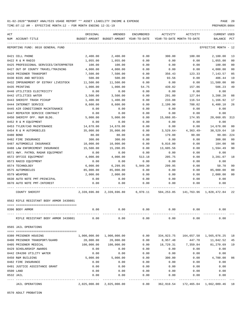TIME:07:12 AM - EFFECTIVE MONTH:12 - FOR MONTH ENDING 12-31-19 PREPARER:0004

| ACT |                                         | ORIGINAL                                                              | AMENDED                                  | ENCUMBERED   | ACTIVITY                   | ACTIVITY    | <b>CURRENT USED</b>     |                |
|-----|-----------------------------------------|-----------------------------------------------------------------------|------------------------------------------|--------------|----------------------------|-------------|-------------------------|----------------|
|     | NUM ACCOUNT-TITLE                       |                                                                       | BUDGET-AMOUNT BUDGET-AMOUNT YEAR-TO-DATE |              | YEAR-TO-DATE MONTH-TO-DATE |             | BALANCE PCT             |                |
|     | REPORTING FUND: 0010 GENERAL FUND       |                                                                       |                                          |              |                            |             | EFFECTIVE MONTH - 12    |                |
|     | 0421 CELL PHONE                         | 2,400.00                                                              | 2,400.00                                 | 0.00         | 300.00                     | 100.00      | 2,100.00                | 13             |
|     | 0422 R & M RADIO                        | 1,055.00                                                              | 1,055.00                                 | 0.00         | 0.00                       | 0.00        | 1,055.00                | 0 <sup>0</sup> |
|     | 0425 PROFESSIONAL SERVICES/INTERPRETER  | 100.00                                                                | 100.00                                   | 0.00         | 0.00                       | 0.00        | 100.00                  | 0 <sub>0</sub> |
|     | 0427 OUT OF COUNTY TRAVEL/TRAINING      | 4,000.00                                                              | 4,000.00                                 | 0.00         | 0.00                       | 0.00        | 4,000.00                | 0 <sub>0</sub> |
|     | 0428 PRISONER TRANSPORT                 | 7,500.00                                                              | 7,500.00                                 | 0.00         | 356.43                     | 123.33      | 7,143.57                | 05             |
|     | 0430 BIDS AND NOTICES                   | 500.00                                                                | 500.00                                   | 0.00         | 93.56                      | 0.00        | 406.44                  | 19             |
|     | 0432 IMPOUNDMENT OF ESTRAY LIVESTOCK    | 11,500.00                                                             | 11,500.00                                | 0.00         | 0.00                       | 0.00        | 11,500.00               | 0 <sub>0</sub> |
|     | 0435 PRINTING                           | 1,000.00                                                              | 1,000.00                                 | 54.75        | 439.02                     | 157.86      | 506.23                  | 49             |
|     | 0440 UTILITIES ELECTRICITY              | 0.00                                                                  | 0.00                                     | 0.00         | 0.00                       | 0.00        | 0.00                    |                |
|     | 0442 UTILITIES WATER                    | 3,500.00                                                              | 3,500.00                                 | 0.00         | 291.80                     | 127.84      | 3,208.20                | 08             |
|     | 0443 SHERIFF TRASH PICKUP               | 1,400.00                                                              | 1,400.00                                 | 0.00         | 233.08                     | 116.54      | 1,166.92                | 17             |
|     | 0444 INTERNET SERVICE                   | 8,600.00                                                              | 8,600.00                                 | 0.00         | 2,199.90                   | 788.02      | 6,400.10                | 26             |
|     | 0445 AIR CONDITIONER MAINTENANCE        | 0.00                                                                  | 0.00                                     | 0.00         | 0.00                       | 0.00        | 0.00                    |                |
|     | 0447 REPEATER SERVICE CONTRACT          | 0.00                                                                  | 0.00                                     | 0.00         | 0.00                       | 0.00        | 0.00                    |                |
|     | 0450 SHERIFF OFF. R&M BLDG.             | 5,000.00                                                              | 5,000.00                                 | 0.00         | $15,660.05 -$              | 174.95      | 20,660.05 313           |                |
|     | 0452 R & M EQUIPMENT                    | 0.00                                                                  | 0.00                                     | 0.00         | 0.00                       | 0.00        | 0.00                    |                |
|     | 0453 TYLER/CAD MAINTENANCE              | 14,678.00                                                             | 14,678.00                                | 0.00         | 0.00                       | 0.00        | 14,678.00               | 0 <sub>0</sub> |
|     | 0454 R & M AUTOMOBILES                  | 35,000.00                                                             | 35,000.00                                | 0.00         | $3,529.64-$                | $4,363.49-$ | 38,529.64               | 10             |
|     | 0480 BOND                               | 80.00                                                                 | 80.00                                    | 0.00         | 179.00                     | 99.00       | 99.00- 224              |                |
|     | 0482 FIRE INSURANCE                     | 300.00                                                                | 300.00                                   | 0.00         | 0.00                       | 0.00        | 300.00                  | 0 <sub>0</sub> |
|     | 0487 AUTOMOBILE INSURANCE               | 10,000.00                                                             | 10,000.00                                | 0.00         | 9,816.00                   | 0.00        | 184.00                  | 98             |
|     | 0488 LAW ENFORCEMENT INSURANCE          | 15,500.00                                                             | 15,200.05                                | 0.00         | 13,605.56                  | 0.00        | 1,594.49                | 90             |
|     | 0571 HWY. PATROL RADAR EQUIPMENT        | 0.00                                                                  | 0.00                                     | 0.00         | 0.00                       | 0.00        | 0.00                    |                |
|     | 0572 OFFICE EQUIPMENT                   | 4,000.00                                                              | 4,000.00                                 | 513.18       | 205.75                     | 0.00        | 3,281.07                | 18             |
|     | 0573 RADIO EQUIPMENT                    | 0.00                                                                  | 0.00                                     | 0.00         | 0.00                       | 0.00        | 0.00                    |                |
|     | 0574 TECHNOLOGY                         | 6,000.00                                                              | 6,299.95                                 | 5,949.30     | 299.95                     | 0.00        | 50.70                   | 99             |
|     | 0575 AUTOMOBILES                        | 85,000.00                                                             | 85,000.00                                | 0.00         | 0.00                       | 0.00        | 85,000.00               | 0 <sub>0</sub> |
|     | 0579 WEAPONS                            | 2,000.00                                                              | 2,000.00                                 | 0.00         | 0.00                       | 0.00        | 2,000.00                | 0 <sub>0</sub> |
|     | 0630 AUTO NOTE PMT-PRINCIPAL            | 0.00                                                                  | 0.00                                     | 0.00         | 0.00                       | 0.00        | 0.00                    |                |
|     | 0670 AUTO NOTE PMT-INTEREST             | 0.00                                                                  | 0.00                                     | 0.00         | 0.00                       | 0.00        | 0.00                    |                |
|     | COUNTY SHERIFF                          | 2,339,696.80 2,339,696.80 6,970.11 504,253.85 141,763.96 1,828,472.84 |                                          |              |                            |             |                         | 22             |
|     | 0562 RIFLE RESISTANT BODY ARMOR 3439801 |                                                                       |                                          |              |                            |             |                         |                |
|     | 0396 BODY ARMOR                         |                                                                       |                                          | 0.00         |                            |             |                         |                |
|     | RIFLE RESISTANT BODY ARMOR 3439801      | 0.00                                                                  | 0.00                                     | 0.00         | 0.00                       | 0.00        | 0.00                    |                |
|     | 0565 JAIL OPERATIONS                    |                                                                       |                                          |              |                            |             |                         |                |
|     | 0380 PRISONER HOUSING                   | 1,900,000.00                                                          | 1,900,000.00                             | 0.00         | 334,923.75                 |             | 164,657.50 1,565,076.25 | 18             |
|     | 0400 PRISONER TRANSPORT/GUARD           | 20,000.00                                                             | 20,000.00                                | 0.00         | 8,957.48                   | 447.70      | 11,042.52               | 45             |
|     | 0405 PRISONER MEDICAL                   | 100,000.00                                                            | 100,000.00                               | 0.00         | 18,729.31                  | 7,359.84    | 81,270.69               | 19             |
|     | 0429 SCHOLARSHIP AWARDS                 | 0.00                                                                  | 0.00                                     | 0.00         | 0.00                       | 0.00        | 0.00                    |                |
|     | 0442 CR4200 UTILITY WATER               | 0.00                                                                  | 0.00                                     | 0.00         | 0.00                       | 0.00        | 0.00                    |                |
|     | 0450 R&M BUILDING                       | 5,000.00                                                              | 5,000.00                                 | 0.00         | 300.00                     | 0.00        | 4,700.00                | 06             |
|     | 0482 FIRE INSURANCE                     | 0.00                                                                  | 0.00                                     | 0.00         | 0.00                       | 0.00        | 0.00                    |                |
|     | 0491 JUSTICE ASSISTANCE GRANT           | 0.00                                                                  | 0.00                                     | 0.00         | 0.00                       | 0.00        | 0.00                    |                |
|     | 0500 LAND                               | 0.00                                                                  | 0.00                                     | 0.00         | 0.00                       | 0.00        | 0.00                    |                |
|     | 0532 JAIL                               | 0.00                                                                  | 0.00                                     | 0.00<br>---- | 0.00                       | 0.00        | 0.00                    |                |
|     | <b>JAIL OPERATIONS</b>                  | 2,025,000.00                                                          | 2,025,000.00                             | 0.00         | 362,910.54                 |             | 172,465.04 1,662,089.46 | 18             |

0570 ADULT PROBATION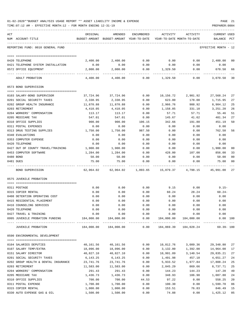|     | TIME:07:12 AM - EFFECTIVE MONTH:12 - FOR MONTH ENDING 12-31-19 |                  |                                          |                     |            |                            | PREPARER: 0004          |                |
|-----|----------------------------------------------------------------|------------------|------------------------------------------|---------------------|------------|----------------------------|-------------------------|----------------|
| ACT |                                                                | ORIGINAL         | AMENDED                                  | ENCUMBERED          | ACTIVITY   | ACTIVITY                   | CURRENT USED            |                |
|     | NUM ACCOUNT-TITLE                                              |                  | BUDGET-AMOUNT BUDGET-AMOUNT YEAR-TO-DATE |                     |            | YEAR-TO-DATE MONTH-TO-DATE | BALANCE PCT             |                |
|     | REPORTING FUND: 0010 GENERAL FUND                              |                  |                                          |                     |            |                            | EFFECTIVE MONTH - 12    |                |
|     | 0420 TELEPHONE                                                 | 2,400.00         | 2,400.00                                 | 0.00                | 0.00       | 0.00                       | 2,400.00                | 00             |
|     | 0421 TELEPHONE SYSTEM INSTALLATION                             | 0.00             | 0.00                                     | 0.00                | 0.00       | 0.00                       | 0.00                    |                |
|     | 0572 OFFICE EQUIPMENT                                          | 2,000.00         | 2,000.00                                 | 0.00                | 1,329.50   | 0.00                       | 670.50                  | 66             |
|     | ADULT PROBATION                                                | 4,400.00         | 4,400.00                                 | 0.00                | 1,329.50   | 0.00                       | -----------<br>3,070.50 | 30             |
|     | 0573 BOND SUPERVISION                                          |                  |                                          |                     |            |                            |                         |                |
|     | 0103 SALARY-BOND SUPERVISOR                                    | 37,724.96        | 37,724.96                                | 0.00                | 10,156.72  | 2,901.92                   | 27,568.24               | 27             |
|     | 0201 SOCIAL SECURITY TAXES                                     | 2,338.95         | 2,338.95                                 | 0.00                | 623.00     | 178.00                     | 1,715.95                | 27             |
|     | 0202 GROUP HEALTH INSURANCE                                    | 11,870.88        | 11,870.88                                | 0.00                | 2,966.76   | 988.92                     | 8,904.12                | 25             |
|     | 0203 RETIREMENT                                                | 4,410.05         | 4,410.05                                 | 0.00                | 1,158.85   | 331.10                     | 3,251.20                | 26             |
|     | 0204 WORKERS' COMPENSATION                                     | 113.17           | 113.17                                   | 0.00                | 57.71      | 57.71                      | 55.46                   | 51             |
|     | 0205 MEDICARE TAX                                              | 547.01           | 547.01                                   | 0.00                | 145.67     | 41.62                      | 401.34                  | 27             |
|     | 0310 OFFICE SUPPLIES                                           | 900.00           | 900.00                                   | 106.15              | 342.66     | 191.88                     | 451.19                  | 50             |
|     | 0311 POSTAL EXPENSES                                           | 0.00             | 0.00                                     | 0.00                | 0.00       | 0.00                       | 0.00                    |                |
|     | 0313 DRUG TESTING SUPPLIES                                     |                  | 1,750.00                                 | 987.50              |            |                            | 762.50                  | 56             |
|     | 0340 EVALUATIONS                                               | 1,750.00<br>0.00 |                                          |                     | 0.00       | 0.00                       | 0.00                    |                |
|     |                                                                |                  | 0.00                                     | 0.00                | 0.00       | 0.00                       |                         |                |
|     | 0353 COMPUTER EXPENSE                                          | 0.00             | 0.00                                     | 0.00                | 0.00       | 0.00                       | 0.00                    |                |
|     | 0420 TELEPHONE                                                 | 0.00             | 0.00                                     | 0.00                | 0.00       | 0.00                       | 0.00                    |                |
|     | 0427 OUT OF COUNTY TRAVEL/TRAINING                             | 1,900.00         | 1,900.00                                 | 0.00                | 0.00       | 0.00                       | 1,900.00                | 0 <sub>0</sub> |
|     | 0453 COMPUTER SOFTWARE                                         | 1,284.00         | 1,284.00                                 | 0.00                | 428.00     | 107.00                     | 856.00                  | 33             |
|     | 0480 BOND                                                      | 50.00            | 50.00                                    | 0.00                | 0.00       | 0.00                       | 50.00                   | 0 <sub>0</sub> |
|     | 0481 DUES                                                      | 75.00            | 75.00                                    | 0.00                | 0.00       | 0.00                       | 75.00                   | 0 <sup>0</sup> |
|     | BOND SUPERVISION                                               |                  |                                          |                     |            | 4,798.15                   | 45,991.00               | 27             |
|     | 0575 JUVENILE PROBATION                                        |                  |                                          |                     |            |                            |                         |                |
|     |                                                                |                  |                                          |                     |            |                            |                         |                |
|     | 0311 POSTAGE                                                   | 0.00             | 0.00                                     | 0.00                | 9.15       | 0.00                       | $9.15-$                 |                |
|     | 0315 COPIER RENTAL                                             | 0.00             | 0.00                                     | 0.00                | 60.24      | 28.24                      | $60.24-$                |                |
|     | 0408 DETENTION OPERATING COST                                  | 0.00             | 0.00                                     | 0.00                | 0.00       | 0.00                       | 0.00                    |                |
|     | 0415 RESIDENTIAL PLACEMENT                                     | 0.00             | 0.00                                     | 0.00                | 0.00       | 0.00                       | 0.00                    |                |
|     | 0416 COUNSELING SERVICES                                       | 0.00             | 0.00                                     | 0.00                | 0.00       | 0.00                       | 0.00                    |                |
|     | 0420 TELEPHONE                                                 | 0.00             | 0.00                                     | 0.00                | 0.00       | 0.00                       | 0.00                    |                |
|     | 0427 TRAVEL & TRAINING                                         | 0.00             | 0.00                                     | 0.00                | 0.00       | 0.00                       | 0.00                    |                |
|     | 0995 JUVENILE PROBATION FUNDING                                | 184,000.00       | 184,000.00<br>--------------             | 0.00<br>----------- | 184,000.00 | 184,000.00                 | 0.00 100                |                |
|     | JUVENILE PROBATION                                             | 184,000.00       | 184,000.00                               | 0.00                | 184,069.39 | 184,028.24                 | $69.39 - 100$           |                |
|     | 0590 ENVIRONMENTAL DEVELOPMENT                                 |                  |                                          |                     |            |                            |                         |                |
|     |                                                                |                  |                                          |                     |            |                            |                         |                |
|     | 0104 SALARIES DEPUTIES                                         | 40,161.56        | 40,161.56                                | 0.00                | 10,812.76  | 3,089.36                   | 29,348.80               | 27             |
|     | 0107 SALARY TEMP/EXTRA                                         | 18,096.00        | 18,096.00                                | 0.00                | 3,132.00   | 1,392.00                   | 14,964.00               | 17             |
|     | 0151 SALARY DIRECTOR                                           | 40,827.10        | 40,827.10                                | 0.00                | 10,991.89  | 3,140.54                   | 29,835.21               | 27             |
|     | 0201 SOCIAL SECURITY TAXES                                     | 6,143.25         | 6,143.25                                 | 0.00                | 1,491.98   | 457.10                     | 4,651.27                | 24             |
|     | 0202 GROUP HEALTH & DENTAL INSURANCE                           | 23,741.76        | 23,741.76                                | 0.00                | 5,933.52   | 1,977.84                   | 17,808.24               | 25             |
|     | 0203 RETIREMENT                                                | 11,583.00        | 11,583.00                                | 0.00                | 2,845.29   | 869.66                     | 8,737.71                | 25             |
|     | 0204 WORKERS' COMPENSATION                                     | 291.43           | 291.43                                   | 0.00                | 144.23     | 144.23                     | 147.20                  | 49             |
|     | 0205 MEDICARE TAX                                              | 1,436.73         | 1,436.73                                 | 0.00                | 348.93     | 106.90                     | 1,087.80                | 24             |
|     | 0310 OFFICE SUPPLIES                                           | 700.00           | 700.00                                   | 44.53               | 97.22      | 0.00                       | 558.25                  | 20             |
|     | 0311 POSTAL EXPENSE                                            | 1,700.00         | 1,700.00                                 | 0.00                | 100.30     | 0.00                       | 1,599.70                | 06             |
|     | 0315 COPIER RENTAL                                             | 1,000.00         | 1,000.00                                 | 0.00                | 153.51     | 76.83                      | 846.49                  | 15             |
|     | 0330 AUTO EXPENSE GAS & OIL                                    | 1,500.00         | 1,500.00                                 | 0.00                | 74.88      | 0.00                       | 1,425.12                | 05             |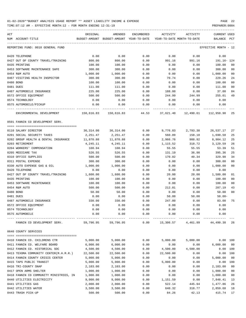TIME:07:12 AM - EFFECTIVE MONTH:12 - FOR MONTH ENDING 12-31-19 PREPARER:0004

----------------------------------------------------------------------------------------------------------------------------------- ACT ORIGINAL AMENDED ENCUMBERED ACTIVITY ACTIVITY CURRENT USED NUM ACCOUNT-TITLE BUDGET-AMOUNT BUDGET-AMOUNT YEAR-TO-DATE YEAR-TO-DATE MONTH-TO-DATE BALANCE PCT ----------------------------------------------------------------------------------------------------------------------------------- REPORTING FUND: 0010 GENERAL FUND EFFECTIVE MONTH - 12 0420 TELEPHONE 0.00 0.00 0.00 0.00 0.00 0.00 0427 OUT OF COUNTY TRAVEL/TRAINING 800.00 800.00 0.00 991.16 991.16 191.16- 124 0435 PRINTING 100.00 100.00 0.00 0.00 0.00 100.00 00 0453 SOFTWARE MAINTENANCE SAFE 300.00 300.00 0.00 0.00 0.00 300.00 00 0454 R&M AUTO 1,000.00 1,000.00 0.00 0.00 0.00 1,000.00 00 0467 VISITING HEALTH INSPECTOR 300.00 300.00 0.00 70.74 0.00 229.26 24 0480 BOND 100.00 100.00 0.00 0.00 0.00 100.00 00 0481 DUES 111.00 111.00 0.00 0.00 0.00 111.00 00 0487 AUTOMOBILE INSURANCE 225.00 225.00 0.00 188.00 0.00 37.00 84 0572 OFFICE EQUIPMENT 600.00 500.00 500.00 500.00 0.00 244.99 244.99 255.01 49 0574 TECHNOLOGY 0.00 0.00 0.00 0.00 0.00 0.00 0575 AUTOMOBILE/PICKUP 0.00 0.00 0.00 0.00 0.00 0.00 ---- ---------------------------------- ------------- ------------- ------------ ------------- ------------ ------------- --- ENVIRONMENTAL DEVELOPMENT 150,616.83 150,616.83 44.53 37,621.40 12,490.61 112,950.90 25 0591 FANNIN CO DEVELOPMENT SERV. ==== =================================== 0110 SALARY DIRECTOR 36,314.00 36,314.00 0.00 9,776.83 2,793.38 26,537.17 27 0201 SOCIAL SECURITY TAXES 2,251.47 2,251.47 0.00 560.89 158.10 1,690.58 25 0202 GROUP HEALTH & DENTAL INSURANCE 11,870.88 11,870.88 0.00 2,966.76 988.92 8,904.12 25 0203 RETIREMENT 4,245.11 4,245.11 0.00 1,115.52 318.72 3,129.59 26 0204 WORKERS' COMPENSATION 108.94 108.94 108.94 0.00 55.55 55.55 53.39 51 0205 MEDICARE TAX 6 1 1 1 1 1 1 1 526.55 526.55 526.55 0.00 131.19 36.98 395.36 25 0310 OFFICE SUPPLIES 500.00 500.00 0.00 170.02 40.34 329.98 34 0311 POSTAL EXPENSE 300.00 300.00 0.00 0.00 0.00 300.00 00 0330 AUTO EXPENSE GAS & OIL  $1,000.00$   $1,000.00$   $0.00$  0.00 0.00 0.00  $1,000.00$  00 0420 TELEPHONE 0.00 0.00 0.00 0.00 0.00 0.00 0427 OUT OF COUNTY TRAVEL/TRAINING 1,600.00 1,600.00 0.00 20.00 20.00 1,580.00 01 0435 PRINTING 100.00 100.00 0.00 0.00 0.00 100.00 00 0453 SOFTWARE MAINTENANCE 100.00 100.00 0.00 0.00 0.00 100.00 00 0454 R&M AUTO 500.00 500.00 0.00 212.81 0.00 287.19 43 0480 BOND 50.00 50.00 0.00 0.00 0.00 50.00 00 0481 DUES 0.00 0.00 0.00 50.00 50.00 50.00- 0487 AUTOMOBILE INSURANCE 330.00 330.00 0.00 247.00 0.00 83.00 75 0572 OFFICE EQUIPMENT 0.00 0.00 0.00 0.00 0.00 0.00 0574 TECHNOLOGY 0.00 0.00 0.00 0.00 0.00 0.00 0575 AUTOMOBILE 0.00 0.00 0.00 0.00 0.00 0.00 ---- ---------------------------------- ------------- ------------- ------------ ------------- ------------ ------------- --- FANNIN CO DEVELOPMENT SERV. 59,796.95 59,796.95 0.00 15,306.57 4,461.99 44,490.38 26 0640 COUNTY SERVICES ==== =================================== 0410 FANNIN CO. CHILDRENS CTR 5,000.00 5,000.00 5,000.00 5,000.00 5,000.00 0.00 100 0411 FANNIN CO. WELFARE BOARD 6,000.00 6,000.00 0.00 0.00 0.00 6,000.00 00 0412 FANNIN CO. HISTORICAL SOC  $4,500.00$   $4,500.00$   $4,500.00$   $4,500.00$   $4,500.00$   $0.00$   $100$ 0413 TEXOMA COMMUNITY CENTER(M.H.M.R.) 22,500.00 22,500.00 0.00 22,500.00 0.00 0.00 100 0414 FANNIN COUNTY CRISIS CENTER 5,000.00 5,000.00 0.00 0.00 0.00 5,000.00 00 0415 TAPS PUBLIC TRANSIT  $\begin{array}{ccccccccc}\n0.00 & 5,000.00 & 0.00 & 0.00 & 0.00 & 0.00 & 0.00 & 0.00 & 0.00 & 0.00 & 0.00 & 0.00 & 0.00 & 0.00 & 0.00 & 0.00 & 0.00 & 0.00 & 0.00 & 0.00 & 0.00 & 0.00 & 0.00 & 0.00 & 0.00 & 0.00 & 0.00 & 0.00 & 0.00 & 0.00 & 0.$ 0416 TRI-COUNTY SNAP 2,103.00 2,103.00 0.00 0.00 0.00 2,103.00 00 0417 OPEN ARMS SHELTER  $1,000.00$   $1,000.00$   $0.00$  0.00 0.00 0.00  $1,000.00$  00 0418 FANNIN CO COMMUNITY MINISTRIES, IN 1,000.00 1,000.00 0.00 0.00 0.00 1,000.00 00 0440 UTILITIES ELECTRICITY 9,000.00 9,000.00 0.00 1,151.59 0.00 7,848.41 13

0441 UTILITIES GAS 2,000.00 2,000.00 0.00 522.14 445.94 1,477.86 26 0442 UTILITIES WATER 3,500.00 3,500.00 0.00 640.32 318.77 2,859.68 18 0443 TRASH PICK-UP 500.00 500.00 0.00 84.26 42.13 415.74 17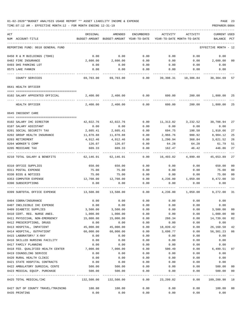| ACT<br>NUM ACCOUNT-TITLE           | ORIGINAL<br>BUDGET-AMOUNT | AMENDED<br>BUDGET-AMOUNT YEAR-TO-DATE | ENCUMBERED | ACTIVITY<br>YEAR-TO-DATE MONTH-TO-DATE | ACTIVITY           | <b>CURRENT USED</b><br>BALANCE | PCT                     |
|------------------------------------|---------------------------|---------------------------------------|------------|----------------------------------------|--------------------|--------------------------------|-------------------------|
|                                    |                           |                                       |            |                                        |                    |                                |                         |
| REPORTING FUND: 0010 GENERAL FUND  |                           |                                       |            |                                        |                    | EFFECTIVE MONTH - 12           |                         |
| 0450 R & M BUILDINGS (TDHS)        | 0.00                      | 0.00                                  | 0.00       | 0.00                                   | 0.00               | 0.00                           |                         |
| 0482 FIRE INSURANCE                | 2,600.00                  | 2,600.00                              | 0.00       | 0.00                                   | 0.00               | 2,600.00                       | 00                      |
| 0493 DHS PARKING LOT               | 0.00                      | 0.00                                  | 0.00       | 0.00                                   | 0.00               | 0.00                           |                         |
| 0575 LAKE FANNIN                   | 0.00                      | 0.00                                  | 0.00       | 0.00                                   | 0.00               | 0.00                           |                         |
| COUNTY SERVICES                    | 69,703.00                 | 69,703.00                             | 0.00       | 39,398.31                              | 10,306.84          | 30,304.69                      | 57                      |
| 0641 HEALTH OFFICER                |                           |                                       |            |                                        |                    |                                |                         |
| 0102 SALARY APPOINTED OFFICIAL     | 2,400.00                  | 2,400.00                              | 0.00       | 600.00                                 | 200.00             | 1,800.00                       | 25                      |
|                                    |                           |                                       |            |                                        |                    |                                |                         |
| HEALTH OFFICER                     | 2,400.00                  | 2,400.00                              | 0.00       | 600.00                                 | 200.00             | 1,800.00                       | 25                      |
| 0645 INDIGENT CARE                 |                           |                                       |            |                                        |                    |                                |                         |
| 0102 SALARY IHC DIRECTOR           | 42,022.76                 | 42,022.76                             | 0.00       | 11,313.82                              | 3,232.52           | 30,708.94                      | 27                      |
| 0107 SALARY ASSISTANT              | 0.00                      | 0.00                                  | 0.00       | 0.00                                   | 0.00               | 0.00                           |                         |
| 0201 SOCIAL SECURITY TAX           | 2,605.41                  | 2,605.41                              | 0.00       | 694.75                                 | 198.50             | 1,910.66                       | 27                      |
| 0202 GROUP HEALTH INSURANCE        | 11,870.88                 | 11,870.88                             | 0.00       | 2,966.76                               | 988.92             | 8,904.12                       | 25                      |
| 0203 RETIREMENT                    | 4,912.46                  | 4,912.46                              | 0.00       | 1,290.94                               | 368.84             | 3,621.52                       | 26                      |
| 0204 WORKER'S COMP                 | 126.07                    | 126.07                                | 0.00       | 64.28                                  | 64.28              | 61.79                          | 51                      |
| 0205 MEDICARE TAX                  | 609.33                    | 609.33                                | 0.00       | 162.47                                 | 46.42              | 446.86                         | 27                      |
| 0210 TOTAL SALARY & BENEFITS       | 62,146.91                 | 62,146.91                             | 0.00       | 16,493.02                              | 4,899.48           | 45,653.89                      | 27                      |
| 0310 OFFICE SUPPLIES               | 650.00                    | 650.00                                | 0.00       | 0.00                                   | 0.00               | 650.00                         | 00                      |
| 0311 POSTAL EXPENSE                | 75.00                     | 75.00                                 | 0.00       | 0.00                                   | 0.00               | 75.00                          | 00                      |
| 0330 BIDS & NOTICES                | 75.00                     | 75.00                                 | 0.00       | 0.00                                   | 0.00               | 75.00                          | 0 <sub>0</sub>          |
| 0353 COMPUTER EXPENSE              | 12,708.00                 | 12,708.00                             | 0.00       | 4,236.00                               | 1,059.00           | 8,472.00                       | 33                      |
| 0390 SUBSCRIPTIONS                 | 0.00                      | 0.00                                  | 0.00       | 0.00                                   | 0.00               | 0.00                           |                         |
| 0399 SUBTOTAL OFFICE EXPENSE       | 13,508.00                 | 13,508.00                             | 0.00       | 4,236.00                               | 1,059.00           | 9,272.00                       | 31                      |
| 0404 COBRA/INSURANCE               | 0.00                      | 0.00                                  | 0.00       | 0.00                                   | 0.00               | 0.00                           |                         |
| 0407 INELIGIBLE IHC EXPENSE        | 0.00                      | 0.00                                  | 0.00       | 0.00                                   | 0.00               | 0.00                           |                         |
| 0409 DIABETIC SUPPLIES             | 3,500.00                  | 3,500.00                              | 0.00       | 0.00                                   | 0.00               | 3,500.00                       | 00                      |
| 0410 CERT. REG. NURSE ANES.        | 1,000.00                  | 1,000.00                              | 0.00       | 0.00                                   | 0.00               | 1,000.00                       | 0 <sub>0</sub>          |
| 0411 PHYSICIAN, NON-EMERGENCY      | 15,000.00                 | 15,000.00                             | 0.00       | 260.34                                 | 0.00               | 14,739.66                      | 02                      |
| 0412 PRESCRIPTIONS, DRUGS          | 0.00                      | 0.00                                  | 0.00       | 0.00                                   | 0.00               | 0.00                           |                         |
| 0413 HOSPITAL, INPATIENT           | 45,000.00                 | 45,000.00                             | 0.00       | 18,839.42                              | 0.00               | 26,160.58                      | 42                      |
| 0414 HOSPITAL, OUTPATIENT          | 60,000.00                 | 60,000.00                             | 0.00       | 3,698.77                               | 0.00               | 56,301.23                      | 06                      |
| 0415 LABORATORY/ X-RAY             | 0.00                      | 0.00                                  | 0.00       | 0.00                                   | 0.00               | 0.00                           |                         |
| 0416 SKILLED NURSING FACILITY      | 0.00                      | 0.00                                  | 0.00       | 0.00                                   | 0.00               | 0.00                           |                         |
| 0417 FAMILY PLANNING               | 0.00                      | 0.00                                  | 0.00       | 0.00                                   | 0.00               | 0.00                           |                         |
| 0418 FED. QUALIFIED HEALTH CENTER  | 7,000.00                  | 7,000.00                              | 0.00       | 500.49                                 | 0.00               | 6,499.51                       | 07                      |
| 0419 COUNSELING SERVICE            | 0.00                      | 0.00                                  | 0.00       | 0.00                                   | 0.00               | 0.00                           |                         |
| 0420 RURAL HEALTH CLINIC           | 0.00                      | 0.00                                  | 0.00       | 0.00                                   | 0.00               | 0.00                           |                         |
| 0421 STATE HOSPITAL CONTRACTS      | 0.00                      | 0.00                                  | 0.00       | 0.00                                   | 0.00               | 0.00                           |                         |
| 0422 AMBULATORY SURGICAL CENTE     | 500.00                    | 500.00                                | 0.00       | 0.00                                   | 0.00               | 500.00                         | 00                      |
| 0423 MEDICAL EQUIP. PURCHASE       | 500.00                    | 500.00                                | 0.00       | 0.00<br>----------                     | 0.00<br>---------- | 500.00<br>--------             | 0 <sub>0</sub><br>$---$ |
| 0425 TOTAL MEDICAL/IHC             | 132,500.00                | 132,500.00                            | 0.00       | 23,299.02                              | 0.00               | 109,200.98                     | 18                      |
| 0427 OUT OF COUNTY TRAVEL/TRAINING | 100.00                    | 100.00                                | 0.00       | 0.00                                   | 0.00               | 100.00                         | 00                      |
| 0435 PRINTING                      | 0.00                      | 0.00                                  | 0.00       | 0.00                                   | 0.00               | 0.00                           |                         |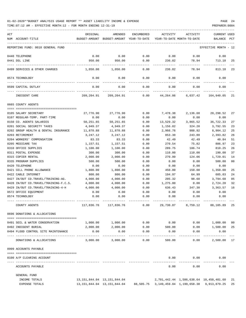| ACT |                                                             | ORIGINAL         | AMENDED                                  | ENCUMBERED   | ACTIVITY       | ACTIVITY                   | <b>CURRENT USED</b>                              |                |
|-----|-------------------------------------------------------------|------------------|------------------------------------------|--------------|----------------|----------------------------|--------------------------------------------------|----------------|
|     | NUM ACCOUNT-TITLE                                           |                  | BUDGET-AMOUNT BUDGET-AMOUNT YEAR-TO-DATE |              |                | YEAR-TO-DATE MONTH-TO-DATE | BALANCE                                          | PCT            |
|     | REPORTING FUND: 0010 GENERAL FUND                           |                  |                                          |              |                |                            | EFFECTIVE MONTH - 12                             |                |
|     | 0440 TELEPHONE                                              | 0.00             | 0.00                                     | 0.00         | 0.00           | 0.00                       | 0.00                                             |                |
|     | 0441 DSL LINE                                               | 950.00           | 950.00                                   | 0.00         | 236.82         | 78.94                      | 713.18                                           | 25             |
|     | 0499 SERVICES & OTHER CHARGES                               | 1,050.00         | 1,050.00                                 | 0.00         | 236.82         | 78.94                      | 813.18                                           | 23             |
|     | 0574 TECHNOLOGY                                             | 0.00             | 0.00                                     | 0.00         | 0.00           | 0.00                       | 0.00                                             |                |
|     | 0599 CAPITAL OUTLAY                                         | 0.00             | 0.00                                     | 0.00         | 0.00           | 0.00                       | 0.00                                             |                |
|     | INDIGENT CARE                                               | 209,204.91       | 209,204.91                               | 0.00         | 44,264.86      | 6,037.42                   | 164,940.05                                       | 21             |
|     | 0665 COUNTY AGENTS                                          |                  |                                          |              |                |                            |                                                  |                |
|     | 0105 SALARY SECRETARY                                       | 27,776.90        | 27,776.90                                | 0.00         | 7,478.38       | 2,136.68                   | 20,298.52                                        | 27             |
|     | 0107 REGULAR-TEMP. PART-TIME                                | 0.00             | 0.00                                     | 0.00         | 0.00           | 0.00                       | 0.00                                             |                |
|     | 0150 CO. AGENTS SALARIES                                    | 50,251.65        | 50,251.65                                | 0.00         | 13,529.32      | 3,865.52                   | 36,722.33                                        | 27             |
|     | 0201 SOCIAL SECURITY TAXES                                  | 4,949.37         | 4,949.37                                 | 0.00         | 1,156.82       | 324.20                     | 3,792.55                                         | 23             |
|     | 0202 GROUP HEALTH & DENTAL INSURANCE                        | 11,870.88        | 11,870.88                                | 0.00         | 2,966.76       | 988.92                     | 8,904.12                                         | 25             |
|     | 0203 RETIREMENT                                             | 3,247.12         | 3,247.12                                 | 0.00         | 853.30         | 243.80                     | 2,393.82                                         | 26             |
|     | 0204 WORKERS' COMPENSATION                                  | 83.33            | 83.33                                    | 0.00         | 42.49          | 42.49                      | 40.84                                            | 51             |
|     | 0205 MEDICARE TAX                                           | 1,157.51         | 1,157.51                                 | 0.00         | 270.54         | 75.82                      | 886.97                                           | 23             |
|     | 0310 OFFICE SUPPLIES                                        | 1,100.00         | 1,100.00                                 | 0.00         | 289.75         | 186.74                     | 810.25                                           | 26             |
|     | 0311 POSTAL EXPENSE                                         | 300.00           | 300.00                                   | 0.00         | 110.00         | 110.00                     | 190.00                                           | 37             |
|     | 0315 COPIER RENTAL                                          | 2,000.00         | 2,000.00                                 | 0.00         | 270.99         | 124.06                     | 1,729.01                                         | 14             |
|     | 0335 PROGRAM SUPPLIES                                       | 500.00           | 500.00                                   | 0.00         | 0.00           | 0.00                       | 500.00                                           | 0 <sub>0</sub> |
|     | 0420 TELEPHONE                                              | 0.00             | 0.00                                     | 0.00         | 0.00           | 0.00                       | 0.00                                             |                |
|     | 0421 CELL PHONE ALLOWANCE                                   | 1,800.00         | 1,800.00                                 | 0.00         | 450.00         | 150.00                     | 1,350.00                                         | 25             |
|     | 0422 CABLE INTERNET                                         | 800.00           | 800.00                                   | 0.00         | 194.97         | 64.99                      | 605.03                                           | 24             |
|     | 0427 IN/OUT CO.TRAVEL/TRAINING-AG.                          | 4,000.00         | 4,000.00                                 | 0.00         | 205.32         | 98.60                      | 3,794.68                                         | 05             |
|     | 0428 IN/OUT CO.TRAVEL/TRAINING-F.C.S.                       | 4,000.00         | 4,000.00                                 | 0.00         | 1,275.80       | 0.00                       | 2,724.20                                         | 32             |
|     | 0429 IN/OUT CO.TRAVEL/TRAINING-4-H                          | 4,000.00         | 4,000.00                                 | 0.00         | 636.43         | 347.30                     | 3,363.57                                         | 16             |
|     | 0572 OFFICE EQUIPMENT                                       | 0.00             | 0.00                                     | 0.00         | 0.00           | 0.00                       | 0.00                                             |                |
|     | 0574 TECHNOLOGY                                             | 0.00             | 0.00                                     | 0.00         | 0.00           | 0.00                       | 0.00                                             |                |
|     | COUNTY AGENTS                                               | 117,836.76       | 117,836.76                               | 0.00         | 29,730.87      | 8,759.12                   | 88,105.89                                        | 25             |
|     | 0696 DONATIONS & ALLOCATIONS                                |                  |                                          |              |                |                            |                                                  |                |
|     | 0491 SOIL & WATER CONSERVATION                              |                  | 1,000.00 1,000.00                        | 0.00         |                |                            | $0.00$ 1,000.00                                  | 00             |
|     |                                                             |                  |                                          |              | 0.00           |                            |                                                  | 25             |
|     | 0492 INDIGENT BURIAL<br>0494 FLOOD CONTROL SITE MAINTENANCE | 2,000.00<br>0.00 | 2,000.00<br>0.00                         | 0.00<br>0.00 | 500.00<br>0.00 | 0.00                       | $0.00$ 1,500.00<br>0.00                          |                |
|     | DONATIONS & ALLOCATIONS                                     | 3,000.00         | 3,000.00                                 | 0.00         | 500.00         | 0.00                       | 2,500.00 17                                      |                |
|     | 0999 ACCOUNTS PAYABLE                                       |                  |                                          |              |                |                            |                                                  |                |
|     |                                                             |                  |                                          |              |                |                            |                                                  |                |
|     | 0100 A/P CLEARING ACCOUNT                                   |                  |                                          |              | 0.00           | 0.00                       | 0.00                                             |                |
|     | ACCOUNTS PAYABLE                                            |                  |                                          |              | 0.00           | 0.00                       | 0.00                                             |                |
|     | GENERAL FUND                                                |                  |                                          |              |                |                            |                                                  |                |
|     | INCOME TOTALS                                               |                  | 13, 151, 844.04 13, 151, 844.04          |              |                |                            | 2,701,442.44 1,586,638.64 10,450,401.60          | 21             |
|     | <b>EXPENSE TOTALS</b>                                       |                  | 13, 151, 844.04 13, 151, 844.04          |              |                |                            | 88,505.75 3,149,459.04 1,199,658.38 9,913,879.25 | 25             |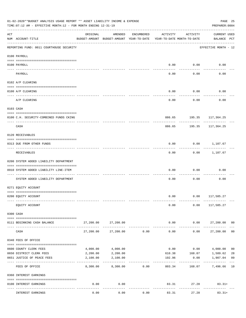|     | 01-02-2020**BUDGET ANALYSIS USAGE REPORT ** ASSET LIABILITY INCOME & EXPENSE<br>TIME: 07:12 AM - EFFECTIVE MONTH: 12 - FOR MONTH ENDING 12-31-19 |           |                                                     |            |                                        |                            | PAGE 25<br>PREPARER: 0004          |                |
|-----|--------------------------------------------------------------------------------------------------------------------------------------------------|-----------|-----------------------------------------------------|------------|----------------------------------------|----------------------------|------------------------------------|----------------|
| ACT | NUM ACCOUNT-TITLE                                                                                                                                | ORIGINAL  | AMENDED<br>BUDGET-AMOUNT BUDGET-AMOUNT YEAR-TO-DATE | ENCUMBERED | ACTIVITY<br>YEAR-TO-DATE MONTH-TO-DATE | ACTIVITY                   | <b>CURRENT USED</b><br>BALANCE PCT |                |
|     | ____________________________________<br>REPORTING FUND: 0011 COURTHOUSE SECURITY                                                                 |           |                                                     |            |                                        |                            | EFFECTIVE MONTH - 12               |                |
|     | 0100 PAYROLL                                                                                                                                     |           |                                                     |            |                                        |                            |                                    |                |
|     | 0100 PAYROLL                                                                                                                                     |           |                                                     |            | 0.00                                   | 0.00                       | 0.00                               |                |
|     | ---- ----<br>PAYROLL                                                                                                                             |           |                                                     |            | 0.00                                   | -------<br>0.00            | 0.00                               |                |
|     | 0102 A/P CLEARING                                                                                                                                |           |                                                     |            |                                        |                            |                                    |                |
|     |                                                                                                                                                  |           |                                                     |            |                                        |                            |                                    |                |
|     | 0100 A/P CLEARING                                                                                                                                |           |                                                     |            | 0.00                                   | 0.00                       | 0.00                               |                |
|     | A/P CLEARING                                                                                                                                     |           |                                                     |            | 0.00                                   | 0.00                       | 0.00                               |                |
|     | 0103 CASH                                                                                                                                        |           |                                                     |            |                                        |                            |                                    |                |
|     | 0100 C.H. SECURITY-COMBINED FUNDS CKING                                                                                                          |           |                                                     |            |                                        | 886.65 195.35 117,364.25   |                                    |                |
|     | CASH                                                                                                                                             |           |                                                     |            | 886.65                                 | 195.35                     | ---------<br>117,364.25            |                |
|     | 0120 RECEIVABLES                                                                                                                                 |           |                                                     |            |                                        |                            |                                    |                |
|     | 0313 DUE FROM OTHER FUNDS                                                                                                                        |           |                                                     |            | 0.00                                   |                            | $0.00$ 1,107.67                    |                |
|     | RECEIVABLES                                                                                                                                      |           |                                                     |            | 0.00                                   | ---------                  | $0.00$ 1,107.67                    |                |
|     | 0200 SYSTEM ADDED LIABILITY DEPARTMENT                                                                                                           |           |                                                     |            |                                        |                            |                                    |                |
|     | 0910 SYSTEM ADDED LIABILITY LINE-ITEM                                                                                                            |           |                                                     |            | 0.00                                   | 0.00                       | 0.00                               |                |
|     | SYSTEM ADDED LIABILITY DEPARTMENT                                                                                                                |           |                                                     |            | 0.00                                   | 0.00                       | 0.00                               |                |
|     | 0271 EQUITY ACCOUNT                                                                                                                              |           |                                                     |            |                                        |                            |                                    |                |
|     | 0200 EQUITY ACCOUNT                                                                                                                              |           |                                                     |            |                                        | $0.00$ $0.00$ $117,585.27$ |                                    |                |
|     | EQUITY ACCOUNT                                                                                                                                   |           |                                                     |            | 0.00                                   | 0.00                       | 117,585.27                         |                |
|     | 0300 CASH                                                                                                                                        |           |                                                     |            |                                        |                            |                                    |                |
|     |                                                                                                                                                  |           |                                                     |            |                                        |                            |                                    |                |
|     | 0111 BEGINNING CASH BALANCE                                                                                                                      | 27,200.00 | 27,200.00                                           |            | 0.00<br>.                              | 0.00<br>----------         | 27,200.00 00                       |                |
|     | CASH                                                                                                                                             | 27,200.00 | 27,200.00                                           | 0.00       | 0.00                                   | 0.00                       | 27,200.00                          | 0 <sub>0</sub> |
|     | 0340 FEES OF OFFICE                                                                                                                              |           |                                                     |            |                                        |                            |                                    |                |
|     | 0600 COUNTY CLERK FEES                                                                                                                           | 4,000.00  | 4,000.00                                            |            | 0.00                                   | 0.00                       | 4,000.00                           | 0 <sub>0</sub> |
|     | 0650 DISTRICT CLERK FEES                                                                                                                         | 2,200.00  | 2,200.00                                            |            | 610.38                                 | 168.07                     | 1,589.62                           | 28             |
|     | 0651 JUSTICE OF PEACE FEES                                                                                                                       | 2,100.00  | 2,100.00                                            |            | 192.96                                 | 0.00                       | 1,907.04                           | 09             |
|     | FEES OF OFFICE                                                                                                                                   | 8,300.00  | 8,300.00                                            | 0.00       | 803.34                                 | 168.07                     | 7,496.66                           | 10             |
|     | 0360 INTEREST EARNINGS                                                                                                                           |           |                                                     |            |                                        |                            |                                    |                |
|     | 0100 INTEREST EARNINGS                                                                                                                           | 0.00      | 0.00                                                |            |                                        | 83.31                      | 27.28<br>$83.31+$                  |                |
|     | INTEREST EARNINGS                                                                                                                                | 0.00      | 0.00                                                | 0.00       | 83.31                                  | 27.28                      | $83.31+$                           |                |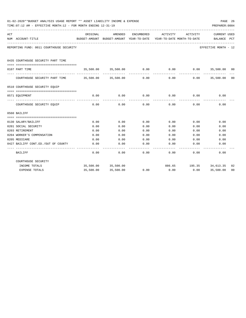|     | 01-02-2020**BUDGET ANALYSIS USAGE REPORT ** ASSET LIABILITY INCOME & EXPENSE<br>TIME: 07:12 AM - EFFECTIVE MONTH: 12 - FOR MONTH ENDING 12-31-19 |          |                                                                                |      |             |                              | PREPARER: 0004              | PAGE 26 |
|-----|--------------------------------------------------------------------------------------------------------------------------------------------------|----------|--------------------------------------------------------------------------------|------|-------------|------------------------------|-----------------------------|---------|
| ACT | NUM ACCOUNT-TITLE                                                                                                                                | ORIGINAL | AMENDED<br>BUDGET-AMOUNT BUDGET-AMOUNT YEAR-TO-DATE YEAR-TO-DATE MONTH-TO-DATE |      |             | ENCUMBERED ACTIVITY ACTIVITY | CURRENT USED<br>BALANCE PCT |         |
|     | REPORTING FUND: 0011 COURTHOUSE SECURITY                                                                                                         |          |                                                                                |      |             |                              | EFFECTIVE MONTH - 12        |         |
|     | 0435 COURTHOUSE SECURITY PART TIME                                                                                                               |          |                                                                                |      |             |                              |                             |         |
|     | 0107 PART TIME                                                                                                                                   |          | 35,500.00 35,500.00 0.00                                                       |      | 0.00        |                              | $0.00$ 35,500.00 00         |         |
|     | COURTHOUSE SECURITY PART TIME 35,500.00 35,500.00                                                                                                |          |                                                                                | 0.00 | 0.00        | 0.00                         | 35,500.00 00                |         |
|     | 0510 COURTHOUSE SECURITY EQUIP                                                                                                                   |          |                                                                                |      |             |                              |                             |         |
|     | 0571 EOUIPMENT                                                                                                                                   |          | 0.00<br>0.00                                                                   |      | $0.00$ 0.00 |                              | $0.00$ 0.00                 |         |
|     | COURTHOUSE SECURITY EQUIP                                                                                                                        | 0.00     | 0.00                                                                           | 0.00 | 0.00        | 0.00                         | 0.00                        |         |
|     | 0560 BAILIFF                                                                                                                                     |          |                                                                                |      |             |                              |                             |         |
|     | 0130 SALARY/BAILIFF                                                                                                                              | 0.00     | 0.00                                                                           | 0.00 | 0.00        | 0.00                         | 0.00                        |         |
|     | 0201 SOCIAL SECURITY                                                                                                                             | 0.00     | 0.00                                                                           | 0.00 | 0.00        | 0.00                         | 0.00                        |         |
|     | 0203 RETIREMENT                                                                                                                                  | 0.00     | 0.00                                                                           | 0.00 | 0.00        | 0.00                         | 0.00                        |         |
|     | 0204 WORKER'S COMPENSATION                                                                                                                       | 0.00     | 0.00                                                                           | 0.00 | 0.00        | 0.00                         | 0.00                        |         |
|     | 0205 MEDICARE                                                                                                                                    | 0.00     | 0.00                                                                           | 0.00 | 0.00        | 0.00                         | 0.00                        |         |
|     | 0427 BAILIFF CONT.ED./OUT OF COUNTY                                                                                                              | 0.00     | 0.00                                                                           | 0.00 | 0.00        | 0.00                         | 0.00                        |         |
|     | <b>BAILIFF</b>                                                                                                                                   | 0.00     | 0.00                                                                           | 0.00 | 0.00        | 0.00                         | 0.00                        |         |
|     | COURTHOUSE SECURITY                                                                                                                              |          |                                                                                |      |             |                              |                             |         |
|     | INCOME TOTALS                                                                                                                                    |          | 35,500.00 35,500.00                                                            |      |             | 886.65 195.35 34,613.35      |                             | 02      |
|     | <b>EXPENSE TOTALS</b>                                                                                                                            |          | 35,500.00 35,500.00                                                            | 0.00 | 0.00        |                              | $0.00$ 35,500.00            | 00      |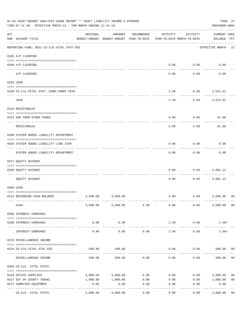|     | 01-02-2020**BUDGET ANALYSIS USAGE REPORT ** ASSET LIABILITY INCOME & EXPENSE<br>TIME:07:12 AM - EFFECTIVE MONTH:12 - FOR MONTH ENDING 12-31-19 |          |                                                     |            |                                        |                          | PAGE 27<br>PREPARER: 0004          |                |
|-----|------------------------------------------------------------------------------------------------------------------------------------------------|----------|-----------------------------------------------------|------------|----------------------------------------|--------------------------|------------------------------------|----------------|
| ACT | NUM ACCOUNT-TITLE                                                                                                                              | ORIGINAL | AMENDED<br>BUDGET-AMOUNT BUDGET-AMOUNT YEAR-TO-DATE | ENCUMBERED | ACTIVITY<br>YEAR-TO-DATE MONTH-TO-DATE | ACTIVITY                 | <b>CURRENT USED</b><br>BALANCE PCT |                |
|     | REPORTING FUND: 0012 CO.CLK.VITAL STAT.FEE                                                                                                     |          |                                                     |            |                                        |                          | EFFECTIVE MONTH - 12               |                |
|     | 0102 A/P CLEARING                                                                                                                              |          |                                                     |            |                                        |                          |                                    |                |
|     | 0100 A/P CLEARING                                                                                                                              |          |                                                     |            | 0.00                                   | 0.00                     | 0.00                               |                |
|     | A/P CLEARING                                                                                                                                   |          |                                                     |            | 0.00                                   | 0.00                     | 0.00                               |                |
|     | 0103 CASH                                                                                                                                      |          |                                                     |            |                                        |                          |                                    |                |
|     | 0100 CO.CLK.VITAL STAT.-COMB.FUNDS CKIN                                                                                                        |          |                                                     |            | 2.49                                   | $0.80$ 3,522.61          |                                    |                |
|     | CASH                                                                                                                                           |          |                                                     |            | 2.49                                   | 0.80                     | 3,522.61                           |                |
|     | 0120 RECEIVABLES                                                                                                                               |          |                                                     |            |                                        |                          |                                    |                |
|     | 0313 DUE FROM OTHER FUNDS                                                                                                                      |          |                                                     |            | 0.00                                   | 0.00                     |                                    |                |
|     |                                                                                                                                                |          |                                                     |            |                                        |                          | 81.00                              |                |
|     | RECEIVABLES                                                                                                                                    |          |                                                     |            | 0.00                                   | 0.00                     | 81.00                              |                |
|     | 0200 SYSTEM ADDED LIABILITY DEPARTMENT                                                                                                         |          |                                                     |            |                                        |                          |                                    |                |
|     | 0910 SYSTEM ADDED LIABILITY LINE-ITEM<br>------------------------                                                                              |          |                                                     |            | 0.00                                   | 0.00<br>.                | 0.00                               |                |
|     | SYSTEM ADDED LIABILITY DEPARTMENT                                                                                                              |          |                                                     |            | 0.00                                   | 0.00                     | 0.00                               |                |
|     | 0271 EQUITY ACCOUNT                                                                                                                            |          |                                                     |            |                                        |                          |                                    |                |
|     | 0200 EQUITY ACCOUNT                                                                                                                            |          |                                                     |            | 0.00                                   | 0.00                     | 3,601.12                           |                |
|     | EQUITY ACCOUNT                                                                                                                                 |          |                                                     |            | 0.00                                   | 0.00                     | 3,601.12                           |                |
|     | 0300 CASH                                                                                                                                      |          |                                                     |            |                                        |                          |                                    |                |
|     | 0112 BEGINNING CASH BALANCE                                                                                                                    | 3,500.00 | 3,500.00                                            |            |                                        | $0.00$ $0.00$ $3,500.00$ |                                    | 00             |
|     | CASH                                                                                                                                           |          | 3,500.00 3,500.00                                   | 0.00       | 0.00                                   | 0.00                     | 3,500.00                           | 00             |
|     | 0360 INTEREST EARNINGS                                                                                                                         |          |                                                     |            |                                        |                          |                                    |                |
|     | 0100 INTEREST EARNINGS                                                                                                                         | 0.00     | 0.00                                                |            | 2.49                                   | 0.80                     | $2.49+$                            |                |
|     | INTEREST EARNINGS                                                                                                                              | 0.00     | 0.00                                                | 0.00       | 2.49                                   | 0.80                     | $2.49+$                            |                |
|     | 0370 MISCELLANEOUS INCOME                                                                                                                      |          |                                                     |            |                                        |                          |                                    |                |
|     |                                                                                                                                                |          |                                                     |            |                                        |                          |                                    |                |
|     | 0134 CO.CLK.VITAL STAT.FEE                                                                                                                     | 500.00   | 500.00                                              |            | 0.00                                   | 0.00                     | 500.00                             | 00             |
|     | MISCELLANEOUS INCOME                                                                                                                           | 500.00   | 500.00                                              | 0.00       | 0.00                                   | 0.00                     | 500.00                             | 0 <sub>0</sub> |
|     | 0403 CO.CLK. VITAL STATS.                                                                                                                      |          |                                                     |            |                                        |                          |                                    |                |
|     | 0310 OFFICE SUPPLIES                                                                                                                           | 3,000.00 | 3,000.00                                            | 0.00       | 0.00                                   | 0.00                     | 3,000.00                           | 0 <sub>0</sub> |
|     | 0427 OUT OF COUNTY TRAVEL                                                                                                                      | 1,000.00 | 1,000.00                                            | 0.00       | 0.00                                   | 0.00                     | 1,000.00                           | 0 <sub>0</sub> |
|     | 0574 COMPUTER EQUIPMENT<br>---- ----------------                                                                                               | 0.00     | 0.00                                                | 0.00       | 0.00                                   | 0.00                     | 0.00                               |                |
|     | CO.CLK. VITAL STATS.                                                                                                                           | 4,000.00 | 4,000.00                                            | 0.00       | 0.00                                   | 0.00                     | 4,000.00                           | 0 <sub>0</sub> |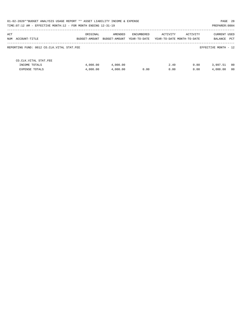| 01-02-2020**BUDGET ANALYSIS USAGE REPORT ** ASSET LIABILITY INCOME & EXPENSE<br>PAGE 28<br>TIME: 07:12 AM - EFFECTIVE MONTH: 12 - FOR MONTH ENDING 12-31-19 |               |               |              |          |                            |                      |      |  |
|-------------------------------------------------------------------------------------------------------------------------------------------------------------|---------------|---------------|--------------|----------|----------------------------|----------------------|------|--|
|                                                                                                                                                             |               |               |              |          |                            | PREPARER: 0004       |      |  |
| ACT                                                                                                                                                         | ORIGINAL      | AMENDED       | ENCUMBERED   | ACTIVITY | ACTIVITY                   | <b>CURRENT USED</b>  |      |  |
| NUM ACCOUNT-TITLE                                                                                                                                           | BUDGET-AMOUNT | BUDGET-AMOUNT | YEAR-TO-DATE |          | YEAR-TO-DATE MONTH-TO-DATE | BALANCE              | PCT  |  |
| REPORTING FUND: 0012 CO.CLK.VITAL STAT.FEE                                                                                                                  |               |               |              |          |                            | EFFECTIVE MONTH - 12 |      |  |
| CO.CLK.VITAL STAT.FEE                                                                                                                                       |               |               |              |          |                            |                      |      |  |
| INCOME TOTALS                                                                                                                                               | 4,000.00      | 4,000.00      |              | 2.49     | 0.80                       | 3,997.51             | - 00 |  |
| <b>EXPENSE TOTALS</b>                                                                                                                                       | 4,000.00      | 4,000.00      | 0.00         | 0.00     | 0.00                       | 4,000.00             | 00   |  |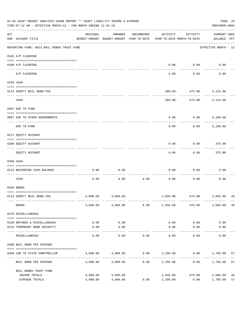|     | 01-02-2020**BUDGET ANALYSIS USAGE REPORT ** ASSET LIABILITY INCOME & EXPENSE<br>TIME: 07:12 AM - EFFECTIVE MONTH: 12 - FOR MONTH ENDING 12-31-19 |                      |                                                     |            |                                        |                             | PREPARER: 0004                     | PAGE 29  |
|-----|--------------------------------------------------------------------------------------------------------------------------------------------------|----------------------|-----------------------------------------------------|------------|----------------------------------------|-----------------------------|------------------------------------|----------|
| ACT | NUM ACCOUNT-TITLE                                                                                                                                | ORIGINAL             | AMENDED<br>BUDGET-AMOUNT BUDGET-AMOUNT YEAR-TO-DATE | ENCUMBERED | ACTIVITY<br>YEAR-TO-DATE MONTH-TO-DATE | ACTIVITY                    | <b>CURRENT USED</b><br>BALANCE PCT |          |
|     | REPORTING FUND: 0013 BAIL BONDS TRUST FUND                                                                                                       |                      |                                                     |            |                                        |                             | EFFECTIVE MONTH - 12               |          |
|     | 0102 A/P CLEARING                                                                                                                                |                      |                                                     |            |                                        |                             |                                    |          |
|     | 0100 A/P CLEARING<br>---- ----------                                                                                                             |                      |                                                     |            | 0.00                                   | 0.00                        | 0.00                               |          |
|     | A/P CLEARING                                                                                                                                     |                      |                                                     |            | 0.00                                   | 0.00                        | 0.00                               |          |
|     | 0103 CASH                                                                                                                                        |                      |                                                     |            |                                        |                             |                                    |          |
|     | 0113 SURETY BAIL BOND FEE                                                                                                                        |                      |                                                     |            |                                        | $360.00 - 675.00$           | 5,115.00                           |          |
|     | CASH                                                                                                                                             |                      |                                                     |            |                                        | 360.00- 675.00 5,115.00     |                                    |          |
|     |                                                                                                                                                  |                      |                                                     |            |                                        |                             |                                    |          |
|     | 0207 DUE TO FUND                                                                                                                                 |                      |                                                     |            |                                        |                             |                                    |          |
|     | 0097 DUE TO OTHER GOVERNMENTS                                                                                                                    |                      |                                                     |            | 0.00                                   | 0.00                        | 5,100.00                           |          |
|     | DUE TO FUND                                                                                                                                      |                      |                                                     |            | 0.00                                   | 0.00                        | 5,100.00                           |          |
|     | 0271 EQUITY ACCOUNT                                                                                                                              |                      |                                                     |            |                                        |                             |                                    |          |
|     | 0200 EQUITY ACCOUNT                                                                                                                              |                      |                                                     |            | 0.00                                   | 0.00                        | 375.00                             |          |
|     | EQUITY ACCOUNT                                                                                                                                   |                      |                                                     |            | 0.00                                   | 0.00                        | 375.00                             |          |
|     | 0300 CASH                                                                                                                                        |                      |                                                     |            |                                        |                             |                                    |          |
|     | 0113 BEGINNING CASH BALANCE                                                                                                                      | 0.00                 | 0.00                                                |            | 0.00                                   | 0.00                        | 0.00                               |          |
|     | CASH                                                                                                                                             | 0.00                 | 0.00                                                | 0.00       | 0.00                                   | 0.00                        | 0.00                               |          |
|     | 0345 BONDS                                                                                                                                       |                      |                                                     |            |                                        |                             |                                    |          |
|     | 0113 SURETY BAIL BOND FEE                                                                                                                        | 4,000.00             | 4,000.00                                            |            |                                        | 1,935.00 675.00 2,065.00 48 |                                    |          |
|     | <b>BONDS</b>                                                                                                                                     |                      | 4,000.00 4,000.00                                   | 0.00       | 1,935.00                               | 675.00                      | 2,065.00                           | 48       |
|     | 0370 MISCELLANEOUS                                                                                                                               |                      |                                                     |            |                                        |                             |                                    |          |
|     | 0130 REFUNDS & MISCELLANEOUS                                                                                                                     | 0.00                 | 0.00                                                |            | 0.00                                   | 0.00                        | 0.00                               |          |
|     | 0132 TEMPORARY BOND SECURITY                                                                                                                     | 0.00                 | 0.00                                                |            | 0.00                                   | 0.00                        | 0.00                               |          |
|     | MISCELLANEOUS                                                                                                                                    | 0.00                 | --------<br>0.00                                    | 0.00       | 0.00                                   | $- - - - -$<br>0.00         | 0.00                               |          |
|     | 0498 BAIL BOND FEE EXPENSE                                                                                                                       |                      |                                                     |            |                                        |                             |                                    |          |
|     | 0489 10% TO STATE COMPTROLLER                                                                                                                    |                      | 4,000.00 4,000.00                                   |            | $0.00$ $2,295.00$ $0.00$ $1,705.00$    |                             |                                    | 57       |
|     | BAIL BOND FEE EXPENSE                                                                                                                            | 4,000.00             | 4,000.00                                            | 0.00       | 2,295.00                               | 0.00                        | 1,705.00                           | 57       |
|     | BAIL BONDS TRUST FUND                                                                                                                            |                      |                                                     |            |                                        |                             |                                    |          |
|     | INCOME TOTALS<br>EXPENSE TOTALS                                                                                                                  | 4,000.00<br>4,000.00 | 4,000.00<br>4,000.00                                | 0.00       | 1,935.00<br>2,295.00                   | 675.00<br>0.00              | 2,065.00<br>1,705.00               | 48<br>57 |
|     |                                                                                                                                                  |                      |                                                     |            |                                        |                             |                                    |          |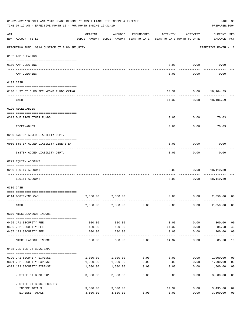|     | 01-02-2020**BUDGET ANALYSIS USAGE REPORT ** ASSET LIABILITY INCOME & EXPENSE<br>TIME:07:12 AM - EFFECTIVE MONTH:12 - FOR MONTH ENDING 12-31-19 |          |                                                     |            |                                        |                     | PREPARER: 0004                     | PAGE 30                 |
|-----|------------------------------------------------------------------------------------------------------------------------------------------------|----------|-----------------------------------------------------|------------|----------------------------------------|---------------------|------------------------------------|-------------------------|
| ACT | NUM ACCOUNT-TITLE                                                                                                                              | ORIGINAL | AMENDED<br>BUDGET-AMOUNT BUDGET-AMOUNT YEAR-TO-DATE | ENCUMBERED | ACTIVITY<br>YEAR-TO-DATE MONTH-TO-DATE | ACTIVITY            | <b>CURRENT USED</b><br>BALANCE PCT |                         |
|     | REPORTING FUND: 0014 JUSTICE CT. BLDG. SECURITY                                                                                                |          |                                                     |            |                                        |                     | EFFECTIVE MONTH - 12               |                         |
|     | 0102 A/P CLEARING                                                                                                                              |          |                                                     |            |                                        |                     |                                    |                         |
|     | 0100 A/P CLEARING                                                                                                                              |          |                                                     |            | 0.00                                   | 0.00                | 0.00                               |                         |
|     | ---- ---------<br>A/P CLEARING                                                                                                                 |          |                                                     |            | 0.00                                   | 0.00                | 0.00                               |                         |
|     | 0103 CASH                                                                                                                                      |          |                                                     |            |                                        |                     |                                    |                         |
|     | 0100 JUST.CT.BLDG.SEC.-COMB.FUNDS CKING                                                                                                        |          |                                                     |            | 64.32                                  |                     | $0.00$ 18,104.59                   |                         |
|     | CASH                                                                                                                                           |          |                                                     |            | 64.32                                  | 0.00                | 18,104.59                          |                         |
|     | 0120 RECEIVABLES                                                                                                                               |          |                                                     |            |                                        |                     |                                    |                         |
|     | 0313 DUE FROM OTHER FUNDS                                                                                                                      |          |                                                     |            | 0.00                                   | 0.00                | 70.03                              |                         |
|     | RECEIVABLES                                                                                                                                    |          |                                                     |            | 0.00                                   | 0.00                | 70.03                              |                         |
|     | 0200 SYSTEM ADDED LIABILITY DEPT.                                                                                                              |          |                                                     |            |                                        |                     |                                    |                         |
|     | 0910 SYSTEM ADDED LIABILITY LINE-ITEM                                                                                                          |          |                                                     |            | 0.00                                   | 0.00                | 0.00                               |                         |
|     | SYSTEM ADDED LIABILITY DEPT.                                                                                                                   |          |                                                     |            | 0.00                                   | 0.00                | 0.00                               |                         |
|     | 0271 EQUITY ACCOUNT                                                                                                                            |          |                                                     |            |                                        |                     |                                    |                         |
|     | 0200 EQUITY ACCOUNT                                                                                                                            |          |                                                     |            | 0.00                                   | 0.00                | 18,110.30                          |                         |
|     | EQUITY ACCOUNT                                                                                                                                 |          |                                                     |            | 0.00                                   | 0.00                | 18,110.30                          |                         |
|     | 0300 CASH                                                                                                                                      |          |                                                     |            |                                        |                     |                                    |                         |
|     | 0114 BEGINNING CASH                                                                                                                            | 2,850.00 | 2,850.00                                            |            | 0.00                                   |                     | 0.00<br>2,850.00                   | 0 <sup>0</sup>          |
|     | CASH                                                                                                                                           | 2,850.00 | 2,850.00                                            | 0.00       | 0.00                                   | 0.00                | 2,850.00                           | 00                      |
|     | 0370 MISCELLANEOUS INCOME                                                                                                                      |          |                                                     |            |                                        |                     |                                    |                         |
|     | 0455 JP1 SECURITY FEE                                                                                                                          | 300.00   | 300.00                                              |            | 0.00                                   | 0.00                | 300.00                             | 0 <sub>0</sub>          |
|     | 0456 JP2 SECURITY FEE                                                                                                                          | 150.00   | 150.00                                              |            | 64.32                                  | 0.00                | 85.68                              | 43                      |
|     | 0457 JP3 SECURITY FEE                                                                                                                          | 200.00   | 200.00<br>-----------                               |            | 0.00<br>----------                     | 0.00<br>$- - - - -$ | 200.00<br>.                        | 0 <sub>0</sub>          |
|     | MISCELLANEOUS INCOME                                                                                                                           | 650.00   | 650.00                                              | 0.00       | 64.32                                  | 0.00                | 585.68                             | 10                      |
|     | 0435 JUSTICE CT.BLDG.EXP.                                                                                                                      |          |                                                     |            |                                        |                     |                                    |                         |
|     | 0320 JP1 SECURITY EXPENSE                                                                                                                      | 1,000.00 | 1,000.00                                            | 0.00       |                                        | 0.00                | 0.00 1,000.00                      | 0 <sub>0</sub>          |
|     | 0321 JP2 SECURITY EXPENSE                                                                                                                      | 1,000.00 | 1,000.00                                            | 0.00       | 0.00                                   | 0.00                | 1,000.00                           | 0 <sub>0</sub>          |
|     | 0322 JP3 SECURITY EXPENSE                                                                                                                      | 1,500.00 | 1,500.00<br>.                                       | 0.00       | 0.00                                   | 0.00                | 1,500.00                           | 0 <sub>0</sub><br>$---$ |
|     | JUSTICE CT.BLDG.EXP.                                                                                                                           | 3,500.00 | 3,500.00                                            | 0.00       | 0.00                                   | 0.00                | 3,500.00 00                        |                         |
|     | JUSTICE CT. BLDG. SECURITY                                                                                                                     |          |                                                     |            |                                        |                     |                                    |                         |
|     | INCOME TOTALS                                                                                                                                  | 3,500.00 | 3,500.00                                            |            | 64.32                                  |                     | 0.00<br>3,435.68                   | 02                      |
|     | EXPENSE TOTALS                                                                                                                                 | 3,500.00 | 3,500.00                                            | 0.00       | 0.00                                   | 0.00                | 3,500.00                           | 0 <sub>0</sub>          |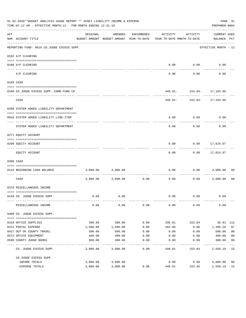|     | 01-02-2020**BUDGET ANALYSIS USAGE REPORT ** ASSET LIABILITY INCOME & EXPENSE<br>TIME: 07:12 AM - EFFECTIVE MONTH: 12 - FOR MONTH ENDING 12-31-19 |          |                                                     |                        |                                        |                             | PAGE 31<br>PREPARER: 0004   |                |
|-----|--------------------------------------------------------------------------------------------------------------------------------------------------|----------|-----------------------------------------------------|------------------------|----------------------------------------|-----------------------------|-----------------------------|----------------|
| ACT | NUM ACCOUNT-TITLE                                                                                                                                | ORIGINAL | AMENDED<br>BUDGET-AMOUNT BUDGET-AMOUNT YEAR-TO-DATE | ENCUMBERED             | ACTIVITY<br>YEAR-TO-DATE MONTH-TO-DATE | ACTIVITY                    | CURRENT USED<br>BALANCE PCT |                |
|     | REPORTING FUND: 0016 CO.JUDGE EXCESS SUPP.                                                                                                       |          |                                                     |                        |                                        |                             | EFFECTIVE MONTH - 12        |                |
|     | 0102 A/P CLEARING                                                                                                                                |          |                                                     |                        |                                        |                             |                             |                |
|     | 0100 A/P CLEARING                                                                                                                                |          |                                                     |                        | 0.00                                   | 0.00                        | 0.00                        |                |
|     | ---- ---------<br>A/P CLEARING                                                                                                                   |          |                                                     |                        | 0.00                                   | 0.00                        | 0.00                        |                |
|     | 0103 CASH                                                                                                                                        |          |                                                     |                        |                                        |                             |                             |                |
|     |                                                                                                                                                  |          |                                                     |                        |                                        |                             |                             |                |
|     | 0100 CO.JUDGE EXCESS SUPP.-COMB.FUND CK                                                                                                          |          |                                                     |                        |                                        | 440.81 - 153.84 - 17,183.86 |                             |                |
|     | CASH                                                                                                                                             |          |                                                     |                        |                                        | 440.81 - 153.84 - 17,183.86 |                             |                |
|     | 0200 SYSTEM ADDED LIABILITY DEPARTMENT                                                                                                           |          |                                                     |                        |                                        |                             |                             |                |
|     | 0910 SYSTEM ADDED LIABILITY LINE-ITEM                                                                                                            |          |                                                     |                        | 0.00                                   | 0.00                        | 0.00                        |                |
|     | SYSTEM ADDED LIABILITY DEPARTMENT                                                                                                                |          |                                                     |                        | 0.00                                   | 0.00                        | 0.00                        |                |
|     | 0271 EQUITY ACCOUNT                                                                                                                              |          |                                                     |                        |                                        |                             |                             |                |
|     |                                                                                                                                                  |          |                                                     |                        |                                        |                             |                             |                |
|     | 0200 EQUITY ACCOUNT                                                                                                                              |          |                                                     |                        | 0.00                                   | 0.00                        | 17,624.67                   |                |
|     | EQUITY ACCOUNT                                                                                                                                   |          |                                                     |                        | 0.00                                   |                             | $0.00$ 17,624.67            |                |
|     | 0300 CASH                                                                                                                                        |          |                                                     |                        |                                        |                             |                             |                |
|     | 0116 BEGINNING CASH BALANCE                                                                                                                      | 3,000.00 | 3,000.00                                            |                        | 0.00                                   | 0.00                        | 3,000.00                    | 00             |
|     | ----------------------------------<br>CASH                                                                                                       |          | 3,000.00 3,000.00                                   | ------------ -<br>0.00 | 0.00                                   | ---------<br>0.00           | 3,000.00                    | - 00           |
|     | 0370 MISCELLANEOUS INCOME                                                                                                                        |          |                                                     |                        |                                        |                             |                             |                |
|     | 0149 CO. JUDGE EXCESS SUPP.                                                                                                                      | 0.00     | 0.00                                                |                        | 0.00                                   | 0.00                        | 0.00                        |                |
|     | MISCELLANEOUS INCOME                                                                                                                             | 0.00     | 0.00                                                | 0.00                   | 0.00                                   | 0.00                        | 0.00                        |                |
|     | 0400 CO. JUDGE EXCESS SUPP.                                                                                                                      |          |                                                     |                        |                                        |                             |                             |                |
|     | 0310 OFFICE SUPPLIES                                                                                                                             | 300.00   | 300.00                                              | 0.00                   | 336.01                                 | 153.84                      | 36.01- 112                  |                |
|     | 0311 POSTAL EXPENSE                                                                                                                              | 1,500.00 | 1,500.00                                            | 0.00                   | 104.80                                 | 0.00                        | 1,395.20                    | 07             |
|     | 0427 OUT OF COUNTY TRAVEL                                                                                                                        | 500.00   | 500.00                                              | 0.00                   | 0.00                                   | 0.00                        | 500.00                      | 0 <sub>0</sub> |
|     | 0572 OFFICE EQUIPMENT                                                                                                                            | 400.00   | 400.00                                              | 0.00                   | 0.00                                   | 0.00                        | 400.00                      | 0 <sub>0</sub> |
|     | 0590 COUNTY JUDGE BOOKS                                                                                                                          | 300.00   | 300.00                                              | 0.00<br>-----          | 0.00                                   | 0.00                        | 300.00                      | 0 <sub>0</sub> |
|     | CO. JUDGE EXCESS SUPP.                                                                                                                           | 3,000.00 | 3,000.00                                            | 0.00                   | 440.81                                 | 153.84                      | 2,559.19 15                 |                |
|     | CO.JUDGE EXCESS SUPP.                                                                                                                            |          |                                                     |                        |                                        |                             |                             |                |
|     | INCOME TOTALS                                                                                                                                    | 3,000.00 | 3,000.00                                            |                        | 0.00                                   | 0.00                        | 3,000.00                    | 0 <sub>0</sub> |
|     | EXPENSE TOTALS                                                                                                                                   | 3,000.00 | 3,000.00                                            | 0.00                   | 440.81                                 | 153.84                      | 2,559.19                    | 15             |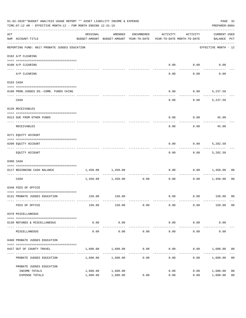|                    | 01-02-2020**BUDGET ANALYSIS USAGE REPORT ** ASSET LIABILITY INCOME & EXPENSE<br>TIME: 07:12 AM - EFFECTIVE MONTH: 12 - FOR MONTH ENDING 12-31-19 |                                                                                 |                     |                     |                        |                     |                                    |                |
|--------------------|--------------------------------------------------------------------------------------------------------------------------------------------------|---------------------------------------------------------------------------------|---------------------|---------------------|------------------------|---------------------|------------------------------------|----------------|
| $\mathop{\rm ACT}$ | NUM ACCOUNT-TITLE                                                                                                                                | ORIGINAL<br>BUDGET-AMOUNT BUDGET-AMOUNT YEAR-TO-DATE YEAR-TO-DATE MONTH-TO-DATE | AMENDED             | ENCUMBERED          | ACTIVITY               | ACTIVITY            | <b>CURRENT USED</b><br>BALANCE PCT |                |
|                    | REPORTING FUND: 0017 PROBATE JUDGES EDUCATION                                                                                                    |                                                                                 |                     |                     |                        |                     | EFFECTIVE MONTH - 12               |                |
|                    | 0102 A/P CLEARING                                                                                                                                |                                                                                 |                     |                     |                        |                     |                                    |                |
|                    | 0100 A/P CLEARING                                                                                                                                |                                                                                 |                     |                     | 0.00                   | 0.00                | 0.00                               |                |
|                    | ---- --------<br>A/P CLEARING                                                                                                                    |                                                                                 |                     |                     | 0.00                   | 0.00                | 0.00                               |                |
|                    | 0103 CASH                                                                                                                                        |                                                                                 |                     |                     |                        |                     |                                    |                |
|                    | 0100 PROB.JUDGES ED.-COMB. FUNDS CKING                                                                                                           |                                                                                 |                     |                     | 0.00                   |                     | $0.00$ 5,237.50                    |                |
|                    | CASH                                                                                                                                             |                                                                                 |                     |                     | 0.00                   | 0.00                | 5,237.50                           |                |
|                    | 0120 RECEIVABLES                                                                                                                                 |                                                                                 |                     |                     |                        |                     |                                    |                |
|                    | 0313 DUE FROM OTHER FUNDS                                                                                                                        |                                                                                 |                     |                     | 0.00                   |                     | $0.00$ 45.00                       |                |
|                    | RECEIVABLES                                                                                                                                      |                                                                                 |                     |                     | 0.00                   | 0.00                | 45.00                              |                |
|                    | 0271 EQUITY ACCOUNT                                                                                                                              |                                                                                 |                     |                     |                        |                     |                                    |                |
|                    | 0200 EQUITY ACCOUNT                                                                                                                              |                                                                                 |                     |                     | 0.00                   | 0.00                | 5,282.50                           |                |
|                    | EQUITY ACCOUNT                                                                                                                                   |                                                                                 |                     |                     | 0.00                   |                     | $0.00$ 5,282.50                    |                |
|                    | 0300 CASH                                                                                                                                        |                                                                                 |                     |                     |                        |                     |                                    |                |
|                    | 0117 BEGINNING CASH BALANCE                                                                                                                      | 1,450.00                                                                        | 1,450.00            |                     | 0.00                   | 0.00                | 1,450.00                           | 00             |
|                    | CASH                                                                                                                                             |                                                                                 | 1,450.00 1,450.00   | -----------<br>0.00 | 0.00                   | 0.00                | 1,450.00                           | 00             |
|                    | 0340 FEES OF OFFICE                                                                                                                              |                                                                                 |                     |                     |                        |                     |                                    |                |
|                    | 0131 PROBATE JUDGES EDUCATION                                                                                                                    |                                                                                 | 150.00 150.00       |                     |                        |                     | $0.00$ $0.00$ $150.00$ 00          |                |
|                    | FEES OF OFFICE                                                                                                                                   | 150.00                                                                          | 150.00              | 0.00                | 0.00                   | 0.00                | 150.00                             | 0 <sub>0</sub> |
|                    | 0370 MISCELLANEOUS                                                                                                                               |                                                                                 |                     |                     |                        |                     |                                    |                |
|                    | 0130 REFUNDS & MISCELLANEOUS                                                                                                                     | 0.00                                                                            | 0.00                |                     | 0.00                   | 0.00                | 0.00                               |                |
|                    | MISCELLANEOUS                                                                                                                                    | 0.00                                                                            | -----------<br>0.00 | 0.00                | --------------<br>0.00 | -----------<br>0.00 | 0.00                               |                |
|                    | 0400 PROBATE JUDGES EDUCATION                                                                                                                    |                                                                                 |                     |                     |                        |                     |                                    |                |
|                    | 0427 OUT OF COUNTY TRAVEL                                                                                                                        | 1,600.00                                                                        | 1,600.00            | 0.00                | 0.00                   |                     | $0.00$ 1,600.00                    | 00             |
|                    | PROBATE JUDGES EDUCATION                                                                                                                         |                                                                                 | 1,600.00 1,600.00   | 0.00                | 0.00                   |                     | 0.00<br>1,600.00                   | 0 <sub>0</sub> |
|                    | PROBATE JUDGES EDUCATION                                                                                                                         |                                                                                 |                     |                     |                        |                     |                                    |                |
|                    | INCOME TOTALS                                                                                                                                    | 1,600.00                                                                        | 1,600.00            |                     | 0.00                   | 0.00                | 1,600.00                           | 0 <sub>0</sub> |
|                    | EXPENSE TOTALS                                                                                                                                   | 1,600.00                                                                        | 1,600.00            | 0.00                | 0.00                   | 0.00                | 1,600.00                           | 0 <sub>0</sub> |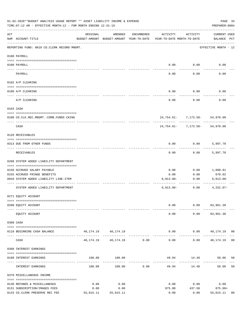|     | 01-02-2020**BUDGET ANALYSIS USAGE REPORT ** ASSET LIABILITY INCOME & EXPENSE<br>TIME: 07:12 AM - EFFECTIVE MONTH: 12 - FOR MONTH ENDING 12-31-19 |           |                                                     |                               |                                        |                                                | PAGE 33<br>PREPARER: 0004    |    |
|-----|--------------------------------------------------------------------------------------------------------------------------------------------------|-----------|-----------------------------------------------------|-------------------------------|----------------------------------------|------------------------------------------------|------------------------------|----|
| ACT | NUM ACCOUNT-TITLE                                                                                                                                | ORIGINAL  | AMENDED<br>BUDGET-AMOUNT BUDGET-AMOUNT YEAR-TO-DATE | ENCUMBERED                    | ACTIVITY<br>YEAR-TO-DATE MONTH-TO-DATE | ACTIVITY                                       | CURRENT USED<br>BALANCE PCT  |    |
|     | REPORTING FUND: 0018 CO.CLERK RECORD MNGMT.                                                                                                      |           |                                                     |                               |                                        |                                                | EFFECTIVE MONTH - 12         |    |
|     | 0100 PAYROLL                                                                                                                                     |           |                                                     |                               |                                        |                                                |                              |    |
|     | 0100 PAYROLL                                                                                                                                     |           |                                                     |                               |                                        | $0.00$ $0.00$                                  | 0.00                         |    |
|     | PAYROLL                                                                                                                                          |           |                                                     |                               | 0.00                                   | 0.00                                           | 0.00                         |    |
|     | 0102 A/P CLEARING                                                                                                                                |           |                                                     |                               |                                        |                                                |                              |    |
|     | 0100 A/P CLEARING                                                                                                                                |           |                                                     |                               | 0.00                                   | 0.00                                           | 0.00                         |    |
|     | A/P CLEARING                                                                                                                                     |           |                                                     |                               | 0.00                                   | 0.00                                           | 0.00                         |    |
|     | 0103 CASH                                                                                                                                        |           |                                                     |                               |                                        |                                                |                              |    |
|     | 0100 CO.CLK.REC.MNGMT.-COMB.FUNDS CKING                                                                                                          |           |                                                     |                               |                                        | 24, 754.61 - 7, 173.58 - 54, 970.00            |                              |    |
|     | CASH                                                                                                                                             |           |                                                     |                               |                                        | ------------<br>24,754.61- 7,173.58- 54,970.00 |                              |    |
|     | 0120 RECEIVABLES                                                                                                                                 |           |                                                     |                               |                                        |                                                |                              |    |
|     | 0313 DUE FROM OTHER FUNDS                                                                                                                        |           |                                                     |                               | 0.00                                   | $0.00$ 5,997.70                                |                              |    |
|     | RECEIVABLES                                                                                                                                      |           |                                                     |                               | 0.00                                   | 0.00                                           | 5,997.70                     |    |
|     | 0200 SYSTEM ADDED LIABILITY DEPARTMENT                                                                                                           |           |                                                     |                               |                                        |                                                |                              |    |
|     | 0150 ACCRUED SALARY PAYABLE                                                                                                                      |           |                                                     |                               | 0.00                                   | 0.00                                           | 1,090.91                     |    |
|     | 0155 ACCRUED FRINGE BENEFITS                                                                                                                     |           |                                                     |                               | 0.00                                   | 0.00                                           | 670.02                       |    |
|     | 0910 SYSTEM ADDED LIABILITY LINE-ITEM                                                                                                            |           |                                                     |                               | $6,013.00-$                            | 0.00<br>------------                           | $6,013.00-$                  |    |
|     | SYSTEM ADDED LIABILITY DEPARTMENT                                                                                                                |           |                                                     |                               | $6,013.00-$                            | 0.00                                           | $4,252.07-$                  |    |
|     | 0271 EQUITY ACCOUNT                                                                                                                              |           |                                                     |                               |                                        |                                                |                              |    |
|     | 0200 EQUITY ACCOUNT                                                                                                                              |           |                                                     |                               | 0.00                                   |                                                | $0.00$ $83,961.38$           |    |
|     | EQUITY ACCOUNT                                                                                                                                   |           |                                                     |                               | 0.00                                   |                                                | $0.00$ $83,961.38$           |    |
|     | 0300 CASH                                                                                                                                        |           |                                                     |                               |                                        |                                                |                              |    |
|     | 0118 BEGINNING CASH BALANCE                                                                                                                      |           | 40, 174. 19 40, 174. 19                             |                               |                                        | . <u>.</u>                                     | $0.00$ $0.00$ $40,174.19$ 00 |    |
|     | CASH                                                                                                                                             |           | 40, 174. 19   40, 174. 19   0.00                    | ----------------------------- | 0.00                                   |                                                | $0.00$ $40,174.19$ 00        |    |
|     | 0360 INTEREST EARNINGS                                                                                                                           |           |                                                     |                               |                                        |                                                |                              |    |
|     | 0100 INTEREST EARNINGS                                                                                                                           |           | 100.00 100.00                                       |                               |                                        |                                                | 49.94 14.48 50.06            | 50 |
|     | INTEREST EARNINGS                                                                                                                                | 100.00    | 100.00                                              | 0.00                          | --------------<br>49.94                | ---------<br>14.48                             | 50.06                        | 50 |
|     | 0370 MISCELLANEOUS INCOME                                                                                                                        |           |                                                     |                               |                                        |                                                |                              |    |
|     | 0130 REFUNDS & MISCELLANEOUS                                                                                                                     | 0.00      | 0.00                                                |                               | 0.00                                   | 0.00                                           | 0.00                         |    |
|     | 0131 SUBSCRIPTION/IMAGES FEES                                                                                                                    | 0.00      | 0.00                                                |                               | 875.00                                 |                                                | 437.50 875.00+               |    |
|     | 0133 CO.CLERK PRESERVE REC FEE                                                                                                                   | 55,015.11 | 55,015.11                                           |                               | 0.00                                   | 0.00                                           | 55,015.11                    | 00 |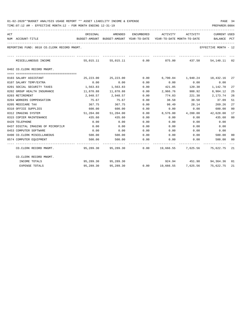| ACT | NUM ACCOUNT-TITLE                           | BUDGET-AMOUNT BUDGET-AMOUNT YEAR-TO-DATE YEAR-TO-DATE MONTH-TO-DATE | ORIGINAL AMENDED        |               | ENCUMBERED ACTIVITY ACTIVITY |                    | <b>CURRENT USED</b><br>BALANCE PCT                                                                      |                |
|-----|---------------------------------------------|---------------------------------------------------------------------|-------------------------|---------------|------------------------------|--------------------|---------------------------------------------------------------------------------------------------------|----------------|
|     | REPORTING FUND: 0018 CO.CLERK RECORD MNGMT. |                                                                     |                         |               |                              |                    | EFFECTIVE MONTH - 12                                                                                    |                |
|     | MISCELLANEOUS INCOME                        |                                                                     |                         |               |                              |                    | 55,015.11 55,015.11 0.00 875.00 437.50 54,140.11 02                                                     |                |
|     | 0402 CO.CLERK RECORD MNGMT.                 |                                                                     |                         |               |                              |                    |                                                                                                         |                |
|     |                                             |                                                                     |                         |               |                              |                    |                                                                                                         |                |
|     | 0103 SALARY ASSISTANT                       |                                                                     | 25, 223, 00 25, 223, 00 | 0.00          |                              |                    | 6,790.84 1,940.24 18,432.16 27                                                                          |                |
|     | 0107 SALARY TEMP/EXTRA                      | 0.00                                                                | 0.00                    | 0.00          | 0.00                         | 0.00               | 0.00                                                                                                    |                |
|     | 0201 SOCIAL SECURITY TAXES                  |                                                                     | 1,563.83 1,563.83       | 0.00          |                              |                    | 421.05 120.30 1,142.78                                                                                  | 27             |
|     | 0202 GROUP HEALTH INSURANCE                 | 11,870.88                                                           | 11,870.88               | 0.00          | 2,966.76                     | 988.92             | 8,904.12                                                                                                | 25             |
|     | 0203 RETIREMENT                             |                                                                     | 2,948.57 2,948.57       | 0.00          | 774.83                       | 221.38             | 2,173.74                                                                                                | 26             |
|     | 0204 WORKERS COMPENSATION                   | 75.67                                                               | 75.67                   | 0.00          | 38.58                        | 38.58              | 37.09                                                                                                   | 51             |
|     | 0205 MEDICARE TAX                           | 367.75                                                              | 367.75                  | 0.00          | 98.49                        | 28.14              | 269.26                                                                                                  | 27             |
|     | 0310 OFFICE SUPPLIES                        |                                                                     | 600.00 600.00           | 0.00          |                              | $0.00$ $0.00$      | 600.00                                                                                                  | 0 <sub>0</sub> |
|     | 0312 IMAGING SYSTEM                         |                                                                     | 51,204.00 51,204.00     | 0.00          |                              |                    | 8,576.00  4,288.00  42,628.00                                                                           | 17             |
|     | 0315 COPIER MAINTENANCE                     | 435.60                                                              | 435.60                  | 0.00          | 0.00                         | 0.00               | 435.60                                                                                                  | 00             |
|     | 0420 TELEPHONE                              | 0.00                                                                | 0.00                    | 0.00          | 0.00                         | 0.00               | 0.00                                                                                                    |                |
|     | 0437 DIGITAL IMAGING OF MICROFILM           | 0.00                                                                | 0.00                    | 0.00          | 0.00                         | 0.00               | 0.00                                                                                                    |                |
|     | 0453 COMPUTER SOFTWARE                      | 0.00                                                                | 0.00                    | 0.00          | 0.00                         | 0.00               | 0.00                                                                                                    |                |
|     | 0490 CO.CLERK MISCELLANEOUS                 |                                                                     | 500.00 500.00           | 0.00          | $0.00$ $0.00$                |                    | 500.00                                                                                                  | 00             |
|     | 0574 COMPUTER EQUIPMENT                     | 500.00                                                              | 500.00                  | 0.00          | 0.00                         | 0.00               | 500.00                                                                                                  | 00             |
|     | CO.CLERK RECORD MNGMT.                      |                                                                     |                         | ------------- |                              |                    | ------------ ------------ -----------<br>95,289.30  95,289.30  0.00  19,666.55  7,625.56  75,622.75  21 |                |
|     | CO.CLERK RECORD MNGMT.                      |                                                                     |                         |               |                              |                    |                                                                                                         |                |
|     | INCOME TOTALS                               |                                                                     | 95,289.30 95,289.30     |               |                              |                    | 924.94 451.98 94,364.36 01                                                                              |                |
|     | <b>EXPENSE TOTALS</b>                       | 95,289.30                                                           | 95,289.30               | 0.00          |                              | 19,666.55 7,625.56 | 75,622.75 21                                                                                            |                |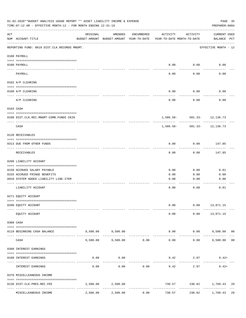|                    | 01-02-2020**BUDGET ANALYSIS USAGE REPORT ** ASSET LIABILITY INCOME & EXPENSE<br>TIME: 07:12 AM - EFFECTIVE MONTH: 12 - FOR MONTH ENDING 12-31-19 |          |                                                     |                      |                                        |                             | PAGE 35<br>PREPARER: 0004   |                |
|--------------------|--------------------------------------------------------------------------------------------------------------------------------------------------|----------|-----------------------------------------------------|----------------------|----------------------------------------|-----------------------------|-----------------------------|----------------|
| $\mathop{\rm ACT}$ | NUM ACCOUNT-TITLE                                                                                                                                | ORIGINAL | AMENDED<br>BUDGET-AMOUNT BUDGET-AMOUNT YEAR-TO-DATE | ENCUMBERED           | ACTIVITY<br>YEAR-TO-DATE MONTH-TO-DATE | ACTIVITY                    | CURRENT USED<br>BALANCE PCT |                |
|                    | REPORTING FUND: 0019 DIST.CLK.RECORDS MNGMT.                                                                                                     |          |                                                     |                      |                                        |                             | EFFECTIVE MONTH - 12        |                |
|                    | 0100 PAYROLL                                                                                                                                     |          |                                                     |                      |                                        |                             |                             |                |
|                    | 0100 PAYROLL                                                                                                                                     |          |                                                     |                      |                                        | $0.00$ 0.00                 | 0.00                        |                |
|                    | PAYROLL                                                                                                                                          |          |                                                     |                      | 0.00                                   | 0.00                        | 0.00                        |                |
|                    | 0102 A/P CLEARING                                                                                                                                |          |                                                     |                      |                                        |                             |                             |                |
|                    | 0100 A/P CLEARING                                                                                                                                |          |                                                     |                      | 0.00                                   | 0.00                        | 0.00                        |                |
|                    | A/P CLEARING                                                                                                                                     |          |                                                     |                      | 0.00                                   | 0.00                        | 0.00                        |                |
|                    | 0103 CASH                                                                                                                                        |          |                                                     |                      |                                        |                             |                             |                |
|                    | 0100 DIST.CLK.REC.MNGMT-COMB.FUNDS CKIN                                                                                                          |          |                                                     |                      |                                        | 1,586.58- 501.33- 12,136.73 |                             |                |
|                    | CASH                                                                                                                                             |          |                                                     |                      | 1,586.58-                              |                             | $501.33 - 12,136.73$        |                |
|                    | 0120 RECEIVABLES                                                                                                                                 |          |                                                     |                      |                                        |                             |                             |                |
|                    | 0313 DUE FROM OTHER FUNDS                                                                                                                        |          |                                                     |                      | 0.00                                   | 0.00                        | 147.85                      |                |
|                    | RECEIVABLES                                                                                                                                      |          |                                                     |                      | 0.00                                   | 0.00                        | 147.85                      |                |
|                    | 0200 LIABILITY ACCOUNT                                                                                                                           |          |                                                     |                      |                                        |                             |                             |                |
|                    | 0150 ACCRUED SALARY PAYABLE                                                                                                                      |          |                                                     |                      | 0.00                                   | 0.00                        | 0.01                        |                |
|                    | 0155 ACCRUED FRINGE BENEFITS                                                                                                                     |          |                                                     |                      | 0.00                                   | 0.00                        | 0.00                        |                |
|                    | 0910 SYSTEM ADDED LIABILITY LINE-ITEM                                                                                                            |          |                                                     |                      | 0.00                                   | 0.00                        | 0.00                        |                |
|                    | LIABILITY ACCOUNT                                                                                                                                |          |                                                     |                      | 0.00                                   | 0.00                        | 0.01                        |                |
|                    | 0271 EQUITY ACCOUNT                                                                                                                              |          |                                                     |                      |                                        |                             |                             |                |
|                    | 0200 EQUITY ACCOUNT                                                                                                                              |          |                                                     |                      | 0.00                                   |                             | $0.00$ 13,871.15            |                |
|                    | EQUITY ACCOUNT                                                                                                                                   |          |                                                     |                      | 0.00                                   |                             | $0.00$ 13,871.15            |                |
|                    | 0300 CASH                                                                                                                                        |          |                                                     |                      |                                        |                             |                             |                |
|                    | 0119 BEGINNING CASH BALANCE                                                                                                                      |          | 9,500.00 9,500.00                                   | .                    |                                        | $0.00$ $0.00$ $9,500.00$ 00 | .                           |                |
|                    | CASH                                                                                                                                             | 9,500.00 | 9,500.00                                            | 0.00                 | 0.00                                   | ----------<br>0.00          | 9,500.00                    | 0 <sub>0</sub> |
|                    | 0360 INTEREST EARNINGS                                                                                                                           |          |                                                     |                      |                                        |                             |                             |                |
|                    | 0100 INTEREST EARNINGS                                                                                                                           | 0.00     | 0.00                                                |                      |                                        | 9.42 2.97                   | $9.42+$                     |                |
|                    | INTEREST EARNINGS                                                                                                                                | 0.00     | 0.00                                                | 0.00                 | 9.42                                   | 2.97                        | $9.42+$                     |                |
|                    | 0370 MISCELLEANEOUS INCOME                                                                                                                       |          |                                                     |                      |                                        |                             |                             |                |
|                    | 0136 DIST.CLK.PRES.REC.FEE                                                                                                                       |          | 2,500.00 2,500.00                                   |                      |                                        | 730.57 230.82 1,769.43      |                             | 29             |
|                    | MISCELLEANEOUS INCOME                                                                                                                            | 2,500.00 | 2,500.00                                            | ------------<br>0.00 | -------------<br>730.57                | 230.82                      | -------------<br>1,769.43   | 29             |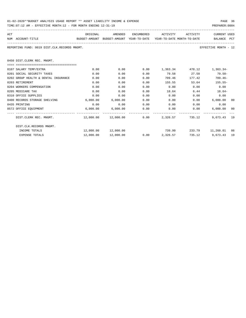| 01-02-2020**BUDGET ANALYSIS USAGE REPORT ** ASSET LIABILITY INCOME & EXPENSE | PAGE 36        |
|------------------------------------------------------------------------------|----------------|
| TIME:07:12 AM - EFFECTIVE MONTH:12 - FOR MONTH ENDING 12-31-19               | PREPARER: 0004 |

| ACT |                                                                                          | ORIGINAL | AMENDED                                        |      |                 | ENCUMBERED ACTIVITY ACTIVITY | <b>CURRENT USED</b>       |  |
|-----|------------------------------------------------------------------------------------------|----------|------------------------------------------------|------|-----------------|------------------------------|---------------------------|--|
|     | NUM ACCOUNT-TITLE<br>BUDGET-AMOUNT BUDGET-AMOUNT YEAR-TO-DATE YEAR-TO-DATE_MONTH-TO-DATE |          |                                                |      |                 |                              | BALANCE PCT               |  |
|     | REPORTING FUND: 0019 DIST.CLK.RECORDS MNGMT.                                             |          |                                                |      |                 |                              | EFFECTIVE MONTH - 12      |  |
|     | 0450 DIST.CLERK REC. MNGMT.                                                              |          |                                                |      |                 |                              |                           |  |
|     |                                                                                          |          |                                                |      |                 |                              |                           |  |
|     | 0107 SALARY TEMP/EXTRA                                                                   | 0.00     | 0.00                                           | 0.00 |                 |                              | 1,363.34 470.12 1,363.34- |  |
|     | 0201 SOCIAL SECURITY TAXES                                                               | 0.00     | 0.00                                           | 0.00 |                 | 79.58 27.50                  | $79.58 -$                 |  |
|     | 0202 GROUP HEALTH & DENTAL INSURANCE                                                     | 0.00     | 0.00                                           | 0.00 | 709.46          | 177.42                       | $709.46 -$                |  |
|     | 0203 RETIREMENT                                                                          | 0.00     | 0.00                                           | 0.00 | 155.55          | 53.64                        | $155.55-$                 |  |
|     | 0204 WORKERS COMPENSATION                                                                | 0.00     | 0.00                                           | 0.00 | 0.00            | 0.00                         | 0.00                      |  |
|     | 0205 MEDICARE TAX                                                                        | 0.00     | 0.00                                           | 0.00 | 18.64           | 6.44                         | $18.64-$                  |  |
|     | 0310 OFFICE SUPPLIES                                                                     | 0.00     | 0.00                                           | 0.00 | 0.00            | 0.00                         | 0.00                      |  |
|     | 0400 RECORDS STORAGE SHELVING                                                            | 6,000.00 | 6,000.00                                       | 0.00 | 0.00            | 0.00                         | $6,000.00$ 00             |  |
|     | 0435 PRINTING                                                                            | 0.00     | 0.00                                           | 0.00 |                 | 0.00<br>0.00                 | 0.00                      |  |
|     | 0572 OFFICE EOUIPMENT                                                                    |          | 6,000.00 6,000.00                              | 0.00 |                 | $0.00$ 0.00                  | $6,000.00$ 00             |  |
|     | DIST.CLERK REC. MNGMT.                                                                   |          | $12,000.00$ $12,000.00$ 0.00 $2,326.57$ 735.12 |      |                 |                              | 9,673.43 19               |  |
|     | DIST.CLK.RECORDS MNGMT.                                                                  |          |                                                |      |                 |                              |                           |  |
|     | INCOME TOTALS                                                                            |          | 12,000.00 12,000.00                            |      | 739.99          |                              | 233.79 11,260.01 06       |  |
|     | <b>EXPENSE TOTALS</b>                                                                    |          | 12,000.00    12,000.00                         |      | $0.00$ 2,326.57 |                              | 735.12 9.673.43 19        |  |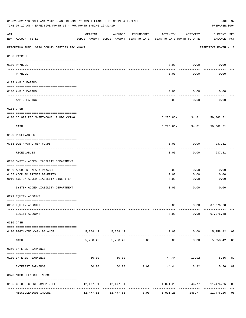| 01-02-2020**BUDGET ANALYSIS USAGE REPORT ** ASSET LIABILITY INCOME & EXPENSE<br>TIME: 07:12 AM - EFFECTIVE MONTH: 12 - FOR MONTH ENDING 12-31-19<br>PREPARER: 0004 |                                                         |           |                                                     |            |                                        |                                   |                             |                |  |  |
|--------------------------------------------------------------------------------------------------------------------------------------------------------------------|---------------------------------------------------------|-----------|-----------------------------------------------------|------------|----------------------------------------|-----------------------------------|-----------------------------|----------------|--|--|
| ACT                                                                                                                                                                | NUM ACCOUNT-TITLE                                       | ORIGINAL  | AMENDED<br>BUDGET-AMOUNT BUDGET-AMOUNT YEAR-TO-DATE | ENCUMBERED | ACTIVITY<br>YEAR-TO-DATE MONTH-TO-DATE | ACTIVITY                          | CURRENT USED<br>BALANCE PCT |                |  |  |
|                                                                                                                                                                    | REPORTING FUND: 0020 COUNTY OFFICES REC.MNGMT.          |           |                                                     |            |                                        |                                   | EFFECTIVE MONTH - 12        |                |  |  |
|                                                                                                                                                                    | 0100 PAYROLL                                            |           |                                                     |            |                                        |                                   |                             |                |  |  |
|                                                                                                                                                                    | 0100 PAYROLL                                            |           |                                                     |            | 0.00                                   | 0.00                              | 0.00                        |                |  |  |
|                                                                                                                                                                    | ---- -------<br>PAYROLL                                 |           |                                                     |            | 0.00                                   | 0.00                              | 0.00                        |                |  |  |
|                                                                                                                                                                    | 0102 A/P CLEARING                                       |           |                                                     |            |                                        |                                   |                             |                |  |  |
|                                                                                                                                                                    | 0100 A/P CLEARING                                       |           |                                                     |            | 0.00                                   | 0.00                              | 0.00                        |                |  |  |
|                                                                                                                                                                    | A/P CLEARING                                            |           |                                                     |            | 0.00                                   | 0.00                              | 0.00                        |                |  |  |
|                                                                                                                                                                    | 0103 CASH                                               |           |                                                     |            |                                        |                                   |                             |                |  |  |
|                                                                                                                                                                    | 0100 CO.OFF.REC.MNGMT-COMB. FUNDS CKING                 |           |                                                     |            |                                        | 6,276.86- 34.81 59,862.51         |                             |                |  |  |
|                                                                                                                                                                    | CASH                                                    |           |                                                     |            |                                        | -----------<br>$6,276.86 - 34.81$ | ---------<br>59,862.51      |                |  |  |
|                                                                                                                                                                    | 0120 RECEIVABLES                                        |           |                                                     |            |                                        |                                   |                             |                |  |  |
|                                                                                                                                                                    | 0313 DUE FROM OTHER FUNDS                               |           |                                                     |            | 0.00                                   | 0.00                              | 937.31                      |                |  |  |
|                                                                                                                                                                    | RECEIVABLES                                             |           |                                                     |            | 0.00                                   | 0.00                              | 937.31                      |                |  |  |
|                                                                                                                                                                    | 0200 SYSTEM ADDED LIABILITY DEPARTMENT                  |           |                                                     |            |                                        |                                   |                             |                |  |  |
|                                                                                                                                                                    | 0150 ACCRUED SALARY PAYABLE                             |           |                                                     |            | 0.00                                   | 0.00                              | 0.00                        |                |  |  |
|                                                                                                                                                                    | 0155 ACCRUED FRINGE BENEFITS                            |           |                                                     |            | 0.00                                   | 0.00                              | 0.00                        |                |  |  |
|                                                                                                                                                                    | 0910 SYSTEM ADDED LIABILITY LINE-ITEM                   |           |                                                     |            | 0.00                                   | 0.00                              | 0.00                        |                |  |  |
|                                                                                                                                                                    | SYSTEM ADDED LIABILITY DEPARTMENT                       |           |                                                     |            | 0.00                                   | 0.00                              | 0.00                        |                |  |  |
|                                                                                                                                                                    | 0271 EQUITY ACCOUNT                                     |           |                                                     |            |                                        |                                   |                             |                |  |  |
|                                                                                                                                                                    | 0200 EQUITY ACCOUNT                                     |           |                                                     |            | 0.00                                   |                                   | $0.00$ 67,076.68            |                |  |  |
|                                                                                                                                                                    | EQUITY ACCOUNT                                          |           |                                                     |            | 0.00                                   | 0.00                              | 67,076.68                   |                |  |  |
|                                                                                                                                                                    | 0300 CASH                                               |           |                                                     |            |                                        |                                   |                             |                |  |  |
|                                                                                                                                                                    | 0120 BEGINNING CASH BALANCE                             |           | 5, 258.42 5, 258.42                                 |            |                                        | $0.00$ $0.00$                     | 5,258.42 00                 |                |  |  |
|                                                                                                                                                                    | CASH                                                    |           | 5,258.42 5,258.42 0.00                              |            | .<br>0.00                              | 0.00                              | --------<br>5,258.42        | 0 <sub>0</sub> |  |  |
|                                                                                                                                                                    | 0360 INTEREST EARNINGS                                  |           |                                                     |            |                                        |                                   |                             |                |  |  |
|                                                                                                                                                                    | 0100 INTEREST EARNINGS                                  | 50.00     | 50.00                                               |            |                                        | 44.44 13.92                       | 5.56                        | 89             |  |  |
|                                                                                                                                                                    | INTEREST EARNINGS                                       | 50.00     | 50.00                                               |            | $0.00$ 44.44                           | 13.92                             | 5.56                        | 89             |  |  |
|                                                                                                                                                                    | 0370 MISCELLENEOUS INCOME                               |           |                                                     |            |                                        |                                   |                             |                |  |  |
|                                                                                                                                                                    | 0135 CO.OFFICE REC.MNGMT.FEE<br>---- ------------------ |           | 12,477.51 12,477.51                                 |            |                                        | 1,001.25 246.77 11,476.26         |                             | 08             |  |  |
|                                                                                                                                                                    | MISCELLENEOUS INCOME                                    | 12,477.51 | 12,477.51                                           | 0.00       | 1,001.25                               | 246.77                            | 11,476.26                   | 08             |  |  |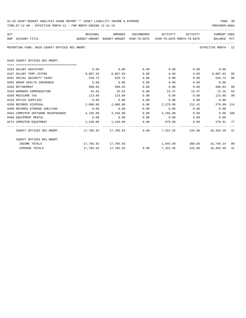| 01-02-2020**BUDGET ANALYSIS USAGE REPORT ** ASSET LIABILITY INCOME & EXPENSE | PAGE 38        |
|------------------------------------------------------------------------------|----------------|
| TIME:07:12 AM - EFFECTIVE MONTH:12 - FOR MONTH ENDING 12-31-19               | PREPARER: 0004 |

|  |  |  | ___ |  |
|--|--|--|-----|--|

| ACT |                                                                                  | ORIGINAL                                                            | AMENDED         |             | ENCUMBERED ACTIVITY ACTIVITY                     |      | <b>CURRENT USED</b>  |    |
|-----|----------------------------------------------------------------------------------|---------------------------------------------------------------------|-----------------|-------------|--------------------------------------------------|------|----------------------|----|
|     | NUM ACCOUNT-TITLE                                                                | BUDGET-AMOUNT BUDGET-AMOUNT YEAR-TO-DATE YEAR-TO-DATE MONTH-TO-DATE |                 |             |                                                  |      | BALANCE PCT          |    |
|     | REPORTING FUND: 0020 COUNTY OFFICES REC.MNGMT.                                   |                                                                     |                 |             |                                                  |      | EFFECTIVE MONTH - 12 |    |
|     | 0449 COUNTY OFFICES REC.MNGMT.                                                   |                                                                     |                 |             |                                                  |      |                      |    |
|     | 0103 SALARY ASSISTANT                                                            | 0.00                                                                | 0.00            | 0.00        |                                                  |      | $0.00$ $0.00$ $0.00$ |    |
|     | 0107 SALARY TEMP./EXTRA                                                          | 8,807.83                                                            | 8,807.83 0.00   |             | 0.00                                             | 0.00 | 8,807.83             | 00 |
|     | 0201 SOCIAL SECURITY TAXES                                                       | 529.75                                                              | 529.75          | 0.00        | $0.00$ and $0.00$                                |      | $0.00$ 529.75        | 00 |
|     | 0202 GROUP HEALTH INSURANCE                                                      | 0.00                                                                | 0.00            | 0.00        | 0.00                                             |      | 0.00<br>0.00         |    |
|     | 0203 RETIREMENT                                                                  | 998.83                                                              | 998.83          | 0.00        | 0.00                                             | 0.00 | 998.83               | 00 |
|     | 0204 WORKERS COMPENSATION                                                        | 25.63                                                               | 25.63           | 0.00        | 13.47                                            |      | 13.47 12.16          | 53 |
|     | 0205 MEDICARE TAX                                                                | 123.89                                                              | 123.89          | 0.00        | $0.00$ 0.00                                      |      | 123.89               | 00 |
|     | 0310 OFFICE SUPPLIES                                                             | 0.00                                                                | 0.00            | 0.00        | $0.00$ $0.00$ $0.00$ $0.00$                      |      |                      |    |
|     | 0350 RECORDS DISPOSAL                                                            | 2,000.00                                                            | $2,000.00$ 0.00 |             | 2,279.09 212.41                                  |      | 279.09-114           |    |
|     | 0400 RECORDS STORAGE SHELVING                                                    | 0.00                                                                | 0.00            | 0.00        | $0.00$ $0.00$ $0.00$ $0.00$                      |      |                      |    |
|     | 0453 COMPUTER SOFTWARE MAINTENANCE                                               | 4,150.00                                                            |                 |             | $4,150.00$ $0.00$ $4,150.00$ $0.00$ $0.00$ $100$ |      |                      |    |
|     | 0460 EQUIPMENT RENTAL                                                            | 0.00                                                                |                 | $0.00$ 0.00 | $0.00$ $0.00$ $0.00$ $0.00$                      |      |                      |    |
|     | 0574 COMPUTER EQUIPMENT                                                          | 1,150.00                                                            | 1,150.00        |             | $0.00$ $879.99$ $0.00$ $270.01$ $77$             |      |                      |    |
|     | COUNTY OFFICES REC.MNGMT. 417,785.93 17,785.93 0.00 7,322.55 225.88 10,463.38 41 |                                                                     |                 |             |                                                  |      |                      |    |
|     | COUNTY OFFICES REC.MNGMT.                                                        |                                                                     |                 |             |                                                  |      |                      |    |
|     | INCOME TOTALS                                                                    |                                                                     |                 |             | 1,045.69 260.69 16,740.24 06                     |      |                      |    |
|     | <b>EXPENSE TOTALS</b>                                                            |                                                                     |                 |             | $17,785.93$ $17,785.93$ 0.00 7,322.55            |      | 225.88 10,463.38 41  |    |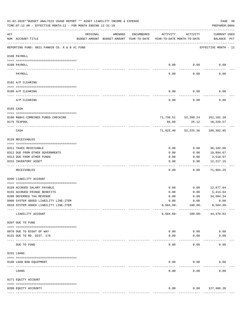|     | 01-02-2020**BUDGET ANALYSIS USAGE REPORT ** ASSET LIABILITY INCOME & EXPENSE<br>TIME: 07:12 AM - EFFECTIVE MONTH: 12 - FOR MONTH ENDING 12-31-19 |          |                                                     |               |                                        |                                | PAGE 39<br>PREPARER: 0004           |
|-----|--------------------------------------------------------------------------------------------------------------------------------------------------|----------|-----------------------------------------------------|---------------|----------------------------------------|--------------------------------|-------------------------------------|
| ACT | NUM ACCOUNT-TITLE                                                                                                                                | ORIGINAL | AMENDED<br>BUDGET-AMOUNT BUDGET-AMOUNT YEAR-TO-DATE | ENCUMBERED    | ACTIVITY<br>YEAR-TO-DATE MONTH-TO-DATE | ACTIVITY                       | <b>CURRENT USED</b><br>BALANCE PCT  |
|     | REPORTING FUND: 0021 FANNIN CO. R & B #1 FUND                                                                                                    |          |                                                     |               |                                        |                                | EFFECTIVE MONTH - 12                |
|     | 0100 PAYROLL                                                                                                                                     |          |                                                     |               |                                        |                                |                                     |
|     | 0100 PAYROLL                                                                                                                                     |          |                                                     |               | 0.00                                   | 0.00                           | 0.00                                |
|     | PAYROLL                                                                                                                                          |          |                                                     |               | 0.00                                   | 0.00                           | 0.00                                |
|     | 0102 A/P CLEARING                                                                                                                                |          |                                                     |               |                                        |                                |                                     |
|     | 0100 A/P CLEARING                                                                                                                                |          |                                                     |               | 0.00                                   | 0.00                           | 0.00                                |
|     | A/P CLEARING                                                                                                                                     |          |                                                     |               | 0.00                                   | 0.00                           | 0.00                                |
|     | 0103 CASH                                                                                                                                        |          |                                                     |               |                                        |                                |                                     |
|     | 0100 R&B#1-COMBINED FUNDS CHECKING                                                                                                               |          |                                                     |               |                                        | 71,738.51 52,200.24 162,162.28 |                                     |
|     | 0175 TEXPOOL                                                                                                                                     |          |                                                     |               | 86.89                                  | 25.12                          | 18,220.57                           |
|     | CASH                                                                                                                                             |          |                                                     |               |                                        | 71,825.40 52,225.36            | 180,382.85                          |
|     | 0120 RECEIVABLES                                                                                                                                 |          |                                                     |               |                                        |                                |                                     |
|     | 0311 TAXES RECEIVABLE                                                                                                                            |          |                                                     |               | 0.00                                   | 0.00                           | 36,182.06                           |
|     | 0312 DUE FROM OTHER GOVERNMENTS                                                                                                                  |          |                                                     |               | 0.00                                   | 0.00                           | 19,994.07                           |
|     | 0313 DUE FROM OTHER FUNDS                                                                                                                        |          |                                                     |               | 0.00                                   | 0.00                           | 3,510.97                            |
|     | 0315 INVENTORY ASSET                                                                                                                             |          |                                                     |               | 0.00                                   | 0.00                           | 12, 217.15<br>----------            |
|     | RECEIVABLES                                                                                                                                      |          |                                                     |               | 0.00                                   | 0.00                           | 71,904.25                           |
|     | 0200 LIABILITY ACCOUNT                                                                                                                           |          |                                                     |               |                                        |                                |                                     |
|     | 0150 ACCRUED SALARY PAYABLE                                                                                                                      |          |                                                     |               | 0.00                                   | 0.00                           | 12,877.04                           |
|     | 0155 ACCRUED FRINGE BENEFITS                                                                                                                     |          |                                                     |               | 0.00                                   | 0.00                           | 5,414.04                            |
|     | 0200 DEFERRED TAX REVENUE                                                                                                                        |          |                                                     |               | 0.00                                   | 0.00                           | 34,684.34                           |
|     | 0900 SYSTEM ADDED LIABILITY LINE-ITEM                                                                                                            |          |                                                     |               | 0.00                                   | 0.00                           | 0.00                                |
|     | 0910 SYSTEM ADDED LIABILITY LINE-ITEM                                                                                                            |          |                                                     |               | $8,504.60 -$                           | $100.00 -$                     | $8,504.60 -$                        |
|     | LIABILITY ACCOUNT                                                                                                                                |          |                                                     |               | $8,504.60 -$                           | $100.00 -$                     | 44,470.82                           |
|     | 0207 DUE TO FUND                                                                                                                                 |          |                                                     |               |                                        |                                |                                     |
|     | 0070 DUE TO RIGHT OF WAY                                                                                                                         |          |                                                     |               | 0.00                                   | 0.00                           | 0.00                                |
|     | 0131 DUE TO RD. DIST. 17A                                                                                                                        |          |                                                     |               | 0.00                                   | 0.00                           | 0.00                                |
|     | DUE TO FUND                                                                                                                                      |          |                                                     |               | 0.00                                   | 0.00                           | 0.00                                |
|     | 0231 LOANS                                                                                                                                       |          |                                                     |               |                                        |                                |                                     |
|     | 0100 LOAN BSB EQUIPMENT                                                                                                                          |          |                                                     |               | 0.00                                   | 0.00                           | 0.00                                |
|     | LOANS                                                                                                                                            |          |                                                     |               | 0.00                                   | 0.00                           | 0.00                                |
|     | 0271 EQUITY ACCOUNT                                                                                                                              |          |                                                     |               |                                        |                                |                                     |
|     |                                                                                                                                                  |          |                                                     |               |                                        |                                |                                     |
|     | 0200 EQUITY ACCOUNTY                                                                                                                             |          |                                                     | ------------- | 0.00<br>-------------                  | ------------                   | $0.00$ 127,486.28<br>-------------- |
|     |                                                                                                                                                  |          |                                                     |               |                                        |                                |                                     |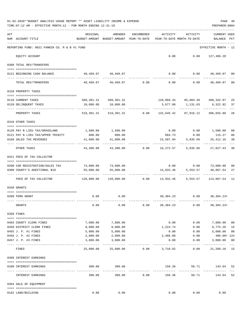|     | 01-02-2020**BUDGET ANALYSIS USAGE REPORT ** ASSET LIABILITY INCOME & EXPENSE<br>TIME: 07:12 AM - EFFECTIVE MONTH: 12 - FOR MONTH ENDING 12-31-19 |                                                      |                                                            |            |                                        |                                                               | PREPARER: 0004                        | PAGE 40       |
|-----|--------------------------------------------------------------------------------------------------------------------------------------------------|------------------------------------------------------|------------------------------------------------------------|------------|----------------------------------------|---------------------------------------------------------------|---------------------------------------|---------------|
| ACT | NUM ACCOUNT-TITLE                                                                                                                                | ORIGINAL<br>BUDGET-AMOUNT BUDGET-AMOUNT YEAR-TO-DATE | AMENDED                                                    | ENCUMBERED | ACTIVITY<br>YEAR-TO-DATE MONTH-TO-DATE | ACTIVITY                                                      | <b>CURRENT USED</b><br><b>BALANCE</b> | PCT           |
|     | REPORTING FUND: 0021 FANNIN CO. R & B #1 FUND                                                                                                    |                                                      |                                                            |            |                                        |                                                               | EFFECTIVE MONTH - 12                  |               |
|     | EQUITY ACCOUNT                                                                                                                                   |                                                      |                                                            |            |                                        | $0.00$ $0.00$ $127,486.28$                                    |                                       |               |
|     | 0300 TOTAL REV/TRANSFERS                                                                                                                         |                                                      |                                                            |            |                                        |                                                               |                                       |               |
|     | 0121 BEGINNING CASH BALANCE                                                                                                                      |                                                      | 40,469.07 40,469.07                                        |            |                                        | $0.00$ $0.00$ $40,469.07$ 00                                  |                                       |               |
|     | TOTAL REV/TRANSFERS                                                                                                                              |                                                      | $40,469.07$ $40,469.07$ $0.00$ $0.00$                      |            |                                        | 0.00                                                          | 40,469.07                             | 00            |
|     | 0310 PROPERTY TAXES                                                                                                                              |                                                      |                                                            |            |                                        |                                                               |                                       |               |
|     |                                                                                                                                                  |                                                      |                                                            |            |                                        |                                                               |                                       |               |
|     | 0110 CURRENT TAXES<br>0120 DELINQUENT TAXES                                                                                                      | 10,000.00                                            | 509,301.31 509,301.31<br>10,000.00                         |            |                                        | 128,968.34 85,884.49 380,332.97<br>3,677.08 1,131.63 6,322.92 |                                       | 25<br>37      |
|     | PROPERTY TAXES                                                                                                                                   |                                                      | 519,301.31 519,301.31 0.00 132,645.42 87,016.12 386,655.89 |            | <u>.</u>                               | ------------                                                  |                                       | 26            |
|     | 0318 OTHER TAXES                                                                                                                                 |                                                      |                                                            |            |                                        |                                                               |                                       |               |
|     |                                                                                                                                                  |                                                      |                                                            |            |                                        |                                                               |                                       |               |
|     | 0120 PAY N LIEU TAX/GRASSLAND<br>0121 PAY N LIEU TAX/UPPER TRINITY                                                                               | 800.00                                               | 1,500.00 1,500.00<br>800.00                                |            |                                        | $0.00$ $0.00$ $1,500.00$<br>684.73 0.00 115.27                |                                       | 00<br>86      |
|     | 0160 SALES TAX REVENUES                                                                                                                          | 41,000.00                                            | 41,000.00                                                  |            | 15,587.84                              | 5,035.66                                                      | 25,412.16                             | 38            |
|     | OTHER TAXES                                                                                                                                      | ----------<br>43,300.00                              |                                                            |            |                                        |                                                               |                                       | 38            |
|     | 0321 FEES OF TAX COLLECTOR                                                                                                                       |                                                      |                                                            |            |                                        |                                                               |                                       |               |
|     |                                                                                                                                                  |                                                      |                                                            |            |                                        | $0.00$ $0.00$ $73,000.00$                                     |                                       |               |
|     | 0200 CAR REGISTRATION/SALES TAX<br>0300 COUNTY'S ADDITIONAL \$10                                                                                 | 55,000.00                                            | 73,000.00 73,000.00<br>55,000.00                           |            |                                        | 14,932.46 5,553.57                                            | 40,067.54                             | 00<br>27      |
|     |                                                                                                                                                  |                                                      |                                                            |            |                                        |                                                               |                                       |               |
|     | FEES OF TAX COLLECTOR                                                                                                                            |                                                      | $128,000.00$ $128,000.00$ 0.00 $14,932.46$ 5,553.57        |            |                                        |                                                               | 113,067.54 12                         |               |
|     | 0330 GRANTS                                                                                                                                      |                                                      |                                                            |            |                                        |                                                               |                                       |               |
|     |                                                                                                                                                  |                                                      |                                                            |            |                                        |                                                               |                                       |               |
|     | 0200 FEMA GRANT                                                                                                                                  |                                                      | $0.00$ 0.00                                                |            |                                        | 38, 384. 23 0.00 38, 384. 23+                                 |                                       |               |
|     | GRANTS                                                                                                                                           | 0.00                                                 | 0.00                                                       | 0.00       | 38,384.23                              | 0.00                                                          | $38,384.23+$                          |               |
|     | 0350 FINES                                                                                                                                       |                                                      |                                                            |            |                                        |                                                               |                                       |               |
|     | 0403 COUNTY CLERK FINES                                                                                                                          | 7,000.00                                             | 7,000.00                                                   |            | 0.00                                   | 0.00                                                          | 7,000.00                              | 00            |
|     | 0450 DISTRICT CLERK FINES                                                                                                                        | 8,000.00                                             | 8,000.00                                                   |            | 1,224.74                               | 0.00                                                          | 6,775.26                              | 15            |
|     | 0455 J. P. #1 FINES                                                                                                                              | 5,000.00                                             | 5,000.00                                                   |            | 0.00                                   | 0.00                                                          | 5,000.00                              | 00            |
|     | 0456 J. P. #2 FINES                                                                                                                              | 2,000.00                                             | 2,000.00                                                   |            | 2,486.08                               | 0.00                                                          | $486.08 + 124$                        |               |
|     | 0457 J. P. #3 FINES                                                                                                                              | 3,000.00                                             | 3,000.00                                                   |            | 0.00                                   | 0.00                                                          | 3,000.00                              | 00<br>$- - -$ |
|     | FINES                                                                                                                                            | 25,000.00                                            | 25,000.00                                                  |            | $0.00$ $3,710.82$                      | 0.00                                                          | 21,289.18 15                          |               |
|     | 0360 INTEREST EARNINGS                                                                                                                           |                                                      |                                                            |            |                                        |                                                               |                                       |               |
|     | 0100 INTEREST EARNINGS                                                                                                                           | 300.00                                               | 300.00                                                     |            | 156.36<br>--------------               | 50.71<br>-------------                                        | 143.64 52<br>--------------           |               |
|     | --- --------------------<br>INTEREST EARNINGS                                                                                                    | 300.00                                               | -------------<br>300.00                                    | 0.00       | 156.36                                 | 50.71                                                         | 143.64                                | 52            |
|     | 0364 SALE OF EQUIPMENT                                                                                                                           |                                                      |                                                            |            |                                        |                                                               |                                       |               |
|     | 0162 LAND/BUILDING                                                                                                                               | 0.00                                                 | 0.00                                                       |            | 0.00                                   | 0.00                                                          | 0.00                                  |               |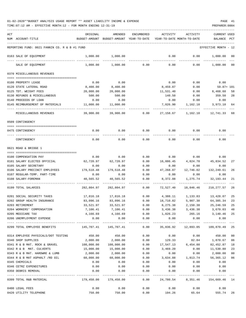| ACT |                                                | ORIGINAL                                                              | AMENDED                                                               | ENCUMBERED            | ACTIVITY          | ACTIVITY    | <b>CURRENT USED</b>                        |          |
|-----|------------------------------------------------|-----------------------------------------------------------------------|-----------------------------------------------------------------------|-----------------------|-------------------|-------------|--------------------------------------------|----------|
|     | NUM ACCOUNT-TITLE                              |                                                                       | BUDGET-AMOUNT BUDGET-AMOUNT YEAR-TO-DATE YEAR-TO-DATE MONTH-TO-DATE   |                       |                   |             | BALANCE                                    | PCT      |
|     |                                                |                                                                       |                                                                       |                       |                   |             |                                            |          |
|     | REPORTING FUND: 0021 FANNIN CO. R & B #1 FUND  |                                                                       |                                                                       |                       |                   |             | EFFECTIVE MONTH - 12                       |          |
|     | 0163 SALE OF EQUIPMENT                         | 1,000.00                                                              | 1,000.00                                                              |                       | 0.00              | 0.00        | 1,000.00                                   | 00       |
|     | SALE OF EQUIPMENT                              | 1,000.00                                                              | 1,000.00                                                              | 0.00                  | 0.00              | 0.00        | 1,000.00 00                                |          |
|     | 0370 MISCELLANEOUS REVENUES                    |                                                                       |                                                                       |                       |                   |             |                                            |          |
|     |                                                |                                                                       |                                                                       |                       |                   |             |                                            |          |
|     | 0100 PROPERTY LEASE                            | 0.00                                                                  | 0.00                                                                  |                       | 0.00              | 0.00        | 0.00                                       |          |
|     | 0120 STATE LATERAL ROAD                        | 8,400.00                                                              | 8,400.00                                                              |                       | 8,459.87          | 0.00        | 59.87+ 101                                 |          |
|     | 0125 TDT. WEIGHT FEES                          | 20,000.00                                                             | 20,000.00                                                             |                       | 11,531.40         | 0.00        | 8,468.60                                   | 58       |
|     | 0130 REFUNDS & MISCELLANEOUS                   | 500.00                                                                | 500.00                                                                |                       | 140.50            | 0.00        | 359.50                                     | 28       |
|     | 0140 PROCEEDS OF LOAN                          | 0.00                                                                  | 0.00                                                                  |                       | 0.00              | 0.00        | 0.00                                       |          |
|     | 0145 REIMBURSEMENT OF MATERIALS                | 11,000.00                                                             | 11,000.00                                                             |                       | 7,026.90          |             | 1, 162. 10 3, 973. 10                      | 64       |
|     | MISCELLANEOUS REVENUES                         | 39,900.00                                                             | 39,900.00                                                             | 0.00                  | 27,158.67         | 1,162.10    | 12,741.33 68                               |          |
|     | 0509 CONTINGENCY                               |                                                                       |                                                                       |                       |                   |             |                                            |          |
|     | 0475 CONTINGENCY                               | 0.00                                                                  | 0.00                                                                  | 0.00                  | 0.00              | 0.00        | 0.00                                       |          |
|     |                                                |                                                                       |                                                                       |                       |                   |             |                                            |          |
|     | CONTINGENCY                                    | 0.00                                                                  | 0.00                                                                  | 0.00                  | 0.00              | 0.00        | 0.00                                       |          |
|     | 0621 ROAD & BRIDGE 1                           |                                                                       |                                                                       |                       |                   |             |                                            |          |
|     | 0100 COMPENSATION PAY                          | 0.00                                                                  | 0.00                                                                  | 0.00                  | 0.00              | 0.00        | 0.00                                       |          |
|     | 0101 SALARY ELECTED OFFICIAL                   | 62,720.97                                                             | 62,720.97                                                             | 0.00                  | 16,886.45         | 4,824.70    | 45,834.52                                  | 27       |
|     | 0105 SALARY SECRETARY                          | 0.00                                                                  | 0.00                                                                  | 0.00                  | 0.00              | 0.00        | 0.00                                       |          |
|     | 0106 SALARY PRECINCT EMPLOYEES                 | 179,518.48                                                            | 179,518.48                                                            | 0.00                  | 47,268.87         | 12,746.02   | 132,249.61                                 | 26       |
|     | 0107 REGULAR-TEMP. PART-TIME                   | 0.00                                                                  | 0.00                                                                  | 0.00                  | 0.00              | 0.00        | 0.00                                       |          |
|     | 0108 SALARY-FOREMAN                            | 40,565.52                                                             | 40,565.52                                                             | 0.00                  | 8,372.08          | 1,275.74    | 32,193.44                                  | 21       |
|     | 0199 TOTAL SALARIES                            | 282,804.97                                                            | 282,804.97                                                            | --------<br>0.00      | 72,527.40         | 18,846.46   | 210, 277.57                                | 26       |
|     |                                                |                                                                       |                                                                       |                       |                   |             |                                            |          |
|     | 0201 SOCIAL SECURITY TAXES                     | 17,816.18                                                             | 17,816.18                                                             |                       |                   |             | $0.00$ $4,388.11$ $1,133.83$ $13,428.07$   | 25       |
|     | 0202 GROUP HEALTH INSURANCE<br>0203 RETIREMENT | 83,096.16                                                             | 83,096.16                                                             | 0.00                  | 18,710.82         | 5,907.30    | 64,385.34<br>25, 246.59                    | 23<br>25 |
|     | 0204 WORKERS' COMPENSATION                     | 33,521.97                                                             | 33,521.97<br>7,106.41 7,106.41                                        | 0.00                  | 8,275.38          | 2,150.38    | $0.00$ $3,436.38$ $3,436.38$ $3,670.03$ 48 |          |
|     | 0205 MEDICARE TAX                              | 4,166.69                                                              | 4,166.69                                                              |                       | $0.00$ $1,026.23$ | 265.16      | 3, 140. 46 25                              |          |
|     | 0206 UNEMPLOYMENT EXPENSE                      | 0.00                                                                  | 0.00                                                                  | 0.00                  | 0.00              | 0.00        | 0.00                                       |          |
|     |                                                | -------------                                                         | -------------                                                         | ------------          |                   |             |                                            |          |
|     | 0299 TOTAL EMPLOYEE BENEFITS                   | $145,707.41$ $145,707.41$ $0.00$ $35,836.92$ $12,893.05$ $109,870.49$ |                                                                       |                       |                   |             |                                            | 25       |
|     | 0314 EMPLOYEE PHYSICALS/DOT TESTING            | 450.00                                                                | 450.00                                                                | 0.00                  | 0.00              | 0.00        | 450.00                                     | 00       |
|     | 0340 SHOP SUPPLIES                             | 2,000.00                                                              | 2,000.00                                                              | 0.00                  | 129.33            |             | 82.84 1,870.67                             | 06       |
|     | 0341 R & B MAT. ROCK & GRAVEL 100,000.00       |                                                                       | 100,000.00                                                            |                       |                   |             | $0.00$ 17,547.13 6,454.88 82,452.87        | 18       |
|     | 0342 R & B MAT. CULVERTS                       | 15,000.00                                                             | 15,000.00                                                             | 0.00                  | 3,469.20          | 0.00        | 11,530.80                                  | 23       |
|     | 0343 R & B MAT. HARDWRE & LUMB                 | 2,000.00                                                              | 2,000.00                                                              | 0.00                  | 0.00              | 0.00        | 2,000.00                                   | $00\,$   |
|     | 0344 R & B MAT ASPHALT /RD OIL                 | 60,000.00                                                             | 60,000.00                                                             | 0.00                  | 3,634.88          | 1,813.74    | 56,365.12                                  | 06       |
|     | 0345 CHEMICALS                                 | 0.00                                                                  | 0.00                                                                  | 0.00                  | 0.00              | 0.00        | 0.00                                       |          |
|     | 0346 CETRZ EXPENDITURES                        | 0.00                                                                  | 0.00                                                                  | 0.00                  | 0.00              | 0.00        | 0.00                                       |          |
|     | 0350 DEBRIS REMOVAL                            | 0.00                                                                  | 0.00                                                                  | 0.00<br>------------- | 0.00              | 0.00        | 0.00                                       |          |
|     | 0399 TOTAL R&B MATERIAL                        |                                                                       | 179,450.00 179,450.00   0.00   24,780.54   8,351.46   154,669.46   14 |                       |                   |             |                                            |          |
|     | 0400 LEGAL FEES                                | 0.00                                                                  | 0.00                                                                  | 0.00                  |                   | $0.00$ 0.00 | 0.00                                       |          |
|     | 0420 UTILITY TELEPHONE                         | 750.00                                                                | 750.00                                                                | 0.00                  | 194.26            |             | 65.64 555.74 26                            |          |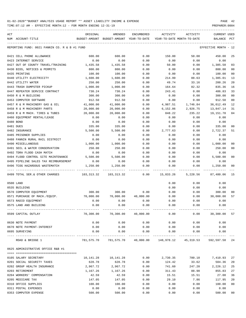TIME:07:12 AM - EFFECTIVE MONTH:12 - FOR MONTH ENDING 12-31-19 PREPARER:0004

| ACT |                                                          | ORIGINAL   | AMENDED                                  | <b>ENCUMBERED</b> | ACTIVITY                   | ACTIVITY                                                           | <b>CURRENT USED</b>  |                |
|-----|----------------------------------------------------------|------------|------------------------------------------|-------------------|----------------------------|--------------------------------------------------------------------|----------------------|----------------|
|     | NUM ACCOUNT-TITLE                                        |            | BUDGET-AMOUNT BUDGET-AMOUNT YEAR-TO-DATE |                   | YEAR-TO-DATE MONTH-TO-DATE |                                                                    | BALANCE PCT          |                |
|     |                                                          |            |                                          |                   |                            |                                                                    |                      |                |
|     | REPORTING FUND: 0021 FANNIN CO. R & B #1 FUND            |            |                                          |                   |                            |                                                                    | EFFECTIVE MONTH - 12 |                |
|     | 0421 CELL PHONE ALLOWANCE                                | 600.00     | 600.00                                   | 0.00              | 150.00                     | 50.00                                                              | 450.00               | 25             |
|     | 0423 INTERNET SERVICE                                    | 0.00       | 0.00                                     | 0.00              | 0.00                       | 0.00                                                               | 0.00                 |                |
|     | 0427 OUT OF COUNTY TRAVEL/TRAINING                       | 1,435.58   | 1,435.58                                 | 0.00              | 50.00                      | 0.00                                                               | 1,385.58             | 03             |
|     | 0430 BIDS, NOTICES & PERMITS                             | 800.00     | 800.00                                   | 0.00              | 0.00                       | 0.00                                                               | 800.00               | 0 <sub>0</sub> |
|     | 0435 PRINTING                                            | 100.00     | 100.00                                   | 0.00              | 0.00                       | 0.00                                                               | 100.00               | 0 <sub>0</sub> |
|     | 0440 UTILITY ELECTRICITY                                 | 1,600.00   | 1,600.00                                 | 0.00              | 214.99                     | 88.63                                                              | 1,385.01             | 13             |
|     | 0442 UTILITY WATER                                       | 250.00     | 250.00                                   | 0.00              | 49.74                      | 33.16                                                              | 200.26               | 20             |
|     | 0443 TRASH DUMPSTER PICKUP                               | 1,000.00   | 1,000.00                                 | 0.00              | 164.64                     | 82.32                                                              | 835.36               | 16             |
|     | 0447 REPEATER SERVICE CONTRACT                           | 730.24     | 730.24                                   | 0.00              | 243.41                     | 0.00                                                               | 486.83               | 33             |
|     | 0450 R & M BUILDING                                      | 300.00     | 300.00                                   | 0.00              | 0.00                       | 0.00                                                               | 300.00               | 0 <sub>0</sub> |
|     | 0453 COMPUTER SOFTWARE                                   | 912.50     | 912.50                                   | 0.00              | 0.00                       | 0.00                                                               | 912.50               | 0 <sub>0</sub> |
|     | 0457 R & M MACHINERY GAS & OIL                           | 41,000.00  | 41,000.00                                | 0.00              | 4,987.51                   | 1,746.84                                                           | 36,012.49            | 12             |
|     | 0458 R & M MACHINERY PARTS                               | 20,000.00  | 20,000.00                                | 0.00              | 6,152.86                   | 2,926.75                                                           | 13,847.14            | 31             |
|     | 0459 R & M MACH. TIRES & TUBES                           | 20,000.00  | 20,000.00                                | 0.00              | 848.22                     | 235.22                                                             | 19,151.78            | 04             |
|     |                                                          |            |                                          |                   |                            |                                                                    |                      |                |
|     | 0460 EQUIPMENT RENTAL/LEASE                              | 0.00       | 0.00                                     | 0.00              | 0.00                       | 0.00                                                               | 0.00                 |                |
|     | 0480 BOND                                                | 0.00       | 0.00                                     | 0.00              | 0.00                       | 0.00                                                               | 0.00                 |                |
|     | 0481 DUES                                                | 335.00     | 335.00                                   | 0.00              | 0.00                       | 0.00                                                               | 335.00               | 00             |
|     | 0482 INSURANCE                                           | 5,500.00   | 5,500.00                                 | 0.00              | 2,777.63                   | 0.00                                                               | 2,722.37             | 51             |
|     | 0485 PRISONER SUPPLIES                                   | 0.00       | 0.00                                     | 0.00              | 0.00                       | 0.00                                                               | 0.00                 |                |
|     | 0488 FANNIN RURAL RAIL DISTRICT                          | 0.00       | 0.00                                     | 0.00              | 0.00                       | 0.00                                                               | 0.00                 |                |
|     | 0490 MISCELLANEOUS                                       | 1,000.00   | 1,000.00                                 | 0.00              | 0.00                       | 0.00                                                               | 1,000.00             | 00             |
|     | 0491 SOIL & WATER CONSERVATION                           | 250.00     | 250.00                                   | 0.00              | 0.00                       | 0.00                                                               | 250.00               | 0 <sub>0</sub> |
|     | 0492 TDRA FLOOD CASH MATCH                               | 0.00       | 0.00                                     | 0.00              | 0.00                       | 0.00                                                               | 0.00                 |                |
|     | 0494 FLOOD CONTROL SITE MAINTENANCE                      | 5,500.00   | 5,500.00                                 | 0.00              | 0.00                       | 0.00                                                               | 5,500.00             | 0 <sub>0</sub> |
|     | 0495 PIPELINE SALES TAX REIMBURSEMENT                    | 0.00       | 0.00                                     | 0.00              | 0.00                       | 0.00                                                               | 0.00                 |                |
|     | 0496 TCOG HAZARDOUS WASTEMATCH                           | 1,250.00   | 1,250.00                                 | 0.00              | 0.00                       | 0.00                                                               | 1,250.00             | 0 <sub>0</sub> |
|     | ---------------------<br>0499 TOTAL SER. & OTHER CHARGES | 103,313.32 | 103,313.32                               | 0.00              | 15,833.26                  | 5,228.56                                                           | 87,480.06            | 15             |
|     | 0500 LAND                                                |            |                                          |                   | 0.00                       | 0.00                                                               | 0.00                 |                |
|     | 0535 BUILDING                                            |            |                                          |                   | 0.00                       | 0.00                                                               | 0.00                 |                |
|     | 0570 COMPUTER EQUIPMENT                                  | 300.00     | 300.00                                   | 0.00              | 0.00                       | 0.00                                                               | 300.00               | 00             |
|     | 0571 PURCHASE OF MACH./EQUIP.                            | 70,000.00  | 70,000.00                                | 40,000.00         | 0.00                       | 0.00                                                               | 30,000.00            | 57             |
|     | 0573 RADIO EQUIPMENT                                     | 0.00       | 0.00                                     | 0.00              | 0.00                       | 0.00                                                               | 0.00                 |                |
|     | 0575 LAND AND BUILDING                                   | 0.00       | 0.00                                     | 0.00              | 0.00                       | 0.00                                                               | 0.00                 |                |
|     |                                                          |            |                                          |                   |                            |                                                                    |                      |                |
|     | 0599 CAPITAL OUTLAY                                      |            | 70,300.00 70,300.00 40,000.00            |                   |                            | 0.00                                                               | $0.00$ 30,300.00     | 57             |
|     | 0630 NOTE PAYMENT                                        | 0.00       | 0.00                                     | 0.00              | 0.00                       | 0.00                                                               | 0.00                 |                |
|     | 0670 NOTE PAYMENT-INTEREST                               | 0.00       | 0.00                                     | 0.00              | 0.00                       | 0.00                                                               | 0.00                 |                |
|     | 0695 SURVEYING                                           | 0.00       | 0.00                                     | 0.00              | 0.00                       | 0.00                                                               | 0.00                 |                |
|     | ROAD & BRIDGE 1                                          |            |                                          |                   |                            | 781,575.70 781,575.70 40,000.00 148,978.12 45,319.53 592,597.58 24 |                      |                |
|     | 0625 ADMINISTRATIVE OFFICE R&B #1                        |            |                                          |                   |                            |                                                                    |                      |                |
|     |                                                          |            |                                          |                   |                            |                                                                    |                      |                |
|     | 0105 SALARY SECRETARY                                    |            | 10,141.28    10,141.28                   |                   |                            | $0.00$ 2,730.35 780.10                                             | 7,410.93             | 27             |
|     | 0201 SOCIAL SECURITY TAXES                               | 628.78     | 628.78                                   | 0.00              | 124.42                     | 33.62                                                              | 504.36               | 20             |
|     | 0202 GROUP HEALTH INSURANCE                              | 2,967.72   | 2,967.72                                 | 0.00              | 741.60                     | 247.20                                                             | 2,226.12             | 25             |
|     | 0203 RETIREMENT                                          | 1,167.26   | 1,167.26                                 | 0.00              | 311.43                     | 88.98                                                              | 855.83               | 27             |
|     | 0204 WORKERS' COMPENSATION                               | 42.59      | 42.59                                    | 0.00              | 15.51                      | 15.51                                                              | 27.08                | 36             |
|     | 0205 MEDICARE TAX                                        | 147.05     | 147.05                                   | 0.00              | 29.10                      | 7.86                                                               | 117.95               | 20             |
|     | 0310 OFFICE SUPPLIES                                     | 100.00     | 100.00                                   | 0.00              | 0.00                       | 0.00                                                               | 100.00               | 0 <sub>0</sub> |
|     | 0311 POSTAL EXPENSES                                     | 0.00       | 0.00                                     | 0.00              | 0.00                       | 0.00                                                               | 0.00                 |                |
|     |                                                          |            |                                          |                   |                            |                                                                    |                      |                |

0353 COMPUTER EXPENSE 500.00 500.00 0.00 0.00 0.00 500.00 00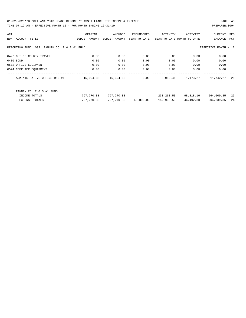| ACT |                                                                       | ORIGINAL      | AMENDED       | ENCUMBERED   | ACTIVITY                   | ACTIVITY  | <b>CURRENT USED</b> |     |  |  |  |
|-----|-----------------------------------------------------------------------|---------------|---------------|--------------|----------------------------|-----------|---------------------|-----|--|--|--|
| NUM | ACCOUNT-TITLE                                                         | BUDGET-AMOUNT | BUDGET-AMOUNT | YEAR-TO-DATE | YEAR-TO-DATE MONTH-TO-DATE |           | BALANCE             | PCT |  |  |  |
|     |                                                                       |               |               |              |                            |           |                     |     |  |  |  |
|     | REPORTING FUND: 0021 FANNIN CO. R & B #1 FUND<br>EFFECTIVE MONTH - 12 |               |               |              |                            |           |                     |     |  |  |  |
|     |                                                                       |               |               |              |                            |           |                     |     |  |  |  |
|     | 0427 OUT OF COUNTY TRAVEL                                             | 0.00          | 0.00          | 0.00         | 0.00                       | 0.00      | 0.00                |     |  |  |  |
|     | 0480 BOND                                                             | 0.00          | 0.00          | 0.00         | 0.00                       | 0.00      | 0.00                |     |  |  |  |
|     | 0572 OFFICE EQUIPMENT                                                 | 0.00          | 0.00          | 0.00         | 0.00                       | 0.00      | 0.00                |     |  |  |  |
|     | 0574 COMPUTER EQUIPMENT                                               | 0.00          | 0.00          | 0.00         | 0.00                       | 0.00      | 0.00                |     |  |  |  |
|     |                                                                       |               |               |              |                            |           |                     |     |  |  |  |
|     | ADMINISTRATIVE OFFICE R&B #1                                          | 15,694.68     | 15,694.68     | 0.00         | 3,952.41                   | 1,173.27  | 11,742.27           | 25  |  |  |  |
|     |                                                                       |               |               |              |                            |           |                     |     |  |  |  |
|     | FANNIN CO. R & B #1 FUND                                              |               |               |              |                            |           |                     |     |  |  |  |
|     |                                                                       |               |               |              |                            |           |                     |     |  |  |  |
|     | INCOME TOTALS                                                         | 797,270.38    | 797,270.38    |              | 233,260.53                 | 98,818.16 | 564,009.85          | 29  |  |  |  |
|     | <b>EXPENSE TOTALS</b>                                                 | 797,270.38    | 797,270.38    | 40,000.00    | 152,930.53                 | 46,492.80 | 604,339.85          | 24  |  |  |  |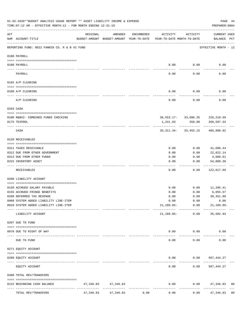|           | 01-02-2020**BUDGET ANALYSIS USAGE REPORT ** ASSET LIABILITY INCOME & EXPENSE<br>TIME: 07:12 AM - EFFECTIVE MONTH: 12 - FOR MONTH ENDING 12-31-19 |           |                                                     |            |                                        |                                                  | PAGE 44<br>PREPARER: 0004   |                |
|-----------|--------------------------------------------------------------------------------------------------------------------------------------------------|-----------|-----------------------------------------------------|------------|----------------------------------------|--------------------------------------------------|-----------------------------|----------------|
| ACT       | NUM ACCOUNT-TITLE                                                                                                                                | ORIGINAL  | AMENDED<br>BUDGET-AMOUNT BUDGET-AMOUNT YEAR-TO-DATE | ENCUMBERED | ACTIVITY<br>YEAR-TO-DATE MONTH-TO-DATE | ACTIVITY                                         | CURRENT USED<br>BALANCE PCT |                |
|           | REPORTING FUND: 0022 FANNIN CO. R & B #2 FUND                                                                                                    |           |                                                     |            |                                        |                                                  | EFFECTIVE MONTH - 12        |                |
|           | 0100 PAYROLL                                                                                                                                     |           |                                                     |            |                                        |                                                  |                             |                |
|           | 0100 PAYROLL                                                                                                                                     |           |                                                     |            | 0.00                                   | 0.00                                             | 0.00                        |                |
|           | PAYROLL                                                                                                                                          |           |                                                     |            | 0.00                                   | 0.00                                             | 0.00                        |                |
|           | 0102 A/P CLEARING                                                                                                                                |           |                                                     |            |                                        |                                                  |                             |                |
|           | 0100 A/P CLEARING                                                                                                                                |           |                                                     |            | 0.00                                   | 0.00                                             | 0.00                        |                |
|           | A/P CLEARING                                                                                                                                     |           |                                                     |            | 0.00                                   | 0.00                                             | 0.00                        |                |
|           | 0103 CASH                                                                                                                                        |           |                                                     |            |                                        |                                                  |                             |                |
|           |                                                                                                                                                  |           |                                                     |            |                                        |                                                  |                             |                |
|           | 0100 R&B#2- COMBINED FUNDS CHECKING<br>0175 TEXPOOL                                                                                              |           |                                                     |            | 1,241.83                               | 36, 553. 17 - 33, 096. 35 226, 210. 69<br>358.80 | 260,597.33                  |                |
|           | CASH                                                                                                                                             |           |                                                     |            |                                        | -------------<br>35, 311.34 - 33, 455.15         | . <u>.</u> .<br>486,808.02  |                |
|           | 0120 RECEIVABLES                                                                                                                                 |           |                                                     |            |                                        |                                                  |                             |                |
|           | 0311 TAXES RECEIVABLE                                                                                                                            |           |                                                     |            | 0.00                                   | 0.00                                             | 41,096.44                   |                |
|           | 0312 DUE FROM OTHER GOVERNMENT                                                                                                                   |           |                                                     |            | 0.00                                   | 0.00                                             | 22,822.14                   |                |
|           | 0313 DUE FROM OTHER FUNDS                                                                                                                        |           |                                                     |            | 0.00                                   | 0.00                                             | 4,089.81                    |                |
|           | 0315 INVENTORY ASSET                                                                                                                             |           |                                                     |            | 0.00                                   | 0.00                                             | 54,009.30<br>----------     |                |
|           | RECEIVABLES                                                                                                                                      |           |                                                     |            | 0.00                                   | 0.00                                             | 122,017.69                  |                |
|           | 0200 LIABILITY ACCOUNT                                                                                                                           |           |                                                     |            |                                        |                                                  |                             |                |
|           | 0150 ACCRUED SALARY PAYABLE                                                                                                                      |           |                                                     |            | 0.00                                   | 0.00                                             | 11,285.41                   |                |
|           | 0155 ACCRUED FRINGE BENEFITS                                                                                                                     |           |                                                     |            | 0.00                                   | 0.00                                             | 6,055.57                    |                |
|           | 0200 DEFERRED TAX REVENUE                                                                                                                        |           |                                                     |            | 0.00                                   | 0.00                                             | 39, 351.80                  |                |
|           | 0900 SYSTEM ADDED LIABILITY LINE-ITEM                                                                                                            |           |                                                     |            | 0.00                                   | 0.00                                             | 0.00                        |                |
|           | 0910 SYSTEM ADDED LIABILITY LINE-ITEM                                                                                                            |           |                                                     |            | 21,189.85-                             | 0.00                                             | $21,189.85-$                |                |
|           | LIABILITY ACCOUNT                                                                                                                                |           |                                                     |            | 21,189.85-                             | 0.00                                             | 35,502.93                   |                |
|           | 0207 DUE TO FUND                                                                                                                                 |           |                                                     |            |                                        |                                                  |                             |                |
|           | 0070 DUE TO RIGHT OF WAY                                                                                                                         |           |                                                     |            |                                        | $0.00$ $0.00$                                    | 0.00                        |                |
| $- - - -$ | DUE TO FUND                                                                                                                                      |           | -------------                                       |            | -----<br>0.00                          | ----------<br>0.00                               | 0.00                        |                |
|           | 0271 EQUITY ACCOUNT                                                                                                                              |           |                                                     |            |                                        |                                                  |                             |                |
|           | 0200 EQUITY ACCOUNT                                                                                                                              |           |                                                     |            | 0.00                                   | $0.00$ 587,444.27                                |                             |                |
|           | ------------------- -------------<br>EQUITY ACCOUNT                                                                                              |           |                                                     |            | -----<br>0.00                          | 0.00                                             | 587,444.27                  |                |
|           | 0300 TOTAL REV/TRANSFERS                                                                                                                         |           |                                                     |            |                                        |                                                  |                             |                |
|           | 0122 BEGINNING CASH BALANCE                                                                                                                      |           | 47, 346.83 47, 346.83                               |            | 0.00                                   |                                                  | $0.00$ $47,346.83$          | 0 <sub>0</sub> |
|           | TOTAL REV/TRANSFERS                                                                                                                              | 47,346.83 | 47,346.83                                           | 0.00       | 0.00                                   | 0.00                                             | 47,346.83                   | 0 <sub>0</sub> |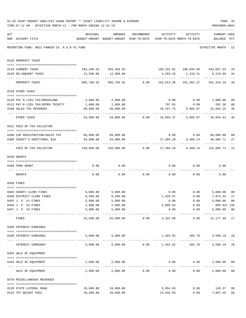|     | 01-02-2020**BUDGET ANALYSIS USAGE REPORT ** ASSET LIABILITY INCOME & EXPENSE<br>TIME: 07:12 AM - EFFECTIVE MONTH: 12 - FOR MONTH ENDING 12-31-19 |                                             |                                                                                |                                                   |                              |               | PAGE 45<br>PREPARER: 0004                                                                    |                      |
|-----|--------------------------------------------------------------------------------------------------------------------------------------------------|---------------------------------------------|--------------------------------------------------------------------------------|---------------------------------------------------|------------------------------|---------------|----------------------------------------------------------------------------------------------|----------------------|
| ACT | NUM ACCOUNT-TITLE                                                                                                                                | ORIGINAL                                    | AMENDED<br>BUDGET-AMOUNT BUDGET-AMOUNT YEAR-TO-DATE YEAR-TO-DATE MONTH-TO-DATE | ENCUMBERED                                        | ACTIVITY                     | ACTIVITY      | <b>CURRENT USED</b><br>BALANCE PCT                                                           |                      |
|     | REPORTING FUND: 0022 FANNIN CO. R & B #2 FUND                                                                                                    |                                             |                                                                                |                                                   |                              |               | EFFECTIVE MONTH - 12                                                                         |                      |
|     | 0310 PROPERTY TAXES                                                                                                                              |                                             |                                                                                |                                                   |                              |               |                                                                                              |                      |
|     | 0110 CURRENT TAXES                                                                                                                               |                                             |                                                                                |                                                   |                              |               | 593,268.55 593,268.55 150,231.02 100,044.06 443,037.53                                       | 25                   |
|     | 0120 DELINQUENT TAXES                                                                                                                            |                                             | 12,500.00   12,500.00                                                          |                                                   |                              |               | 4,283.34 1,318.21 8,216.66                                                                   | 34                   |
|     | PROPERTY TAXES                                                                                                                                   | 605,768.55                                  |                                                                                |                                                   |                              |               | 605,768.55   0.00   154,514.36   101,362.27   451,254.19                                     | $- - -$<br>26        |
|     | 0318 OTHER TAXES                                                                                                                                 |                                             |                                                                                |                                                   |                              |               |                                                                                              |                      |
|     |                                                                                                                                                  |                                             |                                                                                |                                                   |                              |               |                                                                                              |                      |
|     | 0120 PAY N LIEU TAX/GRASSLAND                                                                                                                    | 2,000.00                                    | 2,000.00                                                                       |                                                   |                              |               | $0.00$ $0.00$ $2,000.00$                                                                     | 0 <sub>0</sub>       |
|     | 0121 PAY N LIEU TAX/UPPER TRINITY                                                                                                                | 1,000.00                                    | 1,000.00                                                                       |                                                   | 797.62                       | 0.00          | 202.38                                                                                       | 80                   |
|     | 0160 SALES TAX REVENUES                                                                                                                          | 50,000.00<br>------------ -------------     | 50,000.00                                                                      |                                                   |                              |               | 18, 157. 75 5, 865. 87 31, 842. 25                                                           | 36                   |
|     | OTHER TAXES                                                                                                                                      | 53,000.00                                   |                                                                                |                                                   | 53,000.00   0.00   18,955.37 |               | 5,865.87 34,044.63                                                                           | 36                   |
|     | 0321 FEES OF TAX COLLECTOR                                                                                                                       |                                             |                                                                                |                                                   |                              |               |                                                                                              |                      |
|     |                                                                                                                                                  | 86,000.00 86,000.00                         |                                                                                |                                                   |                              |               |                                                                                              |                      |
|     | 0200 CAR REGISTRATION/SALES TAX<br>0300 COUNTY'S ADDITIONAL \$10                                                                                 | 64,000.00                                   | 64,000.00                                                                      |                                                   | 17,394.29                    |               | $0.00$ $0.00$ $86,000.00$<br>6,469.14 46,605.71                                              | 0 <sub>0</sub><br>27 |
|     | FEES OF TAX COLLECTOR                                                                                                                            | 150,000.00                                  |                                                                                |                                                   | ______________               | ------------- | --------------<br>150,000.00        0.00      17,394.29      6,469.14      132,605.71     12 |                      |
|     | 0330 GRANTS                                                                                                                                      |                                             |                                                                                |                                                   |                              |               |                                                                                              |                      |
|     | 0200 FEMA GRANT                                                                                                                                  | 0.00                                        | 0.00                                                                           |                                                   |                              | 0.00          | 0.00<br>0.00                                                                                 |                      |
|     |                                                                                                                                                  |                                             |                                                                                |                                                   |                              |               |                                                                                              |                      |
|     | GRANTS                                                                                                                                           | 0.00                                        |                                                                                | $0.00$ 0.00                                       |                              | 0.00          | 0.00<br>0.00                                                                                 |                      |
|     | 0350 FINES                                                                                                                                       |                                             |                                                                                |                                                   |                              |               |                                                                                              |                      |
|     | 0403 COUNTY CLERK FINES                                                                                                                          | 5,000.00                                    | 5,000.00                                                                       |                                                   | 0.00                         | 0.00          | 5,000.00                                                                                     | 0 <sub>0</sub>       |
|     | 0450 DISTRICT CLERK FINES                                                                                                                        | 8,500.00                                    | 8,500.00                                                                       |                                                   | 1,426.67                     | 0.00          | 7,073.33                                                                                     | 17                   |
|     | 0455 J. P. #1 FINES                                                                                                                              | 5,000.00                                    | 5,000.00                                                                       |                                                   | 0.00                         | 0.00          | 5,000.00 00                                                                                  |                      |
|     | 0456 J. P. #2 FINES                                                                                                                              | 2,000.00                                    | 2,000.00                                                                       |                                                   | 2,895.93                     | 0.00          | 895.93+ 145                                                                                  |                      |
|     | 0457 J. P. #3 FINES                                                                                                                              | 5,000.00<br>----------------- ------------- | 5,000.00<br>------------                                                       |                                                   | 0.00<br>. <u>.</u> .         | ------------  | 0.00<br>5,000.00 00<br>_____________                                                         |                      |
|     | FINES                                                                                                                                            | 25,500.00                                   |                                                                                |                                                   | 25,500.00 0.00 4,322.60      | 0.00          | 21, 177. 40 17                                                                               |                      |
|     | 0360 INTEREST EARNINGS                                                                                                                           |                                             |                                                                                |                                                   |                              |               |                                                                                              |                      |
|     | 0100 INTEREST EARNINGS<br>---------------------------------                                                                                      |                                             | 5,000.00 5,000.00                                                              |                                                   | 1,403.82 403.70              |               | 3,596.18                                                                                     | 28                   |
|     | INTEREST EARNINGS                                                                                                                                |                                             | $5,000.00$ $5,000.00$ $0.00$ $1,403.82$                                        |                                                   |                              | 403.70        | 3,596.18                                                                                     | 28                   |
|     | 0364 SALE OF EQUIPMENT                                                                                                                           |                                             |                                                                                |                                                   |                              |               |                                                                                              |                      |
|     | --------------------------------------<br>0163 SALE OF EQUIPMENT                                                                                 |                                             | 2,000.00 2,000.00                                                              |                                                   |                              | 0.00          | 0.00<br>2,000.00<br>_____________                                                            | 0 <sub>0</sub>       |
|     | SALE OF EQUIPMENT                                                                                                                                | 2,000.00                                    |                                                                                | --------------------------------<br>2,000.00 0.00 | 0.00                         |               | 0.00<br>2,000.00                                                                             | 0 <sub>0</sub>       |
|     | 0370 MISCELLANEOUS REVENUES                                                                                                                      |                                             |                                                                                |                                                   |                              |               |                                                                                              |                      |
|     | 0120 STATE LATERAL ROAD                                                                                                                          | 10,000.00                                   | 10,000.00                                                                      |                                                   | 9,854.63                     |               | $0.00$ 145.37                                                                                | 99                   |
|     | 0125 TDT WEIGHT FEES                                                                                                                             | 20,500.00                                   | 20,500.00                                                                      |                                                   | 13,432.55                    |               | 0.00<br>7,067.45                                                                             | 66                   |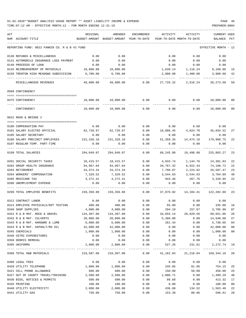| ACT | NUM ACCOUNT-TITLE                             | ORIGINAL           | AMENDED<br>BUDGET-AMOUNT BUDGET-AMOUNT YEAR-TO-DATE | ENCUMBERED   | ACTIVITY<br>YEAR-TO-DATE MONTH-TO-DATE           | ACTIVITY            | <b>CURRENT USED</b><br>BALANCE | $_{\rm PCT}$ |
|-----|-----------------------------------------------|--------------------|-----------------------------------------------------|--------------|--------------------------------------------------|---------------------|--------------------------------|--------------|
|     | REPORTING FUND: 0022 FANNIN CO. R & B #2 FUND |                    |                                                     |              |                                                  |                     | EFFECTIVE MONTH - 12           |              |
|     | 0130 REFUNDS & MISCELLANEOUS                  | 0.00               | 0.00                                                |              | 0.00                                             | 0.00                | 0.00                           |              |
|     | 0131 AUTOMOBILE INSURANCE LOSS PAYMENT        | 0.00               | 0.00                                                |              | 0.00                                             | 0.00                | 0.00                           |              |
|     | 0140 PROCEEDS OF LOAN                         | 0.00               | 0.00                                                |              | 0.00                                             | 0.00                | 0.00                           |              |
|     | 0145 REIMBURSEMENT OF MATERIALS               | 10,800.00          | 10,800.00                                           |              | 1,639.14                                         | 1, 116.24 9, 160.86 |                                | 15           |
|     | 0150 TRENTON HIGH MEADOWS SUBDIVISION         | 6,700.00           | 6,700.00                                            |              | 2,800.00                                         | 1,400.00            | 3,900.00                       | 42           |
|     | MISCELLANEOUS REVENUES                        | 48,000.00          | 48,000.00                                           | 0.00         | 27,726.32                                        | 2,516.24            | 20,273.68                      | 58           |
|     | 0509 CONTINGENCY                              |                    |                                                     |              |                                                  |                     |                                |              |
|     |                                               |                    |                                                     |              |                                                  |                     |                                |              |
|     | 0475 CONTINGENCY                              | 10,000.00          | 10,000.00                                           | 0.00         | 0.00                                             | 0.00                | 10,000.00 00                   |              |
|     | CONTINGENCY                                   | 10,000.00          | 10,000.00                                           | 0.00         | 0.00                                             | 0.00                | 10,000.00                      | 00           |
|     | 0622 ROAD & BRIDGE 2                          |                    |                                                     |              |                                                  |                     |                                |              |
|     | 0100 COMPENSATION PAY                         | 0.00               | 0.00                                                | 0.00         | 0.00                                             | 0.00                | 0.00                           |              |
|     | 0101 SALARY ELECTED OFFICIAL                  | 62,720.97          | 62,720.97                                           | 0.00         | 16,886.45                                        |                     | 4,824.70 45,834.52             | 27           |
|     | 0105 SALARY SECRETARY                         | 0.00               | 0.00                                                | 0.00         | 0.00                                             | 0.00                | 0.00                           |              |
|     | 0106 SALARY PRECINCT EMPLOYEES 231,328.10     |                    | 231,328.10                                          | 0.00         | 51,359.35                                        | 14,674.10           | 179,968.75                     | 22           |
|     | 0107 REGULAR-TEMP. PART-TIME                  | 0.00               | 0.00                                                | 0.00         | 0.00                                             | 0.00                | 0.00                           |              |
|     | 0199 TOTAL SALARIES                           | 294,049.07         | 294,049.07                                          | 0.00         | 68,245.80                                        | 19,498.80           | 225,803.27                     | 23           |
|     | 0201 SOCIAL SECURITY TAXES                    | 18,415.57          | 18,415.57                                           | 0.00         | 4,033.74                                         | 1,144.76            | 14,381.83                      | 22           |
|     | 0202 GROUP HEALTH INSURANCE                   | 94,967.04          | 94,967.04                                           | 0.00         | 20,767.32                                        | 6,922.44            | 74,199.72                      | 22           |
|     | 0203 RETIREMENT                               | 34,374.34          | 34,374.34                                           | 0.00         | 7,786.87                                         | 2,224.82            | 26,587.47                      | 23           |
|     | 0204 WORKERS' COMPENSATION                    | 7,329.52           | 7,329.52                                            | 0.00         | 3,544.63                                         | 3,544.63            | 3,784.89                       | 48           |
|     | 0205 MEDICARE TAX                             | 4,272.41           | 4,272.41                                            | 0.00         | 943.46                                           | 267.76              | 3,328.95                       | 22           |
|     | 0206 UNEMPLOYMENT EXPENSE                     | 0.00               | 0.00                                                | 0.00         | 0.00                                             | 0.00                | 0.00                           |              |
|     | 0299 TOTAL EMPLOYEE BENEFITS                  | 159,358.88         | 159,358.88                                          | 0.00         | 37,076.02                                        | 14,104.41           | 122,282.86                     | 23           |
|     | 0312 CONTRACT LABOR                           | 0.00               | 0.00                                                | 0.00         | 0.00                                             | 0.00                | 0.00                           |              |
|     | 0314 EMPLOYEE PHYSICALS/DOT TESTING           | 400.00             | 400.00                                              | 0.00         | 65.00                                            | 0.00                | 335.00                         | 16           |
|     | 0340 SHOP SUPPLIES                            | 4,000.00           | 4,000.00                                            | 0.00         | 294.10                                           | 157.67              | 3,705.90                       | 07           |
|     | 0341 R & B MAT. ROCK & GRAVEL                 | 134,307.00         | 134,307.00                                          | 0.00         | 34,655.14                                        | 20,829.56           | 99,651.86                      | 26           |
|     | 0342 R & B MAT. CULVERTS                      | 20,000.00          | 20,000.00                                           | 0.00         | 5,360.00                                         | 0.00                | 14,640.00                      | 27           |
|     | 0343 R & B MAT. HARDWRE & LUMB                | 6,000.00           | 6,000.00                                            | 0.00         | 261.34                                           | 0.00                | 5,738.66                       | 04           |
|     | 0344 R & B MAT. ASPHALT/RD OIL                | 42,000.00          | 42,000.00                                           | 0.00         | 0.00                                             | 0.00                | 42,000.00                      | 00           |
|     | 0345 CHEMICALS                                | 1,000.00           | 1,000.00                                            | 0.00         | 0.00                                             | 0.00                | 1,000.00                       | $00\,$       |
|     | 0346 CETRZ EXPENDITURES                       | 0.00               | 0.00                                                | 0.00         | 0.00                                             | 0.00                | 0.00                           |              |
|     | 0350 DEBRIS REMOVAL<br>0395 UNIFORMS          | 0.00<br>2,800.00   | 0.00<br>2,800.00                                    | 0.00<br>0.00 | 0.00<br>527.26                                   | 0.00<br>231.61      | 0.00<br>2,272.74               | 19           |
|     |                                               |                    |                                                     |              |                                                  |                     |                                |              |
|     | 0399 TOTAL R&B MATERIALS                      | 210,507.00         | 210,507.00                                          |              | $0.00$ $41,162.84$ $21,218.84$ $169,344.16$ $20$ |                     |                                |              |
|     | 0400 LEGAL FEES                               | 0.00               | 0.00                                                | 0.00         | 0.00                                             | 0.00                | 0.00                           |              |
|     | 0420 UTILITY TELEPHONE                        | 1,000.00           | 1,000.00                                            | 0.00         | 245.85                                           | 81.95               | 754.15                         | 25           |
|     | 0421 CELL PHONE ALLOWANCE                     | 600.00             | 600.00                                              | 0.00         | 150.00                                           | 50.00               | 450.00                         | 25           |
|     | 0427 OUT OF COUNTY TRAVEL/TRAINING            | 2,500.00           | 2,500.00                                            | 0.00         | 1,000.71                                         | 0.00                | 1,499.29                       | 40           |
|     | 0430 BIDS, NOTICES & PERMITS                  | 500.00             | 500.00                                              | 0.00         | 86.68                                            | 0.00                | 413.32                         | 17           |
|     | 0435 PRINTING                                 | 100.00<br>2,000.00 | 100.00                                              | 0.00         | 0.00                                             | 0.00                | 100.00                         | 00           |
|     | 0440 UTILITY ELECTRICITY                      |                    | 2,000.00                                            | 0.00         | 436.60                                           | 134.52<br>80.86     | 1,563.40<br>596.61             | 22<br>20     |
|     | 0441 UTILITY GAS                              | 750.00             | 750.00                                              | 0.00         | 153.39                                           |                     |                                |              |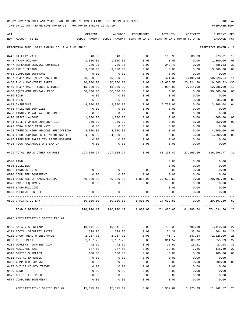| NUM ACCOUNT-TITLE<br>BUDGET-AMOUNT<br>BUDGET-AMOUNT YEAR-TO-DATE<br>PCT<br>YEAR-TO-DATE MONTH-TO-DATE<br><b>BALANCE</b><br>EFFECTIVE MONTH - 12<br>REPORTING FUND: 0022 FANNIN CO. R & B #2 FUND<br>940.00<br>940.00<br>0.00<br>166.99<br>86.03<br>773.01<br>18<br>0442 UTILITY WATER<br>1,300.00<br>1,300.00<br>0.00<br>0.00<br>1,300.00<br>0 <sub>0</sub><br>0443 TRASH PICKUP<br>0.00<br>730.24<br>730.24<br>0.00<br>33<br>0447 REPEATER SERVICE CONTRACT<br>243.41<br>0.00<br>486.83<br>0450 R&M BUILDING<br>3,000.00<br>3,000.00<br>0.00<br>0.00<br>0.00<br>3,000.00<br>0 <sub>0</sub><br>0453 COMPUTER SOFTWARE<br>0.00<br>0.00<br>0.00<br>0.00<br>0.00<br>0.00<br>60,528.64<br>0457 R & M MACHINERY GAS & OIL<br>70,000.00<br>70,000.00<br>0.00<br>9,471.36<br>4,495.13<br>14<br>30,000.00<br>30,000.00<br>$10.605.52 - 135$<br>0458 R & M MACHINERY PARTS<br>0.00<br>40,605.52<br>20,224.20<br>0459 R & M MACH. TIRES & TUBES<br>15,000.00<br>15,000.00<br>0.00<br>2,014.00<br>2,014.00<br>12,986.00<br>13<br>0460 EQUIPMENT RENTAL/LEASE<br>50,000.00<br>50,000.00<br>0.00<br>0.00<br>0.00<br>50,000.00<br>0 <sub>0</sub><br>0480 BOND<br>0.00<br>0.00<br>0.00<br>0.00<br>0.00<br>0.00<br>335.00<br>335.00<br>0.00<br>0.00<br>0.00<br>335.00<br>0 <sub>0</sub><br>0481 DUES<br>9,000.00<br>9,000.00<br>0.00<br>5,733.96<br>0.00<br>3,266.04<br>64<br>0482 INSURANCE<br>0485 PRISONER SUPPLIES<br>0.00<br>0.00<br>0.00<br>0.00<br>0.00<br>0.00<br>0.00<br>0488 FANNIN RURAL RAIL DISTRICT<br>0.00<br>0.00<br>0.00<br>0.00<br>0.00<br>0490 MISCELLANEOUS<br>1,000.00<br>1,000.00<br>0.00<br>0.00<br>0.00<br>1,000.00<br>0 <sub>0</sub><br>250.00<br>250.00<br>0.00<br>0.00<br>0.00<br>250.00<br>0 <sub>0</sub><br>0491 SOIL & WATER CONSERVATION<br>0.00<br>0.00<br>0.00<br>0.00<br>0.00<br>0.00<br>0492 TDRA FLOOD CASH MATCH<br>4,000.00<br>0.00<br>4,000.00<br>0 <sub>0</sub><br>0493 TRENTON HIGH MEADOWS SUBDIVISION<br>4,000.00<br>0.00<br>0.00<br>4,000.00<br>4,000.00<br>0.00<br>0.00<br>0.00<br>4,000.00<br>0494 FLOOD CONTROL SITE MAINTENANCE<br>00<br>0495 PIPELINE SALES TAX REIMBURSEMENT<br>0.00<br>0.00<br>0.00<br>0.00<br>0.00<br>0.00<br>0496 TCOG HAZARDOUS WASTEMATCH<br>0.00<br>0.00<br>0.00<br>0.00<br>0.00<br>0.00<br>0499 TOTAL SER.& OTHER CHARGES<br>197,005.24<br>0.00<br>60,308.47<br>27,166.69<br>136,696.77<br>31<br>197,005.24<br>0.00<br>0500 LAND<br>0.00<br>0.00<br>0.00<br>0.00<br>0.00<br>0535 BUILDING<br>0.00<br>0.00<br>0.00<br>0.00<br>0562 LAND/BUILDING<br>0.00<br>0.00<br>0570 COMPUTER EQUIPMENT<br>0.00<br>0.00<br>0.00<br>0.00<br>0.00<br>0.00<br>0571 PURCHASE OF MACH./EQUIP.<br>20,507.50<br>50,000.00<br>50,000.00<br>1,800.00<br>27,692.50<br>0.00<br>59<br>0573 RADIO EQUIPMENT<br>0.00<br>0.00<br>0.00<br>0.00<br>0.00<br>0.00<br>0575 LAND/BUILDING<br>0.00<br>0.00<br>0.00<br>0580 PRECINCT BRIDGE<br>0.00<br>0.00<br>0.00<br>0.00<br>0.00<br>0.00<br>1,800.00<br>0.00<br>0599 CAPITAL OUTLAY<br>50,000.00<br>50,000.00<br>27,692.50<br>20,507.50<br>59<br>ROAD & BRIDGE 2<br>910,920.19 910,920.19<br>1,800.00<br>234,485.63 81,988.74 674,634.56 26<br>0625 ADMINISTRATIVE OFFICE R&B #2<br>780.10<br>27<br>0105 SALARY SECRETARY<br>10,141.28<br>10,141.28<br>0.00<br>2,730.35<br>7,410.93<br>0201 SOCIAL SECURITY TAXES<br>628.76<br>628.76<br>0.00<br>124.38<br>33.60<br>504.38<br>20<br>2,226.00<br>25<br>0202 GROUP HEALTH INSURANCE<br>2,967.72<br>2,967.72<br>0.00<br>741.72<br>247.24<br>0203 RETIREMENT<br>89.02<br>855.69<br>27<br>1,167.26<br>1,167.26<br>0.00<br>311.57<br>0204 WORKERS' COMPENSATION<br>42.59<br>0.00<br>15.51<br>15.51<br>27.08<br>36<br>42.59<br>0205 MEDICARE TAX<br>147.58<br>0.00<br>29.09<br>7.86<br>118.49<br>20<br>147.58<br>0310 OFFICE SUPPLIES<br>100.00<br>100.00<br>0.00<br>0.00<br>0.00<br>100.00<br>00<br>0.00<br>0311 POSTAL EXPENSES<br>0.00<br>0.00<br>0.00<br>0.00<br>0.00<br>0353 COMPUTER EXPENSE<br>500.00<br>0.00<br>0.00<br>0.00<br>500.00<br>00<br>500.00<br>0427 OUT OF COUNTY TRAVEL<br>0.00<br>0.00<br>0.00<br>0.00<br>0.00<br>0.00<br>0480 BOND<br>0.00<br>0.00<br>0.00<br>0.00<br>0.00<br>0.00<br>0572 OFFICE EQUIPMENT<br>0.00<br>0.00<br>0.00<br>0.00<br>0.00<br>0.00<br>0.00<br>0.00<br>0574 COMPUTER EQUIPMENT<br>0.00<br>0.00<br>0.00<br>0.00<br>----- -------------<br>. <u>.</u><br>-----<br>ADMINISTRATIVE OFFICE R&B #2<br>15,695.19<br>15,695.19<br>0.00<br>3,952.62<br>1,173.33<br>11,742.57<br>25 | ACT | ORIGINAL | AMENDED | <b>ENCUMBERED</b> | ACTIVITY | ACTIVITY | <b>CURRENT USED</b> |  |
|------------------------------------------------------------------------------------------------------------------------------------------------------------------------------------------------------------------------------------------------------------------------------------------------------------------------------------------------------------------------------------------------------------------------------------------------------------------------------------------------------------------------------------------------------------------------------------------------------------------------------------------------------------------------------------------------------------------------------------------------------------------------------------------------------------------------------------------------------------------------------------------------------------------------------------------------------------------------------------------------------------------------------------------------------------------------------------------------------------------------------------------------------------------------------------------------------------------------------------------------------------------------------------------------------------------------------------------------------------------------------------------------------------------------------------------------------------------------------------------------------------------------------------------------------------------------------------------------------------------------------------------------------------------------------------------------------------------------------------------------------------------------------------------------------------------------------------------------------------------------------------------------------------------------------------------------------------------------------------------------------------------------------------------------------------------------------------------------------------------------------------------------------------------------------------------------------------------------------------------------------------------------------------------------------------------------------------------------------------------------------------------------------------------------------------------------------------------------------------------------------------------------------------------------------------------------------------------------------------------------------------------------------------------------------------------------------------------------------------------------------------------------------------------------------------------------------------------------------------------------------------------------------------------------------------------------------------------------------------------------------------------------------------------------------------------------------------------------------------------------------------------------------------------------------------------------------------------------------------------------------------------------------------------------------------------------------------------------------------------------------------------------------------------------------------------------------------------------------------------------------------------------------------------------------------------------------------------------------------------------------------------------------------------------------------------------------------------------------------------------------------------------------------------------------------------------------------------------------------------------------------------------------------------------------------------------------------------------------------------------------------------------------------------------------------------------------------------------------------------------------------------------------------------------------------------------------------------------------------------------------------------------------------------------------------------------------------------------------------------------------------------------------------------------------------------|-----|----------|---------|-------------------|----------|----------|---------------------|--|
|                                                                                                                                                                                                                                                                                                                                                                                                                                                                                                                                                                                                                                                                                                                                                                                                                                                                                                                                                                                                                                                                                                                                                                                                                                                                                                                                                                                                                                                                                                                                                                                                                                                                                                                                                                                                                                                                                                                                                                                                                                                                                                                                                                                                                                                                                                                                                                                                                                                                                                                                                                                                                                                                                                                                                                                                                                                                                                                                                                                                                                                                                                                                                                                                                                                                                                                                                                                                                                                                                                                                                                                                                                                                                                                                                                                                                                                                                                                                                                                                                                                                                                                                                                                                                                                                                                                                                                                                                                          |     |          |         |                   |          |          |                     |  |
|                                                                                                                                                                                                                                                                                                                                                                                                                                                                                                                                                                                                                                                                                                                                                                                                                                                                                                                                                                                                                                                                                                                                                                                                                                                                                                                                                                                                                                                                                                                                                                                                                                                                                                                                                                                                                                                                                                                                                                                                                                                                                                                                                                                                                                                                                                                                                                                                                                                                                                                                                                                                                                                                                                                                                                                                                                                                                                                                                                                                                                                                                                                                                                                                                                                                                                                                                                                                                                                                                                                                                                                                                                                                                                                                                                                                                                                                                                                                                                                                                                                                                                                                                                                                                                                                                                                                                                                                                                          |     |          |         |                   |          |          |                     |  |
|                                                                                                                                                                                                                                                                                                                                                                                                                                                                                                                                                                                                                                                                                                                                                                                                                                                                                                                                                                                                                                                                                                                                                                                                                                                                                                                                                                                                                                                                                                                                                                                                                                                                                                                                                                                                                                                                                                                                                                                                                                                                                                                                                                                                                                                                                                                                                                                                                                                                                                                                                                                                                                                                                                                                                                                                                                                                                                                                                                                                                                                                                                                                                                                                                                                                                                                                                                                                                                                                                                                                                                                                                                                                                                                                                                                                                                                                                                                                                                                                                                                                                                                                                                                                                                                                                                                                                                                                                                          |     |          |         |                   |          |          |                     |  |
|                                                                                                                                                                                                                                                                                                                                                                                                                                                                                                                                                                                                                                                                                                                                                                                                                                                                                                                                                                                                                                                                                                                                                                                                                                                                                                                                                                                                                                                                                                                                                                                                                                                                                                                                                                                                                                                                                                                                                                                                                                                                                                                                                                                                                                                                                                                                                                                                                                                                                                                                                                                                                                                                                                                                                                                                                                                                                                                                                                                                                                                                                                                                                                                                                                                                                                                                                                                                                                                                                                                                                                                                                                                                                                                                                                                                                                                                                                                                                                                                                                                                                                                                                                                                                                                                                                                                                                                                                                          |     |          |         |                   |          |          |                     |  |
|                                                                                                                                                                                                                                                                                                                                                                                                                                                                                                                                                                                                                                                                                                                                                                                                                                                                                                                                                                                                                                                                                                                                                                                                                                                                                                                                                                                                                                                                                                                                                                                                                                                                                                                                                                                                                                                                                                                                                                                                                                                                                                                                                                                                                                                                                                                                                                                                                                                                                                                                                                                                                                                                                                                                                                                                                                                                                                                                                                                                                                                                                                                                                                                                                                                                                                                                                                                                                                                                                                                                                                                                                                                                                                                                                                                                                                                                                                                                                                                                                                                                                                                                                                                                                                                                                                                                                                                                                                          |     |          |         |                   |          |          |                     |  |
|                                                                                                                                                                                                                                                                                                                                                                                                                                                                                                                                                                                                                                                                                                                                                                                                                                                                                                                                                                                                                                                                                                                                                                                                                                                                                                                                                                                                                                                                                                                                                                                                                                                                                                                                                                                                                                                                                                                                                                                                                                                                                                                                                                                                                                                                                                                                                                                                                                                                                                                                                                                                                                                                                                                                                                                                                                                                                                                                                                                                                                                                                                                                                                                                                                                                                                                                                                                                                                                                                                                                                                                                                                                                                                                                                                                                                                                                                                                                                                                                                                                                                                                                                                                                                                                                                                                                                                                                                                          |     |          |         |                   |          |          |                     |  |
|                                                                                                                                                                                                                                                                                                                                                                                                                                                                                                                                                                                                                                                                                                                                                                                                                                                                                                                                                                                                                                                                                                                                                                                                                                                                                                                                                                                                                                                                                                                                                                                                                                                                                                                                                                                                                                                                                                                                                                                                                                                                                                                                                                                                                                                                                                                                                                                                                                                                                                                                                                                                                                                                                                                                                                                                                                                                                                                                                                                                                                                                                                                                                                                                                                                                                                                                                                                                                                                                                                                                                                                                                                                                                                                                                                                                                                                                                                                                                                                                                                                                                                                                                                                                                                                                                                                                                                                                                                          |     |          |         |                   |          |          |                     |  |
|                                                                                                                                                                                                                                                                                                                                                                                                                                                                                                                                                                                                                                                                                                                                                                                                                                                                                                                                                                                                                                                                                                                                                                                                                                                                                                                                                                                                                                                                                                                                                                                                                                                                                                                                                                                                                                                                                                                                                                                                                                                                                                                                                                                                                                                                                                                                                                                                                                                                                                                                                                                                                                                                                                                                                                                                                                                                                                                                                                                                                                                                                                                                                                                                                                                                                                                                                                                                                                                                                                                                                                                                                                                                                                                                                                                                                                                                                                                                                                                                                                                                                                                                                                                                                                                                                                                                                                                                                                          |     |          |         |                   |          |          |                     |  |
|                                                                                                                                                                                                                                                                                                                                                                                                                                                                                                                                                                                                                                                                                                                                                                                                                                                                                                                                                                                                                                                                                                                                                                                                                                                                                                                                                                                                                                                                                                                                                                                                                                                                                                                                                                                                                                                                                                                                                                                                                                                                                                                                                                                                                                                                                                                                                                                                                                                                                                                                                                                                                                                                                                                                                                                                                                                                                                                                                                                                                                                                                                                                                                                                                                                                                                                                                                                                                                                                                                                                                                                                                                                                                                                                                                                                                                                                                                                                                                                                                                                                                                                                                                                                                                                                                                                                                                                                                                          |     |          |         |                   |          |          |                     |  |
|                                                                                                                                                                                                                                                                                                                                                                                                                                                                                                                                                                                                                                                                                                                                                                                                                                                                                                                                                                                                                                                                                                                                                                                                                                                                                                                                                                                                                                                                                                                                                                                                                                                                                                                                                                                                                                                                                                                                                                                                                                                                                                                                                                                                                                                                                                                                                                                                                                                                                                                                                                                                                                                                                                                                                                                                                                                                                                                                                                                                                                                                                                                                                                                                                                                                                                                                                                                                                                                                                                                                                                                                                                                                                                                                                                                                                                                                                                                                                                                                                                                                                                                                                                                                                                                                                                                                                                                                                                          |     |          |         |                   |          |          |                     |  |
|                                                                                                                                                                                                                                                                                                                                                                                                                                                                                                                                                                                                                                                                                                                                                                                                                                                                                                                                                                                                                                                                                                                                                                                                                                                                                                                                                                                                                                                                                                                                                                                                                                                                                                                                                                                                                                                                                                                                                                                                                                                                                                                                                                                                                                                                                                                                                                                                                                                                                                                                                                                                                                                                                                                                                                                                                                                                                                                                                                                                                                                                                                                                                                                                                                                                                                                                                                                                                                                                                                                                                                                                                                                                                                                                                                                                                                                                                                                                                                                                                                                                                                                                                                                                                                                                                                                                                                                                                                          |     |          |         |                   |          |          |                     |  |
|                                                                                                                                                                                                                                                                                                                                                                                                                                                                                                                                                                                                                                                                                                                                                                                                                                                                                                                                                                                                                                                                                                                                                                                                                                                                                                                                                                                                                                                                                                                                                                                                                                                                                                                                                                                                                                                                                                                                                                                                                                                                                                                                                                                                                                                                                                                                                                                                                                                                                                                                                                                                                                                                                                                                                                                                                                                                                                                                                                                                                                                                                                                                                                                                                                                                                                                                                                                                                                                                                                                                                                                                                                                                                                                                                                                                                                                                                                                                                                                                                                                                                                                                                                                                                                                                                                                                                                                                                                          |     |          |         |                   |          |          |                     |  |
|                                                                                                                                                                                                                                                                                                                                                                                                                                                                                                                                                                                                                                                                                                                                                                                                                                                                                                                                                                                                                                                                                                                                                                                                                                                                                                                                                                                                                                                                                                                                                                                                                                                                                                                                                                                                                                                                                                                                                                                                                                                                                                                                                                                                                                                                                                                                                                                                                                                                                                                                                                                                                                                                                                                                                                                                                                                                                                                                                                                                                                                                                                                                                                                                                                                                                                                                                                                                                                                                                                                                                                                                                                                                                                                                                                                                                                                                                                                                                                                                                                                                                                                                                                                                                                                                                                                                                                                                                                          |     |          |         |                   |          |          |                     |  |
|                                                                                                                                                                                                                                                                                                                                                                                                                                                                                                                                                                                                                                                                                                                                                                                                                                                                                                                                                                                                                                                                                                                                                                                                                                                                                                                                                                                                                                                                                                                                                                                                                                                                                                                                                                                                                                                                                                                                                                                                                                                                                                                                                                                                                                                                                                                                                                                                                                                                                                                                                                                                                                                                                                                                                                                                                                                                                                                                                                                                                                                                                                                                                                                                                                                                                                                                                                                                                                                                                                                                                                                                                                                                                                                                                                                                                                                                                                                                                                                                                                                                                                                                                                                                                                                                                                                                                                                                                                          |     |          |         |                   |          |          |                     |  |
|                                                                                                                                                                                                                                                                                                                                                                                                                                                                                                                                                                                                                                                                                                                                                                                                                                                                                                                                                                                                                                                                                                                                                                                                                                                                                                                                                                                                                                                                                                                                                                                                                                                                                                                                                                                                                                                                                                                                                                                                                                                                                                                                                                                                                                                                                                                                                                                                                                                                                                                                                                                                                                                                                                                                                                                                                                                                                                                                                                                                                                                                                                                                                                                                                                                                                                                                                                                                                                                                                                                                                                                                                                                                                                                                                                                                                                                                                                                                                                                                                                                                                                                                                                                                                                                                                                                                                                                                                                          |     |          |         |                   |          |          |                     |  |
|                                                                                                                                                                                                                                                                                                                                                                                                                                                                                                                                                                                                                                                                                                                                                                                                                                                                                                                                                                                                                                                                                                                                                                                                                                                                                                                                                                                                                                                                                                                                                                                                                                                                                                                                                                                                                                                                                                                                                                                                                                                                                                                                                                                                                                                                                                                                                                                                                                                                                                                                                                                                                                                                                                                                                                                                                                                                                                                                                                                                                                                                                                                                                                                                                                                                                                                                                                                                                                                                                                                                                                                                                                                                                                                                                                                                                                                                                                                                                                                                                                                                                                                                                                                                                                                                                                                                                                                                                                          |     |          |         |                   |          |          |                     |  |
|                                                                                                                                                                                                                                                                                                                                                                                                                                                                                                                                                                                                                                                                                                                                                                                                                                                                                                                                                                                                                                                                                                                                                                                                                                                                                                                                                                                                                                                                                                                                                                                                                                                                                                                                                                                                                                                                                                                                                                                                                                                                                                                                                                                                                                                                                                                                                                                                                                                                                                                                                                                                                                                                                                                                                                                                                                                                                                                                                                                                                                                                                                                                                                                                                                                                                                                                                                                                                                                                                                                                                                                                                                                                                                                                                                                                                                                                                                                                                                                                                                                                                                                                                                                                                                                                                                                                                                                                                                          |     |          |         |                   |          |          |                     |  |
|                                                                                                                                                                                                                                                                                                                                                                                                                                                                                                                                                                                                                                                                                                                                                                                                                                                                                                                                                                                                                                                                                                                                                                                                                                                                                                                                                                                                                                                                                                                                                                                                                                                                                                                                                                                                                                                                                                                                                                                                                                                                                                                                                                                                                                                                                                                                                                                                                                                                                                                                                                                                                                                                                                                                                                                                                                                                                                                                                                                                                                                                                                                                                                                                                                                                                                                                                                                                                                                                                                                                                                                                                                                                                                                                                                                                                                                                                                                                                                                                                                                                                                                                                                                                                                                                                                                                                                                                                                          |     |          |         |                   |          |          |                     |  |
|                                                                                                                                                                                                                                                                                                                                                                                                                                                                                                                                                                                                                                                                                                                                                                                                                                                                                                                                                                                                                                                                                                                                                                                                                                                                                                                                                                                                                                                                                                                                                                                                                                                                                                                                                                                                                                                                                                                                                                                                                                                                                                                                                                                                                                                                                                                                                                                                                                                                                                                                                                                                                                                                                                                                                                                                                                                                                                                                                                                                                                                                                                                                                                                                                                                                                                                                                                                                                                                                                                                                                                                                                                                                                                                                                                                                                                                                                                                                                                                                                                                                                                                                                                                                                                                                                                                                                                                                                                          |     |          |         |                   |          |          |                     |  |
|                                                                                                                                                                                                                                                                                                                                                                                                                                                                                                                                                                                                                                                                                                                                                                                                                                                                                                                                                                                                                                                                                                                                                                                                                                                                                                                                                                                                                                                                                                                                                                                                                                                                                                                                                                                                                                                                                                                                                                                                                                                                                                                                                                                                                                                                                                                                                                                                                                                                                                                                                                                                                                                                                                                                                                                                                                                                                                                                                                                                                                                                                                                                                                                                                                                                                                                                                                                                                                                                                                                                                                                                                                                                                                                                                                                                                                                                                                                                                                                                                                                                                                                                                                                                                                                                                                                                                                                                                                          |     |          |         |                   |          |          |                     |  |
|                                                                                                                                                                                                                                                                                                                                                                                                                                                                                                                                                                                                                                                                                                                                                                                                                                                                                                                                                                                                                                                                                                                                                                                                                                                                                                                                                                                                                                                                                                                                                                                                                                                                                                                                                                                                                                                                                                                                                                                                                                                                                                                                                                                                                                                                                                                                                                                                                                                                                                                                                                                                                                                                                                                                                                                                                                                                                                                                                                                                                                                                                                                                                                                                                                                                                                                                                                                                                                                                                                                                                                                                                                                                                                                                                                                                                                                                                                                                                                                                                                                                                                                                                                                                                                                                                                                                                                                                                                          |     |          |         |                   |          |          |                     |  |
|                                                                                                                                                                                                                                                                                                                                                                                                                                                                                                                                                                                                                                                                                                                                                                                                                                                                                                                                                                                                                                                                                                                                                                                                                                                                                                                                                                                                                                                                                                                                                                                                                                                                                                                                                                                                                                                                                                                                                                                                                                                                                                                                                                                                                                                                                                                                                                                                                                                                                                                                                                                                                                                                                                                                                                                                                                                                                                                                                                                                                                                                                                                                                                                                                                                                                                                                                                                                                                                                                                                                                                                                                                                                                                                                                                                                                                                                                                                                                                                                                                                                                                                                                                                                                                                                                                                                                                                                                                          |     |          |         |                   |          |          |                     |  |
|                                                                                                                                                                                                                                                                                                                                                                                                                                                                                                                                                                                                                                                                                                                                                                                                                                                                                                                                                                                                                                                                                                                                                                                                                                                                                                                                                                                                                                                                                                                                                                                                                                                                                                                                                                                                                                                                                                                                                                                                                                                                                                                                                                                                                                                                                                                                                                                                                                                                                                                                                                                                                                                                                                                                                                                                                                                                                                                                                                                                                                                                                                                                                                                                                                                                                                                                                                                                                                                                                                                                                                                                                                                                                                                                                                                                                                                                                                                                                                                                                                                                                                                                                                                                                                                                                                                                                                                                                                          |     |          |         |                   |          |          |                     |  |
|                                                                                                                                                                                                                                                                                                                                                                                                                                                                                                                                                                                                                                                                                                                                                                                                                                                                                                                                                                                                                                                                                                                                                                                                                                                                                                                                                                                                                                                                                                                                                                                                                                                                                                                                                                                                                                                                                                                                                                                                                                                                                                                                                                                                                                                                                                                                                                                                                                                                                                                                                                                                                                                                                                                                                                                                                                                                                                                                                                                                                                                                                                                                                                                                                                                                                                                                                                                                                                                                                                                                                                                                                                                                                                                                                                                                                                                                                                                                                                                                                                                                                                                                                                                                                                                                                                                                                                                                                                          |     |          |         |                   |          |          |                     |  |
|                                                                                                                                                                                                                                                                                                                                                                                                                                                                                                                                                                                                                                                                                                                                                                                                                                                                                                                                                                                                                                                                                                                                                                                                                                                                                                                                                                                                                                                                                                                                                                                                                                                                                                                                                                                                                                                                                                                                                                                                                                                                                                                                                                                                                                                                                                                                                                                                                                                                                                                                                                                                                                                                                                                                                                                                                                                                                                                                                                                                                                                                                                                                                                                                                                                                                                                                                                                                                                                                                                                                                                                                                                                                                                                                                                                                                                                                                                                                                                                                                                                                                                                                                                                                                                                                                                                                                                                                                                          |     |          |         |                   |          |          |                     |  |
|                                                                                                                                                                                                                                                                                                                                                                                                                                                                                                                                                                                                                                                                                                                                                                                                                                                                                                                                                                                                                                                                                                                                                                                                                                                                                                                                                                                                                                                                                                                                                                                                                                                                                                                                                                                                                                                                                                                                                                                                                                                                                                                                                                                                                                                                                                                                                                                                                                                                                                                                                                                                                                                                                                                                                                                                                                                                                                                                                                                                                                                                                                                                                                                                                                                                                                                                                                                                                                                                                                                                                                                                                                                                                                                                                                                                                                                                                                                                                                                                                                                                                                                                                                                                                                                                                                                                                                                                                                          |     |          |         |                   |          |          |                     |  |
|                                                                                                                                                                                                                                                                                                                                                                                                                                                                                                                                                                                                                                                                                                                                                                                                                                                                                                                                                                                                                                                                                                                                                                                                                                                                                                                                                                                                                                                                                                                                                                                                                                                                                                                                                                                                                                                                                                                                                                                                                                                                                                                                                                                                                                                                                                                                                                                                                                                                                                                                                                                                                                                                                                                                                                                                                                                                                                                                                                                                                                                                                                                                                                                                                                                                                                                                                                                                                                                                                                                                                                                                                                                                                                                                                                                                                                                                                                                                                                                                                                                                                                                                                                                                                                                                                                                                                                                                                                          |     |          |         |                   |          |          |                     |  |
|                                                                                                                                                                                                                                                                                                                                                                                                                                                                                                                                                                                                                                                                                                                                                                                                                                                                                                                                                                                                                                                                                                                                                                                                                                                                                                                                                                                                                                                                                                                                                                                                                                                                                                                                                                                                                                                                                                                                                                                                                                                                                                                                                                                                                                                                                                                                                                                                                                                                                                                                                                                                                                                                                                                                                                                                                                                                                                                                                                                                                                                                                                                                                                                                                                                                                                                                                                                                                                                                                                                                                                                                                                                                                                                                                                                                                                                                                                                                                                                                                                                                                                                                                                                                                                                                                                                                                                                                                                          |     |          |         |                   |          |          |                     |  |
|                                                                                                                                                                                                                                                                                                                                                                                                                                                                                                                                                                                                                                                                                                                                                                                                                                                                                                                                                                                                                                                                                                                                                                                                                                                                                                                                                                                                                                                                                                                                                                                                                                                                                                                                                                                                                                                                                                                                                                                                                                                                                                                                                                                                                                                                                                                                                                                                                                                                                                                                                                                                                                                                                                                                                                                                                                                                                                                                                                                                                                                                                                                                                                                                                                                                                                                                                                                                                                                                                                                                                                                                                                                                                                                                                                                                                                                                                                                                                                                                                                                                                                                                                                                                                                                                                                                                                                                                                                          |     |          |         |                   |          |          |                     |  |
|                                                                                                                                                                                                                                                                                                                                                                                                                                                                                                                                                                                                                                                                                                                                                                                                                                                                                                                                                                                                                                                                                                                                                                                                                                                                                                                                                                                                                                                                                                                                                                                                                                                                                                                                                                                                                                                                                                                                                                                                                                                                                                                                                                                                                                                                                                                                                                                                                                                                                                                                                                                                                                                                                                                                                                                                                                                                                                                                                                                                                                                                                                                                                                                                                                                                                                                                                                                                                                                                                                                                                                                                                                                                                                                                                                                                                                                                                                                                                                                                                                                                                                                                                                                                                                                                                                                                                                                                                                          |     |          |         |                   |          |          |                     |  |
|                                                                                                                                                                                                                                                                                                                                                                                                                                                                                                                                                                                                                                                                                                                                                                                                                                                                                                                                                                                                                                                                                                                                                                                                                                                                                                                                                                                                                                                                                                                                                                                                                                                                                                                                                                                                                                                                                                                                                                                                                                                                                                                                                                                                                                                                                                                                                                                                                                                                                                                                                                                                                                                                                                                                                                                                                                                                                                                                                                                                                                                                                                                                                                                                                                                                                                                                                                                                                                                                                                                                                                                                                                                                                                                                                                                                                                                                                                                                                                                                                                                                                                                                                                                                                                                                                                                                                                                                                                          |     |          |         |                   |          |          |                     |  |
|                                                                                                                                                                                                                                                                                                                                                                                                                                                                                                                                                                                                                                                                                                                                                                                                                                                                                                                                                                                                                                                                                                                                                                                                                                                                                                                                                                                                                                                                                                                                                                                                                                                                                                                                                                                                                                                                                                                                                                                                                                                                                                                                                                                                                                                                                                                                                                                                                                                                                                                                                                                                                                                                                                                                                                                                                                                                                                                                                                                                                                                                                                                                                                                                                                                                                                                                                                                                                                                                                                                                                                                                                                                                                                                                                                                                                                                                                                                                                                                                                                                                                                                                                                                                                                                                                                                                                                                                                                          |     |          |         |                   |          |          |                     |  |
|                                                                                                                                                                                                                                                                                                                                                                                                                                                                                                                                                                                                                                                                                                                                                                                                                                                                                                                                                                                                                                                                                                                                                                                                                                                                                                                                                                                                                                                                                                                                                                                                                                                                                                                                                                                                                                                                                                                                                                                                                                                                                                                                                                                                                                                                                                                                                                                                                                                                                                                                                                                                                                                                                                                                                                                                                                                                                                                                                                                                                                                                                                                                                                                                                                                                                                                                                                                                                                                                                                                                                                                                                                                                                                                                                                                                                                                                                                                                                                                                                                                                                                                                                                                                                                                                                                                                                                                                                                          |     |          |         |                   |          |          |                     |  |
|                                                                                                                                                                                                                                                                                                                                                                                                                                                                                                                                                                                                                                                                                                                                                                                                                                                                                                                                                                                                                                                                                                                                                                                                                                                                                                                                                                                                                                                                                                                                                                                                                                                                                                                                                                                                                                                                                                                                                                                                                                                                                                                                                                                                                                                                                                                                                                                                                                                                                                                                                                                                                                                                                                                                                                                                                                                                                                                                                                                                                                                                                                                                                                                                                                                                                                                                                                                                                                                                                                                                                                                                                                                                                                                                                                                                                                                                                                                                                                                                                                                                                                                                                                                                                                                                                                                                                                                                                                          |     |          |         |                   |          |          |                     |  |
|                                                                                                                                                                                                                                                                                                                                                                                                                                                                                                                                                                                                                                                                                                                                                                                                                                                                                                                                                                                                                                                                                                                                                                                                                                                                                                                                                                                                                                                                                                                                                                                                                                                                                                                                                                                                                                                                                                                                                                                                                                                                                                                                                                                                                                                                                                                                                                                                                                                                                                                                                                                                                                                                                                                                                                                                                                                                                                                                                                                                                                                                                                                                                                                                                                                                                                                                                                                                                                                                                                                                                                                                                                                                                                                                                                                                                                                                                                                                                                                                                                                                                                                                                                                                                                                                                                                                                                                                                                          |     |          |         |                   |          |          |                     |  |
|                                                                                                                                                                                                                                                                                                                                                                                                                                                                                                                                                                                                                                                                                                                                                                                                                                                                                                                                                                                                                                                                                                                                                                                                                                                                                                                                                                                                                                                                                                                                                                                                                                                                                                                                                                                                                                                                                                                                                                                                                                                                                                                                                                                                                                                                                                                                                                                                                                                                                                                                                                                                                                                                                                                                                                                                                                                                                                                                                                                                                                                                                                                                                                                                                                                                                                                                                                                                                                                                                                                                                                                                                                                                                                                                                                                                                                                                                                                                                                                                                                                                                                                                                                                                                                                                                                                                                                                                                                          |     |          |         |                   |          |          |                     |  |
|                                                                                                                                                                                                                                                                                                                                                                                                                                                                                                                                                                                                                                                                                                                                                                                                                                                                                                                                                                                                                                                                                                                                                                                                                                                                                                                                                                                                                                                                                                                                                                                                                                                                                                                                                                                                                                                                                                                                                                                                                                                                                                                                                                                                                                                                                                                                                                                                                                                                                                                                                                                                                                                                                                                                                                                                                                                                                                                                                                                                                                                                                                                                                                                                                                                                                                                                                                                                                                                                                                                                                                                                                                                                                                                                                                                                                                                                                                                                                                                                                                                                                                                                                                                                                                                                                                                                                                                                                                          |     |          |         |                   |          |          |                     |  |
|                                                                                                                                                                                                                                                                                                                                                                                                                                                                                                                                                                                                                                                                                                                                                                                                                                                                                                                                                                                                                                                                                                                                                                                                                                                                                                                                                                                                                                                                                                                                                                                                                                                                                                                                                                                                                                                                                                                                                                                                                                                                                                                                                                                                                                                                                                                                                                                                                                                                                                                                                                                                                                                                                                                                                                                                                                                                                                                                                                                                                                                                                                                                                                                                                                                                                                                                                                                                                                                                                                                                                                                                                                                                                                                                                                                                                                                                                                                                                                                                                                                                                                                                                                                                                                                                                                                                                                                                                                          |     |          |         |                   |          |          |                     |  |
|                                                                                                                                                                                                                                                                                                                                                                                                                                                                                                                                                                                                                                                                                                                                                                                                                                                                                                                                                                                                                                                                                                                                                                                                                                                                                                                                                                                                                                                                                                                                                                                                                                                                                                                                                                                                                                                                                                                                                                                                                                                                                                                                                                                                                                                                                                                                                                                                                                                                                                                                                                                                                                                                                                                                                                                                                                                                                                                                                                                                                                                                                                                                                                                                                                                                                                                                                                                                                                                                                                                                                                                                                                                                                                                                                                                                                                                                                                                                                                                                                                                                                                                                                                                                                                                                                                                                                                                                                                          |     |          |         |                   |          |          |                     |  |
|                                                                                                                                                                                                                                                                                                                                                                                                                                                                                                                                                                                                                                                                                                                                                                                                                                                                                                                                                                                                                                                                                                                                                                                                                                                                                                                                                                                                                                                                                                                                                                                                                                                                                                                                                                                                                                                                                                                                                                                                                                                                                                                                                                                                                                                                                                                                                                                                                                                                                                                                                                                                                                                                                                                                                                                                                                                                                                                                                                                                                                                                                                                                                                                                                                                                                                                                                                                                                                                                                                                                                                                                                                                                                                                                                                                                                                                                                                                                                                                                                                                                                                                                                                                                                                                                                                                                                                                                                                          |     |          |         |                   |          |          |                     |  |
|                                                                                                                                                                                                                                                                                                                                                                                                                                                                                                                                                                                                                                                                                                                                                                                                                                                                                                                                                                                                                                                                                                                                                                                                                                                                                                                                                                                                                                                                                                                                                                                                                                                                                                                                                                                                                                                                                                                                                                                                                                                                                                                                                                                                                                                                                                                                                                                                                                                                                                                                                                                                                                                                                                                                                                                                                                                                                                                                                                                                                                                                                                                                                                                                                                                                                                                                                                                                                                                                                                                                                                                                                                                                                                                                                                                                                                                                                                                                                                                                                                                                                                                                                                                                                                                                                                                                                                                                                                          |     |          |         |                   |          |          |                     |  |
|                                                                                                                                                                                                                                                                                                                                                                                                                                                                                                                                                                                                                                                                                                                                                                                                                                                                                                                                                                                                                                                                                                                                                                                                                                                                                                                                                                                                                                                                                                                                                                                                                                                                                                                                                                                                                                                                                                                                                                                                                                                                                                                                                                                                                                                                                                                                                                                                                                                                                                                                                                                                                                                                                                                                                                                                                                                                                                                                                                                                                                                                                                                                                                                                                                                                                                                                                                                                                                                                                                                                                                                                                                                                                                                                                                                                                                                                                                                                                                                                                                                                                                                                                                                                                                                                                                                                                                                                                                          |     |          |         |                   |          |          |                     |  |
|                                                                                                                                                                                                                                                                                                                                                                                                                                                                                                                                                                                                                                                                                                                                                                                                                                                                                                                                                                                                                                                                                                                                                                                                                                                                                                                                                                                                                                                                                                                                                                                                                                                                                                                                                                                                                                                                                                                                                                                                                                                                                                                                                                                                                                                                                                                                                                                                                                                                                                                                                                                                                                                                                                                                                                                                                                                                                                                                                                                                                                                                                                                                                                                                                                                                                                                                                                                                                                                                                                                                                                                                                                                                                                                                                                                                                                                                                                                                                                                                                                                                                                                                                                                                                                                                                                                                                                                                                                          |     |          |         |                   |          |          |                     |  |
|                                                                                                                                                                                                                                                                                                                                                                                                                                                                                                                                                                                                                                                                                                                                                                                                                                                                                                                                                                                                                                                                                                                                                                                                                                                                                                                                                                                                                                                                                                                                                                                                                                                                                                                                                                                                                                                                                                                                                                                                                                                                                                                                                                                                                                                                                                                                                                                                                                                                                                                                                                                                                                                                                                                                                                                                                                                                                                                                                                                                                                                                                                                                                                                                                                                                                                                                                                                                                                                                                                                                                                                                                                                                                                                                                                                                                                                                                                                                                                                                                                                                                                                                                                                                                                                                                                                                                                                                                                          |     |          |         |                   |          |          |                     |  |
|                                                                                                                                                                                                                                                                                                                                                                                                                                                                                                                                                                                                                                                                                                                                                                                                                                                                                                                                                                                                                                                                                                                                                                                                                                                                                                                                                                                                                                                                                                                                                                                                                                                                                                                                                                                                                                                                                                                                                                                                                                                                                                                                                                                                                                                                                                                                                                                                                                                                                                                                                                                                                                                                                                                                                                                                                                                                                                                                                                                                                                                                                                                                                                                                                                                                                                                                                                                                                                                                                                                                                                                                                                                                                                                                                                                                                                                                                                                                                                                                                                                                                                                                                                                                                                                                                                                                                                                                                                          |     |          |         |                   |          |          |                     |  |
|                                                                                                                                                                                                                                                                                                                                                                                                                                                                                                                                                                                                                                                                                                                                                                                                                                                                                                                                                                                                                                                                                                                                                                                                                                                                                                                                                                                                                                                                                                                                                                                                                                                                                                                                                                                                                                                                                                                                                                                                                                                                                                                                                                                                                                                                                                                                                                                                                                                                                                                                                                                                                                                                                                                                                                                                                                                                                                                                                                                                                                                                                                                                                                                                                                                                                                                                                                                                                                                                                                                                                                                                                                                                                                                                                                                                                                                                                                                                                                                                                                                                                                                                                                                                                                                                                                                                                                                                                                          |     |          |         |                   |          |          |                     |  |
|                                                                                                                                                                                                                                                                                                                                                                                                                                                                                                                                                                                                                                                                                                                                                                                                                                                                                                                                                                                                                                                                                                                                                                                                                                                                                                                                                                                                                                                                                                                                                                                                                                                                                                                                                                                                                                                                                                                                                                                                                                                                                                                                                                                                                                                                                                                                                                                                                                                                                                                                                                                                                                                                                                                                                                                                                                                                                                                                                                                                                                                                                                                                                                                                                                                                                                                                                                                                                                                                                                                                                                                                                                                                                                                                                                                                                                                                                                                                                                                                                                                                                                                                                                                                                                                                                                                                                                                                                                          |     |          |         |                   |          |          |                     |  |
|                                                                                                                                                                                                                                                                                                                                                                                                                                                                                                                                                                                                                                                                                                                                                                                                                                                                                                                                                                                                                                                                                                                                                                                                                                                                                                                                                                                                                                                                                                                                                                                                                                                                                                                                                                                                                                                                                                                                                                                                                                                                                                                                                                                                                                                                                                                                                                                                                                                                                                                                                                                                                                                                                                                                                                                                                                                                                                                                                                                                                                                                                                                                                                                                                                                                                                                                                                                                                                                                                                                                                                                                                                                                                                                                                                                                                                                                                                                                                                                                                                                                                                                                                                                                                                                                                                                                                                                                                                          |     |          |         |                   |          |          |                     |  |
|                                                                                                                                                                                                                                                                                                                                                                                                                                                                                                                                                                                                                                                                                                                                                                                                                                                                                                                                                                                                                                                                                                                                                                                                                                                                                                                                                                                                                                                                                                                                                                                                                                                                                                                                                                                                                                                                                                                                                                                                                                                                                                                                                                                                                                                                                                                                                                                                                                                                                                                                                                                                                                                                                                                                                                                                                                                                                                                                                                                                                                                                                                                                                                                                                                                                                                                                                                                                                                                                                                                                                                                                                                                                                                                                                                                                                                                                                                                                                                                                                                                                                                                                                                                                                                                                                                                                                                                                                                          |     |          |         |                   |          |          |                     |  |
|                                                                                                                                                                                                                                                                                                                                                                                                                                                                                                                                                                                                                                                                                                                                                                                                                                                                                                                                                                                                                                                                                                                                                                                                                                                                                                                                                                                                                                                                                                                                                                                                                                                                                                                                                                                                                                                                                                                                                                                                                                                                                                                                                                                                                                                                                                                                                                                                                                                                                                                                                                                                                                                                                                                                                                                                                                                                                                                                                                                                                                                                                                                                                                                                                                                                                                                                                                                                                                                                                                                                                                                                                                                                                                                                                                                                                                                                                                                                                                                                                                                                                                                                                                                                                                                                                                                                                                                                                                          |     |          |         |                   |          |          |                     |  |
|                                                                                                                                                                                                                                                                                                                                                                                                                                                                                                                                                                                                                                                                                                                                                                                                                                                                                                                                                                                                                                                                                                                                                                                                                                                                                                                                                                                                                                                                                                                                                                                                                                                                                                                                                                                                                                                                                                                                                                                                                                                                                                                                                                                                                                                                                                                                                                                                                                                                                                                                                                                                                                                                                                                                                                                                                                                                                                                                                                                                                                                                                                                                                                                                                                                                                                                                                                                                                                                                                                                                                                                                                                                                                                                                                                                                                                                                                                                                                                                                                                                                                                                                                                                                                                                                                                                                                                                                                                          |     |          |         |                   |          |          |                     |  |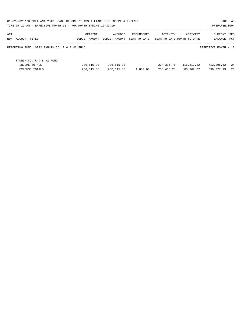| 01-02-2020**BUDGET ANALYSIS USAGE REPORT ** ASSET LIABILITY INCOME & EXPENSE<br>PAGE 48<br>TIME: 07:12 AM - EFFECTIVE MONTH: 12 - FOR MONTH ENDING 12-31-19<br>PREPARER: 0004 |               |               |              |                            |            |                      |     |  |  |  |
|-------------------------------------------------------------------------------------------------------------------------------------------------------------------------------|---------------|---------------|--------------|----------------------------|------------|----------------------|-----|--|--|--|
| ACT                                                                                                                                                                           | ORIGINAL      | AMENDED       | ENCUMBERED   | ACTIVITY                   | ACTIVITY   | <b>CURRENT USED</b>  |     |  |  |  |
| NUM<br>ACCOUNT-TITLE                                                                                                                                                          | BUDGET-AMOUNT | BUDGET-AMOUNT | YEAR-TO-DATE | YEAR-TO-DATE MONTH-TO-DATE |            | BALANCE              | PCT |  |  |  |
| REPORTING FUND: 0022 FANNIN CO. R & B #2 FUND                                                                                                                                 |               |               |              |                            |            | EFFECTIVE MONTH - 12 |     |  |  |  |
| FANNIN CO. R & B #2 FUND                                                                                                                                                      |               |               |              |                            |            |                      |     |  |  |  |
| INCOME TOTALS                                                                                                                                                                 | 936,615.38    | 936,615.38    |              | 224,316.76                 | 116,617.22 | 712,298.62           | -24 |  |  |  |
| <b>EXPENSE TOTALS</b>                                                                                                                                                         | 936,615.38    | 936,615.38    | 1,800.00     | 238,438.25                 | 83,162.07  | 696,377.13           | -26 |  |  |  |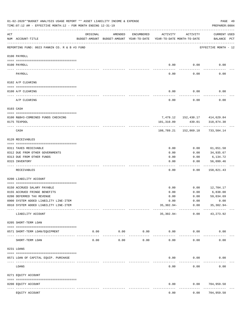|                   | 01-02-2020**BUDGET ANALYSIS USAGE REPORT ** ASSET LIABILITY INCOME & EXPENSE<br>TIME: 07:12 AM - EFFECTIVE MONTH: 12 - FOR MONTH ENDING 12-31-19 |                              |                                                     |                    |                                        |                       | PREPARER: 0004                 | PAGE 49 |
|-------------------|--------------------------------------------------------------------------------------------------------------------------------------------------|------------------------------|-----------------------------------------------------|--------------------|----------------------------------------|-----------------------|--------------------------------|---------|
| ACT               | NUM ACCOUNT-TITLE                                                                                                                                | ORIGINAL                     | AMENDED<br>BUDGET-AMOUNT BUDGET-AMOUNT YEAR-TO-DATE | ENCUMBERED         | ACTIVITY<br>YEAR-TO-DATE MONTH-TO-DATE | ACTIVITY              | CURRENT USED<br>BALANCE PCT    |         |
|                   | REPORTING FUND: 0023 FANNIN CO. R & B #3 FUND                                                                                                    |                              |                                                     |                    |                                        |                       | EFFECTIVE MONTH - 12           |         |
|                   | 0100 PAYROLL                                                                                                                                     |                              |                                                     |                    |                                        |                       |                                |         |
|                   | 0100 PAYROLL                                                                                                                                     |                              |                                                     |                    | 0.00                                   | 0.00                  | 0.00                           |         |
| $- - - - - - - -$ | PAYROLL                                                                                                                                          |                              |                                                     |                    | 0.00                                   | 0.00                  | 0.00                           |         |
|                   | 0102 A/P CLEARING                                                                                                                                |                              |                                                     |                    |                                        |                       |                                |         |
|                   | 0100 A/P CLEARING                                                                                                                                |                              |                                                     |                    | 0.00                                   | 0.00                  | 0.00                           |         |
|                   | A/P CLEARING                                                                                                                                     |                              |                                                     |                    | 0.00                                   | 0.00                  | 0.00                           |         |
|                   | 0103 CASH                                                                                                                                        |                              |                                                     |                    |                                        |                       |                                |         |
|                   |                                                                                                                                                  |                              |                                                     |                    |                                        |                       |                                |         |
|                   | 0100 R&B#3-COMBINED FUNDS CHECKING                                                                                                               |                              |                                                     |                    |                                        |                       | 7,479.12 152,430.17 414,629.84 |         |
|                   | 0175 TEXPOOL                                                                                                                                     |                              |                                                     |                    | 101,310.09                             | -------------         | 439.01 318,874.30              |         |
|                   | CASH                                                                                                                                             |                              |                                                     |                    |                                        | 108,789.21 152,869.18 | 733,504.14                     |         |
|                   | 0120 RECEIVABLES                                                                                                                                 |                              |                                                     |                    |                                        |                       |                                |         |
|                   | 0311 TAXES RECEIVABLE                                                                                                                            |                              |                                                     |                    | 0.00                                   | 0.00                  | 61,651.58                      |         |
|                   | 0312 DUE FROM OTHER GOVERNMENTS                                                                                                                  |                              |                                                     |                    | 0.00                                   | 0.00                  | 34,935.67                      |         |
|                   | 0313 DUE FROM OTHER FUNDS                                                                                                                        |                              |                                                     |                    | 0.00                                   | 0.00                  | 6,134.72                       |         |
|                   | 0315 INVENTORY                                                                                                                                   |                              |                                                     |                    | 0.00                                   | 0.00                  | 56,099.46                      |         |
|                   | RECEIVABLES                                                                                                                                      |                              |                                                     |                    | 0.00                                   | 0.00                  | ----------<br>158,821.43       |         |
|                   | 0200 LIABILITY ACCOUNT                                                                                                                           |                              |                                                     |                    |                                        |                       |                                |         |
|                   |                                                                                                                                                  |                              |                                                     |                    |                                        |                       |                                |         |
|                   | 0150 ACCRUED SALARY PAYABLE                                                                                                                      |                              |                                                     |                    | 0.00                                   | 0.00                  | 12,704.17                      |         |
|                   | 0155 ACCRUED FRINGE BENEFITS                                                                                                                     |                              |                                                     |                    | 0.00                                   | 0.00                  | 6,838.00                       |         |
|                   | 0200 DEFERRED TAX REVENUE                                                                                                                        |                              |                                                     |                    | 0.00                                   | 0.00                  | 59,034.69                      |         |
|                   | 0900 SYSTEM ADDED LIABILITY LINE-ITEM                                                                                                            |                              |                                                     |                    | 0.00                                   | 0.00                  | 0.00                           |         |
|                   | 0910 SYSTEM ADDED LIABILITY LINE-ITEM                                                                                                            |                              |                                                     |                    | $35,302.94-$                           | 0.00<br>------------  | 35,302.94-                     |         |
|                   | LIABILITY ACCOUNT                                                                                                                                |                              |                                                     |                    | $35,302.94-$                           | 0.00                  | 43, 273.92                     |         |
|                   | 0205 SHORT-TERM LOAN                                                                                                                             |                              |                                                     |                    |                                        |                       |                                |         |
|                   | 0571 SHORT-TERM LOAN/EQUIPMENT                                                                                                                   |                              | $0.00$ 0.00<br>-----------                          | 0.00<br>---------- | 0.00<br>-----------                    | 0.00                  | 0.00                           |         |
|                   | SHORT-TERM LOAN                                                                                                                                  | 0.00                         | 0.00                                                | 0.00               | 0.00                                   | 0.00                  | 0.00                           |         |
|                   | 0231 LOANS                                                                                                                                       |                              |                                                     |                    |                                        |                       |                                |         |
|                   | 0571 LOAN OF CAPITAL EQUIP. PURCHASE                                                                                                             |                              |                                                     |                    | 0.00                                   | 0.00                  | 0.00                           |         |
|                   | LOANS                                                                                                                                            | ------------- -------------- |                                                     |                    | 0.00                                   | --------<br>0.00      | 0.00                           |         |
|                   | 0271 EQUITY ACCOUNT                                                                                                                              |                              |                                                     |                    |                                        |                       |                                |         |
|                   | 0200 EQUITY ACCOUNT                                                                                                                              |                              |                                                     |                    | 0.00                                   | 0.00                  | 704,959.50                     |         |
|                   | EQUITY ACCOUNT                                                                                                                                   |                              |                                                     |                    | 0.00                                   | 0.00                  | ---------<br>704,959.50        |         |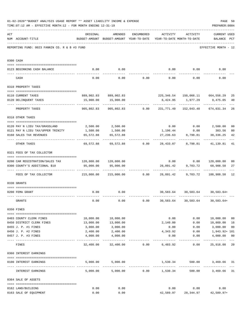|     | 01-02-2020**BUDGET ANALYSIS USAGE REPORT ** ASSET LIABILITY INCOME & EXPENSE<br>TIME: 07:12 AM - EFFECTIVE MONTH: 12 - FOR MONTH ENDING 12-31-19 |                                                                         |                                                                                |                                    |                                                   |                                    | PREPARER: 0004                                           | PAGE 50                 |
|-----|--------------------------------------------------------------------------------------------------------------------------------------------------|-------------------------------------------------------------------------|--------------------------------------------------------------------------------|------------------------------------|---------------------------------------------------|------------------------------------|----------------------------------------------------------|-------------------------|
| ACT | NUM ACCOUNT-TITLE                                                                                                                                | ORIGINAL                                                                | AMENDED<br>BUDGET-AMOUNT BUDGET-AMOUNT YEAR-TO-DATE YEAR-TO-DATE MONTH-TO-DATE | ENCUMBERED                         | ACTIVITY ACTIVITY                                 |                                    | <b>CURRENT USED</b><br>BALANCE PCT                       |                         |
|     | REPORTING FUND: 0023 FANNIN CO. R & B #3 FUND                                                                                                    |                                                                         |                                                                                |                                    |                                                   |                                    | EFFECTIVE MONTH - 12                                     |                         |
|     | 0300 CASH                                                                                                                                        |                                                                         |                                                                                |                                    |                                                   |                                    |                                                          |                         |
|     | 0123 BEGINNING CASH BALANCE                                                                                                                      | 0.00                                                                    | 0.00                                                                           |                                    |                                                   |                                    | $0.00$ $0.00$ $0.00$ $0.00$                              |                         |
|     | CASH                                                                                                                                             | 0.00                                                                    |                                                                                | $0.00$ $0.00$ $0.00$ $0.00$ $0.00$ |                                                   |                                    | 0.00                                                     |                         |
|     | 0310 PROPERTY TAXES                                                                                                                              |                                                                         |                                                                                |                                    |                                                   |                                    |                                                          |                         |
|     |                                                                                                                                                  |                                                                         |                                                                                |                                    |                                                   |                                    |                                                          |                         |
|     | 0110 CURRENT TAXES                                                                                                                               |                                                                         | 889,902.83 889,902.83                                                          |                                    |                                                   |                                    | 225, 346.54   150, 066.11   664, 556.29                  | 25                      |
|     | 0120 DELINQUENT TAXES<br>--------------------- --------------                                                                                    |                                                                         | 15,900.00  15,900.00<br>.                                                      |                                    |                                                   | 6,424.95 1,977.29<br>------------- | 9,475.05<br>-------------                                | 40                      |
|     | PROPERTY TAXES                                                                                                                                   | 905,802.83                                                              |                                                                                |                                    |                                                   |                                    | 905,802.83   0.00   231,771.49   152,043.40   674,031.34 | 26                      |
|     | 0318 OTHER TAXES                                                                                                                                 |                                                                         |                                                                                |                                    |                                                   |                                    |                                                          |                         |
|     | 0120 PAY N LIEU TAX/GRASSLAND                                                                                                                    |                                                                         | 2,500.00 2,500.00                                                              |                                    |                                                   |                                    | $0.00$ $0.00$ $2,500.00$                                 | 0 <sub>0</sub>          |
|     | 0121 PAY N LIEU TAX/UPPER TRINITY                                                                                                                | 1,500.00                                                                | 1,500.00                                                                       |                                    |                                                   | 1,196.44 0.00                      | 303.56                                                   | 80                      |
|     | 0160 SALES TAX REVENUES                                                                                                                          | 65,572.88                                                               | 65,572.88                                                                      |                                    | 27,236.63                                         | 8,798.81                           | 38,336.25                                                | 42                      |
|     | OTHER TAXES                                                                                                                                      |                                                                         |                                                                                |                                    |                                                   |                                    | 69,572.88 69,572.88 0.00 28,433.07 8,798.81 41,139.81    | 41                      |
|     | 0321 FEES OF TAX COLLECTOR                                                                                                                       |                                                                         |                                                                                |                                    |                                                   |                                    |                                                          |                         |
|     |                                                                                                                                                  |                                                                         |                                                                                |                                    |                                                   |                                    |                                                          |                         |
|     | 0200 CAR REGISTRATION/SALES TAX<br>0300 COUNTY'S ADDITIONAL \$10                                                                                 | 95,000.00                                                               | 95,000.00                                                                      |                                    |                                                   | 26,091.42 9,703.72                 | $0.00$ $0.00$ $120,000.00$<br>68,908.58                  | 0 <sub>0</sub><br>27    |
|     |                                                                                                                                                  |                                                                         |                                                                                |                                    |                                                   |                                    |                                                          |                         |
|     | FEES OF TAX COLLECTOR                                                                                                                            | 215,000.00   215,000.00      0.00    26,091.42    9,703.72   188,908.58 |                                                                                |                                    |                                                   |                                    |                                                          | 12                      |
|     | 0330 GRANTS                                                                                                                                      |                                                                         |                                                                                |                                    |                                                   |                                    |                                                          |                         |
|     | 0200 FEMA GRANT                                                                                                                                  | 0.00                                                                    | 0.00                                                                           |                                    |                                                   |                                    | 30,583.64 30,583.64 30,583.64+                           |                         |
|     | GRANTS                                                                                                                                           | 0.00                                                                    | 0.00                                                                           | 0.00                               |                                                   |                                    | 30,583.64 30,583.64 30,583.64+                           |                         |
|     | 0350 FINES                                                                                                                                       |                                                                         |                                                                                |                                    |                                                   |                                    |                                                          |                         |
|     | 0403 COUNTY CLERK FINES                                                                                                                          | 10,000.00                                                               | 10,000.00                                                                      |                                    | 0.00                                              |                                    | 0.00 10,000.00                                           | 0 <sub>0</sub>          |
|     | 0450 DISTRICT CLERK FINES                                                                                                                        | 13,000.00                                                               | 13,000.00                                                                      |                                    | 2,140.00                                          | 0.00                               | 10,860.00                                                | 16                      |
|     | 0455 J. P. #1 FINES                                                                                                                              | 3,000.00                                                                | 3,000.00                                                                       |                                    | 0.00                                              | 0.00                               | 3,000.00                                                 | 0 <sub>0</sub>          |
|     | 0456 J. P. #2 FINES                                                                                                                              | 2,400.00                                                                | 2,400.00                                                                       |                                    | 4,343.92                                          | 0.00                               | 1,943.92+ 181                                            |                         |
|     | 0457 J. P. #3 FINES                                                                                                                              | 4,000.00                                                                | 4,000.00                                                                       |                                    | 0.00                                              | 0.00                               | 4,000.00                                                 | 0 <sub>0</sub><br>$---$ |
|     | FINES                                                                                                                                            |                                                                         | 32,400.00 32,400.00                                                            | 0.00                               | 6,483.92                                          |                                    | 0.00 25,916.08                                           | 20                      |
|     | 0360 INTEREST EARNINGS                                                                                                                           |                                                                         |                                                                                |                                    |                                                   |                                    |                                                          |                         |
|     |                                                                                                                                                  |                                                                         |                                                                                |                                    |                                                   |                                    |                                                          |                         |
|     | 0100 INTEREST EARNINGS                                                                                                                           |                                                                         | 5,000.00 5,000.00                                                              |                                    | 1,530.34<br>----------- ------------- ----------- |                                    | 500.00<br>3,469.66 31                                    |                         |
|     | INTEREST EARNINGS                                                                                                                                |                                                                         | $5,000.00$ $5,000.00$ $0.00$ $1,530.34$                                        |                                    |                                                   |                                    | 500.00<br>3,469.66                                       | 31                      |
|     | 0364 SALE OF ASSETS                                                                                                                              |                                                                         |                                                                                |                                    |                                                   |                                    |                                                          |                         |
|     | 0162 LAND/BUILDING                                                                                                                               | 0.00                                                                    | 0.00                                                                           |                                    |                                                   | $0.00$ 0.00                        | 0.00                                                     |                         |
|     | 0163 SALE OF EQUIPMENT                                                                                                                           | 0.00                                                                    | 0.00                                                                           |                                    |                                                   |                                    | 42,589.97 28,344.97 42,589.97+                           |                         |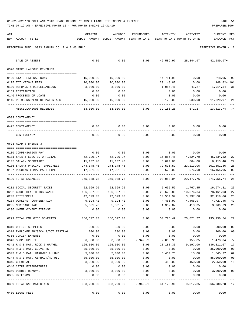| 01-02-2020**BUDGET ANALYSIS USAGE REPORT ** ASSET LIABILITY INCOME & EXPENSE |  |  |  |  |  | PAGE |  |
|------------------------------------------------------------------------------|--|--|--|--|--|------|--|
|                                                                              |  |  |  |  |  |      |  |

|     | TIME:07:12 AM - EFFECTIVE MONTH:12 - FOR MONTH ENDING 12-31-19 |                  |                                                     |              |                                        |                             | PREPARER: 0004                 |                |
|-----|----------------------------------------------------------------|------------------|-----------------------------------------------------|--------------|----------------------------------------|-----------------------------|--------------------------------|----------------|
| ACT | NUM ACCOUNT-TITLE                                              | ORIGINAL         | AMENDED<br>BUDGET-AMOUNT BUDGET-AMOUNT YEAR-TO-DATE | ENCUMBERED   | ACTIVITY<br>YEAR-TO-DATE MONTH-TO-DATE | ACTIVITY                    | <b>CURRENT USED</b><br>BALANCE | $_{\rm PCT}$   |
|     | REPORTING FUND: 0023 FANNIN CO. R & B #3 FUND                  |                  |                                                     |              |                                        |                             | EFFECTIVE MONTH - 12           |                |
|     | SALE OF ASSETS                                                 | 0.00             | 0.00                                                | 0.00         | 42,589.97                              | 28,344.97                   | $42,589.97+$                   |                |
|     | 0370 MISCELLANEOUS REVENUES                                    |                  |                                                     |              |                                        |                             |                                |                |
|     | 0120 STATE LATERAL ROAD                                        | 15,000.00        | 15,000.00                                           |              | 14,781.95                              | 0.00                        | 218.05                         | 99             |
|     | 0125 TDT WEIGHT FEES                                           | 20,000.00        | 20,000.00                                           |              | 20,148.82                              | 0.00                        | 148.82+ 101                    |                |
|     | 0130 REFUNDS & MISCELLANEOUS                                   | 3,000.00         | 3,000.00                                            |              | 1,085.46                               | 41.27                       | 1,914.54                       | 36             |
|     | 0139 RESTITUTION                                               | 0.00             | 0.00                                                |              | 0.00                                   | 0.00                        | 0.00                           |                |
|     | 0140 PROCEEDS OF LOANS                                         | 0.00             | 0.00                                                |              | 0.00                                   | 0.00                        | 0.00                           |                |
|     | 0145 REIMBURSEMENT OF MATERIALS                                | 15,000.00        | 15,000.00                                           |              | 3,170.03                               | 530.00                      | 11,829.97                      | 21             |
|     | MISCELLANEOUS REVENUES                                         | 53,000.00        | 53,000.00                                           | 0.00         | 39,186.26                              | 571.27                      | 13,813.74                      | 74             |
|     | 0509 CONTINGENCY                                               |                  |                                                     |              |                                        |                             |                                |                |
|     | 0475 CONTINGENCY                                               | 0.00             | 0.00                                                | 0.00         | 0.00                                   | 0.00                        | 0.00                           |                |
|     | CONTINGENCY                                                    | 0.00             | 0.00                                                | 0.00         | 0.00                                   | 0.00                        | 0.00                           |                |
|     | 0623 ROAD & BRIDGE 3                                           |                  |                                                     |              |                                        |                             |                                |                |
|     | 0100 COMPENSATION PAY                                          | 0.00             | 0.00                                                | 0.00         | 0.00                                   | 0.00                        | 0.00                           |                |
|     | 0101 SALARY ELECTED OFFICIAL                                   | 62,720.97        | 62,720.97                                           | 0.00         | 16,886.45                              | 4,824.70                    | 45,834.52                      | 27             |
|     | 0105 SALARY SECRETARY                                          | 11,137.40        | 11,137.40                                           | 0.00         | 3,024.00                               | 864.00                      | 8,113.40                       | 27             |
|     | 0106 SALARY PRECINCT EMPLOYEES                                 | 274,148.45       | 274,148.45                                          | 0.00         | 72,596.59                              | 23, 213.06                  | 201,551.86                     | 26             |
|     | 0107 REGULAR-TEMP. PART-TIME                                   | 17,031.96        | 17,031.96                                           | 0.00         | 576.00                                 | 576.00                      | 16,455.96                      | 03             |
|     | 0199 TOTAL SALARIES                                            | 365,038.78       | 365,038.78                                          | 0.00         | 93,083.04                              | 29,477.76                   | 271,955.74                     | 25             |
|     | 0201 SOCIAL SECURITY TAXES                                     | 22,669.90        | 22,669.90                                           | 0.00         | 5,695.59                               | 1,767.45                    | 16,974.31                      | 25             |
|     | 0202 GROUP HEALTH INSURANCE                                    | 106,837.92       | 106,837.92                                          | 0.00         | 28,676.89                              | 10,876.34                   | 78,161.03                      | 27             |
|     | 0203 RETIREMENT                                                | 42,673.03        | 42,673.03                                           | 0.00         | 10,554.97                              | 3,297.66                    | 32,118.06                      | 25             |
|     | 0204 WORKERS' COMPENSATION                                     | 9,194.42         | 9,194.42                                            | 0.00         | 4,466.97                               | 4,466.97                    | 4,727.45                       | 49             |
|     | 0205 MEDICARE TAX                                              |                  | 5,301.76 5,301.76                                   | 0.00         | 1,332.07                               | 413.35                      | 3,969.69                       | 25             |
|     | 0206 UNEMPLOYMENT EXPENSE                                      | 0.00             | 0.00<br>--------------                              | 0.00         | 0.00<br>-----------                    | 0.00                        | 0.00                           |                |
|     | 0299 TOTAL EMPLOYEE BENEFITS                                   | 186,677.03       | 186,677.03                                          | 0.00         | 50,726.49                              |                             | 20,821.77 135,950.54           | 27             |
|     | 0310 OFFICE SUPPLIES                                           | 500.00           | 500.00                                              | 0.00         | 0.00                                   | 0.00                        | 500.00                         | 00             |
|     | 0314 EMPLOYEE PHYSICALS/DOT TESTING                            | 200.00           | 200.00                                              | 0.00         | 0.00                                   | 0.00                        | 200.00                         | 00             |
|     | 0315 COPIER EXPENSE                                            | 0.00             | 0.00                                                | 0.00         | 0.00                                   | 0.00                        | 0.00                           |                |
|     | 0340 SHOP SUPPLIES                                             | 6,500.00         | 6,500.00                                            | 2,942.76     | 2,083.90                               | 155.85                      | 1,473.34                       | 77             |
|     | 0341 R & B MAT. ROCK & GRAVEL                                  | 165,000.00       | 165,000.00                                          | 0.00         | 28, 188. 33                            | 9,197.00                    | 136,811.67                     | 17             |
|     | 0342 R & B MAT. CULVERTS                                       | 35,000.00        | 35,000.00                                           | 0.00         | 0.00                                   | 0.00                        | 35,000.00                      | 00             |
|     | 0343 R & B MAT. HARDWRE & LUMB                                 | 5,000.00         | 5,000.00                                            | 0.00         | 3,454.73                               | 15.00                       | 1,545.27                       | 69             |
|     | 0344 R & B MAT. ASPHALT/RD OIL                                 | 85,000.00        | 85,000.00                                           | 0.00         | 0.00                                   | 0.00                        | 85,000.00                      | 0 <sub>0</sub> |
|     | 0345 CHEMICALS                                                 | 3,000.00         | 3,000.00                                            | 0.00         | 450.00                                 | 450.00                      | 2,550.00                       | 15             |
|     | 0346 CETRZ EXPENDITURES                                        | 0.00<br>3,000.00 | 0.00<br>3,000.00                                    | 0.00<br>0.00 | 0.00<br>0.00                           | 0.00<br>0.00                | 0.00                           | 00             |
|     | 0350 DEBRIS REMOVAL<br>0395 UNIFORMS                           | 0.00             | 0.00                                                | 0.00         | 0.00                                   | 0.00                        | 3,000.00<br>0.00               |                |
|     |                                                                |                  | _____________                                       |              |                                        |                             | -------------                  |                |
|     | 0399 TOTAL R&B MATERIALS                                       | 303,200.00       | 303,200.00                                          |              |                                        | 2,942.76 34,176.96 9,817.85 | 266,080.28 12                  |                |
|     | 0400 LEGAL FEES                                                | 0.00             | 0.00                                                | 0.00         | 0.00                                   | 0.00                        | 0.00                           |                |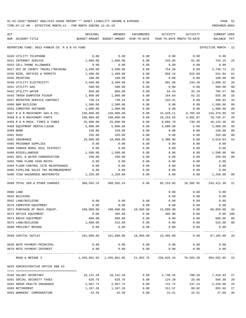TIME:07:12 AM - EFFECTIVE MONTH:12 - FOR MONTH ENDING 12-31-19 PREPARER:0004

| ACT |                                               | ORIGINAL                                                            | AMENDED                                                       | ENCUMBERED          | ACTIVITY   | ACTIVITY                        | <b>CURRENT USED</b>                  |                |
|-----|-----------------------------------------------|---------------------------------------------------------------------|---------------------------------------------------------------|---------------------|------------|---------------------------------|--------------------------------------|----------------|
|     | NUM ACCOUNT-TITLE                             | BUDGET-AMOUNT BUDGET-AMOUNT YEAR-TO-DATE YEAR-TO-DATE MONTH-TO-DATE |                                                               |                     |            |                                 | BALANCE                              | PCT            |
|     | REPORTING FUND: 0023 FANNIN CO. R & B #3 FUND |                                                                     |                                                               |                     |            |                                 | EFFECTIVE MONTH - 12                 |                |
|     | 0420 UTILITY TELEPHONE                        | 0.00                                                                | 0.00                                                          | 0.00                | 0.00       | 0.00                            | 0.00                                 |                |
|     | 0421 INTERNET SERVICE                         | 1,000.00                                                            | 1,000.00                                                      | 0.00                | 245.85     | 81.95                           | 754.15                               | 25             |
|     | 0423 CELL PHONE ALLOWANCE                     | 0.00                                                                | 0.00                                                          | 0.00                | 0.00       | 0.00                            | 0.00                                 |                |
|     | 0427 OUT OF COUNTY TRAVEL/TRAINING            | 3,500.00                                                            | 3,500.00                                                      | 0.00                | 754.28     | 0.00                            | 2,745.72                             | 22             |
|     | 0430 BIDS, NOTICES & PERMITS                  | 1,400.00                                                            | 1,400.00                                                      | 0.00                | 858.16     | 810.00                          | 541.84                               | 61             |
|     | 0435 PRINTING                                 | 100.00                                                              | 100.00                                                        | 0.00                | 0.00       | 0.00                            | 100.00                               | 00             |
|     | 0440 UTILITY ELECTRICITY                      | 3,500.00                                                            | 3,500.00                                                      | 0.00                | 691.68     | 244.40                          | 2,808.32                             | 20             |
|     | 0441 UTILITY GAS                              | 500.00                                                              | 500.00                                                        | 0.00                | 0.00       | 0.00                            | 500.00                               | 0 <sub>0</sub> |
|     | 0442 UTILITY WATER                            | 850.00                                                              | 850.00                                                        | 0.00                | 64.43      | 32.19                           | 785.57                               | 08             |
|     | 0443 TRASH DUMPSTER PICKUP                    | 1,000.00                                                            | 1,000.00                                                      | 0.00                | 164.64     | 82.32                           | 835.36                               | 16             |
|     | 0447 REPEATER SERVICE CONTRACT                | 730.24                                                              | 730.24                                                        | 0.00                | 243.41     | 0.00                            | 486.83                               | 33             |
|     | 0450 R&M BUILDING                             | 1,500.00                                                            | 1,500.00                                                      | 0.00                | 0.00       | 0.00                            | 1,500.00                             | 00             |
|     | 0453 COMPUTER SOFTWARE                        | 1,000.00                                                            | 1,000.00                                                      | 0.00                | 0.00       | 0.00                            | 1,000.00                             | 0 <sub>0</sub> |
|     | 0457 R & M MACHINERY GAS & OIL                | 150,000.00                                                          | 150,000.00                                                    | 0.00                | 15,629.11  | 9,703.69                        | 134,370.89                           | 10             |
|     | 0458 R & M MACHINERY PARTS                    | 100,000.00                                                          | 100,000.00                                                    | 0.00                | 29, 254.63 | 4,691.07                        | 70,745.37                            | 29             |
|     | 0459 R & M MACH. TIRES & TUBES                | 25,000.00                                                           | 25,000.00                                                     | 0.00                | 8,866.70   | 740.30                          | 16,133.30                            | 35             |
|     | 0460 EOUIPMENT RENTAL/LEASE                   | 5,000.00                                                            | 5,000.00                                                      | 0.00                | 3,000.00   | 0.00                            | 2,000.00                             | 60             |
|     | 0480 BOND                                     | 150.00                                                              | 150.00                                                        | 0.00                | 0.00       | 0.00                            | 150.00                               | 0 <sub>0</sub> |
|     | 0481 DUES                                     | 335.00                                                              | 335.00                                                        | 0.00                | 0.00       | 0.00                            | 335.00                               | 0 <sub>0</sub> |
|     | 0482 INSURANCE                                | 10,000.00                                                           | 10,000.00                                                     | 0.00                | 5,380.96   | 0.00                            | 4,619.04                             | 54             |
|     | 0485 PRISONER SUPPLIES                        | 0.00                                                                | 0.00                                                          | 0.00                | 0.00       | 0.00                            | 0.00                                 |                |
|     | 0488 FANNIN RURAL RAIL DISTRICT               | 0.00                                                                | 0.00                                                          | 0.00                | 0.00       | 0.00                            | 0.00                                 |                |
|     | 0490 MISCELLANEOUS                            | 1,500.00                                                            | 1,500.00                                                      | 0.00                | 0.00       | 0.00                            | 1,500.00                             | 00             |
|     | 0491 SOIL & WATER CONSERVATION                | 250.00                                                              | 250.00                                                        | 0.00                | 0.00       | 0.00                            | 250.00                               | 0 <sub>0</sub> |
|     | 0492 TDRA FLOOD CASH MATCH                    | 0.00                                                                | 0.00                                                          | 0.00                | 0.00       | 0.00                            | 0.00                                 |                |
|     | 0494 FLOOD CONTROL SITE MAINTENANCE           | 0.00                                                                | 0.00                                                          | 0.00                | 0.00       | 0.00                            | 0.00                                 |                |
|     | 0495 PIPELINE SALES TAX REIMBURSEMENT         | 0.00                                                                | 0.00                                                          | 0.00                | 0.00       | 0.00                            | 0.00                                 |                |
|     | 0496 TCOG HAZARDOUS WASTEMATCH                | 1,250.00                                                            | 1,250.00                                                      | 0.00                | 0.00       | 0.00                            | 1,250.00                             | 00             |
|     | 0499 TOTAL SER.& OTHER CHARGES                | 308,565.24 308,565.24                                               |                                                               | $0.00$ 65,153.85    |            | 16,385.92                       | 243,411.39                           | 21             |
|     | 0500 LAND                                     |                                                                     |                                                               |                     | 0.00       | 0.00                            | 0.00                                 |                |
|     | 0535 BUILDING                                 |                                                                     |                                                               |                     | 0.00       | 0.00                            | 0.00                                 |                |
|     | 0562 LAND/BUILDING                            | 0.00                                                                | 0.00                                                          | 0.00                | 0.00       | 0.00                            | 0.00                                 |                |
|     | 0570 COMPUTER EQUIPMENT                       | 0.00                                                                | 0.00                                                          | 0.00                | 0.00       | 0.00                            | 0.00                                 |                |
|     | 0571 PURCHASE OF MACH./EQUIP.                 | 100,000.00                                                          | 100,000.00                                                    | 18,950.00 15,000.00 |            | 0.00                            | 66,050.00                            | 34             |
|     | 0572 OFFICE EQUIPMENT                         | 0.00                                                                | 485.00                                                        | 0.00                | 485.00     | 0.00                            | $0.00$ 100                           |                |
|     | 0573 RADIO EQUIPMENT                          | 600.00                                                              | 600.00                                                        | 0.00                | 0.00       | 0.00                            | 600.00                               | 0 <sub>0</sub> |
|     | 0575 LAND/BUILDING                            | 1,000.00                                                            | 515.00                                                        | 0.00                | 0.00       | 0.00                            | 515.00                               | 0 <sub>0</sub> |
|     | 0580 PRECINCT BRIDGE                          | 0.00                                                                | 0.00                                                          | 0.00                | 0.00       | 0.00                            | 0.00                                 |                |
|     | 0599 CAPITAL OUTLAY                           |                                                                     | -------------<br>101,600.00  101,600.00  18,950.00  15,485.00 | -------------       |            |                                 | -------------<br>$0.00$ 67,165.00 34 |                |
|     | 0630 NOTE PAYMENT-PRINCIPAL                   | 0.00                                                                | 0.00                                                          | 0.00                | 0.00       | 0.00                            | 0.00                                 |                |
|     | 0670 NOTE PAYMENT-INTEREST                    | 0.00                                                                | 0.00                                                          | 0.00                | 0.00       | 0.00                            | 0.00                                 |                |
|     | ROAD & BRIDGE 3                               | 1,265,081.05 1,265,081.05 21,892.76 258,625.34 76,503.30 984,562.95 |                                                               |                     |            |                                 |                                      | 22             |
|     | 0625 ADMINISTRATIVE OFFICE R&B #3             |                                                                     |                                                               |                     |            |                                 |                                      |                |
|     | 0105 SALARY SECRETARY                         |                                                                     | 10, 141. 28   10, 141. 28                                     |                     |            | $0.00$ 2,730.35 780.10 7,410.93 |                                      | 27             |
|     | 0201 SOCIAL SECURITY TAXES                    | 628.76                                                              | 628.76                                                        | 0.00                | 124.38     | 33.60                           | 504.38                               | 20             |
|     | 0202 GROUP HEALTH INSURANCE                   | 2,967.72                                                            | 2,967.72                                                      | 0.00                | 741.72     |                                 | 247.24 2,226.00                      | 25             |
|     | 0203 RETIREMENT                               |                                                                     | 1, 167. 26 1, 167. 26                                         | 0.00                | 311.57     | 89.02                           | 855.69                               | 27             |
|     |                                               |                                                                     |                                                               |                     |            |                                 |                                      |                |

0204 WORKERS' COMPENSATION 42.59 42.59 0.00 15.51 15.51 27.08 36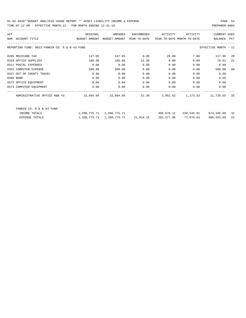| ACT |                                                                                                     | ORIGINAL                                                            | AMENDED                       | ENCUMBERED | ACTIVITY   | ACTIVITY  | <b>CURRENT USED</b>      |    |
|-----|-----------------------------------------------------------------------------------------------------|---------------------------------------------------------------------|-------------------------------|------------|------------|-----------|--------------------------|----|
|     | NUM ACCOUNT-TITLE                                                                                   | BUDGET-AMOUNT BUDGET-AMOUNT YEAR-TO-DATE YEAR-TO-DATE MONTH-TO-DATE |                               |            |            |           | BALANCE PCT              |    |
|     | REPORTING FUND: 0023 FANNIN CO. R & B #3 FUND                                                       |                                                                     |                               |            |            |           | EFFECTIVE MONTH - 12     |    |
|     | 0205 MEDICARE TAX                                                                                   | 147.05                                                              | 147.05                        | 0.00       | 29.09      | 7.86      | 117.96                   | 20 |
|     | 0310 OFFICE SUPPLIES                                                                                | 100.00                                                              | 100.00                        | 21.39      | 0.00       | 0.00      | 78.61                    | 21 |
|     | 0311 POSTAL EXPENSES                                                                                | 0.00                                                                | 0.00                          | 0.00       | 0.00       | 0.00      | 0.00                     |    |
|     | 0353 COMPUTER EXPENSE                                                                               | 500.00                                                              | 500.00                        | 0.00       | 0.00       | 0.00      | 500.00                   | 00 |
|     | 0427 OUT OF COUNTY TRAVEL                                                                           | 0.00                                                                | 0.00                          | 0.00       | 0.00       | 0.00      | 0.00                     |    |
|     | 0480 BOND                                                                                           | 0.00                                                                | 0.00                          | 0.00       | 0.00       | 0.00      | 0.00                     |    |
|     | 0572 OFFICE EQUIPMENT                                                                               | 0.00                                                                | 0.00                          | 0.00       | 0.00       | 0.00      | 0.00                     |    |
|     | 0574 COMPUTER EQUIPMENT                                                                             | 0.00                                                                | 0.00                          | 0.00       | 0.00       | 0.00      | 0.00                     |    |
|     | ADMINISTRATIVE OFFICE R&B #3 $15,694.66$ $15,694.66$ $21.39$ $3,952.62$ $1,173.33$ $11,720.65$ $25$ |                                                                     |                               |            |            |           |                          |    |
|     | FANNIN CO. R & B #3 FUND                                                                            |                                                                     |                               |            |            |           |                          |    |
|     | INCOME TOTALS                                                                                       |                                                                     | $1,280.775.71$ $1,280.775.71$ |            | 406,670.11 |           | 230,545.81 874,105.60 32 |    |
|     | EXPENSE TOTALS                                                                                      |                                                                     |                               |            | 262,577.96 | 77,676.63 | 996,283.60               | 22 |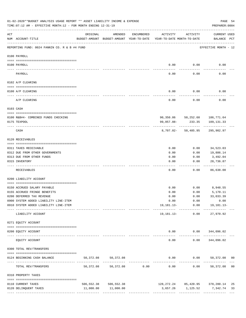|                 | 01-02-2020**BUDGET ANALYSIS USAGE REPORT ** ASSET LIABILITY INCOME & EXPENSE<br>TIME: 07:12 AM - EFFECTIVE MONTH: 12 - FOR MONTH ENDING 12-31-19 |           |                                                     |                                                 |                                        |                     | PAGE 54<br>PREPARER: 0004                       |    |
|-----------------|--------------------------------------------------------------------------------------------------------------------------------------------------|-----------|-----------------------------------------------------|-------------------------------------------------|----------------------------------------|---------------------|-------------------------------------------------|----|
| ACT             | NUM ACCOUNT-TITLE                                                                                                                                | ORIGINAL  | AMENDED<br>BUDGET-AMOUNT BUDGET-AMOUNT YEAR-TO-DATE | ENCUMBERED                                      | ACTIVITY<br>YEAR-TO-DATE MONTH-TO-DATE | ACTIVITY            | CURRENT USED<br>BALANCE PCT                     |    |
|                 | REPORTING FUND: 0024 FANNIN CO. R & B #4 FUND                                                                                                    |           |                                                     |                                                 |                                        |                     | EFFECTIVE MONTH - 12                            |    |
|                 | 0100 PAYROLL                                                                                                                                     |           |                                                     |                                                 |                                        |                     |                                                 |    |
|                 |                                                                                                                                                  |           |                                                     |                                                 |                                        |                     |                                                 |    |
| $- - - - - - -$ | 0100 PAYROLL                                                                                                                                     |           |                                                     |                                                 | 0.00                                   | 0.00                | 0.00                                            |    |
|                 | PAYROLL                                                                                                                                          |           |                                                     |                                                 | 0.00                                   | 0.00                | 0.00                                            |    |
|                 | 0102 A/P CLEARING                                                                                                                                |           |                                                     |                                                 |                                        |                     |                                                 |    |
|                 | 0100 A/P CLEARING                                                                                                                                |           |                                                     |                                                 | 0.00                                   | 0.00                | 0.00                                            |    |
|                 | A/P CLEARING                                                                                                                                     |           |                                                     |                                                 | 0.00                                   | 0.00                | 0.00                                            |    |
|                 | 0103 CASH                                                                                                                                        |           |                                                     |                                                 |                                        |                     |                                                 |    |
|                 | 0100 R&B#4- COMBINED FUNDS CHECKING                                                                                                              |           |                                                     |                                                 |                                        |                     | 90,350.86 50,252.60 186,771.64                  |    |
|                 | 0175 TEXPOOL                                                                                                                                     |           |                                                     |                                                 | 99,057.88-                             | 233.35              | 109,131.33                                      |    |
|                 | CASH                                                                                                                                             |           |                                                     |                                                 |                                        | 8,707.02- 50,485.95 | 295,902.97                                      |    |
|                 | 0120 RECEIVABLES                                                                                                                                 |           |                                                     |                                                 |                                        |                     |                                                 |    |
|                 | 0311 TAXES RECEIVABLE                                                                                                                            |           |                                                     |                                                 | 0.00                                   | 0.00                | 34,523.03                                       |    |
|                 | 0312 DUE FROM OTHER GOVERNMENTS                                                                                                                  |           |                                                     |                                                 | 0.00                                   | 0.00                | 19,886.14                                       |    |
|                 | 0313 DUE FROM OTHER FUNDS                                                                                                                        |           |                                                     |                                                 | 0.00                                   | 0.00                | 3,492.04                                        |    |
|                 | 0315 INVENTORY                                                                                                                                   |           |                                                     |                                                 | 0.00                                   | 0.00                | 28,736.87                                       |    |
|                 | RECEIVABLES                                                                                                                                      |           |                                                     |                                                 | 0.00                                   | 0.00                | .<br>86,638.08                                  |    |
|                 | 0200 LIABILITY ACCOUNT                                                                                                                           |           |                                                     |                                                 |                                        |                     |                                                 |    |
|                 | 0150 ACCRUED SALARY PAYABLE                                                                                                                      |           |                                                     |                                                 | 0.00                                   | 0.00                | 8,948.55                                        |    |
|                 | 0155 ACCRUED FRINGE BENEFITS                                                                                                                     |           |                                                     |                                                 | 0.00                                   | 0.00                | 5,170.11                                        |    |
|                 | 0200 DEFERRED TAX REVENUE                                                                                                                        |           |                                                     |                                                 | 0.00                                   | 0.00                | 33,033.39                                       |    |
|                 | 0900 SYSTEM ADDED LIABILITY LINE-ITEM                                                                                                            |           |                                                     |                                                 |                                        |                     | $0.00$ $0.00$ $0.00$                            |    |
|                 | 0910 SYSTEM ADDED LIABILITY LINE-ITEM                                                                                                            |           |                                                     |                                                 |                                        |                     | $19, 181.13 - 0.00$ $19, 181.13 -$              |    |
|                 | LIABILITY ACCOUNT                                                                                                                                |           |                                                     |                                                 |                                        | 19,181.13- 0.00     | -------- ------------ ------------<br>27,970.92 |    |
|                 | 0271 EQUITY ACCOUNT                                                                                                                              |           |                                                     |                                                 |                                        |                     |                                                 |    |
|                 | 0200 EQUITY ACCOUNT                                                                                                                              |           |                                                     |                                                 |                                        |                     | $0.00$ $0.00$ $344,096.02$                      |    |
|                 | EQUITY ACCOUNT                                                                                                                                   |           | --------------                                      |                                                 | -----<br>0.00                          | 0.00                | 344,096.02                                      |    |
|                 | 0300 TOTAL REV/TRANSFERS                                                                                                                         |           |                                                     |                                                 |                                        |                     |                                                 |    |
|                 | 0124 BEGINNING CASH BALANCE                                                                                                                      | 50,372.08 | 50,372.08                                           |                                                 |                                        |                     | $0.00$ $0.00$ $50,372.08$ 00                    |    |
|                 | TOTAL REV/TRANSFERS                                                                                                                              | 50,372.08 |                                                     | -----------------------------<br>50,372.08 0.00 | 0.00                                   |                     | $0.00$ 50,372.08 00                             |    |
|                 | 0310 PROPERTY TAXES                                                                                                                              |           |                                                     |                                                 |                                        |                     |                                                 |    |
|                 | 0110 CURRENT TAXES                                                                                                                               |           | 506, 552.38 506, 552.38                             |                                                 |                                        |                     | 128, 272. 24 85, 420. 95 378, 280. 14           | 25 |
|                 | 0120 DELINQUENT TAXES                                                                                                                            |           | 11,000.00 11,000.00                                 |                                                 |                                        |                     | 3,657.26 1,125.52 7,342.74                      | 33 |
|                 |                                                                                                                                                  |           |                                                     |                                                 |                                        |                     |                                                 |    |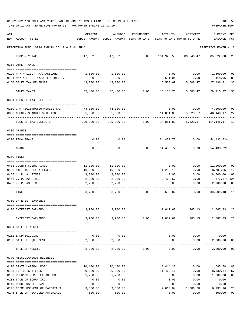01-02-2020\*\*BUDGET ANALYSIS USAGE REPORT \*\* ASSET LIABILITY INCOME & EXPENSE PAGE 55 TIME:07:12 AM - EFFECTIVE MONTH:12 - FOR MONTH ENDING 12-31-19 PREPARER:0004

| ACT |                                                      | ORIGINAL                                                            | AMENDED               | ENCUMBERED | ACTIVITY  | ACTIVITY             | CURRENT USED           |    |
|-----|------------------------------------------------------|---------------------------------------------------------------------|-----------------------|------------|-----------|----------------------|------------------------|----|
|     | NUM ACCOUNT-TITLE                                    | BUDGET-AMOUNT BUDGET-AMOUNT YEAR-TO-DATE YEAR-TO-DATE MONTH-TO-DATE |                       |            |           |                      | BALANCE PCT            |    |
|     | REPORTING FUND: 0024 FANNIN CO. R & B #4 FUND        |                                                                     |                       |            |           |                      | EFFECTIVE MONTH - 12   |    |
|     | PROPERTY TAXES                                       |                                                                     | 517,552.38 517,552.38 | 0.00       |           | 131,929.50 86,546.47 | 385,622.88 25          |    |
|     | 0318 OTHER TAXES                                     |                                                                     |                       |            |           |                      |                        |    |
|     | 0120 PAY N LIEU TAX/GRASSLAND                        | 1,600.00                                                            | 1,600.00              |            | 0.00      |                      | $0.00$ 1,600.00        | 00 |
|     | 0121 PAY N LIEU TAX/UPPER TRINITY                    | 800.00                                                              | 800.00                |            | 681.04    | 0.00                 | 118.96                 | 85 |
|     | 0160 SALES TAX REVENUES                              | 43,000.00                                                           | 43,000.00             |            | 15,503.69 | 5,008.47             | 27,496.31              | 36 |
|     | OTHER TAXES                                          | 45,400.00                                                           | 45,400.00             | 0.00       | 16,184.73 | 5,008.47             | 29, 215. 27 36         |    |
|     | 0321 FEES OF TAX COLLECTOR                           |                                                                     |                       |            |           |                      |                        |    |
|     | 0200 CAR REGISTRATION/SALES TAX                      | 74,000.00                                                           | 74,000.00             |            | 0.00      | 0.00                 | 74,000.00              | 00 |
|     | 0300 COUNTY'S ADDITIONAL \$10                        | 55,000.00                                                           | 55,000.00             |            | 14,851.83 | 5,523.57             | 40,148.17              | 27 |
|     | FEES OF TAX COLLECTOR                                | 129,000.00                                                          | 129,000.00            | 0.00       | 14,851.83 | 5,523.57             | 114, 148. 17 12        |    |
|     | 0330 GRANTS                                          |                                                                     |                       |            |           |                      |                        |    |
|     |                                                      |                                                                     |                       |            |           |                      |                        |    |
|     | 0200 FEMA GRANT                                      | 0.00                                                                | 0.00                  |            | 54,433.72 |                      | $0.00$ $54,433.72+$    |    |
|     | GRANTS                                               | 0.00                                                                | 0.00                  | 0.00       | 54,433.72 | 0.00                 | $54, 433.72+$          |    |
|     | 0350 FINES                                           |                                                                     |                       |            |           |                      |                        |    |
|     |                                                      |                                                                     | 11,000.00             |            | 0.00      | 0.00                 | 11,000.00              | 00 |
|     | 0403 COUNTY CLERK FINES<br>0450 DISTRICT CLERK FINES | 11,000.00<br>10,000.00                                              | 10,000.00             |            | 1,218.15  | 0.00                 | 8,781.85               | 12 |
|     | 0455 J. P. #1 FINES                                  | 8,000.00                                                            | 8,000.00              |            | 0.00      | 0.00                 | 8,000.00               | 00 |
|     | 0456 J. P. #2 FINES                                  | 2,000.00                                                            | 2,000.00              |            | 2,472.67  | 0.00                 | 472.67+ 124            |    |
|     | 0457 J. P. #3 FINES                                  | 2,700.00                                                            | 2,700.00              |            | 0.00      | 0.00                 | 2,700.00               | 00 |
|     | FINES                                                | 33,700.00                                                           | 33,700.00             | 0.00       | 3,690.82  | 0.00                 | 30,009.18 11           |    |
|     | 0360 INTEREST EARNINGS                               |                                                                     |                       |            |           |                      |                        |    |
|     |                                                      |                                                                     |                       |            |           |                      |                        |    |
|     | 0100 INTEREST EARNING                                | 3,900.00                                                            | 3,900.00              |            | 1,012.67  | 265.13               | 2,887.33 26            |    |
|     | INTEREST EARNINGS                                    | 3,900.00                                                            | 3,900.00              | 0.00       | 1,012.67  | 265.13               | 2,887.33               | 26 |
|     | 0364 SALE OF ASSETS                                  |                                                                     |                       |            |           |                      |                        |    |
|     |                                                      |                                                                     |                       |            |           |                      |                        |    |
|     | 0162 LAND/BUILDING                                   | 0.00                                                                | 0.00                  |            | 0.00      | 0.00                 | 0.00                   |    |
|     | 0163 SALE OF EQUIPMENT                               | 2,000.00                                                            | 2,000.00              |            | 0.00      | 0.00<br>-----        | 2,000.00<br>---------- | 00 |
|     | SALE OF ASSETS                                       | 2,000.00                                                            | 2,000.00              | 0.00       | 0.00      | 0.00                 | 2,000.00               | 00 |
|     | 0370 MISCELLANEOUS REVENUES                          |                                                                     |                       |            |           |                      |                        |    |
|     | 0120 STATE LATERAL ROAD                              | 10,100.00                                                           | 10,100.00             |            | 8,414.22  | 0.00                 | 1,685.78               | 83 |
|     | 0125 TDT WEIGHT FEES                                 | 20,000.00                                                           | 20,000.00             |            | 11,469.16 | 0.00                 | 8,530.84               | 57 |
|     | 0130 REFUNDS & MISCELLANEOUS                         | 1,200.00                                                            | 1,200.00              |            | 0.00      | 0.00                 | 1,200.00               | 00 |
|     | 0138 SALE OF SCRAP IRON                              | 0.00                                                                | 0.00                  |            | 0.00      | 0.00                 | 0.00                   |    |
|     | 0140 PROCEEDS OF LOAN                                | 0.00                                                                | 0.00                  |            | 0.00      | 0.00                 | 0.00                   |    |
|     | 0145 REIMBURSEMENT OF MATERIALS                      | 9,000.00                                                            | 9,000.00              |            | 2,068.04  | 1,086.60             | 6,931.96               | 23 |
|     | 0146 SALE OF RECYCLED MATERIALS                      | 500.00                                                              | 500.00                |            | 0.00      | 0.00                 | 500.00                 | 00 |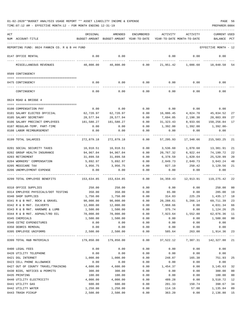| ACT |                                                                 | ORIGINAL                | AMENDED                                                             | ENCUMBERED                        | ACTIVITY         | ACTIVITY                     | <b>CURRENT USED</b>      |                |
|-----|-----------------------------------------------------------------|-------------------------|---------------------------------------------------------------------|-----------------------------------|------------------|------------------------------|--------------------------|----------------|
|     | NUM ACCOUNT-TITLE                                               |                         | BUDGET-AMOUNT BUDGET-AMOUNT YEAR-TO-DATE YEAR-TO-DATE MONTH-TO-DATE |                                   |                  |                              | BALANCE PCT              |                |
|     | REPORTING FUND: 0024 FANNIN CO. R & B #4 FUND                   |                         |                                                                     |                                   |                  |                              | EFFECTIVE MONTH - 12     |                |
|     | 0147 OFFICE RENTAL                                              | 0.00                    | 0.00                                                                |                                   | 0.00             | 0.00                         | 0.00                     |                |
|     | MISCELLANEOUS REVENUES                                          | 40,800.00               | 40,800.00                                                           | 0.00                              |                  | 21,951.42 1,086.60 18,848.58 |                          | 54             |
|     | 0509 CONTINGENCY                                                |                         |                                                                     |                                   |                  |                              |                          |                |
|     | 0475 CONTINGENCY                                                | 0.00                    | 0.00                                                                | 0.00                              | 0.00             | 0.00                         | 0.00                     |                |
|     | CONTINGENCY                                                     | 0.00                    | 0.00                                                                | 0.00                              | 0.00             | 0.00                         | 0.00                     |                |
|     | 0624 ROAD & BRIDGE 4                                            |                         |                                                                     |                                   |                  |                              |                          |                |
|     | 0100 COMPENSATION PAY                                           | 0.00                    | 0.00                                                                | 0.00                              | 0.00             | 0.00                         | 0.00                     |                |
|     | 0101 SALARY ELECTED OFFICIAL                                    | 62,720.97               | 62,720.97                                                           | 0.00                              | 16,886.45        | 4,824.70                     | 45,834.52                | 27             |
|     | 0105 SALARY SECRETARY                                           | 28,577.94               | 28,577.94                                                           | 0.00                              | 7,694.05         | 2,198.30                     | 20,883.89                | 27             |
|     | 0106 SALARY PRECINCT EMPLOYEES                                  | 181,580.27              | 181,580.27                                                          | 0.00                              | 31,323.43        | 8,933.66                     | 150,256.84               | 17             |
|     | 0107 REGULAR-TEMP. PART-TIME                                    | 0.00                    | 0.00                                                                | 0.00                              | 1,392.00         | 1,392.00                     | 1,392.00-                |                |
|     | 0108 LABOR REIMBURSEMENT                                        | 0.00                    | 0.00                                                                | 0.00                              | 0.00             | 0.00                         | 0.00                     |                |
|     | 0199 TOTAL SALARIES                                             | ---------<br>272,879.18 | 272,879.18                                                          | $- - - - - -$<br>0.00             | 57,295.93        | . <u>.</u><br>17,348.66      | ----------<br>215,583.25 | 21             |
|     |                                                                 |                         |                                                                     |                                   |                  |                              |                          |                |
|     | 0201 SOCIAL SECURITY TAXES                                      | 16,918.51               | 16,918.51                                                           | 0.00                              | 3,536.60         | 1,070.68                     | 13,381.91                | 21             |
|     | 0202 GROUP HEALTH INSURANCE                                     | 94,967.04               | 94,967.04                                                           | 0.00                              | 20,767.32        | 6,922.44                     | 74,199.72                | 22             |
|     | 0203 RETIREMENT                                                 | 31,899.58               | 31,899.58                                                           | 0.00                              | 6,378.59         | 1,820.64                     | 25,520.99                | 20             |
|     | 0204 WORKERS' COMPENSATION                                      | 5,892.97                | 5,892.97                                                            | 0.00                              | 2,849.73         | 2,849.73                     | 3,043.24                 | 48             |
|     | 0205 MEDICARE TAX<br>0206 UNEMPLOYMENT EXPENSE                  | 3,956.75<br>0.00        | 3,956.75<br>0.00                                                    | 0.00<br>0.00                      | 827.19<br>0.00   | 250.42<br>0.00               | 3,129.56<br>0.00         | 21             |
|     |                                                                 |                         |                                                                     |                                   |                  |                              |                          |                |
|     | 0299 TOTAL EMPLOYEE BENEFITS                                    | 153,634.85              | 153,634.85                                                          | 0.00                              | 34,359.43        | 12,913.91                    | 119,275.42               | 22             |
|     | 0310 OFFICE SUPPLIES                                            | 250.00                  | 250.00                                                              | 0.00                              | 0.00             | 0.00                         | 250.00                   | 0 <sub>0</sub> |
|     | 0314 EMPLOYEE PHYSICALS/DOT TESTING                             | 350.00                  | 350.00                                                              | 0.00                              | 65.00            | 0.00                         | 285.00                   | 19             |
|     | 0340 SHOP SUPPLIES                                              | 1,750.00                | 1,750.00                                                            | 0.00                              |                  | 314.83 225.29 1,435.17       |                          | 18             |
|     | 0341 R & B MAT. ROCK & GRAVEL                                   | 90,000.00               | 90,000.00                                                           | 0.00                              | 20,288.61        | 5,266.14                     | 69,711.39                | 23             |
|     | 0342 R & B MAT. CULVERTS                                        | 12,000.00               | 12,000.00                                                           | 0.00                              | 7,968.66         | 0.00                         | 4,031.34                 | 66             |
|     | 0343 R & B MAT. HARDWRE & LUMB                                  | 1,500.00                | 1,500.00                                                            | 0.00                              | 375.74           | 0.00                         | 1,124.26                 | 25             |
|     | 0344 R & B MAT. ASPHALT/RD OIL                                  | 70,000.00               | 70,000.00                                                           | 0.00                              | 7,923.64         | 1,552.88                     | 62,076.36                | 11             |
|     | 0345 CHEMICALS                                                  | 1,500.00                | 1,500.00                                                            | 0.00                              | 0.00             | 0.00                         | 1,500.00                 | 0 <sub>0</sub> |
|     | 0346 CETRZ EXPENDITURES                                         | 0.00                    | 0.00                                                                | 0.00                              | 0.00             | 0.00                         | 0.00                     |                |
|     | 0350 DEBRIS REMOVAL<br>0395 EMPLOYEE UNIFORMS                   | 0.00<br>2,500.00        | 0.00<br>2,500.00                                                    | 0.00<br>0.00                      | 0.00<br>585.64   | 0.00<br>263.00               | 0.00<br>1,914.36 23      |                |
|     | 0399 TOTAL R&B MATERIALS                                        | 179,850.00              | 179,850.00                                                          | ------------ ------------<br>0.00 |                  | 37,522.12 7,307.31           | 142,327.88 21            |                |
|     |                                                                 |                         |                                                                     |                                   |                  |                              |                          |                |
|     | 0400 LEGAL FEES                                                 | 0.00                    | 0.00                                                                | 0.00                              | 0.00             | 0.00                         | 0.00                     |                |
|     | 0420 UTILITY TELEPHONE                                          | 0.00                    | 0.00                                                                | 0.00                              | 0.00             | 0.00                         | 0.00                     |                |
|     | 0421 DSL INTERNET                                               | 1,000.00                | 1,000.00                                                            | 0.00                              | 248.07           | 165.38                       | 751.93                   | 25             |
|     | 0423 CELL PHONE ALLOWANCE<br>0427 OUT OF COUNTY TRAVEL/TRAINING | 0.00<br>4,600.00        | 0.00                                                                | 0.00<br>0.00                      | 0.00<br>1,454.37 | 0.00                         | 0.00<br>3,145.63         | 32             |
|     | 0430 BIDS, NOTICES & PERMITS                                    | 300.00                  | 4,600.00<br>300.00                                                  | 0.00                              | 0.00             | 0.00<br>0.00                 | 300.00                   | 0 <sub>0</sub> |
|     | 0435 PRINTING                                                   | 100.00                  | 100.00                                                              | 0.00                              | 0.00             | 0.00                         | 100.00                   | 0 <sub>0</sub> |
|     | 0440 UTILITY ELECTRICITY                                        | 4,000.00                | 4,000.00                                                            | 0.00                              | 489.28           | 0.00                         | 3,510.72                 | 12             |
|     | 0441 UTILITY GAS                                                | 600.00                  | 600.00                                                              | 0.00                              | 201.33           | 150.74                       | 398.67                   | 34             |
|     | 0442 UTILITY WATER                                              | 1,250.00                | 1,250.00                                                            | 0.00                              | 114.16           | 57.08                        | 1,135.84                 | 09             |
|     | 0443 TRASH PICKUP                                               | 2,500.00                | 2,500.00                                                            | 0.00                              | 363.20           | 0.00                         | 2,136.80 15              |                |
|     |                                                                 |                         |                                                                     |                                   |                  |                              |                          |                |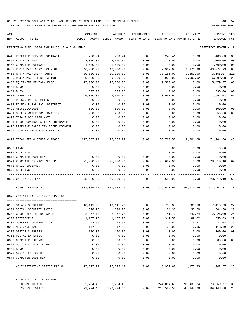TIME:07:12 AM - EFFECTIVE MONTH:12 - FOR MONTH ENDING 12-31-19 PREPARER:0004

| ACT |                                                 | ORIGINAL            | AMENDED                                                                                                    | ENCUMBERED      | ACTIVITY                     | ACTIVITY                    | <b>CURRENT USED</b>  |                |
|-----|-------------------------------------------------|---------------------|------------------------------------------------------------------------------------------------------------|-----------------|------------------------------|-----------------------------|----------------------|----------------|
|     | NUM ACCOUNT-TITLE                               |                     | BUDGET-AMOUNT BUDGET-AMOUNT YEAR-TO-DATE                                                                   |                 |                              | YEAR-TO-DATE MONTH-TO-DATE  | BALANCE PCT          |                |
|     | REPORTING FUND: 0024 FANNIN CO. R & B #4 FUND   |                     |                                                                                                            |                 |                              |                             | EFFECTIVE MONTH - 12 |                |
|     | 0447 REPEATER SERVICE CONTRACT                  | 730.24              | 730.24                                                                                                     | 0.00            | 243.41                       | 0.00                        | 486.83               | 33             |
|     | 0450 R&M BUILDING                               | 2,000.00            | 2,000.00                                                                                                   | 0.00            | 0.00                         | 0.00                        | 2,000.00             | 0 <sub>0</sub> |
|     | 0453 COMPUTER SOFTWARE                          | 1,500.00            | 1,500.00                                                                                                   | 0.00            | 0.00                         | 0.00                        | 1,500.00             | 0 <sub>0</sub> |
|     | 0457 R & M MACHINERY GAS & OIL                  | 46,000.00           | 46,000.00                                                                                                  | 0.00            | 2,922.07                     | 2,976.96                    | 43,077.93            | 06             |
|     | 0458 R & M MACHINERY PARTS                      | 30,000.00           | 30,000.00                                                                                                  | 0.00            | 33,156.07                    | 3,850.90                    | 3,156.07- 111        |                |
|     | 0459 R & M MACH. TIRES & TUBES                  | 9,000.00            | 9,000.00                                                                                                   | 0.00            | 2,000.02                     | 2,000.02                    | 6,999.98             | 22             |
|     | 0460 EQUIPMENT RENTAL/LEASE                     | 15,000.00           | 15,000.00                                                                                                  | 0.00            | 9,520.63                     | 0.00                        | 5,479.37             | 63             |
|     | 0480 BOND                                       | 0.00                | 0.00                                                                                                       | 0.00            | 0.00                         | 0.00                        | 0.00                 |                |
|     | 0481 DUES                                       | 335.00              | 335.00                                                                                                     | 0.00            | 0.00                         | 0.00                        | 335.00               | 0 <sub>0</sub> |
|     | 0482 INSURANCE                                  | 6,000.00            | 6,000.00                                                                                                   | 0.00            | 3,047.97                     | 0.00                        | 2,952.03             | 51             |
|     | 0485 PRISONER'S SUPPLIES                        | 0.00                | 0.00                                                                                                       | 0.00            | 0.00                         | 0.00                        | 0.00                 |                |
|     | 0488 FANNIN RURAL RAIL DISTRICT                 | 0.00                | 0.00                                                                                                       | 0.00            | 0.00                         | 0.00                        | 0.00                 |                |
|     | 0490 MISCELLANEOUS                              | 500.00              | 500.00                                                                                                     | 0.00            | 0.00                         | 0.00                        | 500.00               | 00             |
|     | 0491 SOIL & WATER CONSERVATION                  | 250.00              | 250.00                                                                                                     | 0.00            | 0.00                         | 0.00                        | 250.00               | 0 <sub>0</sub> |
|     | 0492 TDRA FLOOD CASH MATCH                      | 0.00                | 0.00                                                                                                       | 0.00            | 0.00                         | 0.00                        | 0.00                 |                |
|     | 0494 FLOOD CONTROL SITE MAINTENANCE             | 0.00                | 0.00                                                                                                       | 0.00            | 0.00                         | 0.00                        | 0.00                 |                |
|     | 0495 PIPELINE SALES TAX REIMBURSEMENT           | 0.00                | 0.00                                                                                                       | 0.00            | 0.00                         | 0.00                        | 0.00                 |                |
|     | 0496 TCOG HAZARDOUS WASTEMATCH                  | 0.00                | 0.00                                                                                                       | 0.00            | 0.00                         | 0.00                        | 0.00                 |                |
|     | 0499 TOTAL SER.& OTHER CHARGES                  |                     | 125,665.24 125,665.24                                                                                      | 0.00            | 53,760.58                    | 9,201.08                    | 71,904.66            | 43             |
|     | 0500 LAND                                       |                     |                                                                                                            |                 | 0.00                         | 0.00                        | 0.00                 |                |
|     | 0535 BUILDING                                   |                     |                                                                                                            |                 | 0.00                         | 0.00                        | 0.00                 |                |
|     | 0570 COMPUTER EQUIPMENT                         | 0.00                | 0.00                                                                                                       | 0.00            | 0.00                         | 0.00                        | 0.00                 |                |
|     | 0571 PURCHASE OF MACH./EQUIP.                   | 75,000.00           | 75,000.00                                                                                                  | 0.00            | 46,689.90                    | 0.00                        | 28,310.10            | 62             |
|     | 0573 RADIO EQUIPMENT                            | 0.00                | 0.00                                                                                                       | 0.00            | 0.00                         | 0.00                        | 0.00                 |                |
|     | 0575 BUILDING                                   | 0.00                | 0.00                                                                                                       | 0.00            | 0.00                         | 0.00                        | 0.00                 |                |
|     | 0599 CAPITAL OUTLAY<br>------------------------ | 75,000.00           | 75,000.00                                                                                                  | 0.00            | 46,689.90<br>--------------- | 0.00                        | 28,310.10            | 62             |
|     | ROAD & BRIDGE 4                                 |                     | 807,029.27 807,029.27             0.00             229,627.96             46,770.96             577,401.31 |                 |                              |                             |                      | 28             |
|     | 0625 ADMINISTRATIVE OFFICE R&B #4               |                     |                                                                                                            |                 |                              |                             |                      |                |
|     | 0105 SALARY SECRETARY                           | 10,141.28           | 10,141.28                                                                                                  | 0.00            | 2,730.35                     | 780.10                      | 7,410.93             | 27             |
|     | 0201 SOCIAL SECURITY TAXES                      | 628.76              | 628.76                                                                                                     | 0.00            | 124.38                       | 33.60                       | 504.38 20            |                |
|     | 0202 GROUP HEALTH INSURANCE                     | 2,967.72            | 2,967.72                                                                                                   | 0.00            | 741.72                       | 247.24                      | 2,226.00             | 25             |
|     | 0203 RETIREMENT                                 | 1,167.26            | 1,167.26                                                                                                   | 0.00            | 311.57                       | 89.02                       | 855.69               | 27             |
|     | 0204 WORKERS' COMPENSATION                      | 42.59               | 42.59                                                                                                      | 0.00            | 15.51                        | 15.51                       | 27.08                | 36             |
|     | 0205 MEDICARE TAX                               | 147.58              | 147.58                                                                                                     | 0.00            | 29.09                        | 7.86                        | 118.49               | 20             |
|     | 0310 OFFICE SUPPLIES                            | 100.00              | 100.00                                                                                                     | 0.00            | 0.00                         | 0.00                        | 100.00               | 0 <sub>0</sub> |
|     | 0311 POSTAL EXPENSES                            | 0.00                | 0.00                                                                                                       | 0.00            | 0.00                         | 0.00                        | 0.00                 |                |
|     | 0353 COMPUTER EXPENSE                           | 500.00              | 500.00                                                                                                     | 0.00            | 0.00                         | 0.00                        | 500.00               | 0 <sub>0</sub> |
|     | 0427 OUT OF COUNTY TRAVEL                       | 0.00                | 0.00                                                                                                       | 0.00            | 0.00                         | 0.00                        | 0.00                 |                |
|     | 0480 BOND                                       | 0.00                | 0.00                                                                                                       | 0.00            | 0.00                         | 0.00                        | 0.00                 |                |
|     | 0572 OFFICE EQUIPMENT                           | 0.00                | 0.00                                                                                                       | 0.00            | 0.00                         | 0.00                        | 0.00                 |                |
|     | 0574 COMPUTER EQUIPMENT                         | 0.00                | 0.00                                                                                                       | 0.00<br>------- | 0.00                         | 0.00                        | 0.00                 |                |
|     | ADMINISTRATIVE OFFICE R&B #4                    | 15,695.19 15,695.19 |                                                                                                            | 0.00            |                              | 3,952.62 1,173.33 11,742.57 |                      | -25            |
|     | FANNIN CO. R & B #4 FUND                        |                     |                                                                                                            |                 |                              |                             |                      |                |
|     | INCOME TOTALS                                   |                     | 822, 724.46 822, 724.46                                                                                    |                 |                              | 244,054.69 98,430.24        | 578,669.77 30        |                |

EXPENSE TOTALS 822,724.46 822,724.46 0.00 233,580.58 47,944.29 589,143.88 28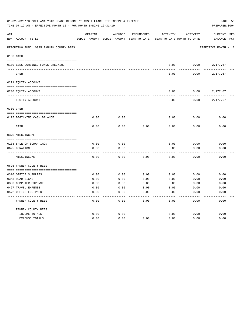|     | 01-02-2020**BUDGET ANALYSIS USAGE REPORT ** ASSET LIABILITY INCOME & EXPENSE<br>TIME:07:12 AM - EFFECTIVE MONTH:12 - FOR MONTH ENDING 12-31-19 |              |                                          |            |                            |              | PAGE 58<br>PREPARER: 0004 |  |
|-----|------------------------------------------------------------------------------------------------------------------------------------------------|--------------|------------------------------------------|------------|----------------------------|--------------|---------------------------|--|
| ACT |                                                                                                                                                | ORIGINAL     | AMENDED                                  | ENCUMBERED | ACTIVITY                   | ACTIVITY     | CURRENT USED              |  |
|     | NUM ACCOUNT-TITLE                                                                                                                              |              | BUDGET-AMOUNT BUDGET-AMOUNT YEAR-TO-DATE |            | YEAR-TO-DATE MONTH-TO-DATE |              | BALANCE PCT               |  |
|     | REPORTING FUND: 0025 FANNIN COUNTY BEES                                                                                                        |              |                                          |            |                            |              | EFFECTIVE MONTH - 12      |  |
|     | 0103 CASH                                                                                                                                      |              |                                          |            |                            |              |                           |  |
|     | 0100 BEES-COMBINED FUNDS CHECKING                                                                                                              |              |                                          |            | 0.00                       | 0.00         | 2,177.67                  |  |
|     | CASH                                                                                                                                           |              |                                          |            | 0.00                       | 0.00         | 2,177.67                  |  |
|     | 0271 EQUITY ACCOUNT                                                                                                                            |              |                                          |            |                            |              |                           |  |
|     |                                                                                                                                                |              |                                          |            |                            |              |                           |  |
|     | 0200 EQUITY ACCOUNT                                                                                                                            |              |                                          |            | 0.00                       | 0.00         | 2,177.67                  |  |
|     | EQUITY ACCOUNT                                                                                                                                 |              |                                          |            | 0.00                       | 0.00         | 2,177.67                  |  |
|     | 0300 CASH                                                                                                                                      |              |                                          |            |                            |              |                           |  |
|     |                                                                                                                                                |              |                                          |            |                            |              |                           |  |
|     | 0125 BEGINNING CASH BALANCE                                                                                                                    | 0.00         | 0.00                                     |            | 0.00                       | 0.00         | 0.00                      |  |
|     | CASH                                                                                                                                           | 0.00         | 0.00                                     | 0.00       | 0.00                       | 0.00         | 0.00                      |  |
|     | 0370 MISC. INCOME                                                                                                                              |              |                                          |            |                            |              |                           |  |
|     |                                                                                                                                                |              |                                          |            | 0.00                       |              |                           |  |
|     | 0138 SALE OF SCRAP IRON<br>0625 DONATIONS                                                                                                      | 0.00<br>0.00 | 0.00<br>0.00                             |            | 0.00                       | 0.00<br>0.00 | 0.00<br>0.00              |  |
|     | MISC. INCOME                                                                                                                                   | 0.00         | 0.00                                     | 0.00       | 0.00                       | 0.00         | 0.00                      |  |
|     |                                                                                                                                                |              |                                          |            |                            |              |                           |  |
|     | 0625 FANNIN COUNTY BEES                                                                                                                        |              |                                          |            |                            |              |                           |  |
|     |                                                                                                                                                |              |                                          |            |                            |              |                           |  |
|     | 0310 OFFICE SUPPLIES                                                                                                                           | 0.00         | 0.00                                     | 0.00       | 0.00                       | 0.00         | 0.00                      |  |
|     | 0343 ROAD SIGNS                                                                                                                                | 0.00         | 0.00                                     | 0.00       | 0.00                       | 0.00         | 0.00                      |  |
|     | 0353 COMPUTER EXPENSE                                                                                                                          | 0.00         | 0.00                                     | 0.00       | 0.00                       | 0.00         | 0.00                      |  |
|     | 0427 TRAVEL EXPENSE                                                                                                                            | 0.00         | 0.00                                     | 0.00       | 0.00                       | 0.00         | 0.00                      |  |
|     | 0572 OFFICE EQUIPMENT                                                                                                                          | 0.00         | 0.00                                     | 0.00       | 0.00                       | 0.00         | 0.00                      |  |
|     | FANNIN COUNTY BEES                                                                                                                             | 0.00         | 0.00                                     | 0.00       | 0.00                       | 0.00         | 0.00                      |  |
|     | FANNIN COUNTY BEES                                                                                                                             |              |                                          |            |                            |              |                           |  |
|     | INCOME TOTALS                                                                                                                                  | 0.00         | 0.00                                     |            | 0.00                       | 0.00         | 0.00                      |  |
|     | <b>EXPENSE TOTALS</b>                                                                                                                          | 0.00         | 0.00                                     | 0.00       | 0.00                       | 0.00         | 0.00                      |  |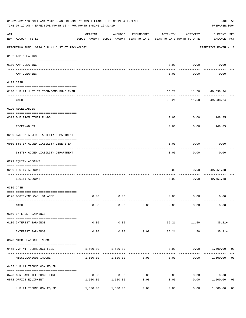|     | 01-02-2020**BUDGET ANALYSIS USAGE REPORT ** ASSET LIABILITY INCOME & EXPENSE<br>TIME:07:12 AM - EFFECTIVE MONTH:12 - FOR MONTH ENDING 12-31-19 |                     |                                                     |            |                                        |                 |                                    |  |  |
|-----|------------------------------------------------------------------------------------------------------------------------------------------------|---------------------|-----------------------------------------------------|------------|----------------------------------------|-----------------|------------------------------------|--|--|
| ACT | NUM ACCOUNT-TITLE                                                                                                                              | ORIGINAL            | AMENDED<br>BUDGET-AMOUNT BUDGET-AMOUNT YEAR-TO-DATE | ENCUMBERED | ACTIVITY<br>YEAR-TO-DATE MONTH-TO-DATE | ACTIVITY        | <b>CURRENT USED</b><br>BALANCE PCT |  |  |
|     | REPORTING FUND: 0026 J.P.#1 JUST.CT.TECHNOLOGY                                                                                                 |                     |                                                     |            |                                        |                 | EFFECTIVE MONTH - 12               |  |  |
|     | 0102 A/P CLEARING                                                                                                                              |                     |                                                     |            |                                        |                 |                                    |  |  |
|     | 0100 A/P CLEARING                                                                                                                              |                     |                                                     |            |                                        | $0.00$ $0.00$   | 0.00                               |  |  |
|     | A/P CLEARING                                                                                                                                   |                     |                                                     |            | 0.00                                   | 0.00            | 0.00                               |  |  |
|     | 0103 CASH                                                                                                                                      |                     |                                                     |            |                                        |                 |                                    |  |  |
|     | 0100 J.P.#1 JUST.CT.TECH-COMB.FUND CKIN                                                                                                        |                     |                                                     |            | 35.21                                  | 11.50 49,538.24 |                                    |  |  |
|     | CASH                                                                                                                                           |                     |                                                     |            | 35.21                                  |                 | 11.50 49,538.24                    |  |  |
|     | 0120 RECEIVABLES                                                                                                                               |                     |                                                     |            |                                        |                 |                                    |  |  |
|     | 0313 DUE FROM OTHER FUNDS                                                                                                                      |                     |                                                     |            | 0.00                                   |                 | $0.00$ 148.85                      |  |  |
|     | RECEIVABLES                                                                                                                                    |                     |                                                     |            | 0.00                                   | 0.00            | 148.85                             |  |  |
|     | 0200 SYSTEM ADDED LIABILITY DEPARTMENT                                                                                                         |                     |                                                     |            |                                        |                 |                                    |  |  |
|     | 0910 SYSTEM ADDED LIABILITY LINE-ITEM                                                                                                          |                     |                                                     |            | 0.00                                   | 0.00            | 0.00                               |  |  |
|     | SYSTEM ADDED LIABILITY DEPARTMENT                                                                                                              |                     |                                                     |            | 0.00                                   | .<br>0.00       | 0.00                               |  |  |
|     | 0271 EQUITY ACCOUNT                                                                                                                            |                     |                                                     |            |                                        |                 |                                    |  |  |
|     | 0200 EQUITY ACCOUNT                                                                                                                            |                     |                                                     |            | 0.00                                   | 0.00            | 49,651.88                          |  |  |
|     | EOUITY ACCOUNT                                                                                                                                 |                     |                                                     |            | 0.00                                   | 0.00            | 49,651.88                          |  |  |
|     | 0300 CASH                                                                                                                                      |                     |                                                     |            |                                        |                 |                                    |  |  |
|     | 0126 BEGINNING CASH BALANCE                                                                                                                    | 0.00                | 0.00                                                |            |                                        | $0.00$ $0.00$   | 0.00                               |  |  |
|     | CASH                                                                                                                                           | 0.00                | 0.00                                                | 0.00       | 0.00                                   | 0.00            | 0.00                               |  |  |
|     | 0360 INTEREST EARNINGS                                                                                                                         |                     |                                                     |            |                                        |                 |                                    |  |  |
|     | 0100 INTEREST EARNINGS                                                                                                                         | 0.00                | 0.00                                                |            | 35.21                                  | 11.50           | $35.21+$                           |  |  |
|     | INTEREST EARNINGS                                                                                                                              | $- - - - -$<br>0.00 | ----------<br>0.00                                  | 0.00       | 35.21                                  | 11.50           | $35.21+$                           |  |  |
|     | 0370 MISCELLANEOUS INCOME                                                                                                                      |                     |                                                     |            |                                        |                 |                                    |  |  |
|     | 0455 J.P.#1 TECHNOLOGY FEES                                                                                                                    | 1,500.00            | 1,500.00                                            |            | 0.00                                   |                 | $0.00$ 1,500.00 00                 |  |  |
|     | MISCELLANEOUS INCOME                                                                                                                           |                     | $1,500.00$ $1,500.00$ 0.00                          |            | 0.00                                   | 0.00            | 1,500.00<br>0 <sub>0</sub>         |  |  |
|     | 0455 J.P.#1 TECHNOLOGY EQUIP.                                                                                                                  |                     |                                                     |            |                                        |                 |                                    |  |  |
|     | 0420 OMNIBASE TELEPHONE LINE                                                                                                                   | 0.00                | 0.00                                                | 0.00       | 0.00                                   | 0.00            | 0.00                               |  |  |
|     | 0572 OFFICE EQUIPMENT                                                                                                                          | 1,500.00            | 1,500.00                                            | 0.00       | 0.00                                   | 0.00            | 1,500.00<br>0 <sub>0</sub>         |  |  |
|     | J.P.#1 TECHNOLOGY EQUIP.                                                                                                                       | 1,500.00            | 1,500.00                                            | 0.00       | 0.00                                   | 0.00            | 1,500.00<br>0 <sub>0</sub>         |  |  |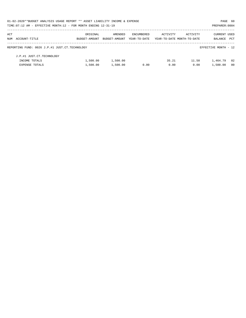| 01-02-2020**BUDGET ANALYSIS USAGE REPORT ** ASSET LIABILITY INCOME & EXPENSE |               |               |              |                            |          | PAGE 60              |                |
|------------------------------------------------------------------------------|---------------|---------------|--------------|----------------------------|----------|----------------------|----------------|
| TIME: 07:12 AM - EFFECTIVE MONTH: 12 - FOR MONTH ENDING 12-31-19             |               |               |              |                            |          | PREPARER: 0004       |                |
| ACT                                                                          | ORIGINAL      | AMENDED       | ENCUMBERED   | ACTIVITY                   | ACTIVITY | <b>CURRENT USED</b>  |                |
| NUM ACCOUNT-TITLE                                                            | BUDGET-AMOUNT | BUDGET-AMOUNT | YEAR-TO-DATE | YEAR-TO-DATE MONTH-TO-DATE |          | BALANCE              | PCT            |
| REPORTING FUND: 0026 J.P.#1 JUST.CT.TECHNOLOGY                               |               |               |              |                            |          | EFFECTIVE MONTH - 12 |                |
| J.P.#1 JUST.CT.TECHNOLOGY                                                    |               |               |              |                            |          |                      |                |
| INCOME TOTALS                                                                | 1,500.00      | 1,500.00      |              | 35.21                      | 11.50    | 1,464.79             | - 02           |
| <b>EXPENSE TOTALS</b>                                                        | 1,500.00      | 1,500.00      | 0.00         | 0.00                       | 0.00     | 1,500.00             | 0 <sub>0</sub> |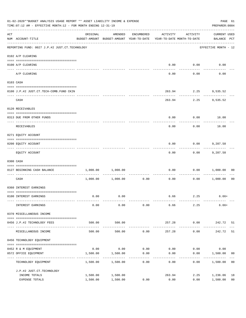|     | 01-02-2020**BUDGET ANALYSIS USAGE REPORT ** ASSET LIABILITY INCOME & EXPENSE<br>TIME:07:12 AM - EFFECTIVE MONTH:12 - FOR MONTH ENDING 12-31-19                                                                                                                                                                                                                                                                                                                                                                                        |                                                                                 |                        |                  |                |                   |                                    |                      |  |
|-----|---------------------------------------------------------------------------------------------------------------------------------------------------------------------------------------------------------------------------------------------------------------------------------------------------------------------------------------------------------------------------------------------------------------------------------------------------------------------------------------------------------------------------------------|---------------------------------------------------------------------------------|------------------------|------------------|----------------|-------------------|------------------------------------|----------------------|--|
| ACT | NUM ACCOUNT-TITLE                                                                                                                                                                                                                                                                                                                                                                                                                                                                                                                     | ORIGINAL<br>BUDGET-AMOUNT BUDGET-AMOUNT YEAR-TO-DATE YEAR-TO-DATE MONTH-TO-DATE | AMENDED                | ENCUMBERED       | ACTIVITY       | ACTIVITY          | <b>CURRENT USED</b><br>BALANCE PCT |                      |  |
|     | REPORTING FUND: 0027 J.P.#2 JUST.CT.TECHNOLOGY                                                                                                                                                                                                                                                                                                                                                                                                                                                                                        |                                                                                 |                        |                  |                |                   | EFFECTIVE MONTH - 12               |                      |  |
|     | 0102 A/P CLEARING                                                                                                                                                                                                                                                                                                                                                                                                                                                                                                                     |                                                                                 |                        |                  |                |                   |                                    |                      |  |
|     | 0100 A/P CLEARING                                                                                                                                                                                                                                                                                                                                                                                                                                                                                                                     |                                                                                 |                        |                  |                | $0.00$ $0.00$     | 0.00                               |                      |  |
|     | A/P CLEARING                                                                                                                                                                                                                                                                                                                                                                                                                                                                                                                          |                                                                                 |                        |                  | 0.00           | 0.00              | 0.00                               |                      |  |
|     | 0103 CASH                                                                                                                                                                                                                                                                                                                                                                                                                                                                                                                             |                                                                                 |                        |                  |                |                   |                                    |                      |  |
|     | 0100 J.P.#2 JUST.CT.TECH-COMB.FUND CKIN                                                                                                                                                                                                                                                                                                                                                                                                                                                                                               |                                                                                 |                        |                  |                |                   | 263.94 2.25 9,535.52               |                      |  |
|     | CASH                                                                                                                                                                                                                                                                                                                                                                                                                                                                                                                                  |                                                                                 |                        |                  | 263.94         | -----------       | 2.25 9,535.52                      |                      |  |
|     | 0120 RECEIVABLES                                                                                                                                                                                                                                                                                                                                                                                                                                                                                                                      |                                                                                 |                        |                  |                |                   |                                    |                      |  |
|     | 0313 DUE FROM OTHER FUNDS                                                                                                                                                                                                                                                                                                                                                                                                                                                                                                             |                                                                                 |                        |                  | 0.00           |                   | $0.00$ 16.00                       |                      |  |
|     | RECEIVABLES                                                                                                                                                                                                                                                                                                                                                                                                                                                                                                                           |                                                                                 |                        |                  | 0.00           | 0.00              | 16.00                              |                      |  |
|     | 0271 EQUITY ACCOUNT                                                                                                                                                                                                                                                                                                                                                                                                                                                                                                                   |                                                                                 |                        |                  |                |                   |                                    |                      |  |
|     | 0200 EQUITY ACCOUNT                                                                                                                                                                                                                                                                                                                                                                                                                                                                                                                   |                                                                                 |                        |                  | 0.00           |                   | $0.00$ 9,287.58                    |                      |  |
|     | EQUITY ACCOUNT                                                                                                                                                                                                                                                                                                                                                                                                                                                                                                                        |                                                                                 |                        |                  | 0.00           | ---------<br>0.00 | 9,287.58                           |                      |  |
|     | 0300 CASH                                                                                                                                                                                                                                                                                                                                                                                                                                                                                                                             |                                                                                 |                        |                  |                |                   |                                    |                      |  |
|     | $\begin{minipage}{0.03\textwidth} \centering \begin{tabular}{ l l l } \hline \texttt{0.03\textwidth} \centering \end{tabular} \end{minipage} \begin{minipage}{0.03\textwidth} \centering \begin{tabular}{ l l l } \hline \texttt{0.03\textwidth} \centering \end{tabular} \end{minipage} \end{minipage} \begin{minipage}{0.03\textwidth} \centering \begin{tabular}{ l l l l } \hline \texttt{0.03\textwidth} \centering \end{tabular} \end{minipage} \end{minipage} \begin{minipage}{0.03\textwidth}$<br>0127 BEGINNING CASH BALANCE |                                                                                 | 1,000.00 1,000.00      |                  | 0.00           |                   | 0.00 1,000.00                      | 00                   |  |
|     | ----------------------------- ----<br>CASH                                                                                                                                                                                                                                                                                                                                                                                                                                                                                            |                                                                                 | 1,000.00 1,000.00      | 0.00             | 0.00           |                   | $0.00$ 1,000.00                    | 0 <sub>0</sub>       |  |
|     | 0360 INTEREST EARNINGS                                                                                                                                                                                                                                                                                                                                                                                                                                                                                                                |                                                                                 |                        |                  |                |                   |                                    |                      |  |
|     | 0100 INTEREST EARNINGS                                                                                                                                                                                                                                                                                                                                                                                                                                                                                                                | 0.00                                                                            | 0.00                   |                  |                | 6.66 2.25         | $6.66+$                            |                      |  |
|     | INTEREST EARNINGS                                                                                                                                                                                                                                                                                                                                                                                                                                                                                                                     | 0.00                                                                            | 0.00                   | 0.00             | 6.66           | 2.25              | 6.66+                              |                      |  |
|     | 0370 MISCELLANEOUS INCOME                                                                                                                                                                                                                                                                                                                                                                                                                                                                                                             |                                                                                 |                        |                  |                |                   |                                    |                      |  |
|     | 0456 J.P.#2 TECHNOLOGY FEES                                                                                                                                                                                                                                                                                                                                                                                                                                                                                                           | 500.00                                                                          | 500.00                 |                  | 257.28         | 0.00              | 242.72 51                          |                      |  |
|     | MISCELLANEOUS INCOME                                                                                                                                                                                                                                                                                                                                                                                                                                                                                                                  | -----------------------------<br>500.00                                         | . <u>.</u> .<br>500.00 | 0.00             | 257.28         | ---------<br>0.00 | 242.72                             | 51                   |  |
|     | 0456 TECHNOLOGY EQUIPMENT                                                                                                                                                                                                                                                                                                                                                                                                                                                                                                             |                                                                                 |                        |                  |                |                   |                                    |                      |  |
|     | 0452 R & M EQUIPMENT                                                                                                                                                                                                                                                                                                                                                                                                                                                                                                                  | 0.00                                                                            | 0.00                   | 0.00             | 0.00           | 0.00              | 0.00                               |                      |  |
|     | 0572 OFFICE EQUIPMENT<br>-----------------                                                                                                                                                                                                                                                                                                                                                                                                                                                                                            | 1,500.00                                                                        | 1,500.00               | 0.00<br>-------- | 0.00           | 0.00              | 1,500.00                           | 00                   |  |
|     | TECHNOLOGY EQUIPMENT                                                                                                                                                                                                                                                                                                                                                                                                                                                                                                                  | 1,500.00                                                                        | 1,500.00               | 0.00             | 0.00           | 0.00              | 1,500.00                           | 0 <sub>0</sub>       |  |
|     | J.P.#2 JUST.CT.TECHNOLOGY                                                                                                                                                                                                                                                                                                                                                                                                                                                                                                             |                                                                                 |                        |                  |                |                   |                                    |                      |  |
|     | INCOME TOTALS<br>EXPENSE TOTALS                                                                                                                                                                                                                                                                                                                                                                                                                                                                                                       | 1,500.00<br>1,500.00                                                            | 1,500.00<br>1,500.00   | 0.00             | 263.94<br>0.00 | 2.25<br>0.00      | 1,236.06<br>1,500.00               | 18<br>0 <sub>0</sub> |  |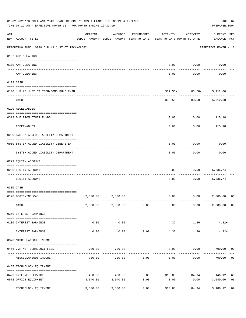|     | 01-02-2020**BUDGET ANALYSIS USAGE REPORT ** ASSET LIABILITY INCOME & EXPENSE<br>TIME: 07:12 AM - EFFECTIVE MONTH: 12 - FOR MONTH ENDING 12-31-19 |          |                                                     |                     |                                        |                                          | PAGE 62<br>PREPARER: 0004          |                      |
|-----|--------------------------------------------------------------------------------------------------------------------------------------------------|----------|-----------------------------------------------------|---------------------|----------------------------------------|------------------------------------------|------------------------------------|----------------------|
| ACT | NUM ACCOUNT-TITLE                                                                                                                                | ORIGINAL | AMENDED<br>BUDGET-AMOUNT BUDGET-AMOUNT YEAR-TO-DATE | ENCUMBERED          | ACTIVITY<br>YEAR-TO-DATE MONTH-TO-DATE | ACTIVITY                                 | <b>CURRENT USED</b><br>BALANCE PCT |                      |
|     | ------------------------------------<br>REPORTING FUND: 0028 J.P.#3 JUST.CT.TECHNOLOGY                                                           |          |                                                     |                     |                                        |                                          | EFFECTIVE MONTH - 12               |                      |
|     | 0102 A/P CLEARING                                                                                                                                |          |                                                     |                     |                                        |                                          |                                    |                      |
|     | 0100 A/P CLEARING                                                                                                                                |          |                                                     |                     | 0.00                                   | 0.00                                     | 0.00                               |                      |
|     | ---- ---------<br>A/P CLEARING                                                                                                                   |          |                                                     |                     | 0.00                                   | 0.00                                     | 0.00                               |                      |
|     | 0103 CASH                                                                                                                                        |          |                                                     |                     |                                        |                                          |                                    |                      |
|     | 0100 J.P.#3 JUST.CT.TECH-COMB.FUND CKIN                                                                                                          |          |                                                     |                     |                                        | $309.56 - 83.58 - 5,912.00$<br>--------- |                                    |                      |
|     | CASH                                                                                                                                             |          |                                                     |                     |                                        | $309.56 - 83.58 -$                       | 5,912.00                           |                      |
|     | 0120 RECEIVABLES                                                                                                                                 |          |                                                     |                     |                                        |                                          |                                    |                      |
|     | 0313 DUE FROM OTHER FUNDS                                                                                                                        |          |                                                     |                     | 0.00                                   | 0.00                                     | 115.18                             |                      |
|     | RECEIVABLES                                                                                                                                      |          |                                                     |                     | 0.00                                   | 0.00                                     | 115.18                             |                      |
|     | 0200 SYSTEM ADDED LIABILITY DEPARTMENT                                                                                                           |          |                                                     |                     |                                        |                                          |                                    |                      |
|     | 0910 SYSTEM ADDED LIABILITY LINE-ITEM                                                                                                            |          |                                                     |                     | 0.00                                   | 0.00                                     | 0.00                               |                      |
|     | SYSTEM ADDED LIABILITY DEPARTMENT                                                                                                                |          |                                                     |                     | 0.00                                   | 0.00                                     | 0.00                               |                      |
|     | 0271 EQUITY ACCOUNT                                                                                                                              |          |                                                     |                     |                                        |                                          |                                    |                      |
|     | 0200 EQUITY ACCOUNT                                                                                                                              |          |                                                     |                     | 0.00                                   | 0.00                                     | 6,336.74                           |                      |
|     | EOUITY ACCOUNT                                                                                                                                   |          |                                                     |                     | 0.00                                   | 0.00                                     | 6,336.74                           |                      |
|     | 0300 CASH                                                                                                                                        |          |                                                     |                     |                                        |                                          |                                    |                      |
|     | 0128 BEGINNING CASH                                                                                                                              |          | 2,800.00 2,800.00                                   |                     | 0.00                                   | 0.00 2,800.00                            |                                    | 0 <sup>0</sup>       |
|     | CASH                                                                                                                                             |          | 2,800.00 2,800.00 0.00                              |                     | 0.00                                   | 0.00                                     | 2,800.00 00                        |                      |
|     | 0360 INTEREST EARNINGS                                                                                                                           |          |                                                     |                     |                                        |                                          |                                    |                      |
|     | 0100 INTEREST EARNINGS                                                                                                                           | 0.00     | 0.00                                                |                     | 4.32                                   | 1.36                                     | $4.32+$                            |                      |
|     | INTEREST EARNINGS                                                                                                                                | 0.00     | 0.00                                                | 0.00                | 4.32                                   | 1.36                                     | $4.32+$                            |                      |
|     | 0370 MISCELLANEOUS INCOME                                                                                                                        |          |                                                     |                     |                                        |                                          |                                    |                      |
|     | 0456 J.P.#3 TECHNOLOGY FEES                                                                                                                      | 700.00   | 700.00                                              |                     | 0.00                                   | $0.00$ 700.00 00                         |                                    |                      |
|     | ----------------- --<br>MISCELLANEOUS INCOME                                                                                                     | 700.00   | 700.00                                              | 0.00                | 0.00                                   | ---------<br>0.00                        | 700.00                             | 0 <sub>0</sub>       |
|     | 0457 TECHNOLOGY EQUIPMENT                                                                                                                        |          |                                                     |                     |                                        |                                          |                                    |                      |
|     |                                                                                                                                                  |          |                                                     |                     | 460.00 460.00 0.00 313.88 84.94 146.12 |                                          |                                    |                      |
|     | 0423 INTERNET SERVICE<br>0572 OFFICE EQUIPMENT                                                                                                   | 3,040.00 | 3,040.00                                            | 0.00                | 0.00                                   | 0.00                                     | 3,040.00                           | 68<br>0 <sub>0</sub> |
|     | TECHNOLOGY EQUIPMENT                                                                                                                             | 3,500.00 | -------------<br>3,500.00                           | -----------<br>0.00 | ------------<br>313.88                 | ------------<br>84.94                    | -------------<br>3,186.12          | 09                   |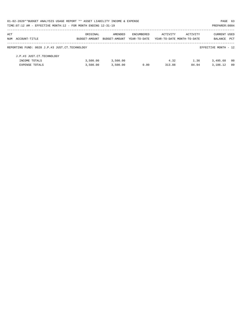| 01-02-2020**BUDGET ANALYSIS USAGE REPORT ** ASSET LIABILITY INCOME & EXPENSE<br>PAGE 63 |               |               |                   |                            |          |                      |      |  |  |  |
|-----------------------------------------------------------------------------------------|---------------|---------------|-------------------|----------------------------|----------|----------------------|------|--|--|--|
| TIME: 07:12 AM - EFFECTIVE MONTH: 12 - FOR MONTH ENDING 12-31-19                        |               |               |                   |                            |          | PREPARER: 0004       |      |  |  |  |
| ACT                                                                                     | ORIGINAL      | AMENDED       | <b>ENCUMBERED</b> | ACTIVITY                   | ACTIVITY | <b>CURRENT USED</b>  |      |  |  |  |
| NUM ACCOUNT-TITLE                                                                       | BUDGET-AMOUNT | BUDGET-AMOUNT | YEAR-TO-DATE      | YEAR-TO-DATE MONTH-TO-DATE |          | BALANCE              | PCT  |  |  |  |
| REPORTING FUND: 0028 J.P.#3 JUST.CT.TECHNOLOGY                                          |               |               |                   |                            |          | EFFECTIVE MONTH - 12 |      |  |  |  |
| J.P.#3 JUST.CT.TECHNOLOGY                                                               |               |               |                   |                            |          |                      |      |  |  |  |
| INCOME TOTALS                                                                           | 3,500.00      | 3,500.00      |                   | 4.32                       | 1.36     | 3,495.68             | - 00 |  |  |  |
| <b>EXPENSE TOTALS</b>                                                                   | 3.500.00      | 3.500.00      | 0.00              | 313.88                     | 84.94    | 3,186.12             | 09   |  |  |  |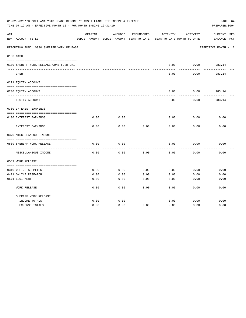|     | 01-02-2020**BUDGET ANALYSIS USAGE REPORT ** ASSET LIABILITY INCOME & EXPENSE<br>TIME: 07:12 AM - EFFECTIVE MONTH: 12 - FOR MONTH ENDING 12-31-19 |          |                                          |            |          |                            | PAGE 64<br>PREPARER: 0004 |
|-----|--------------------------------------------------------------------------------------------------------------------------------------------------|----------|------------------------------------------|------------|----------|----------------------------|---------------------------|
| ACT |                                                                                                                                                  | ORIGINAL | AMENDED                                  | ENCUMBERED | ACTIVITY | ACTIVITY                   | CURRENT USED              |
|     | NUM ACCOUNT-TITLE                                                                                                                                |          | BUDGET-AMOUNT BUDGET-AMOUNT YEAR-TO-DATE |            |          | YEAR-TO-DATE MONTH-TO-DATE | BALANCE<br>$_{\rm PCT}$   |
|     | REPORTING FUND: 0030 SHERIFF WORK RELEASE                                                                                                        |          |                                          |            |          |                            | EFFECTIVE MONTH - 12      |
|     | 0103 CASH                                                                                                                                        |          |                                          |            |          |                            |                           |
|     | 0100 SHERIFF WORK RELEASE-COMB FUND CKI                                                                                                          |          |                                          |            | 0.00     | 0.00                       | 983.14                    |
|     | CASH                                                                                                                                             |          |                                          |            | 0.00     | 0.00                       | 983.14                    |
|     | 0271 EQUITY ACCOUNT                                                                                                                              |          |                                          |            |          |                            |                           |
|     | 0200 EQUITY ACCOUNT                                                                                                                              |          |                                          |            | 0.00     | 0.00                       | 983.14                    |
|     | EQUITY ACCOUNT                                                                                                                                   |          |                                          |            | 0.00     | 0.00                       | 983.14                    |
|     | 0360 INTEREST EARNINGS                                                                                                                           |          |                                          |            |          |                            |                           |
|     | 0100 INTEREST EARNINGS                                                                                                                           | 0.00     | 0.00                                     |            | 0.00     | 0.00                       | 0.00                      |
|     | INTEREST EARNINGS                                                                                                                                | 0.00     | 0.00                                     | 0.00       | 0.00     | 0.00                       | 0.00                      |
|     | 0370 MISCELLANEOUS INCOME                                                                                                                        |          |                                          |            |          |                            |                           |
|     |                                                                                                                                                  |          |                                          |            |          |                            |                           |
|     | 0569 SHERIFF WORK RELEASE<br>-----------                                                                                                         | 0.00     | 0.00                                     |            | 0.00     | 0.00                       | 0.00                      |
|     | MISCELLANEOUS INCOME                                                                                                                             | 0.00     | 0.00                                     | 0.00       | 0.00     | 0.00                       | 0.00                      |
|     | 0569 WORK RELEASE                                                                                                                                |          |                                          |            |          |                            |                           |
|     |                                                                                                                                                  |          |                                          |            |          |                            |                           |
|     | 0310 OFFICE SUPPLIES                                                                                                                             | 0.00     | 0.00                                     | 0.00       | 0.00     | 0.00                       | 0.00                      |
|     | 0421 ONLINE RESEARCH                                                                                                                             | 0.00     | 0.00                                     | 0.00       | 0.00     | 0.00                       | 0.00                      |
|     | 0571 EQUIPMENT                                                                                                                                   | 0.00     | 0.00                                     | 0.00       | 0.00     | 0.00                       | 0.00                      |
|     | <b>WORK RELEASE</b>                                                                                                                              | 0.00     | 0.00                                     | 0.00       | 0.00     | 0.00                       | 0.00                      |
|     | SHERIFF WORK RELEASE                                                                                                                             |          |                                          |            |          |                            |                           |
|     | INCOME TOTALS                                                                                                                                    | 0.00     | 0.00                                     |            | 0.00     | 0.00                       | 0.00                      |
|     | <b>EXPENSE TOTALS</b>                                                                                                                            | 0.00     | 0.00                                     | 0.00       | 0.00     | 0.00                       | 0.00                      |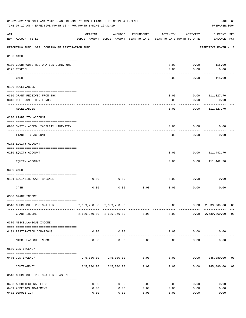|     | 01-02-2020**BUDGET ANALYSIS USAGE REPORT ** ASSET LIABILITY INCOME & EXPENSE<br>TIME: 07:12 AM - EFFECTIVE MONTH: 12 - FOR MONTH ENDING 12-31-19 |          |                                                                  |                      |                     |                                        | PREPARER: 0004                                   | PAGE 65        |
|-----|--------------------------------------------------------------------------------------------------------------------------------------------------|----------|------------------------------------------------------------------|----------------------|---------------------|----------------------------------------|--------------------------------------------------|----------------|
| ACT | NUM ACCOUNT-TITLE                                                                                                                                | ORIGINAL | AMENDED<br>BUDGET-AMOUNT BUDGET-AMOUNT YEAR-TO-DATE              | ENCUMBERED           | ACTIVITY            | ACTIVITY<br>YEAR-TO-DATE MONTH-TO-DATE | <b>CURRENT USED</b><br>BALANCE PCT               |                |
|     | REPORTING FUND: 0031 COURTHOUSE RESTORATION FUND                                                                                                 |          |                                                                  |                      |                     |                                        | EFFECTIVE MONTH - 12                             |                |
|     | 0103 CASH                                                                                                                                        |          |                                                                  |                      |                     |                                        |                                                  |                |
|     |                                                                                                                                                  |          |                                                                  |                      |                     |                                        |                                                  |                |
|     | 0100 COURTHOUSE RESTORATION-COMB.FUND                                                                                                            |          |                                                                  |                      | 0.00                | 0.00                                   | 115.00                                           |                |
|     | 0175 TEXPOOL                                                                                                                                     |          |                                                                  |                      | 0.00                | 0.00                                   | 0.00                                             |                |
|     | CASH                                                                                                                                             |          |                                                                  |                      | 0.00                | 0.00                                   | 115.00                                           |                |
|     | 0120 RECEIVABLES                                                                                                                                 |          |                                                                  |                      |                     |                                        |                                                  |                |
|     |                                                                                                                                                  |          |                                                                  |                      |                     |                                        |                                                  |                |
|     | 0310 GRANT RECEIVED FROM THC                                                                                                                     |          |                                                                  |                      | 0.00                | 0.00                                   | 111,327.70                                       |                |
|     | 0313 DUE FROM OTHER FUNDS                                                                                                                        |          |                                                                  |                      | 0.00                | 0.00                                   | 0.00                                             |                |
|     | RECEIVABLES                                                                                                                                      |          |                                                                  |                      | 0.00                | 0.00                                   | 111,327.70                                       |                |
|     | 0200 LIABILITY ACCOUNT                                                                                                                           |          |                                                                  |                      |                     |                                        |                                                  |                |
|     | 0900 SYSTEM ADDED LIABILITY LINE-ITEM                                                                                                            |          |                                                                  |                      | 0.00                | 0.00                                   | 0.00                                             |                |
|     | LIABILITY ACCOUNT                                                                                                                                |          |                                                                  |                      | 0.00                | 0.00                                   | 0.00                                             |                |
|     | 0271 EQUITY ACCOUNT                                                                                                                              |          |                                                                  |                      |                     |                                        |                                                  |                |
|     |                                                                                                                                                  |          |                                                                  |                      |                     |                                        |                                                  |                |
|     | 0200 EQUITY ACCOUNT<br>---- ---------------                                                                                                      |          |                                                                  |                      | 0.00                | 0.00                                   | 111,442.70                                       |                |
|     | EQUITY ACCOUNT                                                                                                                                   |          |                                                                  |                      | 0.00                | 0.00                                   | 111,442.70                                       |                |
|     | 0300 CASH                                                                                                                                        |          |                                                                  |                      |                     |                                        |                                                  |                |
|     | 0131 BEGINNING CASH BALANCE                                                                                                                      | 0.00     | 0.00                                                             |                      | 0.00                | 0.00                                   | 0.00                                             |                |
|     | CASH                                                                                                                                             | 0.00     | 0.00                                                             | 0.00                 | 0.00                | 0.00                                   | 0.00                                             |                |
|     | 0330 GRANT INCOME                                                                                                                                |          |                                                                  |                      |                     |                                        |                                                  |                |
|     |                                                                                                                                                  |          |                                                                  |                      |                     |                                        |                                                  |                |
|     | 0510 COURTHOUSE RESTORATION                                                                                                                      |          | 2,639,260.00 2,639,260.00                                        |                      |                     | -------------                          | $0.00$ $0.00$ $2,639,260.00$ 00<br>------------- |                |
|     | GRANT INCOME                                                                                                                                     |          | 2,639,260.00 2,639,260.00 0.00                                   |                      |                     |                                        | $0.00$ $0.00$ $2,639,260.00$ 00                  |                |
|     | 0370 MISCELLANEOUS INCOME                                                                                                                        |          |                                                                  |                      |                     |                                        |                                                  |                |
|     | 0131 RESTORATION DONATIONS                                                                                                                       | 0.00     | 0.00<br>-------------                                            |                      |                     | $0.00$ $0.00$                          | 0.00                                             |                |
|     | MISCELLANEOUS INCOME                                                                                                                             | 0.00     | 0.00                                                             | 0.00                 |                     | 0.00<br>0.00                           | 0.00                                             |                |
|     | 0509 CONTINGENCY                                                                                                                                 |          |                                                                  |                      |                     |                                        |                                                  |                |
|     | 0475 CONTINGENCY                                                                                                                                 |          | $245,080.00$ $245,080.00$ $0.00$ $0.00$ $0.00$ $245,080.00$ $00$ |                      |                     |                                        |                                                  |                |
|     | CONTINGENCY                                                                                                                                      |          | 245,080.00 245,080.00                                            | ------------<br>0.00 | -----------<br>0.00 |                                        | 0.00 245,080.00                                  | 0 <sub>0</sub> |
|     | 0510 COURTHOUSE RESTORATION PHASE 1                                                                                                              |          |                                                                  |                      |                     |                                        |                                                  |                |
|     |                                                                                                                                                  |          |                                                                  |                      |                     |                                        |                                                  |                |
|     | 0403 ARCHITECTURAL FEES                                                                                                                          | 0.00     | 0.00                                                             | 0.00                 | 0.00                | 0.00                                   | 0.00                                             |                |
|     | 0451 ASBESTOS ABATEMENT                                                                                                                          | 0.00     | 0.00                                                             | 0.00                 | 0.00                | 0.00                                   | 0.00                                             |                |
|     | 0482 DEMOLITION                                                                                                                                  | 0.00     | 0.00                                                             | 0.00                 | 0.00                | 0.00                                   | 0.00                                             |                |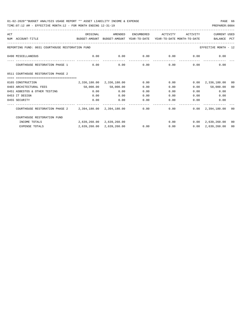| ACT |                                                                                          | ORIGINAL     | AMENDED                              | ENCUMBERED                  | ACTIVITY | ACTIVITY          | <b>CURRENT USED</b>               |    |
|-----|------------------------------------------------------------------------------------------|--------------|--------------------------------------|-----------------------------|----------|-------------------|-----------------------------------|----|
|     | NUM ACCOUNT-TITLE<br>BUDGET-AMOUNT BUDGET-AMOUNT YEAR-TO-DATE YEAR-TO-DATE_MONTH-TO-DATE |              |                                      |                             |          |                   | BALANCE PCT                       |    |
|     | REPORTING FUND: 0031 COURTHOUSE RESTORATION FUND                                         |              |                                      |                             |          |                   | EFFECTIVE MONTH - 12              |    |
|     | 0490 MISCELLANEOUS                                                                       | 0.00         | 0.00                                 | $0.00$ $0.00$ $0.00$ $0.00$ |          |                   | 0.00                              |    |
|     | COURTHOUSE RESTORATION PHASE 1                                                           | 0.00         | 0.00                                 | 0.00                        |          | $0.00$ and $0.00$ | 0.00<br>0.00                      |    |
|     | 0511 COURTHOUSE RESTORATION PHASE 2                                                      |              |                                      |                             |          |                   |                                   |    |
|     | ==================================                                                       |              |                                      |                             |          |                   |                                   |    |
|     | 0165 CONSTRUCTION                                                                        |              | $2,336,180.00$ $2,336,180.00$ $0.00$ |                             | 0.00     |                   | $0.00 \quad 2,336,180.00$         | 00 |
|     | 0403 ARCHITECTURAL FEES                                                                  |              | 58,000.00 58,000.00                  | 0.00                        | 0.00     |                   | 58,000.00<br>0.00                 | 00 |
|     | 0451 ASBESTOS & OTHER TESTING                                                            | 0.00         | 0.00                                 | 0.00                        | 0.00     |                   | 0.00<br>0.00                      |    |
|     | 0453 IT DESIGN                                                                           | 0.00         | 0.00                                 | 0.00                        | 0.00     |                   | 0.00<br>0.00                      |    |
|     | 0455 SECURITY                                                                            | 0.00         | 0.00                                 | 0.00                        | 0.00     | 0.00              | 0.00                              |    |
|     | COURTHOUSE RESTORATION PHASE 2 2,394,180.00 2,394,180.00                                 |              |                                      | 0.00                        |          | ------------      | $0.00$ $0.00$ $2.394.180.00$ $00$ |    |
|     | COURTHOUSE RESTORATION FUND                                                              |              |                                      |                             |          |                   |                                   |    |
|     | INCOME TOTALS                                                                            |              | 2,639,260.00 2,639,260.00            |                             |          |                   | $0.00$ $0.00$ $2.639.260.00$ 00   |    |
|     | <b>EXPENSE TOTALS</b>                                                                    | 2,639,260.00 | 2,639,260.00                         | 0.00                        | 0.00     | 0.00              | 2,639,260.00                      | 00 |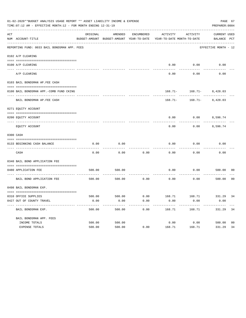|     | 01-02-2020**BUDGET ANALYSIS USAGE REPORT ** ASSET LIABILITY INCOME & EXPENSE<br>TIME: 07:12 AM - EFFECTIVE MONTH: 12 - FOR MONTH ENDING 12-31-19 |          |         |            |                                                                                 |                              | PAGE 67<br>PREPARER: 0004   |
|-----|--------------------------------------------------------------------------------------------------------------------------------------------------|----------|---------|------------|---------------------------------------------------------------------------------|------------------------------|-----------------------------|
| ACT | NUM ACCOUNT-TITLE                                                                                                                                | ORIGINAL | AMENDED | ENCUMBERED | ACTIVITY<br>BUDGET-AMOUNT BUDGET-AMOUNT YEAR-TO-DATE YEAR-TO-DATE MONTH-TO-DATE | ACTIVITY                     | CURRENT USED<br>BALANCE PCT |
|     | REPORTING FUND: 0033 BAIL BONDSMAN APP. FEES                                                                                                     |          |         |            |                                                                                 |                              | EFFECTIVE MONTH - 12        |
|     | 0102 A/P CLEARING                                                                                                                                |          |         |            |                                                                                 |                              |                             |
|     | 0100 A/P CLEARING                                                                                                                                |          |         |            | 0.00                                                                            | 0.00                         | 0.00                        |
|     | ---- ---------<br>A/P CLEARING                                                                                                                   |          |         |            | 0.00                                                                            | 0.00                         | 0.00                        |
|     | 0103 BAIL BONDSMAN AP.FEE CASH                                                                                                                   |          |         |            |                                                                                 |                              |                             |
|     | 0100 BAIL BONDSMAN APP.-COMB FUND CKING                                                                                                          |          |         |            |                                                                                 | $168.71 - 168.71 - 8,428.03$ |                             |
|     | BAIL BONDSMAN AP.FEE CASH                                                                                                                        |          |         |            |                                                                                 | $168.71 - 168.71 - 8,428.03$ |                             |
|     | 0271 EQUITY ACCOUNT                                                                                                                              |          |         |            |                                                                                 |                              |                             |
|     | 0200 EQUITY ACCOUNT                                                                                                                              |          |         |            |                                                                                 | $0.00$ $0.00$ $8,596.74$     |                             |
|     | EQUITY ACCOUNT                                                                                                                                   |          |         |            | 0.00                                                                            | 0.00                         | 8,596.74                    |
|     | 0300 CASH                                                                                                                                        |          |         |            |                                                                                 |                              |                             |
|     | 0133 BEGINNING CASH BALANCE                                                                                                                      | 0.00     | 0.00    |            | 0.00                                                                            | 0.00                         | 0.00                        |
|     | CASH                                                                                                                                             | 0.00     | 0.00    | 0.00       | 0.00                                                                            | 0.00                         | 0.00                        |
|     | 0340 BAIL BOND APPLICATION FEE                                                                                                                   |          |         |            |                                                                                 |                              |                             |
|     | 0480 APPLICATION FEE                                                                                                                             | 500.00   | 500.00  |            | 0.00                                                                            | 0.00                         | 500.00<br>00                |
|     | BAIL BOND APPLICATION FEE                                                                                                                        | 500.00   | 500.00  | 0.00       | 0.00                                                                            | 0.00                         | 0 <sup>0</sup><br>500.00    |
|     | 0498 BAIL BONDSMAN EXP.                                                                                                                          |          |         |            |                                                                                 |                              |                             |
|     | 0310 OFFICE SUPPLIES                                                                                                                             |          |         |            | 500.00 500.00 0.00 168.71 168.71 331.29 34                                      |                              |                             |
|     | 0427 OUT OF COUNTY TRAVEL                                                                                                                        | 0.00     | 0.00    | 0.00       | 0.00                                                                            | 0.00                         | 0.00                        |
|     | BAIL BONDSMAN EXP.                                                                                                                               | 500.00   | 500.00  | 0.00       | 168.71                                                                          | 168.71                       | 34<br>331.29                |
|     | BAIL BONDSMAN APP. FEES                                                                                                                          |          |         |            |                                                                                 |                              |                             |
|     | INCOME TOTALS                                                                                                                                    | 500.00   | 500.00  |            | 0.00                                                                            | 0.00                         | 500.00<br>00                |
|     | EXPENSE TOTALS                                                                                                                                   | 500.00   | 500.00  | 0.00       | 168.71                                                                          | 168.71                       | 331.29<br>34                |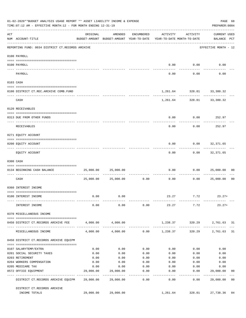|     | 01-02-2020**BUDGET ANALYSIS USAGE REPORT ** ASSET LIABILITY INCOME & EXPENSE<br>PAGE 68<br>TIME: 07:12 AM - EFFECTIVE MONTH: 12 - FOR MONTH ENDING 12-31-19<br>PREPARER: 0004                                                                                                                                                                                                                                                                                                                  |           |                                                                                |                   |                  |                                                            |                                           |                |
|-----|------------------------------------------------------------------------------------------------------------------------------------------------------------------------------------------------------------------------------------------------------------------------------------------------------------------------------------------------------------------------------------------------------------------------------------------------------------------------------------------------|-----------|--------------------------------------------------------------------------------|-------------------|------------------|------------------------------------------------------------|-------------------------------------------|----------------|
| ACT | NUM ACCOUNT-TITLE                                                                                                                                                                                                                                                                                                                                                                                                                                                                              | ORIGINAL  | AMENDED<br>BUDGET-AMOUNT BUDGET-AMOUNT YEAR-TO-DATE YEAR-TO-DATE MONTH-TO-DATE | ENCUMBERED        | ACTIVITY         | ACTIVITY                                                   | <b>CURRENT USED</b><br>BALANCE PCT        |                |
|     | REPORTING FUND: 0034 DISTRICT CT.RECORDS ARCHIVE                                                                                                                                                                                                                                                                                                                                                                                                                                               |           |                                                                                |                   |                  |                                                            | -----------------<br>EFFECTIVE MONTH - 12 |                |
|     | 0100 PAYROLL                                                                                                                                                                                                                                                                                                                                                                                                                                                                                   |           |                                                                                |                   |                  |                                                            |                                           |                |
|     |                                                                                                                                                                                                                                                                                                                                                                                                                                                                                                |           |                                                                                |                   |                  |                                                            |                                           |                |
|     | 0100 PAYROLL<br>---- -------<br>--------------------------- --------                                                                                                                                                                                                                                                                                                                                                                                                                           |           |                                                                                |                   |                  | $0.00$ $0.00$<br>----------                                | 0.00                                      |                |
|     | PAYROLL                                                                                                                                                                                                                                                                                                                                                                                                                                                                                        |           |                                                                                |                   | 0.00             | 0.00                                                       | 0.00                                      |                |
|     | 0103 CASH                                                                                                                                                                                                                                                                                                                                                                                                                                                                                      |           |                                                                                |                   |                  |                                                            |                                           |                |
|     | 0100 DISTRICT CT.REC.ARCHIVE COMB.FUND                                                                                                                                                                                                                                                                                                                                                                                                                                                         |           |                                                                                |                   |                  | 1,261.64 328.01 33,380.32                                  |                                           |                |
|     | CASH                                                                                                                                                                                                                                                                                                                                                                                                                                                                                           |           |                                                                                |                   |                  | -----------------------------<br>1,261.64 328.01 33,380.32 |                                           |                |
|     | 0120 RECEIVABLES                                                                                                                                                                                                                                                                                                                                                                                                                                                                               |           |                                                                                |                   |                  |                                                            |                                           |                |
|     | 0313 DUE FROM OTHER FUNDS                                                                                                                                                                                                                                                                                                                                                                                                                                                                      |           |                                                                                |                   | 0.00             | $0.00$ 252.97                                              |                                           |                |
|     | RECEIVABLES                                                                                                                                                                                                                                                                                                                                                                                                                                                                                    |           |                                                                                |                   | 0.00             | 0.00                                                       | 252.97                                    |                |
|     | 0271 EQUITY ACCOUNT                                                                                                                                                                                                                                                                                                                                                                                                                                                                            |           |                                                                                |                   |                  |                                                            |                                           |                |
|     | 0200 EQUITY ACCOUNT                                                                                                                                                                                                                                                                                                                                                                                                                                                                            |           |                                                                                |                   | 0.00             | $0.00$ 32,371.65                                           |                                           |                |
|     | EQUITY ACCOUNT                                                                                                                                                                                                                                                                                                                                                                                                                                                                                 |           |                                                                                |                   | --------<br>0.00 | ---------                                                  | .<br>$0.00$ $32,371.65$                   |                |
|     | 0300 CASH                                                                                                                                                                                                                                                                                                                                                                                                                                                                                      |           |                                                                                |                   |                  |                                                            |                                           |                |
|     | $\begin{minipage}{0.03\textwidth} \begin{tabular}{l} \textbf{0.04\textwidth} \textbf{0.04\textwidth} \textbf{0.04\textwidth} \textbf{0.04\textwidth} \textbf{0.04\textwidth} \textbf{0.04\textwidth} \textbf{0.04\textwidth} \textbf{0.04\textwidth} \textbf{0.04\textwidth} \textbf{0.04\textwidth} \textbf{0.04\textwidth} \textbf{0.04\textwidth} \textbf{0.04\textwidth} \textbf{0.04\textwidth} \textbf{0.04\textwidth} \textbf{0.04\textwidth} \textbf{0$<br>0134 BEGINNING CASH BALANCE | 25,000.00 | 25,000.00                                                                      |                   | 0.00             |                                                            | 0.000025,000.00                           | 0 <sub>0</sub> |
|     | ----------------------------- -------<br>CASH                                                                                                                                                                                                                                                                                                                                                                                                                                                  |           | 25,000.00 25,000.00                                                            | 0.00              | 0.00             | 0.00                                                       | 25,000.00                                 | 0 <sub>0</sub> |
|     | 0360 INTEREST INCOME                                                                                                                                                                                                                                                                                                                                                                                                                                                                           |           |                                                                                |                   |                  |                                                            |                                           |                |
|     | 0100 INTEREST INCOME                                                                                                                                                                                                                                                                                                                                                                                                                                                                           | 0.00      | 0.00                                                                           |                   |                  | 23.27 7.72                                                 | $23.27+$                                  |                |
|     | INTEREST INCOME                                                                                                                                                                                                                                                                                                                                                                                                                                                                                | 0.00      | 0.00                                                                           | 0.00              | 23.27            | 7.72                                                       | $23.27+$                                  |                |
|     | 0370 MISCELLANEOUS INCOME                                                                                                                                                                                                                                                                                                                                                                                                                                                                      |           |                                                                                |                   |                  |                                                            |                                           |                |
|     | 0450 DISTRICT CT.RECORDS ARCHIVE FEE                                                                                                                                                                                                                                                                                                                                                                                                                                                           |           | 4,000.00 4,000.00                                                              |                   |                  | 1,238.37 320.29 2,761.63 31                                |                                           |                |
|     | MISCELLANEOUS INCOME                                                                                                                                                                                                                                                                                                                                                                                                                                                                           | 4,000.00  | 4,000.00                                                                       |                   | $0.00$ 1,238.37  | 320.29                                                     | 2,761.63                                  | 31             |
|     | 0450 DISTRICT CT.RECORDS ARCHIVE EQUIPM                                                                                                                                                                                                                                                                                                                                                                                                                                                        |           |                                                                                |                   |                  |                                                            |                                           |                |
|     | 0107 SALARYTEMP/EXTRA                                                                                                                                                                                                                                                                                                                                                                                                                                                                          | 0.00      | 0.00                                                                           | 0.00              | 0.00             | 0.00                                                       | 0.00                                      |                |
|     | 0201 SOCIAL SECURITY TAXES                                                                                                                                                                                                                                                                                                                                                                                                                                                                     | 0.00      | 0.00                                                                           | 0.00              | 0.00             | 0.00                                                       | 0.00                                      |                |
|     | 0203 RETIREMENT                                                                                                                                                                                                                                                                                                                                                                                                                                                                                | 0.00      | 0.00                                                                           | 0.00              | 0.00             | 0.00                                                       | 0.00                                      |                |
|     | 0204 WORKERS COMPENSATION                                                                                                                                                                                                                                                                                                                                                                                                                                                                      | 0.00      | 0.00                                                                           | 0.00              | 0.00             | 0.00                                                       | 0.00                                      |                |
|     | 0205 MEDICARE TAX                                                                                                                                                                                                                                                                                                                                                                                                                                                                              | 0.00      | 0.00                                                                           | 0.00              | 0.00             | 0.00                                                       | 0.00                                      |                |
|     | 0572 OFFICE EQUIPMENT                                                                                                                                                                                                                                                                                                                                                                                                                                                                          | 29,000.00 | 29,000.00                                                                      | 0.00              | 0.00             | 0.00                                                       | 29,000.00                                 | 00             |
|     | DISTRICT CT.RECORDS ARCHIVE EQUIPM 29,000.00                                                                                                                                                                                                                                                                                                                                                                                                                                                   |           | -----------<br>29,000.00                                                       | ---------<br>0.00 | ------<br>0.00   | ---------<br>0.00                                          | ------------<br>29,000.00                 | 0 <sub>0</sub> |
|     | DISTRICT CT.RECORDS ARCHIVE                                                                                                                                                                                                                                                                                                                                                                                                                                                                    |           |                                                                                |                   |                  |                                                            |                                           |                |
|     | INCOME TOTALS                                                                                                                                                                                                                                                                                                                                                                                                                                                                                  | 29,000.00 | 29,000.00                                                                      |                   | 1,261.64         | 328.01                                                     | 27,738.36                                 | 04             |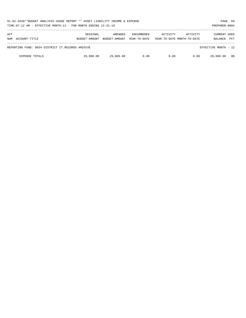| 01-02-2020**BUDGET ANALYSIS USAGE REPORT ** ASSET LIABILITY INCOME & EXPENSE<br>TIME: $07:12$ AM - EFFECTIVE MONTH: $12$ - FOR MONTH ENDING $12-31-19$<br>PREPARER: 0004 |                           |                          |                                   |          |                                        |                                       |            |
|--------------------------------------------------------------------------------------------------------------------------------------------------------------------------|---------------------------|--------------------------|-----------------------------------|----------|----------------------------------------|---------------------------------------|------------|
| ACT<br>ACCOUNT-TITLE<br>NUM                                                                                                                                              | ORIGINAL<br>BUDGET-AMOUNT | AMENDED<br>BUDGET-AMOUNT | <b>ENCUMBERED</b><br>YEAR-TO-DATE | ACTIVITY | ACTIVITY<br>YEAR-TO-DATE MONTH-TO-DATE | <b>CURRENT USED</b><br><b>BALANCE</b> | <b>PCT</b> |
| REPORTING FUND: 0034 DISTRICT CT.RECORDS ARCHIVE                                                                                                                         |                           |                          |                                   |          |                                        | EFFECTIVE MONTH - 12                  |            |
| <b>EXPENSE TOTALS</b>                                                                                                                                                    | 29,000.00                 | 29,000.00                | 0.00                              | 0.00     | 0.00                                   | 29,000.00                             | - 00       |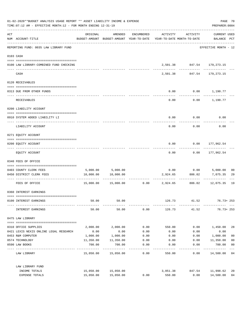| 01-02-2020**BUDGET ANALYSIS USAGE REPORT ** ASSET LIABILITY INCOME & EXPENSE<br>TIME: 07:12 AM - EFFECTIVE MONTH: 12 - FOR MONTH ENDING 12-31-19 |                                                             |            |                                                                                |                         |          |                                            | PAGE 70<br>PREPARER: 0004       |                |
|--------------------------------------------------------------------------------------------------------------------------------------------------|-------------------------------------------------------------|------------|--------------------------------------------------------------------------------|-------------------------|----------|--------------------------------------------|---------------------------------|----------------|
| ACT                                                                                                                                              | NUM ACCOUNT-TITLE<br>-------------------------------------- | ORIGINAL   | AMENDED<br>BUDGET-AMOUNT BUDGET-AMOUNT YEAR-TO-DATE YEAR-TO-DATE MONTH-TO-DATE | ENCUMBERED              |          | ACTIVITY ACTIVITY                          | CURRENT USED<br>BALANCE PCT     |                |
|                                                                                                                                                  | REPORTING FUND: 0035 LAW LIBRARY FUND                       |            |                                                                                |                         |          |                                            | EFFECTIVE MONTH - 12            |                |
|                                                                                                                                                  | 0103 CASH                                                   |            |                                                                                |                         |          |                                            |                                 |                |
|                                                                                                                                                  | 0100 LAW LIBRARY-COMBINED FUND CHECKING                     |            |                                                                                |                         | .        | 2,501.38 847.54 179,273.15                 | -------------                   |                |
|                                                                                                                                                  | CASH                                                        |            |                                                                                |                         |          | ------------<br>2,501.38 847.54 179,273.15 |                                 |                |
|                                                                                                                                                  | 0120 RECEIVABLES                                            |            |                                                                                |                         |          |                                            |                                 |                |
|                                                                                                                                                  | 0313 DUE FROM OTHER FUNDS                                   |            |                                                                                |                         | 0.00     | $0.00$ 1,190.77                            |                                 |                |
|                                                                                                                                                  | RECEIVABLES                                                 |            |                                                                                |                         | 0.00     |                                            | $0.00$ 1,190.77                 |                |
|                                                                                                                                                  | 0200 LIABILITY ACCOUNT                                      |            |                                                                                |                         |          |                                            |                                 |                |
|                                                                                                                                                  | 0910 SYSTEM ADDED LIABILITY LI                              |            |                                                                                |                         | 0.00     | 0.00                                       | 0.00                            |                |
|                                                                                                                                                  | LIABILITY ACCOUNT                                           |            |                                                                                |                         | 0.00     | 0.00                                       | 0.00                            |                |
|                                                                                                                                                  | 0271 EQUITY ACCOUNT                                         |            |                                                                                |                         |          |                                            |                                 |                |
|                                                                                                                                                  | 0200 EQUITY ACCOUNT                                         |            |                                                                                |                         | 0.00     | $0.00$ 177,962.54                          |                                 |                |
|                                                                                                                                                  | EQUITY ACCOUNT                                              |            |                                                                                |                         | 0.00     | 0.00                                       | 177,962.54                      |                |
|                                                                                                                                                  | 0340 FEES OF OFFICE                                         |            |                                                                                |                         |          |                                            |                                 |                |
|                                                                                                                                                  | 0403 COUNTY CLERK FEES                                      |            |                                                                                |                         |          |                                            |                                 | 0 <sub>0</sub> |
|                                                                                                                                                  | 0450 DISTRICT CLERK FEES                                    | 10,000.00  | 5,000.00 5,000.00<br>10,000.00                                                 |                         | 2,924.65 | $0.00$ $0.00$ $5,000.00$<br>806.02         | 7,075.35                        | 29             |
|                                                                                                                                                  | FEES OF OFFICE                                              |            | $15,000.00$ $15,000.00$ $0.00$ $2,924.65$                                      |                         |          |                                            | -----------<br>806.02 12,075.35 | 19             |
|                                                                                                                                                  | 0360 INTEREST EARNINGS                                      |            |                                                                                |                         |          |                                            |                                 |                |
|                                                                                                                                                  |                                                             |            |                                                                                |                         |          |                                            |                                 |                |
|                                                                                                                                                  | 0100 INTEREST EARNINGS                                      | 50.00      | 50.00                                                                          |                         | 126.73   | 41.52                                      | $76.73 + 253$                   |                |
|                                                                                                                                                  | INTEREST EARNINGS                                           | 50.00      | 50.00                                                                          | 0.00                    | 126.73   | 41.52                                      | 76.73+ 253                      |                |
|                                                                                                                                                  | 0475 LAW LIBRARY                                            |            |                                                                                |                         |          |                                            |                                 |                |
|                                                                                                                                                  | 0310 OFFICE SUPPLIES                                        | 2,000.00   | 2,000.00                                                                       | 0.00                    | 550.00   | 0.00                                       | 1,450.00                        | 28             |
|                                                                                                                                                  | 0421 LEXIS NEXIS ONLINE LEGAL RESEARCH                      | 0.00       | 0.00                                                                           | 0.00                    | 0.00     | 0.00                                       | 0.00                            |                |
|                                                                                                                                                  | 0453 R&M COMPUTER                                           | 1,000.00   | 1,000.00                                                                       | 0.00                    | 0.00     | 0.00                                       | 1,000.00                        | 0 <sub>0</sub> |
|                                                                                                                                                  | 0574 TECHNOLOGY                                             | 11,350.00  | 11,350.00                                                                      | 0.00                    | 0.00     | 0.00                                       | 11,350.00                       | 0 <sub>0</sub> |
|                                                                                                                                                  | 0590 LAW BOOKS                                              | 700.00     | 700.00                                                                         | 0.00                    | 0.00     | 0.00                                       | 700.00                          | 0 <sub>0</sub> |
|                                                                                                                                                  | LAW LIBRARY                                                 | ---------- | . <u>.</u><br>15,050.00 15,050.00                                              | $- - - - - - -$<br>0.00 | 550.00   | 0.00                                       | ----------<br>14,500.00 04      | $---$          |
|                                                                                                                                                  | LAW LIBRARY FUND                                            |            |                                                                                |                         |          |                                            |                                 |                |
|                                                                                                                                                  | INCOME TOTALS                                               | 15,050.00  | 15,050.00                                                                      |                         | 3,051.38 | 847.54                                     | 11,998.62                       | 20             |
|                                                                                                                                                  | EXPENSE TOTALS                                              | 15,050.00  | 15,050.00                                                                      | 0.00                    | 550.00   | 0.00                                       | 14,500.00                       | 04             |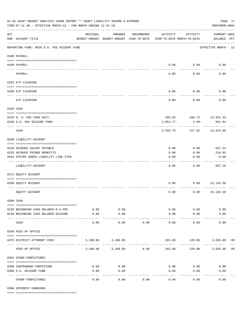| 01-02-2020**BUDGET ANALYSIS USAGE REPORT ** ASSET LIABILITY INCOME & EXPENSE<br>TIME: 07:12 AM - EFFECTIVE MONTH: 12 - FOR MONTH ENDING 12-31-19 |                                                                       |                     |                                                     |            |                                        |                  | PREPARER: 0004                     | PAGE 71 |
|--------------------------------------------------------------------------------------------------------------------------------------------------|-----------------------------------------------------------------------|---------------------|-----------------------------------------------------|------------|----------------------------------------|------------------|------------------------------------|---------|
| $\mathop{\rm ACT}$                                                                                                                               | NUM ACCOUNT-TITLE                                                     | ORIGINAL            | AMENDED<br>BUDGET-AMOUNT BUDGET-AMOUNT YEAR-TO-DATE | ENCUMBERED | ACTIVITY<br>YEAR-TO-DATE MONTH-TO-DATE | ACTIVITY         | <b>CURRENT USED</b><br>BALANCE PCT |         |
|                                                                                                                                                  | REPORTING FUND: 0036 D.A. FEE ACCOUNT FUND                            |                     |                                                     |            |                                        |                  | EFFECTIVE MONTH - 12               |         |
|                                                                                                                                                  | 0100 PAYROLL                                                          |                     |                                                     |            |                                        |                  |                                    |         |
|                                                                                                                                                  | 0100 PAYROLL                                                          |                     |                                                     |            | 0.00                                   | 0.00             | 0.00                               |         |
| ---- --                                                                                                                                          | PAYROLL                                                               |                     |                                                     |            | 0.00                                   | 0.00             | 0.00                               |         |
|                                                                                                                                                  | 0102 A/P CLEARING                                                     |                     |                                                     |            |                                        |                  |                                    |         |
|                                                                                                                                                  |                                                                       |                     |                                                     |            | 0.00                                   | 0.00             | 0.00                               |         |
|                                                                                                                                                  | 0100 A/P CLEARING                                                     |                     |                                                     |            |                                        |                  |                                    |         |
|                                                                                                                                                  | A/P CLEARING                                                          |                     |                                                     |            | 0.00                                   | 0.00             | 0.00                               |         |
|                                                                                                                                                  | 0103 CASH                                                             |                     |                                                     |            |                                        |                  |                                    |         |
|                                                                                                                                                  |                                                                       |                     |                                                     |            |                                        |                  |                                    |         |
|                                                                                                                                                  | 0136 D. A. FEE CASH ACCT.<br>0236 D.A. FEE SEIZURE FUND               |                     |                                                     |            | $2,953.77-$                            | $2.90-$          | 395.02 160.72 12,922.25<br>501.84  |         |
|                                                                                                                                                  |                                                                       |                     |                                                     |            |                                        |                  |                                    |         |
|                                                                                                                                                  | CASH                                                                  |                     |                                                     |            |                                        | 2,558.75- 157.82 | 13,424.09                          |         |
|                                                                                                                                                  | 0200 LIABILITY ACCOUNT                                                |                     |                                                     |            |                                        |                  |                                    |         |
|                                                                                                                                                  |                                                                       |                     |                                                     |            |                                        |                  |                                    |         |
|                                                                                                                                                  | 0150 ACCRUED SALARY PAYABLE                                           |                     |                                                     |            | 0.00                                   | 0.00             | 627.24                             |         |
|                                                                                                                                                  | 0155 ACCRUED FRINGE BENEFITS<br>0910 SYSTEM ADDED LIABILITY LINE-ITEM |                     |                                                     |            | 0.00<br>0.00                           | 0.00<br>0.00     | 210.02<br>0.00                     |         |
|                                                                                                                                                  |                                                                       |                     |                                                     |            |                                        |                  |                                    |         |
|                                                                                                                                                  | LIABILITY ACCOUNT                                                     |                     |                                                     |            | 0.00                                   | 0.00             | 837.26                             |         |
|                                                                                                                                                  | 0271 EQUITY ACCOUNT                                                   |                     |                                                     |            |                                        |                  |                                    |         |
|                                                                                                                                                  | 0200 EQUITY ACCOUNT                                                   |                     |                                                     |            | 0.00                                   | 0.00             | 15,145.58                          |         |
|                                                                                                                                                  | EQUITY ACCOUNT                                                        |                     |                                                     |            | 0.00                                   | 0.00             | 15,145.58                          |         |
|                                                                                                                                                  | 0300 CASH                                                             |                     |                                                     |            |                                        |                  |                                    |         |
|                                                                                                                                                  | 0136 BEGINNING CASH BALANCE-D.A.FEE                                   | 0.00                | 0.00                                                |            |                                        | 0.00<br>0.00     | 0.00                               |         |
|                                                                                                                                                  | 0236 BEGINNING CASH BALANCE-SEIZURE                                   | 0.00                | 0.00                                                |            | 0.00                                   | 0.00             | 0.00                               |         |
|                                                                                                                                                  | CASH                                                                  | $- - - - -$<br>0.00 | ----------<br>0.00                                  | 0.00       | -----------<br>0.00                    | 0.00             | 0.00                               |         |
|                                                                                                                                                  | 0340 FEES OF OFFICE                                                   |                     |                                                     |            |                                        |                  |                                    |         |
|                                                                                                                                                  |                                                                       |                     |                                                     |            |                                        |                  |                                    |         |
|                                                                                                                                                  | 0475 DISTRICT ATTORNEY FEES                                           |                     | 3,100.00 3,100.00                                   | ---------- | 265.00                                 |                  | 120.00 2,835.00 09                 |         |
|                                                                                                                                                  | FEES OF OFFICE                                                        |                     | 3,100.00 3,100.00                                   | 0.00       | 265.00                                 | 120.00           | 2,835.00 09                        |         |
|                                                                                                                                                  | 0352 OTHER FORFEITURES                                                |                     |                                                     |            |                                        |                  |                                    |         |
|                                                                                                                                                  | 0200 CONTRABAND FORFEITURE                                            | 0.00                | 0.00                                                |            | 0.00                                   | 0.00             | 0.00                               |         |
|                                                                                                                                                  | 0300 D.A. SEIZURE FUND                                                | 0.00                | 0.00                                                |            | 0.00                                   | 0.00             | 0.00                               |         |
|                                                                                                                                                  | OTHER FORFEITURES                                                     | 0.00                | $- - - - -$<br>0.00                                 | 0.00       | 0.00                                   | 0.00             | 0.00                               |         |

0360 INTEREST EARNINGS

==== ===================================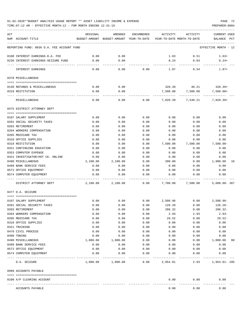| ACT |                                            | ORIGINAL | AMENDED           | ENCUMBERED | ACTIVITY      | ACTIVITY                                                            | CURRENT USED         |    |
|-----|--------------------------------------------|----------|-------------------|------------|---------------|---------------------------------------------------------------------|----------------------|----|
|     | NUM ACCOUNT-TITLE                          |          |                   |            |               | BUDGET-AMOUNT BUDGET-AMOUNT YEAR-TO-DATE YEAR-TO-DATE MONTH-TO-DATE | BALANCE PCT          |    |
|     | REPORTING FUND: 0036 D.A. FEE ACCOUNT FUND |          |                   |            |               |                                                                     | EFFECTIVE MONTH - 12 |    |
|     | 0100 INTEREST EARNINGS-D.A. FEE            | 0.00     | 0.00              |            | 1.63          | 0.51                                                                | $1.63+$              |    |
|     | 0236 INTEREST EARNINGS-SEIZURE FUND        | 0.00     | 0.00              |            | 0.24          | 0.03                                                                | $0.24+$              |    |
|     | INTEREST EARNINGS                          | 0.00     | 0.00              | 0.00       | 1.87          | 0.54                                                                | $1.87+$              |    |
|     | 0370 MISCELLANEOUS                         |          |                   |            |               |                                                                     |                      |    |
|     | 0130 REFUNDS & MISCELLANEOUS               | 0.00     | 0.00              |            | 328.39        | 40.21                                                               | $328.39+$            |    |
|     | 0319 RESTITUTION                           | 0.00     | 0.00              |            | 7,500.00      | 7,500.00                                                            | 7,500.00+            |    |
|     |                                            |          |                   |            |               |                                                                     |                      |    |
|     | MISCELLANEOUS                              | 0.00     | 0.00              |            | 0.00 7,828.39 |                                                                     | 7,540.21 7,828.39+   |    |
|     | 0475 DISTRICT ATTORNEY DEPT                |          |                   |            |               |                                                                     |                      |    |
|     | 0107 SALARY SUPPLEMENT                     | 0.00     | 0.00              | 0.00       | 0.00          | 0.00                                                                | 0.00                 |    |
|     | 0201 SOCIAL SECURITY TAXES                 | 0.00     | 0.00              | 0.00       | 0.00          | 0.00                                                                | 0.00                 |    |
|     | 0203 RETIREMENT                            | 0.00     | 0.00              | 0.00       | 0.00          | 0.00                                                                | 0.00                 |    |
|     | 0204 WORKERS COMPENSATION                  | 0.00     | 0.00              | 0.00       | 0.00          | 0.00                                                                | 0.00                 |    |
|     | 0205 MEDICARE TAX                          | 0.00     | 0.00              | 0.00       | 0.00          | 0.00                                                                | 0.00                 |    |
|     | 0310 OFFICE SUPPLIES                       | 0.00     | 0.00              | 0.00       | 0.00          | 0.00                                                                | 0.00                 |    |
|     | 0319 RESTITUTION                           | 0.00     | 0.00              | 0.00       | 7,500.00      | 7,500.00                                                            | $7,500.00-$          |    |
|     | 0321 CONTINUING EDUCATION                  | 0.00     | 0.00              | 0.00       | 0.00          | 0.00                                                                | 0.00                 |    |
|     | 0353 COMPUTER EXPENSE                      | 0.00     | 0.00              | 0.00       | 0.00          | 0.00                                                                | 0.00                 |    |
|     | 0421 INVESTIGATOR/HOT CK. ONLINE           | 0.00     | 0.00              | 0.00       | 0.00          | 0.00                                                                | 0.00                 |    |
|     | 0490 MISCELLANEOUS                         | 2,100.00 | 2,100.00          | 0.00       | 200.00        | 0.00                                                                | 1,900.00             | 10 |
|     | 0499 BANK SERVICE FEES                     | 0.00     | 0.00              | 0.00       | 0.00          | 0.00                                                                | 0.00                 |    |
|     | 0572 OFFICE EQUIPMENT                      | 0.00     | 0.00              | 0.00       | 0.00          | 0.00                                                                | 0.00                 |    |
|     | 0574 COMPUTER EQUIPMENT                    | 0.00     | 0.00              | 0.00       | 0.00          | 0.00                                                                | 0.00                 |    |
|     | DISTRICT ATTORNEY DEPT                     | 2,100.00 | 2,100.00          | 0.00       | 7,700.00      | 7,500.00                                                            | $5,600.00 - 367$     |    |
|     | 0477 D.A. SEIZURE                          |          |                   |            |               |                                                                     |                      |    |
|     | 0107 SALARY SUPPLEMENT                     | 0.00     | 0.00              | 0.00       | 2,508.96      |                                                                     | $0.00$ 2,508.96-     |    |
|     | 0201 SOCIAL SECURITY TAXES                 | 0.00     | 0.00              | 0.00       | 126.28        | 0.00                                                                | 126.28-              |    |
|     | 0203 RETIREMENT                            | 0.00     | 0.00              | 0.00       | 286.32        | 0.00                                                                | $286.32-$            |    |
|     | 0204 WORKERS COMPENSATION                  | 0.00     | 0.00              | 0.00       | 2.93          | 2.93                                                                | $2.93-$              |    |
|     | 0205 MEDICARE TAX                          | 0.00     | 0.00              | 0.00       | 29.52         | 0.00                                                                | $29.52-$             |    |
|     | 0310 OFFICE SUPPLIES                       | 0.00     | 0.00              | 0.00       | 0.00          | 0.00                                                                | 0.00                 |    |
|     | 0321 TRAINING                              | 0.00     | 0.00              | 0.00       | 0.00          | 0.00                                                                | 0.00                 |    |
|     | 0470 CIVIL PROCESS                         | 0.00     | 0.00              | 0.00       | 0.00          | 0.00                                                                | 0.00                 |    |
|     | 0480 TOWING                                | 0.00     | 0.00              | 0.00       | 0.00          | 0.00                                                                | 0.00                 |    |
|     | 0490 MISCELLANEOUS                         | 1,000.00 | 1,000.00          | 0.00       | 0.00          | 0.00                                                                | 1,000.00             | 00 |
|     | 0499 BANK SERVICE FEES                     | 0.00     | 0.00              | 0.00       | 0.00          | 0.00                                                                | 0.00                 |    |
|     | 0572 OFFICE EQUIPMENT                      | 0.00     | 0.00              | 0.00       | 0.00          | 0.00                                                                | 0.00                 |    |
|     | 0574 COMPUTER EQUIPMENT                    | 0.00     | 0.00              | 0.00       | 0.00          | 0.00                                                                | 0.00                 |    |
|     | D.A. SEIZURE                               |          | 1,000.00 1,000.00 | 0.00       | 2,954.01      | 2.93                                                                | 1,954.01- 295        |    |
|     | 0999 ACCOUNTS PAYABLE                      |          |                   |            |               |                                                                     |                      |    |
|     | 0100 A/P CLEARING ACCOUNT                  |          |                   |            | 0.00          | 0.00                                                                | 0.00                 |    |
|     | ACCOUNTS PAYABLE                           |          |                   |            | 0.00          | 0.00                                                                | 0.00                 |    |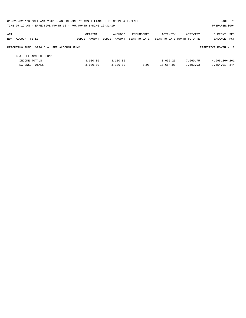| 01-02-2020**BUDGET ANALYSIS USAGE REPORT ** ASSET LIABILITY INCOME & EXPENSE<br>PAGE 73 |               |               |              |                            |          |                      |  |  |  |
|-----------------------------------------------------------------------------------------|---------------|---------------|--------------|----------------------------|----------|----------------------|--|--|--|
| TIME: 07:12 AM - EFFECTIVE MONTH: 12 - FOR MONTH ENDING 12-31-19                        |               |               |              |                            |          | PREPARER: 0004       |  |  |  |
| ACT                                                                                     | ORIGINAL      | AMENDED       | ENCUMBERED   | ACTIVITY                   | ACTIVITY | <b>CURRENT USED</b>  |  |  |  |
| NUM ACCOUNT-TITLE                                                                       | BUDGET-AMOUNT | BUDGET-AMOUNT | YEAR-TO-DATE | YEAR-TO-DATE MONTH-TO-DATE |          | PCT<br>BALANCE       |  |  |  |
| REPORTING FUND: 0036 D.A. FEE ACCOUNT FUND                                              |               |               |              |                            |          | EFFECTIVE MONTH - 12 |  |  |  |
| D.A. FEE ACCOUNT FUND                                                                   |               |               |              |                            |          |                      |  |  |  |
| INCOME TOTALS                                                                           | 3.100.00      | 3,100.00      |              | 8,095.26                   | 7,660.75 | $4.995.26 + 261$     |  |  |  |
| <b>EXPENSE TOTALS</b>                                                                   | 3.100.00      | 3,100.00      | 0.00         | 10,654.01                  | 7,502.93 | $7.554.01 - 344$     |  |  |  |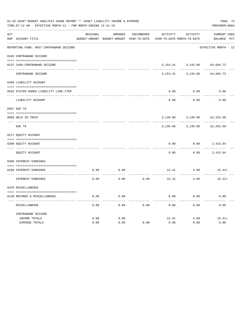|               | 01-02-2020**BUDGET ANALYSIS USAGE REPORT ** ASSET LIABILITY INCOME & EXPENSE<br>TIME: 07:12 AM - EFFECTIVE MONTH: 12 - FOR MONTH ENDING 12-31-19<br>----------------------------------- |          |                                                     |                   |                                               |                 |                                    |  |  |  |
|---------------|-----------------------------------------------------------------------------------------------------------------------------------------------------------------------------------------|----------|-----------------------------------------------------|-------------------|-----------------------------------------------|-----------------|------------------------------------|--|--|--|
| ACT           | NUM ACCOUNT-TITLE                                                                                                                                                                       | ORIGINAL | AMENDED<br>BUDGET-AMOUNT BUDGET-AMOUNT YEAR-TO-DATE | <b>ENCUMBERED</b> | <b>ACTIVITY</b><br>YEAR-TO-DATE MONTH-TO-DATE | <b>ACTIVITY</b> | <b>CURRENT USED</b><br>BALANCE PCT |  |  |  |
|               | REPORTING FUND: 0037 CONTRABAND SEIZURE                                                                                                                                                 |          |                                                     |                   |                                               |                 | EFFECTIVE MONTH - 12               |  |  |  |
|               | 0103 CONTRABAND SEIZURE                                                                                                                                                                 |          |                                                     |                   |                                               |                 |                                    |  |  |  |
|               | 0137 CASH-CONTRABAND SEIZURE                                                                                                                                                            |          |                                                     |                   | 3,154.41                                      | 3,143.89        | 64,684.73                          |  |  |  |
|               | CONTRABAND SEIZURE                                                                                                                                                                      |          |                                                     |                   | 3,154.41                                      | 3,143.89        | 64,684.73                          |  |  |  |
|               | 0200 LIABILITY ACCOUNT                                                                                                                                                                  |          |                                                     |                   |                                               |                 |                                    |  |  |  |
|               | 0910 SYSTEM ADDED LIABILITY LINE-ITEM                                                                                                                                                   |          |                                                     |                   | 0.00                                          | 0.00            | 0.00                               |  |  |  |
|               | LIABILITY ACCOUNT                                                                                                                                                                       |          |                                                     |                   | 0.00                                          | 0.00            | 0.00                               |  |  |  |
|               | 0207 DUE TO                                                                                                                                                                             |          |                                                     |                   |                                               |                 |                                    |  |  |  |
|               | 0099 HELD IN TRUST                                                                                                                                                                      |          |                                                     |                   | 3,139.00                                      | 3,139.00        | 62, 253.68                         |  |  |  |
| $\frac{1}{2}$ | DUE TO                                                                                                                                                                                  |          |                                                     |                   | 3,139.00                                      | 3,139.00        | 62, 253.68                         |  |  |  |
|               | 0271 EQUITY ACCOUNT                                                                                                                                                                     |          |                                                     |                   |                                               |                 |                                    |  |  |  |
|               | 0200 EQUITY ACCOUNT                                                                                                                                                                     |          |                                                     |                   | 0.00                                          | 0.00            | 2,415.64                           |  |  |  |
|               | EOUITY ACCOUNT                                                                                                                                                                          |          |                                                     |                   | 0.00                                          | 0.00            | 2,415.64                           |  |  |  |
|               | 0360 INTEREST EARNINGS                                                                                                                                                                  |          |                                                     |                   |                                               |                 |                                    |  |  |  |
|               | 0100 INTEREST EARNINGS                                                                                                                                                                  | 0.00     | 0.00                                                |                   | 15.41                                         | 4.89            | $15.41+$                           |  |  |  |
|               | INTEREST EARNINGS                                                                                                                                                                       | 0.00     | 0.00                                                | 0.00              | 15.41                                         | 4.89            | $15.41+$                           |  |  |  |
|               | 0370 MISCELLANEOUS                                                                                                                                                                      |          |                                                     |                   |                                               |                 |                                    |  |  |  |
|               | 0130 REFUNDS & MISCELLANEOUS                                                                                                                                                            | 0.00     | 0.00                                                |                   | 0.00                                          | 0.00            | 0.00                               |  |  |  |
|               | MISCELLANEOUS                                                                                                                                                                           | 0.00     | 0.00                                                | 0.00              | 0.00                                          | 0.00            | 0.00                               |  |  |  |
|               | CONTRABAND SEIZURE<br>INCOME TOTALS                                                                                                                                                     | 0.00     | 0.00                                                |                   | 15.41                                         | 4.89            | $15.41+$                           |  |  |  |
|               | <b>EXPENSE TOTALS</b>                                                                                                                                                                   | 0.00     | 0.00                                                | 0.00              | 0.00                                          | 0.00            | 0.00                               |  |  |  |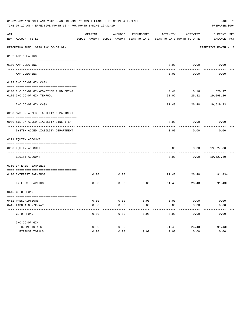|     | PAGE 75<br>01-02-2020**BUDGET ANALYSIS USAGE REPORT ** ASSET LIABILITY INCOME & EXPENSE<br>TIME: 07:12 AM - EFFECTIVE MONTH: 12 - FOR MONTH ENDING 12-31-19<br>PREPARER: 0004 |          |                                                     |                |          |                                        |                             |  |  |  |  |
|-----|-------------------------------------------------------------------------------------------------------------------------------------------------------------------------------|----------|-----------------------------------------------------|----------------|----------|----------------------------------------|-----------------------------|--|--|--|--|
| ACT | NUM ACCOUNT-TITLE                                                                                                                                                             | ORIGINAL | AMENDED<br>BUDGET-AMOUNT BUDGET-AMOUNT YEAR-TO-DATE | ENCUMBERED     | ACTIVITY | ACTIVITY<br>YEAR-TO-DATE MONTH-TO-DATE | CURRENT USED<br>BALANCE PCT |  |  |  |  |
|     | REPORTING FUND: 0038 IHC CO-OP GIN                                                                                                                                            |          |                                                     |                |          |                                        | EFFECTIVE MONTH - 12        |  |  |  |  |
|     | 0102 A/P CLEARING                                                                                                                                                             |          |                                                     |                |          |                                        |                             |  |  |  |  |
|     | 0100 A/P CLEARING                                                                                                                                                             |          |                                                     |                |          | 0.00 0.00                              | 0.00                        |  |  |  |  |
|     | A/P CLEARING                                                                                                                                                                  |          |                                                     |                | 0.00     | 0.00                                   | 0.00                        |  |  |  |  |
|     | 0103 IHC CO-OP GIN CASH                                                                                                                                                       |          |                                                     |                |          |                                        |                             |  |  |  |  |
|     | 0100 IHC CO-OP GIN-COMBINED FUND CKING                                                                                                                                        |          |                                                     |                | 0.41     |                                        | $0.16$ 520.97               |  |  |  |  |
|     | 0175 IHC CO-OP GIN TEXPOOL                                                                                                                                                    |          |                                                     |                | 91.02    | 26.32                                  | 19,098.26                   |  |  |  |  |
|     | IHC CO-OP GIN CASH                                                                                                                                                            |          |                                                     |                | 91.43    |                                        | 26.48 19,619.23             |  |  |  |  |
|     | 0200 SYSTEM ADDED LIABILITY DEPARTMENT                                                                                                                                        |          |                                                     |                |          |                                        |                             |  |  |  |  |
|     |                                                                                                                                                                               |          |                                                     |                |          |                                        |                             |  |  |  |  |
|     | 0900 SYSTEM ADDED LIABILITY LINE-ITEM                                                                                                                                         |          |                                                     |                | 0.00     | 0.00                                   | 0.00                        |  |  |  |  |
|     | SYSTEM ADDED LIABILITY DEPARTMENT                                                                                                                                             |          |                                                     |                | 0.00     | 0.00                                   | 0.00                        |  |  |  |  |
|     | 0271 EQUITY ACCOUNT                                                                                                                                                           |          |                                                     |                |          |                                        |                             |  |  |  |  |
|     | 0200 EQUITY ACCOUNT                                                                                                                                                           |          |                                                     |                | 0.00     |                                        | $0.00$ 19,527.80            |  |  |  |  |
|     | EQUITY ACCOUNT                                                                                                                                                                |          |                                                     |                | 0.00     |                                        | $0.00$ 19,527.80            |  |  |  |  |
|     | 0360 INTEREST EARNINGS                                                                                                                                                        |          |                                                     |                |          |                                        |                             |  |  |  |  |
|     | 0100 INTEREST EARNINGS                                                                                                                                                        | 0.00     | 0.00                                                |                |          | ---------                              | $91.43$ $26.48$ $91.43+$    |  |  |  |  |
|     | INTEREST EARNINGS                                                                                                                                                             | 0.00     | 0.00                                                | 0.00           |          | 91.43 26.48                            | $91.43+$                    |  |  |  |  |
|     | 0645 CO-OP FUND                                                                                                                                                               |          |                                                     |                |          |                                        |                             |  |  |  |  |
|     | 0412 PRESCRIPTIONS                                                                                                                                                            | 0.00     | 0.00                                                | 0.00           | 0.00     | 0.00                                   | 0.00                        |  |  |  |  |
|     | 0415 LABORATORY/X-RAY<br>------------------------------------                                                                                                                 | 0.00     | 0.00                                                | 0.00<br>------ | 0.00     | 0.00                                   | 0.00                        |  |  |  |  |
|     | CO-OP FUND                                                                                                                                                                    | 0.00     | 0.00                                                | 0.00           | 0.00     | 0.00                                   | 0.00                        |  |  |  |  |
|     | IHC CO-OP GIN                                                                                                                                                                 |          |                                                     |                |          |                                        |                             |  |  |  |  |
|     | INCOME TOTALS                                                                                                                                                                 | 0.00     | 0.00                                                |                | 91.43    | 26.48                                  | $91.43+$                    |  |  |  |  |
|     | EXPENSE TOTALS                                                                                                                                                                | 0.00     | 0.00                                                | 0.00           | 0.00     | 0.00                                   | 0.00                        |  |  |  |  |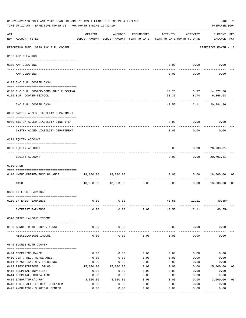|                    | 01-02-2020**BUDGET ANALYSIS USAGE REPORT ** ASSET LIABILITY INCOME & EXPENSE<br>PAGE 76<br>TIME: 07:12 AM - EFFECTIVE MONTH: 12 - FOR MONTH ENDING 12-31-19<br>PREPARER: 0004 |                            |                                                     |                     |          |                                        |                                    |  |  |  |  |
|--------------------|-------------------------------------------------------------------------------------------------------------------------------------------------------------------------------|----------------------------|-----------------------------------------------------|---------------------|----------|----------------------------------------|------------------------------------|--|--|--|--|
| $\mathop{\rm ACT}$ | NUM ACCOUNT-TITLE                                                                                                                                                             | ORIGINAL                   | AMENDED<br>BUDGET-AMOUNT BUDGET-AMOUNT YEAR-TO-DATE | ENCUMBERED          | ACTIVITY | ACTIVITY<br>YEAR-TO-DATE MONTH-TO-DATE | <b>CURRENT USED</b><br>BALANCE PCT |  |  |  |  |
|                    | ------------------------<br>REPORTING FUND: 0039 IHC B.R. COOPER                                                                                                              |                            |                                                     |                     |          |                                        | EFFECTIVE MONTH - 12               |  |  |  |  |
|                    | 0102 A/P CLEARING                                                                                                                                                             |                            |                                                     |                     |          |                                        |                                    |  |  |  |  |
|                    | 0100 A/P CLEARING<br>---- ---------                                                                                                                                           |                            |                                                     |                     |          | $0.00$ $0.00$                          | 0.00                               |  |  |  |  |
|                    | A/P CLEARING                                                                                                                                                                  |                            |                                                     |                     | 0.00     | 0.00                                   | 0.00                               |  |  |  |  |
|                    | 0103 IHC B.R. COOPER CASH                                                                                                                                                     |                            |                                                     |                     |          |                                        |                                    |  |  |  |  |
|                    | 0100 IHC B.R. COOPER-COMB.FUND CHECKING<br>0175 B.R. COOPER-TEXPOOL                                                                                                           |                            |                                                     |                     | 30.30    | 10.25 3.37 14,377.68<br>8.74           | 6,366.68                           |  |  |  |  |
|                    | IHC B.R. COOPER CASH                                                                                                                                                          |                            |                                                     |                     | 40.55    |                                        | 12.11 20,744.36                    |  |  |  |  |
|                    | 0200 SYSTEM ADDED LIABILITY DEPARTMENT                                                                                                                                        |                            |                                                     |                     |          |                                        |                                    |  |  |  |  |
|                    | 0900 SYSTEM ADDED LIABILITY LINE-ITEM                                                                                                                                         |                            |                                                     |                     | 0.00     | 0.00                                   | 0.00                               |  |  |  |  |
|                    | SYSTEM ADDED LIABILITY DEPARTMENT                                                                                                                                             |                            |                                                     |                     | 0.00     | 0.00                                   | 0.00                               |  |  |  |  |
|                    | 0271 EQUITY ACCOUNT                                                                                                                                                           |                            |                                                     |                     |          |                                        |                                    |  |  |  |  |
|                    | 0200 EQUITY ACCOUNT                                                                                                                                                           |                            |                                                     |                     | 0.00     | 0.00                                   | 20,703.81                          |  |  |  |  |
|                    | EQUITY ACCOUNT                                                                                                                                                                |                            |                                                     |                     | 0.00     | 0.00                                   | 20,703.81                          |  |  |  |  |
|                    | 0300 CASH                                                                                                                                                                     |                            |                                                     |                     |          |                                        |                                    |  |  |  |  |
|                    | 0110 UNENCUMBERED FUND BALANCE                                                                                                                                                |                            |                                                     |                     | 0.00     |                                        | 0.00 18,000.00<br>00               |  |  |  |  |
|                    | CASH                                                                                                                                                                          |                            | 18,000.00  18,000.00                                | -----------<br>0.00 | 0.00     | 0.00                                   | 18,000.00<br>0 <sub>0</sub>        |  |  |  |  |
|                    | 0360 INTEREST EARNINGS                                                                                                                                                        |                            |                                                     |                     |          |                                        |                                    |  |  |  |  |
|                    | 0100 INTEREST EARNINGS                                                                                                                                                        | 0.00                       | 0.00                                                |                     | 40.55    | 12.11                                  | $40.55+$                           |  |  |  |  |
|                    | INTEREST EARNINGS                                                                                                                                                             | 0.00                       | 0.00                                                | 0.00                | 40.55    | 12.11                                  | $40.55+$                           |  |  |  |  |
|                    | 0370 MISCELLANEOUS INCOME                                                                                                                                                     |                            |                                                     |                     |          |                                        |                                    |  |  |  |  |
|                    | 0150 BONNIE RUTH COOPER TRUST                                                                                                                                                 | 0.00                       | 0.00                                                |                     | 0.00     | 0.00                                   | 0.00                               |  |  |  |  |
|                    | MISCELLANEOUS INCOME                                                                                                                                                          | 0.00                       | 0.00                                                | 0.00                | 0.00     | 0.00                                   | 0.00                               |  |  |  |  |
|                    | 0645 BONNIE RUTH COOPER                                                                                                                                                       |                            |                                                     |                     |          |                                        |                                    |  |  |  |  |
|                    | 0404 COBRA/INSURANCE                                                                                                                                                          | 0.00                       | 0.00                                                | 0.00                | 0.00     | 0.00                                   | 0.00                               |  |  |  |  |
|                    | 0410 CERT. REG. NURSE ANES.                                                                                                                                                   | 0.00                       | 0.00                                                | 0.00                | 0.00     | 0.00                                   | 0.00                               |  |  |  |  |
|                    | 0411 PHYSICIAN, NON-EMERGENCY                                                                                                                                                 | 0.00                       | 0.00                                                | 0.00                | 0.00     | 0.00                                   | 0.00                               |  |  |  |  |
|                    | 0412 PRESCRIPTIONS, DRUGS                                                                                                                                                     | 15,000.00                  | 15,000.00                                           | 0.00                | 0.00     | 0.00                                   | 15,000.00<br>00                    |  |  |  |  |
|                    | 0413 HOSPITAL-INPATIENT                                                                                                                                                       | 0.00                       | 0.00                                                | 0.00                | 0.00     | 0.00                                   | 0.00                               |  |  |  |  |
|                    | 0414 HOSPITAL, OUTPATIENT                                                                                                                                                     | 0.00                       | 0.00                                                | 0.00                | 0.00     | 0.00                                   | 0.00                               |  |  |  |  |
|                    | 0415 LABORATORY/X-RAY                                                                                                                                                         | 3,000.00                   | 3,000.00                                            | 0.00                | 0.00     | 0.00                                   | 3,000.00<br>0 <sub>0</sub>         |  |  |  |  |
|                    | 0418 FED. QUALIFIED HEALTH CENTER                                                                                                                                             | 0.00                       | 0.00                                                | 0.00                | 0.00     | 0.00                                   | 0.00                               |  |  |  |  |
|                    | 0422 AMBULATORY SURGICAL CENTER                                                                                                                                               | 0.00<br>---- ------------- | 0.00<br>.                                           | 0.00                | 0.00     | 0.00                                   | 0.00<br>---------                  |  |  |  |  |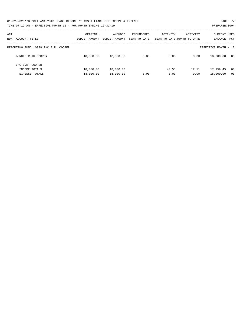| 01-02-2020**BUDGET ANALYSIS USAGE REPORT ** ASSET LIABILITY INCOME & EXPENSE | PAGE 77        |
|------------------------------------------------------------------------------|----------------|
| TIME: $07:12$ AM - EFFECTIVE MONTH: $12$ - FOR MONTH ENDING $12-31-19$       | PREPARER: 0004 |

| ACT<br>ACCOUNT-TITLE<br>NUM          | ORIGINAL<br>BUDGET-AMOUNT | AMENDED<br>BUDGET-AMOUNT | ENCUMBERED<br>YEAR-TO-DATE | ACTIVITY | ACTIVITY<br>YEAR-TO-DATE MONTH-TO-DATE | <b>CURRENT USED</b><br>BALANCE<br>PCT |
|--------------------------------------|---------------------------|--------------------------|----------------------------|----------|----------------------------------------|---------------------------------------|
|                                      |                           |                          |                            |          |                                        |                                       |
| REPORTING FUND: 0039 IHC B.R. COOPER |                           |                          |                            |          |                                        | EFFECTIVE MONTH - 12                  |
| BONNIE RUTH COOPER                   | 18,000.00                 | 18,000.00                | 0.00                       | 0.00     | 0.00                                   | 18,000.00<br>00                       |
| IHC B.R. COOPER                      |                           |                          |                            |          |                                        |                                       |
| INCOME TOTALS                        | 18,000.00                 | 18,000.00                |                            | 40.55    | 12.11                                  | 17,959.45<br>00                       |
| <b>EXPENSE TOTALS</b>                | 18,000.00                 | 18,000.00                | 0.00                       | 0.00     | 0.00                                   | 18,000.00<br>00                       |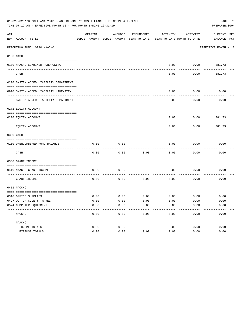|     | 01-02-2020**BUDGET ANALYSIS USAGE REPORT ** ASSET LIABILITY INCOME & EXPENSE<br>PAGE 78<br>TIME:07:12 AM - EFFECTIVE MONTH:12 - FOR MONTH ENDING 12-31-19<br>PREPARER: 0004 |          |                                                     |            |                                        |             |                                    |  |  |  |  |
|-----|-----------------------------------------------------------------------------------------------------------------------------------------------------------------------------|----------|-----------------------------------------------------|------------|----------------------------------------|-------------|------------------------------------|--|--|--|--|
| ACT | NUM ACCOUNT-TITLE                                                                                                                                                           | ORIGINAL | AMENDED<br>BUDGET-AMOUNT BUDGET-AMOUNT YEAR-TO-DATE | ENCUMBERED | ACTIVITY<br>YEAR-TO-DATE MONTH-TO-DATE | ACTIVITY    | <b>CURRENT USED</b><br>BALANCE PCT |  |  |  |  |
|     | ---------------------------<br>REPORTING FUND: 0040 NAACHO                                                                                                                  |          |                                                     |            |                                        |             | EFFECTIVE MONTH - 12               |  |  |  |  |
|     | 0103 CASH                                                                                                                                                                   |          |                                                     |            |                                        |             |                                    |  |  |  |  |
|     |                                                                                                                                                                             |          |                                                     |            |                                        |             |                                    |  |  |  |  |
|     | 0100 NAACHO-COMBINED FUND CKING                                                                                                                                             |          |                                                     |            | 0.00                                   | 0.00        | 381.73                             |  |  |  |  |
|     | CASH                                                                                                                                                                        |          |                                                     |            | 0.00                                   | 0.00        | 381.73                             |  |  |  |  |
|     | 0200 SYSTEM ADDED LIABILITY DEPARTMENT                                                                                                                                      |          |                                                     |            |                                        |             |                                    |  |  |  |  |
|     | 0910 SYSTEM ADDED LIABILITY LINE-ITEM                                                                                                                                       |          |                                                     |            | 0.00                                   | 0.00        | 0.00                               |  |  |  |  |
|     | SYSTEM ADDED LIABILITY DEPARTMENT                                                                                                                                           |          |                                                     |            | 0.00                                   | 0.00        | 0.00                               |  |  |  |  |
|     | 0271 EQUITY ACCOUNT                                                                                                                                                         |          |                                                     |            |                                        |             |                                    |  |  |  |  |
|     |                                                                                                                                                                             |          |                                                     |            |                                        |             |                                    |  |  |  |  |
|     | 0200 EQUITY ACCOUNT<br>--------------------- --------                                                                                                                       |          |                                                     |            | 0.00                                   | 0.00        | 381.73                             |  |  |  |  |
|     | EQUITY ACCOUNT                                                                                                                                                              |          |                                                     |            | 0.00                                   | 0.00        | 381.73                             |  |  |  |  |
|     | 0300 CASH                                                                                                                                                                   |          |                                                     |            |                                        |             |                                    |  |  |  |  |
|     | 0110 UNENCUMBERED FUND BALANCE                                                                                                                                              | 0.00     | 0.00                                                |            | 0.00                                   | 0.00        | 0.00                               |  |  |  |  |
|     | CASH                                                                                                                                                                        | 0.00     | 0.00                                                | 0.00       | 0.00                                   | 0.00        | 0.00                               |  |  |  |  |
|     | 0330 GRANT INCOME                                                                                                                                                           |          |                                                     |            |                                        |             |                                    |  |  |  |  |
|     | 0410 NAACHO GRANT INCOME                                                                                                                                                    | 0.00     | 0.00                                                |            | 0.00                                   | 0.00        | 0.00                               |  |  |  |  |
|     | ----------------- --<br>GRANT INCOME                                                                                                                                        | 0.00     | 0.00                                                | 0.00       | 0.00                                   | 0.00        | 0.00                               |  |  |  |  |
|     | 0411 NACCHO                                                                                                                                                                 |          |                                                     |            |                                        |             |                                    |  |  |  |  |
|     | 0310 OFFICE SUPPLIES                                                                                                                                                        | 0.00     | 0.00                                                | 0.00       |                                        | $0.00$ 0.00 | 0.00                               |  |  |  |  |
|     | 0427 OUT OF COUNTY TRAVEL                                                                                                                                                   | 0.00     | 0.00                                                | 0.00       | 0.00                                   | 0.00        | 0.00                               |  |  |  |  |
|     | 0574 COMPUTER EQUIPMENT                                                                                                                                                     | 0.00     | 0.00                                                | 0.00       | 0.00                                   | 0.00        | 0.00                               |  |  |  |  |
|     | NACCHO                                                                                                                                                                      | 0.00     | 0.00                                                | 0.00       | 0.00                                   | 0.00        | 0.00                               |  |  |  |  |
|     | NAACHO                                                                                                                                                                      |          |                                                     |            |                                        |             |                                    |  |  |  |  |
|     | INCOME TOTALS                                                                                                                                                               | 0.00     | 0.00                                                |            | 0.00                                   | 0.00        | 0.00                               |  |  |  |  |
|     | EXPENSE TOTALS                                                                                                                                                              | 0.00     | 0.00                                                | 0.00       | 0.00                                   | 0.00        | 0.00                               |  |  |  |  |
|     |                                                                                                                                                                             |          |                                                     |            |                                        |             |                                    |  |  |  |  |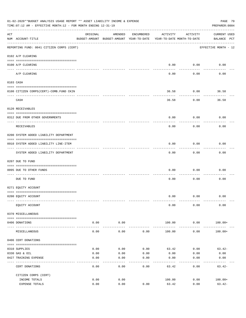|     | 01-02-2020**BUDGET ANALYSIS USAGE REPORT ** ASSET LIABILITY INCOME & EXPENSE<br>PAGE 79<br>PREPARER: 0004<br>TIME:07:12 AM - EFFECTIVE MONTH:12 - FOR MONTH ENDING 12-31-19 |                     |                                                     |            |                                        |                           |                                    |  |  |  |  |
|-----|-----------------------------------------------------------------------------------------------------------------------------------------------------------------------------|---------------------|-----------------------------------------------------|------------|----------------------------------------|---------------------------|------------------------------------|--|--|--|--|
| ACT | NUM ACCOUNT-TITLE                                                                                                                                                           | ORIGINAL            | AMENDED<br>BUDGET-AMOUNT BUDGET-AMOUNT YEAR-TO-DATE | ENCUMBERED | ACTIVITY<br>YEAR-TO-DATE MONTH-TO-DATE | ACTIVITY                  | <b>CURRENT USED</b><br>BALANCE PCT |  |  |  |  |
|     | --------------------------------------<br>REPORTING FUND: 0041 CITIZEN CORPS (CERT)                                                                                         |                     |                                                     |            |                                        |                           | EFFECTIVE MONTH - 12               |  |  |  |  |
|     | 0102 A/P CLEARING                                                                                                                                                           |                     |                                                     |            |                                        |                           |                                    |  |  |  |  |
|     | 0100 A/P CLEARING                                                                                                                                                           |                     |                                                     |            | 0.00                                   | 0.00                      | 0.00                               |  |  |  |  |
|     | A/P CLEARING                                                                                                                                                                |                     |                                                     |            | 0.00                                   | -------<br>0.00           | 0.00                               |  |  |  |  |
|     | 0103 CASH                                                                                                                                                                   |                     |                                                     |            |                                        |                           |                                    |  |  |  |  |
|     | 0100 CITIZEN CORPS(CERT)-COMB.FUND CKIN                                                                                                                                     |                     |                                                     |            | 36.58                                  | 0.00                      | 36.58                              |  |  |  |  |
|     | CASH                                                                                                                                                                        |                     |                                                     |            | 36.58                                  | 0.00                      | 36.58                              |  |  |  |  |
|     | 0120 RECEIVABLES                                                                                                                                                            |                     |                                                     |            |                                        |                           |                                    |  |  |  |  |
|     | 0312 DUE FROM OTHER GOVERNMENTS                                                                                                                                             |                     |                                                     |            | 0.00                                   | 0.00                      | 0.00                               |  |  |  |  |
|     | RECEIVABLES                                                                                                                                                                 |                     |                                                     |            | 0.00                                   | 0.00                      | 0.00                               |  |  |  |  |
|     | 0200 SYSTEM ADDED LIABILITY DEPARTMENT                                                                                                                                      |                     |                                                     |            |                                        |                           |                                    |  |  |  |  |
|     | 0910 SYSTEM ADDED LIABILITY LINE-ITEM                                                                                                                                       |                     |                                                     |            | 0.00                                   | 0.00<br>$- - - - - - - -$ | 0.00                               |  |  |  |  |
|     | SYSTEM ADDED LIABILITY DEPARTMENT                                                                                                                                           |                     |                                                     |            | 0.00                                   | 0.00                      | 0.00                               |  |  |  |  |
|     | 0207 DUE TO FUND                                                                                                                                                            |                     |                                                     |            |                                        |                           |                                    |  |  |  |  |
|     | 0095 DUE TO OTHER FUNDS                                                                                                                                                     |                     |                                                     |            | 0.00                                   | 0.00                      | 0.00                               |  |  |  |  |
|     | DUE TO FUND                                                                                                                                                                 |                     |                                                     |            | 0.00                                   | 0.00                      | 0.00                               |  |  |  |  |
|     | 0271 EQUITY ACCOUNT                                                                                                                                                         |                     |                                                     |            |                                        |                           |                                    |  |  |  |  |
|     | 0200 EQUITY ACCOUNT                                                                                                                                                         |                     |                                                     |            |                                        | $0.00$ $0.00$             | 0.00                               |  |  |  |  |
|     | EQUITY ACCOUNT                                                                                                                                                              |                     |                                                     |            | 0.00                                   | 0.00                      | 0.00                               |  |  |  |  |
|     | 0370 MISCELLANEOUS                                                                                                                                                          |                     |                                                     |            |                                        |                           |                                    |  |  |  |  |
|     | 0406 DONATIONS                                                                                                                                                              | 0.00                | 0.00                                                |            | 100.00                                 | 0.00                      | $100.00+$                          |  |  |  |  |
|     | MISCELLANEOUS                                                                                                                                                               | $- - - - -$<br>0.00 | ----------<br>0.00                                  | 0.00       | 100.00                                 | ----------<br>0.00        | $100.00+$                          |  |  |  |  |
|     | 0406 CERT DONATIONS                                                                                                                                                         |                     |                                                     |            |                                        |                           |                                    |  |  |  |  |
|     | 0310 SUPPLIES                                                                                                                                                               | 0.00                | 0.00                                                | 0.00       | 63.42                                  | 0.00                      | $63.42-$                           |  |  |  |  |
|     | 0330 GAS & OIL                                                                                                                                                              | 0.00                | 0.00                                                | 0.00       | 0.00                                   | 0.00                      | 0.00                               |  |  |  |  |
|     | 0427 TRAINING EXPENSE                                                                                                                                                       | 0.00                | 0.00                                                | 0.00       | 0.00                                   | 0.00                      | 0.00                               |  |  |  |  |
|     | CERT DONATIONS                                                                                                                                                              | 0.00                | 0.00                                                | 0.00       | 63.42                                  | 0.00                      | $63.42-$                           |  |  |  |  |
|     | CITIZEN CORPS (CERT)                                                                                                                                                        |                     |                                                     |            |                                        |                           |                                    |  |  |  |  |
|     | INCOME TOTALS<br>EXPENSE TOTALS                                                                                                                                             | 0.00<br>0.00        | 0.00<br>0.00                                        | 0.00       | 100.00<br>63.42                        | 0.00<br>0.00              | $100.00+$<br>$63.42-$              |  |  |  |  |
|     |                                                                                                                                                                             |                     |                                                     |            |                                        |                           |                                    |  |  |  |  |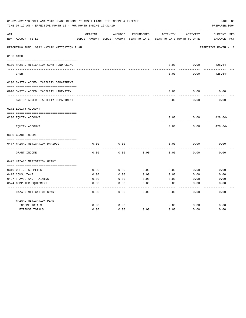| 01-02-2020**BUDGET ANALYSIS USAGE REPORT ** ASSET LIABILITY INCOME & EXPENSE<br>PAGE 80<br>TIME: 07:12 AM - EFFECTIVE MONTH: 12 - FOR MONTH ENDING 12-31-19<br>PREPARER: 0004 |                                             |          |                                          |            |          |                            |                      |  |  |
|-------------------------------------------------------------------------------------------------------------------------------------------------------------------------------|---------------------------------------------|----------|------------------------------------------|------------|----------|----------------------------|----------------------|--|--|
| ACT                                                                                                                                                                           |                                             | ORIGINAL | AMENDED                                  | ENCUMBERED | ACTIVITY | ACTIVITY                   | <b>CURRENT USED</b>  |  |  |
|                                                                                                                                                                               | NUM ACCOUNT-TITLE                           |          | BUDGET-AMOUNT BUDGET-AMOUNT YEAR-TO-DATE |            |          | YEAR-TO-DATE MONTH-TO-DATE | PCT<br>BALANCE       |  |  |
|                                                                                                                                                                               | REPORTING FUND: 0042 HAZARD MITIGATION PLAN |          |                                          |            |          |                            | EFFECTIVE MONTH - 12 |  |  |
|                                                                                                                                                                               | 0103 CASH                                   |          |                                          |            |          |                            |                      |  |  |
|                                                                                                                                                                               | 0100 HAZARD MITIGATION-COMB.FUND CKING.     |          |                                          |            | 0.00     | 0.00                       | $428.64-$            |  |  |
|                                                                                                                                                                               | CASH                                        |          |                                          |            | 0.00     | 0.00                       | $428.64-$            |  |  |
|                                                                                                                                                                               | 0200 SYSTEM ADDED LIABILITY DEPARTMENT      |          |                                          |            |          |                            |                      |  |  |
|                                                                                                                                                                               |                                             |          |                                          |            |          |                            |                      |  |  |
|                                                                                                                                                                               | 0910 SYSTEM ADDED LIABILITY LINE-ITEM       |          |                                          |            | 0.00     | 0.00                       | 0.00                 |  |  |
|                                                                                                                                                                               | SYSTEM ADDED LIABILITY DEPARTMENT           |          |                                          |            | 0.00     | 0.00                       | 0.00                 |  |  |
|                                                                                                                                                                               | 0271 EQUITY ACCOUNT                         |          |                                          |            |          |                            |                      |  |  |
|                                                                                                                                                                               |                                             |          |                                          |            |          |                            |                      |  |  |
|                                                                                                                                                                               | 0200 EQUITY ACCOUNT                         |          |                                          |            | 0.00     | 0.00                       | $428.64-$            |  |  |
|                                                                                                                                                                               | EQUITY ACCOUNT                              |          |                                          |            | 0.00     | 0.00                       | $428.64-$            |  |  |
|                                                                                                                                                                               | 0330 GRANT INCOME                           |          |                                          |            |          |                            |                      |  |  |
|                                                                                                                                                                               |                                             |          |                                          |            |          |                            |                      |  |  |
|                                                                                                                                                                               | 0477 HAZARD MITIGATION DR-1999              | 0.00     | 0.00                                     |            | 0.00     | 0.00                       | 0.00                 |  |  |
|                                                                                                                                                                               | GRANT INCOME                                | 0.00     | 0.00                                     | 0.00       | 0.00     | 0.00                       | 0.00                 |  |  |
|                                                                                                                                                                               | 0477 HAZARD MITIGATION GRANT                |          |                                          |            |          |                            |                      |  |  |
|                                                                                                                                                                               |                                             |          |                                          |            |          |                            |                      |  |  |
|                                                                                                                                                                               | 0310 OFFICE SUPPLIES                        | 0.00     | 0.00                                     | 0.00       | 0.00     | 0.00                       | 0.00                 |  |  |
|                                                                                                                                                                               | 0415 CONSULTANT                             | 0.00     | 0.00                                     | 0.00       | 0.00     | 0.00                       | 0.00                 |  |  |
|                                                                                                                                                                               | 0427 TRAVEL AND TRAINING                    | 0.00     | 0.00                                     | 0.00       | 0.00     | 0.00                       | 0.00                 |  |  |
|                                                                                                                                                                               | 0574 COMPUTER EQUIPMENT                     | 0.00     | 0.00                                     | 0.00       | 0.00     | 0.00                       | 0.00                 |  |  |
|                                                                                                                                                                               | HAZARD MITIGATION GRANT                     | 0.00     | 0.00                                     | 0.00       | 0.00     | 0.00                       | 0.00                 |  |  |
|                                                                                                                                                                               | HAZARD MITIGATION PLAN                      |          |                                          |            |          |                            |                      |  |  |
|                                                                                                                                                                               | INCOME TOTALS                               | 0.00     | 0.00                                     |            | 0.00     | 0.00                       | 0.00                 |  |  |
|                                                                                                                                                                               | <b>EXPENSE TOTALS</b>                       | 0.00     | 0.00                                     | 0.00       | 0.00     | 0.00                       | 0.00                 |  |  |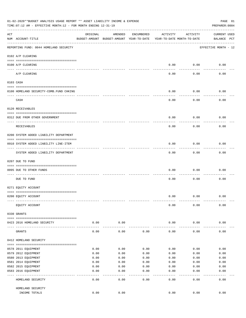|     | 01-02-2020**BUDGET ANALYSIS USAGE REPORT ** ASSET LIABILITY INCOME & EXPENSE<br>TIME: 07:12 AM - EFFECTIVE MONTH: 12 - FOR MONTH ENDING 12-31-19 |          |                                                     |            |                                        |               | PAGE 81<br>PREPARER: 0004          |
|-----|--------------------------------------------------------------------------------------------------------------------------------------------------|----------|-----------------------------------------------------|------------|----------------------------------------|---------------|------------------------------------|
| ACT | NUM ACCOUNT-TITLE                                                                                                                                | ORIGINAL | AMENDED<br>BUDGET-AMOUNT BUDGET-AMOUNT YEAR-TO-DATE | ENCUMBERED | ACTIVITY<br>YEAR-TO-DATE MONTH-TO-DATE | ACTIVITY      | <b>CURRENT USED</b><br>BALANCE PCT |
|     | REPORTING FUND: 0044 HOMELAND SECURITY                                                                                                           |          |                                                     |            |                                        |               | EFFECTIVE MONTH - 12               |
|     | 0102 A/P CLEARING                                                                                                                                |          |                                                     |            |                                        |               |                                    |
|     | 0100 A/P CLEARING<br>____ _________                                                                                                              |          |                                                     |            | 0.00                                   | 0.00          | 0.00                               |
|     | A/P CLEARING                                                                                                                                     |          |                                                     |            | 0.00                                   | 0.00          | 0.00                               |
|     | 0103 CASH                                                                                                                                        |          |                                                     |            |                                        |               |                                    |
|     | 0100 HOMELAND SECURITY-COMB.FUND CHKING                                                                                                          |          |                                                     |            | 0.00                                   | 0.00          | 0.00                               |
|     | ------------------------------<br>CASH                                                                                                           |          |                                                     |            | 0.00                                   | 0.00          | 0.00                               |
|     | 0120 RECEIVABLES                                                                                                                                 |          |                                                     |            |                                        |               |                                    |
|     | 0312 DUE FROM OTHER GOVERNMENT                                                                                                                   |          |                                                     |            | 0.00                                   | 0.00          | 0.00                               |
|     | RECEIVABLES                                                                                                                                      |          |                                                     |            | 0.00                                   | 0.00          | 0.00                               |
|     | 0200 SYSTEM ADDED LIABILITY DEPARTMENT                                                                                                           |          |                                                     |            |                                        |               |                                    |
|     | 0910 SYSTEM ADDED LIABILITY LINE-ITEM                                                                                                            |          |                                                     |            | 0.00                                   | 0.00          | 0.00                               |
|     | SYSTEM ADDED LIABILITY DEPARTMENT                                                                                                                |          |                                                     |            | 0.00                                   | 0.00          | 0.00                               |
|     | 0207 DUE TO FUND                                                                                                                                 |          |                                                     |            |                                        |               |                                    |
|     | 0095 DUE TO OTHER FUNDS                                                                                                                          |          |                                                     |            | 0.00                                   | 0.00          | 0.00                               |
|     | DUE TO FUND                                                                                                                                      |          |                                                     |            | 0.00                                   | 0.00          | 0.00                               |
|     | 0271 EQUITY ACCOUNT                                                                                                                              |          |                                                     |            |                                        |               |                                    |
|     | 0200 EQUITY ACCOUNT                                                                                                                              |          |                                                     |            | 0.00                                   | 0.00          | 0.00                               |
|     | EQUITY ACCOUNT                                                                                                                                   |          |                                                     |            | 0.00                                   | 0.00          | 0.00                               |
|     | 0330 GRANTS                                                                                                                                      |          |                                                     |            |                                        |               |                                    |
|     | 0423 2016 HOMELAND SECURITY                                                                                                                      | 0.00     | 0.00                                                |            | 0.00                                   | 0.00          | 0.00                               |
|     | GRANTS                                                                                                                                           | 0.00     | 0.00                                                | 0.00       | 0.00                                   | 0.00          | 0.00                               |
|     | 0412 HOMELAND SECURITY                                                                                                                           |          |                                                     |            |                                        |               |                                    |
|     | 0578 2011 EQUIPMENT                                                                                                                              | 0.00     | 0.00                                                | 0.00       | 0.00                                   | 0.00          | 0.00                               |
|     | 0579 2012 EQUIPMENT                                                                                                                              | 0.00     | 0.00                                                | 0.00       | 0.00                                   | 0.00          | 0.00                               |
|     | 0580 2013 EQUIPMENT                                                                                                                              | 0.00     | 0.00                                                | 0.00       | 0.00                                   | 0.00          | 0.00                               |
|     | 0581 2014 EQUIPMENT                                                                                                                              | 0.00     | 0.00                                                | 0.00       | 0.00                                   | 0.00          | 0.00                               |
|     | 0582 2015 EQUIPMENT                                                                                                                              | 0.00     | 0.00                                                | 0.00       | 0.00                                   | 0.00          | 0.00                               |
|     | 0583 2016 EQUIPMENT                                                                                                                              | 0.00     | 0.00                                                | 0.00       | 0.00                                   | 0.00          | 0.00                               |
|     | HOMELAND SECURITY                                                                                                                                | 0.00     | 0.00                                                | 0.00       | 0.00                                   | $---$<br>0.00 | 0.00                               |
|     | HOMELAND SECURITY                                                                                                                                |          |                                                     |            |                                        |               |                                    |
|     | INCOME TOTALS                                                                                                                                    | 0.00     | 0.00                                                |            | 0.00                                   | 0.00          | 0.00                               |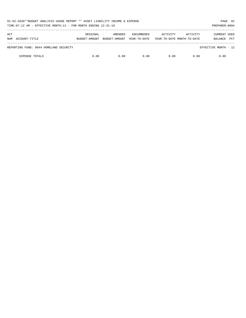| 01-02-2020**BUDGET ANALYSIS USAGE REPORT ** ASSET LIABILITY INCOME & EXPENSE<br>TIME: $07:12$ AM - EFFECTIVE MONTH: $12$ - FOR MONTH ENDING $12-31-19$<br>PREPARER: 0004 |               |               |                   |          |                            |                      |            |  |  |
|--------------------------------------------------------------------------------------------------------------------------------------------------------------------------|---------------|---------------|-------------------|----------|----------------------------|----------------------|------------|--|--|
| ACT                                                                                                                                                                      | ORIGINAL      | AMENDED       | <b>ENCUMBERED</b> | ACTIVITY | ACTIVITY                   | <b>CURRENT USED</b>  |            |  |  |
| ACCOUNT-TITLE<br>NUM                                                                                                                                                     | BUDGET-AMOUNT | BUDGET-AMOUNT | YEAR-TO-DATE      |          | YEAR-TO-DATE MONTH-TO-DATE | BALANCE              | <b>PCT</b> |  |  |
| REPORTING FUND: 0044 HOMELAND SECURITY                                                                                                                                   |               |               |                   |          |                            | EFFECTIVE MONTH - 12 |            |  |  |
| <b>EXPENSE TOTALS</b>                                                                                                                                                    | 0.00          | 0.00          | 0.00              | 0.00     | 0.00                       | 0.00                 |            |  |  |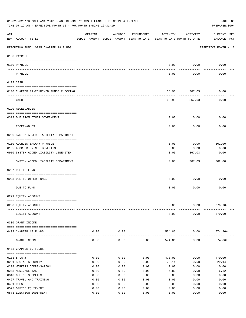|     | 01-02-2020**BUDGET ANALYSIS USAGE REPORT ** ASSET LIABILITY INCOME & EXPENSE<br>PAGE 83<br>TIME: 07:12 AM - EFFECTIVE MONTH: 12 - FOR MONTH ENDING 12-31-19<br>PREPARER: 0004 |          |                                                     |            |                                        |                      |                                    |  |  |  |  |  |
|-----|-------------------------------------------------------------------------------------------------------------------------------------------------------------------------------|----------|-----------------------------------------------------|------------|----------------------------------------|----------------------|------------------------------------|--|--|--|--|--|
| ACT | NUM ACCOUNT-TITLE                                                                                                                                                             | ORIGINAL | AMENDED<br>BUDGET-AMOUNT BUDGET-AMOUNT YEAR-TO-DATE | ENCUMBERED | ACTIVITY<br>YEAR-TO-DATE MONTH-TO-DATE | ACTIVITY             | <b>CURRENT USED</b><br>BALANCE PCT |  |  |  |  |  |
|     | REPORTING FUND: 0045 CHAPTER 19 FUNDS                                                                                                                                         |          |                                                     |            |                                        |                      | EFFECTIVE MONTH - 12               |  |  |  |  |  |
|     | 0100 PAYROLL                                                                                                                                                                  |          |                                                     |            |                                        |                      |                                    |  |  |  |  |  |
|     | 0100 PAYROLL                                                                                                                                                                  |          |                                                     |            | 0.00                                   | 0.00                 | 0.00                               |  |  |  |  |  |
|     | PAYROLL                                                                                                                                                                       |          |                                                     |            | 0.00                                   | 0.00                 | 0.00                               |  |  |  |  |  |
|     | 0103 CASH                                                                                                                                                                     |          |                                                     |            |                                        |                      |                                    |  |  |  |  |  |
|     | 0100 CHAPTER 19-COMBINED FUNDS CHECKING                                                                                                                                       |          |                                                     |            | 68.90                                  | 367.03               | 0.00                               |  |  |  |  |  |
|     | CASH                                                                                                                                                                          |          |                                                     |            | 68.90                                  | 367.03               | 0.00                               |  |  |  |  |  |
|     | 0120 RECEIVABLES                                                                                                                                                              |          |                                                     |            |                                        |                      |                                    |  |  |  |  |  |
|     | 0312 DUE FROM OTHER GOVERNMENT                                                                                                                                                |          |                                                     |            | 0.00                                   | 0.00                 | 0.00                               |  |  |  |  |  |
|     | RECEIVABLES                                                                                                                                                                   |          |                                                     |            | 0.00                                   | 0.00                 | 0.00                               |  |  |  |  |  |
|     | 0200 SYSTEM ADDED LIABILITY DEPARTMENT                                                                                                                                        |          |                                                     |            |                                        |                      |                                    |  |  |  |  |  |
|     | 0150 ACCRUED SALARY PAYABLE                                                                                                                                                   |          |                                                     |            | 0.00                                   | 0.00                 | 302.00                             |  |  |  |  |  |
|     | 0155 ACCRUED FRINGE BENEFITS                                                                                                                                                  |          |                                                     |            | 0.00                                   | 0.00                 | 0.00                               |  |  |  |  |  |
|     | 0910 SYSTEM ADDED LIABILITY LINE-ITEM                                                                                                                                         |          |                                                     |            | 0.00                                   | 367.03               | 0.00                               |  |  |  |  |  |
|     |                                                                                                                                                                               |          |                                                     |            |                                        |                      |                                    |  |  |  |  |  |
|     | SYSTEM ADDED LIABILITY DEPARTMENT                                                                                                                                             |          |                                                     |            | 0.00                                   | 367.03               | 302.00                             |  |  |  |  |  |
|     | 0207 DUE TO FUND                                                                                                                                                              |          |                                                     |            |                                        |                      |                                    |  |  |  |  |  |
|     | 0095 DUE TO OTHER FUNDS                                                                                                                                                       |          |                                                     |            | 0.00                                   | 0.00                 | 0.00                               |  |  |  |  |  |
|     | DUE TO FUND                                                                                                                                                                   |          |                                                     |            | 0.00                                   | 0.00                 | 0.00                               |  |  |  |  |  |
|     | 0271 EQUITY ACCOUNT                                                                                                                                                           |          |                                                     |            |                                        |                      |                                    |  |  |  |  |  |
|     | 0200 EQUITY ACCOUNT                                                                                                                                                           |          |                                                     |            | 0.00                                   | 0.00                 | $370.90 -$                         |  |  |  |  |  |
|     |                                                                                                                                                                               |          |                                                     |            |                                        |                      |                                    |  |  |  |  |  |
|     | EQUITY ACCOUNT                                                                                                                                                                |          |                                                     |            | 0.00                                   | 0.00                 | $370.90 -$                         |  |  |  |  |  |
|     | 0330 GRANT INCOME                                                                                                                                                             |          |                                                     |            |                                        |                      |                                    |  |  |  |  |  |
|     | 0403 CHAPTER 19 FUNDS                                                                                                                                                         | 0.00     | 0.00<br>-----------                                 |            | 574.86<br>-------------                | 0.00<br>------------ | 574.86+                            |  |  |  |  |  |
|     | GRANT INCOME                                                                                                                                                                  | 0.00     | 0.00                                                | 0.00       | 574.86                                 | 0.00                 | $574.86+$                          |  |  |  |  |  |
|     | 0403 CHAPTER 19 FUNDS                                                                                                                                                         |          |                                                     |            |                                        |                      |                                    |  |  |  |  |  |
|     | 0103 SALARY                                                                                                                                                                   | 0.00     | 0.00                                                | 0.00       | 470.00                                 | 0.00                 | $470.00 -$                         |  |  |  |  |  |
|     | 0201 SOCIAL SECURITY                                                                                                                                                          | 0.00     | 0.00                                                | 0.00       | 29.14                                  | 0.00                 | $29.14-$                           |  |  |  |  |  |
|     | 0204 WORKERS COMPENSATION                                                                                                                                                     | 0.00     | 0.00                                                | 0.00       | 0.00                                   | 0.00                 | 0.00                               |  |  |  |  |  |
|     | 0205 MEDICARE TAX                                                                                                                                                             | 0.00     | 0.00                                                | 0.00       | 6.82                                   | 0.00                 | $6.82-$                            |  |  |  |  |  |
|     | 0310 OFFICE SUPPLIES                                                                                                                                                          | 0.00     | 0.00                                                | 0.00       | 0.00                                   | 0.00                 | 0.00                               |  |  |  |  |  |
|     | 0427 TRAVEL AND TRAINING                                                                                                                                                      | 0.00     | 0.00                                                | 0.00       | 0.00                                   | 0.00                 | 0.00                               |  |  |  |  |  |
|     | 0481 DUES                                                                                                                                                                     | 0.00     | 0.00                                                | 0.00       | 0.00                                   | 0.00                 | 0.00                               |  |  |  |  |  |
|     | 0572 OFFICE EQUIPMENT                                                                                                                                                         | 0.00     | 0.00                                                | 0.00       | 0.00                                   | 0.00                 | 0.00                               |  |  |  |  |  |
|     | 0573 ELECTION EQUIPMENT                                                                                                                                                       | 0.00     | 0.00                                                | 0.00       | 0.00                                   | 0.00                 | 0.00                               |  |  |  |  |  |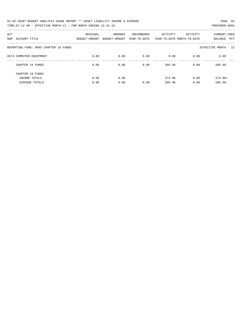| 01-02-2020**BUDGET ANALYSIS USAGE REPORT ** ASSET LIABILITY INCOME & EXPENSE | PAGE 84        |
|------------------------------------------------------------------------------|----------------|
| TIME: 07:12 AM - EFFECTIVE MONTH: 12 - FOR MONTH ENDING 12-31-19             | PREPARER: 0004 |

| ACT<br>ACCOUNT-TITLE<br>NUM            | ORIGINAL<br>BUDGET-AMOUNT | AMENDED<br>BUDGET-AMOUNT | ENCUMBERED<br>YEAR-TO-DATE | ACTIVITY         | ACTIVITY<br>YEAR-TO-DATE MONTH-TO-DATE | <b>CURRENT USED</b><br>PCT<br>BALANCE |
|----------------------------------------|---------------------------|--------------------------|----------------------------|------------------|----------------------------------------|---------------------------------------|
| REPORTING FUND: 0045 CHAPTER 19 FUNDS  |                           |                          |                            |                  |                                        | EFFECTIVE MONTH - 12                  |
| 0574 COMPUTER EQUIPMENT                | 0.00                      | 0.00                     | 0.00                       | 0.00             | 0.00                                   | 0.00                                  |
| CHAPTER 19 FUNDS                       | 0.00                      | 0.00                     | 0.00                       | 505.96           | 0.00                                   | $505.96 -$                            |
| CHAPTER 19 FUNDS                       |                           |                          |                            |                  |                                        |                                       |
| INCOME TOTALS<br><b>EXPENSE TOTALS</b> | 0.00<br>0.00              | 0.00<br>0.00             | 0.00                       | 574.86<br>505.96 | 0.00<br>0.00                           | $574.86+$<br>$505.96 -$               |
|                                        |                           |                          |                            |                  |                                        |                                       |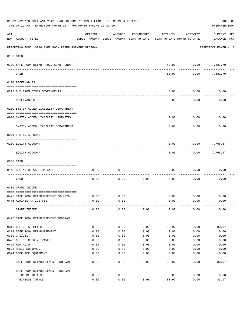| 01-02-2020**BUDGET ANALYSIS USAGE REPORT ** ASSET LIABILITY INCOME & EXPENSE<br>TIME: 07:12 AM - EFFECTIVE MONTH: 12 - FOR MONTH ENDING 12-31-19 |                                                      |              |                                                     |            |                                        |                   |                                    |  |  |
|--------------------------------------------------------------------------------------------------------------------------------------------------|------------------------------------------------------|--------------|-----------------------------------------------------|------------|----------------------------------------|-------------------|------------------------------------|--|--|
| ACT                                                                                                                                              | NUM ACCOUNT-TITLE                                    | ORIGINAL     | AMENDED<br>BUDGET-AMOUNT BUDGET-AMOUNT YEAR-TO-DATE | ENCUMBERED | ACTIVITY<br>YEAR-TO-DATE MONTH-TO-DATE | ACTIVITY          | <b>CURRENT USED</b><br>BALANCE PCT |  |  |
|                                                                                                                                                  | REPORTING FUND: 0046 SAFE ROOM REIMBURSEMENT PROGRAM |              |                                                     |            |                                        |                   | EFFECTIVE MONTH - 12               |  |  |
|                                                                                                                                                  | 0103 CASH                                            |              |                                                     |            |                                        |                   |                                    |  |  |
|                                                                                                                                                  | 0100 SAFE ROOM REIMB. PROG. - COMB. FUNDS            |              |                                                     |            |                                        | 83.97- 0.00       | 7,681.70                           |  |  |
|                                                                                                                                                  | CASH                                                 |              |                                                     |            | $83.97 -$                              | ---------<br>0.00 | 7,681.70                           |  |  |
|                                                                                                                                                  | 0120 RECEIVABLES                                     |              |                                                     |            |                                        |                   |                                    |  |  |
|                                                                                                                                                  | 0312 DUE FROM OTHER GOVERNMENTS                      |              |                                                     |            | 0.00                                   | 0.00              | 0.00                               |  |  |
|                                                                                                                                                  | RECEIVABLES                                          |              |                                                     |            | 0.00                                   | 0.00              | 0.00                               |  |  |
|                                                                                                                                                  | 0200 SYSTEM ADDED LIABILITY DEPARTMENT               |              |                                                     |            |                                        |                   |                                    |  |  |
|                                                                                                                                                  | 0910 SYSTEM ADDED LIABILITY LINE-ITEM                |              |                                                     |            | 0.00                                   | 0.00              | 0.00                               |  |  |
|                                                                                                                                                  | SYSTEM ADDED LIABILITY DEPARTMENT                    |              |                                                     |            | 0.00                                   | 0.00              | 0.00                               |  |  |
|                                                                                                                                                  | 0271 EQUITY ACCOUNT                                  |              |                                                     |            |                                        |                   |                                    |  |  |
|                                                                                                                                                  | 0200 EQUITY ACCOUNT                                  |              |                                                     |            | 0.00                                   | 0.00              | 7,765.67                           |  |  |
|                                                                                                                                                  | EQUITY ACCOUNT                                       |              |                                                     |            | 0.00                                   |                   | $0.00$ 7,765.67                    |  |  |
|                                                                                                                                                  | 0300 CASH                                            |              |                                                     |            |                                        |                   |                                    |  |  |
|                                                                                                                                                  | 0146 BEGINNING CASH BALANCE                          | 0.00         | 0.00                                                |            | 0.00                                   | 0.00              | 0.00                               |  |  |
|                                                                                                                                                  | CASH                                                 | 0.00         | 0.00                                                | 0.00       | 0.00                                   | 0.00              | 0.00                               |  |  |
|                                                                                                                                                  | 0330 GRANT INCOME                                    |              |                                                     |            |                                        |                   |                                    |  |  |
|                                                                                                                                                  | 0475 SAFE ROOM REIMBURSEMENT DR-4029                 | 0.00         | 0.00                                                |            | 0.00                                   | 0.00              | 0.00                               |  |  |
|                                                                                                                                                  | 0476 ADMINISTRATIVE FEE                              | 0.00         | 0.00                                                |            | 0.00                                   | 0.00              | 0.00                               |  |  |
|                                                                                                                                                  | GRANT INCOME                                         | 0.00         | 0.00                                                | 0.00       | 0.00                                   | 0.00              | 0.00                               |  |  |
|                                                                                                                                                  | 0475 SAFE ROOM REIMBURSEMENT PROGRAM                 |              |                                                     |            |                                        |                   |                                    |  |  |
|                                                                                                                                                  | 0310 OFFICE SUPPLIES                                 | 0.00         | 0.00                                                | 0.00       | 83.97                                  | 0.00              | $83.97-$                           |  |  |
|                                                                                                                                                  | 0314 SAFE ROOM REIMBURSEMENT                         | 0.00         | 0.00                                                | 0.00       | 0.00                                   | 0.00              | 0.00                               |  |  |
|                                                                                                                                                  | 0330 GAS/OIL                                         | 0.00         | 0.00                                                | 0.00       | 0.00                                   | 0.00              | 0.00                               |  |  |
|                                                                                                                                                  | 0427 OUT OF COUNTY TRAVEL                            | 0.00         | 0.00                                                | 0.00       | 0.00                                   | 0.00              | 0.00                               |  |  |
|                                                                                                                                                  | 0454 R&M AUTO                                        | 0.00         | 0.00                                                | 0.00       | 0.00                                   | 0.00              | 0.00                               |  |  |
|                                                                                                                                                  | 0573 RADIO EQUIPMENT                                 | 0.00         | 0.00                                                | 0.00       | 0.00                                   | 0.00              | 0.00                               |  |  |
|                                                                                                                                                  | 0574 COMPUTER EQUIPMENT                              | 0.00         | 0.00                                                | 0.00       | 0.00                                   | 0.00              | 0.00                               |  |  |
|                                                                                                                                                  | SAFE ROOM REIMBURSEMENT PROGRAM                      | 0.00         | 0.00                                                | 0.00       | 83.97                                  | 0.00              | $83.97 -$                          |  |  |
|                                                                                                                                                  | SAFE ROOM REIMBURSEMENT PROGRAM                      |              |                                                     |            |                                        |                   |                                    |  |  |
|                                                                                                                                                  | INCOME TOTALS<br>EXPENSE TOTALS                      | 0.00<br>0.00 | 0.00<br>0.00                                        | 0.00       | 0.00<br>83.97                          | 0.00<br>0.00      | 0.00<br>$83.97-$                   |  |  |
|                                                                                                                                                  |                                                      |              |                                                     |            |                                        |                   |                                    |  |  |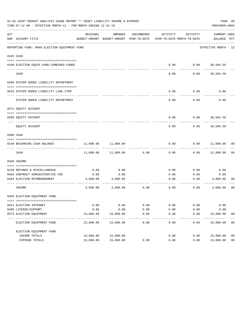|     | 01-02-2020**BUDGET ANALYSIS USAGE REPORT ** ASSET LIABILITY INCOME & EXPENSE<br>PAGE 86<br>TIME: 07:12 AM - EFFECTIVE MONTH: 12 - FOR MONTH ENDING 12-31-19<br>PREPARER: 0004 |           |                                                                                |                   |          |          |                             |                |  |  |  |  |  |
|-----|-------------------------------------------------------------------------------------------------------------------------------------------------------------------------------|-----------|--------------------------------------------------------------------------------|-------------------|----------|----------|-----------------------------|----------------|--|--|--|--|--|
| ACT | NUM ACCOUNT-TITLE                                                                                                                                                             | ORIGINAL  | AMENDED<br>BUDGET-AMOUNT BUDGET-AMOUNT YEAR-TO-DATE YEAR-TO-DATE MONTH-TO-DATE | ENCUMBERED        | ACTIVITY | ACTIVITY | CURRENT USED<br>BALANCE PCT |                |  |  |  |  |  |
|     | REPORTING FUND: 0048 ELECTION EQUIPMENT FUND                                                                                                                                  |           |                                                                                |                   |          |          | EFFECTIVE MONTH - 12        |                |  |  |  |  |  |
|     | 0103 CASH                                                                                                                                                                     |           |                                                                                |                   |          |          |                             |                |  |  |  |  |  |
|     |                                                                                                                                                                               |           |                                                                                |                   |          |          |                             |                |  |  |  |  |  |
|     | 0100 ELECTION EQUIP. FUND-COMBINED FUNDS                                                                                                                                      |           |                                                                                |                   | 0.00     | 0.00     | 38,584.59                   |                |  |  |  |  |  |
|     | CASH                                                                                                                                                                          |           |                                                                                |                   | 0.00     | 0.00     | 38,584.59                   |                |  |  |  |  |  |
|     | 0200 SYSTEM ADDED LIABILITY DEPARTMENT                                                                                                                                        |           |                                                                                |                   |          |          |                             |                |  |  |  |  |  |
|     | 0910 SYSTEM ADDED LIABILITY LINE-ITEM                                                                                                                                         |           |                                                                                |                   | 0.00     | 0.00     | 0.00                        |                |  |  |  |  |  |
|     | SYSTEM ADDED LIABILITY DEPARTMENT                                                                                                                                             |           |                                                                                |                   | 0.00     | 0.00     | 0.00                        |                |  |  |  |  |  |
|     | 0271 EQUITY ACCOUNT                                                                                                                                                           |           |                                                                                |                   |          |          |                             |                |  |  |  |  |  |
|     | 0200 EOUITY ACCOUNT                                                                                                                                                           |           |                                                                                |                   | 0.00     |          | $0.00$ 38,584.59            |                |  |  |  |  |  |
|     | EQUITY ACCOUNT                                                                                                                                                                |           |                                                                                |                   | 0.00     | 0.00     | 38,584.59                   |                |  |  |  |  |  |
|     | 0300 CASH                                                                                                                                                                     |           |                                                                                |                   |          |          |                             |                |  |  |  |  |  |
|     | 0148 BEGINNING CASH BALANCE                                                                                                                                                   | 11,000.00 | 11,000.00                                                                      |                   | 0.00     | 0.00     | 11,000.00 00                |                |  |  |  |  |  |
|     | CASH                                                                                                                                                                          | 11,000.00 | 11,000.00                                                                      | 0.00              | 0.00     | 0.00     | 11,000.00                   | 00             |  |  |  |  |  |
|     | 0340 INCOME                                                                                                                                                                   |           |                                                                                |                   |          |          |                             |                |  |  |  |  |  |
|     | 0130 REFUNDS & MISCELLANEOUS                                                                                                                                                  | 0.00      | 0.00                                                                           |                   | 0.00     | 0.00     | 0.00                        |                |  |  |  |  |  |
|     | 0403 CONTRACT ADMINISTRATIVE FEE                                                                                                                                              | 0.00      | 0.00                                                                           |                   | 0.00     | 0.00     | 0.00                        |                |  |  |  |  |  |
|     | 0484 ELECTION REIMBURSEMENT                                                                                                                                                   | 4,000.00  | 4,000.00                                                                       |                   | 0.00     |          | 0.00<br>4,000.00            | 00             |  |  |  |  |  |
|     | INCOME                                                                                                                                                                        | 4,000.00  | 4,000.00                                                                       | 0.00              | 0.00     | 0.00     | 4,000.00                    | 00             |  |  |  |  |  |
|     | 0403 ELECTION EQUIPMENT FUND                                                                                                                                                  |           |                                                                                |                   |          |          |                             |                |  |  |  |  |  |
|     | 0421 ELECTION INTERNET                                                                                                                                                        | 0.00      | 0.00                                                                           | 0.00              | 0.00     | 0.00     | 0.00                        |                |  |  |  |  |  |
|     | 0485 LICENSE/SUPPORT                                                                                                                                                          | 0.00      | 0.00                                                                           | 0.00              | 0.00     | 0.00     | 0.00                        |                |  |  |  |  |  |
|     | 0573 ELECTION EQUIPMENT                                                                                                                                                       | 15,000.00 | 15,000.00                                                                      | 0.00<br>$- - - -$ | 0.00     | 0.00     | 15,000.00                   | 00             |  |  |  |  |  |
|     | ELECTION EQUIPMENT FUND                                                                                                                                                       | 15,000.00 | 15,000.00                                                                      | 0.00              | 0.00     | 0.00     | 15,000.00                   | 00             |  |  |  |  |  |
|     | ELECTION EQUIPMENT FUND                                                                                                                                                       |           |                                                                                |                   |          |          |                             |                |  |  |  |  |  |
|     | INCOME TOTALS                                                                                                                                                                 | 15,000.00 | 15,000.00                                                                      |                   | 0.00     | 0.00     | 15,000.00                   | 00             |  |  |  |  |  |
|     | EXPENSE TOTALS                                                                                                                                                                | 15,000.00 | 15,000.00                                                                      | 0.00              | 0.00     | 0.00     | 15,000.00                   | 0 <sub>0</sub> |  |  |  |  |  |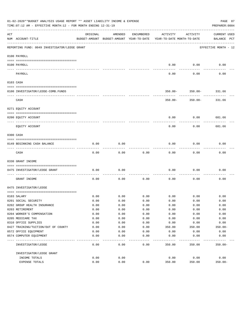|             | 01-02-2020**BUDGET ANALYSIS USAGE REPORT ** ASSET LIABILITY INCOME & EXPENSE<br>TIME:07:12 AM - EFFECTIVE MONTH:12 - FOR MONTH ENDING 12-31-19 |                                                      |         |            |                                        |                        | PAGE 87<br>PREPARER: 0004          |
|-------------|------------------------------------------------------------------------------------------------------------------------------------------------|------------------------------------------------------|---------|------------|----------------------------------------|------------------------|------------------------------------|
| ACT         | NUM ACCOUNT-TITLE                                                                                                                              | ORIGINAL<br>BUDGET-AMOUNT BUDGET-AMOUNT YEAR-TO-DATE | AMENDED | ENCUMBERED | ACTIVITY<br>YEAR-TO-DATE MONTH-TO-DATE | ACTIVITY               | <b>CURRENT USED</b><br>BALANCE PCT |
|             | REPORTING FUND: 0049 INVESTIGATOR/LEOSE GRANT                                                                                                  |                                                      |         |            |                                        |                        | EFFECTIVE MONTH - 12               |
|             | 0100 PAYROLL                                                                                                                                   |                                                      |         |            |                                        |                        |                                    |
|             |                                                                                                                                                |                                                      |         |            |                                        |                        |                                    |
| $- - - - -$ | 0100 PAYROLL                                                                                                                                   |                                                      |         |            | 0.00                                   | 0.00                   | 0.00                               |
|             | PAYROLL                                                                                                                                        |                                                      |         |            | 0.00                                   | 0.00                   | 0.00                               |
|             | 0103 CASH                                                                                                                                      |                                                      |         |            |                                        |                        |                                    |
|             |                                                                                                                                                |                                                      |         |            |                                        |                        |                                    |
|             | 0100 INVESTIGATOR/LEOSE-COMB.FUNDS                                                                                                             |                                                      |         |            |                                        | 350.00- 350.00- 331.66 |                                    |
|             | CASH                                                                                                                                           |                                                      |         |            | $350.00 -$                             | $350.00 -$             | 331.66                             |
|             | 0271 EQUITY ACCOUNT                                                                                                                            |                                                      |         |            |                                        |                        |                                    |
|             | 0200 EQUITY ACCOUNT                                                                                                                            |                                                      |         |            | 0.00                                   | 0.00                   | 681.66                             |
|             | EOUITY ACCOUNT                                                                                                                                 |                                                      |         |            | 0.00                                   | 0.00                   | 681.66                             |
|             |                                                                                                                                                |                                                      |         |            |                                        |                        |                                    |
|             | 0300 CASH                                                                                                                                      |                                                      |         |            |                                        |                        |                                    |
|             | 0149 BEGINNING CASH BALANCE                                                                                                                    | 0.00                                                 | 0.00    |            | 0.00                                   | 0.00                   | 0.00                               |
|             | CASH                                                                                                                                           | 0.00                                                 | 0.00    | 0.00       | 0.00                                   | 0.00                   | 0.00                               |
|             | 0330 GRANT INCOME                                                                                                                              |                                                      |         |            |                                        |                        |                                    |
|             | 0475 INVESTIGATOR/LEOSE GRANT                                                                                                                  | 0.00                                                 | 0.00    |            | 0.00                                   | 0.00                   | 0.00                               |
|             |                                                                                                                                                |                                                      |         |            |                                        |                        |                                    |
|             | GRANT INCOME                                                                                                                                   | 0.00                                                 | 0.00    | 0.00       | 0.00                                   | 0.00                   | 0.00                               |
|             | 0475 INVESTIGATOR/LEOSE                                                                                                                        |                                                      |         |            |                                        |                        |                                    |
|             | 0103 SALARY                                                                                                                                    | 0.00                                                 | 0.00    | 0.00       |                                        | $0.00$ 0.00            | 0.00                               |
|             | 0201 SOCIAL SECURITY                                                                                                                           | 0.00                                                 | 0.00    | 0.00       | 0.00                                   | 0.00                   | 0.00                               |
|             | 0202 GROUP HEALTH INSURANCE                                                                                                                    | 0.00                                                 | 0.00    | 0.00       | 0.00                                   | 0.00                   | 0.00                               |
|             | 0203 RETIREMENT                                                                                                                                | 0.00                                                 | 0.00    | 0.00       | 0.00                                   | 0.00                   | 0.00                               |
|             | 0204 WORKER'S COMPENSATION                                                                                                                     | 0.00                                                 | 0.00    | 0.00       | 0.00                                   | 0.00                   | 0.00                               |
|             | 0205 MEDICARE TAX                                                                                                                              | 0.00                                                 | 0.00    | 0.00       | 0.00                                   | 0.00                   | 0.00                               |
|             | 0310 OFFICE SUPPLIES                                                                                                                           | 0.00                                                 | 0.00    | 0.00       | 0.00                                   | 0.00                   | 0.00                               |
|             | 0427 TRAINING/TUITION/OUT OF COUNTY                                                                                                            | 0.00                                                 | 0.00    | 0.00       | 350.00                                 | 350.00                 | $350.00 -$                         |
|             | 0572 OFFICE EQUIPMENT                                                                                                                          | 0.00                                                 | 0.00    | 0.00       | 0.00                                   | 0.00                   | 0.00                               |
|             | 0574 COMPUTER EQUIPMENT                                                                                                                        | 0.00                                                 | 0.00    | 0.00       | 0.00                                   | 0.00                   | 0.00                               |
|             | INVESTIGATOR/LEOSE                                                                                                                             | 0.00                                                 | 0.00    | 0.00       | 350.00                                 | 350.00                 | $350.00 -$                         |
|             | INVESTIGATOR/LEOSE GRANT                                                                                                                       |                                                      |         |            |                                        |                        |                                    |
|             | INCOME TOTALS                                                                                                                                  | 0.00                                                 | 0.00    |            | 0.00                                   | 0.00                   | 0.00                               |
|             | EXPENSE TOTALS                                                                                                                                 | 0.00                                                 | 0.00    | 0.00       | 350.00                                 | 350.00                 | $350.00 -$                         |
|             |                                                                                                                                                |                                                      |         |            |                                        |                        |                                    |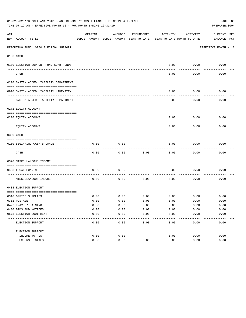|     | 01-02-2020**BUDGET ANALYSIS USAGE REPORT ** ASSET LIABILITY INCOME & EXPENSE<br>PAGE 88<br>TIME: 07:12 AM - EFFECTIVE MONTH: 12 - FOR MONTH ENDING 12-31-19<br>PREPARER: 0004 |              |                                                     |                 |                                        |              |                                    |  |  |  |  |  |
|-----|-------------------------------------------------------------------------------------------------------------------------------------------------------------------------------|--------------|-----------------------------------------------------|-----------------|----------------------------------------|--------------|------------------------------------|--|--|--|--|--|
| ACT | NUM ACCOUNT-TITLE                                                                                                                                                             | ORIGINAL     | AMENDED<br>BUDGET-AMOUNT BUDGET-AMOUNT YEAR-TO-DATE | ENCUMBERED      | ACTIVITY<br>YEAR-TO-DATE MONTH-TO-DATE | ACTIVITY     | <b>CURRENT USED</b><br>BALANCE PCT |  |  |  |  |  |
|     | REPORTING FUND: 0050 ELECTION SUPPORT                                                                                                                                         |              |                                                     |                 |                                        |              | EFFECTIVE MONTH - 12               |  |  |  |  |  |
|     | 0103 CASH                                                                                                                                                                     |              |                                                     |                 |                                        |              |                                    |  |  |  |  |  |
|     |                                                                                                                                                                               |              |                                                     |                 |                                        |              |                                    |  |  |  |  |  |
|     | 0100 ELECTION SUPPORT FUND-COMB.FUNDS                                                                                                                                         |              |                                                     |                 | 0.00                                   | 0.00         | 0.00                               |  |  |  |  |  |
|     | CASH                                                                                                                                                                          |              |                                                     |                 | 0.00                                   | 0.00         | 0.00                               |  |  |  |  |  |
|     | 0200 SYSTEM ADDED LIABILITY DEPARTMENT                                                                                                                                        |              |                                                     |                 |                                        |              |                                    |  |  |  |  |  |
|     |                                                                                                                                                                               |              |                                                     |                 |                                        |              |                                    |  |  |  |  |  |
|     | 0910 SYSTEM ADDED LIABILITY LINE-ITEM                                                                                                                                         |              |                                                     |                 | 0.00                                   | 0.00         | 0.00                               |  |  |  |  |  |
|     | SYSTEM ADDED LIABILITY DEPARTMENT                                                                                                                                             |              |                                                     |                 | 0.00                                   | 0.00         | 0.00                               |  |  |  |  |  |
|     | 0271 EQUITY ACCOUNT                                                                                                                                                           |              |                                                     |                 |                                        |              |                                    |  |  |  |  |  |
|     |                                                                                                                                                                               |              |                                                     |                 |                                        |              |                                    |  |  |  |  |  |
|     | 0200 EOUITY ACCOUNT                                                                                                                                                           |              |                                                     |                 | 0.00                                   | 0.00         | 0.00                               |  |  |  |  |  |
|     | EQUITY ACCOUNT                                                                                                                                                                |              |                                                     |                 | 0.00                                   | 0.00         | 0.00                               |  |  |  |  |  |
|     | 0300 CASH                                                                                                                                                                     |              |                                                     |                 |                                        |              |                                    |  |  |  |  |  |
|     | 0150 BEGINNING CASH BALANCE                                                                                                                                                   | 0.00         | 0.00                                                |                 | 0.00                                   | 0.00         | 0.00                               |  |  |  |  |  |
|     | CASH                                                                                                                                                                          | 0.00         | 0.00                                                | 0.00            | 0.00                                   | 0.00         | 0.00                               |  |  |  |  |  |
|     | 0370 MISCELLANEOUS INCOME                                                                                                                                                     |              |                                                     |                 |                                        |              |                                    |  |  |  |  |  |
|     |                                                                                                                                                                               |              |                                                     |                 |                                        |              |                                    |  |  |  |  |  |
|     | 0403 LOCAL FUNDING                                                                                                                                                            | 0.00         | 0.00                                                |                 | 0.00                                   | 0.00         | 0.00                               |  |  |  |  |  |
|     | MISCELLANEOUS INCOME                                                                                                                                                          | 0.00         | 0.00                                                | 0.00            | 0.00                                   | 0.00         | 0.00                               |  |  |  |  |  |
|     | 0403 ELECTION SUPPORT                                                                                                                                                         |              |                                                     |                 |                                        |              |                                    |  |  |  |  |  |
|     |                                                                                                                                                                               |              |                                                     |                 |                                        |              |                                    |  |  |  |  |  |
|     | 0310 OFFICE SUPPLIES<br>0311 POSTAGE                                                                                                                                          | 0.00<br>0.00 | 0.00<br>0.00                                        | 0.00<br>0.00    | 0.00<br>0.00                           | 0.00<br>0.00 | 0.00<br>0.00                       |  |  |  |  |  |
|     | 0427 TRAVEL/TRAINING                                                                                                                                                          | 0.00         | 0.00                                                | 0.00            | 0.00                                   | 0.00         | 0.00                               |  |  |  |  |  |
|     | 0430 BIDS AND NOTICES                                                                                                                                                         | 0.00         | 0.00                                                | 0.00            | 0.00                                   | 0.00         | 0.00                               |  |  |  |  |  |
|     | 0573 ELECTION EQUIPMENT                                                                                                                                                       | 0.00         | 0.00                                                | 0.00            | 0.00                                   | 0.00         | 0.00                               |  |  |  |  |  |
|     | ELECTION SUPPORT                                                                                                                                                              | 0.00         | 0.00                                                | $- - -$<br>0.00 | 0.00                                   | 0.00         | 0.00                               |  |  |  |  |  |
|     | ELECTION SUPPORT                                                                                                                                                              |              |                                                     |                 |                                        |              |                                    |  |  |  |  |  |
|     | INCOME TOTALS                                                                                                                                                                 | 0.00         | 0.00                                                |                 | 0.00                                   | 0.00         | 0.00                               |  |  |  |  |  |
|     | EXPENSE TOTALS                                                                                                                                                                | 0.00         | 0.00                                                | 0.00            | 0.00                                   | 0.00         | 0.00                               |  |  |  |  |  |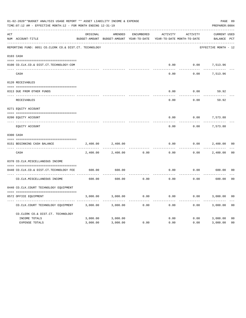|     | 01-02-2020**BUDGET ANALYSIS USAGE REPORT ** ASSET LIABILITY INCOME & EXPENSE<br>TIME: 07:12 AM - EFFECTIVE MONTH: 12 - FOR MONTH ENDING 12-31-19 |          |                                                     |                   |          |                                        |                             |                |  |  |  |
|-----|--------------------------------------------------------------------------------------------------------------------------------------------------|----------|-----------------------------------------------------|-------------------|----------|----------------------------------------|-----------------------------|----------------|--|--|--|
| ACT | NUM ACCOUNT-TITLE                                                                                                                                | ORIGINAL | AMENDED<br>BUDGET-AMOUNT BUDGET-AMOUNT YEAR-TO-DATE | <b>ENCUMBERED</b> | ACTIVITY | ACTIVITY<br>YEAR-TO-DATE MONTH-TO-DATE | CURRENT USED<br>BALANCE PCT |                |  |  |  |
|     | REPORTING FUND: 0051 CO.CLERK CO.& DIST.CT. TECHNOLOGY                                                                                           |          |                                                     |                   |          |                                        | EFFECTIVE MONTH - 12        |                |  |  |  |
|     | 0103 CASH                                                                                                                                        |          |                                                     |                   |          |                                        |                             |                |  |  |  |
|     | 0100 CO.CLK.CO.& DIST.CT.TECHNOLOGY-COM                                                                                                          |          |                                                     |                   | 0.00     | 0.00                                   | 7,513.96                    |                |  |  |  |
|     | CASH                                                                                                                                             |          |                                                     |                   | 0.00     | 0.00                                   | 7,513.96                    |                |  |  |  |
|     | 0120 RECEIVABLES                                                                                                                                 |          |                                                     |                   |          |                                        |                             |                |  |  |  |
|     | 0313 DUE FROM OTHER FUNDS                                                                                                                        |          |                                                     |                   | 0.00     | 0.00                                   | 59.92                       |                |  |  |  |
|     | RECEIVABLES                                                                                                                                      |          |                                                     |                   | 0.00     | 0.00                                   | 59.92                       |                |  |  |  |
|     | 0271 EQUITY ACCOUNT                                                                                                                              |          |                                                     |                   |          |                                        |                             |                |  |  |  |
|     | 0200 EQUITY ACCOUNT                                                                                                                              |          |                                                     |                   | 0.00     | 0.00                                   | 7,573.88                    |                |  |  |  |
|     | ---- -----------------------<br>EQUITY ACCOUNT                                                                                                   |          |                                                     |                   | 0.00     | 0.00                                   | ----------<br>7,573.88      |                |  |  |  |
|     | 0300 CASH                                                                                                                                        |          |                                                     |                   |          |                                        |                             |                |  |  |  |
|     | 0151 BEGINNING CASH BALANCE                                                                                                                      | 2,400.00 | 2,400.00                                            |                   | 0.00     | 0.00                                   | 2,400.00                    | 0 <sup>0</sup> |  |  |  |
|     | ---- ---------------------------------<br>CASH                                                                                                   | 2,400.00 | 2,400.00                                            | 0.00              | 0.00     | 0.00                                   | 2,400.00                    | 0 <sub>0</sub> |  |  |  |
|     | 0370 CO.CLK.MISCELLANEOUS INCOME                                                                                                                 |          |                                                     |                   |          |                                        |                             |                |  |  |  |
|     | 0440 CO.CLK.CO.& DIST.CT.TECHNOLOGY FEE                                                                                                          | 600.00   | 600.00                                              |                   | 0.00     | 0.00                                   | 600.00                      | 0 <sub>0</sub> |  |  |  |
|     | CO. CLK. MISCELLANEOUS INCOME                                                                                                                    | 600.00   | 600.00                                              | 0.00              | 0.00     | 0.00                                   | 600.00                      | 0 <sup>0</sup> |  |  |  |
|     | 0440 CO.CLK.COURT TECHNOLOGY EQUIPMENT                                                                                                           |          |                                                     |                   |          |                                        |                             |                |  |  |  |
|     | 0572 OFFICE EOUIPMENT                                                                                                                            | 3,000.00 | 3,000.00                                            | 0.00              | 0.00     | 0.00                                   | 3,000.00                    | 0 <sub>0</sub> |  |  |  |
|     | CO.CLK.COURT TECHNOLOGY EQUIPMENT                                                                                                                | 3,000.00 | 3,000.00                                            | 0.00              | 0.00     | 0.00                                   | 3,000.00                    | 0 <sub>0</sub> |  |  |  |
|     | CO.CLERK CO.& DIST.CT. TECHNOLOGY                                                                                                                |          |                                                     |                   |          |                                        |                             |                |  |  |  |
|     | INCOME TOTALS                                                                                                                                    | 3,000.00 | 3,000.00                                            |                   | 0.00     | 0.00                                   | 3,000.00                    | 0 <sub>0</sub> |  |  |  |
|     | <b>EXPENSE TOTALS</b>                                                                                                                            | 3,000.00 | 3,000.00                                            | 0.00              | 0.00     | 0.00                                   | 3,000.00                    | 0 <sub>0</sub> |  |  |  |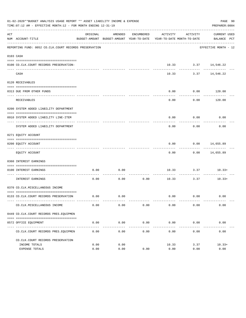|     | 01-02-2020**BUDGET ANALYSIS USAGE REPORT ** ASSET LIABILITY INCOME & EXPENSE<br>PAGE 90<br>TIME:07:12 AM - EFFECTIVE MONTH:12 - FOR MONTH ENDING 12-31-19<br>PREPARER: 0004 |          |                     |                     |                                                                                 |                                        |                                 |  |  |  |  |
|-----|-----------------------------------------------------------------------------------------------------------------------------------------------------------------------------|----------|---------------------|---------------------|---------------------------------------------------------------------------------|----------------------------------------|---------------------------------|--|--|--|--|
| ACT | NUM ACCOUNT-TITLE                                                                                                                                                           | ORIGINAL | AMENDED             | ENCUMBERED          | ACTIVITY<br>BUDGET-AMOUNT BUDGET-AMOUNT YEAR-TO-DATE YEAR-TO-DATE MONTH-TO-DATE | ACTIVITY                               | CURRENT USED<br>BALANCE PCT     |  |  |  |  |
|     | REPORTING FUND: 0052 CO.CLK.COURT RECORDS PRESERVATION                                                                                                                      |          |                     |                     |                                                                                 |                                        | EFFECTIVE MONTH - 12            |  |  |  |  |
|     | 0103 CASH                                                                                                                                                                   |          |                     |                     |                                                                                 |                                        |                                 |  |  |  |  |
|     | 0100 CO.CLK.COURT RECORDS PRESERVATION-                                                                                                                                     |          |                     |                     |                                                                                 | $10.33$ $3.37$ $14,546.22$             |                                 |  |  |  |  |
|     | CASH                                                                                                                                                                        |          |                     |                     | 10.33                                                                           | ------------ ---------                 | 3.37 14,546.22                  |  |  |  |  |
|     | 0120 RECEIVABLES                                                                                                                                                            |          |                     |                     |                                                                                 |                                        |                                 |  |  |  |  |
|     |                                                                                                                                                                             |          |                     |                     |                                                                                 |                                        |                                 |  |  |  |  |
|     | 0313 DUE FROM OTHER FUNDS                                                                                                                                                   |          |                     |                     | 0.00                                                                            | 0.00<br>. <u>.</u> .                   | 120.00<br>. <u>.</u> .          |  |  |  |  |
|     | RECEIVABLES                                                                                                                                                                 |          |                     |                     | 0.00                                                                            | 0.00                                   | 120.00                          |  |  |  |  |
|     | 0200 SYSTEM ADDED LIABILITY DEPARTMENT                                                                                                                                      |          |                     |                     |                                                                                 |                                        |                                 |  |  |  |  |
|     | 0910 SYSTEM ADDED LIABILITY LINE-ITEM                                                                                                                                       |          |                     |                     | 0.00                                                                            | 0.00                                   | 0.00                            |  |  |  |  |
|     | SYSTEM ADDED LIABILITY DEPARTMENT                                                                                                                                           |          |                     |                     | 0.00                                                                            | ---------<br>0.00                      | 0.00                            |  |  |  |  |
|     | 0271 EQUITY ACCOUNT                                                                                                                                                         |          |                     |                     |                                                                                 |                                        |                                 |  |  |  |  |
|     | 0200 EQUITY ACCOUNT                                                                                                                                                         |          |                     |                     | 0.00                                                                            | $0.00$ 14,655.89                       |                                 |  |  |  |  |
|     | EQUITY ACCOUNT                                                                                                                                                              |          |                     |                     | 0.00                                                                            |                                        | -----------<br>$0.00$ 14,655.89 |  |  |  |  |
|     | 0360 INTEREST EARNINGS                                                                                                                                                      |          |                     |                     |                                                                                 |                                        |                                 |  |  |  |  |
|     |                                                                                                                                                                             |          |                     |                     |                                                                                 |                                        |                                 |  |  |  |  |
|     | 0100 INTEREST EARNINGS<br>-------------------- ---                                                                                                                          | 0.00     | 0.00                | ----------          |                                                                                 | $10.33$ $3.37$ $10.33+$<br>----------- |                                 |  |  |  |  |
|     | INTEREST EARNINGS                                                                                                                                                           | 0.00     | 0.00                | 0.00                | 10.33                                                                           | 3.37                                   | $10.33+$                        |  |  |  |  |
|     | 0370 CO.CLK.MISCELLANEOUS INCOME                                                                                                                                            |          |                     |                     |                                                                                 |                                        |                                 |  |  |  |  |
|     | 0133 CO.CLK.COURT RECORDS PRESERVATION                                                                                                                                      | 0.00     | $\overline{0.00}$   |                     |                                                                                 | 0.00 0.00                              | 0.00                            |  |  |  |  |
|     | CO. CLK. MISCELLANEOUS INCOME                                                                                                                                               | 0.00     | 0.00                | 0.00                | 0.00                                                                            | 0.00                                   | 0.00                            |  |  |  |  |
|     | 0449 CO.CLK.COURT RECORDS PRES.EOUIPMEN                                                                                                                                     |          |                     |                     |                                                                                 |                                        |                                 |  |  |  |  |
|     |                                                                                                                                                                             |          |                     |                     |                                                                                 |                                        |                                 |  |  |  |  |
|     | 0572 OFFICE EQUIPMENT                                                                                                                                                       | 0.00     | 0.00<br>----------- | 0.00<br>----------- | 0.00<br>-------------                                                           | 0.00<br>------------                   | 0.00<br>-------------           |  |  |  |  |
|     | CO. CLK. COURT RECORDS PRES. EQUIPMEN                                                                                                                                       | 0.00     | 0.00                | 0.00                | 0.00                                                                            | 0.00                                   | 0.00                            |  |  |  |  |
|     | CO. CLK. COURT RECORDS PRESERVATION                                                                                                                                         |          |                     |                     |                                                                                 |                                        |                                 |  |  |  |  |
|     | INCOME TOTALS                                                                                                                                                               | 0.00     | 0.00                |                     | 10.33                                                                           | 3.37                                   | $10.33+$                        |  |  |  |  |
|     | <b>EXPENSE TOTALS</b>                                                                                                                                                       | 0.00     | 0.00                | 0.00                | 0.00                                                                            | 0.00                                   | 0.00                            |  |  |  |  |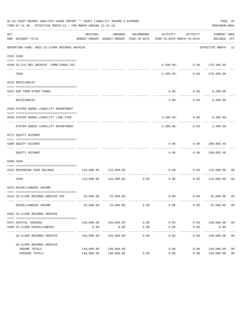|     | 01-02-2020**BUDGET ANALYSIS USAGE REPORT ** ASSET LIABILITY INCOME & EXPENSE<br>TIME:07:12 AM - EFFECTIVE MONTH:12 - FOR MONTH ENDING 12-31-19 |                       |                       |                                |                                                                                 |                     | PREPARER: 0004                                                                                                             | PAGE 91        |
|-----|------------------------------------------------------------------------------------------------------------------------------------------------|-----------------------|-----------------------|--------------------------------|---------------------------------------------------------------------------------|---------------------|----------------------------------------------------------------------------------------------------------------------------|----------------|
| ACT | NUM ACCOUNT-TITLE                                                                                                                              | ORIGINAL              | AMENDED               | ENCUMBERED                     | ACTIVITY<br>BUDGET-AMOUNT BUDGET-AMOUNT YEAR-TO-DATE YEAR-TO-DATE MONTH-TO-DATE | ACTIVITY            | CURRENT USED<br>BALANCE PCT                                                                                                |                |
|     | REPORTING FUND: 0053 CO.CLERK RECORDS ARCHIVE                                                                                                  |                       |                       |                                |                                                                                 |                     | EFFECTIVE MONTH - 12                                                                                                       |                |
|     | 0103 CASH                                                                                                                                      |                       |                       |                                |                                                                                 |                     |                                                                                                                            |                |
|     | 0100 CO.CLK.REC.ARCHIVE -COMB.FUNDS CKI                                                                                                        |                       |                       |                                |                                                                                 |                     | $4\, , \, 4\, 9\, 6\, , \, 8\, 0\, - \hspace{1.5cm} 0\, , \, 0\, 0 \hspace{1.5cm} 2\, 7\, 9\, , \, 3\, 8\, 6\, , \, 6\, 8$ |                |
|     | CASH                                                                                                                                           |                       |                       |                                | 4,496.80-                                                                       | 0.00                | . _ _ _ _ _ _ _ _ _<br>279,386.68                                                                                          |                |
|     | 0120 RECEIVABLES                                                                                                                               |                       |                       |                                |                                                                                 |                     |                                                                                                                            |                |
|     | 0313 DUE FROM OTHER FUNDS                                                                                                                      |                       |                       |                                | 0.00                                                                            |                     | $0.00$ 6,200.00                                                                                                            |                |
|     | RECEIVABLES                                                                                                                                    |                       |                       |                                | 0.00                                                                            | ---------           | $0.00$ 6,200.00                                                                                                            |                |
|     | 0200 SYSTEM ADDED LIABILITY DEPARTMENT                                                                                                         |                       |                       |                                |                                                                                 |                     |                                                                                                                            |                |
|     | 0910 SYSTEM ADDED LIABILITY LINE-ITEM                                                                                                          |                       |                       |                                |                                                                                 |                     | $4,496.80 - 0.00$ $4,496.80 -$                                                                                             |                |
|     | SYSTEM ADDED LIABILITY DEPARTMENT                                                                                                              |                       |                       |                                | 4,496.80-                                                                       | 0.00                | 4,496.80-                                                                                                                  |                |
|     | 0271 EQUITY ACCOUNT                                                                                                                            |                       |                       |                                |                                                                                 |                     |                                                                                                                            |                |
|     | 0200 EQUITY ACCOUNT                                                                                                                            |                       |                       |                                | 0.00                                                                            |                     |                                                                                                                            |                |
|     | EQUITY ACCOUNT                                                                                                                                 |                       |                       |                                | 0.00                                                                            |                     | 0.00 290,083.48                                                                                                            |                |
|     | 0300 CASH                                                                                                                                      |                       |                       |                                |                                                                                 |                     |                                                                                                                            |                |
|     | 0153 BEGINNING CASH BALANCE                                                                                                                    | 115,000.00            | 115,000.00            | ------------------------------ | 0.00                                                                            |                     | 0.00 115,000.00                                                                                                            | 00             |
|     | CASH                                                                                                                                           |                       | 115,000.00 115,000.00 | 0.00                           | 0.00                                                                            | 0.00                | 115,000.00                                                                                                                 | 00             |
|     | 0370 MISCELLANEOUS INCOME                                                                                                                      |                       |                       |                                |                                                                                 |                     |                                                                                                                            |                |
|     | 0133 CO.CLERK RECORDS ARCHIVE FEE 25,000.00 25,000.00                                                                                          |                       |                       |                                |                                                                                 |                     | $0.00$ $0.00$ $25,000.00$ 00                                                                                               |                |
|     | MISCELLANEOUS INCOME                                                                                                                           | 25,000.00             | 25,000.00             | 0.00                           | 0.00                                                                            | 0.00                | 25,000.00 00                                                                                                               |                |
|     | 0403 CO. CLERK RECORDS ARCHIVE                                                                                                                 |                       |                       |                                |                                                                                 |                     |                                                                                                                            |                |
|     | 0437 DIGITAL IMAGING                                                                                                                           |                       | 140,000.00 140,000.00 | 0.00                           | 0.00                                                                            | 0.00                | 140,000.00                                                                                                                 | 00             |
|     | 0490 CO. CLERK MISCELLANEOUS<br>-----------                                                                                                    | 0.00<br>------------- | 0.00<br>-----------   | 0.00<br>. _ _ _ _ _ _ _ _ _ _  | 0.00<br>$- - - - - -$                                                           | 0.00<br>$- - - - -$ | 0.00<br>.                                                                                                                  |                |
|     | CO. CLERK RECORDS ARCHIVE                                                                                                                      | 140,000.00            | 140,000.00            | 0.00                           | 0.00                                                                            | 0.00                | 140,000.00                                                                                                                 | 0 <sub>0</sub> |
|     | CO. CLERK RECORDS ARCHIVE                                                                                                                      |                       |                       |                                |                                                                                 |                     |                                                                                                                            |                |
|     | INCOME TOTALS                                                                                                                                  | 140,000.00            | 140,000.00            |                                | 0.00                                                                            | 0.00                | 140,000.00                                                                                                                 | 0 <sub>0</sub> |
|     | EXPENSE TOTALS                                                                                                                                 | 140,000.00            | 140,000.00            | 0.00                           | 0.00                                                                            | 0.00                | 140,000.00                                                                                                                 | 0 <sub>0</sub> |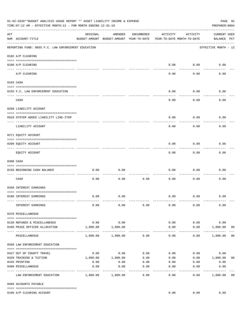|     | 01-02-2020**BUDGET ANALYSIS USAGE REPORT ** ASSET LIABILITY INCOME & EXPENSE<br>TIME: 07:12 AM - EFFECTIVE MONTH: 12 - FOR MONTH ENDING 12-31-19 |                     |                                                     |                 |                                        |                    |                                    |                |  |  |  |
|-----|--------------------------------------------------------------------------------------------------------------------------------------------------|---------------------|-----------------------------------------------------|-----------------|----------------------------------------|--------------------|------------------------------------|----------------|--|--|--|
| ACT | NUM ACCOUNT-TITLE                                                                                                                                | ORIGINAL            | AMENDED<br>BUDGET-AMOUNT BUDGET-AMOUNT YEAR-TO-DATE | ENCUMBERED      | ACTIVITY<br>YEAR-TO-DATE MONTH-TO-DATE | ACTIVITY           | <b>CURRENT USED</b><br>BALANCE PCT |                |  |  |  |
|     | REPORTING FUND: 0055 F.C. LAW ENFORCEMENT EDUCATION                                                                                              |                     |                                                     |                 |                                        |                    | EFFECTIVE MONTH - 12               |                |  |  |  |
|     | 0102 A/P CLEARING                                                                                                                                |                     |                                                     |                 |                                        |                    |                                    |                |  |  |  |
|     | 0100 A/P CLEARING                                                                                                                                |                     |                                                     |                 | 0.00                                   | 0.00               | 0.00                               |                |  |  |  |
|     | A/P CLEARING                                                                                                                                     |                     |                                                     |                 | 0.00                                   | 0.00               | 0.00                               |                |  |  |  |
|     | 0103 CASH                                                                                                                                        |                     |                                                     |                 |                                        |                    |                                    |                |  |  |  |
|     | 0155 F.C. LAW ENFORCEMENT EDUCATION                                                                                                              |                     |                                                     |                 | 0.00                                   | 0.00               | 0.06                               |                |  |  |  |
|     | CASH                                                                                                                                             |                     |                                                     |                 | 0.00                                   | 0.00               | 0.06                               |                |  |  |  |
|     | 0200 LIABILITY ACCOUNT                                                                                                                           |                     |                                                     |                 |                                        |                    |                                    |                |  |  |  |
|     | 0910 SYSTEM ADDED LIABILITY LINE-ITEM                                                                                                            |                     |                                                     |                 | 0.00                                   | 0.00               | 0.00                               |                |  |  |  |
|     | LIABILITY ACCOUNT                                                                                                                                |                     |                                                     |                 | 0.00                                   | 0.00               | 0.00                               |                |  |  |  |
|     | 0271 EQUITY ACCOUNT                                                                                                                              |                     |                                                     |                 |                                        |                    |                                    |                |  |  |  |
|     | 0200 EQUITY ACCOUNT                                                                                                                              |                     |                                                     |                 | 0.00                                   | 0.00               | 0.06                               |                |  |  |  |
|     | EQUITY ACCOUNT                                                                                                                                   |                     |                                                     |                 | 0.00                                   | --------<br>0.00   | 0.06                               |                |  |  |  |
|     | 0300 CASH                                                                                                                                        |                     |                                                     |                 |                                        |                    |                                    |                |  |  |  |
|     | 0156 BEGINNING CASH BALANCE                                                                                                                      | 0.00                | 0.00                                                |                 | 0.00                                   | 0.00               | 0.00                               |                |  |  |  |
|     | CASH                                                                                                                                             | 0.00                | 0.00                                                | 0.00            | 0.00                                   | 0.00               | 0.00                               |                |  |  |  |
|     | 0360 INTEREST EARNINGS                                                                                                                           |                     |                                                     |                 |                                        |                    |                                    |                |  |  |  |
|     | 0100 INTEREST EARNINGS                                                                                                                           | 0.00                | 0.00                                                |                 | 0.00                                   | 0.00               | 0.00                               |                |  |  |  |
|     | INTEREST EARNINGS                                                                                                                                | 0.00                | 0.00                                                | 0.00            | 0.00                                   | 0.00               | 0.00                               |                |  |  |  |
|     | 0370 MISCELLANEOUS                                                                                                                               |                     |                                                     |                 |                                        |                    |                                    |                |  |  |  |
|     |                                                                                                                                                  |                     |                                                     |                 |                                        |                    |                                    |                |  |  |  |
|     | 0130 REFUNDS & MISCELLANEOUS<br>0160 PEACE OFFICER ALLOCATION                                                                                    | 0.00<br>1,800.00    | 0.00<br>1,800.00                                    |                 | 0.00<br>0.00                           | 0.00<br>0.00       | 0.00<br>1,800.00                   | 0 <sub>0</sub> |  |  |  |
|     | MISCELLANEOUS                                                                                                                                    | 1,800.00            | 1,800.00                                            | 0.00            | $\cdots$<br>0.00                       | ----------<br>0.00 | _____________<br>1,800.00          | 0 <sub>0</sub> |  |  |  |
|     | 0560 LAW ENFORCEMENT EDUCATION                                                                                                                   |                     |                                                     |                 |                                        |                    |                                    |                |  |  |  |
|     |                                                                                                                                                  |                     | $0.00$ 0.00                                         | 0.00            |                                        |                    | 0.00<br>0.00                       |                |  |  |  |
|     | 0427 OUT OF COUNTY TRAVEL<br>0428 TRAINING & TUITION                                                                                             |                     | 1,800.00    1,800.00                                | 0.00            | 0.00<br>0.00                           |                    | $0.00$ 1,800.00                    | 0 <sub>0</sub> |  |  |  |
|     | 0435 PRINTING                                                                                                                                    | 0.00                | 0.00                                                | 0.00            |                                        | $0.00$ $0.00$      | 0.00                               |                |  |  |  |
|     | 0490 MISCELLANEOUS                                                                                                                               | 0.00<br>----------- | 0.00                                                | 0.00<br>------- | 0.00                                   | 0.00               | 0.00                               |                |  |  |  |
|     | LAW ENFORCEMENT EDUCATION                                                                                                                        |                     | 1,800.00 1,800.00                                   | 0.00            | 0.00                                   | 0.00               | 1,800.00                           | 0 <sub>0</sub> |  |  |  |
|     | 0999 ACCOUNTS PAYABLE                                                                                                                            |                     |                                                     |                 |                                        |                    |                                    |                |  |  |  |
|     | 0100 A/P CLEARING ACCOUNT                                                                                                                        |                     |                                                     |                 | 0.00                                   | 0.00               | 0.00                               |                |  |  |  |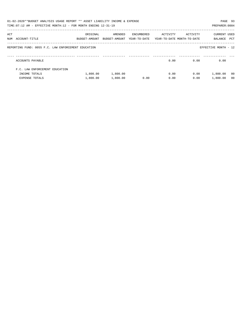|     | 01-02-2020**BUDGET ANALYSIS USAGE REPORT ** ASSET LIABILITY INCOME & EXPENSE<br>TIME: $07:12$ AM - EFFECTIVE MONTH: $12$ - FOR MONTH ENDING $12-31-19$ |                           |                          |                            |                                        |          | PAGE 93<br>PREPARER: 0004 |                |
|-----|--------------------------------------------------------------------------------------------------------------------------------------------------------|---------------------------|--------------------------|----------------------------|----------------------------------------|----------|---------------------------|----------------|
| ACT | NUM ACCOUNT-TITLE                                                                                                                                      | ORIGINAL<br>BUDGET-AMOUNT | AMENDED<br>BUDGET-AMOUNT | ENCUMBERED<br>YEAR-TO-DATE | ACTIVITY<br>YEAR-TO-DATE MONTH-TO-DATE | ACTIVITY | CURRENT USED<br>BALANCE   | PCT            |
|     | REPORTING FUND: 0055 F.C. LAW ENFORCEMENT EDUCATION                                                                                                    |                           |                          |                            |                                        |          | EFFECTIVE MONTH - 12      |                |
|     | ACCOUNTS PAYABLE                                                                                                                                       |                           |                          |                            | 0.00                                   | 0.00     | 0.00                      |                |
|     | F.C. LAW ENFORCEMENT EDUCATION                                                                                                                         |                           |                          |                            |                                        |          |                           |                |
|     | INCOME TOTALS                                                                                                                                          | 1,800.00                  | 1,800.00                 |                            | 0.00                                   | 0.00     | 1,800.00                  | - 00           |
|     | <b>EXPENSE TOTALS</b>                                                                                                                                  | 1,800.00                  | 1,800.00                 | 0.00                       | 0.00                                   | 0.00     | 1,800.00                  | 0 <sub>0</sub> |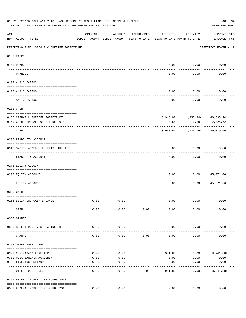|                       | 01-02-2020**BUDGET ANALYSIS USAGE REPORT ** ASSET LIABILITY INCOME & EXPENSE<br>TIME: 07:12 AM - EFFECTIVE MONTH: 12 - FOR MONTH ENDING 12-31-19 |              |                                                     |            |              |                                        | PAGE 94<br>PREPARER: 0004          |
|-----------------------|--------------------------------------------------------------------------------------------------------------------------------------------------|--------------|-----------------------------------------------------|------------|--------------|----------------------------------------|------------------------------------|
| ACT                   | NUM ACCOUNT-TITLE                                                                                                                                | ORIGINAL     | AMENDED<br>BUDGET-AMOUNT BUDGET-AMOUNT YEAR-TO-DATE | ENCUMBERED | ACTIVITY     | ACTIVITY<br>YEAR-TO-DATE MONTH-TO-DATE | <b>CURRENT USED</b><br>BALANCE PCT |
|                       | REPORTING FUND: 0056 F C SHERIFF FORFEITURE                                                                                                      |              |                                                     |            |              |                                        | EFFECTIVE MONTH - 12               |
|                       | 0100 PAYROLL                                                                                                                                     |              |                                                     |            |              |                                        |                                    |
|                       |                                                                                                                                                  |              |                                                     |            |              |                                        |                                    |
| $- - - - - - - - - -$ | 0100 PAYROLL                                                                                                                                     |              |                                                     |            | 0.00         | 0.00                                   | 0.00                               |
|                       | PAYROLL                                                                                                                                          |              |                                                     |            | 0.00         | 0.00                                   | 0.00                               |
|                       | 0102 A/P CLEARING                                                                                                                                |              |                                                     |            |              |                                        |                                    |
|                       | 0100 A/P CLEARING                                                                                                                                |              |                                                     |            | 0.00         | 0.00                                   | 0.00                               |
|                       | A/P CLEARING                                                                                                                                     |              |                                                     |            | 0.00         | 0.00                                   | 0.00                               |
|                       | 0103 CASH                                                                                                                                        |              |                                                     |            |              |                                        |                                    |
|                       |                                                                                                                                                  |              |                                                     |            |              |                                        |                                    |
|                       | 0156 CASH-F C SHERIFF FORFEITURE<br>0159 CASH-FEDERAL FORFEITURE 2018                                                                            |              |                                                     |            | 0.58         | $3,948.02$ 1,935.34- 46,693.94<br>0.18 | 2,325.72                           |
|                       | CASH                                                                                                                                             |              |                                                     |            |              | 3,948.60 1,935.16- 49,019.66           |                                    |
|                       | 0200 LIABILITY ACCOUNT                                                                                                                           |              |                                                     |            |              |                                        |                                    |
|                       | 0910 SYSTEM ADDED LIABILITY LINE-ITEM                                                                                                            |              |                                                     |            | 0.00         | 0.00                                   | 0.00                               |
|                       | LIABILITY ACCOUNT                                                                                                                                |              |                                                     |            | 0.00         | 0.00                                   | 0.00                               |
|                       | 0271 EQUITY ACCOUNT                                                                                                                              |              |                                                     |            |              |                                        |                                    |
|                       | 0200 EQUITY ACCOUNT                                                                                                                              |              |                                                     |            | 0.00         | 0.00                                   | 45,071.06                          |
|                       | EQUITY ACCOUNT                                                                                                                                   |              |                                                     |            | 0.00         | 0.00                                   | 45,071.06                          |
|                       | 0300 CASH                                                                                                                                        |              |                                                     |            |              |                                        |                                    |
|                       | 0156 BEGINNING CASH BALANCE                                                                                                                      | 0.00         | 0.00                                                |            | 0.00         | 0.00                                   | 0.00                               |
|                       | CASH                                                                                                                                             | 0.00         | 0.00                                                | 0.00       | 0.00         | 0.00                                   | 0.00                               |
|                       | 0330 GRANTS                                                                                                                                      |              |                                                     |            |              |                                        |                                    |
|                       | 0560 BULLETPROOF VEST PARTNERSHIP                                                                                                                | 0.00         | 0.00                                                |            | 0.00         | 0.00                                   | 0.00                               |
|                       | GRANTS                                                                                                                                           | 0.00         | 0.00                                                | 0.00       | 0.00         | 0.00                                   | 0.00                               |
|                       | 0352 OTHER FOREITURES                                                                                                                            |              |                                                     |            |              |                                        |                                    |
|                       |                                                                                                                                                  |              |                                                     |            |              |                                        |                                    |
|                       | 0200 CONTRABAND FOREITURE                                                                                                                        | 0.00         | 0.00                                                |            |              | 8,941.88                               | $0.00$ $8,941.88+$                 |
|                       | 0300 PLEA BARGAIN AGREEMENT<br>0432 LIVESTOCK SEIZURE                                                                                            | 0.00<br>0.00 | 0.00<br>0.00                                        |            | 0.00<br>0.00 | 0.00<br>0.00                           | 0.00<br>0.00                       |
|                       | OTHER FOREITURES                                                                                                                                 | 0.00         | 0.00                                                | 0.00       | 8,941.88     | 0.00                                   | $8,941.88+$                        |
|                       |                                                                                                                                                  |              |                                                     |            |              |                                        |                                    |
|                       | 0355 FEDERAL FORFEITURE FUNDS 2018                                                                                                               |              |                                                     |            |              |                                        |                                    |
|                       | 0560 FEDERAL FORFEITURE FUNDS 2018                                                                                                               | 0.00         | 0.00                                                |            | 0.00         | 0.00                                   | 0.00                               |
|                       |                                                                                                                                                  |              |                                                     |            |              |                                        |                                    |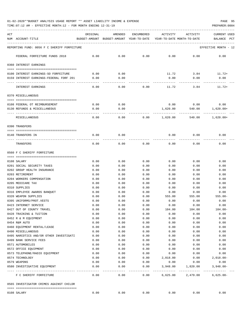| ACT<br>NUM      | ACCOUNT-TITLE                                                     | ORIGINAL<br>BUDGET-AMOUNT | AMENDED<br>BUDGET-AMOUNT YEAR-TO-DATE | ENCUMBERED          | ACTIVITY<br>YEAR-TO-DATE MONTH-TO-DATE   | ACTIVITY     | CURRENT USED<br>BALANCE<br>PCT |
|-----------------|-------------------------------------------------------------------|---------------------------|---------------------------------------|---------------------|------------------------------------------|--------------|--------------------------------|
|                 | REPORTING FUND: 0056 F C SHERIFF FORFEITURE                       |                           |                                       |                     |                                          |              | EFFECTIVE MONTH - 12           |
|                 | FEDERAL FORFEITURE FUNDS 2018                                     | 0.00                      | 0.00                                  | 0.00                | 0.00                                     | 0.00         | 0.00                           |
|                 | 0360 INTEREST EARNINGS                                            |                           |                                       |                     |                                          |              |                                |
|                 |                                                                   |                           |                                       |                     |                                          |              | $11.72+$                       |
|                 | 0100 INTEREST EARNINGS-SO FORFEITURE                              | 0.00                      | 0.00                                  |                     | 11.72<br>0.00                            | 3.84         |                                |
|                 | 0159 INTEREST EARNINGS-FEDERAL FORF 201                           | 0.00                      | 0.00                                  |                     |                                          | 0.00         | 0.00                           |
|                 | INTEREST EARNINGS                                                 | 0.00                      | 0.00                                  | 0.00                | 11.72                                    | 3.84         | $11.72+$                       |
|                 | 0370 MISCELLANEOUS                                                |                           |                                       |                     |                                          |              |                                |
|                 | 0108 FEDERAL OT REIMBURSEMENT                                     | 0.00                      | 0.00                                  |                     | 0.00                                     | 0.00         | 0.00                           |
|                 | 0130 REFUNDS & MISCELLANEOUS                                      | 0.00                      | 0.00                                  |                     | 1,620.00                                 |              | 540.00 1,620.00+               |
|                 | MISCELLANEOUS                                                     | 0.00                      | $- - - - -$<br>0.00                   | 0.00                | 1,620.00                                 | 540.00       | $1,620.00+$                    |
| 0390 TRANSFERS  |                                                                   |                           |                                       |                     |                                          |              |                                |
|                 |                                                                   |                           |                                       |                     |                                          |              |                                |
|                 | 0140 TRANSFERS IN                                                 | 0.00                      | 0.00                                  |                     | 0.00                                     | 0.00         | 0.00                           |
|                 | TRANSFERS                                                         | 0.00                      | 0.00                                  | 0.00                | 0.00                                     | 0.00         | 0.00                           |
|                 | 0560 F C SHERIFF FORFEITURE                                       |                           |                                       |                     |                                          |              |                                |
| 0108 SALARY     |                                                                   | 0.00                      | 0.00                                  | 0.00                | 0.00                                     | 0.00         | 0.00                           |
|                 | 0201 SOCIAL SECURITY TAXES                                        | 0.00                      | 0.00                                  | 0.00                | 0.00                                     | 0.00         | 0.00                           |
|                 | 0202 GROUP HEALTH INSURANCE                                       | 0.00                      | 0.00                                  | 0.00                | 0.00                                     | 0.00         | 0.00                           |
| 0203 RETIREMENT |                                                                   | 0.00                      | 0.00                                  | 0.00                | 0.00                                     | 0.00         | 0.00                           |
|                 | 0204 WORKERS COMPENSATION                                         | 0.00                      | 0.00                                  | 0.00                | 0.00                                     | 0.00         | 0.00                           |
|                 | 0205 MEDICARE TAX                                                 | 0.00                      | 0.00                                  | 0.00                | 0.00                                     | 0.00         | 0.00                           |
| 0310 SUPPLIES   |                                                                   | 0.00                      | 0.00                                  | 0.00                | 0.00                                     | 0.00         | 0.00                           |
|                 | 0316 EMPLOYEE AWARDS BANQUET                                      | 0.00                      | 0.00                                  | 0.00                | 0.00                                     | 0.00         | 0.00                           |
|                 | 0320 WEAPON SUPPLIES                                              | 0.00                      | 0.00                                  | 0.00                | 555.00                                   | 555.00       | $555.00 -$                     |
|                 | 0395 UNIFORMS/PROT.VESTS                                          | 0.00                      | 0.00                                  | 0.00                | 0.00                                     | 0.00         | 0.00                           |
|                 | 0423 INTERNET SERVICE                                             | 0.00                      | 0.00                                  | 0.00                | 0.00                                     | 0.00         | 0.00                           |
|                 | 0427 OUT OF COUNTY TRAVEL                                         | 0.00                      | 0.00                                  | 0.00                | 104.00                                   | 104.00       | $104.00 -$                     |
|                 | 0428 TRAINING & TUITION                                           | 0.00                      | 0.00                                  | 0.00                | 0.00                                     | 0.00         | 0.00                           |
|                 | 0452 R & M EQUIPMENT                                              | 0.00                      | 0.00                                  | 0.00                | 0.00                                     | 0.00         | 0.00                           |
| 0454 R&M AUTO   |                                                                   | 0.00                      | 0.00                                  | 0.00                | 0.00                                     | 0.00         | 0.00                           |
|                 | 0460 EQUIPMENT RENTAL/LEASE                                       | 0.00                      | 0.00                                  | 0.00                | 0.00                                     | 0.00         | 0.00                           |
|                 | 0490 MISCELLANEOUS                                                | 0.00                      | 0.00                                  | 0.00                | 0.00                                     | 0.00         | 0.00                           |
|                 | 0495 NARCOTICS AND/OR OTHER INVESTIGATI<br>0499 BANK SERVICE FEES | 0.00                      | 0.00                                  | 0.00                | 0.00                                     | 0.00         | 0.00                           |
|                 | 0571 AUTOMOBILES                                                  | 0.00<br>0.00              | 0.00<br>0.00                          | 0.00<br>0.00        | 0.00<br>0.00                             | 0.00<br>0.00 | 0.00<br>0.00                   |
|                 | 0572 OFFICE EQUIPMENT                                             | 0.00                      | 0.00                                  | 0.00                | 0.00                                     | 0.00         | 0.00                           |
|                 | 0573 TELEPHONE/RADIO EQUIPMENT                                    | 0.00                      | 0.00                                  | 0.00                | 0.00                                     | 0.00         | 0.00                           |
| 0574 TECHNOLOGY |                                                                   | 0.00                      | 0.00                                  | 0.00                | 2,018.00                                 | 0.00         | $2,018.00 -$                   |
| 0579 WEAPONS    |                                                                   | 0.00                      | 0.00                                  | 0.00                | 0.00                                     | 0.00         | 0.00                           |
|                 | 0580 INVESTIGATIVE EQUIPMENT                                      | 0.00                      | 0.00                                  | 0.00                | 3,948.00                                 | 1,820.00     | $3,948.00 -$<br>-------------  |
|                 | F C SHERIFF FORFEITURE                                            | -----<br>0.00             | --------<br>0.00                      | -----------<br>0.00 | ----------------------------<br>6,625.00 | 2,479.00     | $6,625.00 -$                   |
|                 | 0565 INVESTIGATOR CRIMES AGAINST CHILDR                           |                           |                                       |                     |                                          |              |                                |
| 0108 SALARY     |                                                                   | 0.00                      | 0.00                                  | 0.00                | 0.00                                     | 0.00         | 0.00                           |
|                 |                                                                   |                           |                                       |                     |                                          |              |                                |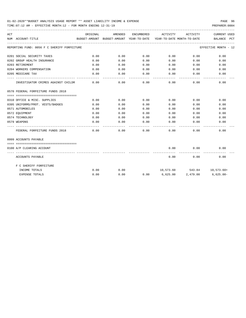| ACT |                                             | ORIGINAL | AMENDED |      | ENCUMBERED ACTIVITY                                                 | ACTIVITY                    | CURRENT USED         |
|-----|---------------------------------------------|----------|---------|------|---------------------------------------------------------------------|-----------------------------|----------------------|
|     | NUM ACCOUNT-TITLE                           |          |         |      | BUDGET-AMOUNT BUDGET-AMOUNT YEAR-TO-DATE YEAR-TO-DATE MONTH-TO-DATE |                             | BALANCE PCT          |
|     | REPORTING FUND: 0056 F C SHERIFF FORFEITURE |          |         |      |                                                                     |                             | EFFECTIVE MONTH - 12 |
|     | 0201 SOCIAL SECURITY TAXES                  | 0.00     | 0.00    | 0.00 | 0.00                                                                | 0.00                        | 0.00                 |
|     | 0202 GROUP HEALTH INSURANCE                 | 0.00     | 0.00    | 0.00 | 0.00                                                                | 0.00                        | 0.00                 |
|     | 0203 RETIREMENT                             | 0.00     | 0.00    | 0.00 | 0.00                                                                | 0.00                        | 0.00                 |
|     | 0204 WORKERS COMPENSATION                   | 0.00     | 0.00    | 0.00 | 0.00                                                                | 0.00                        | 0.00                 |
|     | 0205 MEDICARE TAX                           | 0.00     | 0.00    | 0.00 | 0.00                                                                | 0.00                        | 0.00                 |
|     | INVESTIGATOR CRIMES AGAINST CHILDR          | 0.00     | 0.00    | 0.00 | -----<br>0.00                                                       | ---------<br>0.00           | 0.00                 |
|     | 0570 FEDERAL FORFEITURE FUNDS 2018          |          |         |      |                                                                     |                             |                      |
|     |                                             |          |         |      |                                                                     |                             |                      |
|     | 0310 OFFICE & MISC. SUPPLIES                | 0.00     | 0.00    | 0.00 | 0.00                                                                | 0.00                        | 0.00                 |
|     | 0395 UNIFORMS/PROT. VESTS/BADGES            | 0.00     | 0.00    | 0.00 | 0.00                                                                | 0.00                        | 0.00                 |
|     | 0571 AUTOMOBILES                            | 0.00     | 0.00    | 0.00 | 0.00                                                                | 0.00                        | 0.00                 |
|     | 0572 EOUIPMENT                              | 0.00     | 0.00    | 0.00 | 0.00                                                                | 0.00                        | 0.00                 |
|     | 0574 TECHNOLOGY                             | 0.00     | 0.00    | 0.00 | 0.00                                                                | 0.00                        | 0.00                 |
|     | 0579 WEAPONS                                | 0.00     | 0.00    | 0.00 | 0.00                                                                | 0.00                        | 0.00                 |
|     | FEDERAL FORFEITURE FUNDS 2018               | 0.00     | 0.00    | 0.00 | 0.00                                                                | 0.00                        | 0.00                 |
|     | 0999 ACCOUNTS PAYABLE                       |          |         |      |                                                                     |                             |                      |
|     | 0100 A/P CLEARING ACCOUNT                   |          |         |      | 0.00                                                                | 0.00                        | 0.00                 |
|     | ACCOUNTS PAYABLE                            |          |         |      | 0.00                                                                | 0.00                        | 0.00                 |
|     | F C SHERIFF FORFEITURE                      |          |         |      |                                                                     |                             |                      |
|     | INCOME TOTALS                               | 0.00     | 0.00    |      |                                                                     | 10,573.60 543.84 10,573.60+ |                      |
|     | <b>EXPENSE TOTALS</b>                       | 0.00     | 0.00    | 0.00 | 6.625.00                                                            | 2,479.00                    | 6,625.00-            |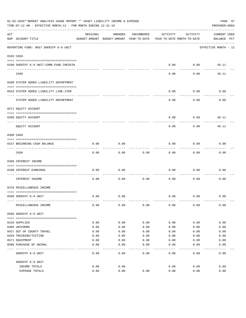|     | 01-02-2020**BUDGET ANALYSIS USAGE REPORT ** ASSET LIABILITY INCOME & EXPENSE<br>TIME: 07:12 AM - EFFECTIVE MONTH: 12 - FOR MONTH ENDING 12-31-19 |          |                                                     |              |                                        |          | PAGE 97<br>PREPARER: 0004   |
|-----|--------------------------------------------------------------------------------------------------------------------------------------------------|----------|-----------------------------------------------------|--------------|----------------------------------------|----------|-----------------------------|
| ACT | NUM ACCOUNT-TITLE                                                                                                                                | ORIGINAL | AMENDED<br>BUDGET-AMOUNT BUDGET-AMOUNT YEAR-TO-DATE | ENCUMBERED   | ACTIVITY<br>YEAR-TO-DATE MONTH-TO-DATE | ACTIVITY | CURRENT USED<br>BALANCE PCT |
|     | REPORTING FUND: 0057 SHERIFF K-9 UNIT                                                                                                            |          |                                                     |              |                                        |          | EFFECTIVE MONTH - 12        |
|     | 0103 CASH                                                                                                                                        |          |                                                     |              |                                        |          |                             |
|     |                                                                                                                                                  |          |                                                     |              |                                        |          |                             |
|     | 0100 SHERIFF K-9 UNIT-COMB. FUND CHECKIN                                                                                                         |          |                                                     |              | 0.00                                   | 0.00     | 49.11                       |
|     | CASH                                                                                                                                             |          |                                                     |              | 0.00                                   | 0.00     | 49.11                       |
|     | 0200 SYSTEM ADDED LIABILITY DEPARTMENT                                                                                                           |          |                                                     |              |                                        |          |                             |
|     | 0910 SYSTEM ADDED LIABILITY LINE-ITEM                                                                                                            |          |                                                     |              | 0.00                                   | 0.00     | 0.00                        |
|     | SYSTEM ADDED LIABILITY DEPARTMENT                                                                                                                |          |                                                     |              | 0.00                                   | 0.00     | 0.00                        |
|     | 0271 EQUITY ACCOUNT                                                                                                                              |          |                                                     |              |                                        |          |                             |
|     | 0200 EQUITY ACCOUNT                                                                                                                              |          |                                                     |              | 0.00                                   | 0.00     | 49.11                       |
|     | EQUITY ACCOUNT                                                                                                                                   |          |                                                     |              | 0.00                                   | 0.00     | 49.11                       |
|     | 0300 CASH                                                                                                                                        |          |                                                     |              |                                        |          |                             |
|     | 0157 BEGINNING CASH BALANCE                                                                                                                      | 0.00     | 0.00                                                |              | 0.00                                   | 0.00     | 0.00                        |
|     | CASH                                                                                                                                             | 0.00     | 0.00                                                | 0.00         | 0.00                                   | 0.00     | 0.00                        |
|     | 0360 INTEREST INCOME                                                                                                                             |          |                                                     |              |                                        |          |                             |
|     | 0100 INTEREST EARNINGS                                                                                                                           | 0.00     | 0.00                                                |              | 0.00                                   | 0.00     | 0.00                        |
|     | -----------------<br>INTEREST INCOME                                                                                                             | 0.00     | 0.00                                                | 0.00         | 0.00                                   | 0.00     | 0.00                        |
|     | 0370 MISCELLANEOUS INCOME                                                                                                                        |          |                                                     |              |                                        |          |                             |
|     |                                                                                                                                                  |          |                                                     |              |                                        |          |                             |
|     | 0560 SHERIFF K-9 UNIT                                                                                                                            | 0.00     | 0.00                                                |              | 0.00                                   | 0.00     | 0.00                        |
|     | MISCELLANEOUS INCOME                                                                                                                             | 0.00     | 0.00                                                | 0.00         | 0.00                                   | 0.00     | 0.00                        |
|     | 0560 SHERIFF K-9 UNIT                                                                                                                            |          |                                                     |              |                                        |          |                             |
|     | 0310 SUPPLIES                                                                                                                                    | 0.00     | 0.00                                                | 0.00         | 0.00                                   | 0.00     | 0.00                        |
|     | 0395 UNIFORMS                                                                                                                                    | 0.00     | 0.00                                                | 0.00         | 0.00                                   | 0.00     | 0.00                        |
|     | 0427 OUT OF COUNTY TRAVEL                                                                                                                        | 0.00     | 0.00                                                | 0.00         | 0.00                                   | 0.00     | 0.00                        |
|     | 0428 TRAINING/TUITION                                                                                                                            | 0.00     | 0.00                                                | 0.00         | 0.00                                   | 0.00     | 0.00                        |
|     | 0571 EQUIPMENT                                                                                                                                   | 0.00     | 0.00                                                | 0.00         | 0.00                                   | 0.00     | 0.00                        |
|     | 0580 PURCHASE OF ANIMAL                                                                                                                          | 0.00     | 0.00                                                | 0.00         | 0.00                                   | 0.00     | 0.00                        |
|     | SHERIFF K-9 UNIT                                                                                                                                 | 0.00     | ----<br>0.00                                        | ----<br>0.00 | 0.00                                   | 0.00     | 0.00                        |
|     | SHERIFF K-9 UNIT                                                                                                                                 |          |                                                     |              |                                        |          |                             |
|     | INCOME TOTALS                                                                                                                                    | 0.00     | 0.00                                                |              | 0.00                                   | 0.00     | 0.00                        |
|     | EXPENSE TOTALS                                                                                                                                   | 0.00     | 0.00                                                | 0.00         | 0.00                                   | 0.00     | 0.00                        |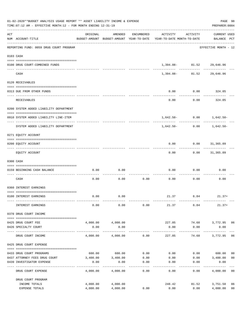| 01-02-2020**BUDGET ANALYSIS USAGE REPORT ** ASSET LIABILITY INCOME & EXPENSE<br>TIME: 07:12 AM - EFFECTIVE MONTH: 12 - FOR MONTH ENDING 12-31-19 |                                                          |          |                     |            |                                                                                 |                                                      |                                    |                |  |  |  |
|--------------------------------------------------------------------------------------------------------------------------------------------------|----------------------------------------------------------|----------|---------------------|------------|---------------------------------------------------------------------------------|------------------------------------------------------|------------------------------------|----------------|--|--|--|
| ACT                                                                                                                                              | NUM ACCOUNT-TITLE                                        | ORIGINAL | AMENDED             | ENCUMBERED | ACTIVITY<br>BUDGET-AMOUNT BUDGET-AMOUNT YEAR-TO-DATE YEAR-TO-DATE MONTH-TO-DATE | ACTIVITY                                             | <b>CURRENT USED</b><br>BALANCE PCT |                |  |  |  |
|                                                                                                                                                  | REPORTING FUND: 0059 DRUG COURT PROGRAM                  |          |                     |            |                                                                                 |                                                      | EFFECTIVE MONTH - 12               |                |  |  |  |
|                                                                                                                                                  | 0103 CASH                                                |          |                     |            |                                                                                 |                                                      |                                    |                |  |  |  |
|                                                                                                                                                  | 0100 DRUG COURT-COMBINED FUNDS                           |          |                     |            |                                                                                 | 1,394.08- 81.52 29,646.96                            |                                    |                |  |  |  |
|                                                                                                                                                  | CASH                                                     |          |                     |            |                                                                                 | __ ____________ _______<br>1,394.08- 81.52 29,646.96 |                                    |                |  |  |  |
|                                                                                                                                                  | 0120 RECEIVABLES                                         |          |                     |            |                                                                                 |                                                      |                                    |                |  |  |  |
|                                                                                                                                                  | 0313 DUE FROM OTHER FUNDS                                |          |                     |            | 0.00                                                                            | $0.00$ 324.05                                        |                                    |                |  |  |  |
|                                                                                                                                                  | RECEIVABLES                                              |          |                     |            | 0.00                                                                            | 0.00                                                 | 324.05                             |                |  |  |  |
|                                                                                                                                                  | 0200 SYSTEM ADDED LIABILITY DEPARTMENT                   |          |                     |            |                                                                                 |                                                      |                                    |                |  |  |  |
|                                                                                                                                                  | 0910 SYSTEM ADDED LIABILITY LINE-ITEM                    |          |                     |            |                                                                                 |                                                      | $1,642.50 - 0.00$ $1,642.50 -$     |                |  |  |  |
|                                                                                                                                                  | SYSTEM ADDED LIABILITY DEPARTMENT                        |          |                     |            | -----------------------<br>1,642.50-                                            | 0.00                                                 | -----------<br>1,642.50-           |                |  |  |  |
|                                                                                                                                                  | 0271 EQUITY ACCOUNT                                      |          |                     |            |                                                                                 |                                                      |                                    |                |  |  |  |
|                                                                                                                                                  | 0200 EQUITY ACCOUNT                                      |          |                     |            | 0.00                                                                            | $0.00$ $31,365.09$                                   |                                    |                |  |  |  |
|                                                                                                                                                  | EQUITY ACCOUNT                                           |          |                     |            | 0.00                                                                            | ---------                                            | .<br>$0.00$ 31,365.09              |                |  |  |  |
|                                                                                                                                                  | 0300 CASH                                                |          |                     |            |                                                                                 |                                                      |                                    |                |  |  |  |
|                                                                                                                                                  | 0159 BEGINNING CASH BALANCE                              | 0.00     | 0.00                |            | 0.00                                                                            | 0.00                                                 | 0.00                               |                |  |  |  |
|                                                                                                                                                  | CASH                                                     | 0.00     | 0.00                | 0.00       | 0.00                                                                            | 0.00                                                 | 0.00                               |                |  |  |  |
|                                                                                                                                                  | 0360 INTEREST EARNINGS                                   |          |                     |            |                                                                                 |                                                      |                                    |                |  |  |  |
|                                                                                                                                                  | 0100 INTEREST EARNINGS                                   | 0.00     | 0.00                |            |                                                                                 |                                                      | $21.37$ 6.84 21.37+                |                |  |  |  |
|                                                                                                                                                  | INTEREST EARNINGS                                        | 0.00     | 0.00                | 0.00       | 21.37                                                                           | 6.84                                                 | $21.37+$                           |                |  |  |  |
|                                                                                                                                                  | 0370 DRUG COURT INCOME                                   |          |                     |            |                                                                                 |                                                      |                                    |                |  |  |  |
|                                                                                                                                                  | 0425 DRUG COURT FEE                                      | 4,000.00 | 4,000.00            |            | 227.05                                                                          |                                                      | 74.68 3,772.95 06                  |                |  |  |  |
|                                                                                                                                                  | 0426 SPECIALTY COURT<br>------------------- ------------ | 0.00     | 0.00<br>----------- |            | 0.00                                                                            | 0.00<br>---------                                    | 0.00<br>------------               |                |  |  |  |
|                                                                                                                                                  | DRUG COURT INCOME                                        | 4,000.00 | 4,000.00            | 0.00       | 227.05                                                                          | 74.68                                                | 3,772.95                           | 06             |  |  |  |
|                                                                                                                                                  | 0425 DRUG COURT EXPENSE                                  |          |                     |            |                                                                                 |                                                      |                                    |                |  |  |  |
|                                                                                                                                                  | 0433 DRUG COURT PROGRAMS                                 |          | 600.00 600.00       | 0.00       |                                                                                 |                                                      | $0.00$ $0.00$ $600.00$             | 00             |  |  |  |
|                                                                                                                                                  | 0437 ATTORNEY FEES DRUG COURT                            |          | 3,400.00 3,400.00   | 0.00       | 0.00                                                                            | 0.00                                                 | 3,400.00                           | 0 <sub>0</sub> |  |  |  |
|                                                                                                                                                  | 0439 INVESTIGATOR EXPENSE                                | 0.00     | 0.00                | 0.00       | 0.00                                                                            | 0.00                                                 | 0.00                               |                |  |  |  |
|                                                                                                                                                  | DRUG COURT EXPENSE                                       | 4,000.00 | 4,000.00            | 0.00       | 0.00                                                                            | 0.00                                                 | 4,000.00 00                        |                |  |  |  |
|                                                                                                                                                  | DRUG COURT PROGRAM                                       |          |                     |            |                                                                                 |                                                      |                                    |                |  |  |  |
|                                                                                                                                                  | INCOME TOTALS                                            | 4,000.00 | 4,000.00            |            | 248.42                                                                          | 81.52                                                | 3,751.58                           | 06             |  |  |  |
|                                                                                                                                                  | EXPENSE TOTALS                                           | 4,000.00 | 4,000.00            | 0.00       | 0.00                                                                            | 0.00                                                 | 4,000.00                           | 0 <sub>0</sub> |  |  |  |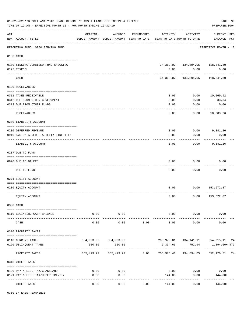|     | 01-02-2020**BUDGET ANALYSIS USAGE REPORT ** ASSET LIABILITY INCOME & EXPENSE<br>TIME: 07:12 AM - EFFECTIVE MONTH: 12 - FOR MONTH ENDING 12-31-19 |          |                       |            |                                                                                 |                                             | PAGE 99<br>PREPARER: 0004              |  |
|-----|--------------------------------------------------------------------------------------------------------------------------------------------------|----------|-----------------------|------------|---------------------------------------------------------------------------------|---------------------------------------------|----------------------------------------|--|
| ACT | NUM ACCOUNT-TITLE                                                                                                                                | ORIGINAL | AMENDED               | ENCUMBERED | ACTIVITY<br>BUDGET-AMOUNT BUDGET-AMOUNT YEAR-TO-DATE YEAR-TO-DATE MONTH-TO-DATE | ACTIVITY                                    | CURRENT USED<br>BALANCE PCT            |  |
|     | REPORTING FUND: 0060 SINKING FUND                                                                                                                |          |                       |            |                                                                                 |                                             | EFFECTIVE MONTH - 12                   |  |
|     | 0103 CASH                                                                                                                                        |          |                       |            |                                                                                 |                                             |                                        |  |
|     | 0100 SINKING-COMBINED FUND CHECKING<br>0175 TEXPOOL                                                                                              |          |                       |            | 0.00                                                                            | 34, 369.07- 134, 894.05 118, 341.80<br>0.00 | 0.00                                   |  |
|     | CASH                                                                                                                                             |          |                       |            |                                                                                 | 34,369.07- 134,894.05                       | 118,341.80                             |  |
|     | 0120 RECEIVABLES                                                                                                                                 |          |                       |            |                                                                                 |                                             |                                        |  |
|     |                                                                                                                                                  |          |                       |            | 0.00                                                                            | 0.00                                        | 10,269.92                              |  |
|     | 0311 TAXES RECEIVABLE<br>0312 DUE FROM OTHER GOVERNMENT                                                                                          |          |                       |            | 0.00                                                                            | 0.00                                        | 33.34                                  |  |
|     | 0313 DUE FROM OTHER FUNDS                                                                                                                        |          |                       |            | 0.00                                                                            | 0.00                                        | 0.00                                   |  |
|     |                                                                                                                                                  |          |                       |            |                                                                                 |                                             | ----------                             |  |
|     | RECEIVABLES                                                                                                                                      |          |                       |            | 0.00                                                                            | 0.00                                        | 10,303.26                              |  |
|     | 0200 LIABILITY ACCOUNT                                                                                                                           |          |                       |            |                                                                                 |                                             |                                        |  |
|     |                                                                                                                                                  |          |                       |            |                                                                                 |                                             |                                        |  |
|     | 0200 DEFERRED REVENUE                                                                                                                            |          |                       |            | 0.00                                                                            |                                             | $0.00$ 9,341.26                        |  |
|     | 0910 SYSTEM ADDED LIABILITY LINE-ITEM                                                                                                            |          |                       |            | 0.00                                                                            | 0.00                                        | 0.00                                   |  |
|     | LIABILITY ACCOUNT                                                                                                                                |          |                       |            | 0.00                                                                            | 0.00                                        | 9,341.26                               |  |
|     | 0207 DUE TO FUND                                                                                                                                 |          |                       |            |                                                                                 |                                             |                                        |  |
|     | 0990 DUE TO OTHERS                                                                                                                               |          |                       |            | 0.00                                                                            | 0.00                                        | 0.00                                   |  |
|     | DUE TO FUND                                                                                                                                      |          |                       |            | 0.00                                                                            | 0.00                                        | 0.00                                   |  |
|     | 0271 EOUITY ACCOUNT                                                                                                                              |          |                       |            |                                                                                 |                                             |                                        |  |
|     |                                                                                                                                                  |          |                       |            |                                                                                 |                                             |                                        |  |
|     | 0200 EQUITY ACCOUNT                                                                                                                              |          |                       |            | 0.00                                                                            | 0.00                                        | 153,672.87                             |  |
|     | EQUITY ACCOUNT                                                                                                                                   |          |                       |            | 0.00                                                                            | 0.00                                        | 153,672.87                             |  |
|     | 0300 CASH                                                                                                                                        |          |                       |            |                                                                                 |                                             |                                        |  |
|     | 0110 BEGINNING CASH BALANCE                                                                                                                      | 0.00     | 0.00                  |            |                                                                                 | $0.00$ 0.00                                 | 0.00                                   |  |
|     | CASH                                                                                                                                             | 0.00     | -----------<br>0.00   | 0.00       | _____________<br>0.00                                                           | ------------<br>0.00                        | 0.00                                   |  |
|     | 0310 PROPERTY TAXES                                                                                                                              |          |                       |            |                                                                                 |                                             |                                        |  |
|     |                                                                                                                                                  |          |                       |            |                                                                                 |                                             |                                        |  |
|     | 0110 CURRENT TAXES                                                                                                                               |          | 854,993.92 854,993.92 |            |                                                                                 |                                             | 200,978.81  134,141.11  654,015.11  24 |  |
|     | 0120 DELINQUENT TAXES                                                                                                                            | 500.00   | 500.00                |            | 2,394.60                                                                        | 752.94                                      | 1,894.60+ 479                          |  |
|     | PROPERTY TAXES                                                                                                                                   |          |                       |            | 855,493.92 855,493.92 0.00 203,373.41 134,894.05 652,120.51 24                  |                                             |                                        |  |
|     | 0318 OTHER TAXES                                                                                                                                 |          |                       |            |                                                                                 |                                             |                                        |  |
|     | 0120 PAY N LIEU TAX/GRASSLAND                                                                                                                    | 0.00     | 0.00                  |            | 0.00                                                                            | 0.00                                        | 0.00                                   |  |
|     | 0121 PAY N LIEU TAX/UPPER TRINITY                                                                                                                | 0.00     | 0.00                  |            | 144.00                                                                          | 0.00                                        | 144.00+                                |  |
|     |                                                                                                                                                  |          | . <u>.</u>            |            |                                                                                 | -----------                                 |                                        |  |
|     | OTHER TAXES                                                                                                                                      | 0.00     | 0.00                  | 0.00       | 144.00                                                                          | 0.00                                        | 144.00+                                |  |

0360 INTEREST EARNINGS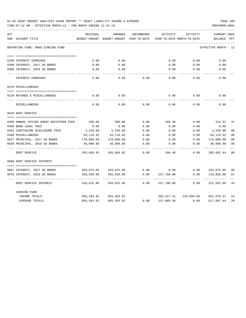| 01-02-2020**BUDGET ANALYSIS USAGE REPORT ** ASSET LIABILITY INCOME & EXPENSE |  |  |  |  | PAGE 100 |  |
|------------------------------------------------------------------------------|--|--|--|--|----------|--|
|                                                                              |  |  |  |  |          |  |

| ACT | NUM ACCOUNT-TITLE                                      | ORIGINAL<br>BUDGET-AMOUNT | AMENDED<br>BUDGET-AMOUNT | <b>ENCUMBERED</b><br>YEAR-TO-DATE | ACTIVITY   | ACTIVITY<br>YEAR-TO-DATE MONTH-TO-DATE | <b>CURRENT USED</b><br>BALANCE | PCT            |
|-----|--------------------------------------------------------|---------------------------|--------------------------|-----------------------------------|------------|----------------------------------------|--------------------------------|----------------|
|     | REPORTING FUND: 0060 SINKING FUND                      |                           |                          |                                   |            |                                        | EFFECTIVE MONTH - 12           |                |
|     |                                                        | 0.00                      | 0.00                     |                                   | 0.00       | 0.00                                   | 0.00                           |                |
|     | 0100 INTEREST EARNINGS<br>0200 INTEREST, 2017 GO BONDS | 0.00                      | 0.00                     |                                   | 0.00       | 0.00                                   | 0.00                           |                |
|     | 0300 INTEREST, 2018 GO BONDS                           | 0.00                      | 0.00                     |                                   | 0.00       | 0.00                                   | 0.00                           |                |
|     |                                                        |                           |                          |                                   |            |                                        |                                |                |
|     | INTEREST EARNINGS                                      | 0.00                      | 0.00                     | 0.00                              | 0.00       | 0.00                                   | 0.00                           |                |
|     | 0370 MISCELLANEOUS                                     |                           |                          |                                   |            |                                        |                                |                |
|     |                                                        |                           |                          |                                   |            |                                        |                                |                |
|     | 0130 REFUNDS & MISCELLANEOUS                           | 0.00                      | 0.00                     |                                   | 0.00       | 0.00                                   | 0.00                           |                |
|     | MISCELLANEOUS                                          | 0.00                      | 0.00                     | 0.00                              | 0.00       | 0.00                                   | 0.00                           |                |
|     | 0620 DEBT SERVICE                                      |                           |                          |                                   |            |                                        |                                |                |
|     |                                                        |                           |                          |                                   |            |                                        |                                |                |
|     | 0309 ANNUAL PAYING AGENT REGISTRAR FEES                | 500.00                    | 500.00                   | 0.00                              | 186.48     | 0.00                                   | 313.52                         | 37             |
|     | 0400 BOND LEGAL FEES                                   | 0.00                      | 0.00                     | 0.00                              | 0.00       | 0.00                                   | 0.00                           |                |
|     | 0401 CONTINUING DISCLOSURE FEES                        | 2,250.00                  | 2,250.00                 | 0.00                              | 0.00       | 0.00                                   | 2,250.00                       | 0 <sup>0</sup> |
|     | 0490 MISCELLANEOUS                                     | 83,118.92                 | 83,118.92                | 0.00                              | 0.00       | 0.00                                   | 83,118.92                      | 00             |
|     | 0627 PRINCIPAL, 2017 GO BONDS                          | 170,000.00                | 170,000.00               | 0.00                              | 0.00       | 0.00                                   | 170,000.00                     | 00             |
|     | 0630 PRINCIPAL, 2018 GO BONDS                          | 40,000.00                 | 40,000.00                | 0.00                              | 0.00       | 0.00                                   | 40,000.00                      | 00             |
|     | DEBT SERVICE                                           | 295,868.92                | 295,868.92               | 0.00                              | 186.48     | 0.00                                   | 295,682.44                     | 0 <sup>0</sup> |
|     | 0660 DEBT SERVICE INTEREST                             |                           |                          |                                   |            |                                        |                                |                |
|     | 0667 INTEREST, 2017 GO BONDS                           | 203,075.00                | 203,075.00               | 0.00                              | 0.00       | 0.00                                   | 203,075.00                     | 00             |
|     | 0670 INTEREST, 2018 GO BONDS                           | 356,550.00                | 356,550.00               | 0.00                              | 237,700.00 | 0.00                                   | 118,850.00                     | 67             |
|     |                                                        |                           |                          |                                   |            |                                        |                                |                |
|     | DEBT SERVICE INTEREST                                  | 559,625.00                | 559,625.00               | 0.00                              | 237,700.00 | 0.00                                   | 321,925.00                     | 42             |
|     | SINKING FUND                                           |                           |                          |                                   |            |                                        |                                |                |
|     | INCOME TOTALS                                          | 855,493.92                | 855,493.92               |                                   | 203,517.41 | 134,894.05                             | 651,976.51                     | 24             |
|     | EXPENSE TOTALS                                         | 855,493.92                | 855, 493.92              | 0.00                              | 237,886.48 | 0.00                                   | 617,607.44                     | 28             |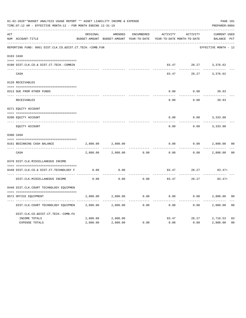|     | 01-02-2020**BUDGET ANALYSIS USAGE REPORT ** ASSET LIABILITY INCOME & EXPENSE<br>TIME: 07:12 AM - EFFECTIVE MONTH: 12 - FOR MONTH ENDING 12-31-19 |          |                                                     |                   |          |                                        | PAGE 101<br>PREPARER: 0004         |                |
|-----|--------------------------------------------------------------------------------------------------------------------------------------------------|----------|-----------------------------------------------------|-------------------|----------|----------------------------------------|------------------------------------|----------------|
| ACT | NUM ACCOUNT-TITLE                                                                                                                                | ORIGINAL | AMENDED<br>BUDGET-AMOUNT BUDGET-AMOUNT YEAR-TO-DATE | <b>ENCUMBERED</b> | ACTIVITY | ACTIVITY<br>YEAR-TO-DATE MONTH-TO-DATE | <b>CURRENT USED</b><br>BALANCE PCT |                |
|     | REPORTING FUND: 0061 DIST.CLK.CO.&DIST.CT.TECH.-COMB.FUN                                                                                         |          |                                                     |                   |          |                                        | EFFECTIVE MONTH - 12               |                |
|     | 0103 CASH                                                                                                                                        |          |                                                     |                   |          |                                        |                                    |                |
|     | 0100 DIST.CLK.CO.& DIST.CT.TECH.-COMBIN                                                                                                          |          |                                                     |                   | 83.47    |                                        | 28.27 3,376.62                     |                |
|     | CASH                                                                                                                                             |          |                                                     |                   | 83.47    | 28.27                                  | 3,376.62                           |                |
|     | 0120 RECEIVABLES                                                                                                                                 |          |                                                     |                   |          |                                        |                                    |                |
|     | 0313 DUE FROM OTHER FUNDS                                                                                                                        |          |                                                     |                   | 0.00     | 0.00                                   | 39.93                              |                |
|     | RECEIVABLES                                                                                                                                      |          |                                                     |                   | 0.00     | 0.00                                   | 39.93                              |                |
|     | 0271 EQUITY ACCOUNT                                                                                                                              |          |                                                     |                   |          |                                        |                                    |                |
|     | 0200 EQUITY ACCOUNT                                                                                                                              |          |                                                     |                   | 0.00     | 0.00                                   | 3,333.08                           |                |
|     | ---- ------------<br>EQUITY ACCOUNT                                                                                                              |          |                                                     |                   | 0.00     | 0.00                                   | 3,333.08                           |                |
|     | 0300 CASH                                                                                                                                        |          |                                                     |                   |          |                                        |                                    |                |
|     | 0161 BEGINNING CASH BALANCE                                                                                                                      | 2,800.00 | 2,800.00                                            |                   | 0.00     | 0.00                                   | 2,800.00                           | 0 <sub>0</sub> |
|     | CASH                                                                                                                                             | 2,800.00 | 2,800.00                                            | 0.00              | 0.00     | 0.00                                   | 2,800.00                           | 0 <sup>0</sup> |
|     | 0370 DIST.CLK.MISCELLANEOUS INCOME                                                                                                               |          |                                                     |                   |          |                                        |                                    |                |
|     | 0440 DIST.CLK.CO.& DIST.CT.TECHNOLOGY F                                                                                                          | 0.00     | 0.00                                                |                   | 83.47    | 28.27                                  | $83.47+$                           |                |
|     | DIST.CLK.MISCELLANEOUS INCOME                                                                                                                    | 0.00     | .<br>0.00                                           | 0.00              | 83.47    | 28.27                                  | $83.47+$                           |                |
|     | 0440 DIST.CLK.COURT TECHNOLOGY EQUIPMEN                                                                                                          |          |                                                     |                   |          |                                        |                                    |                |
|     | 0572 OFFICE EOUIPMENT                                                                                                                            | 2,800.00 | 2,800.00                                            | 0.00              | 0.00     | 0.00                                   | 2,800.00                           | 0 <sub>0</sub> |
|     | DIST.CLK.COURT TECHNOLOGY EQUIPMEN                                                                                                               | 2,800.00 | 2,800.00                                            | 0.00              | 0.00     | 0.00                                   | 2,800.00                           | 0 <sub>0</sub> |
|     | DIST.CLK.CO.&DIST.CT.TECH.-COMB.FU                                                                                                               |          |                                                     |                   |          |                                        |                                    |                |
|     | INCOME TOTALS                                                                                                                                    | 2,800.00 | 2,800.00                                            |                   | 83.47    | 28.27                                  | 2,716.53                           | 03             |
|     | <b>EXPENSE TOTALS</b>                                                                                                                            | 2,800.00 | 2,800.00                                            | 0.00              | 0.00     | 0.00                                   | 2,800.00                           | 0 <sub>0</sub> |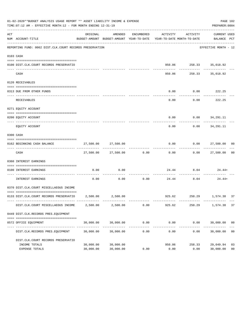|     | 01-02-2020**BUDGET ANALYSIS USAGE REPORT ** ASSET LIABILITY INCOME & EXPENSE<br>TIME:07:12 AM - EFFECTIVE MONTH:12 - FOR MONTH ENDING 12-31-19 |                        |                          |                      |                                                                                 |                                     | PAGE 102<br>PREPARER: 0004               |                      |
|-----|------------------------------------------------------------------------------------------------------------------------------------------------|------------------------|--------------------------|----------------------|---------------------------------------------------------------------------------|-------------------------------------|------------------------------------------|----------------------|
| ACT | NUM ACCOUNT-TITLE                                                                                                                              | ORIGINAL               | AMENDED                  | ENCUMBERED           | ACTIVITY<br>BUDGET-AMOUNT BUDGET-AMOUNT YEAR-TO-DATE YEAR-TO-DATE MONTH-TO-DATE | ACTIVITY                            | CURRENT USED<br>BALANCE PCT              |                      |
|     | REPORTING FUND: 0062 DIST.CLK.COURT RECORDS PRESERVATION                                                                                       |                        |                          |                      |                                                                                 |                                     | EFFECTIVE MONTH - 12                     |                      |
|     | 0103 CASH                                                                                                                                      |                        |                          |                      |                                                                                 |                                     |                                          |                      |
|     | 0100 DIST.CLK.COURT RECORDS PRESERVATIO                                                                                                        |                        |                          |                      |                                                                                 | 950.06 258.33 35,018.92             |                                          |                      |
|     | CASH                                                                                                                                           |                        |                          |                      | 950.06                                                                          | ------------                        | ___________<br>258.33 35,018.92          |                      |
|     | 0120 RECEIVABLES                                                                                                                               |                        |                          |                      |                                                                                 |                                     |                                          |                      |
|     | 0313 DUE FROM OTHER FUNDS                                                                                                                      |                        |                          |                      | 0.00                                                                            | $0.00$ 222.25                       |                                          |                      |
|     | RECEIVABLES                                                                                                                                    |                        |                          |                      | 0.00                                                                            | .                                   | . _ _ _ _ _ _ _ _ _ _ _<br>$0.00$ 222.25 |                      |
|     | 0271 EQUITY ACCOUNT                                                                                                                            |                        |                          |                      |                                                                                 |                                     |                                          |                      |
|     | 0200 EQUITY ACCOUNT                                                                                                                            |                        |                          |                      |                                                                                 | $0.00$ $0.00$ $34,291.11$           |                                          |                      |
|     | EQUITY ACCOUNT                                                                                                                                 |                        |                          |                      | $- - - - -$<br>0.00                                                             | -----------                         | -------------<br>$0.00$ $34,291.11$      |                      |
|     | 0300 CASH                                                                                                                                      |                        |                          |                      |                                                                                 |                                     |                                          |                      |
|     | 0162 BEGINNING CASH BALANCE                                                                                                                    |                        | 27,500.00 27,500.00      |                      |                                                                                 | $0.00$ $0.00$ $27,500.00$ $00$      |                                          |                      |
|     | CASH                                                                                                                                           |                        | 27,500.00 27,500.00 0.00 |                      | -------------                                                                   | $0.00$ $0.00$ $27,500.00$ 00        |                                          |                      |
|     | 0360 INTEREST EARNINGS                                                                                                                         |                        |                          |                      |                                                                                 |                                     |                                          |                      |
|     | 0100 INTEREST EARNINGS                                                                                                                         | 0.00                   | 0.00                     |                      |                                                                                 | $24.44$ 8.04 24.44+<br>------------ |                                          |                      |
|     | INTEREST EARNINGS                                                                                                                              | 0.00                   | 0.00                     | 0.00                 | ----------- --------------                                                      | 24.44 8.04                          | 24.44+                                   |                      |
|     | 0370 DIST.CLK.COURT MISCELLAEOUS INCOME                                                                                                        |                        |                          |                      |                                                                                 |                                     |                                          |                      |
|     | 0133 DIST.CLK.COURT RECORDS PRESERVATIO 2,500.00 2,500.00                                                                                      |                        |                          |                      |                                                                                 | 925.62 250.29 1,574.38 37           |                                          |                      |
|     | DIST.CLK.COURT MISCELLAEOUS INCOME                                                                                                             | 2,500.00               | 2,500.00                 | 0.00                 | 925.62                                                                          | 250.29                              | 1,574.38                                 | 37                   |
|     | 0449 DIST.CLK.RECORDS PRES.EQUIPMENT                                                                                                           |                        |                          |                      |                                                                                 |                                     |                                          |                      |
|     | 0572 OFFICE EQUIPMENT                                                                                                                          | 30,000.00              | 30,000.00                | 0.00                 | 0.00                                                                            | 0.00                                | 30,000.00 00                             |                      |
|     | DIST.CLK.RECORDS PRES.EQUIPMENT                                                                                                                | 30,000.00              | 30,000.00                | ------------<br>0.00 | ------------<br>0.00                                                            | ____________<br>0.00                | 30,000.00                                | 0 <sub>0</sub>       |
|     | DIST.CLK.COURT RECORDS PRESERVATIO                                                                                                             |                        |                          |                      |                                                                                 |                                     |                                          |                      |
|     | INCOME TOTALS<br>EXPENSE TOTALS                                                                                                                | 30,000.00<br>30,000.00 | 30,000.00<br>30,000.00   | 0.00                 | 950.06<br>0.00                                                                  | 258.33<br>0.00                      | 29,049.94<br>30,000.00                   | 03<br>0 <sub>0</sub> |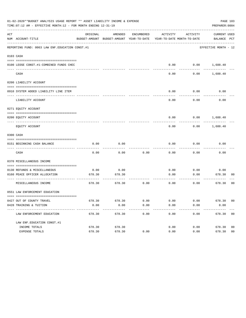|     | 01-02-2020**BUDGET ANALYSIS USAGE REPORT ** ASSET LIABILITY INCOME & EXPENSE<br>TIME:07:12 AM - EFFECTIVE MONTH:12 - FOR MONTH ENDING 12-31-19 |          |                                                     |            |                       |                                        | PREPARER: 0004              | PAGE 103       |
|-----|------------------------------------------------------------------------------------------------------------------------------------------------|----------|-----------------------------------------------------|------------|-----------------------|----------------------------------------|-----------------------------|----------------|
| ACT | NUM ACCOUNT-TITLE                                                                                                                              | ORIGINAL | AMENDED<br>BUDGET-AMOUNT BUDGET-AMOUNT YEAR-TO-DATE | ENCUMBERED | ACTIVITY              | ACTIVITY<br>YEAR-TO-DATE MONTH-TO-DATE | CURRENT USED<br>BALANCE PCT |                |
|     | REPORTING FUND: 0063 LAW ENF. EDUCATION CONST.#1                                                                                               |          |                                                     |            |                       |                                        | EFFECTIVE MONTH - 12        |                |
|     | 0103 CASH                                                                                                                                      |          |                                                     |            |                       |                                        |                             |                |
|     | 0100 LEOSE CONST.#1-COMBINED FUNDS CHEC                                                                                                        |          |                                                     |            |                       |                                        | $0.00$ $0.00$ $1,688.40$    |                |
|     | CASH                                                                                                                                           |          |                                                     |            | 0.00                  | 0.00                                   | 1,688.40                    |                |
|     | 0200 LIABILITY ACCOUNT                                                                                                                         |          |                                                     |            |                       |                                        |                             |                |
|     | 0910 SYSTEM ADDED LIABILITY LINE ITEM                                                                                                          |          |                                                     |            | 0.00                  | 0.00                                   | 0.00                        |                |
|     | LIABILITY ACCOUNT                                                                                                                              |          |                                                     |            | 0.00                  | 0.00                                   | 0.00                        |                |
|     | 0271 EQUITY ACCOUNT                                                                                                                            |          |                                                     |            |                       |                                        |                             |                |
|     | 0200 EQUITY ACCOUNT                                                                                                                            |          |                                                     |            |                       |                                        | $0.00$ $0.00$ $1,688.40$    |                |
|     | EQUITY ACCOUNT                                                                                                                                 |          |                                                     |            | 0.00                  | 0.00                                   | 1,688.40                    |                |
|     | 0300 CASH                                                                                                                                      |          |                                                     |            |                       |                                        |                             |                |
|     | 0151 BEGINNING CASH BALANCE                                                                                                                    | 0.00     | 0.00                                                |            | 0.00                  | 0.00                                   | 0.00                        |                |
|     | CASH                                                                                                                                           | 0.00     | 0.00                                                | 0.00       | 0.00                  | 0.00                                   | 0.00                        |                |
|     | 0370 MISCELLANEOUS INCOME                                                                                                                      |          |                                                     |            |                       |                                        |                             |                |
|     | 0130 REFUNDS & MISCELLANEOUS                                                                                                                   | 0.00     | 0.00                                                |            | 0.00                  | 0.00                                   | 0.00                        |                |
|     | 0160 PEACE OFFICER ALLOCATION                                                                                                                  | 678.30   | 678.30                                              |            | 0.00<br>------------- | 0.00<br>--------                       | 678.30<br>---------         | 00             |
|     | MISCELLANEOUS INCOME                                                                                                                           | 678.30   | 678.30                                              | 0.00       | 0.00                  | 0.00                                   | 678.30                      | 0 <sub>0</sub> |
|     | 0551 LAW ENFORCEMENT EDUCATION                                                                                                                 |          |                                                     |            |                       |                                        |                             |                |
|     | 0427 OUT OF COUNTY TRAVEL                                                                                                                      | 678.30   | 678.30                                              | 0.00       | 0.00                  | 0.00                                   | 678.30 00                   |                |
|     | 0428 TRAINING & TUITION                                                                                                                        | 0.00     | 0.00                                                | 0.00       | 0.00                  | 0.00                                   | 0.00                        |                |
|     | LAW ENFORCEMENT EDUCATION                                                                                                                      | 678.30   | 678.30                                              | 0.00       | 0.00                  | 0.00                                   | 678.30 00                   |                |
|     | LAW ENF. EDUCATION CONST. #1                                                                                                                   |          |                                                     |            |                       |                                        |                             |                |
|     | INCOME TOTALS                                                                                                                                  | 678.30   | 678.30                                              |            | 0.00                  | 0.00                                   | 678.30                      | 0 <sub>0</sub> |
|     | EXPENSE TOTALS                                                                                                                                 | 678.30   | 678.30                                              | 0.00       | 0.00                  | 0.00                                   | 678.30                      | 0 <sub>0</sub> |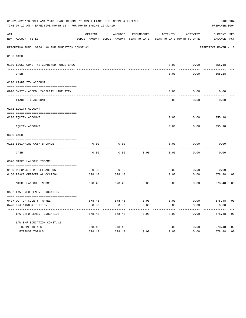|     | 01-02-2020**BUDGET ANALYSIS USAGE REPORT ** ASSET LIABILITY INCOME & EXPENSE<br>TIME:07:12 AM - EFFECTIVE MONTH:12 - FOR MONTH ENDING 12-31-19 |                |                                                                                |              |              |              | PREPARER: 0004              | PAGE 104       |
|-----|------------------------------------------------------------------------------------------------------------------------------------------------|----------------|--------------------------------------------------------------------------------|--------------|--------------|--------------|-----------------------------|----------------|
| ACT | NUM ACCOUNT-TITLE                                                                                                                              | ORIGINAL       | AMENDED<br>BUDGET-AMOUNT BUDGET-AMOUNT YEAR-TO-DATE YEAR-TO-DATE MONTH-TO-DATE | ENCUMBERED   | ACTIVITY     | ACTIVITY     | CURRENT USED<br>BALANCE PCT |                |
|     | REPORTING FUND: 0064 LAW ENF. EDUCATION CONST. #2                                                                                              |                |                                                                                |              |              |              | EFFECTIVE MONTH - 12        |                |
|     | 0103 CASH                                                                                                                                      |                |                                                                                |              |              |              |                             |                |
|     | 0100 LEOSE CONST.#2-COMBINED FUNDS CHEC                                                                                                        |                |                                                                                |              | 0.00         | 0.00         | 355.18                      |                |
|     | CASH                                                                                                                                           |                |                                                                                |              | 0.00         | 0.00         | 355.18                      |                |
|     | 0200 LIABILITY ACCOUNT                                                                                                                         |                |                                                                                |              |              |              |                             |                |
|     | 0910 SYSTEM ADDED LIABILITY LINE ITEM                                                                                                          |                |                                                                                |              | 0.00         | 0.00         | 0.00                        |                |
|     | LIABILITY ACCOUNT                                                                                                                              |                |                                                                                |              | 0.00         | 0.00         | 0.00                        |                |
|     | 0271 EQUITY ACCOUNT                                                                                                                            |                |                                                                                |              |              |              |                             |                |
|     | 0200 EOUITY ACCOUNT                                                                                                                            |                |                                                                                |              | 0.00         | 0.00         | 355.18                      |                |
|     | EQUITY ACCOUNT                                                                                                                                 |                |                                                                                |              | 0.00         | 0.00         | 355.18                      |                |
|     | 0300 CASH                                                                                                                                      |                |                                                                                |              |              |              |                             |                |
|     | 0152 BEGINNING CASH BALANCE                                                                                                                    | 0.00           | 0.00                                                                           |              | 0.00         | 0.00         | 0.00                        |                |
|     | CASH                                                                                                                                           | 0.00           | 0.00                                                                           | 0.00         | 0.00         | 0.00         | 0.00                        |                |
|     | 0370 MISCELLANEOUS INCOME                                                                                                                      |                |                                                                                |              |              |              |                             |                |
|     | 0130 REFUNDS & MISCELLANEOUS                                                                                                                   | 0.00           | 0.00                                                                           |              | 0.00         | 0.00         | 0.00                        |                |
|     | 0160 PEACE OFFICER ALLOCATION<br>----------------- --                                                                                          | 678.48         | 678.48                                                                         |              | 0.00         | 0.00         | 678.48<br>---------         | 00             |
|     | MISCELLANEOUS INCOME                                                                                                                           | 678.48         | ---------<br>678.48                                                            | 0.00         | 0.00         | 0.00         | 678.48                      | 00             |
|     | 0552 LAW ENFORCEMENT EDUCATION                                                                                                                 |                |                                                                                |              |              |              |                             |                |
|     |                                                                                                                                                |                |                                                                                |              |              |              |                             |                |
|     | 0427 OUT OF COUNTY TRAVEL<br>0428 TRAINING & TUITION                                                                                           | 678.48<br>0.00 | 678.48<br>0.00                                                                 | 0.00<br>0.00 | 0.00<br>0.00 | 0.00<br>0.00 | 678.48 00<br>0.00           |                |
|     | -----------------------------<br>LAW ENFORCEMENT EDUCATION                                                                                     | 678.48         | $- - - - - - - -$<br>678.48                                                    | 0.00         | 0.00         | 0.00         | 678.48 00                   |                |
|     | LAW ENF. EDUCATION CONST. #2                                                                                                                   |                |                                                                                |              |              |              |                             |                |
|     | INCOME TOTALS                                                                                                                                  | 678.48         | 678.48                                                                         |              | 0.00         | 0.00         | 678.48                      | 0 <sub>0</sub> |
|     | EXPENSE TOTALS                                                                                                                                 | 678.48         | 678.48                                                                         | 0.00         | 0.00         | 0.00         | 678.48                      | 0 <sub>0</sub> |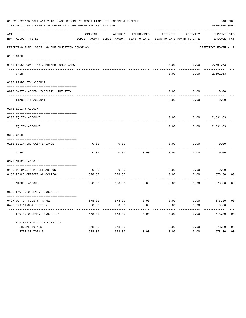| 01-02-2020**BUDGET ANALYSIS USAGE REPORT ** ASSET LIABILITY INCOME & EXPENSE<br>PAGE 105<br>TIME: 07:12 AM - EFFECTIVE MONTH: 12 - FOR MONTH ENDING 12-31-19<br>PREPARER: 0004 |                                                               |                |                                                                                |            |              |              |                             |                |
|--------------------------------------------------------------------------------------------------------------------------------------------------------------------------------|---------------------------------------------------------------|----------------|--------------------------------------------------------------------------------|------------|--------------|--------------|-----------------------------|----------------|
| ACT                                                                                                                                                                            | NUM ACCOUNT-TITLE                                             | ORIGINAL       | AMENDED<br>BUDGET-AMOUNT BUDGET-AMOUNT YEAR-TO-DATE YEAR-TO-DATE MONTH-TO-DATE | ENCUMBERED | ACTIVITY     | ACTIVITY     | CURRENT USED<br>BALANCE PCT |                |
|                                                                                                                                                                                | REPORTING FUND: 0065 LAW ENF. EDUCATION CONST. #3             |                |                                                                                |            |              |              | EFFECTIVE MONTH - 12        |                |
|                                                                                                                                                                                | 0103 CASH                                                     |                |                                                                                |            |              |              |                             |                |
|                                                                                                                                                                                | 0100 LEOSE CONST.#3-COMBINED FUNDS CHEC                       |                |                                                                                |            | 0.00         |              | $0.00$ 2,691.63             |                |
|                                                                                                                                                                                | CASH                                                          |                |                                                                                |            | 0.00         | 0.00         | 2,691.63                    |                |
|                                                                                                                                                                                | 0200 LIABILITY ACCOUNT                                        |                |                                                                                |            |              |              |                             |                |
|                                                                                                                                                                                | 0910 SYSTEM ADDED LIABILITY LINE ITEM                         |                |                                                                                |            | 0.00         | 0.00         | 0.00                        |                |
|                                                                                                                                                                                | LIABILITY ACCOUNT                                             |                |                                                                                |            | 0.00         | 0.00         | 0.00                        |                |
|                                                                                                                                                                                | 0271 EQUITY ACCOUNT                                           |                |                                                                                |            |              |              |                             |                |
|                                                                                                                                                                                | 0200 EOUITY ACCOUNT                                           |                |                                                                                |            | 0.00         |              | $0.00$ 2,691.63             |                |
|                                                                                                                                                                                | EQUITY ACCOUNT                                                |                |                                                                                |            | 0.00         | 0.00         | 2,691.63                    |                |
|                                                                                                                                                                                | 0300 CASH                                                     |                |                                                                                |            |              |              |                             |                |
|                                                                                                                                                                                | 0153 BEGINNING CASH BALANCE                                   | 0.00           | 0.00                                                                           |            | 0.00         | 0.00         | 0.00                        |                |
|                                                                                                                                                                                | CASH                                                          | 0.00           | 0.00                                                                           | 0.00       | 0.00         | 0.00         | 0.00                        |                |
|                                                                                                                                                                                | 0370 MISCELLANEOUS                                            |                |                                                                                |            |              |              |                             |                |
|                                                                                                                                                                                |                                                               |                |                                                                                |            |              |              |                             |                |
|                                                                                                                                                                                | 0130 REFUNDS & MISCELLANEOUS<br>0160 PEACE OFFICER ALLOCATION | 0.00<br>678.30 | 0.00<br>678.30                                                                 |            | 0.00<br>0.00 | 0.00<br>0.00 | 0.00<br>678.30              | 00             |
|                                                                                                                                                                                | MISCELLANEOUS                                                 | 678.30         | 678.30                                                                         | 0.00       | 0.00         | 0.00         | ---------<br>678.30         | 00             |
|                                                                                                                                                                                | 0553 LAW ENFORCEMENT EDUCATION                                |                |                                                                                |            |              |              |                             |                |
|                                                                                                                                                                                |                                                               |                |                                                                                |            |              |              |                             |                |
|                                                                                                                                                                                | 0427 OUT OF COUNTY TRAVEL                                     | 678.30         | 678.30                                                                         | 0.00       | 0.00         | 0.00         | 678.30 00                   |                |
|                                                                                                                                                                                | 0428 TRAINING & TUITION<br>----------------------------       | 0.00           | 0.00<br>-------                                                                | 0.00       | 0.00         | 0.00         | 0.00                        |                |
|                                                                                                                                                                                | LAW ENFORCEMENT EDUCATION                                     | 678.30         | 678.30                                                                         | 0.00       | 0.00         | 0.00         | 678.30                      | 00             |
|                                                                                                                                                                                | LAW ENF. EDUCATION CONST. #3                                  |                |                                                                                |            |              |              |                             |                |
|                                                                                                                                                                                | INCOME TOTALS                                                 | 678.30         | 678.30                                                                         |            | 0.00         | 0.00         | 678.30                      | 0 <sub>0</sub> |
|                                                                                                                                                                                | EXPENSE TOTALS                                                | 678.30         | 678.30                                                                         | 0.00       | 0.00         | 0.00         | 678.30                      | 0 <sub>0</sub> |
|                                                                                                                                                                                |                                                               |                |                                                                                |            |              |              |                             |                |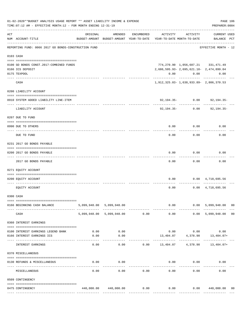|     | 01-02-2020**BUDGET ANALYSIS USAGE REPORT ** ASSET LIABILITY INCOME & EXPENSE<br>PAGE 106<br>TIME: 07:12 AM - EFFECTIVE MONTH: 12 - FOR MONTH ENDING 12-31-19<br>PREPARER: 0004 |              |                                                     |                                |                                            |                    |                                                       |                |
|-----|--------------------------------------------------------------------------------------------------------------------------------------------------------------------------------|--------------|-----------------------------------------------------|--------------------------------|--------------------------------------------|--------------------|-------------------------------------------------------|----------------|
| ACT | NUM ACCOUNT-TITLE                                                                                                                                                              | ORIGINAL     | AMENDED<br>BUDGET-AMOUNT BUDGET-AMOUNT YEAR-TO-DATE | ENCUMBERED                     | ACTIVITY<br>YEAR-TO-DATE MONTH-TO-DATE     | ACTIVITY           | <b>CURRENT USED</b><br>BALANCE PCT                    |                |
|     | REPORTING FUND: 0066 2017 GO BONDS-CONSTRUCTION FUND                                                                                                                           |              |                                                     |                                |                                            |                    | EFFECTIVE MONTH - 12                                  |                |
|     | 0103 CASH                                                                                                                                                                      |              |                                                     |                                |                                            |                    |                                                       |                |
|     | 0100 GO BONDS CONST.2017-COMBINED FUNDS                                                                                                                                        |              |                                                     |                                |                                            |                    | 774, 270.90 1, 056, 687.21 331, 471.49                |                |
|     | 0166 ICS DEPOSIT                                                                                                                                                               |              |                                                     |                                |                                            |                    | 2,686,595.93 - 2,695,621.10 - 2,474,899.04            |                |
|     | 0175 TEXPOOL                                                                                                                                                                   |              |                                                     |                                |                                            | $0.00$ $0.00$      | 0.00                                                  |                |
|     | CASH                                                                                                                                                                           |              |                                                     |                                |                                            |                    | 1,912,325.03 - 1,638,933.89 - 2,806,370.53            |                |
|     | 0200 LIABILITY ACCOUNT                                                                                                                                                         |              |                                                     |                                |                                            |                    |                                                       |                |
|     | 0910 SYSTEM ADDED LIABILITY LINE-ITEM                                                                                                                                          |              |                                                     |                                |                                            | $92,194.35 - 0.00$ | 92,194.35-                                            |                |
|     | LIABILITY ACCOUNT                                                                                                                                                              |              |                                                     |                                |                                            | 92,194.35- 0.00    | 92,194.35-                                            |                |
|     | 0207 DUE TO FUND                                                                                                                                                               |              |                                                     |                                |                                            |                    |                                                       |                |
|     | 0990 DUE TO OTHERS                                                                                                                                                             |              |                                                     |                                | 0.00                                       | 0.00               | 0.00                                                  |                |
|     | DUE TO FUND                                                                                                                                                                    |              |                                                     |                                | 0.00                                       | 0.00               | 0.00                                                  |                |
|     | 0231 2017 GO BONDS PAYABLE                                                                                                                                                     |              |                                                     |                                |                                            |                    |                                                       |                |
|     | 0200 2017 GO BONDS PAYABLE                                                                                                                                                     |              |                                                     |                                | 0.00                                       | 0.00               | 0.00                                                  |                |
|     | ---- ----------------                                                                                                                                                          |              |                                                     |                                |                                            |                    |                                                       |                |
|     | 2017 GO BONDS PAYABLE                                                                                                                                                          |              |                                                     |                                | 0.00                                       | 0.00               | 0.00                                                  |                |
|     | 0271 EQUITY ACCOUNT                                                                                                                                                            |              |                                                     |                                |                                            |                    |                                                       |                |
|     | 0200 EQUITY ACCOUNT                                                                                                                                                            |              |                                                     |                                | 0.00                                       |                    | $0.00 \quad 4,718,695.56$                             |                |
|     | EQUITY ACCOUNT                                                                                                                                                                 |              |                                                     |                                | 0.00                                       |                    | $0.00 \quad 4,718,695.56$                             |                |
|     | 0300 CASH                                                                                                                                                                      |              |                                                     |                                |                                            |                    |                                                       |                |
|     | 0166 BEGINNING CASH BALANCE                                                                                                                                                    |              | 5,099,948.00 5,099,948.00                           |                                |                                            |                    | $0.00$ 0.00 5,099,948.00                              | 0 <sub>0</sub> |
|     | CASH                                                                                                                                                                           |              | 5,099,948.00 5,099,948.00 0.00                      | ------------------------------ | 0.00                                       | ------------       | 0.00 5,099,948.00                                     | 0 <sub>0</sub> |
|     | 0360 INTEREST EARNINGS                                                                                                                                                         |              |                                                     |                                |                                            |                    |                                                       |                |
|     | --------------------------------------                                                                                                                                         |              |                                                     |                                |                                            |                    |                                                       |                |
|     | 0100 INTEREST EARNINGS LEGEND BANK<br>0166 INTEREST EARNINGS ICS                                                                                                               | 0.00<br>0.00 | 0.00<br>0.00                                        |                                |                                            |                    | $0.00$ $0.00$ $0.00$<br>13,404.07 4,378.90 13,404.07+ |                |
|     | ----------------------------                                                                                                                                                   |              | ----------                                          |                                | -------------                              | -----------        |                                                       |                |
|     | INTEREST EARNINGS                                                                                                                                                              | 0.00         | 0.00                                                |                                | $0.00$ $13,404.07$ $4,378.90$ $13,404.07+$ |                    |                                                       |                |
|     | 0370 MISCELLANEOUS                                                                                                                                                             |              |                                                     |                                |                                            |                    |                                                       |                |
|     | 0130 REFUNDS & MISCELLANEOUS                                                                                                                                                   | 0.00         | 0.00                                                |                                |                                            | $0.00$ $0.00$      | 0.00                                                  |                |
|     | MISCELLANEOUS                                                                                                                                                                  | 0.00         | 0.00                                                | 0.00                           | 0.00                                       | 0.00               | 0.00                                                  |                |
|     | 0509 CONTINGENCY                                                                                                                                                               |              |                                                     |                                |                                            |                    |                                                       |                |
|     | 0475 CONTINGENCY                                                                                                                                                               |              | 440,000.00  440,000.00  0.00                        |                                |                                            |                    | $0.00$ $0.00$ $440,000.00$                            | 00             |
|     |                                                                                                                                                                                |              |                                                     |                                |                                            |                    |                                                       |                |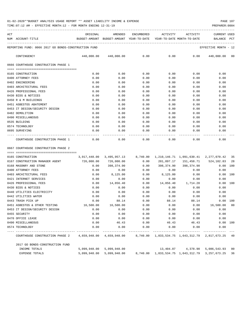TIME:07:12 AM - EFFECTIVE MONTH:12 - FOR MONTH ENDING 12-31-19 PREPARER:0004

| ACT |                                                                                           |                                                  |      |      | ORIGINAL AMENDED ENCUMBERED ACTIVITY ACTIVITY |                                                                                                                                                                                                                             | <b>CURRENT USED</b>                                      |
|-----|-------------------------------------------------------------------------------------------|--------------------------------------------------|------|------|-----------------------------------------------|-----------------------------------------------------------------------------------------------------------------------------------------------------------------------------------------------------------------------------|----------------------------------------------------------|
|     | NUM ACCOUNT-TITLE THE SUDGET-AMOUNT BUDGET-AMOUNT YEAR-TO-DATE YEAR-TO-DATE MONTH-TO-DATE |                                                  |      |      |                                               |                                                                                                                                                                                                                             | BALANCE PCT                                              |
|     | REPORTING FUND: 0066 2017 GO BONDS-CONSTRUCTION FUND                                      |                                                  |      |      |                                               |                                                                                                                                                                                                                             | EFFECTIVE MONTH - 12                                     |
|     | CONTINGENCY                                                                               |                                                  |      |      |                                               |                                                                                                                                                                                                                             | $440,000.00$ $440,000.00$ 0.00 0.00 0.00 $440,000.00$ 00 |
|     | 0666 COURTHOUSE CONSTRUCTION PHASE 1                                                      |                                                  |      |      |                                               |                                                                                                                                                                                                                             |                                                          |
|     |                                                                                           |                                                  |      |      |                                               |                                                                                                                                                                                                                             |                                                          |
|     | 0165 CONSTRUCTION                                                                         | 0.00                                             | 0.00 | 0.00 | 0.00                                          | 0.00                                                                                                                                                                                                                        | 0.00                                                     |
|     | 0400 ATTORNEY FEES                                                                        | 0.00                                             | 0.00 | 0.00 | 0.00                                          | 0.00                                                                                                                                                                                                                        | 0.00                                                     |
|     | 0402 ENGINEERING                                                                          | 0.00                                             | 0.00 | 0.00 |                                               | 0.00<br>0.00                                                                                                                                                                                                                | 0.00                                                     |
|     | 0403 ARCHITECTURAL FEES                                                                   | 0.00                                             | 0.00 | 0.00 | 0.00                                          | 0.00                                                                                                                                                                                                                        | 0.00                                                     |
|     | 0426 PROFESSIONAL FEES                                                                    | 0.00                                             | 0.00 | 0.00 | 0.00                                          | 0.00                                                                                                                                                                                                                        | 0.00                                                     |
|     | 0430 BIDS & NOTICES                                                                       | 0.00                                             | 0.00 | 0.00 | 0.00                                          | 0.00                                                                                                                                                                                                                        | 0.00                                                     |
|     | 0450 R & M BUILDINGS                                                                      | 0.00                                             | 0.00 | 0.00 | 0.00                                          | 0.00                                                                                                                                                                                                                        | 0.00                                                     |
|     | 0451 ASBESTOS ABATEMENT                                                                   | 0.00                                             | 0.00 | 0.00 | 0.00                                          | 0.00                                                                                                                                                                                                                        | 0.00                                                     |
|     | 0453 IT DESIGN/SECURITY DESIGN                                                            | 0.00                                             | 0.00 | 0.00 | 0.00                                          | 0.00                                                                                                                                                                                                                        | 0.00                                                     |
|     | 0482 DEMOLITION                                                                           | 0.00                                             | 0.00 | 0.00 | 0.00                                          | 0.00                                                                                                                                                                                                                        | 0.00                                                     |
|     | 0490 MISCELLANEOUS                                                                        | 0.00                                             | 0.00 | 0.00 | 0.00                                          | 0.00                                                                                                                                                                                                                        | 0.00                                                     |
|     | 0535 BUILDING                                                                             | 0.00                                             | 0.00 | 0.00 | 0.00                                          | 0.00                                                                                                                                                                                                                        | 0.00                                                     |
|     | 0574 TECHNOLOGY                                                                           | 0.00                                             | 0.00 | 0.00 |                                               | $0.00$ and $0.00$ and $0.00$ and $0.00$ and $0.00$ and $0.00$ and $0.00$ and $0.00$ and $0.00$ and $0.00$ and $0.00$ and $0.00$ and $0.00$ and $0.00$ and $0.00$ and $0.00$ and $0.00$ and $0.00$ and $0.00$ and $0.00$ and | 0.00<br>0.00                                             |
|     | 0695 SURVEYING                                                                            | 0.00                                             | 0.00 | 0.00 | $0.00$ 0.00                                   |                                                                                                                                                                                                                             | 0.00                                                     |
|     | COURTHOUSE CONSTRUCTION PHASE 1                                                           | $0.00$ $0.00$ $0.00$ $0.00$ $0.00$ $0.00$ $0.00$ |      |      | -------------                                 |                                                                                                                                                                                                                             | 0.00                                                     |
|     | 0667 COURTHOUSE CONSTRUCTION PHASE 2                                                      |                                                  |      |      |                                               |                                                                                                                                                                                                                             |                                                          |

==== =================================== 0165 CONSTRUCTION 3,917,448.00 3,495,957.13 8,740.00 1,210,146.71 1,091,630.41 2,277,070.42 35 0167 CONSTRUCTION MANAGER AGENT 726,000.00 726,000.00 0.00 201,897.17 151,458.71 524,102.83 28<br>0.00 100 0.00 100 0.00 398,374.90 0.00 398,374.90 0.00 0.00 100 0168 MASONRY AND STONE CONSUMER RESOURCE A LOS ON CORRESPONDENT SUBSERVED ON CONSUMING A LOS ON CONSUMING A LO<br>
0.00 398,374.90 398,374.90 398,374.90 398,374.90 398,374.90 398,374.90 398,374.90 0.00 100 0400 ATTORNEY FEES  $\begin{array}{cccccccc} 0.00 & 0.00 & 0.00 & 0.00 & 0.00 & 0.00 & 0.00 & 0.00 & 0.00 & 0.00 & 0.00 & 0.00 & 0.00 & 0.00 & 0.00 & 0.00 & 0.00 & 0.00 & 0.00 & 0.00 & 0.00 & 0.00 & 0.00 & 0.00 & 0.00 & 0.00 & 0.00 & 0.00 & 0.00 & 0.00 & 0.00 & 0.00 & 0$ 0403 ARCHITECTURAL FEES  $0.00 \t 8,125.00 \t 0.00 \t 8,125.00 \t 0.00 \t 0.00 \t 0.00 \t 0.00$ 0421 INTERNET SERVICES  $\begin{array}{cccc} 0.00 & 0.00 & 0.00 & 0.00 & 0.00 & 0.00 \end{array}$ 0426 PROFESSIONAL FEES  $0.00 \t 14,856.40 \t 0.00 \t 14,856.40 \t 1,714.20 \t 0.00 \t 100$ 0430 BIDS & NOTICES 0.00 0.00 0.00 0.00 0.00 0.00 0440 UTILITIES ELECTRICITY 0.00 0.00 0.00 0.00 0.00 0.00 0442 UTILITIES WATER 0.00 0.00 0.00 0.00 0.00 0.00 0443 TRASH PICK UP 0.00 0.00 88.14 0.00 88.14 88.14 0.00 0.00 100 0451 ASBESTOS & OTHER TESTING 16,500.00 16,500.00 0.00 0.00 0.00 16,500.00 00 0453 IT DESIGN/SECURITY DESIGN 0.00 0.00 0.00 0.00 0.00 0.00 0455 SECURITY 0.00 0.00 0.00 0.00 0.00 0.00 0470 OFFICE LEASE 0.00 0.00 0.00 0.00 0.00 0.00 0490 MISCELLANEOUS 0.00 46.43 0.00 46.43 46.43 0.00 100 0574 TECHNOLOGY 0.00 0.00 0.00 0.00 0.00 0.00 ---- ---------------------------------- ------------- ------------- ------------ ------------- ------------ ------------- --- COURTHOUSE CONSTRUCTION PHASE 2 4,659,948.00 4,659,948.00 8,740.00 1,833,534.75 1,643,312.79 2,817,673.25 40 2017 GO BONDS-CONSTRUCTION FUND INCOME TOTALS 5,099,948.00 5,099,948.00 13,404.07 4,378.90 5,086,543.93 00

EXPENSE TOTALS 5,099,948.00 5,099,948.00 8,740.00 1,833,534.75 1,643,312.79 3,257,673.25 36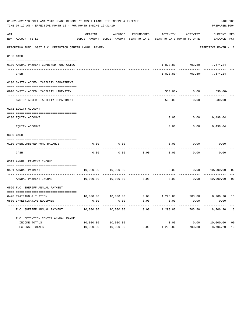|     | 01-02-2020**BUDGET ANALYSIS USAGE REPORT ** ASSET LIABILITY INCOME & EXPENSE<br>TIME: 07:12 AM - EFFECTIVE MONTH: 12 - FOR MONTH ENDING 12-31-19 |           |                       |            |                                                                                 |                                            |                             |                |  |  |  |
|-----|--------------------------------------------------------------------------------------------------------------------------------------------------|-----------|-----------------------|------------|---------------------------------------------------------------------------------|--------------------------------------------|-----------------------------|----------------|--|--|--|
| ACT | NUM ACCOUNT-TITLE                                                                                                                                | ORIGINAL  | AMENDED               | ENCUMBERED | ACTIVITY<br>BUDGET-AMOUNT BUDGET-AMOUNT YEAR-TO-DATE YEAR-TO-DATE MONTH-TO-DATE | ACTIVITY                                   | CURRENT USED<br>BALANCE PCT |                |  |  |  |
|     | REPORTING FUND: 0067 F.C. DETENTION CENTER ANNUAL PAYMEN                                                                                         |           |                       |            |                                                                                 |                                            | EFFECTIVE MONTH - 12        |                |  |  |  |
|     |                                                                                                                                                  |           |                       |            |                                                                                 |                                            |                             |                |  |  |  |
|     | 0103 CASH                                                                                                                                        |           |                       |            |                                                                                 |                                            |                             |                |  |  |  |
|     | 0100 ANNUAL PAYMENT-COMBINED FUND CKING                                                                                                          |           |                       |            |                                                                                 | 1,823.80- 703.80- 7,674.24                 | ____________                |                |  |  |  |
|     | CASH                                                                                                                                             |           |                       |            |                                                                                 | ------------<br>1,823.80- 703.80- 7,674.24 |                             |                |  |  |  |
|     | 0200 SYSTEM ADDED LIABILITY DEPARTMENT                                                                                                           |           |                       |            |                                                                                 |                                            |                             |                |  |  |  |
|     | 0910 SYSTEM ADDED LIABILITY LINE-ITEM                                                                                                            |           |                       |            |                                                                                 | $530.00 - 0.00$                            | 530.00-                     |                |  |  |  |
|     | SYSTEM ADDED LIABILITY DEPARTMENT                                                                                                                |           |                       |            | $530.00 -$                                                                      | 0.00                                       | $530.00 -$                  |                |  |  |  |
|     | 0271 EQUITY ACCOUNT                                                                                                                              |           |                       |            |                                                                                 |                                            |                             |                |  |  |  |
|     | 0200 EQUITY ACCOUNT                                                                                                                              |           |                       |            |                                                                                 | $0.00$ $0.00$ $9,498.04$                   |                             |                |  |  |  |
|     | EQUITY ACCOUNT                                                                                                                                   |           |                       |            | 0.00                                                                            | 0.00                                       | 9,498.04                    |                |  |  |  |
|     | 0300 CASH                                                                                                                                        |           |                       |            |                                                                                 |                                            |                             |                |  |  |  |
|     | 0110 UNENCUMBERED FUND BALANCE                                                                                                                   | 0.00      | 0.00                  |            | 0.00                                                                            | 0.00                                       | 0.00                        |                |  |  |  |
|     | CASH                                                                                                                                             | 0.00      | 0.00                  | 0.00       | 0.00                                                                            | 0.00                                       | 0.00                        |                |  |  |  |
|     | 0319 ANNUAL PAYMENT INCOME                                                                                                                       |           |                       |            |                                                                                 |                                            |                             |                |  |  |  |
|     | 0551 ANNUAL PAYMENT                                                                                                                              | 10,000.00 | 10,000.00             |            | 0.00                                                                            |                                            | 0.00 10,000.00              | 00             |  |  |  |
|     | ANNUAL PAYMENT INCOME                                                                                                                            |           | 10,000.00   10,000.00 |            | $0.00$ 0.00                                                                     | 0.00                                       | 10,000.00                   | 0 <sub>0</sub> |  |  |  |
|     | 0560 F.C. SHERIFF ANNUAL PAYMENT                                                                                                                 |           |                       |            |                                                                                 |                                            |                             |                |  |  |  |
|     | 0428 TRAINING & TUITION                                                                                                                          |           |                       |            | $10,000.00$ $10,000.00$ $0.00$ $1,293.80$ $703.80$ $8,706.20$ $13$              |                                            |                             |                |  |  |  |
|     | 0580 INVESTIGATIVE EQUIPMENT                                                                                                                     | 0.00      | 0.00                  | 0.00       | 0.00                                                                            | 0.00                                       | 0.00                        |                |  |  |  |
|     | F.C. SHERIFF ANNUAL PAYMENT                                                                                                                      | 10,000.00 | 10,000.00             | 0.00       | 1,293.80                                                                        | 703.80                                     | 8,706.20                    | 13             |  |  |  |
|     | F.C. DETENTION CENTER ANNUAL PAYME                                                                                                               |           |                       |            |                                                                                 |                                            |                             |                |  |  |  |
|     | INCOME TOTALS                                                                                                                                    | 10,000.00 | 10,000.00             |            | 0.00                                                                            | 0.00                                       | 10,000.00                   | 0 <sub>0</sub> |  |  |  |
|     | EXPENSE TOTALS                                                                                                                                   | 10,000.00 | 10,000.00             | 0.00       | 1,293.80                                                                        | 703.80                                     | 8,706.20                    | 13             |  |  |  |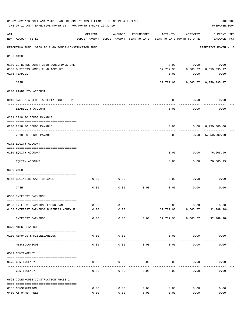|     | 01-02-2020**BUDGET ANALYSIS USAGE REPORT ** ASSET LIABILITY INCOME & EXPENSE<br>TIME: 07:12 AM - EFFECTIVE MONTH: 12 - FOR MONTH ENDING 12-31-19 |          |                                                     |            |           |                                        | PREPARER: 0004                     | PAGE 109 |
|-----|--------------------------------------------------------------------------------------------------------------------------------------------------|----------|-----------------------------------------------------|------------|-----------|----------------------------------------|------------------------------------|----------|
| ACT | NUM ACCOUNT-TITLE                                                                                                                                | ORIGINAL | AMENDED<br>BUDGET-AMOUNT BUDGET-AMOUNT YEAR-TO-DATE | ENCUMBERED | ACTIVITY  | ACTIVITY<br>YEAR-TO-DATE MONTH-TO-DATE | <b>CURRENT USED</b><br>BALANCE PCT |          |
|     | REPORTING FUND: 0068 2018 GO BONDS-CONSTRUCTION FUND                                                                                             |          |                                                     |            |           |                                        | EFFECTIVE MONTH - 12               |          |
|     | 0103 CASH                                                                                                                                        |          |                                                     |            |           |                                        |                                    |          |
|     |                                                                                                                                                  |          |                                                     |            |           |                                        |                                    |          |
|     | 0100 GO BONDS CONST. 2018-COMB. FUNDS CHE                                                                                                        |          |                                                     |            | 0.00      |                                        | 0.00<br>0.00                       |          |
|     | 0168 BUSINESS MONEY FUND ACCOUNT                                                                                                                 |          |                                                     |            | 32,789.98 |                                        | 9,663.77 6,359,395.97              |          |
|     | 0175 TEXPOOL                                                                                                                                     |          |                                                     |            | 0.00      | 0.00                                   | 0.00                               |          |
|     | CASH                                                                                                                                             |          |                                                     |            |           |                                        | 32,789.98 9,663.77 6,359,395.97    |          |
|     | 0200 LIABILITY ACCOUNT                                                                                                                           |          |                                                     |            |           |                                        |                                    |          |
|     |                                                                                                                                                  |          |                                                     |            |           |                                        |                                    |          |
|     | 0910 SYSTEM ADDED LIABILITY LINE -ITEM                                                                                                           |          |                                                     |            | 0.00      | 0.00                                   | 0.00                               |          |
|     | LIABILITY ACCOUNT                                                                                                                                |          |                                                     |            | 0.00      | 0.00                                   | 0.00                               |          |
|     | 0231 2018 GO BONDS PAYABLE                                                                                                                       |          |                                                     |            |           |                                        |                                    |          |
|     | 0200 2018 GO BONDS PAYABLE                                                                                                                       |          |                                                     |            | 0.00      |                                        | 0.00 6,250,000.00                  |          |
|     | 2018 GO BONDS PAYABLE                                                                                                                            |          |                                                     |            | 0.00      | . <u>.</u>                             | 0.00 6,250,000.00                  |          |
|     | 0271 EQUITY ACCOUNT                                                                                                                              |          |                                                     |            |           |                                        |                                    |          |
|     |                                                                                                                                                  |          |                                                     |            |           |                                        |                                    |          |
|     | 0200 EQUITY ACCOUNT<br>------------------- -------                                                                                               |          |                                                     |            | 0.00      |                                        | 0.00<br>76,605.99                  |          |
|     | EQUITY ACCOUNT                                                                                                                                   |          |                                                     |            | 0.00      | 0.00                                   | 76,605.99                          |          |
|     | 0300 CASH                                                                                                                                        |          |                                                     |            |           |                                        |                                    |          |
|     | 0168 BEGINNING CASH BALANCE                                                                                                                      | 0.00     | 0.00                                                |            | 0.00      | 0.00                                   | 0.00                               |          |
|     |                                                                                                                                                  |          |                                                     |            |           |                                        |                                    |          |
|     | CASH                                                                                                                                             | 0.00     | 0.00                                                | 0.00       | 0.00      | 0.00                                   | 0.00                               |          |
|     | 0360 INTEREST EARNINGS                                                                                                                           |          |                                                     |            |           |                                        |                                    |          |
|     |                                                                                                                                                  |          |                                                     |            |           |                                        |                                    |          |
|     | 0100 INTEREST EARNING LEGEND BANK                                                                                                                | 0.00     | 0.00                                                |            | 0.00      | 0.00                                   | 0.00                               |          |
|     | 0168 INTEREST EARNINGS BUSINESS MONEY F                                                                                                          | 0.00     | 0.00<br>$--- - -$                                   |            | 32,789.98 | 9,663.77                               | $32,789.98+$                       |          |
|     | INTEREST EARNINGS                                                                                                                                | 0.00     | 0.00                                                | 0.00       | 32,789.98 | 9,663.77                               | $32,789.98+$                       |          |
|     | 0370 MISCELLANEOUS                                                                                                                               |          |                                                     |            |           |                                        |                                    |          |
|     | 0130 REFUNDS & MISCELLANEOUS                                                                                                                     | 0.00     | 0.00                                                |            | 0.00      | 0.00                                   | 0.00                               |          |
|     | MISCELLANEOUS                                                                                                                                    | 0.00     | 0.00                                                | 0.00       | 0.00      | 0.00                                   | 0.00                               |          |
|     | 0509 CONTINGENCY                                                                                                                                 |          |                                                     |            |           |                                        |                                    |          |
|     |                                                                                                                                                  |          |                                                     |            |           |                                        |                                    |          |
|     | 0475 CONTINGENCY                                                                                                                                 | 0.00     | 0.00                                                | 0.00       | 0.00      | 0.00                                   | 0.00                               |          |
|     | CONTINGENCY                                                                                                                                      | 0.00     | 0.00                                                | 0.00       | 0.00      | 0.00                                   | 0.00                               |          |
|     | 0668 COURTHOUSE CONSTRUCTION PHASE 2                                                                                                             |          |                                                     |            |           |                                        |                                    |          |
|     | 0165 CONSTRUCTION                                                                                                                                | 0.00     | 0.00                                                | 0.00       | 0.00      | 0.00                                   | 0.00                               |          |
|     | 0400 ATTORNEY FEES                                                                                                                               | 0.00     | 0.00                                                | 0.00       | 0.00      | 0.00                                   | 0.00                               |          |
|     |                                                                                                                                                  |          |                                                     |            |           |                                        |                                    |          |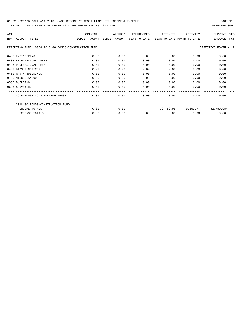| ACT |                                                      | ORIGINAL                    | AMENDED | ENCUMBERED   | ACTIVITY                   | ACTIVITY | <b>CURRENT USED</b>   |
|-----|------------------------------------------------------|-----------------------------|---------|--------------|----------------------------|----------|-----------------------|
| NUM | ACCOUNT-TITLE                                        | BUDGET-AMOUNT BUDGET-AMOUNT |         | YEAR-TO-DATE | YEAR-TO-DATE MONTH-TO-DATE |          | <b>BALANCE</b><br>PCT |
|     | REPORTING FUND: 0068 2018 GO BONDS-CONSTRUCTION FUND |                             |         |              |                            |          | EFFECTIVE MONTH - 12  |
|     | 0402 ENGINEERING                                     | 0.00                        | 0.00    | 0.00         | 0.00                       | 0.00     | 0.00                  |
|     | 0403 ARCHITECTURAL FEES                              | 0.00                        | 0.00    | 0.00         | 0.00                       | 0.00     | 0.00                  |
|     | 0426 PROFESSIONAL FEES                               | 0.00                        | 0.00    | 0.00         | 0.00                       | 0.00     | 0.00                  |
|     | 0430 BIDS & NOTICES                                  | 0.00                        | 0.00    | 0.00         | 0.00                       | 0.00     | 0.00                  |
|     | 0450 R & M BUILDINGS                                 | 0.00                        | 0.00    | 0.00         | 0.00                       | 0.00     | 0.00                  |
|     | 0490 MISCELLANEOUS                                   | 0.00                        | 0.00    | 0.00         | 0.00                       | 0.00     | 0.00                  |
|     | 0535 BUILDING                                        | 0.00                        | 0.00    | 0.00         | 0.00                       | 0.00     | 0.00                  |
|     | 0695 SURVEYING                                       | 0.00                        | 0.00    | 0.00         | 0.00                       | 0.00     | 0.00                  |
|     | COURTHOUSE CONSTRUCTION PHASE 2                      | 0.00                        | 0.00    | 0.00         | 0.00                       | 0.00     | 0.00                  |
|     | 2018 GO BONDS-CONSTRUCTION FUND                      |                             |         |              |                            |          |                       |
|     | INCOME TOTALS                                        | 0.00                        | 0.00    |              | 32,789.98                  |          | 9,663.77 32,789.98+   |
|     | <b>EXPENSE TOTALS</b>                                | 0.00                        | 0.00    | 0.00         | 0.00                       | 0.00     | 0.00                  |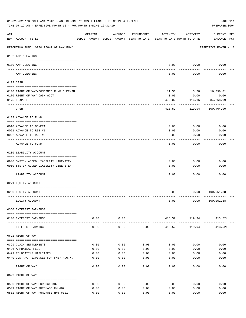|     | 01-02-2020**BUDGET ANALYSIS USAGE REPORT ** ASSET LIABILITY INCOME & EXPENSE<br>TIME: 07:12 AM - EFFECTIVE MONTH: 12 - FOR MONTH ENDING 12-31-19 |          |                      |            |                                                                                 |               | PAGE 111<br>PREPARER: 0004         |
|-----|--------------------------------------------------------------------------------------------------------------------------------------------------|----------|----------------------|------------|---------------------------------------------------------------------------------|---------------|------------------------------------|
| ACT | NUM ACCOUNT-TITLE                                                                                                                                | ORIGINAL | AMENDED              | ENCUMBERED | ACTIVITY<br>BUDGET-AMOUNT BUDGET-AMOUNT YEAR-TO-DATE YEAR-TO-DATE MONTH-TO-DATE | ACTIVITY      | <b>CURRENT USED</b><br>BALANCE PCT |
|     | REPORTING FUND: 0070 RIGHT OF WAY FUND                                                                                                           |          |                      |            |                                                                                 |               | EFFECTIVE MONTH - 12               |
|     | 0102 A/P CLEARING                                                                                                                                |          |                      |            |                                                                                 |               |                                    |
|     | 0100 A/P CLEARING                                                                                                                                |          |                      |            | 0.00                                                                            | 0.00          | 0.00                               |
|     | ---- --------<br>A/P CLEARING                                                                                                                    |          |                      |            | 0.00                                                                            | 0.00          | 0.00                               |
|     | 0103 CASH                                                                                                                                        |          |                      |            |                                                                                 |               |                                    |
|     | 0100 RIGHT OF WAY-COMBINED FUND CHECKIN                                                                                                          |          |                      |            | 11.50                                                                           | 3.78          | 16,096.81                          |
|     | 0170 RIGHT OF WAY CASH ACCT.                                                                                                                     |          |                      |            | 0.00                                                                            | 0.00          | 0.00                               |
|     | 0175 TEXPOOL                                                                                                                                     |          |                      |            | 402.02                                                                          | 116.16        | 84,368.09                          |
|     | CASH                                                                                                                                             |          |                      |            | 413.52                                                                          | 119.94        | 100,464.90                         |
|     | 0133 ADVANCE TO FUND                                                                                                                             |          |                      |            |                                                                                 |               |                                    |
|     | 0010 ADVANCE TO GENERAL                                                                                                                          |          |                      |            | 0.00                                                                            | 0.00          | 0.00                               |
|     | 0021 ADVANCE TO R&B #1                                                                                                                           |          |                      |            | 0.00                                                                            | 0.00          | 0.00                               |
|     | 0022 ADVANCE TO R&B #2                                                                                                                           |          |                      |            | 0.00                                                                            | 0.00          | 0.00                               |
|     | ADVANCE TO FUND                                                                                                                                  |          |                      |            | 0.00                                                                            | 0.00          | 0.00                               |
|     | 0200 LIABILITY ACCOUNT                                                                                                                           |          |                      |            |                                                                                 |               |                                    |
|     | 0900 SYSTEM ADDED LIABILITY LINE-ITEM                                                                                                            |          |                      |            | 0.00                                                                            | 0.00          | 0.00                               |
|     | 0910 SYSTEM ADDED LIABILITY LINE-ITEM                                                                                                            |          |                      |            | 0.00                                                                            | 0.00          | 0.00                               |
|     |                                                                                                                                                  |          |                      |            |                                                                                 |               |                                    |
|     | LIABILITY ACCOUNT                                                                                                                                |          |                      |            | 0.00                                                                            | 0.00          | 0.00                               |
|     | 0271 EQUITY ACCOUNT                                                                                                                              |          |                      |            |                                                                                 |               |                                    |
|     |                                                                                                                                                  |          |                      |            |                                                                                 |               |                                    |
|     | 0200 EQUITY ACCOUNT                                                                                                                              |          |                      |            | 0.00                                                                            |               | 0.00 100,051.38                    |
|     | EQUITY ACCOUNT                                                                                                                                   |          |                      |            | 0.00                                                                            |               | 0.00 100, 051.38                   |
|     | 0360 INTEREST EARNINGS                                                                                                                           |          |                      |            |                                                                                 |               |                                    |
|     | 0100 INTEREST EARNINGS                                                                                                                           | 0.00     | 0.00<br>------------ |            |                                                                                 | 413.52 119.94 | $413.52+$                          |
|     | INTEREST EARNINGS                                                                                                                                | 0.00     | 0.00                 | 0.00       | 413.52                                                                          | 119.94        | 413.52+                            |
|     | 0622 RIGHT OF WAY                                                                                                                                |          |                      |            |                                                                                 |               |                                    |
|     | 0399 CLAIM SETTLEMENTS                                                                                                                           | 0.00     | 0.00                 | 0.00       | 0.00                                                                            | 0.00          | 0.00                               |
|     | 0426 APPRAISAL FEES                                                                                                                              | 0.00     | 0.00                 | 0.00       | 0.00                                                                            | 0.00          | 0.00                               |
|     | 0429 RELOCATING UTILITIES                                                                                                                        | 0.00     | 0.00                 | 0.00       | 0.00                                                                            | 0.00          | 0.00                               |
|     | 0449 CONTRACT EXPENSES FOR FM87 R.O.W.                                                                                                           | 0.00     | 0.00                 | 0.00       | 0.00                                                                            | 0.00          | 0.00                               |
|     | RIGHT OF WAY                                                                                                                                     | 0.00     | 0.00                 | 0.00       | 0.00                                                                            | 0.00          | 0.00                               |
|     | 0629 RIGHT OF WAY                                                                                                                                |          |                      |            |                                                                                 |               |                                    |
|     | 0500 RIGHT OF WAY PUR HWY #82                                                                                                                    | 0.00     | 0.00                 | 0.00       | 0.00                                                                            | 0.00          | 0.00                               |
|     | 0501 RIGHT OF WAY PURCHASE FM #87                                                                                                                | 0.00     | 0.00                 | 0.00       | 0.00                                                                            | 0.00          | 0.00                               |
|     | 0502 RIGHT OF WAY PURCHASE HWY #121                                                                                                              | 0.00     | 0.00                 | 0.00       | 0.00                                                                            | 0.00          | 0.00                               |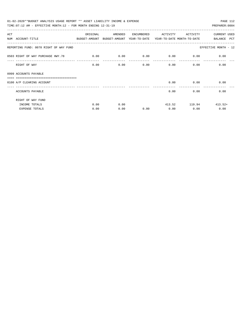| 01-02-2020**BUDGET ANALYSIS USAGE REPORT ** ASSET LIABILITY INCOME & EXPENSE             |          |         |            |                                    |                                   | PAGE 112             |
|------------------------------------------------------------------------------------------|----------|---------|------------|------------------------------------|-----------------------------------|----------------------|
| TIME: 07:12 AM - EFFECTIVE MONTH: 12 - FOR MONTH ENDING 12-31-19                         |          |         |            |                                    |                                   | PREPARER: 0004       |
| ACT                                                                                      | ORIGINAL | AMENDED | ENCUMBERED | ACTIVITY                           | ACTIVITY                          | <b>CURRENT USED</b>  |
| NUM ACCOUNT-TITLE<br>BUDGET-AMOUNT BUDGET-AMOUNT YEAR-TO-DATE YEAR-TO-DATE_MONTH-TO-DATE |          |         |            |                                    |                                   | BALANCE PCT          |
| REPORTING FUND: 0070 RIGHT OF WAY FUND                                                   |          |         |            |                                    |                                   | EFFECTIVE MONTH - 12 |
| 0503 RIGHT OF WAY PURCHASE HWY.78                                                        | 0.00     | 0.00    |            | $0.00$ $0.00$ $0.00$ $0.00$ $0.00$ |                                   |                      |
| RIGHT OF WAY                                                                             | 0.00     | 0.00    | 0.00       | $0.00$ 0.00                        |                                   | 0.00                 |
| 0999 ACCOUNTS PAYABLE                                                                    |          |         |            |                                    |                                   |                      |
| ==================================<br>0100 A/P CLEARING ACCOUNT                          |          |         |            |                                    | $0.00$ 0.00<br><u>uuuuuuuuuuu</u> | 0.00                 |
| ACCOUNTS PAYABLE                                                                         |          |         |            | 0.00                               |                                   | 0.00<br>0.00         |
| RIGHT OF WAY FUND                                                                        |          |         |            |                                    |                                   |                      |
| INCOME TOTALS                                                                            | 0.00     | 0.00    |            |                                    | $413.52$ 119.94 $413.52+$         |                      |
| <b>EXPENSE TOTALS</b>                                                                    | 0.00     | 0.00    | 0.00       | 0.00                               | 0.00                              | 0.00                 |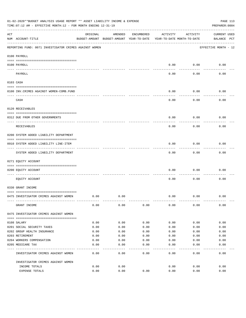|     | 01-02-2020**BUDGET ANALYSIS USAGE REPORT ** ASSET LIABILITY INCOME & EXPENSE<br>TIME: 07:12 AM - EFFECTIVE MONTH: 12 - FOR MONTH ENDING 12-31-19 |          |                                                     |            |          |                                        | PAGE 113<br>PREPARER: 0004         |
|-----|--------------------------------------------------------------------------------------------------------------------------------------------------|----------|-----------------------------------------------------|------------|----------|----------------------------------------|------------------------------------|
| ACT | NUM ACCOUNT-TITLE                                                                                                                                | ORIGINAL | AMENDED<br>BUDGET-AMOUNT BUDGET-AMOUNT YEAR-TO-DATE | ENCUMBERED | ACTIVITY | ACTIVITY<br>YEAR-TO-DATE MONTH-TO-DATE | <b>CURRENT USED</b><br>BALANCE PCT |
|     | REPORTING FUND: 0071 INVESTIGATOR CRIMES AGAINST WOMEN                                                                                           |          |                                                     |            |          |                                        | EFFECTIVE MONTH - 12               |
|     | 0100 PAYROLL                                                                                                                                     |          |                                                     |            |          |                                        |                                    |
|     | 0100 PAYROLL<br>---- ----                                                                                                                        |          |                                                     |            | 0.00     | 0.00                                   | 0.00                               |
|     | PAYROLL                                                                                                                                          |          |                                                     |            | 0.00     | 0.00                                   | 0.00                               |
|     | 0103 CASH                                                                                                                                        |          |                                                     |            |          |                                        |                                    |
|     | 0100 INV. CRIMES AGAINST WOMEN-COMB. FUND                                                                                                        |          |                                                     |            | 0.00     | 0.00                                   | 0.00                               |
|     | CASH                                                                                                                                             |          |                                                     |            | 0.00     | 0.00                                   | 0.00                               |
|     | 0120 RECEIVABLES                                                                                                                                 |          |                                                     |            |          |                                        |                                    |
|     | 0312 DUE FROM OTHER GOVERNMENTS                                                                                                                  |          |                                                     |            | 0.00     | 0.00                                   | 0.00                               |
|     | RECEIVABLES                                                                                                                                      |          |                                                     |            | 0.00     | 0.00                                   | 0.00                               |
|     | 0200 SYSTEM ADDED LIABILITY DEPARTMENT                                                                                                           |          |                                                     |            |          |                                        |                                    |
|     | 0910 SYSTEM ADDED LIABILITY LINE-ITEM                                                                                                            |          |                                                     |            | 0.00     | 0.00                                   | 0.00                               |
|     | SYSTEM ADDED LIABILITY DEPARTMENT                                                                                                                |          |                                                     |            | 0.00     | 0.00                                   | 0.00                               |
|     | 0271 EQUITY ACCOUNT                                                                                                                              |          |                                                     |            |          |                                        |                                    |
|     | 0200 EQUITY ACCOUNT                                                                                                                              |          |                                                     |            | 0.00     | 0.00                                   | 0.00                               |
|     | EQUITY ACCOUNT                                                                                                                                   |          |                                                     |            | 0.00     | 0.00                                   | 0.00                               |
|     | 0330 GRANT INCOME                                                                                                                                |          |                                                     |            |          |                                        |                                    |
|     | 0475 INVESTIGATOR CRIMES AGAINST WOMEN                                                                                                           | 0.00     | 0.00                                                |            | 0.00     | 0.00                                   | 0.00                               |
|     | GRANT INCOME                                                                                                                                     | 0.00     | 0.00                                                | 0.00       | 0.00     | 0.00                                   | 0.00                               |
|     | 0475 INVESTIGATOR CRIMES AGAINST WOMEN                                                                                                           |          |                                                     |            |          |                                        |                                    |
|     | 0108 SALARY                                                                                                                                      | 0.00     | 0.00                                                | 0.00       | 0.00     | 0.00                                   | 0.00                               |
|     | 0201 SOCIAL SECURITY TAXES                                                                                                                       | 0.00     | 0.00                                                | 0.00       | 0.00     | 0.00                                   | 0.00                               |
|     | 0202 GROUP HEALTH INSURANCE                                                                                                                      | 0.00     | 0.00                                                | 0.00       | 0.00     | 0.00                                   | 0.00                               |
|     | 0203 RETIREMENT                                                                                                                                  | 0.00     | 0.00                                                | 0.00       | 0.00     | 0.00                                   | 0.00                               |
|     | 0204 WORKERS COMPENSATION                                                                                                                        | 0.00     | 0.00                                                | 0.00       | 0.00     | 0.00                                   | 0.00                               |
|     | 0205 MEDICARE TAX                                                                                                                                | 0.00     | 0.00                                                | 0.00       | 0.00     | 0.00                                   | 0.00                               |
|     | INVESTIGATOR CRIMES AGAINST WOMEN                                                                                                                | 0.00     | 0.00                                                | 0.00       | 0.00     | 0.00                                   | 0.00                               |
|     | INVESTIGATOR CRIMES AGAINST WOMEN                                                                                                                |          |                                                     |            |          |                                        |                                    |
|     | INCOME TOTALS                                                                                                                                    | 0.00     | 0.00                                                |            | 0.00     | 0.00                                   | 0.00                               |
|     | EXPENSE TOTALS                                                                                                                                   | 0.00     | 0.00                                                | 0.00       | 0.00     | 0.00                                   | 0.00                               |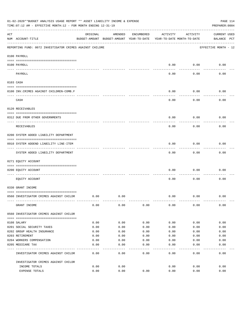|     | 01-02-2020**BUDGET ANALYSIS USAGE REPORT ** ASSET LIABILITY INCOME & EXPENSE<br>TIME: 07:12 AM - EFFECTIVE MONTH: 12 - FOR MONTH ENDING 12-31-19 |          |                                                     |            |                                        |          | PAGE 114<br>PREPARER: 0004         |
|-----|--------------------------------------------------------------------------------------------------------------------------------------------------|----------|-----------------------------------------------------|------------|----------------------------------------|----------|------------------------------------|
| ACT | NUM ACCOUNT-TITLE                                                                                                                                | ORIGINAL | AMENDED<br>BUDGET-AMOUNT BUDGET-AMOUNT YEAR-TO-DATE | ENCUMBERED | ACTIVITY<br>YEAR-TO-DATE MONTH-TO-DATE | ACTIVITY | <b>CURRENT USED</b><br>BALANCE PCT |
|     | REPORTING FUND: 0072 INVESTIGATOR CRIMES AGAINST CHILDRE                                                                                         |          |                                                     |            |                                        |          | EFFECTIVE MONTH - 12               |
|     | 0100 PAYROLL                                                                                                                                     |          |                                                     |            |                                        |          |                                    |
|     | 0100 PAYROLL<br>---- ----                                                                                                                        |          |                                                     |            | 0.00                                   | 0.00     | 0.00                               |
|     | PAYROLL                                                                                                                                          |          |                                                     |            | 0.00                                   | 0.00     | 0.00                               |
|     | 0103 CASH                                                                                                                                        |          |                                                     |            |                                        |          |                                    |
|     | 0100 INV. CRIMES AGAINST CHILDREN-COMB.F                                                                                                         |          |                                                     |            | 0.00                                   | 0.00     | 0.00                               |
|     | CASH                                                                                                                                             |          |                                                     |            | 0.00                                   | 0.00     | 0.00                               |
|     | 0120 RECEIVABLES                                                                                                                                 |          |                                                     |            |                                        |          |                                    |
|     | 0312 DUE FROM OTHER GOVERNMENTS                                                                                                                  |          |                                                     |            | 0.00                                   | 0.00     | 0.00                               |
|     | RECEIVABLES                                                                                                                                      |          |                                                     |            | 0.00                                   | 0.00     | 0.00                               |
|     | 0200 SYSTEM ADDED LIABILITY DEPARTMENT                                                                                                           |          |                                                     |            |                                        |          |                                    |
|     | 0910 SYSTEM ADDEND LIABILITY LINE-ITEM                                                                                                           |          |                                                     |            | 0.00                                   | 0.00     | 0.00                               |
|     | SYSTEM ADDED LIABILITY DEPARTMENT                                                                                                                |          |                                                     |            | 0.00                                   | 0.00     | 0.00                               |
|     | 0271 EQUITY ACCOUNT                                                                                                                              |          |                                                     |            |                                        |          |                                    |
|     | 0200 EQUITY ACCOUNT                                                                                                                              |          |                                                     |            | 0.00                                   | 0.00     | 0.00                               |
|     | EQUITY ACCOUNT                                                                                                                                   |          |                                                     |            | 0.00                                   | 0.00     | 0.00                               |
|     | 0330 GRANT INCOME                                                                                                                                |          |                                                     |            |                                        |          |                                    |
|     | 0560 INVESTIGATOR CRIMES AGAINST CHILDR                                                                                                          | 0.00     | 0.00                                                |            | 0.00                                   | 0.00     | 0.00                               |
|     | GRANT INCOME                                                                                                                                     | 0.00     | 0.00                                                | 0.00       | 0.00                                   | 0.00     | 0.00                               |
|     | 0560 INVESTIGATOR CRIMES AGAINST CHILDR                                                                                                          |          |                                                     |            |                                        |          |                                    |
|     | 0108 SALARY                                                                                                                                      | 0.00     | 0.00                                                | 0.00       | 0.00                                   | 0.00     | 0.00                               |
|     | 0201 SOCIAL SECURITY TAXES                                                                                                                       | 0.00     | 0.00                                                | 0.00       | 0.00                                   | 0.00     | 0.00                               |
|     | 0202 GROUP HEALTH INSURANCE                                                                                                                      | 0.00     | 0.00                                                | 0.00       | 0.00                                   | 0.00     | 0.00                               |
|     | 0203 RETIREMENT                                                                                                                                  | 0.00     | 0.00                                                | 0.00       | 0.00                                   | 0.00     | 0.00                               |
|     | 0204 WORKERS COMPENSATION                                                                                                                        | 0.00     | 0.00                                                | 0.00       | 0.00                                   | 0.00     | 0.00                               |
|     | 0205 MEDICARE TAX                                                                                                                                | 0.00     | 0.00                                                | 0.00       | 0.00                                   | 0.00     | 0.00                               |
|     | INVESTIGATOR CRIMES AGAINST CHILDR                                                                                                               | 0.00     | 0.00                                                | 0.00       | 0.00                                   | 0.00     | 0.00                               |
|     | INVESTIGATOR CRIMES AGAINST CHILDR                                                                                                               |          |                                                     |            |                                        |          |                                    |
|     | INCOME TOTALS                                                                                                                                    | 0.00     | 0.00                                                |            | 0.00                                   | 0.00     | 0.00                               |
|     | EXPENSE TOTALS                                                                                                                                   | 0.00     | 0.00                                                | 0.00       | 0.00                                   | 0.00     | 0.00                               |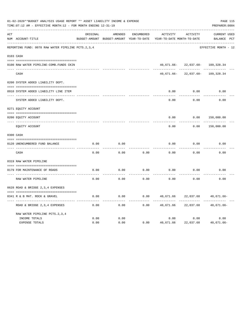|     | 01-02-2020**BUDGET ANALYSIS USAGE REPORT ** ASSET LIABILITY INCOME & EXPENSE<br>TIME: 07:12 AM - EFFECTIVE MONTH: 12 - FOR MONTH ENDING 12-31-19 |              |                                                     |                   |                                        |                                | PAGE 115<br>PREPARER: 0004         |  |
|-----|--------------------------------------------------------------------------------------------------------------------------------------------------|--------------|-----------------------------------------------------|-------------------|----------------------------------------|--------------------------------|------------------------------------|--|
| ACT | NUM ACCOUNT-TITLE                                                                                                                                | ORIGINAL     | AMENDED<br>BUDGET-AMOUNT BUDGET-AMOUNT YEAR-TO-DATE | <b>ENCUMBERED</b> | ACTIVITY<br>YEAR-TO-DATE MONTH-TO-DATE | ACTIVITY                       | <b>CURRENT USED</b><br>BALANCE PCT |  |
|     | REPORTING FUND: 0078 RAW WATER PIPELINE PCTS.2,3,4                                                                                               |              |                                                     |                   |                                        |                                | EFFECTIVE MONTH - 12               |  |
|     | 0103 CASH                                                                                                                                        |              |                                                     |                   |                                        |                                |                                    |  |
|     | 0100 RAW WATER PIPELINE-COMB.FUNDS CKIN                                                                                                          |              |                                                     |                   |                                        | 40,671.66-22,037.68-109,328.34 |                                    |  |
|     | CASH                                                                                                                                             |              |                                                     |                   | 40,671.66-                             | 22,037.68-                     | 109,328.34                         |  |
|     | 0200 SYSTEM ADDED LIABILITY DEPT.                                                                                                                |              |                                                     |                   |                                        |                                |                                    |  |
|     | 0910 SYSTEM ADDED LIABILITY LINE ITEM                                                                                                            |              |                                                     |                   | 0.00                                   | 0.00                           | 0.00                               |  |
|     | SYSTEM ADDED LIABILITY DEPT.                                                                                                                     |              |                                                     |                   | 0.00                                   | 0.00                           | 0.00                               |  |
|     | 0271 EQUITY ACCOUNT                                                                                                                              |              |                                                     |                   |                                        |                                |                                    |  |
|     | 0200 EQUITY ACCOUNT                                                                                                                              |              |                                                     |                   | 0.00                                   | 0.00                           | 150,000.00                         |  |
|     | ---- -----------<br>EQUITY ACCOUNT                                                                                                               |              |                                                     |                   | 0.00                                   | 0.00                           | 150,000.00                         |  |
|     | 0300 CASH                                                                                                                                        |              |                                                     |                   |                                        |                                |                                    |  |
|     | 0120 UNENCUMBERED FUND BALANCE                                                                                                                   | 0.00         | 0.00                                                |                   | 0.00                                   | 0.00                           | 0.00                               |  |
|     | CASH                                                                                                                                             | 0.00         | 0.00                                                | 0.00              | 0.00                                   | 0.00                           | 0.00                               |  |
|     | 0319 RAW WATER PIPELINE                                                                                                                          |              |                                                     |                   |                                        |                                |                                    |  |
|     | 0179 FOR MAINTENANCE OF ROADS                                                                                                                    | 0.00         | 0.00                                                | 0.00              | 0.00                                   | 0.00                           | 0.00                               |  |
|     | RAW WATER PIPELINE                                                                                                                               | 0.00         | 0.00                                                | 0.00              | 0.00                                   | 0.00                           | 0.00                               |  |
|     | 0628 ROAD & BRIDGE 2,3,4 EXPENSES                                                                                                                |              |                                                     |                   |                                        |                                |                                    |  |
|     | 0341 R & B MAT. ROCK & GRAVEL                                                                                                                    | 0.00         | 0.00                                                | 0.00              | 40,671.66                              | 22,037.68                      | $40,671.66 -$                      |  |
|     | ROAD & BRIDGE 2, 3, 4 EXPENSES                                                                                                                   | 0.00         | 0.00                                                | 0.00              | 40,671.66                              | 22,037.68                      | $40,671.66 -$                      |  |
|     | RAW WATER PIPELINE PCTS. 2, 3, 4                                                                                                                 |              |                                                     |                   |                                        |                                |                                    |  |
|     | INCOME TOTALS<br><b>EXPENSE TOTALS</b>                                                                                                           | 0.00<br>0.00 | 0.00<br>0.00                                        | 0.00              | 0.00<br>40,671.66                      | 0.00<br>22,037.68              | 0.00<br>40,671.66-                 |  |
|     |                                                                                                                                                  |              |                                                     |                   |                                        |                                |                                    |  |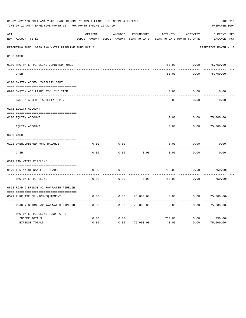|     | 01-02-2020**BUDGET ANALYSIS USAGE REPORT ** ASSET LIABILITY INCOME & EXPENSE<br>TIME: 07:12 AM - EFFECTIVE MONTH: 12 - FOR MONTH ENDING 12-31-19 |          |                                                     |                   |          |                                        | PAGE 116<br>PREPARER: 0004         |
|-----|--------------------------------------------------------------------------------------------------------------------------------------------------|----------|-----------------------------------------------------|-------------------|----------|----------------------------------------|------------------------------------|
| ACT | NUM ACCOUNT-TITLE                                                                                                                                | ORIGINAL | AMENDED<br>BUDGET-AMOUNT BUDGET-AMOUNT YEAR-TO-DATE | <b>ENCUMBERED</b> | ACTIVITY | ACTIVITY<br>YEAR-TO-DATE MONTH-TO-DATE | <b>CURRENT USED</b><br>BALANCE PCT |
|     | REPORTING FUND: 0079 RAW WATER PIPELINE FUND PCT 2                                                                                               |          |                                                     |                   |          |                                        | EFFECTIVE MONTH - 12               |
|     | 0103 CASH                                                                                                                                        |          |                                                     |                   |          |                                        |                                    |
|     | 0100 RAW WATER PIPELINE-COMBINED FUNDS                                                                                                           |          |                                                     |                   | 750.00   | 0.00                                   | 75,750.00                          |
|     | CASH                                                                                                                                             |          |                                                     |                   | 750.00   | 0.00                                   | 75,750.00                          |
|     | 0200 SYSTEM ADDED LIABILITY DEPT.                                                                                                                |          |                                                     |                   |          |                                        |                                    |
|     | 0910 SYSTEM ADD LIABILITY LINE ITEM                                                                                                              |          |                                                     |                   | 0.00     | 0.00                                   | 0.00                               |
|     | SYSTEM ADDED LIABILITY DEPT.                                                                                                                     |          |                                                     |                   | 0.00     | 0.00                                   | 0.00                               |
|     | 0271 EQUITY ACCOUNT                                                                                                                              |          |                                                     |                   |          |                                        |                                    |
|     | 0200 EQUITY ACCOUNT                                                                                                                              |          |                                                     |                   | 0.00     | 0.00                                   | 75,000.00                          |
|     | ---- ------------<br>EQUITY ACCOUNT                                                                                                              |          |                                                     |                   | 0.00     | 0.00                                   | 75,000.00                          |
|     | 0300 CASH                                                                                                                                        |          |                                                     |                   |          |                                        |                                    |
|     |                                                                                                                                                  | 0.00     | 0.00                                                |                   | 0.00     | 0.00                                   | 0.00                               |
|     | 0122 UNENCUMBERED FUND BALANCE                                                                                                                   |          |                                                     |                   |          |                                        |                                    |
|     | CASH                                                                                                                                             | 0.00     | 0.00                                                | 0.00              | 0.00     | 0.00                                   | 0.00                               |
|     | 0319 RAW WATER PIPELINE                                                                                                                          |          |                                                     |                   |          |                                        |                                    |
|     | 0179 FOR MAINTENANCE OF ROADS                                                                                                                    | 0.00     | 0.00                                                |                   | 750.00   | 0.00                                   | $750.00+$                          |
|     | RAW WATER PIPELINE                                                                                                                               | 0.00     | 0.00                                                | 0.00              | 750.00   | 0.00                                   | $750.00+$                          |
|     | 0622 ROAD & BRIDGE #2 RAW WATER PIPELIN                                                                                                          |          |                                                     |                   |          |                                        |                                    |
|     |                                                                                                                                                  |          |                                                     |                   |          |                                        |                                    |
|     | 0571 PURCHASE OF MACH/EOUIPMENT                                                                                                                  | 0.00     | 0.00                                                | 75,000.00         | 0.00     | 0.00                                   | $75,000.00 -$                      |
|     | ROAD & BRIDGE #2 RAW WATER PIPELIN                                                                                                               | 0.00     | 0.00                                                | 75,000.00         | 0.00     | 0.00                                   | $75,000.00-$                       |
|     | RAW WATER PIPELINE FUND PCT 2                                                                                                                    |          |                                                     |                   |          |                                        |                                    |
|     | INCOME TOTALS                                                                                                                                    | 0.00     | 0.00                                                |                   | 750.00   | 0.00                                   | $750.00+$                          |
|     | <b>EXPENSE TOTALS</b>                                                                                                                            | 0.00     | 0.00                                                | 75,000.00         | 0.00     | 0.00                                   | $75,000.00 -$                      |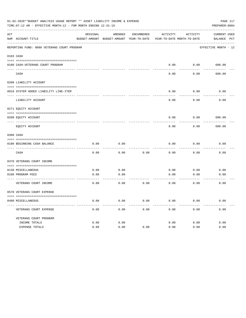|     | 01-02-2020**BUDGET ANALYSIS USAGE REPORT ** ASSET LIABILITY INCOME & EXPENSE<br>TIME: 07:12 AM - EFFECTIVE MONTH: 12 - FOR MONTH ENDING 12-31-19 |                                                                     |                 |            |          |          | PAGE 117<br>PREPARER: 0004 |
|-----|--------------------------------------------------------------------------------------------------------------------------------------------------|---------------------------------------------------------------------|-----------------|------------|----------|----------|----------------------------|
| ACT |                                                                                                                                                  | ORIGINAL                                                            | AMENDED         | ENCUMBERED | ACTIVITY | ACTIVITY | CURRENT USED               |
|     | NUM ACCOUNT-TITLE                                                                                                                                | BUDGET-AMOUNT BUDGET-AMOUNT YEAR-TO-DATE YEAR-TO-DATE MONTH-TO-DATE |                 |            |          |          | BALANCE PCT                |
|     | REPORTING FUND: 0080 VETERANS COURT PROGRAM                                                                                                      |                                                                     |                 |            |          |          | EFFECTIVE MONTH - 12       |
|     | 0103 CASH                                                                                                                                        |                                                                     |                 |            |          |          |                            |
|     | 0180 CASH-VETERANS COURT PROGRAM                                                                                                                 |                                                                     |                 |            | 0.00     |          | $0.00$ 600.00              |
|     | CASH                                                                                                                                             |                                                                     |                 |            | 0.00     | 0.00     | 600.00                     |
|     | 0200 LIABILITY ACCOUNT                                                                                                                           |                                                                     |                 |            |          |          |                            |
|     | 0910 SYSTEM ADDED LIABILITY LINE-ITEM                                                                                                            |                                                                     |                 |            | 0.00     | 0.00     | 0.00                       |
|     | LIABILITY ACCOUNT                                                                                                                                |                                                                     |                 |            | 0.00     | 0.00     | 0.00                       |
|     | 0271 EQUITY ACCOUNT                                                                                                                              |                                                                     |                 |            |          |          |                            |
|     | 0200 EQUITY ACCOUNT                                                                                                                              |                                                                     |                 |            | 0.00     | 0.00     | 600.00                     |
|     | EQUITY ACCOUNT                                                                                                                                   |                                                                     |                 |            | 0.00     | 0.00     | 600.00                     |
|     | 0300 CASH                                                                                                                                        |                                                                     |                 |            |          |          |                            |
|     | 0180 BEGINNING CASH BALANCE                                                                                                                      | 0.00                                                                | 0.00            |            | 0.00     | 0.00     | 0.00                       |
|     | CASH                                                                                                                                             | 0.00                                                                | 0.00            | 0.00       | 0.00     | 0.00     | 0.00                       |
|     | 0370 VETERANS COURT INCOME                                                                                                                       |                                                                     |                 |            |          |          |                            |
|     | 0130 MISCELLANEOUS                                                                                                                               | 0.00                                                                | 0.00            |            | 0.00     | 0.00     | 0.00                       |
|     | 0180 PROGRAM FEES<br>------------------------ -----                                                                                              | 0.00                                                                | 0.00<br>------- |            | 0.00     | 0.00     | 0.00                       |
|     | VETERANS COURT INCOME                                                                                                                            | 0.00                                                                | 0.00            | 0.00       | 0.00     | 0.00     | 0.00                       |
|     | 0570 VETERANS COURT EXPENSE                                                                                                                      |                                                                     |                 |            |          |          |                            |
|     | 0490 MISCELLANEOUS                                                                                                                               | 0.00                                                                | 0.00            | 0.00       | 0.00     | 0.00     | 0.00                       |
|     | VETERANS COURT EXPENSE                                                                                                                           | 0.00                                                                | 0.00            | 0.00       | 0.00     | 0.00     | 0.00                       |
|     | VETERANS COURT PROGRAM                                                                                                                           |                                                                     |                 |            |          |          |                            |
|     | INCOME TOTALS                                                                                                                                    | 0.00                                                                | 0.00            |            | 0.00     | 0.00     | 0.00                       |
|     | EXPENSE TOTALS                                                                                                                                   | 0.00                                                                | 0.00            | 0.00       | 0.00     | 0.00     | 0.00                       |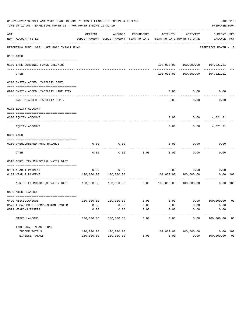|     | 01-02-2020**BUDGET ANALYSIS USAGE REPORT ** ASSET LIABILITY INCOME & EXPENSE<br>TIME: 07:12 AM - EFFECTIVE MONTH: 12 - FOR MONTH ENDING 12-31-19 |                    |                                                     |                   |                           |                                        | PREPARER: 0004                   | PAGE 118 |
|-----|--------------------------------------------------------------------------------------------------------------------------------------------------|--------------------|-----------------------------------------------------|-------------------|---------------------------|----------------------------------------|----------------------------------|----------|
| ACT | NUM ACCOUNT-TITLE                                                                                                                                | ORIGINAL           | AMENDED<br>BUDGET-AMOUNT BUDGET-AMOUNT YEAR-TO-DATE | ENCUMBERED        | ACTIVITY                  | ACTIVITY<br>YEAR-TO-DATE MONTH-TO-DATE | CURRENT USED<br>BALANCE PCT      |          |
|     | REPORTING FUND: 0081 LAKE ROAD IMPACT FUND                                                                                                       |                    |                                                     |                   |                           |                                        | EFFECTIVE MONTH - 12             |          |
|     | 0103 CASH                                                                                                                                        |                    |                                                     |                   |                           |                                        |                                  |          |
|     |                                                                                                                                                  |                    |                                                     |                   |                           |                                        |                                  |          |
|     | 0100 LAKE-COMBINED FUNDS CHECKING                                                                                                                |                    |                                                     |                   |                           |                                        | 100,000.00 100,000.00 104,021.21 |          |
|     | CASH                                                                                                                                             |                    |                                                     |                   |                           |                                        | 100,000.00 100,000.00 104,021.21 |          |
|     | 0200 SYSTEM ADDED LIABILITY DEPT.                                                                                                                |                    |                                                     |                   |                           |                                        |                                  |          |
|     |                                                                                                                                                  |                    |                                                     |                   |                           |                                        |                                  |          |
|     | 0910 SYSTEM ADDED LIABILITY LINE ITEM                                                                                                            |                    |                                                     |                   | 0.00                      | 0.00                                   | 0.00                             |          |
|     | SYSTEM ADDED LIABILITY DEPT.                                                                                                                     |                    |                                                     |                   | 0.00                      | 0.00                                   | 0.00                             |          |
|     | 0271 EQUITY ACCOUNT                                                                                                                              |                    |                                                     |                   |                           |                                        |                                  |          |
|     |                                                                                                                                                  |                    |                                                     |                   |                           |                                        |                                  |          |
|     | 0200 EQUITY ACCOUNT                                                                                                                              |                    |                                                     |                   |                           |                                        | $0.00$ $0.00$ $4,021.21$         |          |
|     | EQUITY ACCOUNT                                                                                                                                   |                    |                                                     |                   | 0.00                      | 0.00                                   | 4,021.21                         |          |
|     | 0300 CASH                                                                                                                                        |                    |                                                     |                   |                           |                                        |                                  |          |
|     | 0110 UNENCUMBERED FUND BALANCE                                                                                                                   | 0.00               | 0.00                                                |                   | 0.00                      | 0.00                                   | 0.00                             |          |
|     | CASH                                                                                                                                             | 0.00               | 0.00                                                | 0.00              | 0.00                      | 0.00                                   | 0.00                             |          |
|     | 0318 NORTH TEX MUNICIPAL WATER DIST                                                                                                              |                    |                                                     |                   |                           |                                        |                                  |          |
|     |                                                                                                                                                  |                    |                                                     |                   |                           |                                        |                                  |          |
|     | 0181 YEAR 1 PAYMENT                                                                                                                              | 0.00               | 0.00                                                |                   |                           | $0.00$ 0.00                            | 0.00                             |          |
|     | 0182 YEAR 2 PAYMENT                                                                                                                              |                    |                                                     |                   | $100,000.00$ $100,000.00$ | ------------                           | __________                       | 0.00 100 |
|     | NORTH TEX MUNICIPAL WATER DIST 100,000.00                                                                                                        |                    | 100,000.00 0.00                                     |                   | 100,000.00                | 100,000.00                             |                                  | 0.00 100 |
|     | 0590 MISCELLANEOUS                                                                                                                               |                    |                                                     |                   |                           |                                        |                                  |          |
|     |                                                                                                                                                  |                    |                                                     |                   |                           |                                        |                                  |          |
|     | 0490 MISCELLANEOUS                                                                                                                               | 100,000.00         | 100,000.00                                          | 0.00              | 0.00                      | 0.00                                   | 100,000.00                       | 00       |
|     | 0576 LUCAS CHEST COMPRESSION SYSTEM                                                                                                              | 0.00               | 0.00                                                | 0.00              | 0.00                      | 0.00                                   | 0.00                             |          |
|     | 0579 WEAPONS/TASERS                                                                                                                              | 0.00<br>---------- | 0.00                                                | 0.00<br>$- - - -$ | 0.00                      | 0.00                                   | 0.00<br>----------               |          |
|     | MISCELLANEOUS                                                                                                                                    | 100,000.00         | 100,000.00                                          | 0.00              | 0.00                      | 0.00                                   | 100,000.00 00                    |          |
|     | LAKE ROAD IMPACT FUND                                                                                                                            |                    |                                                     |                   |                           |                                        |                                  |          |
|     | INCOME TOTALS                                                                                                                                    | 100,000.00         | 100,000.00                                          |                   | 100,000.00                | 100,000.00                             |                                  | 0.00 100 |
|     | EXPENSE TOTALS                                                                                                                                   | 100,000.00         | 100,000.00                                          | 0.00              | 0.00                      | 0.00                                   | 100,000.00 00                    |          |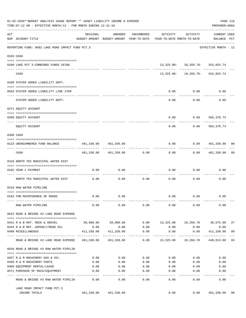|     | 01-02-2020**BUDGET ANALYSIS USAGE REPORT ** ASSET LIABILITY INCOME & EXPENSE<br>TIME: 07:12 AM - EFFECTIVE MONTH: 12 - FOR MONTH ENDING 12-31-19 |                                               |                                                     |                       |                                        |                                       | PREPARER: 0004              | PAGE 119       |
|-----|--------------------------------------------------------------------------------------------------------------------------------------------------|-----------------------------------------------|-----------------------------------------------------|-----------------------|----------------------------------------|---------------------------------------|-----------------------------|----------------|
| ACT | NUM ACCOUNT-TITLE                                                                                                                                | ORIGINAL                                      | AMENDED<br>BUDGET-AMOUNT BUDGET-AMOUNT YEAR-TO-DATE | ENCUMBERED            | ACTIVITY<br>YEAR-TO-DATE MONTH-TO-DATE | ACTIVITY                              | CURRENT USED<br>BALANCE PCT |                |
|     | REPORTING FUND: 0082 LAKE ROAD IMPACT FUND PCT.3                                                                                                 |                                               |                                                     |                       |                                        |                                       | EFFECTIVE MONTH - 12        |                |
|     | 0103 CASH                                                                                                                                        |                                               |                                                     |                       |                                        |                                       |                             |                |
|     |                                                                                                                                                  |                                               |                                                     |                       |                                        | 13, 325.00 - 10, 359.70 - 552, 053.74 |                             |                |
|     | 0100 LAKE PCT 3-COMBINED FUNDS CKING                                                                                                             |                                               |                                                     |                       |                                        | -------- ------------ --------        |                             |                |
|     | CASH                                                                                                                                             |                                               |                                                     |                       |                                        | 13, 325.00 - 10, 359.70 - 552, 053.74 |                             |                |
|     | 0200 SYSTEM ADDED LIABILITY DEPT.                                                                                                                |                                               |                                                     |                       |                                        |                                       |                             |                |
|     | 0910 SYSTEM ADDED LIABILITY LINE ITEM                                                                                                            |                                               |                                                     |                       | 0.00                                   | 0.00                                  | 0.00                        |                |
|     | SYSTEM ADDED LIABILITY DEPT.                                                                                                                     |                                               |                                                     |                       | 0.00                                   | 0.00                                  | 0.00                        |                |
|     | 0271 EQUITY ACCOUNT                                                                                                                              |                                               |                                                     |                       |                                        |                                       |                             |                |
|     |                                                                                                                                                  |                                               |                                                     |                       |                                        |                                       |                             |                |
|     | 0200 EQUITY ACCOUNT<br>---- ----------                                                                                                           |                                               |                                                     |                       | 0.00                                   | $0.00$ 565,378.74                     | ---------                   |                |
|     | EOUITY ACCOUNT                                                                                                                                   |                                               |                                                     |                       | 0.00                                   | 0.00                                  | 565,378.74                  |                |
|     | 0300 CASH                                                                                                                                        |                                               |                                                     |                       |                                        |                                       |                             |                |
|     | 0123 UNENCUMBERED FUND BALANCE                                                                                                                   | 461,338.00                                    | 461,338.00                                          |                       | 0.00                                   | 0.0000461,338.00                      |                             | 00             |
|     | CASH                                                                                                                                             | --------------                                | 461,338.00 461,338.00                               | 0.00                  | 0.00                                   | ---------                             | $0.00$ $461,338.00$         | 00             |
|     | 0318 NORTH TEX MUNICIPAL WATER DIST                                                                                                              |                                               |                                                     |                       |                                        |                                       |                             |                |
|     | 0182 YEAR 1 PAYMENT                                                                                                                              | 0.00                                          | 0.00                                                |                       | 0.00                                   | 0.00                                  | 0.00                        |                |
|     |                                                                                                                                                  |                                               |                                                     |                       |                                        |                                       |                             |                |
|     | NORTH TEX MUNICIPAL WATER DIST                                                                                                                   | 0.00                                          | 0.00                                                | 0.00                  | 0.00                                   | 0.00                                  | 0.00                        |                |
|     | 0319 RAW WATER PIPELINE                                                                                                                          |                                               |                                                     |                       |                                        |                                       |                             |                |
|     | 0182 FOR MAINTENANCE OF ROADS                                                                                                                    | 0.00                                          | 0.00                                                |                       |                                        | $0.00$ $0.00$                         | 0.00                        |                |
|     | RAW WATER PIPELINE                                                                                                                               | 0.00                                          | 0.00                                                | 0.00                  | 0.00                                   | 0.00                                  | 0.00                        |                |
|     | 0623 ROAD & BRIDGE #3 LAKE ROAD EXPENSE                                                                                                          |                                               |                                                     |                       |                                        |                                       |                             |                |
|     | 0341 R & B MAT. ROCK & GRAVEL                                                                                                                    |                                               | 50,000.00 50,000.00                                 | 0.00                  |                                        | 13,325.00    10,359.70    36,675.00   |                             | 27             |
|     | 0344 R & B MAT. ASPHALT/ROAD OIL                                                                                                                 | 0.00                                          | 0.00                                                | 0.00                  | 0.00                                   | 0.00                                  | 0.00                        |                |
|     | 0490 MISCELLANEOUS                                                                                                                               | 411,338.00<br>--- ------------- ------------- | 411,338.00                                          | 0.00<br>$- - - - - -$ | 0.00                                   | 0.00<br>----------                    | 411,338.00<br>-----------   | 0 <sub>0</sub> |
|     | ROAD & BRIDGE #3 LAKE ROAD EXPENSE                                                                                                               |                                               | 461,338.00 461,338.00                               |                       | $0.00$ 13,325.00 10,359.70 448,013.00  |                                       |                             | 03             |
|     | 0626 ROAD & BRIDGE #3 RAW WATER PIPELIN                                                                                                          |                                               |                                                     |                       |                                        |                                       |                             |                |
|     | 0457 R & M MACHINERY GAS & OIL                                                                                                                   | 0.00                                          | 0.00                                                |                       | $0.00$ 0.00                            | 0.00                                  | 0.00                        |                |
|     | 0458 R & M MACHINERY PARTS                                                                                                                       | 0.00                                          | 0.00                                                | 0.00                  | 0.00                                   | 0.00                                  | 0.00                        |                |
|     | 0460 EQUIPMENT RENTAL/LEASE                                                                                                                      | 0.00                                          | 0.00                                                | 0.00                  | 0.00                                   | 0.00                                  | 0.00                        |                |
|     | 0571 PURCHASE OF MACH/EQUIPMENT                                                                                                                  | 0.00                                          | 0.00                                                | 0.00                  | 0.00                                   | 0.00                                  | 0.00                        |                |
|     | ROAD & BRIDGE #3 RAW WATER PIPELIN                                                                                                               | 0.00                                          | $- - - -$<br>0.00                                   | $- - - - -$<br>0.00   | -----<br>0.00                          | 0.00                                  | 0.00                        |                |
|     | LAKE ROAD IMPACT FUND PCT.3                                                                                                                      |                                               |                                                     |                       |                                        |                                       |                             |                |
|     | INCOME TOTALS                                                                                                                                    |                                               | 461,338.00 461,338.00                               |                       | 0.00                                   |                                       | 0.00 461,338.00             | 00             |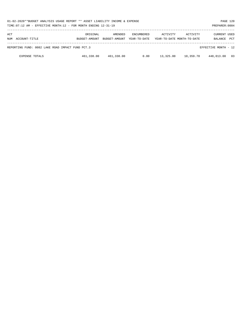| 01-02-2020**BUDGET ANALYSIS USAGE REPORT ** ASSET LIABILITY INCOME & EXPENSE<br>PAGE 120<br>TIME: 07:12 AM - EFFECTIVE MONTH: 12 - FOR MONTH ENDING 12-31-19<br>PREPARER: 0004 |                           |                          |                                   |           |                                        |                                |            |  |
|--------------------------------------------------------------------------------------------------------------------------------------------------------------------------------|---------------------------|--------------------------|-----------------------------------|-----------|----------------------------------------|--------------------------------|------------|--|
| ACT<br>NUM ACCOUNT-TITLE                                                                                                                                                       | ORIGINAL<br>BUDGET-AMOUNT | AMENDED<br>BUDGET-AMOUNT | <b>ENCUMBERED</b><br>YEAR-TO-DATE | ACTIVITY  | ACTIVITY<br>YEAR-TO-DATE MONTH-TO-DATE | <b>CURRENT USED</b><br>BALANCE | <b>PCT</b> |  |
| REPORTING FUND: 0082 LAKE ROAD IMPACT FUND PCT.3                                                                                                                               |                           |                          |                                   |           |                                        | EFFECTIVE MONTH - 12           |            |  |
| <b>EXPENSE TOTALS</b>                                                                                                                                                          | 461,338.00                | 461,338.00               | 0.00                              | 13,325.00 | 10,359.70                              | 448,013.00                     | 03         |  |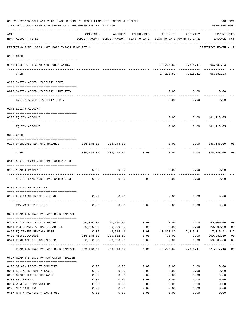|     | 01-02-2020**BUDGET ANALYSIS USAGE REPORT ** ASSET LIABILITY INCOME & EXPENSE<br>TIME: 07:12 AM - EFFECTIVE MONTH: 12 - FOR MONTH ENDING 12-31-19 |                             |                            |            |                                                                                 |                                      | PAGE 121<br>PREPARER: 0004         |                         |
|-----|--------------------------------------------------------------------------------------------------------------------------------------------------|-----------------------------|----------------------------|------------|---------------------------------------------------------------------------------|--------------------------------------|------------------------------------|-------------------------|
| ACT | NUM ACCOUNT-TITLE                                                                                                                                | ORIGINAL                    | AMENDED                    | ENCUMBERED | ACTIVITY<br>BUDGET-AMOUNT BUDGET-AMOUNT YEAR-TO-DATE YEAR-TO-DATE MONTH-TO-DATE | ACTIVITY                             | <b>CURRENT USED</b><br>BALANCE PCT |                         |
|     | REPORTING FUND: 0083 LAKE ROAD IMPACT FUND PCT.4                                                                                                 |                             |                            |            |                                                                                 |                                      | EFFECTIVE MONTH - 12               |                         |
|     | 0103 CASH                                                                                                                                        |                             |                            |            |                                                                                 |                                      |                                    |                         |
|     | 0100 LAKE PCT 4-COMBINED FUNDS CKING                                                                                                             |                             |                            |            |                                                                                 | 14, 230.82 - 7, 315.41 - 466, 882.23 |                                    |                         |
|     | CASH                                                                                                                                             |                             |                            |            |                                                                                 | $14,230.82 - 7,315.41 - 466,882.23$  |                                    |                         |
|     | 0200 SYSTEM ADDED LIABILITY DEPT.                                                                                                                |                             |                            |            |                                                                                 |                                      |                                    |                         |
|     | 0910 SYSTEM ADDED LIABILITY LINE ITEM                                                                                                            |                             |                            |            | 0.00                                                                            | 0.00                                 | 0.00                               |                         |
|     | SYSTEM ADDED LIABILITY DEPT.                                                                                                                     |                             |                            |            | 0.00                                                                            | 0.00                                 | 0.00                               |                         |
|     | 0271 EQUITY ACCOUNT                                                                                                                              |                             |                            |            |                                                                                 |                                      |                                    |                         |
|     | 0200 EQUITY ACCOUNT                                                                                                                              |                             |                            |            | 0.00                                                                            |                                      | 0.0000481,113.05                   |                         |
|     | EQUITY ACCOUNT                                                                                                                                   |                             |                            |            | -----<br>0.00                                                                   | ---------<br>0.00                    | ------------<br>481,113.05         |                         |
|     | 0300 CASH                                                                                                                                        |                             |                            |            |                                                                                 |                                      |                                    |                         |
|     | 0124 UNENCUMBERED FUND BALANCE                                                                                                                   | 336,148.00<br>------------- | 336,148.00                 |            | 0.00                                                                            |                                      | $0.00$ 336,148.00                  | 00                      |
|     | CASH                                                                                                                                             |                             | 336,148.00 336,148.00      | 0.00       | 0.00                                                                            |                                      | $0.00$ 336,148.00                  | 0 <sub>0</sub>          |
|     | 0318 NORTH TEXAS MUNICIPAL WATER DIST                                                                                                            |                             |                            |            |                                                                                 |                                      |                                    |                         |
|     | 0183 YEAR 1 PAYMENT                                                                                                                              | 0.00                        | 0.00                       | ---------  | 0.00                                                                            | 0.00                                 | 0.00                               |                         |
|     | NORTH TEXAS MUNICIPAL WATER DIST                                                                                                                 | 0.00                        | 0.00                       | 0.00       | 0.00                                                                            | 0.00                                 | 0.00                               |                         |
|     | 0319 RAW WATER PIPELINE                                                                                                                          |                             |                            |            |                                                                                 |                                      |                                    |                         |
|     | 0183 FOR MAINTENANCE OF ROADS                                                                                                                    | 0.00                        | 0.00                       |            |                                                                                 | $0.00$ $0.00$                        | 0.00                               |                         |
|     | RAW WATER PIPELINE                                                                                                                               | 0.00                        | 0.00                       | 0.00       | 0.00                                                                            | 0.00                                 | 0.00                               |                         |
|     | 0624 ROAD & BRIDGE #4 LAKE ROAD EXPENSE                                                                                                          |                             |                            |            |                                                                                 |                                      |                                    |                         |
|     | 0341 R & B MAT. ROCK & GRAVEL                                                                                                                    | 50,000.00                   | 50,000.00                  | 0.00       | 0.00                                                                            | 0.00                                 | 50,000.00                          | 0 <sub>0</sub>          |
|     | 0344 R & B MAT. ASPHALT/ROAD OIL                                                                                                                 | 20,000.00                   | 20,000.00                  | 0.00       | 0.00                                                                            | 0.00                                 | 20,000.00                          | 00                      |
|     | 0460 EQUIPMENT RENTAL/LEASE                                                                                                                      | 0.00                        | 6,515.41                   |            | $0.00$ $13,830.82$ $7,315.41$                                                   |                                      | 7,315.41- 212                      |                         |
|     | 0490 MISCELLANEOUS                                                                                                                               |                             | 216,148.00 209,632.59 0.00 |            | 400.00                                                                          |                                      | 0.00000209,232.59                  | 0 <sub>0</sub>          |
|     | 0571 PURCHASE OF MACH./EQUIP.                                                                                                                    |                             | 50,000.00 50,000.00        | 0.00       | 0.00<br>-------------                                                           | 0.00<br>------------                 | 50,000.00                          | 0 <sub>0</sub><br>$---$ |
|     | ROAD & BRIDGE #4 LAKE ROAD EXPENSE 336,148.00 336,148.00 0.00 14,230.82 7,315.41 321,917.18 04                                                   |                             |                            |            |                                                                                 |                                      |                                    |                         |
|     | 0627 ROAD & BRIDGE #4 RAW WATER PIPELIN                                                                                                          |                             |                            |            |                                                                                 |                                      |                                    |                         |
|     | 0106 SALARY PRECINCT EMPLOYEE                                                                                                                    | 0.00                        | 0.00                       | 0.00       | 0.00                                                                            | 0.00                                 | 0.00                               |                         |
|     | 0201 SOCIAL SECURITY TAXES                                                                                                                       | 0.00                        | 0.00                       | 0.00       | 0.00                                                                            | 0.00                                 | 0.00                               |                         |
|     | 0202 GROUP HEALTH INSURANCE                                                                                                                      | 0.00                        | 0.00                       | 0.00       | 0.00                                                                            | 0.00                                 | 0.00                               |                         |
|     | 0203 RETIREMENT                                                                                                                                  | 0.00                        | 0.00                       | 0.00       | 0.00                                                                            | 0.00                                 | 0.00                               |                         |
|     | 0204 WORKERS COMPENSATION                                                                                                                        | 0.00                        | 0.00                       | 0.00       | 0.00                                                                            | 0.00                                 | 0.00                               |                         |
|     | 0205 MEDICARE TAX                                                                                                                                | 0.00                        | 0.00                       | 0.00       | 0.00                                                                            | 0.00                                 | 0.00                               |                         |
|     | 0457 R & M MACHINERY GAS & OIL                                                                                                                   | 0.00                        | 0.00                       | 0.00       | 0.00                                                                            | 0.00                                 | 0.00                               |                         |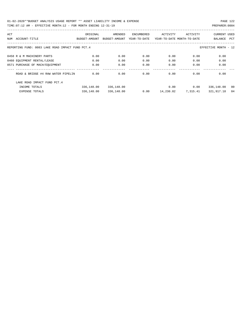| ACT |                                                  | ORIGINAL      | AMENDED       | ENCUMBERED   | ACTIVITY                   | ACTIVITY           | CURRENT USED         |    |
|-----|--------------------------------------------------|---------------|---------------|--------------|----------------------------|--------------------|----------------------|----|
| NUM | ACCOUNT-TITLE                                    | BUDGET-AMOUNT | BUDGET-AMOUNT | YEAR-TO-DATE | YEAR-TO-DATE MONTH-TO-DATE |                    | BALANCE PCT          |    |
|     |                                                  |               |               |              |                            |                    |                      |    |
|     | REPORTING FUND: 0083 LAKE ROAD IMPACT FUND PCT.4 |               |               |              |                            |                    | EFFECTIVE MONTH - 12 |    |
|     | 0458 R & M MACHINERY PARTS                       | 0.00          | 0.00          | 0.00         | 0.00                       | 0.00               | 0.00                 |    |
|     |                                                  |               |               |              |                            |                    |                      |    |
|     | 0460 EQUIPMENT RENTAL/LEASE                      | 0.00          | 0.00          | 0.00         | 0.00                       | 0.00               | 0.00                 |    |
|     | 0571 PURCHASE OF MACH/EQUIPMENT                  | 0.00          | 0.00          | 0.00         | 0.00                       | 0.00               | 0.00                 |    |
|     |                                                  |               |               |              |                            |                    |                      |    |
|     | ROAD & BRIDGE #4 RAW WATER PIPELIN               | 0.00          | 0.00          | 0.00         | 0.00                       | 0.00               | 0.00                 |    |
|     | LAKE ROAD IMPACT FUND PCT. 4                     |               |               |              |                            |                    |                      |    |
|     | INCOME TOTALS                                    | 336,148.00    | 336,148.00    |              | 0.00                       | 0.00               | 336,148.00           | 00 |
|     | <b>EXPENSE TOTALS</b>                            | 336,148.00    | 336,148.00    | 0.00         |                            | 14,230.82 7,315.41 | 321,917.18           | 04 |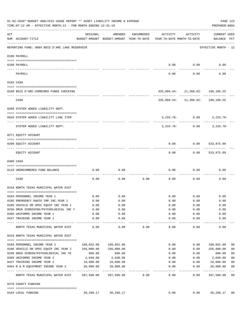|     | 01-02-2020**BUDGET ANALYSIS USAGE REPORT ** ASSET LIABILITY INCOME & EXPENSE<br>PAGE 123<br>TIME: 07:12 AM - EFFECTIVE MONTH: 12 - FOR MONTH ENDING 12-31-19<br>PREPARER: 0004 |            |                                                     |            |                                        |                           |                                   |                |  |  |  |  |
|-----|--------------------------------------------------------------------------------------------------------------------------------------------------------------------------------|------------|-----------------------------------------------------|------------|----------------------------------------|---------------------------|-----------------------------------|----------------|--|--|--|--|
| ACT | NUM ACCOUNT-TITLE                                                                                                                                                              | ORIGINAL   | AMENDED<br>BUDGET-AMOUNT BUDGET-AMOUNT YEAR-TO-DATE | ENCUMBERED | ACTIVITY<br>YEAR-TO-DATE MONTH-TO-DATE | ACTIVITY                  | CURRENT USED<br>BALANCE PCT       |                |  |  |  |  |
|     | REPORTING FUND: 0084 BOIS D'ARC LAKE RESERVOIR                                                                                                                                 |            |                                                     |            |                                        |                           | EFFECTIVE MONTH - 12              |                |  |  |  |  |
|     | 0100 PAYROLL                                                                                                                                                                   |            |                                                     |            |                                        |                           |                                   |                |  |  |  |  |
|     | 0100 PAYROLL                                                                                                                                                                   |            |                                                     |            | 0.00                                   | 0.00                      | 0.00                              |                |  |  |  |  |
|     | PAYROLL                                                                                                                                                                        |            |                                                     |            | 0.00                                   | 0.00                      | 0.00                              |                |  |  |  |  |
|     | 0103 CASH                                                                                                                                                                      |            |                                                     |            |                                        |                           |                                   |                |  |  |  |  |
|     | 0100 BOIS D'ARC-COMBINED FUNDS CHECKING                                                                                                                                        |            |                                                     |            |                                        |                           | 335,868.54- 11,360.02- 198,106.55 |                |  |  |  |  |
|     | CASH                                                                                                                                                                           |            |                                                     |            | ----------- -------------              |                           | 335,868.54- 11,360.02- 198,106.55 |                |  |  |  |  |
|     | 0200 SYSTEM ADDED LIABILITY DEPT.                                                                                                                                              |            |                                                     |            |                                        |                           |                                   |                |  |  |  |  |
|     | 0910 SYSTEM ADDED LIABILITY LINE ITEM                                                                                                                                          |            |                                                     |            |                                        |                           | $3,233.78 - 0.00$ $3,233.78 -$    |                |  |  |  |  |
|     | SYSTEM ADDED LIABILITY DEPT.                                                                                                                                                   |            |                                                     |            | 3,233.78-                              | 0.00                      | 3,233.78-                         |                |  |  |  |  |
|     | 0271 EQUITY ACCOUNT                                                                                                                                                            |            |                                                     |            |                                        |                           |                                   |                |  |  |  |  |
|     | 0200 EQUITY ACCOUNT                                                                                                                                                            |            |                                                     |            | 0.00                                   | 0.00                      | 533,975.09                        |                |  |  |  |  |
|     | EQUITY ACCOUNT                                                                                                                                                                 |            |                                                     |            | 0.00                                   | 0.00                      | 533,975.09                        |                |  |  |  |  |
|     | 0300 CASH                                                                                                                                                                      |            |                                                     |            |                                        |                           |                                   |                |  |  |  |  |
|     | 0110 UNENCUMBERED FUND BALANCE                                                                                                                                                 | 0.00       | 0.00                                                |            | 0.00                                   | 0.00                      | 0.00                              |                |  |  |  |  |
|     | CASH                                                                                                                                                                           | 0.00       | 0.00                                                | 0.00       | 0.00                                   | 0.00                      | 0.00                              |                |  |  |  |  |
|     | 0318 NORTH TEXAS MUNICIPAL WATER DIST                                                                                                                                          |            |                                                     |            |                                        |                           |                                   |                |  |  |  |  |
|     | 0184 PERSONNEL INCOME YEAR 1                                                                                                                                                   | 0.00       | 0.00                                                |            | 0.00                                   | 0.00                      | 0.00                              |                |  |  |  |  |
|     | 0185 EMERGENCY RADIO IMP. INC. YEAR 1                                                                                                                                          | 0.00       | 0.00                                                |            | 0.00                                   | 0.00                      | 0.00                              |                |  |  |  |  |
|     | 0186 VEHICLE OR SPEC EQUIP INC YEAR 1                                                                                                                                          | 0.00       | 0.00                                                |            | 0.00                                   | 0.00                      | 0.00                              |                |  |  |  |  |
|     | 0250 DRUG SCREENING/PSYCHOLOGICAL INC Y                                                                                                                                        | 0.00       | 0.00                                                |            | 0.00                                   | 0.00                      | 0.00                              |                |  |  |  |  |
|     | 0395 UNIFORMS INCOME YEAR 1                                                                                                                                                    | 0.00       | 0.00                                                |            | 0.00                                   | 0.00                      | 0.00                              |                |  |  |  |  |
|     | 0427 TRAINING INCOME YEAR 1                                                                                                                                                    | 0.00       | 0.00                                                |            | 0.00                                   | 0.00                      | 0.00                              |                |  |  |  |  |
|     | NORTH TEXAS MUNICIPAL WATER DIST                                                                                                                                               | 0.00       | ---------<br>0.00                                   | 0.00       | ----------<br>0.00                     | $- - - - - - - -$<br>0.00 | ----------<br>0.00                |                |  |  |  |  |
|     | 0319 NORTH TEXAS MUNICIPAL WATER DIST                                                                                                                                          |            |                                                     |            |                                        |                           |                                   |                |  |  |  |  |
|     | 0184 PERSONNEL INCOME YEAR 2                                                                                                                                                   | 108,852.00 | 108,852.00                                          |            | 0.00                                   | 0.00                      | 108,852.00                        | 00             |  |  |  |  |
|     | 0186 VEHICLE OR SPEC EQUIP INC YEAR 2                                                                                                                                          | 256,000.00 | 256,000.00                                          |            | 0.00                                   | 0.00                      | 256,000.00                        | 0 <sub>0</sub> |  |  |  |  |
|     | 0250 DRUG SCREEN/PSYCHOLOGICAL INC YE                                                                                                                                          | 600.00     | 600.00                                              |            | 0.00                                   | 0.00                      | 600.00                            | 0 <sub>0</sub> |  |  |  |  |
|     | 0395 UNIFORMS INCOME YEAR 2                                                                                                                                                    | 2,048.00   | 2,048.00                                            |            | 0.00                                   | 0.00                      | 2,048.00                          | 0 <sub>0</sub> |  |  |  |  |
|     | 0427 TRAINING INCOME YEAR 2                                                                                                                                                    | 10,000.00  | 10,000.00                                           |            | 0.00                                   | 0.00                      | 10,000.00                         | 0 <sub>0</sub> |  |  |  |  |
|     | 0454 R & M EQUIPMENT INCOME YEAR 2                                                                                                                                             | 20,000.00  | 20,000.00                                           |            | 0.00                                   | 0.00                      | 20,000.00                         | 0 <sub>0</sub> |  |  |  |  |
|     | NORTH TEXAS MUNICIPAL WATER DIST 397,500.00                                                                                                                                    |            | 397,500.00                                          | 0.00       | $-- - - - - - - -$<br>0.00             | --------<br>0.00          | -----------<br>397,500.00         | $- - -$<br>00  |  |  |  |  |
|     | 0370 COUNTY FUNDING                                                                                                                                                            |            |                                                     |            |                                        |                           |                                   |                |  |  |  |  |
|     | 0184 LOCAL FUNDING                                                                                                                                                             | 30,298.17  |                                                     |            | 0.00                                   | 0.00                      |                                   |                |  |  |  |  |
|     |                                                                                                                                                                                |            | 30,298.17                                           |            |                                        |                           | 30,298.17 00                      |                |  |  |  |  |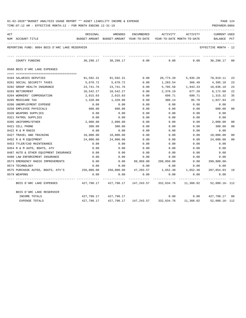| 01-02-2020**BUDGET ANALYSIS USAGE REPORT ** ASSET LIABILITY INCOME & EXPENSE |  |  |  | PAGE 124 |  |
|------------------------------------------------------------------------------|--|--|--|----------|--|
|                                                                              |  |  |  |          |  |

| ACT | NUM ACCOUNT-TITLE                              | ORIGINAL<br>BUDGET-AMOUNT BUDGET-AMOUNT YEAR-TO-DATE YEAR-TO-DATE MONTH-TO-DATE | AMENDED                                     | ENCUMBERED                       | ACTIVITY   | ACTIVITY                     | <b>CURRENT USED</b><br>BALANCE PCT |                |
|-----|------------------------------------------------|---------------------------------------------------------------------------------|---------------------------------------------|----------------------------------|------------|------------------------------|------------------------------------|----------------|
|     | REPORTING FUND: 0084 BOIS D'ARC LAKE RESERVOIR |                                                                                 |                                             |                                  |            |                              | EFFECTIVE MONTH - 12               |                |
|     | COUNTY FUNDING                                 |                                                                                 | 30,298.17 30,298.17                         | 0.00                             | 0.00       | 0.00                         | 30,298.17 00                       |                |
|     | 0560 BOIS D'ARC LAKE EXPENSES                  |                                                                                 |                                             |                                  |            |                              |                                    |                |
|     | 0104 SALARIES DEPUTIES                         |                                                                                 | 91,592.31 91,592.31                         | 0.00                             |            | 20,773.20 5,935.20 70,819.11 |                                    | 23             |
|     | 0201 SOCIAL SECURITY TAXES                     | 5,678.72                                                                        | 5,678.72                                    | 0.00                             | 1,283.54   | 366.48                       | 4,395.18                           | 23             |
|     | 0202 GROUP HEALTH INSURANCE                    | 23,741.76                                                                       | 23,741.76                                   | 0.00                             | 5,705.58   | 1,943.33                     | 18,036.18                          | 24             |
|     | 0203 RETIREMENT                                | 10,542.27                                                                       | 10,542.27                                   | 0.00                             | 2,370.19   | 677.20                       | 8,172.08                           | 22             |
|     | 0204 WORKERS' COMPENSATION                     | 2,015.03                                                                        | 2,015.03                                    | 0.00                             | 699.71     | 699.71                       | 1,315.32                           | 35             |
|     | 0205 MEDICARE TAX                              | 1,328.08                                                                        | 1,328.08                                    | 0.00                             | 300.14     | 85.70                        | 1,027.94                           | 23             |
|     | 0206 UNEMPLOYMENT EXPENSE                      | 0.00                                                                            | 0.00                                        | 0.00                             | 0.00       | 0.00                         | 0.00                               |                |
|     | 0250 EMPLOYEE PHYSICALS                        | 600.00                                                                          | 600.00                                      | 0.00                             | 0.00       | 0.00                         | 600.00                             | 0 <sup>0</sup> |
|     | 0320 WEAPONS SUPPLIES                          | 0.00                                                                            | 0.00                                        | 0.00                             | 0.00       | 0.00                         | 0.00                               |                |
|     | 0321 PATROL SUPPLIES                           | 0.00                                                                            | 0.00                                        | 0.00                             | 0.00       | 0.00                         | 0.00                               |                |
|     | 0395 UNIFORMS/OTHER                            | 2,000.00                                                                        | 2,000.00                                    | 0.00                             | 0.00       | 0.00                         | 2,000.00                           | 0 <sup>0</sup> |
|     | 0421 CELL PHONE                                | 300.00                                                                          | 300.00                                      | 0.00                             | 0.00       | 0.00                         | 300.00                             | 0 <sup>0</sup> |
|     | 0422 R & M RADIO                               | 0.00                                                                            | 0.00                                        | 0.00                             | 0.00       | 0.00                         | 0.00                               |                |
|     | 0427 TRAVEL AND TRAINING                       | 10,000.00                                                                       | 10,000.00                                   | 0.00                             | 0.00       | 0.00                         | 10,000.00                          | 0 <sup>0</sup> |
|     | 0452 R & M EOUIPMENT                           | 24,000.00                                                                       | 24,000.00                                   | 0.00                             | 0.00       | 0.00                         | 24,000.00                          | 00             |
|     | 0453 TYLER/CAD MAINTENANCE                     | 0.00                                                                            | 0.00                                        | 0.00                             | 0.00       | 0.00                         | 0.00                               |                |
|     | 0454 R & M AUTO, BOATS, ATV                    | 0.00                                                                            | 0.00                                        | 0.00                             | 0.00       | 0.00                         | 0.00                               |                |
|     | 0487 AUTO & OTHER EQUIPMENT INSURANCE          | 0.00                                                                            | 0.00                                        | 0.00                             | 0.00       | 0.00                         | 0.00                               |                |
|     | 0488 LAW ENFORCEMENT INSURANCE                 | 0.00                                                                            | 0.00                                        | 0.00                             | 0.00       | 0.00                         | 0.00                               |                |
|     | 0573 EMERGENCY RADIO IMPROVEMENTS              | 0.00                                                                            | 0.00                                        | 99,950.00                        | 299,850.00 | 0.00                         | $399,800.00 -$                     |                |
|     | 0574 TECHNOLOGY                                | 0.00                                                                            | 0.00                                        | 0.00                             | 0.00       | 0.00                         | 0.00                               |                |
|     | 0575 PURCHASE AUTOS, BOATS, ATV'S 256,000.00   |                                                                                 | 256,000.00                                  | 47,293.57                        | 1,652.40   | 1,652.40                     | 207,054.03 19                      |                |
|     | 0579 WEAPONS                                   | 0.00                                                                            | 0.00                                        | 0.00                             | 0.00       | 0.00                         | 0.00                               |                |
|     | BOIS D'ARC LAKE EXPENSES                       |                                                                                 | 427,798.17 427,798.17 147,243.57 332,634.76 |                                  |            | 11,360.02                    | 52,080.16- 112                     |                |
|     | BOIS D'ARC LAKE RESERVOIR                      |                                                                                 |                                             |                                  |            |                              |                                    |                |
|     | INCOME TOTALS                                  |                                                                                 | 427,798.17 427,798.17                       |                                  |            |                              | $0.00$ $0.00$ $427,798.17$ 00      |                |
|     | EXPENSE TOTALS                                 | 427,798.17                                                                      |                                             | 427,798.17 147,243.57 332,634.76 |            | 11,360.02                    | 52,080.16- 112                     |                |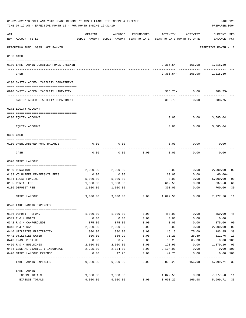|     | 01-02-2020**BUDGET ANALYSIS USAGE REPORT ** ASSET LIABILITY INCOME & EXPENSE<br>TIME: 07:12 AM - EFFECTIVE MONTH: 12 - FOR MONTH ENDING 12-31-19 |          |          |            |                                                                                 |                            | PREPARER: 0004              | PAGE 125       |
|-----|--------------------------------------------------------------------------------------------------------------------------------------------------|----------|----------|------------|---------------------------------------------------------------------------------|----------------------------|-----------------------------|----------------|
| ACT | NUM ACCOUNT-TITLE                                                                                                                                | ORIGINAL | AMENDED  | ENCUMBERED | ACTIVITY<br>BUDGET-AMOUNT BUDGET-AMOUNT YEAR-TO-DATE YEAR-TO-DATE MONTH-TO-DATE | ACTIVITY                   | CURRENT USED<br>BALANCE PCT |                |
|     | REPORTING FUND: 0085 LAKE FANNIN                                                                                                                 |          |          |            |                                                                                 |                            | EFFECTIVE MONTH - 12        |                |
|     | 0103 CASH                                                                                                                                        |          |          |            |                                                                                 |                            |                             |                |
|     | 0100 LAKE FANNIN-COMBINED FUNDS CHECKIN                                                                                                          |          |          |            |                                                                                 | 2,366.54- 166.98- 1,218.50 |                             |                |
|     | CASH                                                                                                                                             |          |          |            |                                                                                 | 2,366.54- 166.98- 1,218.50 |                             |                |
|     | 0200 SYSTEM ADDED LIABILITY DEPARTMENT                                                                                                           |          |          |            |                                                                                 |                            |                             |                |
|     | 0910 SYSTEM ADDED LIABILITY LINE-ITEM                                                                                                            |          |          |            |                                                                                 | $388.75 - 0.00$            | 388.75-                     |                |
|     | SYSTEM ADDED LIABILITY DEPARTMENT                                                                                                                |          |          |            |                                                                                 | $388.75 - 0.00$            | 388.75-                     |                |
|     | 0271 EQUITY ACCOUNT                                                                                                                              |          |          |            |                                                                                 |                            |                             |                |
|     | 0200 EQUITY ACCOUNT                                                                                                                              |          |          |            | 0.00                                                                            | 0.00                       | 3,585.04                    |                |
|     | EQUITY ACCOUNT                                                                                                                                   |          |          |            | 0.00                                                                            | 0.00                       | 3,585.04                    |                |
|     | 0300 CASH                                                                                                                                        |          |          |            |                                                                                 |                            |                             |                |
|     | 0110 UNENCUMBERED FUND BALANCE                                                                                                                   | 0.00     | 0.00     |            | 0.00                                                                            | 0.00                       | 0.00                        |                |
|     | CASH                                                                                                                                             | 0.00     | 0.00     | 0.00       | 0.00                                                                            | 0.00                       | 0.00                        |                |
|     | 0370 MISCELLANEOUS                                                                                                                               |          |          |            |                                                                                 |                            |                             |                |
|     | 0150 DONATIONS                                                                                                                                   | 2,000.00 | 2,000.00 |            | 0.00                                                                            | 0.00                       | 2,000.00                    | 00             |
|     | 0183 VOLUNTEER MEMBERSHIP FEES                                                                                                                   | 0.00     | 0.00     |            | 60.00                                                                           | 0.00                       | $60.00+$                    |                |
|     | 0184 LOCAL FUNDING                                                                                                                               | 5,000.00 | 5,000.00 |            | 0.00                                                                            | 0.00                       | 5,000.00                    | 0 <sub>0</sub> |
|     | 0185 RENTAL FEE                                                                                                                                  | 1,000.00 | 1,000.00 |            | 662.50                                                                          | 0.00                       | 337.50                      | 66             |
|     | 0186 DEPOSIT FEE                                                                                                                                 | 1,000.00 | 1,000.00 |            | 300.00                                                                          | 0.00                       | 700.00                      | 30             |
|     | MISCELLANEOUS                                                                                                                                    | 9.000.00 | 9,000.00 | 0.00       | 1,022.50                                                                        | 0.00                       | 7,977.50                    | 11             |
|     | 0520 LAKE FANNIN EXPENSES                                                                                                                        |          |          |            |                                                                                 |                            |                             |                |
|     | 0186 DEPOSIT REFUND                                                                                                                              | 1,000.00 | 1,000.00 | 0.00       | 450.00                                                                          | 0.00                       | 550.00                      | 45             |
|     | 0341 R & M ROADS                                                                                                                                 | 0.00     | 0.00     | 0.00       | 0.00                                                                            | 0.00                       | 0.00                        |                |
|     | 0342 R & M CAMPGROUNDS                                                                                                                           | 875.00   | 875.00   | 0.00       | 0.00                                                                            | 0.00                       | 875.00                      | 0 <sub>0</sub> |
|     | 0343 R & M DAM                                                                                                                                   | 2,000.00 | 2,000.00 | 0.00       | 0.00                                                                            | 0.00                       | 2,000.00                    | 0 <sub>0</sub> |
|     | 0440 UTILITIES ELECTRICITY                                                                                                                       | 300.00   | 300.00   | 0.00       | 116.15                                                                          | 75.09                      | 183.85                      | 39             |
|     | 0442 UTILITIES WATER                                                                                                                             | 600.00   | 586.99   | 0.00       | 75.23                                                                           | 26.89                      | 511.76                      | 13             |
|     | 0443 TRASH PICK-UP                                                                                                                               | 0.00     | 86.25    | 0.00       | 86.25                                                                           | 65.00                      | 0.00                        | 100            |
|     | 0450 R & M BUILDINGS                                                                                                                             | 2,000.00 | 2,000.00 | 0.00       | 120.90                                                                          | 0.00                       | 1,879.10                    | 06             |
|     | 0484 GENERAL LIABILITY INSURANCE                                                                                                                 | 2,225.00 | 2,104.00 | 0.00       | 2,104.00                                                                        | 0.00                       | 0.00 100                    |                |
|     | 0490 MISCELLANEOUS EXPENSE                                                                                                                       | 0.00     | 47.76    | 0.00       | 47.76                                                                           | 0.00                       | 0.00 100                    |                |
|     | LAKE FANNIN EXPENSES                                                                                                                             | 9,000.00 | 9,000.00 | 0.00       | 3,000.29                                                                        | 166.98                     | 5,999.71 33                 |                |
|     | LAKE FANNIN                                                                                                                                      |          |          |            |                                                                                 |                            |                             |                |
|     | INCOME TOTALS                                                                                                                                    | 9,000.00 | 9,000.00 |            | 1,022.50                                                                        | 0.00                       | 7,977.50                    | 11             |
|     | EXPENSE TOTALS                                                                                                                                   | 9,000.00 | 9,000.00 | 0.00       | 3,000.29                                                                        | 166.98                     | 5,999.71                    | 33             |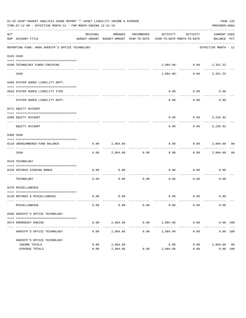|           | 01-02-2020**BUDGET ANALYSIS USAGE REPORT ** ASSET LIABILITY INCOME & EXPENSE<br>PAGE 126<br>TIME: 07:12 AM - EFFECTIVE MONTH: 12 - FOR MONTH ENDING 12-31-19<br>PREPARER: 0004 |              |                        |                      |                                                                                 |                              |                             |  |  |  |  |  |
|-----------|--------------------------------------------------------------------------------------------------------------------------------------------------------------------------------|--------------|------------------------|----------------------|---------------------------------------------------------------------------------|------------------------------|-----------------------------|--|--|--|--|--|
| ACT       | NUM ACCOUNT-TITLE                                                                                                                                                              | ORIGINAL     | AMENDED                | ENCUMBERED           | ACTIVITY<br>BUDGET-AMOUNT BUDGET-AMOUNT YEAR-TO-DATE YEAR-TO-DATE MONTH-TO-DATE | ACTIVITY                     | CURRENT USED<br>BALANCE PCT |  |  |  |  |  |
|           | REPORTING FUND: 0086 SHERIFF'S OFFICE TECHNOLOGY                                                                                                                               |              |                        |                      |                                                                                 |                              | EFFECTIVE MONTH - 12        |  |  |  |  |  |
| 0103 CASH |                                                                                                                                                                                |              |                        |                      |                                                                                 |                              |                             |  |  |  |  |  |
|           | 0100 TECHNOLOGY FUNDS CHECKING                                                                                                                                                 |              |                        |                      |                                                                                 | $2,884.60 - 0.00$ $2,351.32$ |                             |  |  |  |  |  |
|           | CASH                                                                                                                                                                           |              |                        |                      | 2,884.60-                                                                       |                              | $0.00$ 2,351.32             |  |  |  |  |  |
|           | 0200 SYSTEM ADDED LIABILITY DEPT.                                                                                                                                              |              |                        |                      |                                                                                 |                              |                             |  |  |  |  |  |
|           | 0910 SYSTEM ADDED LIABILITY ITEM                                                                                                                                               |              |                        |                      | 0.00                                                                            | 0.00                         | 0.00                        |  |  |  |  |  |
|           | SYSTEM ADDED LIABILITY DEPT.                                                                                                                                                   |              |                        |                      | 0.00                                                                            | 0.00                         | 0.00                        |  |  |  |  |  |
|           | 0271 EQUITY ACCOUNT                                                                                                                                                            |              |                        |                      |                                                                                 |                              |                             |  |  |  |  |  |
|           | 0200 EQUITY ACCOUNT                                                                                                                                                            |              |                        |                      | 0.00                                                                            | $0.00$ 5,235.92              |                             |  |  |  |  |  |
|           | EQUITY ACCOUNT                                                                                                                                                                 |              |                        |                      | -----<br>0.00                                                                   |                              | $0.00$ 5,235.92             |  |  |  |  |  |
| 0300 CASH |                                                                                                                                                                                |              |                        |                      |                                                                                 |                              |                             |  |  |  |  |  |
|           | 0110 UNENCUMBERED FUND BALANCE                                                                                                                                                 | 0.00         | 2,884.60               |                      | 0.00                                                                            | $0.00$ 2,884.60 00           |                             |  |  |  |  |  |
|           | CASH                                                                                                                                                                           | 0.00         |                        | 2,884.60 0.00        | 0.00                                                                            |                              | $0.00$ 2,884.60 00          |  |  |  |  |  |
|           | 0319 TECHNOLOGY                                                                                                                                                                |              |                        |                      |                                                                                 |                              |                             |  |  |  |  |  |
|           | 0420 SECURUS SIGNING BONUS                                                                                                                                                     | 0.00         | 0.00                   |                      | 0.00                                                                            | $0.00$ 0.00                  |                             |  |  |  |  |  |
|           | TECHNOLOGY                                                                                                                                                                     | 0.00         | 0.00                   | 0.00                 | ---------- -------------<br>0.00                                                | 0.00                         | 0.00                        |  |  |  |  |  |
|           | 0370 MISCELLANEOUS                                                                                                                                                             |              |                        |                      |                                                                                 |                              |                             |  |  |  |  |  |
|           | 0130 REFUNDS & MISCELLANEOUS                                                                                                                                                   | 0.00         | 0.00                   |                      |                                                                                 | $0.00$ $0.00$ $0.00$ $0.00$  |                             |  |  |  |  |  |
|           | MISCELLANEOUS                                                                                                                                                                  | 0.00         | 0.00                   | 0.00                 | 0.00                                                                            | 0.00                         | 0.00                        |  |  |  |  |  |
|           | 0560 SHERIFF'S OFFICE TECHNOLOGY                                                                                                                                               |              |                        |                      |                                                                                 |                              |                             |  |  |  |  |  |
|           | 0573 EMERGENCY RADIOS                                                                                                                                                          | 0.00         | 2,884.60<br>---------- | 0.00<br>------------ | ------------- ------------                                                      | 2,884.60 0.00                | 0.00 100<br>. <u>.</u>      |  |  |  |  |  |
|           | SHERIFF'S OFFICE TECHNOLOGY                                                                                                                                                    | 0.00         | 2,884.60               | 0.00                 | 2,884.60                                                                        | 0.00                         | 0.00 100                    |  |  |  |  |  |
|           | SHERIFF'S OFFICE TECHNOLOGY                                                                                                                                                    |              |                        |                      |                                                                                 |                              |                             |  |  |  |  |  |
|           | INCOME TOTALS<br>EXPENSE TOTALS                                                                                                                                                | 0.00<br>0.00 | 2,884.60<br>2,884.60   | 0.00                 | 0.00<br>2,884.60                                                                | 0.00<br>0.00                 | 2,884.60 00<br>0.00 100     |  |  |  |  |  |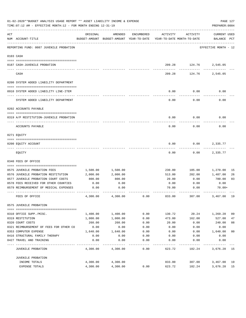|     | 01-02-2020**BUDGET ANALYSIS USAGE REPORT ** ASSET LIABILITY INCOME & EXPENSE<br>TIME: 07:12 AM - EFFECTIVE MONTH: 12 - FOR MONTH ENDING 12-31-19 |              |                                                     |            |                                        |             | PAGE 127<br>PREPARER: 0004  |                |
|-----|--------------------------------------------------------------------------------------------------------------------------------------------------|--------------|-----------------------------------------------------|------------|----------------------------------------|-------------|-----------------------------|----------------|
| ACT | NUM ACCOUNT-TITLE                                                                                                                                | ORIGINAL     | AMENDED<br>BUDGET-AMOUNT BUDGET-AMOUNT YEAR-TO-DATE | ENCUMBERED | ACTIVITY<br>YEAR-TO-DATE MONTH-TO-DATE | ACTIVITY    | CURRENT USED<br>BALANCE PCT |                |
|     | _________________________________<br>REPORTING FUND: 0087 JUVENILE PROBATION                                                                     |              |                                                     |            |                                        |             | EFFECTIVE MONTH - 12        |                |
|     | 0103 CASH                                                                                                                                        |              |                                                     |            |                                        |             |                             |                |
|     |                                                                                                                                                  |              |                                                     |            |                                        |             |                             |                |
|     | 0187 CASH-JUVENILE PROBATION                                                                                                                     |              |                                                     |            |                                        | ----------- | 209.28 124.76 2,545.05      |                |
|     | CASH                                                                                                                                             |              |                                                     |            | 209.28                                 | 124.76      | 2,545.05                    |                |
|     | 0200 SYSTEM ADDED LIABILITY DEPARTMENT                                                                                                           |              |                                                     |            |                                        |             |                             |                |
|     |                                                                                                                                                  |              |                                                     |            |                                        |             |                             |                |
|     | 0910 SYSTEM ADDED LIABILITY LINE-ITEM                                                                                                            |              |                                                     |            | 0.00                                   | 0.00        | 0.00                        |                |
|     | SYSTEM ADDED LIABILITY DEPARTMENT                                                                                                                |              |                                                     |            | 0.00                                   | 0.00        | 0.00                        |                |
|     | 0202 ACCOUNTS PAYABLE                                                                                                                            |              |                                                     |            |                                        |             |                             |                |
|     |                                                                                                                                                  |              |                                                     |            |                                        |             |                             |                |
|     | 0319 A/P RESTITUTION-JUVENILE PROBATION                                                                                                          |              |                                                     |            | 0.00                                   | 0.00        | 0.00                        |                |
|     | ACCOUNTS PAYABLE                                                                                                                                 |              |                                                     |            | 0.00                                   | 0.00        | 0.00                        |                |
|     | 0271 EQUITY                                                                                                                                      |              |                                                     |            |                                        |             |                             |                |
|     |                                                                                                                                                  |              |                                                     |            |                                        |             |                             |                |
|     | 0200 EQUITY ACCOUNT                                                                                                                              |              |                                                     |            | 0.00                                   | 0.00        | 2,335.77                    |                |
|     | EQUITY                                                                                                                                           |              |                                                     |            | 0.00                                   | 0.00        | 2,335.77                    |                |
|     | 0340 FEES OF OFFICE                                                                                                                              |              |                                                     |            |                                        |             |                             |                |
|     |                                                                                                                                                  |              |                                                     |            |                                        |             |                             |                |
|     | 0575 JUVENILE PROBATION FEES                                                                                                                     | 1,500.00     | 1,500.00                                            |            | 230.00                                 | 105.00      | 1,270.00                    | 15             |
|     | 0576 JUVENILE PROBATION RESTITUTION                                                                                                              | 2,000.00     | 2,000.00                                            |            | 513.00                                 | 202.00      | 1,487.00                    | 26             |
|     | 0577 JUVENILE PROBATION COURT COSTS                                                                                                              | 800.00       | 800.00                                              |            | 20.00                                  | 0.00        | 780.00                      | 03             |
|     | 0578 FEES RECEIVED FOR OTHER COUNTIES<br>0579 REIMBURSEMENT OF MEDICAL EXPENSES                                                                  | 0.00<br>0.00 | 0.00                                                |            | 0.00                                   | 0.00        | 0.00                        |                |
|     |                                                                                                                                                  |              | 0.00                                                |            | 70.00                                  | 0.00        | 70.00+                      |                |
|     | FEES OF OFFICE                                                                                                                                   | 4,300.00     | 4,300.00                                            | 0.00       | 833.00                                 | 307.00      | 3,467.00                    | 19             |
|     | 0575 JUVENILE PROBATION                                                                                                                          |              |                                                     |            |                                        |             |                             |                |
|     | 0310 OFFICE SUPP./MISC.                                                                                                                          | 1,400.00     | 1,400.00                                            | 0.00       | 130.72                                 | 20.24       | 1,269.28                    | 09             |
|     | 0319 RESTITUTION                                                                                                                                 | 1,000.00     | 1,000.00                                            | 0.00       | 473.00                                 | 162.00      | 527.00                      | 47             |
|     | 0320 COURT COSTS                                                                                                                                 | 260.00       | 260.00                                              | 0.00       | 20.00                                  | 0.00        | 240.00                      | 08             |
|     | 0321 REIMBURSEMENT OF FEES FOR OTHER CO                                                                                                          | 0.00         | 0.00                                                | 0.00       | 0.00                                   | 0.00        | 0.00                        |                |
|     | 0353 COMPUTER EXPENSE                                                                                                                            | 1,640.00     | 1,640.00                                            | 0.00       | 0.00                                   | 0.00        | 1,640.00                    | 0 <sub>0</sub> |
|     | 0416 STRUCTURAL FAMILY THERAPY                                                                                                                   | 0.00         | 0.00                                                | 0.00       | 0.00                                   | 0.00        | 0.00                        |                |
|     | 0427 TRAVEL AND TRAINING                                                                                                                         | 0.00         | 0.00                                                | 0.00       | 0.00                                   | 0.00        | 0.00                        |                |
|     | JUVENILE PROBATION                                                                                                                               | 4,300.00     | 4,300.00                                            | 0.00       | 623.72                                 | 182.24      | 3,676.28                    | 15             |
|     | JUVENILE PROBATION                                                                                                                               |              |                                                     |            |                                        |             |                             |                |
|     | INCOME TOTALS                                                                                                                                    | 4,300.00     | 4,300.00                                            |            | 833.00                                 | 307.00      | 3,467.00                    | 19             |
|     | EXPENSE TOTALS                                                                                                                                   | 4,300.00     | 4,300.00                                            | 0.00       | 623.72                                 | 182.24      | 3,676.28                    | 15             |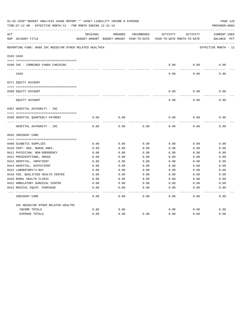|     | 01-02-2020**BUDGET ANALYSIS USAGE REPORT ** ASSET LIABILITY INCOME & EXPENSE<br>TIME: 07:12 AM - EFFECTIVE MONTH: 12 - FOR MONTH ENDING 12-31-19 |          |                                                                   |      |              |                                        | PAGE 128<br>PREPARER: 0004         |
|-----|--------------------------------------------------------------------------------------------------------------------------------------------------|----------|-------------------------------------------------------------------|------|--------------|----------------------------------------|------------------------------------|
| ACT | NUM ACCOUNT-TITLE                                                                                                                                | ORIGINAL | ENCUMBERED<br>AMENDED<br>BUDGET-AMOUNT BUDGET-AMOUNT YEAR-TO-DATE |      | ACTIVITY     | ACTIVITY<br>YEAR-TO-DATE MONTH-TO-DATE | <b>CURRENT USED</b><br>BALANCE PCT |
|     | REPORTING FUND: 0088 IHC NEEDS/OR OTHER RELATED HEALTHCA                                                                                         |          |                                                                   |      |              |                                        | EFFECTIVE MONTH - 12               |
|     | 0103 CASH                                                                                                                                        |          |                                                                   |      |              |                                        |                                    |
|     | 0100 IHC - COMBINED FUNDS CHECKING                                                                                                               |          |                                                                   |      | 0.00         | 0.00                                   | 0.00                               |
|     | CASH                                                                                                                                             |          |                                                                   |      | 0.00         | 0.00                                   | 0.00                               |
|     | 0271 EQUITY ACCOUNT                                                                                                                              |          |                                                                   |      |              |                                        |                                    |
|     |                                                                                                                                                  |          |                                                                   |      |              |                                        |                                    |
|     | 0200 EQUITY ACCOUNT                                                                                                                              |          |                                                                   |      | 0.00         | 0.00                                   | 0.00                               |
|     | EQUITY ACCOUNT                                                                                                                                   |          |                                                                   |      | 0.00         | 0.00                                   | 0.00                               |
|     | 0367 HOSPITAL AUTHORITY - IHC                                                                                                                    |          |                                                                   |      |              |                                        |                                    |
|     |                                                                                                                                                  |          |                                                                   |      |              |                                        |                                    |
|     | 0100 HOSPITAL QUARTERLY PAYMENT                                                                                                                  | 0.00     | 0.00                                                              |      | 0.00         | 0.00                                   | 0.00                               |
|     | HOSPITAL AUTHORITY - IHC                                                                                                                         | 0.00     | 0.00                                                              | 0.00 | 0.00         | 0.00                                   | 0.00                               |
|     | 0645 INDIGENT CARE                                                                                                                               |          |                                                                   |      |              |                                        |                                    |
|     |                                                                                                                                                  |          |                                                                   |      |              |                                        |                                    |
|     | 0409 DIABETIC SUPPLIES                                                                                                                           | 0.00     | 0.00                                                              | 0.00 | 0.00         | 0.00                                   | 0.00                               |
|     | 0410 CERT. REG. NURSE ANES.                                                                                                                      | 0.00     | 0.00                                                              | 0.00 | 0.00         | 0.00                                   | 0.00                               |
|     | 0411 PHYSICIAN, NON-EMERGENCY                                                                                                                    | 0.00     | 0.00                                                              | 0.00 | 0.00         | 0.00                                   | 0.00                               |
|     | 0412 PRESCRIPTIONS, DRUGS                                                                                                                        | 0.00     | 0.00                                                              | 0.00 | 0.00         | 0.00                                   | 0.00                               |
|     | 0413 HOSPITAL, INPATIENT                                                                                                                         | 0.00     | 0.00                                                              | 0.00 | 0.00         | 0.00                                   | 0.00                               |
|     | 0414 HOSPITAL, OUTPATIENT                                                                                                                        | 0.00     | 0.00                                                              | 0.00 | 0.00         | 0.00                                   | 0.00                               |
|     | 0415 LABORATORY/X-RAY                                                                                                                            | 0.00     | 0.00                                                              | 0.00 | 0.00         | 0.00                                   | 0.00                               |
|     | 0418 FED. QUALIFIED HEALTH CENTER                                                                                                                | 0.00     | 0.00                                                              | 0.00 | 0.00         | 0.00                                   | 0.00                               |
|     | 0420 RURAL HEALTH CLINIC                                                                                                                         | 0.00     | 0.00                                                              | 0.00 | 0.00         | 0.00                                   | 0.00                               |
|     | 0422 AMBULATORY SURGICAL CENTER                                                                                                                  | 0.00     | 0.00                                                              | 0.00 | 0.00         | 0.00                                   | 0.00                               |
|     | 0423 MEDICAL EQUIP. PURCHASE                                                                                                                     | 0.00     | 0.00                                                              | 0.00 | 0.00         | 0.00                                   | 0.00                               |
|     | INDIGENT CARE                                                                                                                                    | 0.00     | 0.00                                                              | 0.00 | ----<br>0.00 | $- - - -$<br>0.00                      | -----<br>0.00                      |
|     | IHC NEEDS/OR OTHER RELATED HEALTHC                                                                                                               |          |                                                                   |      |              |                                        |                                    |
|     | INCOME TOTALS                                                                                                                                    | 0.00     | 0.00                                                              |      | 0.00         | 0.00                                   | 0.00                               |
|     | <b>EXPENSE TOTALS</b>                                                                                                                            | 0.00     | 0.00                                                              | 0.00 | 0.00         | 0.00                                   | 0.00                               |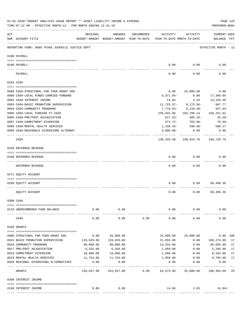|                | 01-02-2020**BUDGET ANALYSIS USAGE REPORT ** ASSET LIABILITY INCOME & EXPENSE<br>TIME: 07:12 AM - EFFECTIVE MONTH: 12 - FOR MONTH ENDING 12-31-19 |             |                                                     |            |                                        |                                     | PREPARER: 0004                     | PAGE 129 |
|----------------|--------------------------------------------------------------------------------------------------------------------------------------------------|-------------|-----------------------------------------------------|------------|----------------------------------------|-------------------------------------|------------------------------------|----------|
| $\mathtt{ACT}$ | NUM ACCOUNT-TITLE                                                                                                                                | ORIGINAL    | AMENDED<br>BUDGET-AMOUNT BUDGET-AMOUNT YEAR-TO-DATE | ENCUMBERED | ACTIVITY<br>YEAR-TO-DATE MONTH-TO-DATE | ACTIVITY                            | <b>CURRENT USED</b><br>BALANCE PCT |          |
|                | REPORTING FUND: 0089 TEXAS JUVENILE JUSTICE DEPT.                                                                                                |             |                                                     |            |                                        |                                     | EFFECTIVE MONTH - 12               |          |
|                | 0100 PAYROLL                                                                                                                                     |             |                                                     |            |                                        |                                     |                                    |          |
|                |                                                                                                                                                  |             |                                                     |            |                                        |                                     |                                    |          |
|                | 0100 PAYROLL                                                                                                                                     |             |                                                     |            | 0.00                                   | 0.00                                | 0.00                               |          |
|                | PAYROLL                                                                                                                                          |             |                                                     |            | 0.00                                   | 0.00                                | 0.00                               |          |
|                | 0103 CASH                                                                                                                                        |             |                                                     |            |                                        |                                     |                                    |          |
|                | 0689 CASH-STRUCTURAL FAM.THER.GRANT OOG                                                                                                          |             |                                                     |            | 0.00                                   | 25,000.00                           | 0.00                               |          |
|                | 0988 CASH-LOCAL FUNDS CARRIED FORWARD                                                                                                            |             |                                                     |            | 4,371.84-                              | 0.00                                | 17,366.04                          |          |
|                | 0992 CASH-INTEREST INCOME                                                                                                                        |             |                                                     |            | 14.84                                  | 2.63                                | 13,229.46                          |          |
|                | 0993 CASH-BASIC PROBATION SUPERVISION                                                                                                            |             |                                                     |            | 11,723.37-                             | $9,173.96 -$                        | 967.77                             |          |
|                | 0994 CASH-COMMUNITY PROGRAMS                                                                                                                     |             |                                                     |            |                                        | $7,779.63 - 6,110.40 -$             | $557.03 -$                         |          |
|                | 0995 CASH-LOCAL FUNDING FY 2020                                                                                                                  |             |                                                     |            |                                        | 159,942.88 182,786.14               |                                    |          |
|                |                                                                                                                                                  |             |                                                     |            |                                        |                                     | 159,251.62                         |          |
|                | 0996 CASH-PRE/POST ADJUDICATION                                                                                                                  |             |                                                     |            | 617.43-                                | 485.16-                             | 43.59-                             |          |
|                | 0997 CASH-COMMITMENT DIVERSION                                                                                                                   |             |                                                     |            | 973.72-                                | 763.96-                             | 70.68-                             |          |
|                | 0998 CASH-MENTAL HEALTH SERVICES                                                                                                                 |             |                                                     |            | 1,158.33-                              | 330.50-                             | 590.17                             |          |
|                | 0999 CASH-REGIONALS DIVERSIONS ALTERNAT                                                                                                          |             |                                                     |            | $3,000.00-$<br>-----------             | 0.00<br>------------                | 0.00                               |          |
|                | CASH                                                                                                                                             |             |                                                     |            |                                        | 130, 333.40 190, 924.79 190, 733.76 |                                    |          |
|                | 0220 DEFERRED REVENUE                                                                                                                            |             |                                                     |            |                                        |                                     |                                    |          |
|                |                                                                                                                                                  |             |                                                     |            |                                        |                                     |                                    |          |
|                | 0189 DEFERRED REVENUE<br>---- ------------                                                                                                       |             |                                                     |            | 0.00                                   | 0.00                                | 0.00                               |          |
|                | DEFERRED REVENUE                                                                                                                                 |             |                                                     |            | 0.00                                   | 0.00                                | 0.00                               |          |
|                | 0271 EQUITY ACCOUNT                                                                                                                              |             |                                                     |            |                                        |                                     |                                    |          |
|                | 0200 EQUITY ACCOUNT                                                                                                                              |             |                                                     |            | 0.00                                   | 0.00                                | 60,400.36                          |          |
|                |                                                                                                                                                  |             |                                                     |            |                                        |                                     |                                    |          |
|                | EQUITY ACCOUNT                                                                                                                                   |             |                                                     |            | 0.00                                   | 0.00                                | 60,400.36                          |          |
|                | 0300 CASH                                                                                                                                        |             |                                                     |            |                                        |                                     |                                    |          |
|                | 0110 UNENCUMBERED FUND BALANCE                                                                                                                   | 0.00        | 0.00                                                |            | 0.00                                   | 0.00                                | 0.00                               |          |
|                |                                                                                                                                                  |             |                                                     |            |                                        |                                     |                                    |          |
|                | CASH                                                                                                                                             | 0.00        | 0.00                                                | 0.00       | 0.00                                   | 0.00                                | 0.00                               |          |
|                | 0330 GRANTS                                                                                                                                      |             |                                                     |            |                                        |                                     |                                    |          |
|                | 0908 STRUCTURAL FAM.THER.GRANT OOG                                                                                                               | 0.00        | 25,000.00                                           |            | 25,000.00                              | 25,000.00                           | 0.00 100                           |          |
|                | 0915 BASIC PROBATION SUPERVISION                                                                                                                 | 129,929.00  | 129,929.00                                          |            | 21,655.00                              | 0.00                                | 108,274.00                         | 17       |
|                | 0916 COMMUNITY PROGRAMS                                                                                                                          | 80,000.00   | 80,000.00                                           |            | 13,334.00                              | 0.00                                | 66,666.00                          | 17       |
|                | 0917 PRE/POST ADJUDICATION                                                                                                                       | 6,354.00    | 6,354.00                                            |            | 1,059.00                               | 0.00                                | 5,295.00                           | 17       |
|                | 0918 COMMITMENT DIVERSION                                                                                                                        | 10,000.00   | 10,000.00                                           |            | 1,666.00                               | 0.00                                | 8,334.00                           | 17       |
|                | 0919 MENTAL HEALTH SERVICES                                                                                                                      | 11,754.00   | 11,754.00                                           |            | 1,959.00                               | 0.00                                | 9,795.00                           | 17       |
|                | 0920 REGIONAL DIVERSIONS ALTERNATIVES                                                                                                            | 0.00        | 0.00                                                |            | 0.00                                   | 0.00                                | 0.00                               |          |
|                |                                                                                                                                                  | ___________ | -----------                                         |            | ---------                              |                                     | ----------                         |          |
|                | GRANTS                                                                                                                                           | 238,037.00  | 263,037.00                                          | 0.00       | 64,673.00                              | 25,000.00                           | 198,364.00                         | 25       |
|                | 0360 INTEREST INCOME                                                                                                                             |             |                                                     |            |                                        |                                     |                                    |          |
|                | 0189 INTEREST INCOME                                                                                                                             | 0.00        | 0.00                                                |            | 14.84                                  | 2.63                                | 14.84+                             |          |
|                |                                                                                                                                                  |             |                                                     |            |                                        |                                     |                                    |          |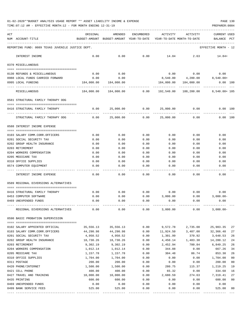|  |  |  | 01-02-2020**BUDGET ANALYSIS USAGE REPORT ** ASSET LIABILITY INCOME & EXPENSE |  | PAGE 130 |
|--|--|--|------------------------------------------------------------------------------|--|----------|
|  |  |  |                                                                              |  |          |

|     | TIME: 07:12 AM - EFFECTIVE MONTH: 12 - FOR MONTH ENDING 12-31-19 |                                          |                                                                         |              |                            |                               | PREPARER: 0004       |              |
|-----|------------------------------------------------------------------|------------------------------------------|-------------------------------------------------------------------------|--------------|----------------------------|-------------------------------|----------------------|--------------|
| ACT |                                                                  | ORIGINAL                                 | AMENDED                                                                 | ENCUMBERED   | ACTIVITY                   | ACTIVITY                      | CURRENT USED         |              |
|     | NUM ACCOUNT-TITLE                                                | BUDGET-AMOUNT BUDGET-AMOUNT YEAR-TO-DATE |                                                                         |              | YEAR-TO-DATE MONTH-TO-DATE |                               | BALANCE              | $_{\rm PCT}$ |
|     | REPORTING FUND: 0089 TEXAS JUVENILE JUSTICE DEPT.                |                                          |                                                                         |              |                            |                               | EFFECTIVE MONTH - 12 |              |
|     | INTEREST INCOME                                                  | 0.00                                     | 0.00                                                                    | 0.00         | 14.84                      | 2.63                          | 14.84+               |              |
|     | 0370 MISCELLANEOUS                                               |                                          |                                                                         |              |                            |                               |                      |              |
|     |                                                                  |                                          |                                                                         |              |                            |                               |                      |              |
|     | 0130 REFUNDS & MISCELLANEOUS                                     | 0.00                                     | 0.00                                                                    |              |                            | $0.00$ 0.00                   | 0.00                 |              |
|     | 0988 LOCAL FUNDS CARRIED FORWARD                                 | 0.00                                     | 0.00                                                                    |              |                            | 8,540.00  4,200.00  8,540.00+ |                      |              |
|     | 0995 LOCAL FUNDING                                               |                                          | 184,000.00  184,000.00                                                  |              |                            | 184,000.00 184,000.00         | $0.00$ 100           |              |
|     | MISCELLANEOUS                                                    |                                          | $184,000.00$ $184,000.00$ 0.00 $192,540.00$ $188,200.00$ $8,540.00+105$ |              |                            |                               |                      |              |
|     | 0581 STRUCTURAL FAMILY THERAPY OOG                               |                                          |                                                                         |              |                            |                               |                      |              |
|     |                                                                  |                                          |                                                                         |              |                            |                               |                      |              |
|     | 0416 STRUCTURAL FAMILY THERAPY                                   |                                          | $0.00$ 25,000.00 0.00                                                   |              |                            | 25,000.00 0.00                | 0.00 100             |              |
|     | STRUCTURAL FAMILY THERAPY OOG                                    | 0.00                                     | 25,000.00                                                               | 0.00         | 25,000.00                  | 0.00                          | 0.00 100             |              |
|     | 0588 INTEREST INCOME EXPENSE                                     |                                          |                                                                         |              |                            |                               |                      |              |
|     |                                                                  |                                          |                                                                         |              |                            |                               |                      |              |
|     | 0103 SALARY COMM.CORR.OFFICERS<br>0201 SOCIAL SECURITY TAX       | 0.00<br>0.00                             | 0.00<br>0.00                                                            | 0.00<br>0.00 | 0.00<br>0.00               | 0.00<br>0.00                  | 0.00<br>0.00         |              |
|     | 0202 GROUP HEALTH INSURANCE                                      | 0.00                                     | 0.00                                                                    | 0.00         | 0.00                       | 0.00                          | 0.00                 |              |
|     | 0203 RETIREMENT                                                  | 0.00                                     | 0.00                                                                    | 0.00         | 0.00                       | 0.00                          | 0.00                 |              |
|     | 0204 WORKERS COMPENSATION                                        | 0.00                                     | 0.00                                                                    | 0.00         | 0.00                       | 0.00                          | 0.00                 |              |
|     | 0205 MEDICARE TAX                                                | 0.00                                     | 0.00                                                                    | 0.00         | 0.00                       | 0.00                          | 0.00                 |              |
|     | 0310 OFFICE SUPPLIES                                             | 0.00                                     | 0.00                                                                    | 0.00         | 0.00                       | 0.00                          | 0.00                 |              |
|     | 0574 COMPUTER EQUIPMENT                                          | 0.00                                     | 0.00                                                                    | 0.00         | 0.00                       | 0.00                          | 0.00                 |              |
|     | INTEREST INCOME EXPENSE                                          | 0.00                                     | 0.00                                                                    | 0.00         | 0.00                       | 0.00                          | 0.00                 |              |
|     | 0589 REGIONAL DIVERSIONS ALTERNATIVES                            |                                          |                                                                         |              |                            |                               |                      |              |
|     |                                                                  |                                          |                                                                         |              |                            |                               |                      |              |
|     | 0416 STRUCTURAL FAMILY THERAPY                                   | 0.00                                     | 0.00                                                                    | 0.00         | 0.00                       | 0.00                          | 0.00                 |              |
|     | 0453 COMPUTER SOFTWARE<br>0469 UNEXPENDED FUNDS                  | 0.00                                     | 0.00<br>0.00                                                            | 0.00<br>0.00 | 3,000.00<br>0.00           | 0.00<br>0.00                  | $3,000.00-$<br>0.00  |              |
|     |                                                                  | 0.00                                     |                                                                         |              |                            |                               |                      |              |
|     | REGIONAL DIVERSIONS ALTERNATIVES                                 | 0.00                                     | 0.00                                                                    | 0.00         | 3,000.00                   | 0.00                          | $3,000.00-$          |              |
|     | 0590 BASIC PROBATION SUPERVISION                                 |                                          |                                                                         |              |                            |                               |                      |              |
|     |                                                                  |                                          |                                                                         |              |                            |                               |                      |              |
|     | 0102 SALARY APPOINTED OFFICIAL                                   | 35,556.13                                | 35,556.13                                                               | 0.00         | 9,572.78                   | 2,735.08                      | 25,983.35            | 27           |
|     | 0103 SALARY COMM.CORR.OFFICERS                                   | 44,290.98                                | 44,290.98                                                               | 0.00         |                            | 11,924.50 3,407.00            | 32,366.48            | 27           |
|     | 0201 SOCIAL SECURITY TAX                                         | 4,950.52                                 | 4,950.52                                                                | 0.00         | 1,301.99                   | 370.92                        | 3,648.53             | 26           |
|     | 0202 GROUP HEALTH INSURANCE                                      | 18,730.26                                | 18,730.26                                                               | 0.00         | 4,450.14                   | 1,483.38                      | 14,280.12            | 24           |
|     | 0203 RETIREMENT                                                  | 9,302.19                                 | 9,302.19                                                                | 0.00         | 2,452.94                   | 700.84                        | 6,849.25<br>667.26   | 26           |
|     | 0204 WORKERS COMPENSATION                                        | 1,012.14                                 | 1,012.14<br>1,157.78                                                    | 0.00         | 344.88                     | 0.00                          | 853.30               | 34           |
|     | 0205 MEDICARE TAX<br>0310 OFFICE SUPPLIES                        | 1,157.78<br>1,704.00                     | 1,704.00                                                                | 0.00<br>0.00 | 304.48<br>0.00             | 86.74<br>0.00                 | 1,704.00             | 26<br>00     |
|     | 0311 POSTAGE                                                     | 200.00                                   | 200.00                                                                  | 0.00         | 0.00                       | 0.00                          | 200.00               | 00           |
|     | 0420 PHONE/INTERNET                                              | 1,500.00                                 | 1,500.00                                                                | 0.00         | 280.75                     | 115.37                        | 1,219.25             | 19           |
|     | 0421 CELL PHONE                                                  | 400.00                                   | 400.00                                                                  | 0.00         | 65.32                      | 0.00                          | 334.68               | 16           |
|     | 0427 TRAVEL AND TRAINING                                         | 10,000.00                                | 10,000.00                                                               | 0.00         | 2,680.59                   | 274.63                        | 7,319.41             | 27           |
|     | 0435 PRINTING                                                    | 600.00                                   | 600.00                                                                  | 0.00         | 0.00                       | 0.00                          | 600.00               | 00           |
|     | 0469 UNEXPENDED FUNDS                                            | 0.00                                     | 0.00                                                                    | 0.00         | 0.00                       | 0.00                          | 0.00                 |              |
|     | 0499 BANK SERVICE FEES                                           | 525.00                                   | 525.00                                                                  | 0.00         | 0.00                       | 0.00                          | 525.00               | 00           |
|     |                                                                  |                                          |                                                                         |              |                            |                               |                      |              |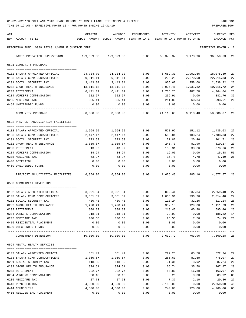TIME:07:12 AM - EFFECTIVE MONTH:12 - FOR MONTH ENDING 12-31-19 PREPARER:0004

| ACT |                                                   | ORIGINAL           | AMENDED                                  | <b>ENCUMBERED</b>   | ACTIVITY         | ACTIVITY                   | CURRENT USED         |          |
|-----|---------------------------------------------------|--------------------|------------------------------------------|---------------------|------------------|----------------------------|----------------------|----------|
|     | NUM ACCOUNT-TITLE                                 |                    | BUDGET-AMOUNT BUDGET-AMOUNT YEAR-TO-DATE |                     |                  | YEAR-TO-DATE MONTH-TO-DATE | BALANCE              | PCT      |
|     | REPORTING FUND: 0089 TEXAS JUVENILE JUSTICE DEPT. |                    |                                          |                     |                  |                            | EFFECTIVE MONTH - 12 |          |
|     | BASIC PROBATION SUPERVISION                       | 129,929.00         | 129,929.00                               | 0.00                | 33,378.37        | 9,173.96                   | 96,550.63            | -26      |
|     | 0591 COMMUNITY PROGRAMS                           |                    |                                          |                     |                  |                            |                      |          |
|     | 0102 SALARY APPOINTED OFFICIAL                    | 24,734.70          | 24,734.70                                | 0.00                | 6,659.31         | 1,902.66                   | 18,075.39            | 27       |
|     | 0103 SALARY COMM.CORR.OFFICERS                    | 30,811.11          | 30,811.11                                | 0.00                | 8,295.28         | 2,370.08                   | 22,515.83            | 27       |
|     | 0201 SOCIAL SECURITY TAX                          | 3,443.84           | 3,443.84                                 | 0.00                | 905.62           | 258.00                     | 2,538.22             | 26       |
|     | 0202 GROUP HEALTH INSURANCE                       | 13,111.18          | 13, 111. 18                              | 0.00                | 3,095.46         | 1,031.82                   | 10,015.72            | 24       |
|     | 0203 RETIREMENT                                   | 6,471.09           | 6,471.09                                 | 0.00                | 1,706.25         | 487.50                     | 4,764.84             | 26       |
|     | 0204 WORKERS COMPENSATION                         | 622.67             | 622.67                                   | 0.00                | 239.91           | 0.00                       | 382.76               | 39       |
|     | 0205 MEDICARE TAX                                 | 805.41             | 805.41                                   | 0.00                | 211.80           | 60.34                      | 593.61               | 26       |
|     | 0469 UNEXPENDED FUNDS                             | 0.00               | 0.00                                     | 0.00<br>$- - - - -$ | 0.00<br>.        | 0.00                       | 0.00                 |          |
|     | COMMUNITY PROGRAMS                                | 80,000.00          | 80,000.00                                | 0.00                | 21,113.63        | 6,110.40                   | 58,886.37            | 26       |
|     | 0592 PRE/POST ADJUDICATION FACILITIES             |                    |                                          |                     |                  |                            |                      |          |
|     | 0102 SALARY APPOINTED OFFICIAL                    | 1,964.55           | 1,964.55                                 | 0.00                | 528.92           | 151.12                     | 1,435.63             | 27       |
|     | 0103 SALARY COMM.CORR.OFFICERS                    | 2,447.17           | 2,447.17                                 | 0.00                | 658.84           | 188.24                     | 1,788.33             | 27       |
|     | 0201 SOCIAL SECURITY TAX                          | 273.53             | 273.53                                   | 0.00                | 71.82            | 20.46                      | 201.71               | 26       |
|     | 0202 GROUP HEALTH INSURANCE                       | 1,055.87           | 1,055.87                                 | 0.00                | 245.70           | 81.90                      | 810.17               | 23       |
|     | 0203 RETIREMENT                                   | 513.97             | 513.97                                   | 0.00                | 135.31           | 38.66                      | 378.66               | 26       |
|     | 0204 WORKERS COMPENSATION                         | 34.94              | 34.94                                    | 0.00                | 19.06            | 0.00                       | 15.88                | 55       |
|     | 0205 MEDICARE TAX                                 | 63.97              | 63.97                                    | 0.00                | 16.78            | 4.78                       | 47.19                | 26       |
|     | 0408 DETENTION                                    | 0.00               | 0.00                                     | 0.00                | 0.00             | 0.00                       | 0.00                 |          |
|     | 0469 UNEXPENDED FUNDS                             | 0.00               | 0.00                                     | 0.00                | 0.00             | 0.00                       | 0.00                 |          |
|     | PRE/POST ADJUDICATION FACILITIES                  | 6,354.00           | 6,354.00                                 | 0.00                | 1,676.43         | 485.16                     | 4,677.57             | 26       |
|     | 0593 COMMITMENT DIVERSION                         |                    |                                          |                     |                  |                            |                      |          |
|     |                                                   |                    |                                          |                     |                  |                            |                      |          |
|     | 0102 SALARY APPOINTED OFFICIAL                    | 3,091.84           | 3,091.84                                 | 0.00                | 832.44           | 237.84                     | 2,259.40             | 27       |
|     | 0103 SALARY COMM.CORR.OFFICERS                    | 3,851.39           | 3,851.39                                 | 0.00                | 1,036.91         | 296.26                     | 2,814.48             | 27       |
|     | 0201 SOCIAL SECURITY TAX                          | 430.48<br>1,498.41 | 430.48                                   | 0.00                | 113.24           | 32.26                      | 317.24               | 26<br>26 |
|     | 0202 GROUP HEALTH INSURANCE<br>0203 RETIREMENT    | 808.89             | 1,498.41<br>808.89                       | 0.00<br>0.00        | 387.18<br>213.43 | 129.06<br>60.98            | 1,111.23<br>595.46   | 26       |
|     | 0204 WORKERS COMPENSATION                         | 218.31             | 218.31                                   | 0.00                | 29.99            | 0.00                       | 188.32               | 14       |
|     | 0205 MEDICARE TAX                                 | 100.68             | 100.68                                   | 0.00                | 26.53            | 7.56                       | 74.15                | 26       |
|     | 0415 RESIDENTIAL PLACEMENT                        | 0.00               | 0.00                                     | 0.00                | 0.00             | 0.00                       | 0.00                 |          |
|     | 0469 UNEXPENDED FUNDS                             | 0.00               | 0.00                                     | 0.00                | 0.00             | 0.00                       | 0.00                 |          |
|     | COMMITMENT DIVERSION                              | 10,000.00          | 10,000.00                                | 0.00                | 2,639.72         | 763.96                     | 7,360.28             | 26       |
|     | 0594 MENTAL HEALTH SERVICES                       |                    |                                          |                     |                  |                            |                      |          |
|     |                                                   |                    |                                          |                     |                  |                            |                      |          |
|     | 0102 SALARY APPOINTED OFFICIAL                    | 851.49             | 851.49                                   | 0.00                | 229.25           | 65.50                      | 622.24               | 27       |
|     | 0103 SALARY COMM.CORR.OFFICERS                    | 1,060.67           | 1,060.67                                 | 0.00                | 285.60           | 81.60                      | 775.07               | 27       |
|     | 0201 SOCIAL SECURITY TAX                          | 118.55             | 118.55                                   | 0.00                | 31.31            | 8.92                       | 87.24                | 26       |
|     | 0202 GROUP HEALTH INSURANCE                       | 374.61             | 374.61                                   | 0.00                | 106.74           | 35.58                      | 267.87               | 28       |
|     | 0203 RETIREMENT                                   | 222.77             | 222.77                                   | 0.00                | 58.80            | 16.80                      | 163.97               | 26       |
|     | 0204 WORKERS COMPENSATION<br>0205 MEDICARE TAX    | 98.18<br>27.73     | 98.18<br>27.73                           | 0.00<br>0.00        | 8.26<br>7.37     | 0.00<br>2.10               | 89.92<br>20.36       | 08<br>27 |
|     | 0413 PSYCHOLOGICAL                                | 4,500.00           | 4,500.00                                 | 0.00                | 2,150.00         | 0.00                       | 2,350.00             | 48       |
|     | 0414 COUNSELING                                   | 4,500.00           | 4,500.00                                 | 0.00                | 240.00           | 120.00                     | 4,260.00             | 05       |
|     |                                                   |                    |                                          |                     |                  |                            |                      |          |

0415 RESIDENTIAL PLACEMENT 0.00 0.00 0.00 0.00 0.00 0.00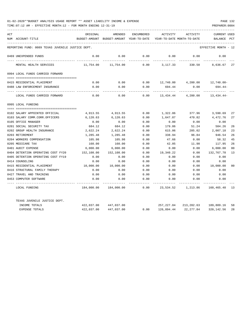| ACT |                                                   | ORIGINAL      | AMENDED       | ENCUMBERED   | ACTIVITY                   | ACTIVITY           | CURRENT USED         |                |
|-----|---------------------------------------------------|---------------|---------------|--------------|----------------------------|--------------------|----------------------|----------------|
|     | NUM ACCOUNT-TITLE                                 | BUDGET-AMOUNT | BUDGET-AMOUNT | YEAR-TO-DATE | YEAR-TO-DATE MONTH-TO-DATE |                    | <b>BALANCE</b>       | PCT            |
|     | REPORTING FUND: 0089 TEXAS JUVENILE JUSTICE DEPT. |               |               |              |                            |                    | EFFECTIVE MONTH - 12 |                |
|     | 0469 UNEXPENDED FUNDS                             | 0.00          | 0.00          | 0.00         | 0.00                       | 0.00               | 0.00                 |                |
|     | MENTAL HEALTH SERVICES                            | 11,754.00     | 11,754.00     | 0.00         | 3,117.33                   | 330.50             | 8,636.67 27          |                |
|     | 0994 LOCAL FUNDS CARRIED FORWARD                  |               |               |              |                            |                    |                      |                |
|     |                                                   |               |               |              |                            |                    |                      |                |
|     | 0415 RESIDENTIAL PLACEMENT                        | 0.00          | 0.00          | 0.00         |                            | 12,740.00 4,200.00 | 12,740.00-           |                |
|     | 0488 LAW ENFORCEMENT INSURANCE                    | 0.00          | 0.00          | 0.00         | 694.44                     | 0.00               | 694.44-              |                |
|     | LOCAL FUNDS CARRIED FORWARD                       | 0.00          | 0.00          | 0.00         | 13,434.44                  | 4,200.00           | $13,434.44-$         |                |
|     | 0995 LOCAL FUNDING                                |               |               |              |                            |                    |                      |                |
|     |                                                   |               |               |              |                            |                    |                      |                |
|     | 0102 SALARY APPOINTED OFFICIAL                    | 4,913.55      | 4,913.55      | 0.00         | 1,322.86                   | 377.96             | 3,590.69             | 27             |
|     | 0103 SALARY COMM.CORR.OFFICERS                    | 6,120.63      | 6,120.63      | 0.00         | 1,647.87                   | 470.82             | 4,472.76             | 27             |
|     | 0105 OFFICE MANAGER                               | 0.00          | 0.00          | 0.00         | 0.00                       | 0.00               | 0.00                 |                |
|     | 0201 SOCIAL SECURITY TAX                          | 684.12        | 684.12        | 0.00         | 179.86                     | 51.24              | 504.26               | 26             |
|     | 0202 GROUP HEALTH INSURANCE                       | 2,622.24      | 2,622.24      | 0.00         | 615.06                     | 205.02             | 2,007.18             | 23             |
|     | 0203 RETIREMENT                                   | 1,285.48      | 1,285.48      | 0.00         | 338.94                     | 96.84              | 946.54               | 26             |
|     | 0204 WORKERS COMPENSATION                         | 105.98        | 105.98        | 0.00         | 47.66                      | 0.00               | 58.32                | 45             |
|     | 0205 MEDICARE TAX                                 | 160.00        | 160.00        | 0.00         | 42.05                      | 11.98              | 117.95               | 26             |
|     | 0401 AUDIT EXPENSE                                | 6,000.00      | 6,000.00      | 0.00         | 0.00                       | 0.00               | 6,000.00             | 0 <sup>0</sup> |
|     | 0404 DETENTION OPERATING COST FY20                | 152,108.00    | 152,108.00    | 0.00         | 19,340.22                  | 0.00               | 132,767.78           | 13             |
|     | 0405 DETENTION OPERATING COST FY19                | 0.00          | 0.00          | 0.00         | 0.00                       | 0.00               | 0.00                 |                |
|     | 0414 COUNSELING                                   | 0.00          | 0.00          | 0.00         | 0.00                       | 0.00               | 0.00                 |                |
|     | 0415 RESIDENTIAL PLACEMENT                        | 10,000.00     | 10,000.00     | 0.00         | 0.00                       | 0.00               | 10,000.00            | 0 <sup>0</sup> |
|     | 0416 STRUCTURAL FAMILY THERAPY                    | 0.00          | 0.00          | 0.00         | 0.00                       | 0.00               | 0.00                 |                |
|     | 0427 TRAVEL AND TRAINING                          | 0.00          | 0.00          | 0.00         | 0.00                       | 0.00               | 0.00                 |                |
|     | 0453 COMPUTER SOFTWARE                            | 0.00          | 0.00          | 0.00         | 0.00                       | 0.00               | 0.00                 |                |
|     | LOCAL FUNDING                                     | 184,000.00    | 184,000.00    | 0.00         | 23,534.52                  | 1,213.86           | 160,465.48           | 13             |
|     | TEXAS JUVENILE JUSTICE DEPT.                      |               |               |              |                            |                    |                      |                |
|     | INCOME TOTALS                                     | 422,037.00    | 447,037.00    |              | 257,227.84                 | 213,202.63         | 189,809.16           | 58             |
|     | <b>EXPENSE TOTALS</b>                             | 422,037.00    | 447,037.00    | 0.00         | 126,894.44                 | 22, 277, 84        | 320, 142.56          | 28             |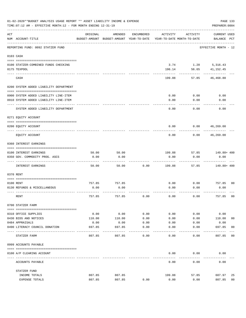|     | 01-02-2020**BUDGET ANALYSIS USAGE REPORT ** ASSET LIABILITY INCOME & EXPENSE<br>PAGE 133<br>TIME: 07:12 AM - EFFECTIVE MONTH: 12 - FOR MONTH ENDING 12-31-19<br>PREPARER: 0004 |                |                                                     |               |                                        |              |                                    |                |  |  |
|-----|--------------------------------------------------------------------------------------------------------------------------------------------------------------------------------|----------------|-----------------------------------------------------|---------------|----------------------------------------|--------------|------------------------------------|----------------|--|--|
| ACT | NUM ACCOUNT-TITLE                                                                                                                                                              | ORIGINAL       | AMENDED<br>BUDGET-AMOUNT BUDGET-AMOUNT YEAR-TO-DATE | ENCUMBERED    | ACTIVITY<br>YEAR-TO-DATE MONTH-TO-DATE | ACTIVITY     | <b>CURRENT USED</b><br>BALANCE PCT |                |  |  |
|     | REPORTING FUND: 0092 STATZER FUND                                                                                                                                              |                |                                                     |               |                                        |              | EFFECTIVE MONTH - 12               |                |  |  |
|     | 0103 CASH                                                                                                                                                                      |                |                                                     |               |                                        |              |                                    |                |  |  |
|     | 0100 STATZER-COMBINED FUNDS CHECKING                                                                                                                                           |                |                                                     |               | 3.74                                   |              | 1.20 5,316.43                      |                |  |  |
|     | 0175 TEXPOOL                                                                                                                                                                   |                |                                                     |               | 196.14                                 | 56.65        | 41,152.45                          |                |  |  |
|     | CASH                                                                                                                                                                           |                |                                                     |               | 199.88                                 | 57.85        | 46,468.88                          |                |  |  |
|     | 0200 SYSTEM ADDED LIABILITY DEPARTMENT                                                                                                                                         |                |                                                     |               |                                        |              |                                    |                |  |  |
|     |                                                                                                                                                                                |                |                                                     |               |                                        |              |                                    |                |  |  |
|     | 0900 SYSTEM ADDED LIABILITY LINE-ITEM<br>0910 SYSTEM ADDED LIABILITY LINE-ITEM                                                                                                 |                |                                                     |               | 0.00<br>0.00                           | 0.00<br>0.00 | 0.00<br>0.00                       |                |  |  |
|     |                                                                                                                                                                                |                |                                                     |               |                                        |              |                                    |                |  |  |
|     | SYSTEM ADDED LIABILITY DEPARTMENT                                                                                                                                              |                |                                                     |               | 0.00                                   | 0.00         | 0.00                               |                |  |  |
|     | 0271 EQUITY ACCOUNT                                                                                                                                                            |                |                                                     |               |                                        |              |                                    |                |  |  |
|     | 0200 EQUITY ACCOUNT                                                                                                                                                            |                |                                                     |               | 0.00                                   | 0.00         | 46,269.00                          |                |  |  |
|     | EQUITY ACCOUNT                                                                                                                                                                 |                |                                                     |               | 0.00                                   | 0.00         | 46,269.00                          |                |  |  |
|     | 0360 INTEREST EARNINGS                                                                                                                                                         |                |                                                     |               |                                        |              |                                    |                |  |  |
|     | 0100 INTEREST EARNINGS                                                                                                                                                         | 50.00          | 50.00                                               |               | 199.88                                 | 57.85        | 149.88+ 400                        |                |  |  |
|     | 0350 GOV. COMMODITY PROG. ASCS                                                                                                                                                 | 0.00           | 0.00                                                |               | 0.00                                   | 0.00         | 0.00                               |                |  |  |
|     | INTEREST EARNINGS                                                                                                                                                              | 50.00          | 50.00                                               | 0.00          | 199.88                                 | 57.85        | 149.88+ 400                        |                |  |  |
|     | 0370 RENT                                                                                                                                                                      |                |                                                     |               |                                        |              |                                    |                |  |  |
|     |                                                                                                                                                                                |                |                                                     |               |                                        |              |                                    |                |  |  |
|     | 0100 RENT<br>0130 REFUNDS & MISCELLANEOUS                                                                                                                                      | 757.85<br>0.00 | 757.85<br>0.00                                      |               | 0.00<br>0.00                           | 0.00<br>0.00 | 757.85<br>0.00                     | 0 <sub>0</sub> |  |  |
|     |                                                                                                                                                                                |                |                                                     |               |                                        |              |                                    |                |  |  |
|     | RENT                                                                                                                                                                           | 757.85         | 757.85                                              | 0.00          | 0.00                                   | 0.00         | 757.85                             | 0 <sub>0</sub> |  |  |
|     | 0700 STATZER FARM                                                                                                                                                              |                |                                                     |               |                                        |              |                                    |                |  |  |
|     | 0310 OFFICE SUPPLIES                                                                                                                                                           | 0.00           | 0.00                                                | 0.00          | 0.00                                   | 0.00         | 0.00                               |                |  |  |
|     | 0430 BIDS AND NOTICES                                                                                                                                                          | 110.00         | 110.00                                              | 0.00          | 0.00                                   | 0.00         | 110.00                             | 00             |  |  |
|     | 0484 APPRAISALS                                                                                                                                                                | 0.00           | 0.00                                                | 0.00          | 0.00                                   | 0.00         | 0.00                               |                |  |  |
|     | 0490 LITERACY COUNCIL DONATION                                                                                                                                                 | 697.85         | 697.85                                              | 0.00<br>$---$ | 0.00                                   | 0.00         | 697.85<br>$- - - - - - -$          | 0 <sub>0</sub> |  |  |
|     | STATZER FARM                                                                                                                                                                   | 807.85         | 807.85                                              | 0.00          | 0.00                                   | 0.00         | 807.85                             | 00             |  |  |
|     | 0999 ACCOUNTS PAYABLE                                                                                                                                                          |                |                                                     |               |                                        |              |                                    |                |  |  |
|     | 0100 A/P CLEARING ACCOUNT                                                                                                                                                      |                |                                                     |               | 0.00                                   | 0.00         | 0.00                               |                |  |  |
|     | ACCOUNTS PAYABLE                                                                                                                                                               |                |                                                     |               | 0.00                                   | 0.00         | 0.00                               |                |  |  |
|     | STATZER FUND                                                                                                                                                                   |                |                                                     |               |                                        |              |                                    |                |  |  |
|     | INCOME TOTALS                                                                                                                                                                  | 807.85         | 807.85                                              |               | 199.88                                 | 57.85        | 607.97                             | 25             |  |  |
|     | EXPENSE TOTALS                                                                                                                                                                 | 807.85         | 807.85                                              | 0.00          | 0.00                                   | 0.00         | 807.85                             | 0 <sub>0</sub> |  |  |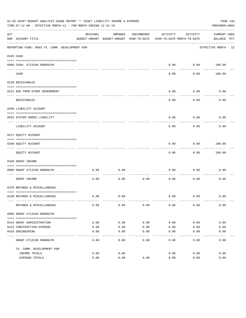| 01-02-2020**BUDGET ANALYSIS USAGE REPORT ** ASSET LIABILITY INCOME & EXPENSE<br>PAGE 134<br>TIME: 07:12 AM - EFFECTIVE MONTH: 12 - FOR MONTH ENDING 12-31-19<br>PREPARER: 0004 |                                                             |          |                                          |            |                            |           |                      |  |
|--------------------------------------------------------------------------------------------------------------------------------------------------------------------------------|-------------------------------------------------------------|----------|------------------------------------------|------------|----------------------------|-----------|----------------------|--|
| ACT                                                                                                                                                                            |                                                             | ORIGINAL | AMENDED                                  | ENCUMBERED | ACTIVITY                   | ACTIVITY  | CURRENT USED         |  |
|                                                                                                                                                                                | NUM ACCOUNT-TITLE                                           |          | BUDGET-AMOUNT BUDGET-AMOUNT YEAR-TO-DATE |            | YEAR-TO-DATE MONTH-TO-DATE |           | BALANCE PCT          |  |
|                                                                                                                                                                                | REPORTING FUND: 0093 TX. COMM. DEVELOPMENT PGM              |          |                                          |            |                            |           | EFFECTIVE MONTH - 12 |  |
|                                                                                                                                                                                | 0103 CASH                                                   |          |                                          |            |                            |           |                      |  |
|                                                                                                                                                                                |                                                             |          |                                          |            |                            |           |                      |  |
|                                                                                                                                                                                | 0909 CASH- #713169 RANDOLPH                                 |          |                                          |            | 0.00                       | --------- | $0.00$ 100.00        |  |
|                                                                                                                                                                                | CASH                                                        |          |                                          |            | 0.00                       | 0.00      | 100.00               |  |
|                                                                                                                                                                                | 0120 RECEIVABLES                                            |          |                                          |            |                            |           |                      |  |
|                                                                                                                                                                                | 0312 DUE FROM OTHER GOVERNMENT                              |          |                                          |            | 0.00                       | 0.00      | 0.00                 |  |
|                                                                                                                                                                                |                                                             |          |                                          |            |                            | --------  |                      |  |
|                                                                                                                                                                                | RECEIVABLES                                                 |          |                                          |            | 0.00                       | 0.00      | 0.00                 |  |
|                                                                                                                                                                                | 0200 LIABILITY ACCOUNT                                      |          |                                          |            |                            |           |                      |  |
|                                                                                                                                                                                | 0910 SYSTEM ADDED LIABILITY                                 |          |                                          |            | 0.00                       | 0.00      | 0.00                 |  |
|                                                                                                                                                                                | LIABILITY ACCOUNT                                           |          |                                          |            | 0.00                       | 0.00      | 0.00                 |  |
|                                                                                                                                                                                | 0271 EQUITY ACCOUNT                                         |          |                                          |            |                            |           |                      |  |
|                                                                                                                                                                                | 0200 EQUITY ACCOUNT                                         |          |                                          |            | 0.00                       | 0.00      | 100.00               |  |
|                                                                                                                                                                                | EQUITY ACCOUNT                                              |          |                                          |            | 0.00                       | 0.00      | 100.00               |  |
|                                                                                                                                                                                | 0330 GRANT INCOME                                           |          |                                          |            |                            |           |                      |  |
|                                                                                                                                                                                |                                                             |          |                                          |            |                            |           |                      |  |
|                                                                                                                                                                                | 0909 GRANT #713169 RANDOLPH<br>---------------------- ----- | 0.00     | 0.00                                     |            | 0.00                       | 0.00      | 0.00                 |  |
|                                                                                                                                                                                | GRANT INCOME                                                | 0.00     | 0.00                                     | 0.00       | 0.00                       | 0.00      | 0.00                 |  |
|                                                                                                                                                                                | 0370 REFUNDS & MISCELLANEOUS                                |          |                                          |            |                            |           |                      |  |
|                                                                                                                                                                                |                                                             |          |                                          |            |                            |           |                      |  |
|                                                                                                                                                                                | 0130 REFUNDS & MISCELLANEOUS                                | 0.00     | 0.00                                     |            | 0.00                       | 0.00      | 0.00                 |  |
|                                                                                                                                                                                | REFUNDS & MISCELLANEOUS                                     | 0.00     | 0.00                                     | 0.00       | 0.00                       | 0.00      | 0.00                 |  |
|                                                                                                                                                                                | 0909 GRANT #713169 RANDOLPH                                 |          |                                          |            |                            |           |                      |  |
|                                                                                                                                                                                |                                                             |          |                                          |            |                            |           |                      |  |
|                                                                                                                                                                                | 0414 GRANT ADMINISTRATION                                   | 0.00     | 0.00                                     | 0.00       | 0.00                       | 0.00      | 0.00                 |  |
|                                                                                                                                                                                | 0415 CONSTRUCTION EXPENSE                                   | 0.00     | 0.00                                     | 0.00       | 0.00                       | 0.00      | 0.00                 |  |
|                                                                                                                                                                                | 0416 ENGINEERING                                            | 0.00     | 0.00                                     | 0.00       | 0.00                       | 0.00      | 0.00                 |  |
|                                                                                                                                                                                | GRANT #713169 RANDOLPH                                      | 0.00     | 0.00                                     | 0.00       | 0.00                       | 0.00      | 0.00                 |  |
|                                                                                                                                                                                | TX. COMM. DEVELOPMENT PGM                                   |          |                                          |            |                            |           |                      |  |
|                                                                                                                                                                                | INCOME TOTALS                                               | 0.00     | 0.00                                     |            | 0.00                       | 0.00      | 0.00                 |  |
|                                                                                                                                                                                | EXPENSE TOTALS                                              | 0.00     | 0.00                                     | 0.00       | 0.00                       | 0.00      | 0.00                 |  |
|                                                                                                                                                                                |                                                             |          |                                          |            |                            |           |                      |  |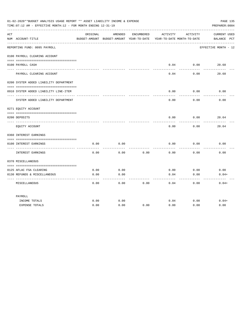|     | 01-02-2020**BUDGET ANALYSIS USAGE REPORT ** ASSET LIABILITY INCOME & EXPENSE<br>PAGE 135<br>PREPARER: 0004<br>TIME: 07:12 AM - EFFECTIVE MONTH: 12 - FOR MONTH ENDING 12-31-19 |          |                                                                                |            |                  |                  |                                    |  |  |  |  |
|-----|--------------------------------------------------------------------------------------------------------------------------------------------------------------------------------|----------|--------------------------------------------------------------------------------|------------|------------------|------------------|------------------------------------|--|--|--|--|
| ACT | NUM ACCOUNT-TITLE                                                                                                                                                              | ORIGINAL | AMENDED<br>BUDGET-AMOUNT BUDGET-AMOUNT YEAR-TO-DATE YEAR-TO-DATE MONTH-TO-DATE | ENCUMBERED | ACTIVITY         | ACTIVITY         | <b>CURRENT USED</b><br>BALANCE PCT |  |  |  |  |
|     | ----------------------------<br>REPORTING FUND: 0095 PAYROLL                                                                                                                   |          |                                                                                |            |                  |                  | EFFECTIVE MONTH - 12               |  |  |  |  |
|     | 0100 PAYROLL CLEARING ACCOUNT                                                                                                                                                  |          |                                                                                |            |                  |                  |                                    |  |  |  |  |
|     | 0100 PAYROLL CASH                                                                                                                                                              |          |                                                                                |            | 0.04<br>-------- | 0.00<br>.        | 20.68                              |  |  |  |  |
|     | PAYROLL CLEARING ACCOUNT                                                                                                                                                       |          |                                                                                |            | 0.04             | 0.00             | 20.68                              |  |  |  |  |
|     | 0200 SYSTEM ADDED LIABILITY DEPARTMENT                                                                                                                                         |          |                                                                                |            |                  |                  |                                    |  |  |  |  |
|     | 0910 SYSTEM ADDED LIABILITY LINE-ITEM                                                                                                                                          |          |                                                                                |            | 0.00             | 0.00<br>-------- | 0.00                               |  |  |  |  |
|     | SYSTEM ADDED LIABILITY DEPARTMENT                                                                                                                                              |          |                                                                                |            | 0.00             | 0.00             | 0.00                               |  |  |  |  |
|     | 0271 EQUITY ACCOUNT                                                                                                                                                            |          |                                                                                |            |                  |                  |                                    |  |  |  |  |
|     | 0200 DEPOSITS                                                                                                                                                                  |          |                                                                                |            | 0.00             | 0.00             | 20.64                              |  |  |  |  |
|     | EQUITY ACCOUNT                                                                                                                                                                 |          |                                                                                |            | 0.00             | 0.00             | 20.64                              |  |  |  |  |
|     | 0360 INTEREST EARNINGS                                                                                                                                                         |          |                                                                                |            |                  |                  |                                    |  |  |  |  |
|     | 0100 INTEREST EARNINGS<br>---- ---------------                                                                                                                                 | 0.00     | 0.00                                                                           |            | 0.00             | 0.00             | 0.00                               |  |  |  |  |
|     | INTEREST EARNINGS                                                                                                                                                              | 0.00     | 0.00                                                                           | 0.00       | 0.00             | 0.00             | 0.00                               |  |  |  |  |
|     | 0370 MISCELLANEOUS                                                                                                                                                             |          |                                                                                |            |                  |                  |                                    |  |  |  |  |
|     | 0125 AFLAC FSA CLEARING                                                                                                                                                        | 0.00     | 0.00                                                                           |            | 0.00             | 0.00             | 0.00                               |  |  |  |  |
|     | 0130 REFUNDS & MISCELLANEOUS                                                                                                                                                   | 0.00     | 0.00<br>----                                                                   |            | 0.04<br>-----    | 0.00<br>-----    | $0.04+$                            |  |  |  |  |
|     | MISCELLANEOUS                                                                                                                                                                  | 0.00     | 0.00                                                                           | 0.00       | 0.04             | 0.00             | $0.04+$                            |  |  |  |  |
|     | PAYROLL                                                                                                                                                                        |          |                                                                                |            |                  |                  |                                    |  |  |  |  |
|     | INCOME TOTALS                                                                                                                                                                  | 0.00     | 0.00                                                                           |            | 0.04             | 0.00             | $0.04+$                            |  |  |  |  |
|     | <b>EXPENSE TOTALS</b>                                                                                                                                                          | 0.00     | 0.00                                                                           | 0.00       | 0.00             | 0.00             | 0.00                               |  |  |  |  |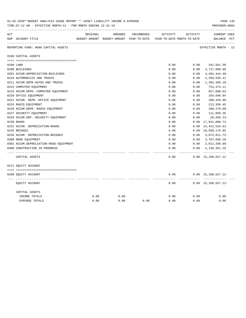| 01-02-2020**BUDGET ANALYSIS USAGE REPORT ** ASSET LIABILITY INCOME & EXPENSE<br>TIME: 07:12 AM - EFFECTIVE MONTH: 12 - FOR MONTH ENDING 12-31-19 |                                        |          |                                                                     |            |          |          |                                            |  |  |
|--------------------------------------------------------------------------------------------------------------------------------------------------|----------------------------------------|----------|---------------------------------------------------------------------|------------|----------|----------|--------------------------------------------|--|--|
| ACT                                                                                                                                              |                                        | ORIGINAL | AMENDED                                                             | ENCUMBERED | ACTIVITY | ACTIVITY | <b>CURRENT USED</b>                        |  |  |
|                                                                                                                                                  | NUM ACCOUNT-TITLE                      |          | BUDGET-AMOUNT BUDGET-AMOUNT YEAR-TO-DATE YEAR-TO-DATE MONTH-TO-DATE |            |          |          | BALANCE PCT                                |  |  |
|                                                                                                                                                  | REPORTING FUND: 0098 CAPITAL ASSETS    |          |                                                                     |            |          |          | EFFECTIVE MONTH - 12                       |  |  |
|                                                                                                                                                  | 0160 CAPITAL ASSETS                    |          |                                                                     |            |          |          |                                            |  |  |
|                                                                                                                                                  |                                        |          |                                                                     |            |          |          |                                            |  |  |
|                                                                                                                                                  | 0100 LAND                              |          |                                                                     |            | 0.00     | 0.00     | 341,561.30                                 |  |  |
|                                                                                                                                                  | 0200 BUILDINGS                         |          |                                                                     |            | 0.00     | 0.00     | 4,737,000.00                               |  |  |
|                                                                                                                                                  | 0201 ACCUM.DEPRECIATION-BUILDINGS      |          |                                                                     |            | 0.00     | 0.00     | $3,494,444.40-$                            |  |  |
|                                                                                                                                                  | 0210 AUTOMOBILES AND TRUCKS            |          |                                                                     |            | 0.00     | 0.00     | 2,289,535.41                               |  |  |
|                                                                                                                                                  | 0211 ACCUM.DEPR.AUTOS AND TRUCKS       |          |                                                                     |            | 0.00     | 0.00     | $1,392,369.10-$                            |  |  |
|                                                                                                                                                  | 0215 COMPUTER EQUIPMENT                |          |                                                                     |            | 0.00     | 0.00     | 753,474.11                                 |  |  |
|                                                                                                                                                  | 0216 ACCUM.DEPR.-COMPUTER EQUIPMENT    |          |                                                                     |            | 0.00     | 0.00     | 657,090.62-                                |  |  |
|                                                                                                                                                  | 0220 OFFICE EQUIPMENT                  |          |                                                                     |            | 0.00     | 0.00     | 164,640.04                                 |  |  |
|                                                                                                                                                  | 0221 ACCUM. DEPR. - OFFICE EQUIPMENT   |          |                                                                     |            | 0.00     | 0.00     | $100, 426.88 -$                            |  |  |
|                                                                                                                                                  | 0225 RADIO EQUIPMENT                   |          |                                                                     |            | 0.00     | 0.00     | 213, 359.45                                |  |  |
|                                                                                                                                                  | 0226 ACCUM.DEPR.-RADIO EQUIPMENT       |          |                                                                     |            | 0.00     | 0.00     | 208,278.09-                                |  |  |
|                                                                                                                                                  | 0227 SECURITY EQUIPMENT                |          |                                                                     |            | 0.00     | 0.00     | 111,850.36                                 |  |  |
|                                                                                                                                                  | 0228 ACCUM.DEP. - SECURITY EQUIPMENT   |          |                                                                     |            | 0.00     | 0.00     | $20,036.23-$                               |  |  |
|                                                                                                                                                  | 0230 ROADS                             |          |                                                                     |            | 0.00     | 0.00     | 17,841,000.74                              |  |  |
|                                                                                                                                                  | 0231 ACCUM. DEPRECIATION-ROADS         |          |                                                                     |            | 0.00     | 0.00     | 14, 422, 516.81-                           |  |  |
|                                                                                                                                                  | 0235 BRIDGES                           |          |                                                                     |            | 0.00     |          | 0.00 10,580,176.85                         |  |  |
|                                                                                                                                                  | 0236 ACCUM. DEPRECIATION-BRIDGES       |          |                                                                     |            | 0.00     | 0.00     | 3,673,811.72-                              |  |  |
|                                                                                                                                                  | 0300 ROAD EQUIPMENT                    |          |                                                                     |            | 0.00     | 0.00     | 3,707,840.28                               |  |  |
|                                                                                                                                                  | 0301 ACCUM.DEPRECIATION-ROAD EQUIPMENT |          |                                                                     |            | 0.00     | 0.00     | 2,812,298.86-                              |  |  |
|                                                                                                                                                  | 0400 CONSTRUCTION IN PROGRESS          |          |                                                                     |            | 0.00     | 0.00     | 1,149,461.29                               |  |  |
|                                                                                                                                                  |                                        |          |                                                                     |            |          |          |                                            |  |  |
|                                                                                                                                                  | CAPITAL ASSETS                         |          |                                                                     |            | 0.00     |          | $0.00 \quad 15,108,627.12$                 |  |  |
|                                                                                                                                                  | 0271 EQUITY ACCOUNT                    |          |                                                                     |            |          |          |                                            |  |  |
|                                                                                                                                                  |                                        |          |                                                                     |            |          |          |                                            |  |  |
|                                                                                                                                                  | 0200 EQUITY ACCOUNT                    |          |                                                                     |            | 0.00     |          | $0.00 \quad 15,108,627.12 -$<br>---------- |  |  |
|                                                                                                                                                  | EQUITY ACCOUNT                         |          |                                                                     |            | 0.00     |          | $0.00 \quad 15,108,627.12 -$               |  |  |
|                                                                                                                                                  | CAPITAL ASSETS                         |          |                                                                     |            |          |          |                                            |  |  |
|                                                                                                                                                  | INCOME TOTALS                          | 0.00     | 0.00                                                                |            | 0.00     | 0.00     | 0.00                                       |  |  |
|                                                                                                                                                  | <b>EXPENSE TOTALS</b>                  | 0.00     | 0.00                                                                | 0.00       | 0.00     | 0.00     | 0.00                                       |  |  |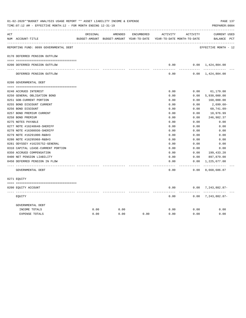|     | PAGE 137<br>01-02-2020**BUDGET ANALYSIS USAGE REPORT ** ASSET LIABILITY INCOME & EXPENSE<br>TIME: 07:12 AM - EFFECTIVE MONTH: 12 - FOR MONTH ENDING 12-31-19<br>PREPARER: 0004 |          |         |            |                                                                     |                 |                               |  |  |  |  |  |
|-----|--------------------------------------------------------------------------------------------------------------------------------------------------------------------------------|----------|---------|------------|---------------------------------------------------------------------|-----------------|-------------------------------|--|--|--|--|--|
| ACT |                                                                                                                                                                                | ORIGINAL | AMENDED | ENCUMBERED | ACTIVITY                                                            | ACTIVITY        | <b>CURRENT USED</b>           |  |  |  |  |  |
|     | NUM ACCOUNT-TITLE                                                                                                                                                              |          |         |            | BUDGET-AMOUNT BUDGET-AMOUNT YEAR-TO-DATE YEAR-TO-DATE MONTH-TO-DATE |                 | BALANCE PCT                   |  |  |  |  |  |
|     | REPORTING FUND: 0099 GOVERNMENTAL DEBT                                                                                                                                         |          |         |            |                                                                     |                 | EFFECTIVE MONTH - 12          |  |  |  |  |  |
|     | 0170 DEFERRED PENSION OUTFLOW                                                                                                                                                  |          |         |            |                                                                     |                 |                               |  |  |  |  |  |
|     |                                                                                                                                                                                |          |         |            |                                                                     |                 |                               |  |  |  |  |  |
|     | 0200 DEFERRED PENSION OUTFLOW                                                                                                                                                  |          |         |            | 0.00<br>-----                                                       | --------        | $0.00 \quad 1,424,804.00$     |  |  |  |  |  |
|     | DEFERRED PENSION OUTFLOW                                                                                                                                                       |          |         |            | 0.00                                                                |                 | $0.00 \quad 1,424,804.00$     |  |  |  |  |  |
|     | 0200 GOVERNMENTAL DEBT                                                                                                                                                         |          |         |            |                                                                     |                 |                               |  |  |  |  |  |
|     |                                                                                                                                                                                |          |         |            |                                                                     |                 |                               |  |  |  |  |  |
|     | 0240 ACCRUED INTEREST                                                                                                                                                          |          |         |            | 0.00                                                                | 0.00            | 61,179.00                     |  |  |  |  |  |
|     | 0250 GENERAL OBLIGATION BOND                                                                                                                                                   |          |         |            | 0.00                                                                | 0.00            | 5,930,000.00                  |  |  |  |  |  |
|     | 0251 GOB-CURRENT PORTION                                                                                                                                                       |          |         |            | 0.00                                                                | 0.00            | 160,000.00                    |  |  |  |  |  |
|     | 0255 BOND DISCOUNT CURRENT                                                                                                                                                     |          |         |            | 0.00                                                                | 0.00            | 2,699.60-                     |  |  |  |  |  |
|     | 0256 BOND DISCOUNT                                                                                                                                                             |          |         |            | 0.00                                                                | 0.00            | $60,741.09 -$                 |  |  |  |  |  |
|     | 0257 BOND PREMIUM CURRENT                                                                                                                                                      |          |         |            | 0.00                                                                | 0.00            | 10,976.99                     |  |  |  |  |  |
|     | 0258 BOND PREMIUM                                                                                                                                                              |          |         |            | 0.00                                                                | 0.00            | 246,982.37                    |  |  |  |  |  |
|     | 0275 NOTES PAYABLE                                                                                                                                                             |          |         |            | 0.00                                                                | 0.00            | 0.00                          |  |  |  |  |  |
|     | 0277 NOTE #16240648-SHERIFF                                                                                                                                                    |          |         |            | 0.00                                                                | 0.00            | 0.00                          |  |  |  |  |  |
|     | 0278 NOTE #16308936-SHERIFF                                                                                                                                                    |          |         |            | 0.00                                                                | 0.00            | 0.00                          |  |  |  |  |  |
|     | 0279 NOTE #16291000-R&B#3                                                                                                                                                      |          |         |            | 0.00                                                                | 0.00            | 0.00                          |  |  |  |  |  |
|     | 0280 NOTE #16295968-R&B#3                                                                                                                                                      |          |         |            | 0.00                                                                | 0.00            | 0.00                          |  |  |  |  |  |
|     | 0281 ODYSSEY #16235752-GENERAL                                                                                                                                                 |          |         |            | 0.00                                                                | 0.00            | 0.00                          |  |  |  |  |  |
|     | 0310 CAPITAL LEASE-CURRENT PORTION                                                                                                                                             |          |         |            | 0.00                                                                | 0.00            | 0.00                          |  |  |  |  |  |
|     | 0350 ACCRUED COMPENSATION                                                                                                                                                      |          |         |            | 0.00                                                                | 0.00            | 199,433.20                    |  |  |  |  |  |
|     | 0400 NET PENSION LIABILITY                                                                                                                                                     |          |         |            | 0.00                                                                | 0.00            | 897,879.00                    |  |  |  |  |  |
|     | 0450 DEFERRED PENSION IN FLOW                                                                                                                                                  |          |         |            | 0.00                                                                | 0.00            | 1,225,677.00                  |  |  |  |  |  |
|     | GOVERNMENTAL DEBT                                                                                                                                                              |          |         |            | -----<br>0.00                                                       | -------<br>0.00 | -------------<br>8,668,686.87 |  |  |  |  |  |
|     | 0271 EOUITY                                                                                                                                                                    |          |         |            |                                                                     |                 |                               |  |  |  |  |  |
|     |                                                                                                                                                                                |          |         |            |                                                                     |                 |                               |  |  |  |  |  |
|     | 0200 EQUITY ACCOUNT                                                                                                                                                            |          |         |            | 0.00                                                                |                 | $0.00$ 7, 243, 882.87-        |  |  |  |  |  |
|     | EQUITY                                                                                                                                                                         |          |         |            | 0.00                                                                | -------         | $0.00$ 7, 243, 882.87-        |  |  |  |  |  |
|     | GOVERNMENTAL DEBT                                                                                                                                                              |          |         |            |                                                                     |                 |                               |  |  |  |  |  |
|     | INCOME TOTALS                                                                                                                                                                  | 0.00     | 0.00    |            | 0.00                                                                | 0.00            | 0.00                          |  |  |  |  |  |
|     | <b>EXPENSE TOTALS</b>                                                                                                                                                          | 0.00     | 0.00    | 0.00       | 0.00                                                                | 0.00            | 0.00                          |  |  |  |  |  |